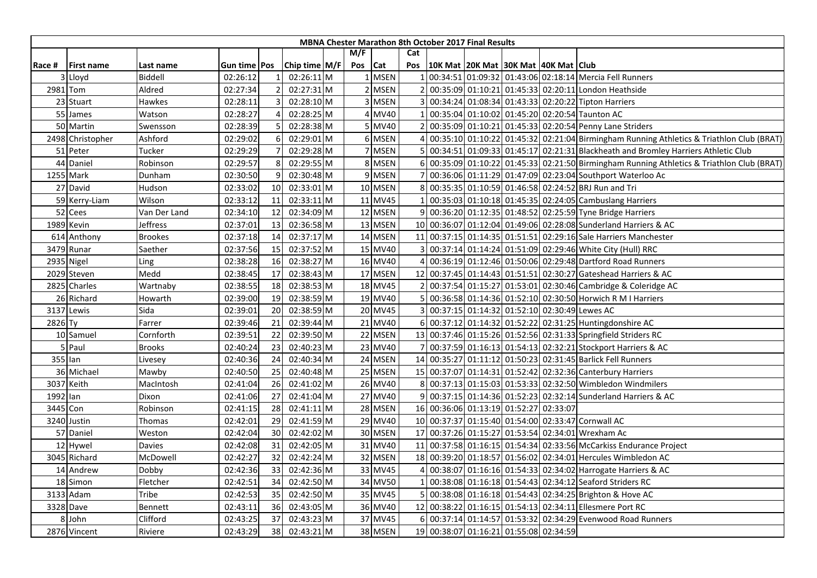|          |                   |                |                |                 |               |         |         |     | <b>MBNA Chester Marathon 8th October 2017 Final Results</b> |  |                                                                                          |
|----------|-------------------|----------------|----------------|-----------------|---------------|---------|---------|-----|-------------------------------------------------------------|--|------------------------------------------------------------------------------------------|
|          |                   |                |                |                 |               | M/F     |         | Cat |                                                             |  |                                                                                          |
| Race #   | <b>First name</b> | Last name      | Gun time   Pos |                 | Chip time M/F | Pos Cat |         | Pos | 10K Mat  20K Mat  30K Mat  40K Mat   Club                   |  |                                                                                          |
|          | Lloyd             | Biddell        | 02:26:12       |                 | 02:26:11 M    |         | 1 MSEN  |     |                                                             |  | 00:34:51 01:09:32 01:43:06 02:18:14 Mercia Fell Runners                                  |
|          | 2981 Tom          | Aldred         | 02:27:34       |                 | 02:27:31 M    |         | 2 MSEN  |     |                                                             |  | 00:35:09 01:10:21 01:45:33 02:20:11 London Heathside                                     |
|          | 23 Stuart         | Hawkes         | 02:28:11       | 3               | 02:28:10 M    |         | 3 MSEN  |     |                                                             |  | 00:34:24 01:08:34 01:43:33 02:20:22 Tipton Harriers                                      |
|          | 55 James          | Watson         | 02:28:27       |                 | 02:28:25 M    |         | 4 MV40  |     |                                                             |  | 00:35:04 01:10:02 01:45:20 02:20:54 Taunton AC                                           |
|          | 50 Martin         | Swensson       | 02:28:39       | 5               | 02:28:38 M    |         | 5 MV40  |     |                                                             |  | 00:35:09 01:10:21 01:45:33 02:20:54 Penny Lane Striders                                  |
|          | 2498 Christopher  | Ashford        | 02:29:02       | 6               | 02:29:01 M    |         | 6 MSEN  |     |                                                             |  | 00:35:10 01:10:22 01:45:32 02:21:04 Birmingham Running Athletics & Triathlon Club (BRAT) |
|          | 51 Peter          | Tucker         | 02:29:29       |                 | 02:29:28 M    |         | 7 MSEN  |     |                                                             |  | 00:34:51 01:09:33 01:45:17 02:21:31 Blackheath and Bromley Harriers Athletic Club        |
|          | 44 Daniel         | Robinson       | 02:29:57       | 8               | 02:29:55 M    |         | 8 MSEN  |     |                                                             |  | 00:35:09 01:10:22 01:45:33 02:21:50 Birmingham Running Athletics & Triathlon Club (BRAT) |
|          | 1255 Mark         | Dunham         | 02:30:50       | 9               | 02:30:48 M    |         | 9 MSEN  |     |                                                             |  | 00:36:06 01:11:29 01:47:09 02:23:04 Southport Waterloo Ac                                |
|          | 27 David          | Hudson         | 02:33:02       | <b>10</b>       | 02:33:01 M    |         | 10 MSEN |     |                                                             |  | 00:35:35 01:10:59 01:46:58 02:24:52 BRJ Run and Tri                                      |
|          | 59 Kerry-Liam     | Wilson         | 02:33:12       | 11              | 02:33:11 M    |         | 11 MV45 |     |                                                             |  | 00:35:03 01:10:18 01:45:35 02:24:05 Cambuslang Harriers                                  |
|          | 52 Cees           | Van Der Land   | 02:34:10       | 12              | 02:34:09 M    |         | 12 MSEN |     |                                                             |  | 00:36:20 01:12:35 01:48:52 02:25:59 Tyne Bridge Harriers                                 |
|          | 1989 Kevin        | Jeffress       | 02:37:01       | 13              | 02:36:58 M    |         | 13 MSEN |     |                                                             |  | 10 00:36:07 01:12:04 01:49:06 02:28:08 Sunderland Harriers & AC                          |
|          | 614 Anthony       | <b>Brookes</b> | 02:37:18       | 14              | 02:37:17 M    |         | 14 MSEN |     |                                                             |  | 11 00:37:15 01:14:35 01:51:51 02:29:16 Sale Harriers Manchester                          |
|          | 3479 Runar        | Saether        | 02:37:56       | 15              | 02:37:52 M    |         | 15 MV40 |     |                                                             |  | 00:37:14 01:14:24 01:51:09 02:29:46 White City (Hull) RRC                                |
|          | 2935 Nigel        | Ling           | 02:38:28       | 16              | 02:38:27 M    |         | 16 MV40 |     |                                                             |  | 00:36:19 01:12:46 01:50:06 02:29:48 Dartford Road Runners                                |
|          | 2029 Steven       | Medd           | 02:38:45       | 17              | 02:38:43 M    |         | 17 MSEN |     |                                                             |  | 12 00:37:45 01:14:43 01:51:51 02:30:27 Gateshead Harriers & AC                           |
|          | 2825 Charles      | Wartnaby       | 02:38:55       | 18              | 02:38:53 M    |         | 18 MV45 |     |                                                             |  | 00:37:54 01:15:27 01:53:01 02:30:46 Cambridge & Coleridge AC                             |
|          | 26 Richard        | Howarth        | 02:39:00       | 19              | 02:38:59 M    |         | 19 MV40 |     |                                                             |  | 00:36:58 01:14:36 01:52:10 02:30:50 Horwich R M I Harriers                               |
|          | 3137 Lewis        | Sida           | 02:39:01       | 20              | 02:38:59 M    |         | 20 MV45 |     |                                                             |  | 00:37:15 01:14:32 01:52:10 02:30:49 Lewes AC                                             |
| 2826 Ty  |                   | Farrer         | 02:39:46       | 21              | 02:39:44 M    |         | 21 MV40 |     |                                                             |  | 00:37:12 01:14:32 01:52:22 02:31:25 Huntingdonshire AC                                   |
|          | 10 Samuel         | Cornforth      | 02:39:51       | 22              | 02:39:50 M    |         | 22 MSEN |     |                                                             |  | 13 00:37:46 01:15:26 01:52:56 02:31:33 Springfield Striders RC                           |
|          | 5 Paul            | <b>Brooks</b>  | 02:40:24       | 23              | 02:40:23 M    |         | 23 MV40 |     |                                                             |  | 00:37:59 01:16:13 01:54:13 02:32:21 Stockport Harriers & AC                              |
|          | $355$ lan         | Livesey        | 02:40:36       | 24              | 02:40:34 M    |         | 24 MSEN |     |                                                             |  | 14 00:35:27 01:11:12 01:50:23 02:31:45 Barlick Fell Runners                              |
|          | 36 Michael        | Mawby          | 02:40:50       | 25              | 02:40:48 M    |         | 25 MSEN |     |                                                             |  | 15 00:37:07 01:14:31 01:52:42 02:32:36 Canterbury Harriers                               |
|          | 3037 Keith        | MacIntosh      | 02:41:04       | 26              | 02:41:02 M    |         | 26 MV40 |     |                                                             |  | 00:37:13 01:15:03 01:53:33 02:32:50 Wimbledon Windmilers                                 |
| 1992 lan |                   | Dixon          | 02:41:06       | 27              | 02:41:04 M    |         | 27 MV40 |     |                                                             |  | 00:37:15 01:14:36 01:52:23 02:32:14 Sunderland Harriers & AC                             |
|          | 3445 Con          | Robinson       | 02:41:15       | 28              | $02:41:11$ M  |         | 28 MSEN |     | 16 00:36:06 01:13:19 01:52:27 02:33:07                      |  |                                                                                          |
|          | 3240 Justin       | Thomas         | 02:42:01       | 29              | 02:41:59 M    |         | 29 MV40 |     |                                                             |  | 10 00:37:37 01:15:40 01:54:00 02:33:47 Cornwall AC                                       |
|          | 57 Daniel         | Weston         | 02:42:04       | 30 <sup>1</sup> | 02:42:02 M    |         | 30 MSEN |     |                                                             |  | 17 00:37:26 01:15:27 01:53:54 02:34:01 Wrexham Ac                                        |
|          | 12 Hywel          | Davies         | 02:42:08       | 31              | 02:42:05 M    |         | 31 MV40 |     |                                                             |  | 11 00:37:58 01:16:15 01:54:34 02:33:56 McCarkiss Endurance Project                       |
|          | 3045 Richard      | McDowell       | 02:42:27       | 32              | 02:42:24 M    |         | 32 MSEN |     |                                                             |  | 18 00:39:20 01:18:57 01:56:02 02:34:01 Hercules Wimbledon AC                             |
|          | 14 Andrew         | Dobby          | 02:42:36       | 33              | 02:42:36 M    |         | 33 MV45 |     |                                                             |  | 00:38:07 01:16:16 01:54:33 02:34:02 Harrogate Harriers & AC                              |
|          | 18 Simon          | Fletcher       | 02:42:51       | 34              | 02:42:50 M    |         | 34 MV50 |     |                                                             |  | 00:38:08 01:16:18 01:54:43 02:34:12 Seaford Striders RC                                  |
|          | 3133 Adam         | Tribe          | 02:42:53       | 35              | 02:42:50 M    |         | 35 MV45 |     |                                                             |  | 00:38:08 01:16:18 01:54:43 02:34:25 Brighton & Hove AC                                   |
|          | 3328 Dave         | Bennett        | 02:43:11       | 36              | 02:43:05 M    |         | 36 MV40 |     |                                                             |  | 12 00:38:22 01:16:15 01:54:13 02:34:11 Ellesmere Port RC                                 |
|          | 8 John            | Clifford       | 02:43:25       | 37              | 02:43:23 M    |         | 37 MV45 |     |                                                             |  | 00:37:14 01:14:57 01:53:32 02:34:29 Evenwood Road Runners                                |
|          | 2876 Vincent      | Riviere        | 02:43:29       | 38              | 02:43:21 M    |         | 38 MSEN |     | 19 00:38:07 01:16:21 01:55:08 02:34:59                      |  |                                                                                          |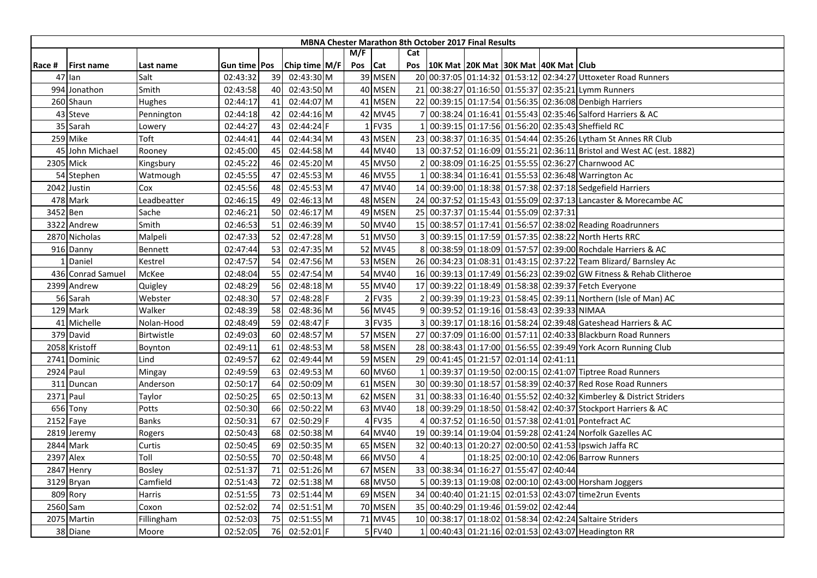|          |                   |               |                |    |                 |     |            |     | <b>MBNA Chester Marathon 8th October 2017 Final Results</b> |                                           |  |                                                                        |
|----------|-------------------|---------------|----------------|----|-----------------|-----|------------|-----|-------------------------------------------------------------|-------------------------------------------|--|------------------------------------------------------------------------|
|          |                   |               |                |    |                 | M/F |            | Cat |                                                             |                                           |  |                                                                        |
| Race #   | <b>First name</b> | Last name     | Gun time   Pos |    | Chip time $M/F$ | Pos | <b>Cat</b> |     | Pos   10K Mat   20K Mat   30K Mat   40K Mat   Club          |                                           |  |                                                                        |
|          | 47 lan            | Salt          | 02:43:32       | 39 | 02:43:30 M      |     | 39 MSEN    |     |                                                             |                                           |  | 20 00:37:05 01:14:32 01:53:12 02:34:27 Uttoxeter Road Runners          |
|          | 994 Jonathon      | Smith         | 02:43:58       | 40 | 02:43:50 M      |     | 40 MSEN    |     |                                                             |                                           |  | 21 00:38:27 01:16:50 01:55:37 02:35:21 Lymm Runners                    |
|          | 260 Shaun         | Hughes        | 02:44:17       | 41 | 02:44:07 M      |     | 41 MSEN    |     |                                                             |                                           |  | 22 00:39:15 01:17:54 01:56:35 02:36:08 Denbigh Harriers                |
|          | 43 Steve          | Pennington    | 02:44:18       | 42 | 02:44:16 M      |     | 42 MV45    |     |                                                             |                                           |  | 00:38:24 01:16:41 01:55:43 02:35:46 Salford Harriers & AC              |
|          | 35 Sarah          | Lowery        | 02:44:27       | 43 | 02:44:24 F      |     | 1 FV35     |     |                                                             |                                           |  | 00:39:15 01:17:56 01:56:20 02:35:43 Sheffield RC                       |
|          | 259 Mike          | Toft          | 02:44:41       | 44 | 02:44:34 M      |     | 43 MSEN    |     |                                                             |                                           |  | 23 00:38:37 01:16:35 01:54:44 02:35:26 Lytham St Annes RR Club         |
|          | 45 John Michael   | Rooney        | 02:45:00       | 45 | 02:44:58 M      |     | 44 MV40    |     |                                                             |                                           |  | 13 00:37:52 01:16:09 01:55:21 02:36:11 Bristol and West AC (est. 1882) |
|          | 2305 Mick         | Kingsbury     | 02:45:22       | 46 | 02:45:20 M      |     | 45 MV50    |     |                                                             |                                           |  | 00:38:09 01:16:25 01:55:55 02:36:27 Charnwood AC                       |
|          | 54 Stephen        | Watmough      | 02:45:55       | 47 | 02:45:53 M      |     | 46 MV55    |     |                                                             |                                           |  | 00:38:34 01:16:41 01:55:53 02:36:48 Warrington Ac                      |
|          | 2042 Justin       | Cox           | 02:45:56       | 48 | 02:45:53 M      |     | 47 MV40    |     |                                                             |                                           |  | 14 00:39:00 01:18:38 01:57:38 02:37:18 Sedgefield Harriers             |
|          | 478 Mark          | Leadbeatter   | 02:46:15       | 49 | 02:46:13 M      |     | 48 MSEN    |     |                                                             |                                           |  | 24 00:37:52 01:15:43 01:55:09 02:37:13 Lancaster & Morecambe AC        |
| 3452 Ben |                   | Sache         | 02:46:21       | 50 | 02:46:17 M      |     | 49 MSEN    |     | 25 00:37:37 01:15:44 01:55:09 02:37:31                      |                                           |  |                                                                        |
|          | 3322 Andrew       | Smith         | 02:46:53       | 51 | 02:46:39 M      |     | 50 MV40    |     |                                                             |                                           |  | 15 00:38:57 01:17:41 01:56:57 02:38:02 Reading Roadrunners             |
|          | 2870 Nicholas     | Malpeli       | 02:47:33       | 52 | 02:47:28 M      |     | 51 MV50    |     |                                                             |                                           |  | 00:39:15 01:17:59 01:57:35 02:38:22 North Herts RRC                    |
|          | 916 Danny         | Bennett       | 02:47:44       | 53 | 02:47:35 M      |     | 52 MV45    |     |                                                             |                                           |  | 00:38:59 01:18:09 01:57:57 02:39:00 Rochdale Harriers & AC             |
|          | 1 Daniel          | Kestrel       | 02:47:57       | 54 | 02:47:56 M      |     | 53 MSEN    |     |                                                             |                                           |  | 26 00:34:23 01:08:31 01:43:15 02:37:22 Team Blizard/ Barnsley Ac       |
|          | 436 Conrad Samuel | McKee         | 02:48:04       | 55 | 02:47:54 M      |     | 54 MV40    |     |                                                             |                                           |  | 16 00:39:13 01:17:49 01:56:23 02:39:02 GW Fitness & Rehab Clitheroe    |
|          | 2399 Andrew       | Quigley       | 02:48:29       | 56 | 02:48:18 M      |     | 55 MV40    |     |                                                             |                                           |  | 17 00:39:22 01:18:49 01:58:38 02:39:37 Fetch Everyone                  |
|          | 56 Sarah          | Webster       | 02:48:30       | 57 | 02:48:28 F      |     | 2 FV35     |     |                                                             |                                           |  | 00:39:39 01:19:23 01:58:45 02:39:11 Northern (Isle of Man) AC          |
|          | 129 Mark          | Walker        | 02:48:39       | 58 | 02:48:36 M      |     | 56 MV45    |     |                                                             | 00:39:52 01:19:16 01:58:43 02:39:33 NIMAA |  |                                                                        |
|          | 41 Michelle       | Nolan-Hood    | 02:48:49       | 59 | 02:48:47 F      |     | 3 FV35     |     |                                                             |                                           |  | 00:39:17 01:18:16 01:58:24 02:39:48 Gateshead Harriers & AC            |
|          | 379 David         | Birtwistle    | 02:49:03       | 60 | 02:48:57 M      |     | 57 MSEN    |     |                                                             |                                           |  | 27 00:37:09 01:16:00 01:57:11 02:40:33 Blackburn Road Runners          |
|          | 2058 Kristoff     | Boynton       | 02:49:11       | 61 | 02:48:53 M      |     | 58 MSEN    |     |                                                             |                                           |  | 28 00:38:43 01:17:00 01:56:55 02:39:49 York Acorn Running Club         |
|          | 2741 Dominic      | Lind          | 02:49:57       | 62 | 02:49:44 M      |     | 59 MSEN    |     | 29 00:41:45 01:21:57 02:01:14 02:41:11                      |                                           |  |                                                                        |
|          | 2924 Paul         | Mingay        | 02:49:59       | 63 | 02:49:53 M      |     | 60 MV60    |     |                                                             |                                           |  | 00:39:37 01:19:50 02:00:15 02:41:07 Tiptree Road Runners               |
|          | 311 Duncan        | Anderson      | 02:50:17       | 64 | 02:50:09 M      |     | 61 MSEN    |     |                                                             |                                           |  | 30 00:39:30 01:18:57 01:58:39 02:40:37 Red Rose Road Runners           |
|          | 2371 Paul         | Taylor        | 02:50:25       | 65 | 02:50:13 M      |     | 62 MSEN    |     |                                                             |                                           |  | 31 00:38:33 01:16:40 01:55:52 02:40:32 Kimberley & District Striders   |
|          | 656 Tony          | Potts         | 02:50:30       | 66 | 02:50:22 M      |     | 63 MV40    |     |                                                             |                                           |  | 18 00:39:29 01:18:50 01:58:42 02:40:37 Stockport Harriers & AC         |
|          | 2152 Faye         | Banks         | 02:50:31       | 67 | 02:50:29 F      |     | 4 FV35     |     |                                                             |                                           |  | 00:37:52 01:16:50 01:57:38 02:41:01 Pontefract AC                      |
|          | 2819 Jeremy       | Rogers        | 02:50:43       | 68 | 02:50:38 M      |     | 64 MV40    |     |                                                             |                                           |  | 19 00:39:14 01:19:04 01:59:28 02:41:24 Norfolk Gazelles AC             |
|          | 2844 Mark         | Curtis        | 02:50:45       | 69 | 02:50:35 M      |     | 65 MSEN    |     |                                                             |                                           |  | 32 00:40:13 01:20:27 02:00:50 02:41:53 Ipswich Jaffa RC                |
|          | 2397 Alex         | Toll          | 02:50:55       | 70 | 02:50:48 M      |     | 66 MV50    |     |                                                             |                                           |  | 01:18:25 02:00:10 02:42:06 Barrow Runners                              |
|          | 2847 Henry        | <b>Bosley</b> | 02:51:37       | 71 | 02:51:26 M      |     | 67 MSEN    |     | 33 00:38:34 01:16:27 01:55:47 02:40:44                      |                                           |  |                                                                        |
|          | 3129 Bryan        | Camfield      | 02:51:43       | 72 | 02:51:38 M      |     | 68 MV50    |     |                                                             |                                           |  | 00:39:13 01:19:08 02:00:10 02:43:00 Horsham Joggers                    |
|          | 809 Rory          | Harris        | 02:51:55       | 73 | 02:51:44 M      |     | 69 MSEN    |     |                                                             |                                           |  | 34 00:40:40 01:21:15 02:01:53 02:43:07 time2run Events                 |
|          | 2560 Sam          | Coxon         | 02:52:02       | 74 | 02:51:51 M      |     | 70 MSEN    |     | 35 00:40:29 01:19:46 01:59:02 02:42:44                      |                                           |  |                                                                        |
|          | 2075 Martin       | Fillingham    | 02:52:03       | 75 | 02:51:55 M      |     | 71 MV45    |     |                                                             |                                           |  | 10 00:38:17 01:18:02 01:58:34 02:42:24 Saltaire Striders               |
|          | 38 Diane          | Moore         | 02:52:05       | 76 | 02:52:01 F      |     | 5 FV40     |     |                                                             |                                           |  | 00:40:43 01:21:16 02:01:53 02:43:07 Headington RR                      |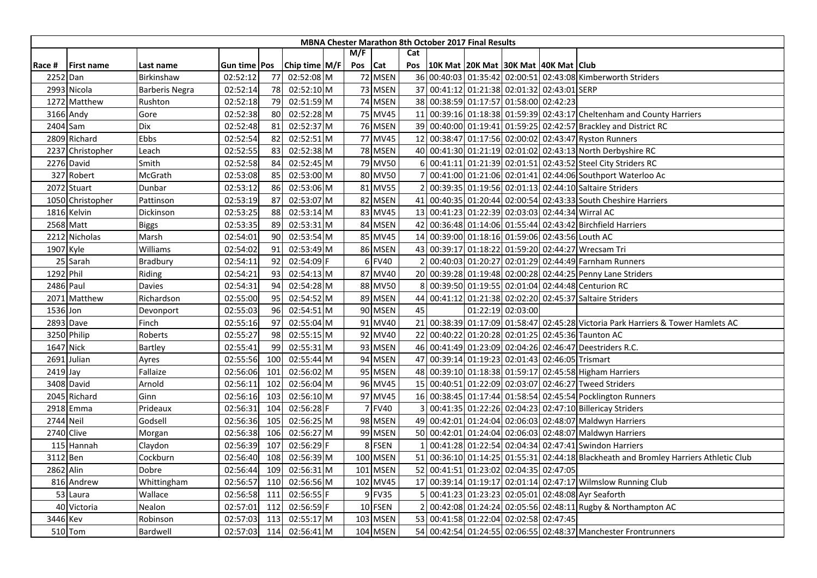|           |                   |                       |                |     |                 |         |          |     | <b>MBNA Chester Marathon 8th October 2017 Final Results</b> |                   |                                                                                      |
|-----------|-------------------|-----------------------|----------------|-----|-----------------|---------|----------|-----|-------------------------------------------------------------|-------------------|--------------------------------------------------------------------------------------|
|           |                   |                       |                |     |                 | M/F     |          | Cat |                                                             |                   |                                                                                      |
| Race #    | <b>First name</b> | Last name             | Gun time   Pos |     | Chip time $M/F$ | Pos Cat |          | Pos | 10K Mat 20K Mat 30K Mat 40K Mat Club                        |                   |                                                                                      |
| 2252 Dan  |                   | Birkinshaw            | 02:52:12       | 77  | 02:52:08 M      |         | 72 MSEN  |     |                                                             |                   | 36 00:40:03 01:35:42 02:00:51 02:43:08 Kimberworth Striders                          |
|           | 2993 Nicola       | <b>Barberis Negra</b> | 02:52:14       | 78  | 02:52:10 M      |         | 73 MSEN  |     | 37 00:41:12 01:21:38 02:01:32 02:43:01 SERP                 |                   |                                                                                      |
|           | 1272 Matthew      | Rushton               | 02:52:18       | 79  | 02:51:59 M      |         | 74 MSEN  |     | 38 00:38:59 01:17:57 01:58:00 02:42:23                      |                   |                                                                                      |
|           | 3166 Andy         | Gore                  | 02:52:38       | 80  | 02:52:28 M      |         | 75 MV45  |     |                                                             |                   | 11 00:39:16 01:18:38 01:59:39 02:43:17 Cheltenham and County Harriers                |
|           | 2404 Sam          | Dix                   | 02:52:48       | 81  | 02:52:37 M      |         | 76 MSEN  |     |                                                             |                   | 39 00:40:00 01:19:41 01:59:25 02:42:57 Brackley and District RC                      |
|           | 2809 Richard      | Ebbs                  | 02:52:54       | 82  | 02:52:51 M      |         | 77 MV45  |     |                                                             |                   | 12 00:38:47 01:17:56 02:00:02 02:43:47 Ryston Runners                                |
|           | 2237 Christopher  | Leach                 | 02:52:55       | 83  | 02:52:38 M      |         | 78 MSEN  |     |                                                             |                   | 40 00:41:30 01:21:19 02:01:02 02:43:13 North Derbyshire RC                           |
|           | 2276 David        | Smith                 | 02:52:58       | 84  | 02:52:45 M      |         | 79 MV50  |     |                                                             |                   | 00:41:11 01:21:39 02:01:51 02:43:52 Steel City Striders RC                           |
|           | 327 Robert        | McGrath               | 02:53:08       | 85  | 02:53:00 M      |         | 80 MV50  |     |                                                             |                   | 00:41:00 01:21:06 02:01:41 02:44:06 Southport Waterloo Ac                            |
|           | 2072 Stuart       | Dunbar                | 02:53:12       | 86  | 02:53:06 M      |         | 81 MV55  |     |                                                             |                   | 00:39:35 01:19:56 02:01:13 02:44:10 Saltaire Striders                                |
|           | 1050 Christopher  | Pattinson             | 02:53:19       | 87  | 02:53:07 M      |         | 82 MSEN  |     |                                                             |                   | 41 00:40:35 01:20:44 02:00:54 02:43:33 South Cheshire Harriers                       |
|           | 1816 Kelvin       | Dickinson             | 02:53:25       | 88  | 02:53:14 M      |         | 83 MV45  |     |                                                             |                   | 13 00:41:23 01:22:39 02:03:03 02:44:34 Wirral AC                                     |
|           | 2568 Matt         | <b>Biggs</b>          | 02:53:35       | 89  | 02:53:31 M      |         | 84 MSEN  |     |                                                             |                   | 42 00:36:48 01:14:06 01:55:44 02:43:42 Birchfield Harriers                           |
|           | 2212 Nicholas     | Marsh                 | 02:54:01       | 90  | 02:53:54 M      |         | 85 MV45  |     |                                                             |                   | 14 00:39:00 01:18:16 01:59:06 02:43:56 Louth AC                                      |
| 1907 Kyle |                   | Williams              | 02:54:02       | 91  | 02:53:49 M      |         | 86 MSEN  |     |                                                             |                   | 43 00:39:17 01:18:22 01:59:20 02:44:27 Wrecsam Tri                                   |
|           | 25 Sarah          | Bradbury              | 02:54:11       | 92  | 02:54:09 F      |         | 6 FV40   |     |                                                             |                   | 00:40:03 01:20:27 02:01:29 02:44:49 Farnham Runners                                  |
| 1292 Phil |                   | Riding                | 02:54:21       | 93  | 02:54:13 M      |         | 87 MV40  |     |                                                             |                   | 20 00:39:28 01:19:48 02:00:28 02:44:25 Penny Lane Striders                           |
| 2486 Paul |                   | Davies                | 02:54:31       | 94  | 02:54:28 M      |         | 88 MV50  |     |                                                             |                   | 00:39:50 01:19:55 02:01:04 02:44:48 Centurion RC                                     |
| 2071      | <b>Matthew</b>    | Richardson            | 02:55:00       | 95  | 02:54:52 M      |         | 89 MSEN  | 44  |                                                             |                   | 00:41:12 01:21:38 02:02:20 02:45:37 Saltaire Striders                                |
| 1536 Jon  |                   | Devonport             | 02:55:03       | 96  | 02:54:51 M      |         | 90 MSEN  | 45  |                                                             | 01:22:19 02:03:00 |                                                                                      |
|           | 2893 Dave         | Finch                 | 02:55:16       | 97  | 02:55:04 M      |         | 91 MV40  |     |                                                             |                   | 21 00:38:39 01:17:09 01:58:47 02:45:28 Victoria Park Harriers & Tower Hamlets AC     |
|           | 3250 Philip       | Roberts               | 02:55:27       | 98  | 02:55:15 M      |         | 92 MV40  |     |                                                             |                   | 22 00:40:22 01:20:28 02:01:25 02:45:36 Taunton AC                                    |
|           | 1647 Nick         | Bartley               | 02:55:41       | 99  | 02:55:31 M      |         | 93 MSEN  |     |                                                             |                   | 46 00:41:49 01:23:09 02:04:26 02:46:47 Deestriders R.C.                              |
|           | 2691 Julian       | Ayres                 | 02:55:56       | 100 | 02:55:44 M      |         | 94 MSEN  |     | 47 00:39:14 01:19:23 02:01:43 02:46:05 Trismart             |                   |                                                                                      |
| 2419 Jay  |                   | Fallaize              | 02:56:06       | 101 | 02:56:02 M      |         | 95 MSEN  |     |                                                             |                   | 48 00:39:10 01:18:38 01:59:17 02:45:58 Higham Harriers                               |
|           | 3408 David        | Arnold                | 02:56:11       | 102 | 02:56:04 M      |         | 96 MV45  |     |                                                             |                   | 15 00:40:51 01:22:09 02:03:07 02:46:27 Tweed Striders                                |
|           | 2045 Richard      | Ginn                  | 02:56:16       | 103 | 02:56:10 M      |         | 97 MV45  |     |                                                             |                   | 16 00:38:45 01:17:44 01:58:54 02:45:54 Pocklington Runners                           |
|           | 2918 Emma         | Prideaux              | 02:56:31       | 104 | 02:56:28 F      |         | 7 FV40   |     |                                                             |                   | 00:41:35 01:22:26 02:04:23 02:47:10 Billericay Striders                              |
| 2744 Neil |                   | Godsell               | 02:56:36       | 105 | 02:56:25 M      |         | 98 MSEN  |     |                                                             |                   | 49 00:42:01 01:24:04 02:06:03 02:48:07 Maldwyn Harriers                              |
|           | 2740 Clive        | Morgan                | 02:56:38       | 106 | 02:56:27 M      |         | 99 MSEN  |     |                                                             |                   | 50 00:42:01 01:24:04 02:06:03 02:48:07 Maldwyn Harriers                              |
|           | 115 Hannah        | Claydon               | 02:56:39       | 107 | 02:56:29 F      |         | 8 FSEN   |     |                                                             |                   | 00:41:28 01:22:54 02:04:34 02:47:41 Swindon Harriers                                 |
| 3112 Ben  |                   | Cockburn              | 02:56:40       | 108 | 02:56:39 M      |         | 100 MSEN |     |                                                             |                   | 51 00:36:10 01:14:25 01:55:31 02:44:18 Blackheath and Bromley Harriers Athletic Club |
| 2862 Alin |                   | Dobre                 | 02:56:44       | 109 | 02:56:31 M      |         | 101 MSEN |     | 52 00:41:51 01:23:02 02:04:35 02:47:05                      |                   |                                                                                      |
|           | 816 Andrew        | Whittingham           | 02:56:57       | 110 | 02:56:56 M      |         | 102 MV45 |     |                                                             |                   | 17 00:39:14 01:19:17 02:01:14 02:47:17 Wilmslow Running Club                         |
|           | 53 Laura          | Wallace               | 02:56:58       | 111 | 02:56:55 F      |         | 9 FV35   |     |                                                             |                   | 00:41:23 01:23:23 02:05:01 02:48:08 Ayr Seaforth                                     |
|           | 40 Victoria       | Nealon                | 02:57:01       | 112 | 02:56:59 F      |         | 10 FSEN  |     |                                                             |                   | 00:42:08 01:24:24 02:05:56 02:48:11 Rugby & Northampton AC                           |
| 3446 Kev  |                   | Robinson              | 02:57:03       | 113 | 02:55:17 M      |         | 103 MSEN |     | 53 00:41:58 01:22:04 02:02:58 02:47:45                      |                   |                                                                                      |
|           | 510 Tom           | Bardwell              | 02:57:03       | 114 | 02:56:41 M      |         | 104 MSEN |     |                                                             |                   | 54 00:42:54 01:24:55 02:06:55 02:48:37 Manchester Frontrunners                       |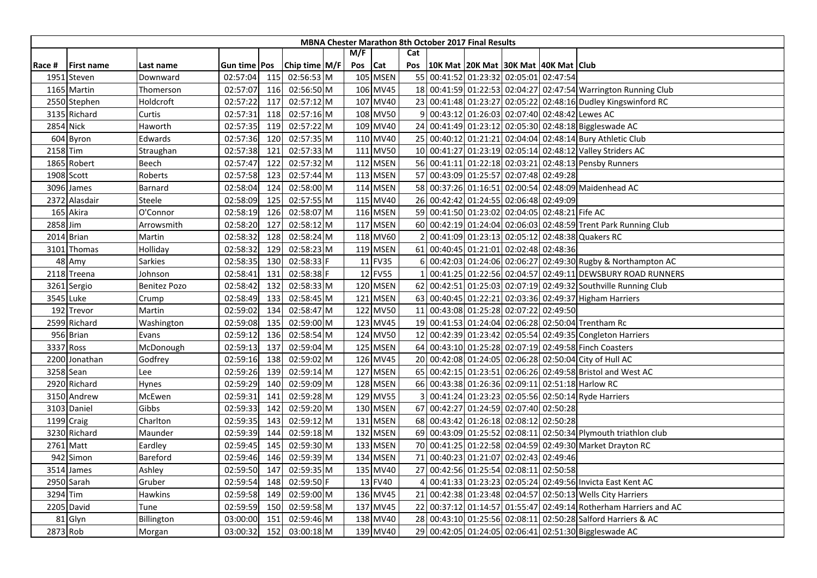|          |                   |                     |                       |     |                 |     |                 |     | <b>MBNA Chester Marathon 8th October 2017 Final Results</b> |  |                                                                  |
|----------|-------------------|---------------------|-----------------------|-----|-----------------|-----|-----------------|-----|-------------------------------------------------------------|--|------------------------------------------------------------------|
|          |                   |                     |                       |     |                 | M/F |                 | Cat |                                                             |  |                                                                  |
| Race #   | <b>First name</b> | Last name           | Gun time <b>  Pos</b> |     | Chip time $M/F$ | Pos | <b>Cat</b>      | Pos | 10K Mat  20K Mat  30K Mat  40K Mat   Club                   |  |                                                                  |
| 1951     | Steven            | Downward            | 02:57:04              | 115 | 02:56:53 M      |     | 105 MSEN        |     | 55 00:41:52 01:23:32 02:05:01 02:47:54                      |  |                                                                  |
|          | 1165 Martin       | Thomerson           | 02:57:07              | 116 | 02:56:50 M      |     | 106 MV45        |     |                                                             |  | 18 00:41:59 01:22:53 02:04:27 02:47:54 Warrington Running Club   |
|          | 2550 Stephen      | Holdcroft           | 02:57:22              | 117 | 02:57:12 M      |     | 107 MV40        |     |                                                             |  | 23 00:41:48 01:23:27 02:05:22 02:48:16 Dudley Kingswinford RC    |
|          | 3135 Richard      | Curtis              | 02:57:31              | 118 | 02:57:16 M      |     | 108 MV50        |     |                                                             |  | 9 00:43:12 01:26:03 02:07:40 02:48:42 Lewes AC                   |
|          | 2854 Nick         | Haworth             | 02:57:35              | 119 | 02:57:22 M      |     | 109 MV40        |     |                                                             |  | 24 00:41:49 01:23:12 02:05:30 02:48:18 Biggleswade AC            |
|          | 604 Byron         | Edwards             | 02:57:36              | 120 | 02:57:35 M      |     | 110 MV40        |     |                                                             |  | 25 00:40:12 01:21:21 02:04:04 02:48:14 Bury Athletic Club        |
| 2158 Tim |                   | Straughan           | 02:57:38              | 121 | 02:57:33 M      |     | 111 MV50        |     |                                                             |  | 10 00:41:27 01:23:19 02:05:14 02:48:12 Valley Striders AC        |
|          | 1865 Robert       | Beech               | 02:57:47              | 122 | 02:57:32 M      |     | 112 MSEN        |     |                                                             |  | 56 00:41:11 01:22:18 02:03:21 02:48:13 Pensby Runners            |
|          | 1908 Scott        | Roberts             | 02:57:58              | 123 | 02:57:44 M      |     | 113 MSEN        |     | 57 00:43:09 01:25:57 02:07:48 02:49:28                      |  |                                                                  |
|          | 3096 James        | Barnard             | 02:58:04              | 124 | 02:58:00 M      |     | 114 MSEN        |     |                                                             |  | 58 00:37:26 01:16:51 02:00:54 02:48:09 Maidenhead AC             |
|          | 2372 Alasdair     | Steele              | 02:58:09              | 125 | 02:57:55 M      |     | 115 MV40        |     | 26 00:42:42 01:24:55 02:06:48 02:49:09                      |  |                                                                  |
|          | 165 Akira         | O'Connor            | 02:58:19              | 126 | 02:58:07 M      |     | 116 MSEN        |     | 59 00:41:50 01:23:02 02:04:05 02:48:21 Fife AC              |  |                                                                  |
| 2858 Jim |                   | Arrowsmith          | 02:58:20              | 127 | 02:58:12 M      |     | <b>117 MSEN</b> |     |                                                             |  | 60 00:42:19 01:24:04 02:06:03 02:48:59 Trent Park Running Club   |
|          | 2014 Brian        | Martin              | 02:58:32              | 128 | 02:58:24 M      |     | 118 MV60        |     |                                                             |  | 00:41:09 01:23:13 02:05:12 02:48:38 Quakers RC                   |
|          | 3101 Thomas       | Holliday            | 02:58:32              | 129 | 02:58:23 M      |     | 119 MSEN        |     | 61 00:40:45 01:21:01 02:02:48 02:48:36                      |  |                                                                  |
|          | 48 Amy            | Sarkies             | 02:58:35              | 130 | 02:58:33 F      |     | 11 FV35         |     |                                                             |  | 6 00:42:03 01:24:06 02:06:27 02:49:30 Rugby & Northampton AC     |
|          | 2118 Treena       | Johnson             | 02:58:41              | 131 | 02:58:38 F      |     | 12 FV55         |     |                                                             |  | 00:41:25 01:22:56 02:04:57 02:49:11 DEWSBURY ROAD RUNNERS        |
|          | 3261 Sergio       | <b>Benitez Pozo</b> | 02:58:42              | 132 | 02:58:33 M      |     | 120 MSEN        |     |                                                             |  | 62 00:42:51 01:25:03 02:07:19 02:49:32 Southville Running Club   |
|          | 3545 Luke         | Crump               | 02:58:49              | 133 | 02:58:45 M      |     | 121 MSEN        |     |                                                             |  | 63 00:40:45 01:22:21 02:03:36 02:49:37 Higham Harriers           |
|          | 192 Trevor        | Martin              | 02:59:02              | 134 | 02:58:47 M      |     | 122 MV50        |     | 11 00:43:08 01:25:28 02:07:22 02:49:50                      |  |                                                                  |
|          | 2599 Richard      | Washington          | 02:59:08              | 135 | 02:59:00 M      |     | 123 MV45        |     |                                                             |  | 19 00:41:53 01:24:04 02:06:28 02:50:04 Trentham Rc               |
|          | 956 Brian         | Evans               | 02:59:12              | 136 | 02:58:54 M      |     | 124 MV50        |     |                                                             |  | 12 00:42:39 01:23:42 02:05:54 02:49:35 Congleton Harriers        |
|          | 3337 Ross         | McDonough           | 02:59:13              | 137 | 02:59:04 M      |     | 125 MSEN        |     |                                                             |  | 64 00:43:10 01:25:28 02:07:19 02:49:58 Finch Coasters            |
|          | 2200 Jonathan     | Godfrey             | 02:59:16              | 138 | 02:59:02 M      |     | 126 MV45        |     |                                                             |  | 20 00:42:08 01:24:05 02:06:28 02:50:04 City of Hull AC           |
|          | 3258 Sean         | Lee                 | 02:59:26              | 139 | 02:59:14 M      |     | 127 MSEN        |     |                                                             |  | 65 00:42:15 01:23:51 02:06:26 02:49:58 Bristol and West AC       |
|          | 2920 Richard      | Hynes               | 02:59:29              | 140 | 02:59:09 M      |     | 128 MSEN        |     |                                                             |  | 66 00:43:38 01:26:36 02:09:11 02:51:18 Harlow RC                 |
|          | 3150 Andrew       | McEwen              | 02:59:31              | 141 | 02:59:28 M      |     | 129 MV55        |     |                                                             |  | 00:41:24 01:23:23 02:05:56 02:50:14 Ryde Harriers                |
|          | 3103 Daniel       | Gibbs               | 02:59:33              | 142 | 02:59:20 M      |     | 130 MSEN        |     | 67 00:42:27 01:24:59 02:07:40 02:50:28                      |  |                                                                  |
|          | 1199 Craig        | Charlton            | 02:59:35              | 143 | 02:59:12 M      |     | 131 MSEN        |     | 68 00:43:42 01:26:18 02:08:12 02:50:28                      |  |                                                                  |
|          | 3230 Richard      | Maunder             | 02:59:39              | 144 | 02:59:18 M      |     | 132 MSEN        |     |                                                             |  | 69 00:43:09 01:25:52 02:08:11 02:50:34 Plymouth triathlon club   |
|          | 2761 Matt         | Eardley             | 02:59:45              | 145 | 02:59:30 M      |     | 133 MSEN        |     |                                                             |  | 70 00:41:25 01:22:58 02:04:59 02:49:30 Market Drayton RC         |
|          | 942 Simon         | Bareford            | 02:59:46              | 146 | 02:59:39 M      |     | 134 MSEN        |     | 71 00:40:23 01:21:07 02:02:43 02:49:46                      |  |                                                                  |
|          | 3514 James        | Ashley              | 02:59:50              | 147 | 02:59:35 M      |     | 135 MV40        |     | 27 00:42:56 01:25:54 02:08:11 02:50:58                      |  |                                                                  |
|          | 2950 Sarah        | Gruber              | 02:59:54              | 148 | 02:59:50 F      |     | 13 FV40         |     |                                                             |  | 00:41:33 01:23:23 02:05:24 02:49:56 Invicta East Kent AC         |
|          | 3294 Tim          | Hawkins             | 02:59:58              | 149 | 02:59:00 M      |     | 136 MV45        |     |                                                             |  | 21 00:42:38 01:23:48 02:04:57 02:50:13 Wells City Harriers       |
|          | 2205 David        | Tune                | 02:59:59              | 150 | 02:59:58 M      |     | 137 MV45        |     |                                                             |  | 22 00:37:12 01:14:57 01:55:47 02:49:14 Rotherham Harriers and AC |
| 81       | Glyn              | Billington          | 03:00:00              | 151 | 02:59:46 M      |     | 138 MV40        |     |                                                             |  | 28 00:43:10 01:25:56 02:08:11 02:50:28 Salford Harriers & AC     |
|          | 2873 Rob          | Morgan              | 03:00:32              | 152 | 03:00:18 M      |     | 139 MV40        |     |                                                             |  | 29 00:42:05 01:24:05 02:06:41 02:51:30 Biggleswade AC            |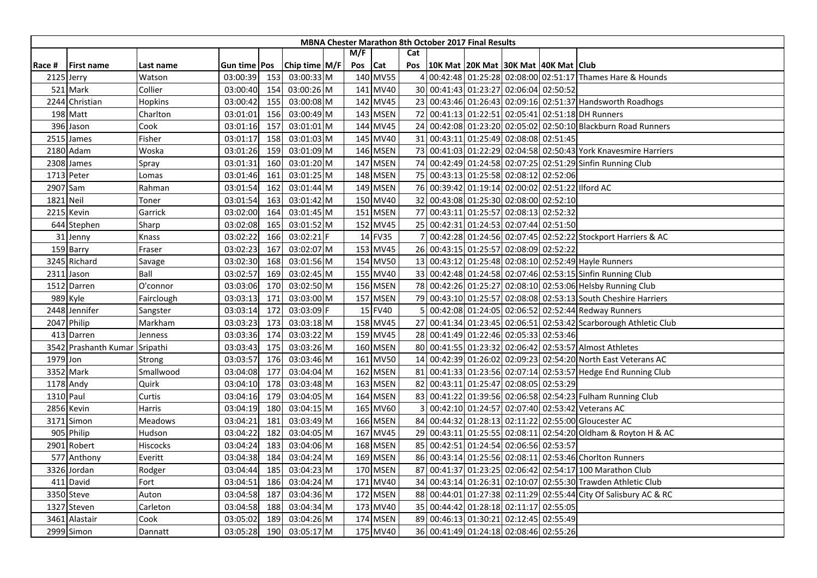|           |                      |            |                |     |                 |         |          |     | <b>MBNA Chester Marathon 8th October 2017 Final Results</b> |  |                                                                  |
|-----------|----------------------|------------|----------------|-----|-----------------|---------|----------|-----|-------------------------------------------------------------|--|------------------------------------------------------------------|
|           |                      |            |                |     |                 | M/F     |          | Cat |                                                             |  |                                                                  |
| Race #    | <b>First name</b>    | Last name  | Gun time   Pos |     | Chip time $M/F$ | Pos Cat |          | Pos | 10K Mat  20K Mat  30K Mat  40K Mat   Club                   |  |                                                                  |
|           | 2125 Jerry           | Watson     | 03:00:39       | 153 | 03:00:33 M      |         | 140 MV55 |     |                                                             |  | 00:42:48 01:25:28 02:08:00 02:51:17 Thames Hare & Hounds         |
| 521       | Mark                 | Collier    | 03:00:40       | 154 | 03:00:26 M      |         | 141 MV40 |     | 30 00:41:43 01:23:27 02:06:04 02:50:52                      |  |                                                                  |
|           | 2244 Christian       | Hopkins    | 03:00:42       | 155 | 03:00:08 M      |         | 142 MV45 |     |                                                             |  | 23 00:43:46 01:26:43 02:09:16 02:51:37 Handsworth Roadhogs       |
|           | 198 Matt             | Charlton   | 03:01:01       | 156 | 03:00:49 M      |         | 143 MSEN |     |                                                             |  | 72 00:41:13 01:22:51 02:05:41 02:51:18 DH Runners                |
|           | 396 Jason            | Cook       | 03:01:16       | 157 | 03:01:01 M      |         | 144 MV45 |     |                                                             |  | 24 00:42:08 01:23:20 02:05:02 02:50:10 Blackburn Road Runners    |
|           | 2515 James           | Fisher     | 03:01:17       | 158 | 03:01:03 M      |         | 145 MV40 |     | 31 00:43:11 01:25:49 02:08:08 02:51:45                      |  |                                                                  |
|           | 2180 Adam            | Woska      | 03:01:26       | 159 | 03:01:09 M      |         | 146 MSEN |     |                                                             |  | 73 00:41:03 01:22:29 02:04:58 02:50:43 York Knavesmire Harriers  |
|           | 2308 James           | Spray      | 03:01:31       | 160 | 03:01:20 M      |         | 147 MSEN |     |                                                             |  | 74 00:42:49 01:24:58 02:07:25 02:51:29 Sinfin Running Club       |
|           | 1713 Peter           | Lomas      | 03:01:46       | 161 | 03:01:25 M      |         | 148 MSEN |     | 75 00:43:13 01:25:58 02:08:12 02:52:06                      |  |                                                                  |
|           | 2907 Sam             | Rahman     | 03:01:54       | 162 | 03:01:44 M      |         | 149 MSEN |     | 76 00:39:42 01:19:14 02:00:02 02:51:22 Ilford AC            |  |                                                                  |
| 1821 Neil |                      | Toner      | 03:01:54       | 163 | 03:01:42 M      |         | 150 MV40 |     | 32 00:43:08 01:25:30 02:08:00 02:52:10                      |  |                                                                  |
|           | 2215 Kevin           | Garrick    | 03:02:00       | 164 | 03:01:45 M      |         | 151 MSEN |     | 77 00:43:11 01:25:57 02:08:13 02:52:32                      |  |                                                                  |
|           | 644 Stephen          | Sharp      | 03:02:08       | 165 | 03:01:52 M      |         | 152 MV45 |     | 25 00:42:31 01:24:53 02:07:44 02:51:50                      |  |                                                                  |
|           | 31 Jenny             | Knass      | 03:02:22       | 166 | 03:02:21 F      |         | 14 FV35  |     |                                                             |  | 00:42:28 01:24:56 02:07:45 02:52:22 Stockport Harriers & AC      |
|           | 159 Barry            | Fraser     | 03:02:23       | 167 | 03:02:07 M      |         | 153 MV45 |     | 26 00:43:15 01:25:57 02:08:09 02:52:22                      |  |                                                                  |
|           | 3245 Richard         | Savage     | 03:02:30       | 168 | 03:01:56 M      |         | 154 MV50 |     |                                                             |  | 13 00:43:12 01:25:48 02:08:10 02:52:49 Hayle Runners             |
|           | 2311 Jason           | Ball       | 03:02:57       | 169 | 03:02:45 M      |         | 155 MV40 |     |                                                             |  | 33 00:42:48 01:24:58 02:07:46 02:53:15 Sinfin Running Club       |
|           | 1512 Darren          | O'connor   | 03:03:06       | 170 | 03:02:50 M      |         | 156 MSEN |     |                                                             |  | 78 00:42:26 01:25:27 02:08:10 02:53:06 Helsby Running Club       |
|           | 989 Kyle             | Fairclough | 03:03:13       | 171 | 03:03:00 M      |         | 157 MSEN |     |                                                             |  | 79 00:43:10 01:25:57 02:08:08 02:53:13 South Cheshire Harriers   |
|           | 2448 Jennifer        | Sangster   | 03:03:14       | 172 | 03:03:09 F      |         | 15 FV40  |     |                                                             |  | 00:42:08 01:24:05 02:06:52 02:52:44 Redway Runners               |
|           | 2047 Philip          | Markham    | 03:03:23       | 173 | 03:03:18 M      |         | 158 MV45 |     |                                                             |  | 27 00:41:34 01:23:45 02:06:51 02:53:42 Scarborough Athletic Club |
|           | 413 Darren           | Jenness    | 03:03:36       | 174 | 03:03:22 M      |         | 159 MV45 |     | 28 00:41:49 01:22:46 02:05:33 02:53:46                      |  |                                                                  |
|           | 3542 Prashanth Kumar | Sripathi   | 03:03:43       | 175 | 03:03:26 M      |         | 160 MSEN |     |                                                             |  | 80 00:41:55 01:23:32 02:06:42 02:53:57 Almost Athletes           |
| 1979 Jon  |                      | Strong     | 03:03:57       | 176 | 03:03:46 M      |         | 161 MV50 |     |                                                             |  | 14 00:42:39 01:26:02 02:09:23 02:54:20 North East Veterans AC    |
|           | 3352 Mark            | Smallwood  | 03:04:08       | 177 | 03:04:04 M      |         | 162 MSEN |     |                                                             |  | 81 00:41:33 01:23:56 02:07:14 02:53:57 Hedge End Running Club    |
|           | 1178 Andy            | Quirk      | 03:04:10       | 178 | 03:03:48 M      |         | 163 MSEN |     | 82 00:43:11 01:25:47 02:08:05 02:53:29                      |  |                                                                  |
|           | 1310 Paul            | Curtis     | 03:04:16       | 179 | 03:04:05 M      |         | 164 MSEN |     |                                                             |  | 83 00:41:22 01:39:56 02:06:58 02:54:23 Fulham Running Club       |
|           | 2856 Kevin           | Harris     | 03:04:19       | 180 | 03:04:15 M      |         | 165 MV60 |     |                                                             |  | 00:42:10 01:24:57 02:07:40 02:53:42 Veterans AC                  |
|           | 3171 Simon           | Meadows    | 03:04:21       | 181 | 03:03:49 M      |         | 166 MSEN |     |                                                             |  | 84 00:44:32 01:28:13 02:11:22 02:55:00 Gloucester AC             |
|           | 905 Philip           | Hudson     | 03:04:22       | 182 | 03:04:05 M      |         | 167 MV45 |     |                                                             |  | 29 00:43:11 01:25:55 02:08:11 02:54:20 Oldham & Royton H & AC    |
|           | 2901 Robert          | Hiscocks   | 03:04:24       | 183 | 03:04:06 M      |         | 168 MSEN |     | 85 00:42:51 01:24:54 02:06:56 02:53:57                      |  |                                                                  |
|           | 577 Anthony          | Everitt    | 03:04:38       | 184 | 03:04:24 M      |         | 169 MSEN |     |                                                             |  | 86 00:43:14 01:25:56 02:08:11 02:53:46 Choriton Runners          |
|           | 3326 Jordan          | Rodger     | 03:04:44       | 185 | 03:04:23 M      |         | 170 MSEN |     |                                                             |  | 87 00:41:37 01:23:25 02:06:42 02:54:17 100 Marathon Club         |
|           | 411 David            | Fort       | 03:04:51       | 186 | 03:04:24 M      |         | 171 MV40 |     |                                                             |  | 34 00:43:14 01:26:31 02:10:07 02:55:30 Trawden Athletic Club     |
|           | 3350 Steve           | Auton      | 03:04:58       | 187 | 03:04:36 M      |         | 172 MSEN |     |                                                             |  | 88 00:44:01 01:27:38 02:11:29 02:55:44 City Of Salisbury AC & RC |
|           | 1327 Steven          | Carleton   | 03:04:58       | 188 | 03:04:34 M      |         | 173 MV40 |     | 35 00:44:42 01:28:18 02:11:17 02:55:05                      |  |                                                                  |
| 3461      | Alastair             | Cook       | 03:05:02       | 189 | 03:04:26 M      |         | 174 MSEN |     | 89 00:46:13 01:30:21 02:12:45 02:55:49                      |  |                                                                  |
|           | 2999 Simon           | Dannatt    | 03:05:28       | 190 | 03:05:17 M      |         | 175 MV40 |     | 36 00:41:49 01:24:18 02:08:46 02:55:26                      |  |                                                                  |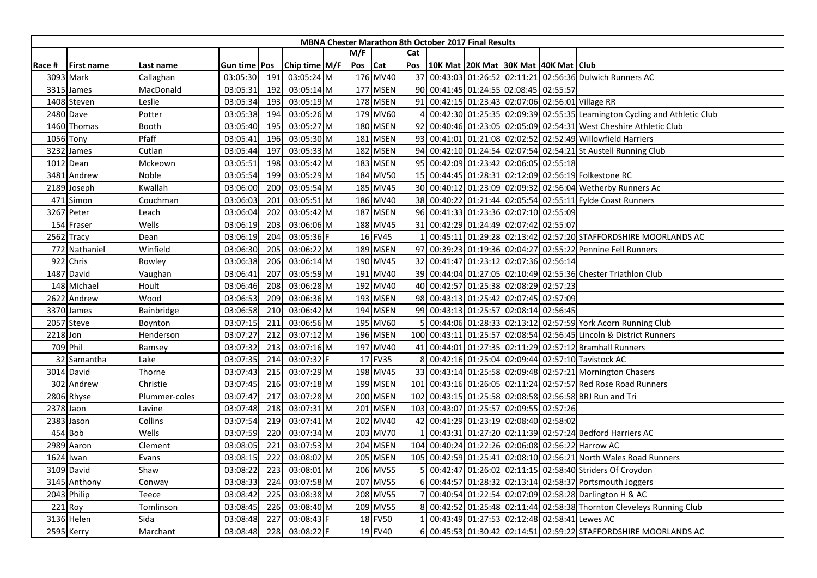|             |                   |               |                |     |               |         |          |     | <b>MBNA Chester Marathon 8th October 2017 Final Results</b> |  |                                                                          |
|-------------|-------------------|---------------|----------------|-----|---------------|---------|----------|-----|-------------------------------------------------------------|--|--------------------------------------------------------------------------|
|             |                   |               |                |     |               | M/F     |          | Cat |                                                             |  |                                                                          |
| Race #      | <b>First name</b> | Last name     | Gun time   Pos |     | Chip time M/F | Pos Cat |          | Pos | 10K Mat 20K Mat 30K Mat 40K Mat Club                        |  |                                                                          |
| 3093 Mark   |                   | Callaghan     | 03:05:30       | 191 | 03:05:24 M    |         | 176 MV40 |     |                                                             |  | 37 00:43:03 01:26:52 02:11:21 02:56:36 Dulwich Runners AC                |
| 3315 James  |                   | MacDonald     | 03:05:31       | 192 | 03:05:14 M    |         | 177 MSEN |     | 90 00:41:45 01:24:55 02:08:45 02:55:57                      |  |                                                                          |
|             | 1408 Steven       | Leslie        | 03:05:34       | 193 | 03:05:19 M    |         | 178 MSEN |     |                                                             |  | 91 00:42:15 01:23:43 02:07:06 02:56:01 Village RR                        |
| 2480 Dave   |                   | Potter        | 03:05:38       | 194 | 03:05:26 M    |         | 179 MV60 |     |                                                             |  | 00:42:30 01:25:35 02:09:39 02:55:35 Leamington Cycling and Athletic Club |
|             | 1460 Thomas       | Booth         | 03:05:40       | 195 | 03:05:27 M    |         | 180 MSEN |     |                                                             |  | 92 00:40:46 01:23:05 02:05:09 02:54:31 West Cheshire Athletic Club       |
| 1056 Tony   |                   | Pfaff         | 03:05:41       | 196 | 03:05:30 M    |         | 181 MSEN |     |                                                             |  | 93 00:41:01 01:21:08 02:02:52 02:52:49 Willowfield Harriers              |
| 3232        | James             | Cutlan        | 03:05:44       | 197 | 03:05:33 M    |         | 182 MSEN |     |                                                             |  | 94 00:42:10 01:24:54 02:07:54 02:54:21 St Austell Running Club           |
| 1012 Dean   |                   | Mckeown       | 03:05:51       | 198 | 03:05:42 M    |         | 183 MSEN |     | 95 00:42:09 01:23:42 02:06:05 02:55:18                      |  |                                                                          |
|             | 3481 Andrew       | Noble         | 03:05:54       | 199 | 03:05:29 M    |         | 184 MV50 |     |                                                             |  | 15 00:44:45 01:28:31 02:12:09 02:56:19 Folkestone RC                     |
|             | 2189 Joseph       | Kwallah       | 03:06:00       | 200 | 03:05:54 M    |         | 185 MV45 |     |                                                             |  | 30 00:40:12 01:23:09 02:09:32 02:56:04 Wetherby Runners Ac               |
|             | 471 Simon         | Couchman      | 03:06:03       | 201 | 03:05:51 M    |         | 186 MV40 |     |                                                             |  | 38 00:40:22 01:21:44 02:05:54 02:55:11 Fylde Coast Runners               |
| 3267 Peter  |                   | Leach         | 03:06:04       | 202 | 03:05:42 M    |         | 187 MSEN |     | 96 00:41:33 01:23:36 02:07:10 02:55:09                      |  |                                                                          |
|             | 154 Fraser        | Wells         | 03:06:19       | 203 | 03:06:06 M    |         | 188 MV45 |     | 31 00:42:29 01:24:49 02:07:42 02:55:07                      |  |                                                                          |
| 2562 Tracy  |                   | Dean          | 03:06:19       | 204 | 03:05:36 F    |         | 16 FV45  |     |                                                             |  | 00:45:11 01:29:28 02:13:42 02:57:20 STAFFORDSHIRE MOORLANDS AC           |
|             | 772 Nathaniel     | Winfield      | 03:06:30       | 205 | 03:06:22 M    |         | 189 MSEN |     |                                                             |  | 97 00:39:23 01:19:36 02:04:27 02:55:22 Pennine Fell Runners              |
| 922         | Chris             | Rowley        | 03:06:38       | 206 | 03:06:14 M    |         | 190 MV45 |     | 32 00:41:47 01:23:12 02:07:36 02:56:14                      |  |                                                                          |
| 1487        | David             | Vaughan       | 03:06:41       | 207 | 03:05:59 M    |         | 191 MV40 |     |                                                             |  | 39 00:44:04 01:27:05 02:10:49 02:55:36 Chester Triathlon Club            |
|             | 148 Michael       | Hoult         | 03:06:46       | 208 | 03:06:28 M    |         | 192 MV40 |     | 40 00:42:57 01:25:38 02:08:29 02:57:23                      |  |                                                                          |
|             | 2622 Andrew       | Wood          | 03:06:53       | 209 | 03:06:36 M    |         | 193 MSEN |     | 98 00:43:13 01:25:42 02:07:45 02:57:09                      |  |                                                                          |
| 3370 James  |                   | Bainbridge    | 03:06:58       | 210 | 03:06:42 M    |         | 194 MSEN |     | 99 00:43:13 01:25:57 02:08:14 02:56:45                      |  |                                                                          |
| 2057 Steve  |                   | Boynton       | 03:07:15       | 211 | 03:06:56 M    |         | 195 MV60 |     |                                                             |  | 00:44:06 01:28:33 02:13:12 02:57:59 York Acorn Running Club              |
| 2218 Jon    |                   | Henderson     | 03:07:27       | 212 | 03:07:12 M    |         | 196 MSEN |     |                                                             |  | 100 00:43:11 01:25:57 02:08:54 02:56:45 Lincoln & District Runners       |
| 709 Phil    |                   | Ramsey        | 03:07:32       | 213 | 03:07:16 M    |         | 197 MV40 |     |                                                             |  | 41 00:44:01 01:27:35 02:11:29 02:57:12 Bramhall Runners                  |
|             | 32 Samantha       | Lake          | 03:07:35       | 214 | 03:07:32 F    |         | 17 FV35  | 8   |                                                             |  | 00:42:16 01:25:04 02:09:44 02:57:10 Tavistock AC                         |
| 3014 David  |                   | Thorne        | 03:07:43       | 215 | 03:07:29 M    |         | 198 MV45 |     |                                                             |  | 33 00:43:14 01:25:58 02:09:48 02:57:21 Mornington Chasers                |
|             | 302 Andrew        | Christie      | 03:07:45       | 216 | 03:07:18 M    |         | 199 MSEN |     |                                                             |  | 101 00:43:16 01:26:05 02:11:24 02:57:57 Red Rose Road Runners            |
| 2806 Rhyse  |                   | Plummer-coles | 03:07:47       | 217 | 03:07:28 M    |         | 200 MSEN |     |                                                             |  | 102 00:43:15 01:25:58 02:08:58 02:56:58 BRJ Run and Tri                  |
| 2378 Jaon   |                   | Lavine        | 03:07:48       | 218 | 03:07:31 M    |         | 201 MSEN | 103 | 00:43:07 01:25:57 02:09:55 02:57:26                         |  |                                                                          |
| 2383 Jason  |                   | Collins       | 03:07:54       | 219 | 03:07:41 M    |         | 202 MV40 |     | 42 00:41:29 01:23:19 02:08:40 02:58:02                      |  |                                                                          |
| 454 Bob     |                   | Wells         | 03:07:59       | 220 | 03:07:34 M    |         | 203 MV70 |     |                                                             |  | 00:43:31 01:27:20 02:11:39 02:57:24 Bedford Harriers AC                  |
| 2989 Aaron  |                   | Clement       | 03:08:05       | 221 | 03:07:53 M    |         | 204 MSEN |     |                                                             |  | 104 00:40:24 01:22:26 02:06:08 02:56:22 Harrow AC                        |
| 1624 Iwan   |                   | Evans         | 03:08:15       | 222 | 03:08:02 M    |         | 205 MSEN |     |                                                             |  | 105 00:42:59 01:25:41 02:08:10 02:56:21 North Wales Road Runners         |
| 3109 David  |                   | Shaw          | 03:08:22       | 223 | 03:08:01 M    |         | 206 MV55 |     |                                                             |  | 00:42:47 01:26:02 02:11:15 02:58:40 Striders Of Croydon                  |
|             | 3145 Anthony      | Conway        | 03:08:33       | 224 | 03:07:58 M    |         | 207 MV55 |     |                                                             |  | 00:44:57 01:28:32 02:13:14 02:58:37 Portsmouth Joggers                   |
| 2043 Philip |                   | Teece         | 03:08:42       | 225 | 03:08:38 M    |         | 208 MV55 |     |                                                             |  | 00:40:54 01:22:54 02:07:09 02:58:28 Darlington H & AC                    |
| 221 Roy     |                   | Tomlinson     | 03:08:45       | 226 | 03:08:40 M    |         | 209 MV55 | 8   |                                                             |  | 00:42:52 01:25:48 02:11:44 02:58:38 Thornton Cleveleys Running Club      |
| 3136 Helen  |                   | Sida          | 03:08:48       | 227 | 03:08:43 F    |         | 18 FV50  |     |                                                             |  | 00:43:49 01:27:53 02:12:48 02:58:41 Lewes AC                             |
| 2595 Kerry  |                   | Marchant      | 03:08:48       | 228 | 03:08:22 F    |         | 19 FV40  |     |                                                             |  | 6 00:45:53 01:30:42 02:14:51 02:59:22 STAFFORDSHIRE MOORLANDS AC         |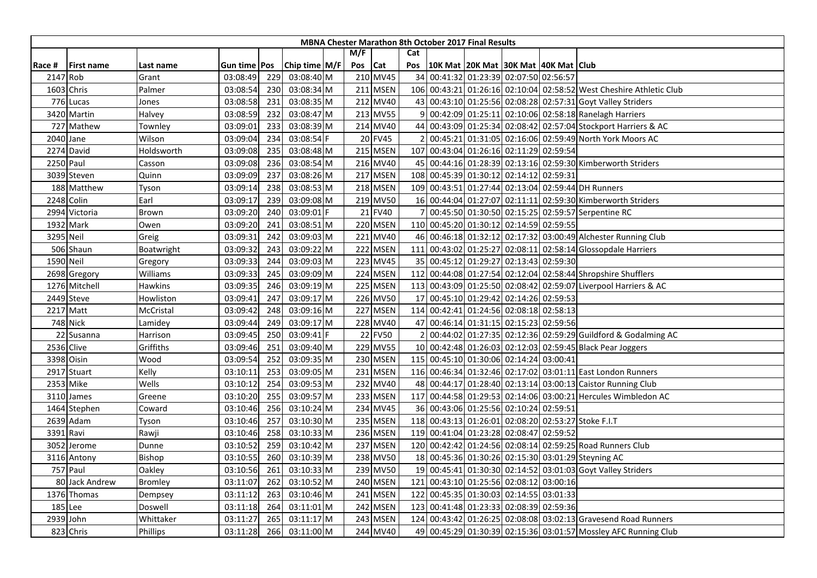| M/F<br>Cat<br>Chip time M/F<br>Pos<br><b>Cat</b><br>Pos<br>10K Mat   20K Mat   30K Mat   40K Mat   Club<br><b>First name</b><br>Race #<br>Last name<br>Gun time   Pos<br>210 MV45<br>34 00:41:32 01:23:39 02:07:50 02:56:57<br>2147 Rob<br>03:08:49<br>229<br>03:08:40 M<br>Grant<br>1603 Chris<br>211 MSEN<br>106 00:43:21 01:26:16 02:10:04 02:58:52 West Cheshire Athletic Club<br>Palmer<br>03:08:54<br>230<br>03:08:34 M<br>212 MV40<br>43 00:43:10 01:25:56 02:08:28 02:57:31 Goyt Valley Striders<br>776 Lucas<br>03:08:35 M<br>03:08:58<br>231<br>Jones |  |
|-----------------------------------------------------------------------------------------------------------------------------------------------------------------------------------------------------------------------------------------------------------------------------------------------------------------------------------------------------------------------------------------------------------------------------------------------------------------------------------------------------------------------------------------------------------------|--|
|                                                                                                                                                                                                                                                                                                                                                                                                                                                                                                                                                                 |  |
|                                                                                                                                                                                                                                                                                                                                                                                                                                                                                                                                                                 |  |
|                                                                                                                                                                                                                                                                                                                                                                                                                                                                                                                                                                 |  |
|                                                                                                                                                                                                                                                                                                                                                                                                                                                                                                                                                                 |  |
|                                                                                                                                                                                                                                                                                                                                                                                                                                                                                                                                                                 |  |
| 213 MV55<br>00:42:09 01:25:11 02:10:06 02:58:18 Ranelagh Harriers<br>3420 Martin<br>Halvey<br>03:08:59<br>232<br>03:08:47 M                                                                                                                                                                                                                                                                                                                                                                                                                                     |  |
| 233<br>03:08:39 M<br>214 MV40<br>44 00:43:09 01:25:34 02:08:42 02:57:04 Stockport Harriers & AC<br>727 Mathew<br>03:09:01<br>Townley                                                                                                                                                                                                                                                                                                                                                                                                                            |  |
| 20 FV45<br>00:45:21 01:31:05 02:16:06 02:59:49 North York Moors AC<br>2040 Jane<br>03:08:54 F<br>Wilson<br>03:09:04<br>234                                                                                                                                                                                                                                                                                                                                                                                                                                      |  |
| 215 MSEN<br>00:43:04 01:26:16 02:11:29 02:59:54<br>2274 David<br>Holdsworth<br>03:09:08<br>235<br>03:08:48 M<br>107                                                                                                                                                                                                                                                                                                                                                                                                                                             |  |
| 216 MV40<br>2250 Paul<br>236<br>45 00:44:16 01:28:39 02:13:16 02:59:30 Kimberworth Striders<br>03:09:08<br>03:08:54 M<br>Casson                                                                                                                                                                                                                                                                                                                                                                                                                                 |  |
| 217 MSEN<br>108 00:45:39 01:30:12 02:14:12 02:59:31<br>03:09:09<br>237<br>03:08:26 M<br>3039 Steven<br>Quinn                                                                                                                                                                                                                                                                                                                                                                                                                                                    |  |
| 109 00:43:51 01:27:44 02:13:04 02:59:44 DH Runners<br>218 MSEN<br>03:09:14<br>238<br>03:08:53 M<br>188 Matthew<br>Tyson                                                                                                                                                                                                                                                                                                                                                                                                                                         |  |
| 219 MV50<br>16 00:44:04 01:27:07 02:11:11 02:59:30 Kimberworth Striders<br>2248 Colin<br>Earl<br>03:09:17<br>239<br>03:09:08 M                                                                                                                                                                                                                                                                                                                                                                                                                                  |  |
| 2994 Victoria<br>21 FV40<br>00:45:50 01:30:50 02:15:25 02:59:57 Serpentine RC<br>03:09:20<br>240<br>03:09:01 F<br>Brown                                                                                                                                                                                                                                                                                                                                                                                                                                         |  |
| 241<br>220 MSEN<br>110 00:45:20 01:30:12 02:14:59 02:59:55<br>1932 Mark<br>Owen<br>03:09:20<br>03:08:51 M                                                                                                                                                                                                                                                                                                                                                                                                                                                       |  |
| 3295 Neil<br>221 MV40<br>46 00:46:18 01:32:12 02:17:32 03:00:49 Alchester Running Club<br>03:09:31<br>242<br>03:09:03 M<br>Greig                                                                                                                                                                                                                                                                                                                                                                                                                                |  |
| 222 MSEN<br>506 Shaun<br>03:09:32<br>243<br>03:09:22 M<br>111<br>00:43:02 01:25:27 02:08:11 02:58:14 Glossopdale Harriers<br>Boatwright                                                                                                                                                                                                                                                                                                                                                                                                                         |  |
| 223 MV45<br>35 00:45:12 01:29:27 02:13:43 02:59:30<br>1590 Neil<br>03:09:33<br>244<br>03:09:03 M<br>Gregory                                                                                                                                                                                                                                                                                                                                                                                                                                                     |  |
| 224 MSEN<br>03:09:09 M<br>112<br>00:44:08 01:27:54 02:12:04 02:58:44 Shropshire Shufflers<br>2698 Gregory<br>Williams<br>03:09:33<br>245                                                                                                                                                                                                                                                                                                                                                                                                                        |  |
| 225 MSEN<br>113 00:43:09 01:25:50 02:08:42 02:59:07 Liverpool Harriers & AC<br><b>Hawkins</b><br>03:09:35<br>03:09:19 M<br>1276 Mitchell<br>246                                                                                                                                                                                                                                                                                                                                                                                                                 |  |
| 226 MV50<br>00:45:10 01:29:42 02:14:26 02:59:53<br>2449 Steve<br>03:09:41<br>247<br>03:09:17 M<br>17 <sup>1</sup><br>Howliston                                                                                                                                                                                                                                                                                                                                                                                                                                  |  |
| 227 MSEN<br>114 00:42:41 01:24:56 02:08:18 02:58:13<br>2217 Matt<br>03:09:16 M<br>McCristal<br>03:09:42<br>248                                                                                                                                                                                                                                                                                                                                                                                                                                                  |  |
| 228 MV40<br>47 00:46:14 01:31:15 02:15:23 02:59:56<br><b>748 Nick</b><br>03:09:17 M<br>Lamidey<br>03:09:44<br>249                                                                                                                                                                                                                                                                                                                                                                                                                                               |  |
| 22 FV50<br>22 Susanna<br>03:09:45<br>250<br>03:09:41 F<br>00:44:02 01:27:35 02:12:36 02:59:29 Guildford & Godalming AC<br>Harrison                                                                                                                                                                                                                                                                                                                                                                                                                              |  |
| 229 MV55<br>10 00:42:48 01:26:03 02:12:03 02:59:45 Black Pear Joggers<br>2536 Clive<br>Griffiths<br>03:09:46<br>251<br>03:09:40 M                                                                                                                                                                                                                                                                                                                                                                                                                               |  |
| 230 MSEN<br>3398 Oisin<br>252<br>03:09:35 M<br>115 00:45:10 01:30:06 02:14:24 03:00:41<br>Wood<br>03:09:54                                                                                                                                                                                                                                                                                                                                                                                                                                                      |  |
| Kelly<br>231 MSEN<br>116 00:46:34 01:32:46 02:17:02 03:01:11 East London Runners<br>2917 Stuart<br>253<br>03:09:05 M<br>03:10:11                                                                                                                                                                                                                                                                                                                                                                                                                                |  |
| Wells<br>2353 Mike<br>03:09:53 M<br>232 MV40<br>48 00:44:17 01:28:40 02:13:14 03:00:13 Caistor Running Club<br>03:10:12<br>254                                                                                                                                                                                                                                                                                                                                                                                                                                  |  |
| 233 MSEN<br>117 00:44:58 01:29:53 02:14:06 03:00:21 Hercules Wimbledon AC<br>03:10:20<br>255<br>03:09:57 M<br>3110 James<br>Greene                                                                                                                                                                                                                                                                                                                                                                                                                              |  |
| 234 MV45<br>36 00:43:06 01:25:56 02:10:24 02:59:51<br>03:10:46<br>256<br>03:10:24 M<br>1464 Stephen<br>Coward                                                                                                                                                                                                                                                                                                                                                                                                                                                   |  |
| 03:10:30 M<br>235 MSEN<br>118 00:43:13 01:26:01 02:08:20 02:53:27 Stoke F.I.T<br>2639 Adam<br>03:10:46<br>257<br>Tyson                                                                                                                                                                                                                                                                                                                                                                                                                                          |  |
| 236 MSEN<br>3391<br>258<br>03:10:33 M<br>119 00:41:04 01:23:28 02:08:47 02:59:52<br>Ravi<br>Rawji<br>03:10:46                                                                                                                                                                                                                                                                                                                                                                                                                                                   |  |
| 237 MSEN<br>120 00:42:42 01:24:56 02:08:14 02:59:25 Road Runners Club<br>259<br>03:10:42 M<br>3052 Jerome<br>Dunne<br>03:10:52                                                                                                                                                                                                                                                                                                                                                                                                                                  |  |
| 238 MV50<br>18 00:45:36 01:30:26 02:15:30 03:01:29 Steyning AC<br>03:10:55<br>03:10:39 M<br>3116 Antony<br><b>Bishop</b><br>260                                                                                                                                                                                                                                                                                                                                                                                                                                 |  |
| 757 Paul<br>239 MV50<br>03:10:56<br>261<br>03:10:33 M<br>19 00:45:41 01:30:30 02:14:52 03:01:03 Goyt Valley Striders<br>Oakley                                                                                                                                                                                                                                                                                                                                                                                                                                  |  |
| 240 MSEN<br>80 Jack Andrew<br>03:10:52 M<br>121<br>00:43:10 01:25:56 02:08:12 03:00:16<br><b>Bromley</b><br>03:11:07<br>262                                                                                                                                                                                                                                                                                                                                                                                                                                     |  |
| 1376 Thomas<br>263<br>03:10:46 M<br>241 MSEN<br>122<br>00:45:35 01:30:03 02:14:55 03:01:33<br>03:11:12<br>Dempsey                                                                                                                                                                                                                                                                                                                                                                                                                                               |  |
| 185 Lee<br>264<br>242 MSEN<br>00:41:48 01:23:33 02:08:39 02:59:36<br>Doswell<br>03:11:18<br>03:11:01 M<br>123                                                                                                                                                                                                                                                                                                                                                                                                                                                   |  |
| 2939 John<br>243 MSEN<br>124 00:43:42 01:26:25 02:08:08 03:02:13 Gravesend Road Runners<br>Whittaker<br>03:11:27<br>265<br>03:11:17 M                                                                                                                                                                                                                                                                                                                                                                                                                           |  |
| 244 MV40<br>49 00:45:29 01:30:39 02:15:36 03:01:57 Mossley AFC Running Club<br>823 Chris<br>266<br>03:11:00 M<br>Phillips<br>03:11:28                                                                                                                                                                                                                                                                                                                                                                                                                           |  |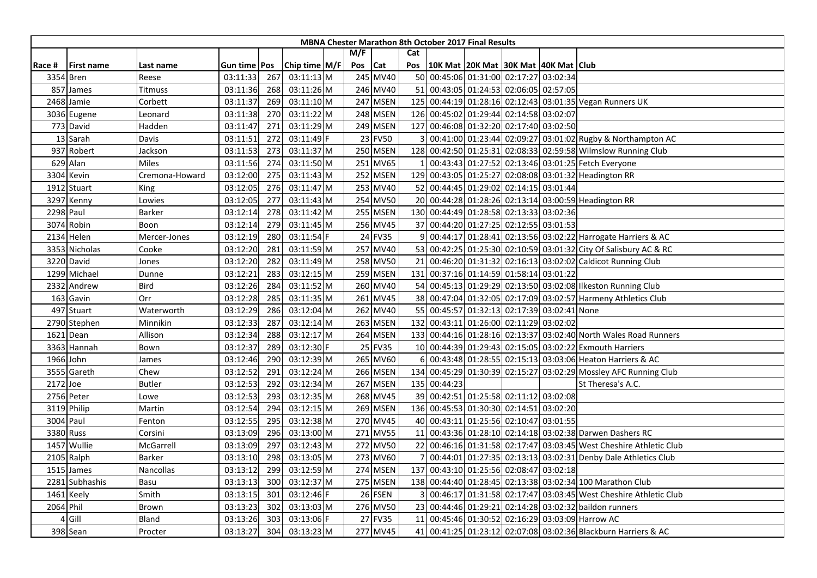|          |                   |                |              |     |               |         |          |     | <b>MBNA Chester Marathon 8th October 2017 Final Results</b> |  |                                                                    |
|----------|-------------------|----------------|--------------|-----|---------------|---------|----------|-----|-------------------------------------------------------------|--|--------------------------------------------------------------------|
|          |                   |                |              |     |               | M/F     |          | Cat |                                                             |  |                                                                    |
| Race #   | <b>First name</b> | Last name      | Gun time Pos |     | Chip time M/F | Pos Cat |          | Pos | 10K Mat 20K Mat 30K Mat 40K Mat Club                        |  |                                                                    |
|          | 3354 Bren         | Reese          | 03:11:33     | 267 | $03:11:13$ M  |         | 245 MV40 |     | 50 00:45:06 01:31:00 02:17:27 03:02:34                      |  |                                                                    |
|          | 857 James         | Titmuss        | 03:11:36     | 268 | 03:11:26 M    |         | 246 MV40 |     | 51 00:43:05 01:24:53 02:06:05 02:57:05                      |  |                                                                    |
|          | 2468 Jamie        | Corbett        | 03:11:37     | 269 | 03:11:10 M    |         | 247 MSEN |     |                                                             |  | 125 00:44:19 01:28:16 02:12:43 03:01:35 Vegan Runners UK           |
|          | 3036 Eugene       | Leonard        | 03:11:38     | 270 | 03:11:22 M    |         | 248 MSEN |     | 126 00:45:02 01:29:44 02:14:58 03:02:07                     |  |                                                                    |
|          | 773 David         | Hadden         | 03:11:47     | 271 | 03:11:29 M    |         | 249 MSEN |     | 127 00:46:08 01:32:20 02:17:40 03:02:50                     |  |                                                                    |
|          | 13 Sarah          | Davis          | 03:11:51     | 272 | 03:11:49 F    |         | 23 FV50  |     |                                                             |  | 00:41:00 01:23:44 02:09:27 03:01:02 Rugby & Northampton AC         |
|          | 937 Robert        | Jackson        | 03:11:53     | 273 | 03:11:37 M    |         | 250 MSEN |     |                                                             |  | 128 00:42:50 01:25:31 02:08:33 02:59:58 Wilmslow Running Club      |
|          | 629 Alan          | Miles          | 03:11:56     | 274 | 03:11:50 M    |         | 251 MV65 |     |                                                             |  | 00:43:43 01:27:52 02:13:46 03:01:25 Fetch Everyone                 |
|          | 3304 Kevin        | Cremona-Howard | 03:12:00     | 275 | 03:11:43 M    |         | 252 MSEN |     |                                                             |  | 129 00:43:05 01:25:27 02:08:08 03:01:32 Headington RR              |
|          | 1912 Stuart       | King           | 03:12:05     | 276 | 03:11:47 M    |         | 253 MV40 |     | 52 00:44:45 01:29:02 02:14:15 03:01:44                      |  |                                                                    |
|          | 3297 Kenny        | Lowies         | 03:12:05     | 277 | 03:11:43 M    |         | 254 MV50 |     |                                                             |  | 20 00:44:28 01:28:26 02:13:14 03:00:59 Headington RR               |
|          | 2298 Paul         | Barker         | 03:12:14     | 278 | 03:11:42 M    |         | 255 MSEN |     | 130 00:44:49 01:28:58 02:13:33 03:02:36                     |  |                                                                    |
|          | 3074 Robin        | Boon           | 03:12:14     | 279 | 03:11:45 M    |         | 256 MV45 |     | 37 00:44:20 01:27:25 02:12:55 03:01:53                      |  |                                                                    |
|          | 2134 Helen        | Mercer-Jones   | 03:12:19     | 280 | 03:11:54 F    |         | 24 FV35  |     |                                                             |  | 9 00:44:17 01:28:41 02:13:56 03:02:22 Harrogate Harriers & AC      |
|          | 3353 Nicholas     | Cooke          | 03:12:20     | 281 | 03:11:59 M    |         | 257 MV40 |     |                                                             |  | 53 00:42:25 01:25:30 02:10:59 03:01:32 City Of Salisbury AC & RC   |
|          | 3220 David        | Jones          | 03:12:20     | 282 | 03:11:49 M    |         | 258 MV50 |     |                                                             |  | 21 00:46:20 01:31:32 02:16:13 03:02:02 Caldicot Running Club       |
|          | 1299 Michael      | Dunne          | 03:12:21     | 283 | 03:12:15 M    |         | 259 MSEN |     | 131 00:37:16 01:14:59 01:58:14 03:01:22                     |  |                                                                    |
|          | 2332 Andrew       | <b>Bird</b>    | 03:12:26     | 284 | 03:11:52 M    |         | 260 MV40 |     |                                                             |  | 54 00:45:13 01:29:29 02:13:50 03:02:08 Ilkeston Running Club       |
|          | 163 Gavin         | Orr            | 03:12:28     | 285 | 03:11:35 M    |         | 261 MV45 |     |                                                             |  | 38 00:47:04 01:32:05 02:17:09 03:02:57 Harmeny Athletics Club      |
|          | 497 Stuart        | Waterworth     | 03:12:29     | 286 | 03:12:04 M    |         | 262 MV40 |     | 55 00:45:57 01:32:13 02:17:39 03:02:41 None                 |  |                                                                    |
|          | 2790 Stephen      | Minnikin       | 03:12:33     | 287 | 03:12:14 M    |         | 263 MSEN |     | 132 00:43:11 01:26:00 02:11:29 03:02:02                     |  |                                                                    |
|          | 1621 Dean         | Allison        | 03:12:34     | 288 | 03:12:17 M    |         | 264 MSEN |     |                                                             |  | 133 00:44:16 01:28:16 02:13:37 03:02:40 North Wales Road Runners   |
|          | 3363 Hannah       | Bown           | 03:12:37     | 289 | 03:12:30 F    |         | 25 FV35  |     |                                                             |  | 10 00:44:39 01:29:43 02:15:05 03:02:22 Exmouth Harriers            |
|          | 1966 John         | James          | 03:12:46     | 290 | 03:12:39 M    |         | 265 MV60 | 6   |                                                             |  | 00:43:48 01:28:55 02:15:13 03:03:06 Heaton Harriers & AC           |
|          | 3555 Gareth       | Chew           | 03:12:52     | 291 | 03:12:24 M    |         | 266 MSEN |     |                                                             |  | 134 00:45:29 01:30:39 02:15:27 03:02:29 Mossley AFC Running Club   |
| 2172 Joe |                   | <b>Butler</b>  | 03:12:53     | 292 | 03:12:34 M    |         | 267 MSEN |     | 135 00:44:23                                                |  | St Theresa's A.C.                                                  |
|          | 2756 Peter        | Lowe           | 03:12:53     | 293 | 03:12:35 M    |         | 268 MV45 |     | 39 00:42:51 01:25:58 02:11:12 03:02:08                      |  |                                                                    |
|          | 3119 Philip       | Martin         | 03:12:54     | 294 | 03:12:15 M    |         | 269 MSEN |     | 136 00:45:53 01:30:30 02:14:51 03:02:20                     |  |                                                                    |
|          | 3004 Paul         | Fenton         | 03:12:55     | 295 | 03:12:38 M    |         | 270 MV45 |     | 40 00:43:11 01:25:56 02:10:47 03:01:55                      |  |                                                                    |
|          | 3380 Russ         | Corsini        | 03:13:09     | 296 | 03:13:00 M    |         | 271 MV55 |     |                                                             |  | 11 00:43:36 01:28:10 02:14:18 03:02:38 Darwen Dashers RC           |
|          | 1457 Wullie       | McGarrell      | 03:13:09     | 297 | 03:12:43 M    |         | 272 MV50 |     |                                                             |  | 22 00:46:16 01:31:58 02:17:47 03:03:45 West Cheshire Athletic Club |
|          | 2105 Ralph        | <b>Barker</b>  | 03:13:10     | 298 | 03:13:05 M    |         | 273 MV60 |     |                                                             |  | 00:44:01 01:27:35 02:13:13 03:02:31 Denby Dale Athletics Club      |
|          | 1515 James        | Nancollas      | 03:13:12     | 299 | 03:12:59 M    |         | 274 MSEN |     | 137 00:43:10 01:25:56 02:08:47 03:02:18                     |  |                                                                    |
|          | 2281 Subhashis    | Basu           | 03:13:13     | 300 | 03:12:37 M    |         | 275 MSEN |     |                                                             |  | 138 00:44:40 01:28:45 02:13:38 03:02:34 100 Marathon Club          |
|          | 1461 Keely        | Smith          | 03:13:15     | 301 | 03:12:46 F    |         | 26 FSEN  |     |                                                             |  | 00:46:17 01:31:58 02:17:47 03:03:45 West Cheshire Athletic Club    |
|          | 2064 Phil         | Brown          | 03:13:23     | 302 | 03:13:03 M    |         | 276 MV50 |     |                                                             |  | 23 00:44:46 01:29:21 02:14:28 03:02:32 baildon runners             |
|          | 4 Gill            | Bland          | 03:13:26     | 303 | 03:13:06 F    |         | 27 FV35  |     |                                                             |  | 11 00:45:46 01:30:52 02:16:29 03:03:09 Harrow AC                   |
|          | 398 Sean          | Procter        | 03:13:27     | 304 | 03:13:23 M    |         | 277 MV45 |     |                                                             |  | 41 00:41:25 01:23:12 02:07:08 03:02:36 Blackburn Harriers & AC     |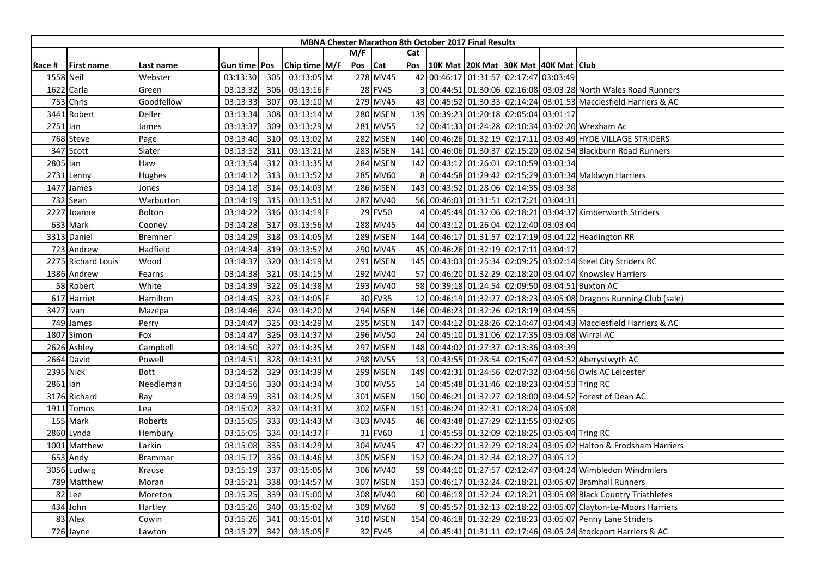|          |                    |                |                     |     |               |         |                 |     | <b>MBNA Chester Marathon 8th October 2017 Final Results</b> |  |                                                                    |
|----------|--------------------|----------------|---------------------|-----|---------------|---------|-----------------|-----|-------------------------------------------------------------|--|--------------------------------------------------------------------|
|          |                    |                |                     |     |               | M/F     |                 | Cat |                                                             |  |                                                                    |
| Race #   | <b>First name</b>  | Last name      | Gun time <b>Pos</b> |     | Chip time M/F | Pos Cat |                 | Pos | 10K Mat 20K Mat 30K Mat 40K Mat Club                        |  |                                                                    |
|          | 1558 Neil          | Webster        | 03:13:30            | 305 | 03:13:05 M    |         | 278 MV45        |     | 42 00:46:17 01:31:57 02:17:47 03:03:49                      |  |                                                                    |
| 1622     | Carla              | Green          | 03:13:32            | 306 | 03:13:16 F    |         | 28 FV45         |     |                                                             |  | 00:44:51 01:30:06 02:16:08 03:03:28 North Wales Road Runners       |
|          | 753 Chris          | Goodfellow     | 03:13:33            | 307 | 03:13:10 M    |         | 279 MV45        |     |                                                             |  | 43 00:45:52 01:30:33 02:14:24 03:01:53 Macclesfield Harriers & AC  |
|          | 3441 Robert        | Deller         | 03:13:34            | 308 | $03:13:14$ M  |         | 280 MSEN        |     | 139 00:39:23 01:20:18 02:05:04 03:01:17                     |  |                                                                    |
| 2751 lan |                    | James          | 03:13:37            | 309 | 03:13:29 M    |         | 281 MV55        |     |                                                             |  | 12 00:41:33 01:24:28 02:10:34 03:02:20 Wrexham Ac                  |
|          | 768 Steve          | Page           | 03:13:40            | 310 | 03:13:02 M    |         | 282 MSEN        |     |                                                             |  | 140 00:46:26 01:32:19 02:17:11 03:03:49 HYDE VILLAGE STRIDERS      |
|          | 347 Scott          | Slater         | 03:13:52            | 311 | $03:13:21$ M  |         | 283 MSEN        |     |                                                             |  | 141 00:46:06 01:30:37 02:15:20 03:02:54 Blackburn Road Runners     |
| 2805 lan |                    | Haw            | 03:13:54            | 312 | 03:13:35 M    |         | 284 MSEN        |     | 142 00:43:12 01:26:01 02:10:59 03:03:34                     |  |                                                                    |
|          | 2731 Lenny         | Hughes         | 03:14:12            | 313 | 03:13:52 M    |         | 285 MV60        |     |                                                             |  | 00:44:58 01:29:42 02:15:29 03:03:34 Maldwyn Harriers               |
|          | 1477 James         | Jones          | 03:14:18            | 314 | 03:14:03 M    |         | 286 MSEN        |     | 143 00:43:52 01:28:06 02:14:35 03:03:38                     |  |                                                                    |
|          | 732 Sean           | Warburton      | 03:14:19            | 315 | 03:13:51 M    |         | 287 MV40        |     | 56 00:46:03 01:31:51 02:17:21 03:04:31                      |  |                                                                    |
| 2227     | Joanne             | Bolton         | 03:14:22            | 316 | 03:14:19 F    |         | 29 FV50         |     |                                                             |  | 00:45:49 01:32:06 02:18:21 03:04:37 Kimberworth Striders           |
|          | 633 Mark           | Cooney         | 03:14:28            | 317 | 03:13:56 M    |         | 288 MV45        |     | 44 00:43:12 01:26:04 02:12:40 03:03:04                      |  |                                                                    |
|          | 3313 Daniel        | <b>Bremner</b> | 03:14:29            | 318 | 03:14:05 M    |         | <b>289 MSEN</b> |     |                                                             |  | 144 00:46:17 01:31:57 02:17:19 03:04:22 Headington RR              |
|          | 723 Andrew         | Hadfield       | 03:14:34            | 319 | 03:13:57 M    |         | 290 MV45        |     | 45 00:46:26 01:32:19 02:17:11 03:04:17                      |  |                                                                    |
|          | 2275 Richard Louis | Wood           | 03:14:37            | 320 | 03:14:19 M    |         | 291 MSEN        |     |                                                             |  | 145 00:43:03 01:25:34 02:09:25 03:02:14 Steel City Striders RC     |
|          | 1386 Andrew        | Fearns         | 03:14:38            | 321 | 03:14:15 M    |         | 292 MV40        |     |                                                             |  | 57 00:46:20 01:32:29 02:18:20 03:04:07 Knowsley Harriers           |
|          | 58 Robert          | White          | 03:14:39            | 322 | 03:14:38 M    |         | 293 MV40        |     |                                                             |  | 58 00:39:18 01:24:54 02:09:50 03:04:51 Buxton AC                   |
|          | 617 Harriet        | Hamilton       | 03:14:45            | 323 | 03:14:05 F    |         | 30 FV35         |     |                                                             |  | 12 00:46:19 01:32:27 02:18:23 03:05:08 Dragons Running Club (sale) |
|          | 3427 Ivan          | Mazepa         | 03:14:46            | 324 | 03:14:20 M    |         | 294 MSEN        |     | 146 00:46:23 01:32:26 02:18:19 03:04:55                     |  |                                                                    |
|          | 749 James          | Perry          | 03:14:47            | 325 | 03:14:29 M    |         | 295 MSEN        |     |                                                             |  | 147 00:44:12 01:28:26 02:14:47 03:04:43 Macclesfield Harriers & AC |
| 1807     | Simon              | Fox            | 03:14:47            | 326 | 03:14:37 M    |         | 296 MV50        |     |                                                             |  | 24 00:45:10 01:31:06 02:17:35 03:05:08 Wirral AC                   |
|          | 2626 Ashley        | Campbell       | 03:14:50            | 327 | 03:14:35 M    |         | 297 MSEN        |     | 148 00:44:02 01:27:37 02:13:36 03:03:39                     |  |                                                                    |
|          | 2664 David         | Powell         | 03:14:51            | 328 | 03:14:31 M    |         | 298 MV55        |     |                                                             |  | 13 00:43:55 01:28:54 02:15:47 03:04:52 Aberystwyth AC              |
|          | 2395 Nick          | Bott           | 03:14:52            | 329 | 03:14:39 M    |         | 299 MSEN        |     |                                                             |  | 149 00:42:31 01:24:56 02:07:32 03:04:56 Owls AC Leicester          |
| 2861 lan |                    | Needleman      | 03:14:56            | 330 | 03:14:34 M    |         | 300 MV55        |     | 14 00:45:48 01:31:46 02:18:23 03:04:53 Tring RC             |  |                                                                    |
|          | 3176 Richard       | Ray            | 03:14:59            | 331 | 03:14:25 M    |         | 301 MSEN        |     |                                                             |  | 150 00:46:21 01:32:27 02:18:00 03:04:52 Forest of Dean AC          |
|          | 1911 Tomos         | Lea            | 03:15:02            | 332 | 03:14:31 M    |         | 302 MSEN        | 151 | 00:46:24 01:32:31 02:18:24 03:05:08                         |  |                                                                    |
|          | 155 Mark           | Roberts        | 03:15:05            | 333 | 03:14:43 M    |         | 303 MV45        |     | 46 00:43:48 01:27:29 02:11:55 03:02:05                      |  |                                                                    |
|          | 2860 Lynda         | Hembury        | 03:15:05            | 334 | 03:14:37 F    |         | 31 FV60         |     | 00:45:59 01:32:09 02:18:25 03:05:04 Tring RC                |  |                                                                    |
|          | 1001 Matthew       | Larkin         | 03:15:08            | 335 | 03:14:29 M    |         | 304 MV45        |     |                                                             |  | 47 00:46:22 01:32:29 02:18:24 03:05:02 Halton & Frodsham Harriers  |
|          | 653 Andy           | Brammar        | 03:15:17            | 336 | 03:14:46 M    |         | 305 MSEN        |     | 152 00:46:24 01:32:34 02:18:27 03:05:12                     |  |                                                                    |
|          | 3056 Ludwig        | Krause         | 03:15:19            | 337 | 03:15:05 M    |         | 306 MV40        |     |                                                             |  | 59 00:44:10 01:27:57 02:12:47 03:04:24 Wimbledon Windmilers        |
|          | 789 Matthew        | Moran          | 03:15:21            | 338 | 03:14:57 M    |         | 307 MSEN        |     |                                                             |  | 153 00:46:17 01:32:24 02:18:21 03:05:07 Bramhall Runners           |
|          | 82 Lee             | Moreton        | 03:15:25            | 339 | 03:15:00 M    |         | 308 MV40        |     |                                                             |  | 60 00:46:18 01:32:24 02:18:21 03:05:08 Black Country Triathletes   |
|          | 434 John           | Hartley        | 03:15:26            | 340 | 03:15:02 M    |         | 309 MV60        |     |                                                             |  | 00:45:57 01:32:13 02:18:22 03:05:07 Clayton-Le-Moors Harriers      |
|          | 83 Alex            | Cowin          | 03:15:26            | 341 | 03:15:01 M    |         | 310 MSEN        |     |                                                             |  | 154 00:46:18 01:32:29 02:18:23 03:05:07 Penny Lane Striders        |
|          | 726 Jayne          | Lawton         | 03:15:27            | 342 | 03:15:05 F    |         | 32 FV45         |     |                                                             |  | 00:45:41 01:31:11 02:17:46 03:05:24 Stockport Harriers & AC        |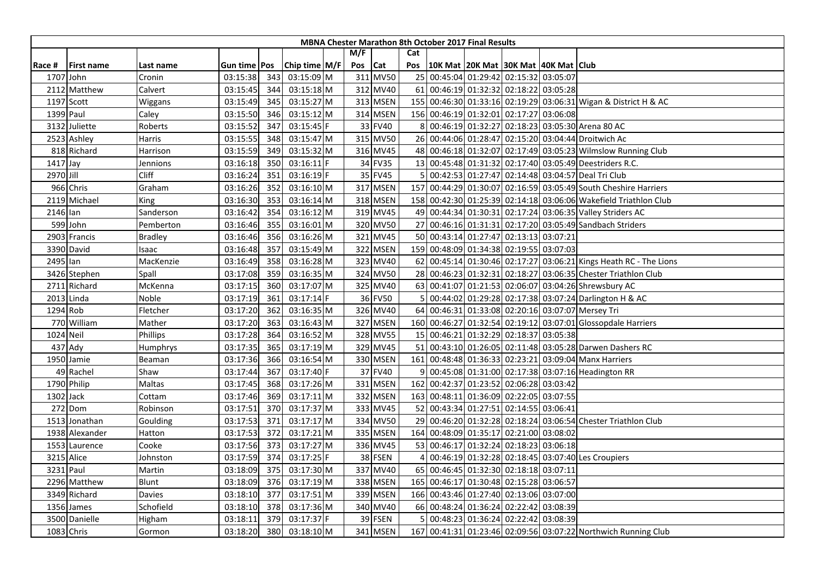|           |                   |                |                     |     |               |     |          |     | <b>MBNA Chester Marathon 8th October 2017 Final Results</b> |  |                                                                   |
|-----------|-------------------|----------------|---------------------|-----|---------------|-----|----------|-----|-------------------------------------------------------------|--|-------------------------------------------------------------------|
|           |                   |                |                     |     |               | M/F |          | Cat |                                                             |  |                                                                   |
| Race #    | <b>First name</b> | Last name      | Gun time <b>Pos</b> |     | Chip time M/F | Pos | Cat      | Pos | 10K Mat 20K Mat 30K Mat 40K Mat Club                        |  |                                                                   |
|           | 1707 John         | Cronin         | 03:15:38            | 343 | 03:15:09 M    |     | 311 MV50 |     | 25 00:45:04 01:29:42 02:15:32 03:05:07                      |  |                                                                   |
|           | 2112 Matthew      | Calvert        | 03:15:45            | 344 | 03:15:18 M    |     | 312 MV40 |     | 61 00:46:19 01:32:32 02:18:22 03:05:28                      |  |                                                                   |
|           | 1197 Scott        | Wiggans        | 03:15:49            | 345 | 03:15:27 M    |     | 313 MSEN |     |                                                             |  | 155 00:46:30 01:33:16 02:19:29 03:06:31 Wigan & District H & AC   |
|           | 1399 Paul         | Caley          | 03:15:50            | 346 | 03:15:12 M    |     | 314 MSEN |     | 156 00:46:19 01:32:01 02:17:27 03:06:08                     |  |                                                                   |
|           | 3132 Juliette     | Roberts        | 03:15:52            | 347 | 03:15:45 F    |     | 33 FV40  |     |                                                             |  | 8 00:46:19 01:32:27 02:18:23 03:05:30 Arena 80 AC                 |
|           | 2523 Ashley       | Harris         | 03:15:55            | 348 | 03:15:47 M    |     | 315 MV50 |     |                                                             |  | 26 00:44:06 01:28:47 02:15:20 03:04:44 Droitwich Ac               |
|           | 818 Richard       | Harrison       | 03:15:59            | 349 | 03:15:32 M    |     | 316 MV45 |     |                                                             |  | 48 00:46:18 01:32:07 02:17:49 03:05:23 Wilmslow Running Club      |
| 1417 Jay  |                   | Jennions       | 03:16:18            | 350 | $03:16:11$ F  |     | 34 FV35  |     |                                                             |  | 13 00:45:48 01:31:32 02:17:40 03:05:49 Deestriders R.C.           |
| 2970 Jill |                   | Cliff          | 03:16:24            | 351 | 03:16:19 F    |     | 35 FV45  |     |                                                             |  | 00:42:53 01:27:47 02:14:48 03:04:57 Deal Tri Club                 |
|           | 966 Chris         | Graham         | 03:16:26            | 352 | 03:16:10 M    |     | 317 MSEN |     |                                                             |  | 157 00:44:29 01:30:07 02:16:59 03:05:49 South Cheshire Harriers   |
|           | 2119 Michael      | King           | 03:16:30            | 353 | 03:16:14 M    |     | 318 MSEN |     |                                                             |  | 158 00:42:30 01:25:39 02:14:18 03:06:06 Wakefield Triathlon Club  |
| 2146 Ian  |                   | Sanderson      | 03:16:42            | 354 | 03:16:12 M    |     | 319 MV45 |     |                                                             |  | 49 00:44:34 01:30:31 02:17:24 03:06:35 Valley Striders AC         |
|           | 599 John          | Pemberton      | 03:16:46            | 355 | 03:16:01 M    |     | 320 MV50 |     |                                                             |  | 27 00:46:16 01:31:31 02:17:20 03:05:49 Sandbach Striders          |
|           | 2903 Francis      | <b>Bradley</b> | 03:16:46            | 356 | 03:16:26 M    |     | 321 MV45 |     | 50 00:43:14 01:27:47 02:13:13 03:07:21                      |  |                                                                   |
|           | 3390 David        | Isaac          | 03:16:48            | 357 | 03:15:49 M    |     | 322 MSEN |     | 159 00:48:09 01:34:38 02:19:55 03:07:03                     |  |                                                                   |
| 2495 Ian  |                   | MacKenzie      | 03:16:49            | 358 | 03:16:28 M    |     | 323 MV40 |     |                                                             |  | 62 00:45:14 01:30:46 02:17:27 03:06:21 Kings Heath RC - The Lions |
|           | 3426 Stephen      | Spall          | 03:17:08            | 359 | 03:16:35 M    |     | 324 MV50 |     |                                                             |  | 28 00:46:23 01:32:31 02:18:27 03:06:35 Chester Triathlon Club     |
|           | 2711 Richard      | McKenna        | 03:17:15            | 360 | 03:17:07 M    |     | 325 MV40 |     |                                                             |  | 63 00:41:07 01:21:53 02:06:07 03:04:26 Shrewsbury AC              |
|           | 2013 Linda        | Noble          | 03:17:19            | 361 | 03:17:14 F    |     | 36 FV50  |     |                                                             |  | 00:44:02 01:29:28 02:17:38 03:07:24 Darlington H & AC             |
| 1294 Rob  |                   | Fletcher       | 03:17:20            | 362 | 03:16:35 M    |     | 326 MV40 |     |                                                             |  | 64 00:46:31 01:33:08 02:20:16 03:07:07 Mersey Tri                 |
|           | 770 William       | Mather         | 03:17:20            | 363 | 03:16:43 M    |     | 327 MSEN |     |                                                             |  | 160 00:46:27 01:32:54 02:19:12 03:07:01 Glossopdale Harriers      |
|           | 1024 Neil         | Phillips       | 03:17:28            | 364 | 03:16:52 M    |     | 328 MV55 |     | 15 00:46:21 01:32:29 02:18:37 03:05:38                      |  |                                                                   |
|           | 437 Ady           | Humphrys       | 03:17:35            | 365 | 03:17:19 M    |     | 329 MV45 |     |                                                             |  | 51 00:43:10 01:26:05 02:11:48 03:05:28 Darwen Dashers RC          |
|           | 1950 Jamie        | Beaman         | 03:17:36            | 366 | 03:16:54 M    |     | 330 MSEN | 161 |                                                             |  | 00:48:48 01:36:33 02:23:21 03:09:04 Manx Harriers                 |
|           | 49 Rachel         | Shaw           | 03:17:44            | 367 | 03:17:40 F    |     | 37 FV40  |     |                                                             |  | 00:45:08 01:31:00 02:17:38 03:07:16 Headington RR                 |
|           | 1790 Philip       | Maltas         | 03:17:45            | 368 | 03:17:26 M    |     | 331 MSEN |     | 162 00:42:37 01:23:52 02:06:28 03:03:42                     |  |                                                                   |
|           | 1302 Jack         | Cottam         | 03:17:46            | 369 | 03:17:11 M    |     | 332 MSEN |     | 163 00:48:11 01:36:09 02:22:05 03:07:55                     |  |                                                                   |
|           | 272 Dom           | Robinson       | 03:17:51            | 370 | 03:17:37 M    |     | 333 MV45 |     | 52 00:43:34 01:27:51 02:14:55 03:06:41                      |  |                                                                   |
|           | 1513 Jonathan     | Goulding       | 03:17:53            | 371 | 03:17:17 M    |     | 334 MV50 |     |                                                             |  | 29 00:46:20 01:32:28 02:18:24 03:06:54 Chester Triathlon Club     |
|           | 1938 Alexander    | Hatton         | 03:17:53            | 372 | 03:17:21 M    |     | 335 MSEN |     | 164 00:48:09 01:35:17 02:21:00 03:08:02                     |  |                                                                   |
|           | 1553 Laurence     | Cooke          | 03:17:56            | 373 | 03:17:27 M    |     | 336 MV45 |     | 53 00:46:17 01:32:24 02:18:23 03:06:18                      |  |                                                                   |
|           | 3215 Alice        | Johnston       | 03:17:59            | 374 | 03:17:25 F    |     | 38 FSEN  |     |                                                             |  | 00:46:19 01:32:28 02:18:45 03:07:40 Les Croupiers                 |
|           | 3231 Paul         | Martin         | 03:18:09            | 375 | 03:17:30 M    |     | 337 MV40 |     | 65 00:46:45 01:32:30 02:18:18 03:07:11                      |  |                                                                   |
|           | 2296 Matthew      | Blunt          | 03:18:09            | 376 | 03:17:19 M    |     | 338 MSEN |     | 165 00:46:17 01:30:48 02:15:28 03:06:57                     |  |                                                                   |
|           | 3349 Richard      | Davies         | 03:18:10            | 377 | 03:17:51 M    |     | 339 MSEN |     | 166 00:43:46 01:27:40 02:13:06 03:07:00                     |  |                                                                   |
|           | 1356 James        | Schofield      | 03:18:10            | 378 | 03:17:36 M    |     | 340 MV40 |     | 66 00:48:24 01:36:24 02:22:42 03:08:39                      |  |                                                                   |
|           | 3500 Danielle     | Higham         | 03:18:11            | 379 | 03:17:37 F    |     | 39 FSEN  |     | 00:48:23 01:36:24 02:22:42 03:08:39                         |  |                                                                   |
|           | 1083 Chris        | Gormon         | 03:18:20            | 380 | 03:18:10 M    |     | 341 MSEN |     |                                                             |  | 167 00:41:31 01:23:46 02:09:56 03:07:22 Northwich Running Club    |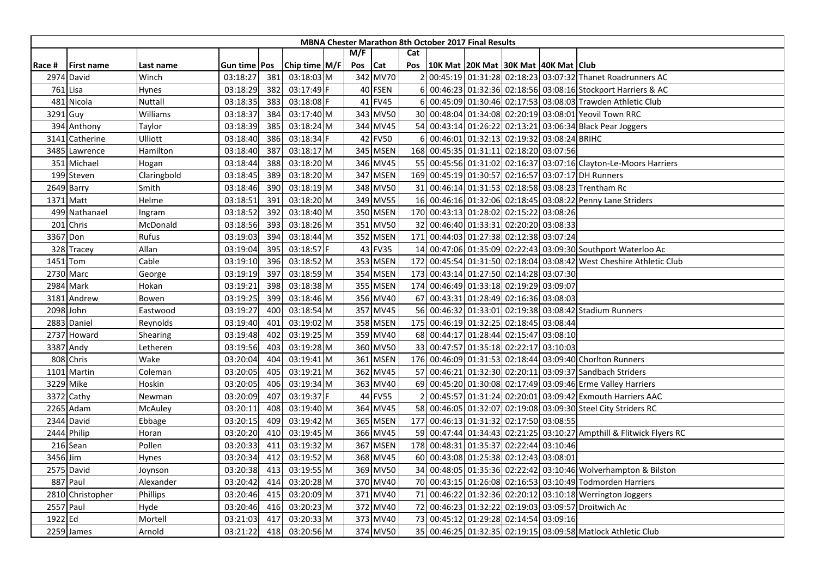| M/F<br>Cat<br>Chip time $M/F$<br>Pos<br><b>Cat</b><br>Pos   10K Mat   20K Mat   30K Mat   40K Mat   Club<br><b>First name</b><br>Race #<br>Last name<br>Gun time   Pos<br>342 MV70<br>00:45:19 01:31:28 02:18:23 03:07:32 Thanet Roadrunners AC<br>2974 David<br>03:18:27<br>03:18:03 M<br>Winch<br>381<br>40 FSEN<br>00:46:23 01:32:36 02:18:56 03:08:16 Stockport Harriers & AC<br>761 Lisa<br>382<br>$03:17:49$ F<br>Hynes<br>03:18:29<br>$6 \mid$<br>41 FV45<br>6 00:45:09 01:30:46 02:17:53 03:08:03 Trawden Athletic Club<br>481 Nicola<br>Nuttall<br>03:18:35<br>383<br>03:18:08 F<br>343 MV50<br>30 00:48:04 01:34:08 02:20:19 03:08:01 Yeovil Town RRC<br>3291 Guy<br>Williams<br>03:18:37<br>384<br>03:17:40 M<br>344 MV45<br>54 00:43:14 01:26:22 02:13:21 03:06:34 Black Pear Joggers<br>03:18:39<br>385<br>03:18:24 M<br>394 Anthony<br>Taylor<br>42 FV50<br>6 00:46:01 01:32:13 02:19:32 03:08:24 BRIHC<br>03:18:34 F<br>Catherine<br>Ulliott<br>03:18:40<br>386<br>3141<br>345 MSEN<br>168 00:45:35 01:31:11 02:18:20 03:07:56<br>Hamilton<br>387<br>03:18:17 M<br>3485 Lawrence<br>03:18:40<br>388<br>346 MV45<br>55 00:45:56 01:31:02 02:16:37 03:07:16 Clayton-Le-Moors Harriers<br>351 Michael<br>03:18:44<br>03:18:20 M<br>Hogan<br>347 MSEN<br>169 00:45:19 01:30:57 02:16:57 03:07:17 DH Runners<br>199 Steven<br>03:18:45<br>389<br>03:18:20 M<br>Claringbold<br>348 MV50<br>31 00:46:14 01:31:53 02:18:58 03:08:23 Trentham Rc<br>03:18:19 M<br>2649 Barry<br>Smith<br>03:18:46<br>390<br>349 MV55<br>16 00:46:16 01:32:06 02:18:45 03:08:22 Penny Lane Striders<br>1371 Matt<br>Helme<br>03:18:51<br>391<br>03:18:20 M<br>350 MSEN<br>170 00:43:13 01:28:02 02:15:22 03:08:26<br>499 Nathanael<br>03:18:52<br>392<br>03:18:40 M<br>Ingram<br>351 MV50<br>201 Chris<br>393<br>03:18:26 M<br>32 00:46:40 01:33:31 02:20:20 03:08:33<br>McDonald<br>03:18:56<br>352 MSEN<br>171 00:44:03 01:27:38 02:12:38 03:07:24<br>3367 Don<br>Rufus<br>03:19:03<br>394<br>03:18:44 M<br>43 FV35<br>Allan<br>03:19:04<br>395<br>03:18:57 F<br>14 00:47:06 01:35:09 02:22:43 03:09:30 Southport Waterloo Ac<br>328 Tracey<br>353 MSEN<br>00:45:54 01:31:50 02:18:04 03:08:42 West Cheshire Athletic Club<br>Cable<br>396<br>03:18:52 M<br>172<br>1451 Tom<br>03:19:10<br>03:18:59 M<br>354 MSEN<br>00:43:14 01:27:50 02:14:28 03:07:30<br>2730 Marc<br>03:19:19<br>397<br>173<br>George<br>174 00:46:49 01:33:18 02:19:29 03:09:07<br>2984 Mark<br>03:18:38 M<br>355 MSEN<br>Hokan<br>03:19:21<br>398<br>356 MV40<br>03:19:25<br>399<br>03:18:46 M<br>67 00:43:31 01:28:49 02:16:36 03:08:03<br>3181 Andrew<br>Bowen<br>357 MV45<br>56 00:46:32 01:33:01 02:19:38 03:08:42 Stadium Runners<br>2098 John<br>03:18:54 M<br>03:19:27<br>400<br>Eastwood<br>358 MSEN<br>175 00:46:19 01:32:25 02:18:45 03:08:44<br>03:19:02 M<br>2883 Daniel<br>Reynolds<br>03:19:40<br>401<br>359 MV40<br>03:19:48<br>03:19:25 M<br>68 00:44:17 01:28:44 02:15:47 03:08:10<br>2737 Howard<br>Shearing<br>402<br>360 MV50<br>3387 Andy<br>03:19:56<br>03:19:28 M<br>33 00:47:57 01:35:18 02:22:17 03:10:03<br>403<br>Letheren<br>808 Chris<br>Wake<br>03:19:41 M<br>361 MSEN<br>176 00:46:09 01:31:53 02:18:44 03:09:40 Chorlton Runners<br>03:20:04<br>404<br>362 MV45<br>1101 Martin<br>03:19:21 M<br>57 00:46:21 01:32:30 02:20:11 03:09:37 Sandbach Striders<br>Coleman<br>03:20:05<br>405<br>03:19:34 M<br>363 MV40<br>69 00:45:20 01:30:08 02:17:49 03:09:46 Erme Valley Harriers<br>3229 Mike<br>Hoskin<br>03:20:05<br>406<br>44 FV55<br>03:19:37 F<br>00:45:57 01:31:24 02:20:01 03:09:42 Exmouth Harriers AAC<br>3372 Cathy<br>03:20:09<br>407<br>Newman<br>364 MV45<br>58 00:46:05 01:32:07 02:19:08 03:09:30 Steel City Striders RC<br>2265 Adam<br>03:19:40 M<br>McAuley<br>03:20:11<br>408<br>365 MSEN<br>177 00:46:13 01:31:32 02:17:50 03:08:55<br>2344 David<br>03:20:15<br>409<br>03:19:42 M<br>Ebbage<br>366 MV45<br>59 00:47:44 01:34:43 02:21:25 03:10:27 Ampthill & Flitwick Flyers RC<br>2444 Philip<br>03:20:20<br>410<br>03:19:45 M<br>Horan<br>367 MSEN<br>178 00:48:31 01:35:37 02:22:44 03:10:46<br>03:19:32 M<br>216 Sean<br>Pollen<br>03:20:33<br>411<br>368 MV45<br>60 00:43:08 01:25:38 02:12:43 03:08:01<br>03:19:52 M<br>3456 Jim<br>03:20:34<br>412<br><b>Hynes</b><br>369 MV50<br>03:19:55 M<br>34 00:48:05 01:35:36 02:22:42 03:10:46 Wolverhampton & Bilston<br>2575 David<br>03:20:38<br>413<br>Joynson<br>887 Paul<br>03:20:28 M<br>370 MV40<br>70 00:43:15 01:26:08 02:16:53 03:10:49 Todmorden Harriers<br>Alexander<br>03:20:42<br>414<br>03:20:09 M<br>371 MV40<br>71 00:46:22 01:32:36 02:20:12 03:10:18 Werrington Joggers<br>2810 Christopher<br>Phillips<br>03:20:46<br>415<br>2557 Paul<br>372 MV40<br>Hyde<br>03:20:46<br>416<br>03:20:23 M<br>72 00:46:23 01:32:22 02:19:03 03:09:57 Droitwich Ac<br>1922 Ed<br>73 00:45:12 01:29:28 02:14:54 03:09:16<br>417<br>03:20:33 M<br>373 MV40<br>Mortell<br>03:21:03<br>374 MV50<br>418<br>03:20:56 M<br>35 00:46:25 01:32:35 02:19:15 03:09:58 Matlock Athletic Club<br>2259 James<br>Arnold<br>03:21:22 |  |  |  |  |  | <b>MBNA Chester Marathon 8th October 2017 Final Results</b> |  |  |
|--------------------------------------------------------------------------------------------------------------------------------------------------------------------------------------------------------------------------------------------------------------------------------------------------------------------------------------------------------------------------------------------------------------------------------------------------------------------------------------------------------------------------------------------------------------------------------------------------------------------------------------------------------------------------------------------------------------------------------------------------------------------------------------------------------------------------------------------------------------------------------------------------------------------------------------------------------------------------------------------------------------------------------------------------------------------------------------------------------------------------------------------------------------------------------------------------------------------------------------------------------------------------------------------------------------------------------------------------------------------------------------------------------------------------------------------------------------------------------------------------------------------------------------------------------------------------------------------------------------------------------------------------------------------------------------------------------------------------------------------------------------------------------------------------------------------------------------------------------------------------------------------------------------------------------------------------------------------------------------------------------------------------------------------------------------------------------------------------------------------------------------------------------------------------------------------------------------------------------------------------------------------------------------------------------------------------------------------------------------------------------------------------------------------------------------------------------------------------------------------------------------------------------------------------------------------------------------------------------------------------------------------------------------------------------------------------------------------------------------------------------------------------------------------------------------------------------------------------------------------------------------------------------------------------------------------------------------------------------------------------------------------------------------------------------------------------------------------------------------------------------------------------------------------------------------------------------------------------------------------------------------------------------------------------------------------------------------------------------------------------------------------------------------------------------------------------------------------------------------------------------------------------------------------------------------------------------------------------------------------------------------------------------------------------------------------------------------------------------------------------------------------------------------------------------------------------------------------------------------------------------------------------------------------------------------------------------------------------------------------------------------------------------------------------------------------------------------------------------------------------------------------------------------------------------------------------------------------------------------------------------------------------------------------------------------------------------------------------------------------------------------------------------------------------------------------------------------------------------------------------------------------------------------------------------------------------------------------------------------------------------------------------------------------------------------------------------------------------------------------------------------------------------------------------------------------------------------------------------------------------------------------------------------------------------------------------------------------------------------------------------------------------------------------------------------------------------------------|--|--|--|--|--|-------------------------------------------------------------|--|--|
|                                                                                                                                                                                                                                                                                                                                                                                                                                                                                                                                                                                                                                                                                                                                                                                                                                                                                                                                                                                                                                                                                                                                                                                                                                                                                                                                                                                                                                                                                                                                                                                                                                                                                                                                                                                                                                                                                                                                                                                                                                                                                                                                                                                                                                                                                                                                                                                                                                                                                                                                                                                                                                                                                                                                                                                                                                                                                                                                                                                                                                                                                                                                                                                                                                                                                                                                                                                                                                                                                                                                                                                                                                                                                                                                                                                                                                                                                                                                                                                                                                                                                                                                                                                                                                                                                                                                                                                                                                                                                                                                                                                                                                                                                                                                                                                                                                                                                                                                                                                                                                                                                            |  |  |  |  |  |                                                             |  |  |
|                                                                                                                                                                                                                                                                                                                                                                                                                                                                                                                                                                                                                                                                                                                                                                                                                                                                                                                                                                                                                                                                                                                                                                                                                                                                                                                                                                                                                                                                                                                                                                                                                                                                                                                                                                                                                                                                                                                                                                                                                                                                                                                                                                                                                                                                                                                                                                                                                                                                                                                                                                                                                                                                                                                                                                                                                                                                                                                                                                                                                                                                                                                                                                                                                                                                                                                                                                                                                                                                                                                                                                                                                                                                                                                                                                                                                                                                                                                                                                                                                                                                                                                                                                                                                                                                                                                                                                                                                                                                                                                                                                                                                                                                                                                                                                                                                                                                                                                                                                                                                                                                                            |  |  |  |  |  |                                                             |  |  |
|                                                                                                                                                                                                                                                                                                                                                                                                                                                                                                                                                                                                                                                                                                                                                                                                                                                                                                                                                                                                                                                                                                                                                                                                                                                                                                                                                                                                                                                                                                                                                                                                                                                                                                                                                                                                                                                                                                                                                                                                                                                                                                                                                                                                                                                                                                                                                                                                                                                                                                                                                                                                                                                                                                                                                                                                                                                                                                                                                                                                                                                                                                                                                                                                                                                                                                                                                                                                                                                                                                                                                                                                                                                                                                                                                                                                                                                                                                                                                                                                                                                                                                                                                                                                                                                                                                                                                                                                                                                                                                                                                                                                                                                                                                                                                                                                                                                                                                                                                                                                                                                                                            |  |  |  |  |  |                                                             |  |  |
|                                                                                                                                                                                                                                                                                                                                                                                                                                                                                                                                                                                                                                                                                                                                                                                                                                                                                                                                                                                                                                                                                                                                                                                                                                                                                                                                                                                                                                                                                                                                                                                                                                                                                                                                                                                                                                                                                                                                                                                                                                                                                                                                                                                                                                                                                                                                                                                                                                                                                                                                                                                                                                                                                                                                                                                                                                                                                                                                                                                                                                                                                                                                                                                                                                                                                                                                                                                                                                                                                                                                                                                                                                                                                                                                                                                                                                                                                                                                                                                                                                                                                                                                                                                                                                                                                                                                                                                                                                                                                                                                                                                                                                                                                                                                                                                                                                                                                                                                                                                                                                                                                            |  |  |  |  |  |                                                             |  |  |
|                                                                                                                                                                                                                                                                                                                                                                                                                                                                                                                                                                                                                                                                                                                                                                                                                                                                                                                                                                                                                                                                                                                                                                                                                                                                                                                                                                                                                                                                                                                                                                                                                                                                                                                                                                                                                                                                                                                                                                                                                                                                                                                                                                                                                                                                                                                                                                                                                                                                                                                                                                                                                                                                                                                                                                                                                                                                                                                                                                                                                                                                                                                                                                                                                                                                                                                                                                                                                                                                                                                                                                                                                                                                                                                                                                                                                                                                                                                                                                                                                                                                                                                                                                                                                                                                                                                                                                                                                                                                                                                                                                                                                                                                                                                                                                                                                                                                                                                                                                                                                                                                                            |  |  |  |  |  |                                                             |  |  |
|                                                                                                                                                                                                                                                                                                                                                                                                                                                                                                                                                                                                                                                                                                                                                                                                                                                                                                                                                                                                                                                                                                                                                                                                                                                                                                                                                                                                                                                                                                                                                                                                                                                                                                                                                                                                                                                                                                                                                                                                                                                                                                                                                                                                                                                                                                                                                                                                                                                                                                                                                                                                                                                                                                                                                                                                                                                                                                                                                                                                                                                                                                                                                                                                                                                                                                                                                                                                                                                                                                                                                                                                                                                                                                                                                                                                                                                                                                                                                                                                                                                                                                                                                                                                                                                                                                                                                                                                                                                                                                                                                                                                                                                                                                                                                                                                                                                                                                                                                                                                                                                                                            |  |  |  |  |  |                                                             |  |  |
|                                                                                                                                                                                                                                                                                                                                                                                                                                                                                                                                                                                                                                                                                                                                                                                                                                                                                                                                                                                                                                                                                                                                                                                                                                                                                                                                                                                                                                                                                                                                                                                                                                                                                                                                                                                                                                                                                                                                                                                                                                                                                                                                                                                                                                                                                                                                                                                                                                                                                                                                                                                                                                                                                                                                                                                                                                                                                                                                                                                                                                                                                                                                                                                                                                                                                                                                                                                                                                                                                                                                                                                                                                                                                                                                                                                                                                                                                                                                                                                                                                                                                                                                                                                                                                                                                                                                                                                                                                                                                                                                                                                                                                                                                                                                                                                                                                                                                                                                                                                                                                                                                            |  |  |  |  |  |                                                             |  |  |
|                                                                                                                                                                                                                                                                                                                                                                                                                                                                                                                                                                                                                                                                                                                                                                                                                                                                                                                                                                                                                                                                                                                                                                                                                                                                                                                                                                                                                                                                                                                                                                                                                                                                                                                                                                                                                                                                                                                                                                                                                                                                                                                                                                                                                                                                                                                                                                                                                                                                                                                                                                                                                                                                                                                                                                                                                                                                                                                                                                                                                                                                                                                                                                                                                                                                                                                                                                                                                                                                                                                                                                                                                                                                                                                                                                                                                                                                                                                                                                                                                                                                                                                                                                                                                                                                                                                                                                                                                                                                                                                                                                                                                                                                                                                                                                                                                                                                                                                                                                                                                                                                                            |  |  |  |  |  |                                                             |  |  |
|                                                                                                                                                                                                                                                                                                                                                                                                                                                                                                                                                                                                                                                                                                                                                                                                                                                                                                                                                                                                                                                                                                                                                                                                                                                                                                                                                                                                                                                                                                                                                                                                                                                                                                                                                                                                                                                                                                                                                                                                                                                                                                                                                                                                                                                                                                                                                                                                                                                                                                                                                                                                                                                                                                                                                                                                                                                                                                                                                                                                                                                                                                                                                                                                                                                                                                                                                                                                                                                                                                                                                                                                                                                                                                                                                                                                                                                                                                                                                                                                                                                                                                                                                                                                                                                                                                                                                                                                                                                                                                                                                                                                                                                                                                                                                                                                                                                                                                                                                                                                                                                                                            |  |  |  |  |  |                                                             |  |  |
|                                                                                                                                                                                                                                                                                                                                                                                                                                                                                                                                                                                                                                                                                                                                                                                                                                                                                                                                                                                                                                                                                                                                                                                                                                                                                                                                                                                                                                                                                                                                                                                                                                                                                                                                                                                                                                                                                                                                                                                                                                                                                                                                                                                                                                                                                                                                                                                                                                                                                                                                                                                                                                                                                                                                                                                                                                                                                                                                                                                                                                                                                                                                                                                                                                                                                                                                                                                                                                                                                                                                                                                                                                                                                                                                                                                                                                                                                                                                                                                                                                                                                                                                                                                                                                                                                                                                                                                                                                                                                                                                                                                                                                                                                                                                                                                                                                                                                                                                                                                                                                                                                            |  |  |  |  |  |                                                             |  |  |
|                                                                                                                                                                                                                                                                                                                                                                                                                                                                                                                                                                                                                                                                                                                                                                                                                                                                                                                                                                                                                                                                                                                                                                                                                                                                                                                                                                                                                                                                                                                                                                                                                                                                                                                                                                                                                                                                                                                                                                                                                                                                                                                                                                                                                                                                                                                                                                                                                                                                                                                                                                                                                                                                                                                                                                                                                                                                                                                                                                                                                                                                                                                                                                                                                                                                                                                                                                                                                                                                                                                                                                                                                                                                                                                                                                                                                                                                                                                                                                                                                                                                                                                                                                                                                                                                                                                                                                                                                                                                                                                                                                                                                                                                                                                                                                                                                                                                                                                                                                                                                                                                                            |  |  |  |  |  |                                                             |  |  |
|                                                                                                                                                                                                                                                                                                                                                                                                                                                                                                                                                                                                                                                                                                                                                                                                                                                                                                                                                                                                                                                                                                                                                                                                                                                                                                                                                                                                                                                                                                                                                                                                                                                                                                                                                                                                                                                                                                                                                                                                                                                                                                                                                                                                                                                                                                                                                                                                                                                                                                                                                                                                                                                                                                                                                                                                                                                                                                                                                                                                                                                                                                                                                                                                                                                                                                                                                                                                                                                                                                                                                                                                                                                                                                                                                                                                                                                                                                                                                                                                                                                                                                                                                                                                                                                                                                                                                                                                                                                                                                                                                                                                                                                                                                                                                                                                                                                                                                                                                                                                                                                                                            |  |  |  |  |  |                                                             |  |  |
|                                                                                                                                                                                                                                                                                                                                                                                                                                                                                                                                                                                                                                                                                                                                                                                                                                                                                                                                                                                                                                                                                                                                                                                                                                                                                                                                                                                                                                                                                                                                                                                                                                                                                                                                                                                                                                                                                                                                                                                                                                                                                                                                                                                                                                                                                                                                                                                                                                                                                                                                                                                                                                                                                                                                                                                                                                                                                                                                                                                                                                                                                                                                                                                                                                                                                                                                                                                                                                                                                                                                                                                                                                                                                                                                                                                                                                                                                                                                                                                                                                                                                                                                                                                                                                                                                                                                                                                                                                                                                                                                                                                                                                                                                                                                                                                                                                                                                                                                                                                                                                                                                            |  |  |  |  |  |                                                             |  |  |
|                                                                                                                                                                                                                                                                                                                                                                                                                                                                                                                                                                                                                                                                                                                                                                                                                                                                                                                                                                                                                                                                                                                                                                                                                                                                                                                                                                                                                                                                                                                                                                                                                                                                                                                                                                                                                                                                                                                                                                                                                                                                                                                                                                                                                                                                                                                                                                                                                                                                                                                                                                                                                                                                                                                                                                                                                                                                                                                                                                                                                                                                                                                                                                                                                                                                                                                                                                                                                                                                                                                                                                                                                                                                                                                                                                                                                                                                                                                                                                                                                                                                                                                                                                                                                                                                                                                                                                                                                                                                                                                                                                                                                                                                                                                                                                                                                                                                                                                                                                                                                                                                                            |  |  |  |  |  |                                                             |  |  |
|                                                                                                                                                                                                                                                                                                                                                                                                                                                                                                                                                                                                                                                                                                                                                                                                                                                                                                                                                                                                                                                                                                                                                                                                                                                                                                                                                                                                                                                                                                                                                                                                                                                                                                                                                                                                                                                                                                                                                                                                                                                                                                                                                                                                                                                                                                                                                                                                                                                                                                                                                                                                                                                                                                                                                                                                                                                                                                                                                                                                                                                                                                                                                                                                                                                                                                                                                                                                                                                                                                                                                                                                                                                                                                                                                                                                                                                                                                                                                                                                                                                                                                                                                                                                                                                                                                                                                                                                                                                                                                                                                                                                                                                                                                                                                                                                                                                                                                                                                                                                                                                                                            |  |  |  |  |  |                                                             |  |  |
|                                                                                                                                                                                                                                                                                                                                                                                                                                                                                                                                                                                                                                                                                                                                                                                                                                                                                                                                                                                                                                                                                                                                                                                                                                                                                                                                                                                                                                                                                                                                                                                                                                                                                                                                                                                                                                                                                                                                                                                                                                                                                                                                                                                                                                                                                                                                                                                                                                                                                                                                                                                                                                                                                                                                                                                                                                                                                                                                                                                                                                                                                                                                                                                                                                                                                                                                                                                                                                                                                                                                                                                                                                                                                                                                                                                                                                                                                                                                                                                                                                                                                                                                                                                                                                                                                                                                                                                                                                                                                                                                                                                                                                                                                                                                                                                                                                                                                                                                                                                                                                                                                            |  |  |  |  |  |                                                             |  |  |
|                                                                                                                                                                                                                                                                                                                                                                                                                                                                                                                                                                                                                                                                                                                                                                                                                                                                                                                                                                                                                                                                                                                                                                                                                                                                                                                                                                                                                                                                                                                                                                                                                                                                                                                                                                                                                                                                                                                                                                                                                                                                                                                                                                                                                                                                                                                                                                                                                                                                                                                                                                                                                                                                                                                                                                                                                                                                                                                                                                                                                                                                                                                                                                                                                                                                                                                                                                                                                                                                                                                                                                                                                                                                                                                                                                                                                                                                                                                                                                                                                                                                                                                                                                                                                                                                                                                                                                                                                                                                                                                                                                                                                                                                                                                                                                                                                                                                                                                                                                                                                                                                                            |  |  |  |  |  |                                                             |  |  |
|                                                                                                                                                                                                                                                                                                                                                                                                                                                                                                                                                                                                                                                                                                                                                                                                                                                                                                                                                                                                                                                                                                                                                                                                                                                                                                                                                                                                                                                                                                                                                                                                                                                                                                                                                                                                                                                                                                                                                                                                                                                                                                                                                                                                                                                                                                                                                                                                                                                                                                                                                                                                                                                                                                                                                                                                                                                                                                                                                                                                                                                                                                                                                                                                                                                                                                                                                                                                                                                                                                                                                                                                                                                                                                                                                                                                                                                                                                                                                                                                                                                                                                                                                                                                                                                                                                                                                                                                                                                                                                                                                                                                                                                                                                                                                                                                                                                                                                                                                                                                                                                                                            |  |  |  |  |  |                                                             |  |  |
|                                                                                                                                                                                                                                                                                                                                                                                                                                                                                                                                                                                                                                                                                                                                                                                                                                                                                                                                                                                                                                                                                                                                                                                                                                                                                                                                                                                                                                                                                                                                                                                                                                                                                                                                                                                                                                                                                                                                                                                                                                                                                                                                                                                                                                                                                                                                                                                                                                                                                                                                                                                                                                                                                                                                                                                                                                                                                                                                                                                                                                                                                                                                                                                                                                                                                                                                                                                                                                                                                                                                                                                                                                                                                                                                                                                                                                                                                                                                                                                                                                                                                                                                                                                                                                                                                                                                                                                                                                                                                                                                                                                                                                                                                                                                                                                                                                                                                                                                                                                                                                                                                            |  |  |  |  |  |                                                             |  |  |
|                                                                                                                                                                                                                                                                                                                                                                                                                                                                                                                                                                                                                                                                                                                                                                                                                                                                                                                                                                                                                                                                                                                                                                                                                                                                                                                                                                                                                                                                                                                                                                                                                                                                                                                                                                                                                                                                                                                                                                                                                                                                                                                                                                                                                                                                                                                                                                                                                                                                                                                                                                                                                                                                                                                                                                                                                                                                                                                                                                                                                                                                                                                                                                                                                                                                                                                                                                                                                                                                                                                                                                                                                                                                                                                                                                                                                                                                                                                                                                                                                                                                                                                                                                                                                                                                                                                                                                                                                                                                                                                                                                                                                                                                                                                                                                                                                                                                                                                                                                                                                                                                                            |  |  |  |  |  |                                                             |  |  |
|                                                                                                                                                                                                                                                                                                                                                                                                                                                                                                                                                                                                                                                                                                                                                                                                                                                                                                                                                                                                                                                                                                                                                                                                                                                                                                                                                                                                                                                                                                                                                                                                                                                                                                                                                                                                                                                                                                                                                                                                                                                                                                                                                                                                                                                                                                                                                                                                                                                                                                                                                                                                                                                                                                                                                                                                                                                                                                                                                                                                                                                                                                                                                                                                                                                                                                                                                                                                                                                                                                                                                                                                                                                                                                                                                                                                                                                                                                                                                                                                                                                                                                                                                                                                                                                                                                                                                                                                                                                                                                                                                                                                                                                                                                                                                                                                                                                                                                                                                                                                                                                                                            |  |  |  |  |  |                                                             |  |  |
|                                                                                                                                                                                                                                                                                                                                                                                                                                                                                                                                                                                                                                                                                                                                                                                                                                                                                                                                                                                                                                                                                                                                                                                                                                                                                                                                                                                                                                                                                                                                                                                                                                                                                                                                                                                                                                                                                                                                                                                                                                                                                                                                                                                                                                                                                                                                                                                                                                                                                                                                                                                                                                                                                                                                                                                                                                                                                                                                                                                                                                                                                                                                                                                                                                                                                                                                                                                                                                                                                                                                                                                                                                                                                                                                                                                                                                                                                                                                                                                                                                                                                                                                                                                                                                                                                                                                                                                                                                                                                                                                                                                                                                                                                                                                                                                                                                                                                                                                                                                                                                                                                            |  |  |  |  |  |                                                             |  |  |
|                                                                                                                                                                                                                                                                                                                                                                                                                                                                                                                                                                                                                                                                                                                                                                                                                                                                                                                                                                                                                                                                                                                                                                                                                                                                                                                                                                                                                                                                                                                                                                                                                                                                                                                                                                                                                                                                                                                                                                                                                                                                                                                                                                                                                                                                                                                                                                                                                                                                                                                                                                                                                                                                                                                                                                                                                                                                                                                                                                                                                                                                                                                                                                                                                                                                                                                                                                                                                                                                                                                                                                                                                                                                                                                                                                                                                                                                                                                                                                                                                                                                                                                                                                                                                                                                                                                                                                                                                                                                                                                                                                                                                                                                                                                                                                                                                                                                                                                                                                                                                                                                                            |  |  |  |  |  |                                                             |  |  |
|                                                                                                                                                                                                                                                                                                                                                                                                                                                                                                                                                                                                                                                                                                                                                                                                                                                                                                                                                                                                                                                                                                                                                                                                                                                                                                                                                                                                                                                                                                                                                                                                                                                                                                                                                                                                                                                                                                                                                                                                                                                                                                                                                                                                                                                                                                                                                                                                                                                                                                                                                                                                                                                                                                                                                                                                                                                                                                                                                                                                                                                                                                                                                                                                                                                                                                                                                                                                                                                                                                                                                                                                                                                                                                                                                                                                                                                                                                                                                                                                                                                                                                                                                                                                                                                                                                                                                                                                                                                                                                                                                                                                                                                                                                                                                                                                                                                                                                                                                                                                                                                                                            |  |  |  |  |  |                                                             |  |  |
|                                                                                                                                                                                                                                                                                                                                                                                                                                                                                                                                                                                                                                                                                                                                                                                                                                                                                                                                                                                                                                                                                                                                                                                                                                                                                                                                                                                                                                                                                                                                                                                                                                                                                                                                                                                                                                                                                                                                                                                                                                                                                                                                                                                                                                                                                                                                                                                                                                                                                                                                                                                                                                                                                                                                                                                                                                                                                                                                                                                                                                                                                                                                                                                                                                                                                                                                                                                                                                                                                                                                                                                                                                                                                                                                                                                                                                                                                                                                                                                                                                                                                                                                                                                                                                                                                                                                                                                                                                                                                                                                                                                                                                                                                                                                                                                                                                                                                                                                                                                                                                                                                            |  |  |  |  |  |                                                             |  |  |
|                                                                                                                                                                                                                                                                                                                                                                                                                                                                                                                                                                                                                                                                                                                                                                                                                                                                                                                                                                                                                                                                                                                                                                                                                                                                                                                                                                                                                                                                                                                                                                                                                                                                                                                                                                                                                                                                                                                                                                                                                                                                                                                                                                                                                                                                                                                                                                                                                                                                                                                                                                                                                                                                                                                                                                                                                                                                                                                                                                                                                                                                                                                                                                                                                                                                                                                                                                                                                                                                                                                                                                                                                                                                                                                                                                                                                                                                                                                                                                                                                                                                                                                                                                                                                                                                                                                                                                                                                                                                                                                                                                                                                                                                                                                                                                                                                                                                                                                                                                                                                                                                                            |  |  |  |  |  |                                                             |  |  |
|                                                                                                                                                                                                                                                                                                                                                                                                                                                                                                                                                                                                                                                                                                                                                                                                                                                                                                                                                                                                                                                                                                                                                                                                                                                                                                                                                                                                                                                                                                                                                                                                                                                                                                                                                                                                                                                                                                                                                                                                                                                                                                                                                                                                                                                                                                                                                                                                                                                                                                                                                                                                                                                                                                                                                                                                                                                                                                                                                                                                                                                                                                                                                                                                                                                                                                                                                                                                                                                                                                                                                                                                                                                                                                                                                                                                                                                                                                                                                                                                                                                                                                                                                                                                                                                                                                                                                                                                                                                                                                                                                                                                                                                                                                                                                                                                                                                                                                                                                                                                                                                                                            |  |  |  |  |  |                                                             |  |  |
|                                                                                                                                                                                                                                                                                                                                                                                                                                                                                                                                                                                                                                                                                                                                                                                                                                                                                                                                                                                                                                                                                                                                                                                                                                                                                                                                                                                                                                                                                                                                                                                                                                                                                                                                                                                                                                                                                                                                                                                                                                                                                                                                                                                                                                                                                                                                                                                                                                                                                                                                                                                                                                                                                                                                                                                                                                                                                                                                                                                                                                                                                                                                                                                                                                                                                                                                                                                                                                                                                                                                                                                                                                                                                                                                                                                                                                                                                                                                                                                                                                                                                                                                                                                                                                                                                                                                                                                                                                                                                                                                                                                                                                                                                                                                                                                                                                                                                                                                                                                                                                                                                            |  |  |  |  |  |                                                             |  |  |
|                                                                                                                                                                                                                                                                                                                                                                                                                                                                                                                                                                                                                                                                                                                                                                                                                                                                                                                                                                                                                                                                                                                                                                                                                                                                                                                                                                                                                                                                                                                                                                                                                                                                                                                                                                                                                                                                                                                                                                                                                                                                                                                                                                                                                                                                                                                                                                                                                                                                                                                                                                                                                                                                                                                                                                                                                                                                                                                                                                                                                                                                                                                                                                                                                                                                                                                                                                                                                                                                                                                                                                                                                                                                                                                                                                                                                                                                                                                                                                                                                                                                                                                                                                                                                                                                                                                                                                                                                                                                                                                                                                                                                                                                                                                                                                                                                                                                                                                                                                                                                                                                                            |  |  |  |  |  |                                                             |  |  |
|                                                                                                                                                                                                                                                                                                                                                                                                                                                                                                                                                                                                                                                                                                                                                                                                                                                                                                                                                                                                                                                                                                                                                                                                                                                                                                                                                                                                                                                                                                                                                                                                                                                                                                                                                                                                                                                                                                                                                                                                                                                                                                                                                                                                                                                                                                                                                                                                                                                                                                                                                                                                                                                                                                                                                                                                                                                                                                                                                                                                                                                                                                                                                                                                                                                                                                                                                                                                                                                                                                                                                                                                                                                                                                                                                                                                                                                                                                                                                                                                                                                                                                                                                                                                                                                                                                                                                                                                                                                                                                                                                                                                                                                                                                                                                                                                                                                                                                                                                                                                                                                                                            |  |  |  |  |  |                                                             |  |  |
|                                                                                                                                                                                                                                                                                                                                                                                                                                                                                                                                                                                                                                                                                                                                                                                                                                                                                                                                                                                                                                                                                                                                                                                                                                                                                                                                                                                                                                                                                                                                                                                                                                                                                                                                                                                                                                                                                                                                                                                                                                                                                                                                                                                                                                                                                                                                                                                                                                                                                                                                                                                                                                                                                                                                                                                                                                                                                                                                                                                                                                                                                                                                                                                                                                                                                                                                                                                                                                                                                                                                                                                                                                                                                                                                                                                                                                                                                                                                                                                                                                                                                                                                                                                                                                                                                                                                                                                                                                                                                                                                                                                                                                                                                                                                                                                                                                                                                                                                                                                                                                                                                            |  |  |  |  |  |                                                             |  |  |
|                                                                                                                                                                                                                                                                                                                                                                                                                                                                                                                                                                                                                                                                                                                                                                                                                                                                                                                                                                                                                                                                                                                                                                                                                                                                                                                                                                                                                                                                                                                                                                                                                                                                                                                                                                                                                                                                                                                                                                                                                                                                                                                                                                                                                                                                                                                                                                                                                                                                                                                                                                                                                                                                                                                                                                                                                                                                                                                                                                                                                                                                                                                                                                                                                                                                                                                                                                                                                                                                                                                                                                                                                                                                                                                                                                                                                                                                                                                                                                                                                                                                                                                                                                                                                                                                                                                                                                                                                                                                                                                                                                                                                                                                                                                                                                                                                                                                                                                                                                                                                                                                                            |  |  |  |  |  |                                                             |  |  |
|                                                                                                                                                                                                                                                                                                                                                                                                                                                                                                                                                                                                                                                                                                                                                                                                                                                                                                                                                                                                                                                                                                                                                                                                                                                                                                                                                                                                                                                                                                                                                                                                                                                                                                                                                                                                                                                                                                                                                                                                                                                                                                                                                                                                                                                                                                                                                                                                                                                                                                                                                                                                                                                                                                                                                                                                                                                                                                                                                                                                                                                                                                                                                                                                                                                                                                                                                                                                                                                                                                                                                                                                                                                                                                                                                                                                                                                                                                                                                                                                                                                                                                                                                                                                                                                                                                                                                                                                                                                                                                                                                                                                                                                                                                                                                                                                                                                                                                                                                                                                                                                                                            |  |  |  |  |  |                                                             |  |  |
|                                                                                                                                                                                                                                                                                                                                                                                                                                                                                                                                                                                                                                                                                                                                                                                                                                                                                                                                                                                                                                                                                                                                                                                                                                                                                                                                                                                                                                                                                                                                                                                                                                                                                                                                                                                                                                                                                                                                                                                                                                                                                                                                                                                                                                                                                                                                                                                                                                                                                                                                                                                                                                                                                                                                                                                                                                                                                                                                                                                                                                                                                                                                                                                                                                                                                                                                                                                                                                                                                                                                                                                                                                                                                                                                                                                                                                                                                                                                                                                                                                                                                                                                                                                                                                                                                                                                                                                                                                                                                                                                                                                                                                                                                                                                                                                                                                                                                                                                                                                                                                                                                            |  |  |  |  |  |                                                             |  |  |
|                                                                                                                                                                                                                                                                                                                                                                                                                                                                                                                                                                                                                                                                                                                                                                                                                                                                                                                                                                                                                                                                                                                                                                                                                                                                                                                                                                                                                                                                                                                                                                                                                                                                                                                                                                                                                                                                                                                                                                                                                                                                                                                                                                                                                                                                                                                                                                                                                                                                                                                                                                                                                                                                                                                                                                                                                                                                                                                                                                                                                                                                                                                                                                                                                                                                                                                                                                                                                                                                                                                                                                                                                                                                                                                                                                                                                                                                                                                                                                                                                                                                                                                                                                                                                                                                                                                                                                                                                                                                                                                                                                                                                                                                                                                                                                                                                                                                                                                                                                                                                                                                                            |  |  |  |  |  |                                                             |  |  |
|                                                                                                                                                                                                                                                                                                                                                                                                                                                                                                                                                                                                                                                                                                                                                                                                                                                                                                                                                                                                                                                                                                                                                                                                                                                                                                                                                                                                                                                                                                                                                                                                                                                                                                                                                                                                                                                                                                                                                                                                                                                                                                                                                                                                                                                                                                                                                                                                                                                                                                                                                                                                                                                                                                                                                                                                                                                                                                                                                                                                                                                                                                                                                                                                                                                                                                                                                                                                                                                                                                                                                                                                                                                                                                                                                                                                                                                                                                                                                                                                                                                                                                                                                                                                                                                                                                                                                                                                                                                                                                                                                                                                                                                                                                                                                                                                                                                                                                                                                                                                                                                                                            |  |  |  |  |  |                                                             |  |  |
|                                                                                                                                                                                                                                                                                                                                                                                                                                                                                                                                                                                                                                                                                                                                                                                                                                                                                                                                                                                                                                                                                                                                                                                                                                                                                                                                                                                                                                                                                                                                                                                                                                                                                                                                                                                                                                                                                                                                                                                                                                                                                                                                                                                                                                                                                                                                                                                                                                                                                                                                                                                                                                                                                                                                                                                                                                                                                                                                                                                                                                                                                                                                                                                                                                                                                                                                                                                                                                                                                                                                                                                                                                                                                                                                                                                                                                                                                                                                                                                                                                                                                                                                                                                                                                                                                                                                                                                                                                                                                                                                                                                                                                                                                                                                                                                                                                                                                                                                                                                                                                                                                            |  |  |  |  |  |                                                             |  |  |
|                                                                                                                                                                                                                                                                                                                                                                                                                                                                                                                                                                                                                                                                                                                                                                                                                                                                                                                                                                                                                                                                                                                                                                                                                                                                                                                                                                                                                                                                                                                                                                                                                                                                                                                                                                                                                                                                                                                                                                                                                                                                                                                                                                                                                                                                                                                                                                                                                                                                                                                                                                                                                                                                                                                                                                                                                                                                                                                                                                                                                                                                                                                                                                                                                                                                                                                                                                                                                                                                                                                                                                                                                                                                                                                                                                                                                                                                                                                                                                                                                                                                                                                                                                                                                                                                                                                                                                                                                                                                                                                                                                                                                                                                                                                                                                                                                                                                                                                                                                                                                                                                                            |  |  |  |  |  |                                                             |  |  |
|                                                                                                                                                                                                                                                                                                                                                                                                                                                                                                                                                                                                                                                                                                                                                                                                                                                                                                                                                                                                                                                                                                                                                                                                                                                                                                                                                                                                                                                                                                                                                                                                                                                                                                                                                                                                                                                                                                                                                                                                                                                                                                                                                                                                                                                                                                                                                                                                                                                                                                                                                                                                                                                                                                                                                                                                                                                                                                                                                                                                                                                                                                                                                                                                                                                                                                                                                                                                                                                                                                                                                                                                                                                                                                                                                                                                                                                                                                                                                                                                                                                                                                                                                                                                                                                                                                                                                                                                                                                                                                                                                                                                                                                                                                                                                                                                                                                                                                                                                                                                                                                                                            |  |  |  |  |  |                                                             |  |  |
|                                                                                                                                                                                                                                                                                                                                                                                                                                                                                                                                                                                                                                                                                                                                                                                                                                                                                                                                                                                                                                                                                                                                                                                                                                                                                                                                                                                                                                                                                                                                                                                                                                                                                                                                                                                                                                                                                                                                                                                                                                                                                                                                                                                                                                                                                                                                                                                                                                                                                                                                                                                                                                                                                                                                                                                                                                                                                                                                                                                                                                                                                                                                                                                                                                                                                                                                                                                                                                                                                                                                                                                                                                                                                                                                                                                                                                                                                                                                                                                                                                                                                                                                                                                                                                                                                                                                                                                                                                                                                                                                                                                                                                                                                                                                                                                                                                                                                                                                                                                                                                                                                            |  |  |  |  |  |                                                             |  |  |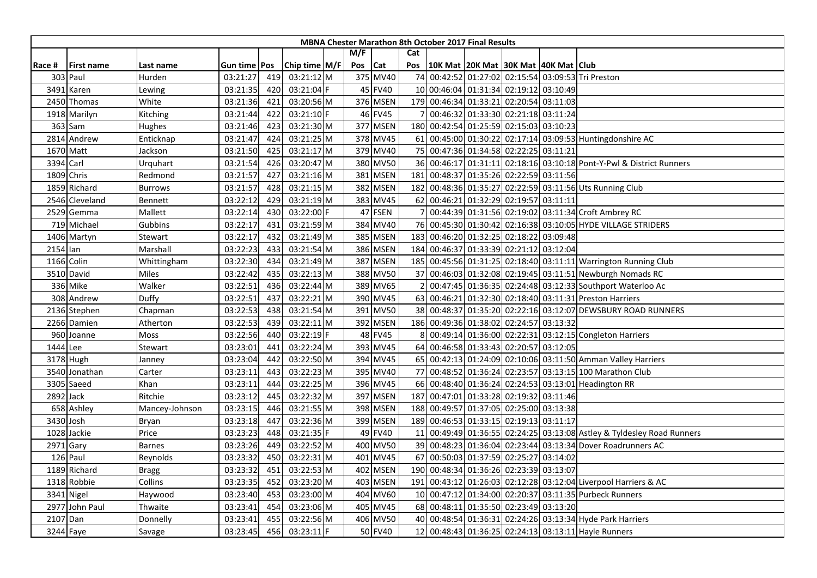|          |                   |                |                     |     |               |         |          |           | <b>MBNA Chester Marathon 8th October 2017 Final Results</b> |  |                                                                        |
|----------|-------------------|----------------|---------------------|-----|---------------|---------|----------|-----------|-------------------------------------------------------------|--|------------------------------------------------------------------------|
|          |                   |                |                     |     |               | M/F     |          | Cat       |                                                             |  |                                                                        |
| Race #   | <b>First name</b> | Last name      | Gun time <b>Pos</b> |     | Chip time M/F | Pos Cat |          | Pos       | 10K Mat 20K Mat 30K Mat 40K Mat Club                        |  |                                                                        |
|          | 303 Paul          | Hurden         | 03:21:27            | 419 | 03:21:12 M    |         | 375 MV40 | 74        |                                                             |  | 00:42:52 01:27:02 02:15:54 03:09:53 Tri Preston                        |
| 3491     | Karen             | Lewing         | 03:21:35            | 420 | 03:21:04 F    |         | 45 FV40  |           | 10 00:46:04 01:31:34 02:19:12 03:10:49                      |  |                                                                        |
|          | 2450 Thomas       | White          | 03:21:36            | 421 | 03:20:56 M    |         | 376 MSEN |           | 179 00:46:34 01:33:21 02:20:54 03:11:03                     |  |                                                                        |
|          | 1918 Marilyn      | Kitching       | 03:21:44            | 422 | 03:21:10 F    |         | 46 FV45  |           | 00:46:32 01:33:30 02:21:18 03:11:24                         |  |                                                                        |
|          | 363 Sam           | Hughes         | 03:21:46            | 423 | 03:21:30 M    |         | 377 MSEN |           | 180 00:42:54 01:25:59 02:15:03 03:10:23                     |  |                                                                        |
|          | 2814 Andrew       | Enticknap      | 03:21:47            | 424 | 03:21:25 M    |         | 378 MV45 |           |                                                             |  | 61 00:45:00 01:30:22 02:17:14 03:09:53 Huntingdonshire AC              |
|          | 1670 Matt         | Jackson        | 03:21:50            | 425 | 03:21:17 M    |         | 379 MV40 |           | 75 00:47:36 01:34:58 02:22:25 03:11:21                      |  |                                                                        |
|          | 3394 Carl         | Urquhart       | 03:21:54            | 426 | 03:20:47 M    |         | 380 MV50 |           |                                                             |  | 36 00:46:17 01:31:11 02:18:16 03:10:18 Pont-Y-Pwl & District Runners   |
|          | 1809 Chris        | Redmond        | 03:21:57            | 427 | 03:21:16 M    |         | 381 MSEN | 181       | 00:48:37 01:35:26 02:22:59 03:11:56                         |  |                                                                        |
|          | 1859 Richard      | <b>Burrows</b> | 03:21:57            | 428 | $03:21:15$ M  |         | 382 MSEN |           |                                                             |  | 182 00:48:36 01:35:27 02:22:59 03:11:56 Uts Running Club               |
|          | 2546 Cleveland    | Bennett        | 03:22:12            | 429 | 03:21:19 M    |         | 383 MV45 |           | 62 00:46:21 01:32:29 02:19:57 03:11:11                      |  |                                                                        |
|          | 2529 Gemma        | Mallett        | 03:22:14            | 430 | 03:22:00 F    |         | 47 FSEN  |           |                                                             |  | 00:44:39 01:31:56 02:19:02 03:11:34 Croft Ambrey RC                    |
|          | 719 Michael       | Gubbins        | 03:22:17            | 431 | 03:21:59 M    |         | 384 MV40 | <b>76</b> |                                                             |  | 00:45:30 01:30:42 02:16:38 03:10:05 HYDE VILLAGE STRIDERS              |
|          | 1406 Martyn       | Stewart        | 03:22:17            | 432 | 03:21:49 M    |         | 385 MSEN |           | 183 00:46:20 01:32:25 02:18:22 03:09:48                     |  |                                                                        |
| 2154 Ian |                   | Marshall       | 03:22:23            | 433 | 03:21:54 M    |         | 386 MSEN | 184       | 00:46:37 01:33:39 02:21:12 03:12:04                         |  |                                                                        |
|          | 1166 Colin        | Whittingham    | 03:22:30            | 434 | 03:21:49 M    |         | 387 MSEN |           |                                                             |  | 185 00:45:56 01:31:25 02:18:40 03:11:11 Warrington Running Club        |
|          | 3510 David        | Miles          | 03:22:42            | 435 | 03:22:13 M    |         | 388 MV50 | 37        |                                                             |  | 00:46:03 01:32:08 02:19:45 03:11:51 Newburgh Nomads RC                 |
|          | 336 Mike          | Walker         | 03:22:51            | 436 | 03:22:44 M    |         | 389 MV65 |           |                                                             |  | 00:47:45 01:36:35 02:24:48 03:12:33 Southport Waterloo Ac              |
|          | 308 Andrew        | Duffy          | 03:22:51            | 437 | 03:22:21 M    |         | 390 MV45 |           |                                                             |  | 63 00:46:21 01:32:30 02:18:40 03:11:31 Preston Harriers                |
|          | 2136 Stephen      | Chapman        | 03:22:53            | 438 | 03:21:54 M    |         | 391 MV50 |           |                                                             |  | 38 00:48:37 01:35:20 02:22:16 03:12:07 DEWSBURY ROAD RUNNERS           |
|          | 2266 Damien       | Atherton       | 03:22:53            | 439 | $03:22:11$ M  |         | 392 MSEN |           | 186 00:49:36 01:38:02 02:24:57 03:13:32                     |  |                                                                        |
|          | 960 Joanne        | Moss           | 03:22:56            | 440 | 03:22:19 F    |         | 48 FV45  |           |                                                             |  | 00:49:14 01:36:00 02:22:31 03:12:15 Congleton Harriers                 |
|          | 1444 Lee          | Stewart        | 03:23:01            | 441 | 03:22:24 M    |         | 393 MV45 |           | 64 00:46:58 01:33:43 02:20:57 03:12:05                      |  |                                                                        |
|          | 3178 Hugh         | Janney         | 03:23:04            | 442 | 03:22:50 M    |         | 394 MV45 |           |                                                             |  | 65 00:42:13 01:24:09 02:10:06 03:11:50 Amman Valley Harriers           |
|          | 3540 Jonathan     | Carter         | 03:23:11            | 443 | 03:22:23 M    |         | 395 MV40 |           |                                                             |  | 77 00:48:52 01:36:24 02:23:57 03:13:15 100 Marathon Club               |
|          | 3305 Saeed        | Khan           | 03:23:11            | 444 | 03:22:25 M    |         | 396 MV45 |           |                                                             |  | 66 00:48:40 01:36:24 02:24:53 03:13:01 Headington RR                   |
|          | 2892 Jack         | Ritchie        | 03:23:12            | 445 | 03:22:32 M    |         | 397 MSEN | 187       | 00:47:01 01:33:28 02:19:32 03:11:46                         |  |                                                                        |
|          | 658 Ashley        | Mancey-Johnson | 03:23:15            | 446 | 03:21:55 M    |         | 398 MSEN | 188       | 00:49:57 01:37:05 02:25:00 03:13:38                         |  |                                                                        |
|          | 3430 Josh         | Bryan          | 03:23:18            | 447 | 03:22:36 M    |         | 399 MSEN |           | 189 00:46:53 01:33:15 02:19:13 03:11:17                     |  |                                                                        |
|          | 1028 Jackie       | Price          | 03:23:23            | 448 | 03:21:35 F    |         | 49 FV40  |           |                                                             |  | 11 00:49:49 01:36:55 02:24:25 03:13:08 Astley & Tyldesley Road Runners |
|          | 2971 Gary         | <b>Barnes</b>  | 03:23:26            | 449 | 03:22:52 M    |         | 400 MV50 |           |                                                             |  | 39 00:48:23 01:36:04 02:23:44 03:13:34 Dover Roadrunners AC            |
|          | 126 Paul          | Reynolds       | 03:23:32            | 450 | 03:22:31 M    |         | 401 MV45 | <b>67</b> | 00:50:03 01:37:59 02:25:27 03:14:02                         |  |                                                                        |
|          | 1189 Richard      | <b>Bragg</b>   | 03:23:32            | 451 | 03:22:53 M    |         | 402 MSEN |           | 190 00:48:34 01:36:26 02:23:39 03:13:07                     |  |                                                                        |
|          | 1318 Robbie       | Collins        | 03:23:35            | 452 | 03:23:20 M    |         | 403 MSEN | 191       |                                                             |  | 00:43:12 01:26:03 02:12:28 03:12:04 Liverpool Harriers & AC            |
|          | 3341 Nigel        | Haywood        | 03:23:40            | 453 | 03:23:00 M    |         | 404 MV60 |           |                                                             |  | 10 00:47:12 01:34:00 02:20:37 03:11:35 Purbeck Runners                 |
| 2977     | John Paul         | Thwaite        | 03:23:41            | 454 | 03:23:06 M    |         | 405 MV45 |           | 68 00:48:11 01:35:50 02:23:49 03:13:20                      |  |                                                                        |
|          | 2107 Dan          | Donnelly       | 03:23:41            | 455 | 03:22:56 M    |         | 406 MV50 |           |                                                             |  | 40 00:48:54 01:36:31 02:24:26 03:13:34 Hyde Park Harriers              |
|          | 3244 Faye         | Savage         | 03:23:45            | 456 | 03:23:11 F    |         | 50 FV40  |           |                                                             |  | 12 00:48:43 01:36:25 02:24:13 03:13:11 Hayle Runners                   |
|          |                   |                |                     |     |               |         |          |           |                                                             |  |                                                                        |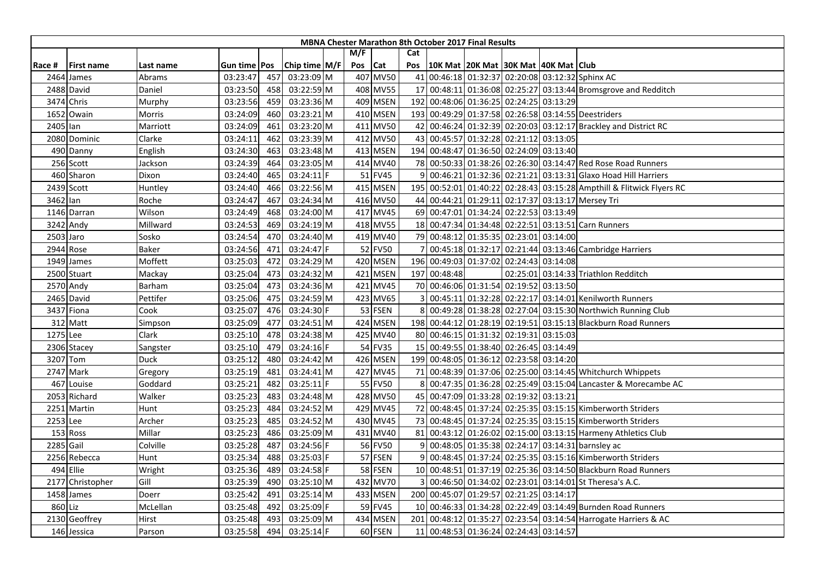|          |                   |             |                |     |                 |     |          |              | MBNA Chester Marathon 8th October 2017 Final Results |  |                                                                       |
|----------|-------------------|-------------|----------------|-----|-----------------|-----|----------|--------------|------------------------------------------------------|--|-----------------------------------------------------------------------|
|          |                   |             |                |     |                 | M/F |          | Cat          |                                                      |  |                                                                       |
| Race #   | <b>First name</b> | Last name   | Gun time   Pos |     | Chip time $M/F$ | Pos | Cat      | Pos          | 10K Mat  20K Mat  30K Mat  40K Mat   Club            |  |                                                                       |
|          | 2464 James        | Abrams      | 03:23:47       | 457 | 03:23:09 M      |     | 407 MV50 |              |                                                      |  | 41 00:46:18 01:32:37 02:20:08 03:12:32 Sphinx AC                      |
|          | 2488 David        | Daniel      | 03:23:50       | 458 | 03:22:59 M      |     | 408 MV55 |              |                                                      |  | 17 00:48:11 01:36:08 02:25:27 03:13:44 Bromsgrove and Redditch        |
|          | 3474 Chris        | Murphy      | 03:23:56       | 459 | 03:23:36 M      |     | 409 MSEN |              | 192 00:48:06 01:36:25 02:24:25 03:13:29              |  |                                                                       |
|          | 1652 Owain        | Morris      | 03:24:09       | 460 | 03:23:21 M      |     | 410 MSEN |              |                                                      |  | 193 00:49:29 01:37:58 02:26:58 03:14:55 Deestriders                   |
| 2405 Ian |                   | Marriott    | 03:24:09       | 461 | 03:23:20 M      |     | 411 MV50 |              |                                                      |  | 42 00:46:24 01:32:39 02:20:03 03:12:17 Brackley and District RC       |
|          | 2080 Dominic      | Clarke      | 03:24:11       | 462 | 03:23:39 M      |     | 412 MV50 |              | 43 00:45:57 01:32:28 02:21:12 03:13:05               |  |                                                                       |
|          | 490 Danny         | English     | 03:24:30       | 463 | 03:23:48 M      |     | 413 MSEN |              | 194 00:48:47 01:36:50 02:24:09 03:13:40              |  |                                                                       |
|          | 256 Scott         | Jackson     | 03:24:39       | 464 | 03:23:05 M      |     | 414 MV40 |              |                                                      |  | 78 00:50:33 01:38:26 02:26:30 03:14:47 Red Rose Road Runners          |
|          | 460 Sharon        | Dixon       | 03:24:40       | 465 | $03:24:11$ F    |     | 51 FV45  |              |                                                      |  | 00:46:21 01:32:36 02:21:21 03:13:31 Glaxo Hoad Hill Harriers          |
|          | 2439 Scott        | Huntley     | 03:24:40       | 466 | 03:22:56 M      |     | 415 MSEN |              |                                                      |  | 195 00:52:01 01:40:22 02:28:43 03:15:28 Ampthill & Flitwick Flyers RC |
| 3462 lan |                   | Roche       | 03:24:47       | 467 | 03:24:34 M      |     | 416 MV50 |              |                                                      |  | 44 00:44:21 01:29:11 02:17:37 03:13:17 Mersey Tri                     |
|          | 1146 Darran       | Wilson      | 03:24:49       | 468 | 03:24:00 M      |     | 417 MV45 |              | 69 00:47:01 01:34:24 02:22:53 03:13:49               |  |                                                                       |
|          | 3242 Andy         | Millward    | 03:24:53       | 469 | 03:24:19 M      |     | 418 MV55 |              |                                                      |  | 18 00:47:34 01:34:48 02:22:51 03:13:51 Carn Runners                   |
|          | 2503 Jaro         | Sosko       | 03:24:54       | 470 | 03:24:40 M      |     | 419 MV40 |              | 79 00:48:12 01:35:35 02:23:01 03:14:00               |  |                                                                       |
|          | 2944 Rose         | Baker       | 03:24:56       | 471 | 03:24:47 F      |     | 52 FV50  |              |                                                      |  | 00:45:18 01:32:17 02:21:44 03:13:46 Cambridge Harriers                |
|          | 1949 James        | Moffett     | 03:25:03       | 472 | 03:24:29 M      |     | 420 MSEN |              | 196 00:49:03 01:37:02 02:24:43 03:14:08              |  |                                                                       |
|          | 2500 Stuart       | Mackay      | 03:25:04       | 473 | 03:24:32 M      |     | 421 MSEN | 197          | 00:48:48                                             |  | 02:25:01 03:14:33 Triathlon Redditch                                  |
|          | 2570 Andy         | Barham      | 03:25:04       | 473 | 03:24:36 M      |     | 421 MV45 |              | 70 00:46:06 01:31:54 02:19:52 03:13:50               |  |                                                                       |
|          | 2465 David        | Pettifer    | 03:25:06       | 475 | 03:24:59 M      |     | 423 MV65 |              |                                                      |  | 00:45:11 01:32:28 02:22:17 03:14:01 Kenilworth Runners                |
|          | 3437 Fiona        | Cook        | 03:25:07       | 476 | 03:24:30 F      |     | 53 FSEN  |              |                                                      |  | 00:49:28 01:38:28 02:27:04 03:15:30 Northwich Running Club            |
|          | 312 Matt          | Simpson     | 03:25:09       | 477 | 03:24:51 M      |     | 424 MSEN |              |                                                      |  | 198 00:44:12 01:28:19 02:19:51 03:15:13 Blackburn Road Runners        |
| 1275 Lee |                   | Clark       | 03:25:10       | 478 | 03:24:38 M      |     | 425 MV40 |              | 80 00:46:15 01:31:32 02:19:31 03:15:03               |  |                                                                       |
|          | 2306 Stacey       | Sangster    | 03:25:10       | 479 | 03:24:16 F      |     | 54 FV35  |              | 15 00:49:55 01:38:40 02:26:45 03:14:49               |  |                                                                       |
|          | 3207 Tom          | <b>Duck</b> | 03:25:12       | 480 | 03:24:42 M      |     | 426 MSEN |              | 199 00:48:05 01:36:12 02:23:58 03:14:20              |  |                                                                       |
|          | 2747 Mark         | Gregory     | 03:25:19       | 481 | 03:24:41 M      |     | 427 MV45 |              |                                                      |  | 71 00:48:39 01:37:06 02:25:00 03:14:45 Whitchurch Whippets            |
|          | 467 Louise        | Goddard     | 03:25:21       | 482 | $03:25:11$ F    |     | 55 FV50  |              |                                                      |  | 00:47:35 01:36:28 02:25:49 03:15:04 Lancaster & Morecambe AC          |
|          | 2053 Richard      | Walker      | 03:25:23       | 483 | 03:24:48 M      |     | 428 MV50 |              | 45 00:47:09 01:33:28 02:19:32 03:13:21               |  |                                                                       |
|          | 2251 Martin       | Hunt        | 03:25:23       | 484 | 03:24:52 M      |     | 429 MV45 |              |                                                      |  | 72 00:48:45 01:37:24 02:25:35 03:15:15 Kimberworth Striders           |
| 2253 Lee |                   | Archer      | 03:25:23       | 485 | 03:24:52 M      |     | 430 MV45 |              |                                                      |  | 73 00:48:45 01:37:24 02:25:35 03:15:15 Kimberworth Striders           |
|          | 153 Ross          | Millar      | 03:25:23       | 486 | 03:25:09 M      |     | 431 MV40 |              |                                                      |  | 81 00:43:12 01:26:02 02:15:00 03:13:15 Harmeny Athletics Club         |
|          | 2285 Gail         | Colville    | 03:25:28       | 487 | 03:24:56 F      |     | 56 FV50  |              |                                                      |  | 00:48:05 01:35:38 02:24:17 03:14:31 barnsley ac                       |
|          | 2256 Rebecca      | Hunt        | 03:25:34       | 488 | 03:25:03 F      |     | 57 FSEN  | $\mathbf{q}$ |                                                      |  | 00:48:45 01:37:24 02:25:35 03:15:16 Kimberworth Striders              |
|          | 494 Ellie         | Wright      | 03:25:36       | 489 | 03:24:58 F      |     | 58 FSEN  |              |                                                      |  | 10 00:48:51 01:37:19 02:25:36 03:14:50 Blackburn Road Runners         |
| 2177     | Christopher       | Gill        | 03:25:39       | 490 | 03:25:10 M      |     | 432 MV70 |              |                                                      |  | 00:46:50 01:34:02 02:23:01 03:14:01 St Theresa's A.C.                 |
|          | 1458 James        | Doerr       | 03:25:42       | 491 | 03:25:14 M      |     | 433 MSEN |              | 200 00:45:07 01:29:57 02:21:25 03:14:17              |  |                                                                       |
|          | 860 Liz           | McLellan    | 03:25:48       | 492 | 03:25:09 F      |     | 59 FV45  |              |                                                      |  | 10 00:46:33 01:34:28 02:22:49 03:14:49 Burnden Road Runners           |
|          | 2130 Geoffrey     | Hirst       | 03:25:48       | 493 | 03:25:09 M      |     | 434 MSEN |              |                                                      |  | 201 00:48:12 01:35:27 02:23:54 03:14:54 Harrogate Harriers & AC       |
|          | 146 Jessica       | Parson      | 03:25:58       | 494 | 03:25:14 F      |     | 60 FSEN  |              | 11 00:48:53 01:36:24 02:24:43 03:14:57               |  |                                                                       |
|          |                   |             |                |     |                 |     |          |              |                                                      |  |                                                                       |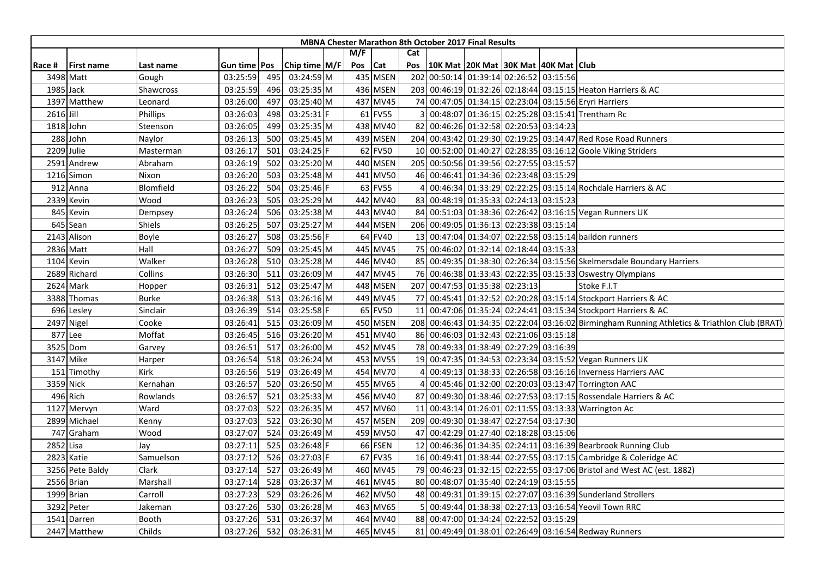|           |                   |           |              |     |               |         |          |     | <b>MBNA Chester Marathon 8th October 2017 Final Results</b> |  |                                                                                              |
|-----------|-------------------|-----------|--------------|-----|---------------|---------|----------|-----|-------------------------------------------------------------|--|----------------------------------------------------------------------------------------------|
|           |                   |           |              |     |               | M/F     |          | Cat |                                                             |  |                                                                                              |
| Race #    | <b>First name</b> | Last name | Gun time Pos |     | Chip time M/F | Pos Cat |          | Pos | 10K Mat 20K Mat 30K Mat 40K Mat Club                        |  |                                                                                              |
|           | 3498 Matt         | Gough     | 03:25:59     | 495 | 03:24:59 M    |         | 435 MSEN |     | 202 00:50:14 01:39:14 02:26:52 03:15:56                     |  |                                                                                              |
|           | 1985 Jack         | Shawcross | 03:25:59     | 496 | 03:25:35 M    |         | 436 MSEN |     |                                                             |  | 203 00:46:19 01:32:26 02:18:44 03:15:15 Heaton Harriers & AC                                 |
|           | 1397 Matthew      | Leonard   | 03:26:00     | 497 | 03:25:40 M    |         | 437 MV45 |     |                                                             |  | 74 00:47:05 01:34:15 02:23:04 03:15:56 Eryri Harriers                                        |
| 2616 Jill |                   | Phillips  | 03:26:03     | 498 | 03:25:31 F    |         | 61 FV55  |     |                                                             |  | 00:48:07 01:36:15 02:25:28 03:15:41 Trentham Rc                                              |
|           | 1818 John         | Steenson  | 03:26:05     | 499 | 03:25:35 M    |         | 438 MV40 |     | 82 00:46:26 01:32:58 02:20:53 03:14:23                      |  |                                                                                              |
|           | 288 John          | Naylor    | 03:26:13     | 500 | 03:25:45 M    |         | 439 MSEN |     |                                                             |  | 204 00:43:42 01:29:30 02:19:25 03:14:47 Red Rose Road Runners                                |
|           | 2209 Julie        | Masterman | 03:26:17     | 501 | 03:24:25 F    |         | 62 FV50  |     |                                                             |  | 10 00:52:00 01:40:27 02:28:35 03:16:12 Goole Viking Striders                                 |
|           | 2591 Andrew       | Abraham   | 03:26:19     | 502 | 03:25:20 M    |         | 440 MSEN |     | 205 00:50:56 01:39:56 02:27:55 03:15:57                     |  |                                                                                              |
|           | 1216 Simon        | Nixon     | 03:26:20     | 503 | 03:25:48 M    |         | 441 MV50 |     | 46 00:46:41 01:34:36 02:23:48 03:15:29                      |  |                                                                                              |
|           | 912 Anna          | Blomfield | 03:26:22     | 504 | 03:25:46 F    |         | 63 FV55  |     |                                                             |  | 00:46:34 01:33:29 02:22:25 03:15:14 Rochdale Harriers & AC                                   |
|           | 2339 Kevin        | Wood      | 03:26:23     | 505 | 03:25:29 M    |         | 442 MV40 |     | 83 00:48:19 01:35:33 02:24:13 03:15:23                      |  |                                                                                              |
|           | 845 Kevin         | Dempsey   | 03:26:24     | 506 | 03:25:38 M    |         | 443 MV40 |     |                                                             |  | 84 00:51:03 01:38:36 02:26:42 03:16:15 Vegan Runners UK                                      |
|           | 645 Sean          | Shiels    | 03:26:25     | 507 | 03:25:27 M    |         | 444 MSEN |     | 206 00:49:05 01:36:13 02:23:38 03:15:14                     |  |                                                                                              |
|           | 2143 Alison       | Boyle     | 03:26:27     | 508 | 03:25:56 F    |         | 64 FV40  |     |                                                             |  | 13 00:47:04 01:34:07 02:22:58 03:15:14 baildon runners                                       |
|           | 2836 Matt         | Hall      | 03:26:27     | 509 | 03:25:45 M    |         | 445 MV45 |     | 75 00:46:02 01:32:14 02:18:44 03:15:33                      |  |                                                                                              |
|           | 1104 Kevin        | Walker    | 03:26:28     | 510 | 03:25:28 M    |         | 446 MV40 |     |                                                             |  | 85 00:49:35 01:38:30 02:26:34 03:15:56 Skelmersdale Boundary Harriers                        |
|           | 2689 Richard      | Collins   | 03:26:30     | 511 | 03:26:09 M    |         | 447 MV45 |     |                                                             |  | 76 00:46:38 01:33:43 02:22:35 03:15:33 Oswestry Olympians                                    |
|           | 2624 Mark         | Hopper    | 03:26:31     | 512 | 03:25:47 M    |         | 448 MSEN |     | 207 00:47:53 01:35:38 02:23:13                              |  | Stoke F.I.T                                                                                  |
|           | 3388 Thomas       | Burke     | 03:26:38     | 513 | 03:26:16 M    |         | 449 MV45 |     |                                                             |  | 77 00:45:41 01:32:52 02:20:28 03:15:14 Stockport Harriers & AC                               |
|           | 696 Lesley        | Sinclair  | 03:26:39     | 514 | 03:25:58 F    |         | 65 FV50  | 11  |                                                             |  | 00:47:06 01:35:24 02:24:41 03:15:34 Stockport Harriers & AC                                  |
|           | 2497 Nigel        | Cooke     | 03:26:41     | 515 | 03:26:09 M    |         | 450 MSEN |     |                                                             |  | 208 00:46:43 01:34:35 02:22:04 03:16:02 Birmingham Running Athletics & Triathlon Club (BRAT) |
|           | 877 Lee           | Moffat    | 03:26:45     | 516 | 03:26:20 M    |         | 451 MV40 |     | 86 00:46:03 01:32:43 02:21:06 03:15:18                      |  |                                                                                              |
|           | 3525 Dom          | Garvey    | 03:26:51     | 517 | 03:26:00 M    |         | 452 MV45 |     | 78 00:49:33 01:38:49 02:27:29 03:16:39                      |  |                                                                                              |
|           | 3147 Mike         | Harper    | 03:26:54     | 518 | 03:26:24 M    |         | 453 MV55 |     |                                                             |  | 19 00:47:35 01:34:53 02:23:34 03:15:52 Vegan Runners UK                                      |
|           | 151 Timothy       | Kirk      | 03:26:56     | 519 | 03:26:49 M    |         | 454 MV70 |     |                                                             |  | 00:49:13 01:38:33 02:26:58 03:16:16 Inverness Harriers AAC                                   |
|           | 3359 Nick         | Kernahan  | 03:26:57     | 520 | 03:26:50 M    |         | 455 MV65 |     |                                                             |  | 00:45:46 01:32:00 02:20:03 03:13:47 Torrington AAC                                           |
|           | 496 Rich          | Rowlands  | 03:26:57     | 521 | 03:25:33 M    |         | 456 MV40 |     |                                                             |  | 87 00:49:30 01:38:46 02:27:53 03:17:15 Rossendale Harriers & AC                              |
|           | 1127 Mervyn       | Ward      | 03:27:03     | 522 | 03:26:35 M    |         | 457 MV60 |     |                                                             |  | 11 00:43:14 01:26:01 02:11:55 03:13:33 Warrington Ac                                         |
|           | 2899 Michael      | Kenny     | 03:27:03     | 522 | 03:26:30 M    |         | 457 MSEN |     | 209 00:49:30 01:38:47 02:27:54 03:17:30                     |  |                                                                                              |
|           | 747 Graham        | Wood      | 03:27:07     | 524 | 03:26:49 M    |         | 459 MV50 |     | 47 00:42:29 01:27:40 02:18:28 03:15:06                      |  |                                                                                              |
| 2852 Lisa |                   | Jay       | 03:27:11     | 525 | 03:26:48 F    |         | 66 FSEN  |     |                                                             |  | 12 00:46:36 01:34:35 02:24:11 03:16:39 Bearbrook Running Club                                |
|           | 2823 Katie        | Samuelson | 03:27:12     | 526 | 03:27:03 F    |         | 67 FV35  |     |                                                             |  | 16 00:49:41 01:38:44 02:27:55 03:17:15 Cambridge & Coleridge AC                              |
|           | 3256 Pete Baldy   | Clark     | 03:27:14     | 527 | 03:26:49 M    |         | 460 MV45 |     |                                                             |  | 79 00:46:23 01:32:15 02:22:55 03:17:06 Bristol and West AC (est. 1882)                       |
|           | 2556 Brian        | Marshall  | 03:27:14     | 528 | 03:26:37 M    |         | 461 MV45 |     | 80 00:48:07 01:35:40 02:24:19 03:15:55                      |  |                                                                                              |
|           | 1999 Brian        | Carroll   | 03:27:23     | 529 | 03:26:26 M    |         | 462 MV50 |     |                                                             |  | 48 00:49:31 01:39:15 02:27:07 03:16:39 Sunderland Strollers                                  |
|           | 3292 Peter        | Jakeman   | 03:27:26     | 530 | 03:26:28 M    |         | 463 MV65 |     |                                                             |  | 00:49:44 01:38:38 02:27:13 03:16:54 Yeovil Town RRC                                          |
| 1541      | Darren            | Booth     | 03:27:26     | 531 | 03:26:37 M    |         | 464 MV40 |     | 88 00:47:00 01:34:24 02:22:52 03:15:29                      |  |                                                                                              |
|           | 2447 Matthew      | Childs    | 03:27:26     | 532 | 03:26:31 M    |         | 465 MV45 |     |                                                             |  | 81 00:49:49 01:38:01 02:26:49 03:16:54 Redway Runners                                        |
|           |                   |           |              |     |               |         |          |     |                                                             |  |                                                                                              |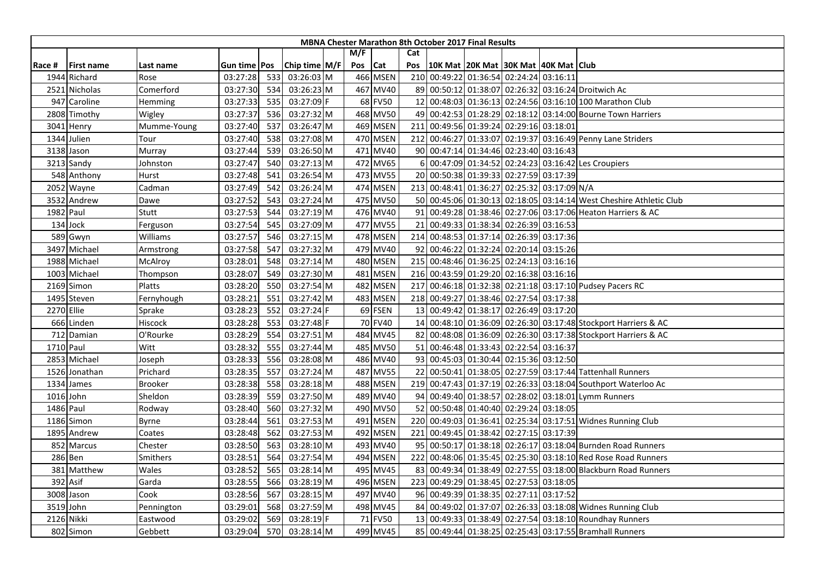| M/F<br>Cat<br>Chip time $M/F$<br>Pos Cat<br>Pos<br> 10K Mat  20K Mat  30K Mat  40K Mat  Club<br>Gun time <b>Pos</b><br>Race #<br><b>First name</b><br>Last name<br>466 MSEN<br>210 00:49:22 01:36:54 02:24:24 03:16:11<br>1944 Richard<br>03:27:28<br>03:26:03 M<br>533<br>Rose<br>467 MV40<br>89 00:50:12 01:38:07 02:26:32 03:16:24 Droitwich Ac<br>2521<br>Nicholas<br>Comerford<br>03:27:30<br>534<br>03:26:23 M<br>535<br>03:27:09 F<br>68 FV50<br>12 00:48:03 01:36:13 02:24:56 03:16:10 100 Marathon Club<br>947<br>Caroline<br>03:27:33<br>Hemming<br>03:27:37<br>468 MV50<br>49 00:42:53 01:28:29 02:18:12 03:14:00 Bourne Town Harriers<br>536<br>03:27:32 M<br>2808 Timothy<br>Wigley<br>03:27:40<br>537<br>469 MSEN<br>211 00:49:56 01:39:24 02:29:16 03:18:01<br>Mumme-Young<br>03:26:47 M<br>3041 Henry<br>470 MSEN<br>03:27:08 M<br>212 00:46:27 01:33:07 02:19:37 03:16:49 Penny Lane Striders<br>1344 Julien<br>03:27:40<br>538<br>Tour<br>03:26:50 M<br>471 MV40<br>90 00:47:14 01:34:46 02:23:40 03:16:43<br>3138 Jason<br>03:27:44<br>539<br>Murray<br>540<br>472 MV65<br>00:47:09 01:34:52 02:24:23 03:16:42 Les Croupiers<br>03:27:47<br>03:27:13 M<br>3213 Sandy<br>Johnston<br>6<br>473 MV55<br>20 00:50:38 01:39:33 02:27:59 03:17:39<br>548 Anthony<br>03:27:48<br>541<br>03:26:54 M<br>Hurst<br>474 MSEN<br>213 00:48:41 01:36:27 02:25:32 03:17:09 N/A<br>2052 Wayne<br>Cadman<br>03:27:49<br>542<br>03:26:24 M<br>475 MV50<br>03:27:52<br>03:27:24 M<br>50 00:45:06 01:30:13 02:18:05 03:14:14 West Cheshire Athletic Club<br>3532 Andrew<br>543<br>Dawe<br>03:27:19 M<br>476 MV40<br>91 00:49:28 01:38:46 02:27:06 03:17:06 Heaton Harriers & AC<br>1982 Paul<br>03:27:53<br>544<br>Stutt<br>03:27:09 M<br>477 MV55<br>21 00:49:33 01:38:34 02:26:39 03:16:53<br>134 Jock<br>03:27:54<br>545<br>Ferguson<br>03:27:15 M<br>478 MSEN<br>214 00:48:53 01:37:14 02:26:39 03:17:36<br>589 Gwyn<br>Williams<br>03:27:57<br>546<br>479 MV40<br>92 00:46:22 01:32:24 02:20:14 03:15:26<br>3497 Michael<br>03:27:58<br>03:27:32 M<br>547<br>Armstrong<br>480 MSEN<br>215 00:48:46 01:36:25 02:24:13 03:16:16<br>1988 Michael<br>03:28:01<br>548<br>03:27:14 M<br>McAlroy<br>03:27:30 M<br>481 MSEN<br>216 00:43:59 01:29:20 02:16:38 03:16:16<br>1003 Michael<br>Thompson<br>03:28:07<br>549<br>482 MSEN<br>217 00:46:18 01:32:38 02:21:18 03:17:10 Pudsey Pacers RC<br>2169 Simon<br>03:28:20<br>550<br>03:27:54 M<br>Platts<br>551<br>1495 Steven<br>03:28:21<br>03:27:42 M<br>483 MSEN<br>218 00:49:27 01:38:46 02:27:54 03:17:38<br>Fernyhough<br>69 FSEN<br>13 00:49:42 01:38:17 02:26:49 03:17:20<br>2270 Ellie<br>03:28:23<br>552<br>03:27:24 F<br>Sprake<br>70 FV40<br>14 00:48:10 01:36:09 02:26:30 03:17:48 Stockport Harriers & AC<br>666 Linden<br>Hiscock<br>03:28:28<br>553<br>03:27:48 F<br>554<br>03:27:51 M<br>484 MV45<br>82 00:48:08 01:36:09 02:26:30 03:17:38 Stockport Harriers & AC<br>712 Damian<br>O'Rourke<br>03:28:29<br>555<br>485 MV50<br>51 00:46:48 01:33:43 02:22:54 03:16:37<br>1710 Paul<br>03:28:32<br>03:27:44 M<br>Witt<br>2853 Michael<br>486 MV40<br>93 00:45:03 01:30:44 02:15:36 03:12:50<br>03:28:33<br>556<br>03:28:08 M<br>Joseph<br>557<br>03:27:24 M<br>487 MV55<br>22 00:50:41 01:38:05 02:27:59 03:17:44 Tattenhall Runners<br>1526 Jonathan<br>Prichard<br>03:28:35<br>488 MSEN<br>219 00:47:43 01:37:19 02:26:33 03:18:04 Southport Waterloo Ac<br>1334 James<br>03:28:38<br>558<br>03:28:18 M<br><b>Brooker</b><br>489 MV40<br>559<br>03:27:50 M<br>94 00:49:40 01:38:57 02:28:02 03:18:01 Lymm Runners<br>1016 John<br>Sheldon<br>03:28:39<br>490 MV50<br>1486 Paul<br>03:27:32 M<br>52 00:50:48 01:40:40 02:29:24 03:18:05<br>Rodway<br>03:28:40<br>560<br>1186 Simon<br>03:28:44<br>561<br>03:27:53 M<br>491 MSEN<br>220 00:49:03 01:36:41 02:25:34 03:17:51 Widnes Running Club<br>Byrne<br>562<br>492 MSEN<br>1895 Andrew<br>03:27:53 M<br>221 00:49:45 01:38:42 02:27:15 03:17:39<br>03:28:48<br>Coates<br>493 MV40<br>95 00:50:17 01:38:18 02:26:17 03:18:04 Burnden Road Runners<br>852 Marcus<br>03:28:50<br>563<br>03:28:10 M<br>Chester<br>494 MSEN<br>222 00:48:06 01:35:45 02:25:30 03:18:10 Red Rose Road Runners<br>286 Ben<br>Smithers<br>03:28:51<br>564<br>03:27:54 M<br>495 MV45<br>83 00:49:34 01:38:49 02:27:55 03:18:00 Blackburn Road Runners<br>381 Matthew<br>Wales<br>03:28:52<br>565<br>03:28:14 M<br>392 Asif<br>03:28:55<br>03:28:19 M<br>496 MSEN<br>223 00:49:29 01:38:45 02:27:53 03:18:05<br>566<br>Garda |  |  |  |  |  | <b>MBNA Chester Marathon 8th October 2017 Final Results</b> |  |  |
|--------------------------------------------------------------------------------------------------------------------------------------------------------------------------------------------------------------------------------------------------------------------------------------------------------------------------------------------------------------------------------------------------------------------------------------------------------------------------------------------------------------------------------------------------------------------------------------------------------------------------------------------------------------------------------------------------------------------------------------------------------------------------------------------------------------------------------------------------------------------------------------------------------------------------------------------------------------------------------------------------------------------------------------------------------------------------------------------------------------------------------------------------------------------------------------------------------------------------------------------------------------------------------------------------------------------------------------------------------------------------------------------------------------------------------------------------------------------------------------------------------------------------------------------------------------------------------------------------------------------------------------------------------------------------------------------------------------------------------------------------------------------------------------------------------------------------------------------------------------------------------------------------------------------------------------------------------------------------------------------------------------------------------------------------------------------------------------------------------------------------------------------------------------------------------------------------------------------------------------------------------------------------------------------------------------------------------------------------------------------------------------------------------------------------------------------------------------------------------------------------------------------------------------------------------------------------------------------------------------------------------------------------------------------------------------------------------------------------------------------------------------------------------------------------------------------------------------------------------------------------------------------------------------------------------------------------------------------------------------------------------------------------------------------------------------------------------------------------------------------------------------------------------------------------------------------------------------------------------------------------------------------------------------------------------------------------------------------------------------------------------------------------------------------------------------------------------------------------------------------------------------------------------------------------------------------------------------------------------------------------------------------------------------------------------------------------------------------------------------------------------------------------------------------------------------------------------------------------------------------------------------------------------------------------------------------------------------------------------------------------------------------------------------------------------------------------------------------------------------------------------------------------------------------------------------------------------------------------------------------------------------------------------------------------------------------------------------------------------------------------------------------------------------------------------------------------------------------------------------------------------------------|--|--|--|--|--|-------------------------------------------------------------|--|--|
|                                                                                                                                                                                                                                                                                                                                                                                                                                                                                                                                                                                                                                                                                                                                                                                                                                                                                                                                                                                                                                                                                                                                                                                                                                                                                                                                                                                                                                                                                                                                                                                                                                                                                                                                                                                                                                                                                                                                                                                                                                                                                                                                                                                                                                                                                                                                                                                                                                                                                                                                                                                                                                                                                                                                                                                                                                                                                                                                                                                                                                                                                                                                                                                                                                                                                                                                                                                                                                                                                                                                                                                                                                                                                                                                                                                                                                                                                                                                                                                                                                                                                                                                                                                                                                                                                                                                                                                                                                                                                                                    |  |  |  |  |  |                                                             |  |  |
|                                                                                                                                                                                                                                                                                                                                                                                                                                                                                                                                                                                                                                                                                                                                                                                                                                                                                                                                                                                                                                                                                                                                                                                                                                                                                                                                                                                                                                                                                                                                                                                                                                                                                                                                                                                                                                                                                                                                                                                                                                                                                                                                                                                                                                                                                                                                                                                                                                                                                                                                                                                                                                                                                                                                                                                                                                                                                                                                                                                                                                                                                                                                                                                                                                                                                                                                                                                                                                                                                                                                                                                                                                                                                                                                                                                                                                                                                                                                                                                                                                                                                                                                                                                                                                                                                                                                                                                                                                                                                                                    |  |  |  |  |  |                                                             |  |  |
|                                                                                                                                                                                                                                                                                                                                                                                                                                                                                                                                                                                                                                                                                                                                                                                                                                                                                                                                                                                                                                                                                                                                                                                                                                                                                                                                                                                                                                                                                                                                                                                                                                                                                                                                                                                                                                                                                                                                                                                                                                                                                                                                                                                                                                                                                                                                                                                                                                                                                                                                                                                                                                                                                                                                                                                                                                                                                                                                                                                                                                                                                                                                                                                                                                                                                                                                                                                                                                                                                                                                                                                                                                                                                                                                                                                                                                                                                                                                                                                                                                                                                                                                                                                                                                                                                                                                                                                                                                                                                                                    |  |  |  |  |  |                                                             |  |  |
|                                                                                                                                                                                                                                                                                                                                                                                                                                                                                                                                                                                                                                                                                                                                                                                                                                                                                                                                                                                                                                                                                                                                                                                                                                                                                                                                                                                                                                                                                                                                                                                                                                                                                                                                                                                                                                                                                                                                                                                                                                                                                                                                                                                                                                                                                                                                                                                                                                                                                                                                                                                                                                                                                                                                                                                                                                                                                                                                                                                                                                                                                                                                                                                                                                                                                                                                                                                                                                                                                                                                                                                                                                                                                                                                                                                                                                                                                                                                                                                                                                                                                                                                                                                                                                                                                                                                                                                                                                                                                                                    |  |  |  |  |  |                                                             |  |  |
|                                                                                                                                                                                                                                                                                                                                                                                                                                                                                                                                                                                                                                                                                                                                                                                                                                                                                                                                                                                                                                                                                                                                                                                                                                                                                                                                                                                                                                                                                                                                                                                                                                                                                                                                                                                                                                                                                                                                                                                                                                                                                                                                                                                                                                                                                                                                                                                                                                                                                                                                                                                                                                                                                                                                                                                                                                                                                                                                                                                                                                                                                                                                                                                                                                                                                                                                                                                                                                                                                                                                                                                                                                                                                                                                                                                                                                                                                                                                                                                                                                                                                                                                                                                                                                                                                                                                                                                                                                                                                                                    |  |  |  |  |  |                                                             |  |  |
|                                                                                                                                                                                                                                                                                                                                                                                                                                                                                                                                                                                                                                                                                                                                                                                                                                                                                                                                                                                                                                                                                                                                                                                                                                                                                                                                                                                                                                                                                                                                                                                                                                                                                                                                                                                                                                                                                                                                                                                                                                                                                                                                                                                                                                                                                                                                                                                                                                                                                                                                                                                                                                                                                                                                                                                                                                                                                                                                                                                                                                                                                                                                                                                                                                                                                                                                                                                                                                                                                                                                                                                                                                                                                                                                                                                                                                                                                                                                                                                                                                                                                                                                                                                                                                                                                                                                                                                                                                                                                                                    |  |  |  |  |  |                                                             |  |  |
|                                                                                                                                                                                                                                                                                                                                                                                                                                                                                                                                                                                                                                                                                                                                                                                                                                                                                                                                                                                                                                                                                                                                                                                                                                                                                                                                                                                                                                                                                                                                                                                                                                                                                                                                                                                                                                                                                                                                                                                                                                                                                                                                                                                                                                                                                                                                                                                                                                                                                                                                                                                                                                                                                                                                                                                                                                                                                                                                                                                                                                                                                                                                                                                                                                                                                                                                                                                                                                                                                                                                                                                                                                                                                                                                                                                                                                                                                                                                                                                                                                                                                                                                                                                                                                                                                                                                                                                                                                                                                                                    |  |  |  |  |  |                                                             |  |  |
|                                                                                                                                                                                                                                                                                                                                                                                                                                                                                                                                                                                                                                                                                                                                                                                                                                                                                                                                                                                                                                                                                                                                                                                                                                                                                                                                                                                                                                                                                                                                                                                                                                                                                                                                                                                                                                                                                                                                                                                                                                                                                                                                                                                                                                                                                                                                                                                                                                                                                                                                                                                                                                                                                                                                                                                                                                                                                                                                                                                                                                                                                                                                                                                                                                                                                                                                                                                                                                                                                                                                                                                                                                                                                                                                                                                                                                                                                                                                                                                                                                                                                                                                                                                                                                                                                                                                                                                                                                                                                                                    |  |  |  |  |  |                                                             |  |  |
|                                                                                                                                                                                                                                                                                                                                                                                                                                                                                                                                                                                                                                                                                                                                                                                                                                                                                                                                                                                                                                                                                                                                                                                                                                                                                                                                                                                                                                                                                                                                                                                                                                                                                                                                                                                                                                                                                                                                                                                                                                                                                                                                                                                                                                                                                                                                                                                                                                                                                                                                                                                                                                                                                                                                                                                                                                                                                                                                                                                                                                                                                                                                                                                                                                                                                                                                                                                                                                                                                                                                                                                                                                                                                                                                                                                                                                                                                                                                                                                                                                                                                                                                                                                                                                                                                                                                                                                                                                                                                                                    |  |  |  |  |  |                                                             |  |  |
|                                                                                                                                                                                                                                                                                                                                                                                                                                                                                                                                                                                                                                                                                                                                                                                                                                                                                                                                                                                                                                                                                                                                                                                                                                                                                                                                                                                                                                                                                                                                                                                                                                                                                                                                                                                                                                                                                                                                                                                                                                                                                                                                                                                                                                                                                                                                                                                                                                                                                                                                                                                                                                                                                                                                                                                                                                                                                                                                                                                                                                                                                                                                                                                                                                                                                                                                                                                                                                                                                                                                                                                                                                                                                                                                                                                                                                                                                                                                                                                                                                                                                                                                                                                                                                                                                                                                                                                                                                                                                                                    |  |  |  |  |  |                                                             |  |  |
|                                                                                                                                                                                                                                                                                                                                                                                                                                                                                                                                                                                                                                                                                                                                                                                                                                                                                                                                                                                                                                                                                                                                                                                                                                                                                                                                                                                                                                                                                                                                                                                                                                                                                                                                                                                                                                                                                                                                                                                                                                                                                                                                                                                                                                                                                                                                                                                                                                                                                                                                                                                                                                                                                                                                                                                                                                                                                                                                                                                                                                                                                                                                                                                                                                                                                                                                                                                                                                                                                                                                                                                                                                                                                                                                                                                                                                                                                                                                                                                                                                                                                                                                                                                                                                                                                                                                                                                                                                                                                                                    |  |  |  |  |  |                                                             |  |  |
|                                                                                                                                                                                                                                                                                                                                                                                                                                                                                                                                                                                                                                                                                                                                                                                                                                                                                                                                                                                                                                                                                                                                                                                                                                                                                                                                                                                                                                                                                                                                                                                                                                                                                                                                                                                                                                                                                                                                                                                                                                                                                                                                                                                                                                                                                                                                                                                                                                                                                                                                                                                                                                                                                                                                                                                                                                                                                                                                                                                                                                                                                                                                                                                                                                                                                                                                                                                                                                                                                                                                                                                                                                                                                                                                                                                                                                                                                                                                                                                                                                                                                                                                                                                                                                                                                                                                                                                                                                                                                                                    |  |  |  |  |  |                                                             |  |  |
|                                                                                                                                                                                                                                                                                                                                                                                                                                                                                                                                                                                                                                                                                                                                                                                                                                                                                                                                                                                                                                                                                                                                                                                                                                                                                                                                                                                                                                                                                                                                                                                                                                                                                                                                                                                                                                                                                                                                                                                                                                                                                                                                                                                                                                                                                                                                                                                                                                                                                                                                                                                                                                                                                                                                                                                                                                                                                                                                                                                                                                                                                                                                                                                                                                                                                                                                                                                                                                                                                                                                                                                                                                                                                                                                                                                                                                                                                                                                                                                                                                                                                                                                                                                                                                                                                                                                                                                                                                                                                                                    |  |  |  |  |  |                                                             |  |  |
|                                                                                                                                                                                                                                                                                                                                                                                                                                                                                                                                                                                                                                                                                                                                                                                                                                                                                                                                                                                                                                                                                                                                                                                                                                                                                                                                                                                                                                                                                                                                                                                                                                                                                                                                                                                                                                                                                                                                                                                                                                                                                                                                                                                                                                                                                                                                                                                                                                                                                                                                                                                                                                                                                                                                                                                                                                                                                                                                                                                                                                                                                                                                                                                                                                                                                                                                                                                                                                                                                                                                                                                                                                                                                                                                                                                                                                                                                                                                                                                                                                                                                                                                                                                                                                                                                                                                                                                                                                                                                                                    |  |  |  |  |  |                                                             |  |  |
|                                                                                                                                                                                                                                                                                                                                                                                                                                                                                                                                                                                                                                                                                                                                                                                                                                                                                                                                                                                                                                                                                                                                                                                                                                                                                                                                                                                                                                                                                                                                                                                                                                                                                                                                                                                                                                                                                                                                                                                                                                                                                                                                                                                                                                                                                                                                                                                                                                                                                                                                                                                                                                                                                                                                                                                                                                                                                                                                                                                                                                                                                                                                                                                                                                                                                                                                                                                                                                                                                                                                                                                                                                                                                                                                                                                                                                                                                                                                                                                                                                                                                                                                                                                                                                                                                                                                                                                                                                                                                                                    |  |  |  |  |  |                                                             |  |  |
|                                                                                                                                                                                                                                                                                                                                                                                                                                                                                                                                                                                                                                                                                                                                                                                                                                                                                                                                                                                                                                                                                                                                                                                                                                                                                                                                                                                                                                                                                                                                                                                                                                                                                                                                                                                                                                                                                                                                                                                                                                                                                                                                                                                                                                                                                                                                                                                                                                                                                                                                                                                                                                                                                                                                                                                                                                                                                                                                                                                                                                                                                                                                                                                                                                                                                                                                                                                                                                                                                                                                                                                                                                                                                                                                                                                                                                                                                                                                                                                                                                                                                                                                                                                                                                                                                                                                                                                                                                                                                                                    |  |  |  |  |  |                                                             |  |  |
|                                                                                                                                                                                                                                                                                                                                                                                                                                                                                                                                                                                                                                                                                                                                                                                                                                                                                                                                                                                                                                                                                                                                                                                                                                                                                                                                                                                                                                                                                                                                                                                                                                                                                                                                                                                                                                                                                                                                                                                                                                                                                                                                                                                                                                                                                                                                                                                                                                                                                                                                                                                                                                                                                                                                                                                                                                                                                                                                                                                                                                                                                                                                                                                                                                                                                                                                                                                                                                                                                                                                                                                                                                                                                                                                                                                                                                                                                                                                                                                                                                                                                                                                                                                                                                                                                                                                                                                                                                                                                                                    |  |  |  |  |  |                                                             |  |  |
|                                                                                                                                                                                                                                                                                                                                                                                                                                                                                                                                                                                                                                                                                                                                                                                                                                                                                                                                                                                                                                                                                                                                                                                                                                                                                                                                                                                                                                                                                                                                                                                                                                                                                                                                                                                                                                                                                                                                                                                                                                                                                                                                                                                                                                                                                                                                                                                                                                                                                                                                                                                                                                                                                                                                                                                                                                                                                                                                                                                                                                                                                                                                                                                                                                                                                                                                                                                                                                                                                                                                                                                                                                                                                                                                                                                                                                                                                                                                                                                                                                                                                                                                                                                                                                                                                                                                                                                                                                                                                                                    |  |  |  |  |  |                                                             |  |  |
|                                                                                                                                                                                                                                                                                                                                                                                                                                                                                                                                                                                                                                                                                                                                                                                                                                                                                                                                                                                                                                                                                                                                                                                                                                                                                                                                                                                                                                                                                                                                                                                                                                                                                                                                                                                                                                                                                                                                                                                                                                                                                                                                                                                                                                                                                                                                                                                                                                                                                                                                                                                                                                                                                                                                                                                                                                                                                                                                                                                                                                                                                                                                                                                                                                                                                                                                                                                                                                                                                                                                                                                                                                                                                                                                                                                                                                                                                                                                                                                                                                                                                                                                                                                                                                                                                                                                                                                                                                                                                                                    |  |  |  |  |  |                                                             |  |  |
|                                                                                                                                                                                                                                                                                                                                                                                                                                                                                                                                                                                                                                                                                                                                                                                                                                                                                                                                                                                                                                                                                                                                                                                                                                                                                                                                                                                                                                                                                                                                                                                                                                                                                                                                                                                                                                                                                                                                                                                                                                                                                                                                                                                                                                                                                                                                                                                                                                                                                                                                                                                                                                                                                                                                                                                                                                                                                                                                                                                                                                                                                                                                                                                                                                                                                                                                                                                                                                                                                                                                                                                                                                                                                                                                                                                                                                                                                                                                                                                                                                                                                                                                                                                                                                                                                                                                                                                                                                                                                                                    |  |  |  |  |  |                                                             |  |  |
|                                                                                                                                                                                                                                                                                                                                                                                                                                                                                                                                                                                                                                                                                                                                                                                                                                                                                                                                                                                                                                                                                                                                                                                                                                                                                                                                                                                                                                                                                                                                                                                                                                                                                                                                                                                                                                                                                                                                                                                                                                                                                                                                                                                                                                                                                                                                                                                                                                                                                                                                                                                                                                                                                                                                                                                                                                                                                                                                                                                                                                                                                                                                                                                                                                                                                                                                                                                                                                                                                                                                                                                                                                                                                                                                                                                                                                                                                                                                                                                                                                                                                                                                                                                                                                                                                                                                                                                                                                                                                                                    |  |  |  |  |  |                                                             |  |  |
|                                                                                                                                                                                                                                                                                                                                                                                                                                                                                                                                                                                                                                                                                                                                                                                                                                                                                                                                                                                                                                                                                                                                                                                                                                                                                                                                                                                                                                                                                                                                                                                                                                                                                                                                                                                                                                                                                                                                                                                                                                                                                                                                                                                                                                                                                                                                                                                                                                                                                                                                                                                                                                                                                                                                                                                                                                                                                                                                                                                                                                                                                                                                                                                                                                                                                                                                                                                                                                                                                                                                                                                                                                                                                                                                                                                                                                                                                                                                                                                                                                                                                                                                                                                                                                                                                                                                                                                                                                                                                                                    |  |  |  |  |  |                                                             |  |  |
|                                                                                                                                                                                                                                                                                                                                                                                                                                                                                                                                                                                                                                                                                                                                                                                                                                                                                                                                                                                                                                                                                                                                                                                                                                                                                                                                                                                                                                                                                                                                                                                                                                                                                                                                                                                                                                                                                                                                                                                                                                                                                                                                                                                                                                                                                                                                                                                                                                                                                                                                                                                                                                                                                                                                                                                                                                                                                                                                                                                                                                                                                                                                                                                                                                                                                                                                                                                                                                                                                                                                                                                                                                                                                                                                                                                                                                                                                                                                                                                                                                                                                                                                                                                                                                                                                                                                                                                                                                                                                                                    |  |  |  |  |  |                                                             |  |  |
|                                                                                                                                                                                                                                                                                                                                                                                                                                                                                                                                                                                                                                                                                                                                                                                                                                                                                                                                                                                                                                                                                                                                                                                                                                                                                                                                                                                                                                                                                                                                                                                                                                                                                                                                                                                                                                                                                                                                                                                                                                                                                                                                                                                                                                                                                                                                                                                                                                                                                                                                                                                                                                                                                                                                                                                                                                                                                                                                                                                                                                                                                                                                                                                                                                                                                                                                                                                                                                                                                                                                                                                                                                                                                                                                                                                                                                                                                                                                                                                                                                                                                                                                                                                                                                                                                                                                                                                                                                                                                                                    |  |  |  |  |  |                                                             |  |  |
|                                                                                                                                                                                                                                                                                                                                                                                                                                                                                                                                                                                                                                                                                                                                                                                                                                                                                                                                                                                                                                                                                                                                                                                                                                                                                                                                                                                                                                                                                                                                                                                                                                                                                                                                                                                                                                                                                                                                                                                                                                                                                                                                                                                                                                                                                                                                                                                                                                                                                                                                                                                                                                                                                                                                                                                                                                                                                                                                                                                                                                                                                                                                                                                                                                                                                                                                                                                                                                                                                                                                                                                                                                                                                                                                                                                                                                                                                                                                                                                                                                                                                                                                                                                                                                                                                                                                                                                                                                                                                                                    |  |  |  |  |  |                                                             |  |  |
|                                                                                                                                                                                                                                                                                                                                                                                                                                                                                                                                                                                                                                                                                                                                                                                                                                                                                                                                                                                                                                                                                                                                                                                                                                                                                                                                                                                                                                                                                                                                                                                                                                                                                                                                                                                                                                                                                                                                                                                                                                                                                                                                                                                                                                                                                                                                                                                                                                                                                                                                                                                                                                                                                                                                                                                                                                                                                                                                                                                                                                                                                                                                                                                                                                                                                                                                                                                                                                                                                                                                                                                                                                                                                                                                                                                                                                                                                                                                                                                                                                                                                                                                                                                                                                                                                                                                                                                                                                                                                                                    |  |  |  |  |  |                                                             |  |  |
|                                                                                                                                                                                                                                                                                                                                                                                                                                                                                                                                                                                                                                                                                                                                                                                                                                                                                                                                                                                                                                                                                                                                                                                                                                                                                                                                                                                                                                                                                                                                                                                                                                                                                                                                                                                                                                                                                                                                                                                                                                                                                                                                                                                                                                                                                                                                                                                                                                                                                                                                                                                                                                                                                                                                                                                                                                                                                                                                                                                                                                                                                                                                                                                                                                                                                                                                                                                                                                                                                                                                                                                                                                                                                                                                                                                                                                                                                                                                                                                                                                                                                                                                                                                                                                                                                                                                                                                                                                                                                                                    |  |  |  |  |  |                                                             |  |  |
|                                                                                                                                                                                                                                                                                                                                                                                                                                                                                                                                                                                                                                                                                                                                                                                                                                                                                                                                                                                                                                                                                                                                                                                                                                                                                                                                                                                                                                                                                                                                                                                                                                                                                                                                                                                                                                                                                                                                                                                                                                                                                                                                                                                                                                                                                                                                                                                                                                                                                                                                                                                                                                                                                                                                                                                                                                                                                                                                                                                                                                                                                                                                                                                                                                                                                                                                                                                                                                                                                                                                                                                                                                                                                                                                                                                                                                                                                                                                                                                                                                                                                                                                                                                                                                                                                                                                                                                                                                                                                                                    |  |  |  |  |  |                                                             |  |  |
|                                                                                                                                                                                                                                                                                                                                                                                                                                                                                                                                                                                                                                                                                                                                                                                                                                                                                                                                                                                                                                                                                                                                                                                                                                                                                                                                                                                                                                                                                                                                                                                                                                                                                                                                                                                                                                                                                                                                                                                                                                                                                                                                                                                                                                                                                                                                                                                                                                                                                                                                                                                                                                                                                                                                                                                                                                                                                                                                                                                                                                                                                                                                                                                                                                                                                                                                                                                                                                                                                                                                                                                                                                                                                                                                                                                                                                                                                                                                                                                                                                                                                                                                                                                                                                                                                                                                                                                                                                                                                                                    |  |  |  |  |  |                                                             |  |  |
|                                                                                                                                                                                                                                                                                                                                                                                                                                                                                                                                                                                                                                                                                                                                                                                                                                                                                                                                                                                                                                                                                                                                                                                                                                                                                                                                                                                                                                                                                                                                                                                                                                                                                                                                                                                                                                                                                                                                                                                                                                                                                                                                                                                                                                                                                                                                                                                                                                                                                                                                                                                                                                                                                                                                                                                                                                                                                                                                                                                                                                                                                                                                                                                                                                                                                                                                                                                                                                                                                                                                                                                                                                                                                                                                                                                                                                                                                                                                                                                                                                                                                                                                                                                                                                                                                                                                                                                                                                                                                                                    |  |  |  |  |  |                                                             |  |  |
|                                                                                                                                                                                                                                                                                                                                                                                                                                                                                                                                                                                                                                                                                                                                                                                                                                                                                                                                                                                                                                                                                                                                                                                                                                                                                                                                                                                                                                                                                                                                                                                                                                                                                                                                                                                                                                                                                                                                                                                                                                                                                                                                                                                                                                                                                                                                                                                                                                                                                                                                                                                                                                                                                                                                                                                                                                                                                                                                                                                                                                                                                                                                                                                                                                                                                                                                                                                                                                                                                                                                                                                                                                                                                                                                                                                                                                                                                                                                                                                                                                                                                                                                                                                                                                                                                                                                                                                                                                                                                                                    |  |  |  |  |  |                                                             |  |  |
|                                                                                                                                                                                                                                                                                                                                                                                                                                                                                                                                                                                                                                                                                                                                                                                                                                                                                                                                                                                                                                                                                                                                                                                                                                                                                                                                                                                                                                                                                                                                                                                                                                                                                                                                                                                                                                                                                                                                                                                                                                                                                                                                                                                                                                                                                                                                                                                                                                                                                                                                                                                                                                                                                                                                                                                                                                                                                                                                                                                                                                                                                                                                                                                                                                                                                                                                                                                                                                                                                                                                                                                                                                                                                                                                                                                                                                                                                                                                                                                                                                                                                                                                                                                                                                                                                                                                                                                                                                                                                                                    |  |  |  |  |  |                                                             |  |  |
|                                                                                                                                                                                                                                                                                                                                                                                                                                                                                                                                                                                                                                                                                                                                                                                                                                                                                                                                                                                                                                                                                                                                                                                                                                                                                                                                                                                                                                                                                                                                                                                                                                                                                                                                                                                                                                                                                                                                                                                                                                                                                                                                                                                                                                                                                                                                                                                                                                                                                                                                                                                                                                                                                                                                                                                                                                                                                                                                                                                                                                                                                                                                                                                                                                                                                                                                                                                                                                                                                                                                                                                                                                                                                                                                                                                                                                                                                                                                                                                                                                                                                                                                                                                                                                                                                                                                                                                                                                                                                                                    |  |  |  |  |  |                                                             |  |  |
|                                                                                                                                                                                                                                                                                                                                                                                                                                                                                                                                                                                                                                                                                                                                                                                                                                                                                                                                                                                                                                                                                                                                                                                                                                                                                                                                                                                                                                                                                                                                                                                                                                                                                                                                                                                                                                                                                                                                                                                                                                                                                                                                                                                                                                                                                                                                                                                                                                                                                                                                                                                                                                                                                                                                                                                                                                                                                                                                                                                                                                                                                                                                                                                                                                                                                                                                                                                                                                                                                                                                                                                                                                                                                                                                                                                                                                                                                                                                                                                                                                                                                                                                                                                                                                                                                                                                                                                                                                                                                                                    |  |  |  |  |  |                                                             |  |  |
|                                                                                                                                                                                                                                                                                                                                                                                                                                                                                                                                                                                                                                                                                                                                                                                                                                                                                                                                                                                                                                                                                                                                                                                                                                                                                                                                                                                                                                                                                                                                                                                                                                                                                                                                                                                                                                                                                                                                                                                                                                                                                                                                                                                                                                                                                                                                                                                                                                                                                                                                                                                                                                                                                                                                                                                                                                                                                                                                                                                                                                                                                                                                                                                                                                                                                                                                                                                                                                                                                                                                                                                                                                                                                                                                                                                                                                                                                                                                                                                                                                                                                                                                                                                                                                                                                                                                                                                                                                                                                                                    |  |  |  |  |  |                                                             |  |  |
|                                                                                                                                                                                                                                                                                                                                                                                                                                                                                                                                                                                                                                                                                                                                                                                                                                                                                                                                                                                                                                                                                                                                                                                                                                                                                                                                                                                                                                                                                                                                                                                                                                                                                                                                                                                                                                                                                                                                                                                                                                                                                                                                                                                                                                                                                                                                                                                                                                                                                                                                                                                                                                                                                                                                                                                                                                                                                                                                                                                                                                                                                                                                                                                                                                                                                                                                                                                                                                                                                                                                                                                                                                                                                                                                                                                                                                                                                                                                                                                                                                                                                                                                                                                                                                                                                                                                                                                                                                                                                                                    |  |  |  |  |  |                                                             |  |  |
| 3008 Jason<br>497 MV40<br>96 00:49:39 01:38:35 02:27:11 03:17:52<br>Cook<br>03:28:56<br>567<br>$03:28:15$ M                                                                                                                                                                                                                                                                                                                                                                                                                                                                                                                                                                                                                                                                                                                                                                                                                                                                                                                                                                                                                                                                                                                                                                                                                                                                                                                                                                                                                                                                                                                                                                                                                                                                                                                                                                                                                                                                                                                                                                                                                                                                                                                                                                                                                                                                                                                                                                                                                                                                                                                                                                                                                                                                                                                                                                                                                                                                                                                                                                                                                                                                                                                                                                                                                                                                                                                                                                                                                                                                                                                                                                                                                                                                                                                                                                                                                                                                                                                                                                                                                                                                                                                                                                                                                                                                                                                                                                                                        |  |  |  |  |  |                                                             |  |  |
| 498 MV45<br>3519 John<br>03:29:01<br>568<br>03:27:59 M<br>84 00:49:02 01:37:07 02:26:33 03:18:08 Widnes Running Club<br>Pennington                                                                                                                                                                                                                                                                                                                                                                                                                                                                                                                                                                                                                                                                                                                                                                                                                                                                                                                                                                                                                                                                                                                                                                                                                                                                                                                                                                                                                                                                                                                                                                                                                                                                                                                                                                                                                                                                                                                                                                                                                                                                                                                                                                                                                                                                                                                                                                                                                                                                                                                                                                                                                                                                                                                                                                                                                                                                                                                                                                                                                                                                                                                                                                                                                                                                                                                                                                                                                                                                                                                                                                                                                                                                                                                                                                                                                                                                                                                                                                                                                                                                                                                                                                                                                                                                                                                                                                                 |  |  |  |  |  |                                                             |  |  |
| 2126 Nikki<br>03:28:19 F<br>71 FV50<br>13 00:49:33 01:38:49 02:27:54 03:18:10 Roundhay Runners<br>03:29:02<br>569<br>Eastwood                                                                                                                                                                                                                                                                                                                                                                                                                                                                                                                                                                                                                                                                                                                                                                                                                                                                                                                                                                                                                                                                                                                                                                                                                                                                                                                                                                                                                                                                                                                                                                                                                                                                                                                                                                                                                                                                                                                                                                                                                                                                                                                                                                                                                                                                                                                                                                                                                                                                                                                                                                                                                                                                                                                                                                                                                                                                                                                                                                                                                                                                                                                                                                                                                                                                                                                                                                                                                                                                                                                                                                                                                                                                                                                                                                                                                                                                                                                                                                                                                                                                                                                                                                                                                                                                                                                                                                                      |  |  |  |  |  |                                                             |  |  |
| 570<br>499 MV45<br>85 00:49:44 01:38:25 02:25:43 03:17:55 Bramhall Runners<br>802 Simon<br>03:29:04<br>03:28:14 M<br>Gebbett                                                                                                                                                                                                                                                                                                                                                                                                                                                                                                                                                                                                                                                                                                                                                                                                                                                                                                                                                                                                                                                                                                                                                                                                                                                                                                                                                                                                                                                                                                                                                                                                                                                                                                                                                                                                                                                                                                                                                                                                                                                                                                                                                                                                                                                                                                                                                                                                                                                                                                                                                                                                                                                                                                                                                                                                                                                                                                                                                                                                                                                                                                                                                                                                                                                                                                                                                                                                                                                                                                                                                                                                                                                                                                                                                                                                                                                                                                                                                                                                                                                                                                                                                                                                                                                                                                                                                                                       |  |  |  |  |  |                                                             |  |  |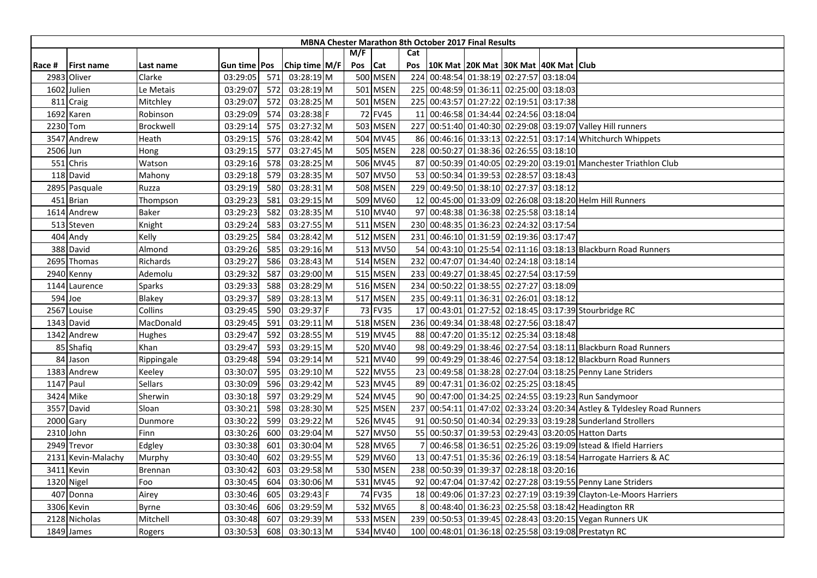|          |                    |            |              |     |               |         |                 |     | <b>MBNA Chester Marathon 8th October 2017 Final Results</b> |  |                                                                         |
|----------|--------------------|------------|--------------|-----|---------------|---------|-----------------|-----|-------------------------------------------------------------|--|-------------------------------------------------------------------------|
|          |                    |            |              |     |               | M/F     |                 | Cat |                                                             |  |                                                                         |
| Race #   | <b>First name</b>  | Last name  | Gun time Pos |     | Chip time M/F | Pos Cat |                 | Pos | 10K Mat   20K Mat   30K Mat   40K Mat   Club                |  |                                                                         |
|          | 2983 Oliver        | Clarke     | 03:29:05     | 571 | 03:28:19 M    |         | <b>500 MSEN</b> | 224 | 00:48:54 01:38:19 02:27:57 03:18:04                         |  |                                                                         |
|          | 1602 Julien        | Le Metais  | 03:29:07     | 572 | 03:28:19 M    |         | 501 MSEN        |     | 225 00:48:59 01:36:11 02:25:00 03:18:03                     |  |                                                                         |
|          | 811 Craig          | Mitchley   | 03:29:07     | 572 | 03:28:25 M    |         | 501 MSEN        |     | 225 00:43:57 01:27:22 02:19:51 03:17:38                     |  |                                                                         |
|          | 1692 Karen         | Robinson   | 03:29:09     | 574 | 03:28:38 F    |         | 72 FV45         |     | 11 00:46:58 01:34:44 02:24:56 03:18:04                      |  |                                                                         |
|          | 2230 Tom           | Brockwell  | 03:29:14     | 575 | 03:27:32 M    |         | 503 MSEN        |     |                                                             |  | 227 00:51:40 01:40:30 02:29:08 03:19:07 Valley Hill runners             |
|          | 3547 Andrew        | Heath      | 03:29:15     | 576 | 03:28:42 M    |         | 504 MV45        |     |                                                             |  | 86 00:46:16 01:33:13 02:22:51 03:17:14 Whitchurch Whippets              |
| 2506 Jun |                    | Hong       | 03:29:15     | 577 | 03:27:45 M    |         | 505 MSEN        |     | 228 00:50:27 01:38:36 02:26:55 03:18:10                     |  |                                                                         |
|          | 551 Chris          | Watson     | 03:29:16     | 578 | 03:28:25 M    |         | 506 MV45        |     |                                                             |  | 87 00:50:39 01:40:05 02:29:20 03:19:01 Manchester Triathlon Club        |
|          | 118 David          | Mahony     | 03:29:18     | 579 | 03:28:35 M    |         | 507 MV50        |     | 53 00:50:34 01:39:53 02:28:57 03:18:43                      |  |                                                                         |
|          | 2895 Pasquale      | Ruzza      | 03:29:19     | 580 | 03:28:31 M    |         | 508 MSEN        |     | 229 00:49:50 01:38:10 02:27:37 03:18:12                     |  |                                                                         |
|          | 451 Brian          | Thompson   | 03:29:23     | 581 | 03:29:15 M    |         | 509 MV60        |     |                                                             |  | 12 00:45:00 01:33:09 02:26:08 03:18:20 Helm Hill Runners                |
|          | 1614 Andrew        | Baker      | 03:29:23     | 582 | 03:28:35 M    |         | 510 MV40        |     | 97 00:48:38 01:36:38 02:25:58 03:18:14                      |  |                                                                         |
|          | 513 Steven         | Knight     | 03:29:24     | 583 | 03:27:55 M    |         | <b>511 MSEN</b> |     | 230 00:48:35 01:36:23 02:24:32 03:17:54                     |  |                                                                         |
|          | 404 Andy           | Kelly      | 03:29:25     | 584 | 03:28:42 M    |         | <b>512 MSEN</b> |     | 231 00:46:10 01:31:59 02:19:36 03:17:47                     |  |                                                                         |
|          | 388 David          | Almond     | 03:29:26     | 585 | 03:29:16 M    |         | 513 MV50        |     |                                                             |  | 54 00:43:10 01:25:54 02:11:16 03:18:13 Blackburn Road Runners           |
|          | 2695 Thomas        | Richards   | 03:29:27     | 586 | 03:28:43 M    |         | 514 MSEN        |     | 232 00:47:07 01:34:40 02:24:18 03:18:14                     |  |                                                                         |
|          | 2940 Kenny         | Ademolu    | 03:29:32     | 587 | 03:29:00 M    |         | 515 MSEN        | 233 | 00:49:27 01:38:45 02:27:54 03:17:59                         |  |                                                                         |
|          | 1144 Laurence      | Sparks     | 03:29:33     | 588 | 03:28:29 M    |         | 516 MSEN        | 234 | 00:50:22 01:38:55 02:27:27 03:18:09                         |  |                                                                         |
|          | 594 Joe            | Blakey     | 03:29:37     | 589 | 03:28:13 M    |         | 517 MSEN        |     | 235 00:49:11 01:36:31 02:26:01 03:18:12                     |  |                                                                         |
|          | 2567 Louise        | Collins    | 03:29:45     | 590 | 03:29:37 F    |         | 73 FV35         |     |                                                             |  | 17 00:43:01 01:27:52 02:18:45 03:17:39 Stourbridge RC                   |
|          | 1343 David         | MacDonald  | 03:29:45     | 591 | $03:29:11$ M  |         | 518 MSEN        |     | 236 00:49:34 01:38:48 02:27:56 03:18:47                     |  |                                                                         |
|          | 1342 Andrew        | Hughes     | 03:29:47     | 592 | 03:28:55 M    |         | 519 MV45        |     | 88 00:47:20 01:35:12 02:25:34 03:18:48                      |  |                                                                         |
|          | 85 Shafiq          | Khan       | 03:29:47     | 593 | 03:29:15 M    |         | 520 MV40        |     |                                                             |  | 98 00:49:29 01:38:46 02:27:54 03:18:11 Blackburn Road Runners           |
|          | 84 Jason           | Rippingale | 03:29:48     | 594 | $03:29:14$ M  |         | 521 MV40        |     |                                                             |  | 99 00:49:29 01:38:46 02:27:54 03:18:12 Blackburn Road Runners           |
|          | 1383 Andrew        | Keeley     | 03:30:07     | 595 | 03:29:10 M    |         | 522 MV55        |     |                                                             |  | 23 00:49:58 01:38:28 02:27:04 03:18:25 Penny Lane Striders              |
|          | 1147 Paul          | Sellars    | 03:30:09     | 596 | 03:29:42 M    |         | 523 MV45        |     | 89 00:47:31 01:36:02 02:25:25 03:18:45                      |  |                                                                         |
|          | 3424 Mike          | Sherwin    | 03:30:18     | 597 | 03:29:29 M    |         | 524 MV45        |     |                                                             |  | 90 00:47:00 01:34:25 02:24:55 03:19:23 Run Sandymoor                    |
|          | 3557 David         | Sloan      | 03:30:21     | 598 | 03:28:30 M    |         | 525 MSEN        |     |                                                             |  | 237 00:54:11 01:47:02 02:33:24 03:20:34 Astley & Tyldesley Road Runners |
|          | 2000 Gary          | Dunmore    | 03:30:22     | 599 | 03:29:22 M    |         | 526 MV45        |     |                                                             |  | 91 00:50:50 01:40:34 02:29:33 03:19:28 Sunderland Strollers             |
|          | 2310 John          | Finn       | 03:30:26     | 600 | 03:29:04 M    |         | 527 MV50        |     |                                                             |  | 55 00:50:37 01:39:53 02:29:43 03:20:05 Hatton Darts                     |
|          | 2949 Trevor        | Edgley     | 03:30:38     | 601 | 03:30:04 M    |         | 528 MV65        |     |                                                             |  | 00:46:58 01:36:51 02:25:26 03:19:09 Istead & Ifield Harriers            |
|          | 2131 Kevin-Malachy | Murphy     | 03:30:40     | 602 | 03:29:55 M    |         | 529 MV60        |     |                                                             |  | 13 00:47:51 01:35:36 02:26:19 03:18:54 Harrogate Harriers & AC          |
| 3411     | Kevin              | Brennan    | 03:30:42     | 603 | 03:29:58 M    |         | 530 MSEN        |     | 238 00:50:39 01:39:37 02:28:18 03:20:16                     |  |                                                                         |
|          | 1320 Nigel         | Foo        | 03:30:45     | 604 | 03:30:06 M    |         | 531 MV45        |     |                                                             |  | 92 00:47:04 01:37:42 02:27:28 03:19:55 Penny Lane Striders              |
|          | 407 Donna          | Airey      | 03:30:46     | 605 | 03:29:43 F    |         | 74 FV35         |     |                                                             |  | 18 00:49:06 01:37:23 02:27:19 03:19:39 Clayton-Le-Moors Harriers        |
|          | 3306 Kevin         | Byrne      | 03:30:46     | 606 | 03:29:59 M    |         | 532 MV65        | 8   |                                                             |  | 00:48:40 01:36:23 02:25:58 03:18:42 Headington RR                       |
|          | 2128 Nicholas      | Mitchell   | 03:30:48     | 607 | 03:29:39 M    |         | 533 MSEN        |     |                                                             |  | 239 00:50:53 01:39:45 02:28:43 03:20:15 Vegan Runners UK                |
|          | 1849 James         | Rogers     | 03:30:53     | 608 | 03:30:13 M    |         | 534 MV40        |     |                                                             |  | 100 00:48:01 01:36:18 02:25:58 03:19:08 Prestatyn RC                    |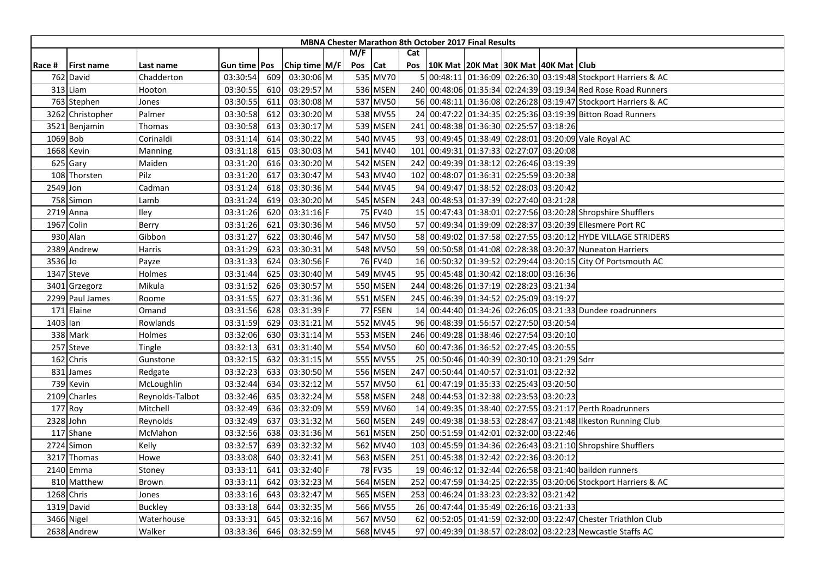|          |                   |                 |                |     |                 |     |                 |     | <b>MBNA Chester Marathon 8th October 2017 Final Results</b> |  |                                                                 |
|----------|-------------------|-----------------|----------------|-----|-----------------|-----|-----------------|-----|-------------------------------------------------------------|--|-----------------------------------------------------------------|
|          |                   |                 |                |     |                 | M/F |                 | Cat |                                                             |  |                                                                 |
| Race #   | <b>First name</b> | Last name       | Gun time   Pos |     | Chip time $M/F$ | Pos | <b>Cat</b>      |     | Pos   10K Mat   20K Mat   30K Mat   40K Mat   Club          |  |                                                                 |
|          | 762 David         | Chadderton      | 03:30:54       | 609 | 03:30:06 M      |     | 535 MV70        |     |                                                             |  | 00:48:11 01:36:09 02:26:30 03:19:48 Stockport Harriers & AC     |
|          | 313 Liam          | Hooton          | 03:30:55       | 610 | 03:29:57 M      |     | 536 MSEN        |     |                                                             |  | 240 00:48:06 01:35:34 02:24:39 03:19:34 Red Rose Road Runners   |
|          | 763 Stephen       | Jones           | 03:30:55       | 611 | 03:30:08 M      |     | 537 MV50        |     |                                                             |  | 56 00:48:11 01:36:08 02:26:28 03:19:47 Stockport Harriers & AC  |
|          | 3262 Christopher  | Palmer          | 03:30:58       | 612 | 03:30:20 M      |     | 538 MV55        |     |                                                             |  | 24 00:47:22 01:34:35 02:25:36 03:19:39 Bitton Road Runners      |
|          | 3521 Benjamin     | Thomas          | 03:30:58       | 613 | 03:30:17 M      |     | 539 MSEN        |     | 241 00:48:38 01:36:30 02:25:57 03:18:26                     |  |                                                                 |
|          | 1069 Bob          | Corinaldi       | 03:31:14       | 614 | 03:30:22 M      |     | 540 MV45        |     |                                                             |  | 93 00:49:45 01:38:49 02:28:01 03:20:09 Vale Royal AC            |
|          | 1668 Kevin        | Manning         | 03:31:18       | 615 | 03:30:03 M      |     | 541 MV40        |     | 101 00:49:31 01:37:33 02:27:07 03:20:08                     |  |                                                                 |
|          | 625 Gary          | Maiden          | 03:31:20       | 616 | 03:30:20 M      |     | 542 MSEN        |     | 242 00:49:39 01:38:12 02:26:46 03:19:39                     |  |                                                                 |
|          | 108 Thorsten      | Pilz            | 03:31:20       | 617 | 03:30:47 M      |     | 543 MV40        |     | 102 00:48:07 01:36:31 02:25:59 03:20:38                     |  |                                                                 |
| 2549 Jon |                   | Cadman          | 03:31:24       | 618 | 03:30:36 M      |     | 544 MV45        |     | 94 00:49:47 01:38:52 02:28:03 03:20:42                      |  |                                                                 |
|          | 758 Simon         | Lamb            | 03:31:24       | 619 | 03:30:20 M      |     | 545 MSEN        |     | 243 00:48:53 01:37:39 02:27:40 03:21:28                     |  |                                                                 |
|          | 2719 Anna         | Iley            | 03:31:26       | 620 | 03:31:16 F      |     | 75 FV40         |     |                                                             |  | 15 00:47:43 01:38:01 02:27:56 03:20:28 Shropshire Shufflers     |
|          | 1967 Colin        | Berry           | 03:31:26       | 621 | 03:30:36 M      |     | 546 MV50        |     |                                                             |  | 57 00:49:34 01:39:09 02:28:37 03:20:39 Ellesmere Port RC        |
|          | 930 Alan          | Gibbon          | 03:31:27       | 622 | 03:30:46 M      |     | 547 MV50        |     |                                                             |  | 58 00:49:02 01:37:58 02:27:55 03:20:12 HYDE VILLAGE STRIDERS    |
|          | 2389 Andrew       | Harris          | 03:31:29       | 623 | 03:30:31 M      |     | 548 MV50        |     |                                                             |  | 59 00:50:58 01:41:08 02:28:38 03:20:37 Nuneaton Harriers        |
| 3536 Jo  |                   | Payze           | 03:31:33       | 624 | 03:30:56 F      |     | 76 FV40         |     |                                                             |  | 16 00:50:32 01:39:52 02:29:44 03:20:15 City Of Portsmouth AC    |
|          | 1347 Steve        | Holmes          | 03:31:44       | 625 | 03:30:40 M      |     | 549 MV45        |     | 95 00:45:48 01:30:42 02:18:00 03:16:36                      |  |                                                                 |
|          | 3401 Grzegorz     | Mikula          | 03:31:52       | 626 | 03:30:57 M      |     | <b>550 MSEN</b> |     | 244 00:48:26 01:37:19 02:28:23 03:21:34                     |  |                                                                 |
|          | 2299 Paul James   | Roome           | 03:31:55       | 627 | 03:31:36 M      |     | 551 MSEN        |     | 245 00:46:39 01:34:52 02:25:09 03:19:27                     |  |                                                                 |
|          | 171 Elaine        | Omand           | 03:31:56       | 628 | 03:31:39 F      |     | 77 FSEN         |     |                                                             |  | 14 00:44:40 01:34:26 02:26:05 03:21:33 Dundee roadrunners       |
| 1403 lan |                   | Rowlands        | 03:31:59       | 629 | 03:31:21 M      |     | 552 MV45        |     | 96 00:48:39 01:56:57 02:27:50 03:20:54                      |  |                                                                 |
|          | 338 Mark          | Holmes          | 03:32:06       | 630 | 03:31:14 M      |     | 553 MSEN        |     | 246 00:49:28 01:38:46 02:27:54 03:20:10                     |  |                                                                 |
|          | 257 Steve         | Tingle          | 03:32:13       | 631 | 03:31:40 M      |     | 554 MV50        |     | 60 00:47:36 01:36:52 02:27:45 03:20:55                      |  |                                                                 |
|          | 162 Chris         | Gunstone        | 03:32:15       | 632 | 03:31:15 M      |     | 555 MV55        |     | 25 00:50:46 01:40:39 02:30:10 03:21:29 Sdrr                 |  |                                                                 |
| 831      | James             | Redgate         | 03:32:23       | 633 | 03:30:50 M      |     | 556 MSEN        |     | 247 00:50:44 01:40:57 02:31:01 03:22:32                     |  |                                                                 |
|          | 739 Kevin         | McLoughlin      | 03:32:44       | 634 | 03:32:12 M      |     | 557 MV50        |     | 61 00:47:19 01:35:33 02:25:43 03:20:50                      |  |                                                                 |
|          | 2109 Charles      | Reynolds-Talbot | 03:32:46       | 635 | 03:32:24 M      |     | <b>558 MSEN</b> |     | 248 00:44:53 01:32:38 02:23:53 03:20:23                     |  |                                                                 |
|          | 177 Roy           | Mitchell        | 03:32:49       | 636 | 03:32:09 M      |     | 559 MV60        |     |                                                             |  | 14 00:49:35 01:38:40 02:27:55 03:21:17 Perth Roadrunners        |
|          | 2328 John         | Reynolds        | 03:32:49       | 637 | 03:31:32 M      |     | 560 MSEN        |     |                                                             |  | 249 00:49:38 01:38:53 02:28:47 03:21:48 Ilkeston Running Club   |
|          | 117 Shane         | McMahon         | 03:32:56       | 638 | 03:31:36 M      |     | 561 MSEN        |     | 250 00:51:59 01:42:01 02:32:00 03:22:46                     |  |                                                                 |
|          | 2724 Simon        | Kelly           | 03:32:57       | 639 | 03:32:32 M      |     | 562 MV40        |     |                                                             |  | 103 00:45:59 01:34:36 02:26:43 03:21:10 Shropshire Shufflers    |
|          | 3217 Thomas       | Howe            | 03:33:08       | 640 | 03:32:41 M      |     | 563 MSEN        |     | 251 00:45:38 01:32:42 02:22:36 03:20:12                     |  |                                                                 |
|          | 2140 Emma         | Stoney          | 03:33:11       | 641 | 03:32:40 F      |     | 78 FV35         |     |                                                             |  | 19 00:46:12 01:32:44 02:26:58 03:21:40 baildon runners          |
|          | 810 Matthew       | Brown           | 03:33:11       | 642 | 03:32:23 M      |     | 564 MSEN        |     |                                                             |  | 252 00:47:59 01:34:25 02:22:35 03:20:06 Stockport Harriers & AC |
|          | 1268 Chris        | Jones           | 03:33:16       | 643 | 03:32:47 M      |     | 565 MSEN        |     | 253 00:46:24 01:33:23 02:23:32 03:21:42                     |  |                                                                 |
|          | 1319 David        | Buckley         | 03:33:18       | 644 | 03:32:35 M      |     | 566 MV55        |     | 26 00:47:44 01:35:49 02:26:16 03:21:33                      |  |                                                                 |
|          | 3466 Nigel        | Waterhouse      | 03:33:31       | 645 | 03:32:16 M      |     | 567 MV50        |     |                                                             |  | 62 00:52:05 01:41:59 02:32:00 03:22:47 Chester Triathlon Club   |
|          | 2638 Andrew       | Walker          | 03:33:36       | 646 | 03:32:59 M      |     | 568 MV45        |     |                                                             |  | 97 00:49:39 01:38:57 02:28:02 03:22:23 Newcastle Staffs AC      |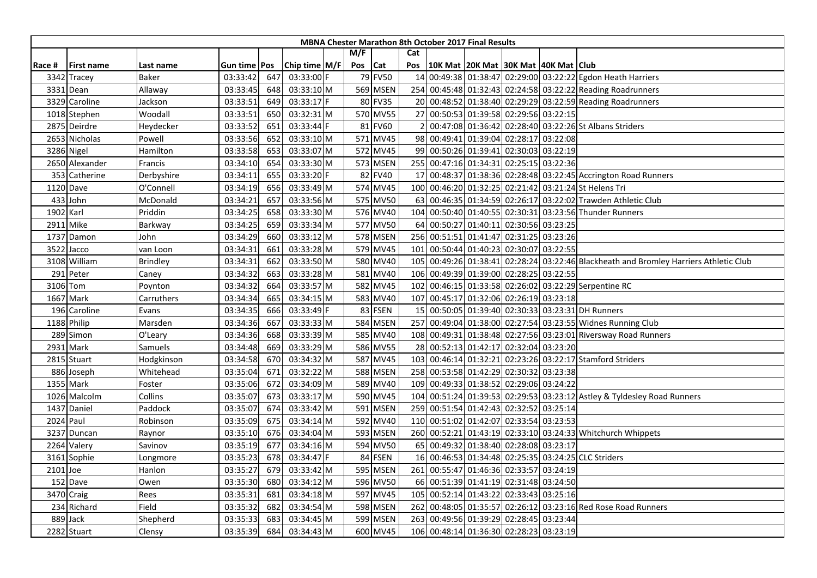|           |                   |                 |                |     |                 |     |          |     | <b>MBNA Chester Marathon 8th October 2017 Final Results</b> |                                     |  |                                                                                       |
|-----------|-------------------|-----------------|----------------|-----|-----------------|-----|----------|-----|-------------------------------------------------------------|-------------------------------------|--|---------------------------------------------------------------------------------------|
|           |                   |                 |                |     |                 | M/F |          | Cat |                                                             |                                     |  |                                                                                       |
| Race #    | <b>First name</b> | Last name       | Gun time   Pos |     | Chip time $M/F$ | Pos | Cat      | Pos | 10K Mat   20K Mat   30K Mat   40K Mat   Club                |                                     |  |                                                                                       |
| 3342      | Tracey            | Baker           | 03:33:42       | 647 | 03:33:00 F      |     | 79 FV50  |     |                                                             |                                     |  | 14 00:49:38 01:38:47 02:29:00 03:22:22 Egdon Heath Harriers                           |
| 3331      | Dean!             | Allaway         | 03:33:45       | 648 | 03:33:10 M      |     | 569 MSEN |     |                                                             |                                     |  | 254 00:45:48 01:32:43 02:24:58 03:22:22 Reading Roadrunners                           |
|           | 3329 Caroline     | Jackson         | 03:33:51       | 649 | 03:33:17 F      |     | 80 FV35  |     |                                                             |                                     |  | 20 00:48:52 01:38:40 02:29:29 03:22:59 Reading Roadrunners                            |
|           | 1018 Stephen      | Woodall         | 03:33:51       | 650 | 03:32:31 M      |     | 570 MV55 |     | 27 00:50:53 01:39:58 02:29:56 03:22:15                      |                                     |  |                                                                                       |
|           | 2875 Deirdre      | Heydecker       | 03:33:52       | 651 | 03:33:44 F      |     | 81 FV60  |     |                                                             |                                     |  | 00:47:08 01:36:42 02:28:40 03:22:26 St Albans Striders                                |
|           | 2653 Nicholas     | Powell          | 03:33:56       | 652 | 03:33:10 M      |     | 571 MV45 |     | 98 00:49:41 01:39:04 02:28:17 03:22:08                      |                                     |  |                                                                                       |
|           | 3286 Nigel        | Hamilton        | 03:33:58       | 653 | 03:33:07 M      |     | 572 MV45 |     | 99 00:50:26 01:39:41 02:30:03 03:22:19                      |                                     |  |                                                                                       |
|           | 2650 Alexander    | Francis         | 03:34:10       | 654 | 03:33:30 M      |     | 573 MSEN |     | 255 00:47:16 01:34:31 02:25:15 03:22:36                     |                                     |  |                                                                                       |
|           | 353 Catherine     | Derbyshire      | 03:34:11       | 655 | 03:33:20 F      |     | 82 FV40  |     |                                                             |                                     |  | 17 00:48:37 01:38:36 02:28:48 03:22:45 Accrington Road Runners                        |
|           | 1120 Dave         | O'Connell       | 03:34:19       | 656 | 03:33:49 M      |     | 574 MV45 |     |                                                             |                                     |  | 100 00:46:20 01:32:25 02:21:42 03:21:24 St Helens Tri                                 |
|           | 433 John          | McDonald        | 03:34:21       | 657 | 03:33:56 M      |     | 575 MV50 |     |                                                             |                                     |  | 63 00:46:35 01:34:59 02:26:17 03:22:02 Trawden Athletic Club                          |
| 1902 Karl |                   | Priddin         | 03:34:25       | 658 | 03:33:30 M      |     | 576 MV40 |     |                                                             |                                     |  | 104 00:50:40 01:40:55 02:30:31 03:23:56 Thunder Runners                               |
|           | 2911 Mike         | Barkway         | 03:34:25       | 659 | 03:33:34 M      |     | 577 MV50 |     | 64 00:50:27 01:40:11 02:30:56 03:23:25                      |                                     |  |                                                                                       |
| 1737      | Damon             | John            | 03:34:29       | 660 | 03:33:12 M      |     | 578 MSEN | 256 |                                                             | 00:51:51 01:41:47 02:31:25 03:23:26 |  |                                                                                       |
|           | 3522 Jacco        | van Loon        | 03:34:31       | 661 | 03:33:28 M      |     | 579 MV45 |     | 101 00:50:44 01:40:23 02:30:07 03:22:55                     |                                     |  |                                                                                       |
|           | 3108 William      | <b>Brindley</b> | 03:34:31       | 662 | 03:33:50 M      |     | 580 MV40 |     |                                                             |                                     |  | 105 00:49:26 01:38:41 02:28:24 03:22:46 Blackheath and Bromley Harriers Athletic Club |
|           | 291 Peter         | Caney           | 03:34:32       | 663 | 03:33:28 M      |     | 581 MV40 | 106 |                                                             | 00:49:39 01:39:00 02:28:25 03:22:55 |  |                                                                                       |
|           | 3106 Tom          | Poynton         | 03:34:32       | 664 | 03:33:57 M      |     | 582 MV45 |     |                                                             |                                     |  | 102 00:46:15 01:33:58 02:26:02 03:22:29 Serpentine RC                                 |
|           | 1667 Mark         | Carruthers      | 03:34:34       | 665 | 03:34:15 M      |     | 583 MV40 |     | 107 00:45:17 01:32:06 02:26:19 03:23:18                     |                                     |  |                                                                                       |
|           | 196 Caroline      | Evans           | 03:34:35       | 666 | 03:33:49 F      |     | 83 FSEN  |     |                                                             |                                     |  | 15 00:50:05 01:39:40 02:30:33 03:23:31 DH Runners                                     |
|           | 1188 Philip       | Marsden         | 03:34:36       | 667 | 03:33:33 M      |     | 584 MSEN |     |                                                             |                                     |  | 257 00:49:04 01:38:00 02:27:54 03:23:55 Widnes Running Club                           |
|           | 289 Simon         | O'Leary         | 03:34:36       | 668 | 03:33:39 M      |     | 585 MV40 |     |                                                             |                                     |  | 108 00:49:31 01:38:48 02:27:56 03:23:01 Riversway Road Runners                        |
| 2931      | Mark              | Samuels         | 03:34:48       | 669 | 03:33:29 M      |     | 586 MV55 |     | 28 00:52:13 01:42:17 02:32:04 03:23:20                      |                                     |  |                                                                                       |
|           | 2815 Stuart       | Hodgkinson      | 03:34:58       | 670 | 03:34:32 M      |     | 587 MV45 |     |                                                             |                                     |  | 103 00:46:14 01:32:21 02:23:26 03:22:17 Stamford Striders                             |
|           | 886 Joseph        | Whitehead       | 03:35:04       | 671 | 03:32:22 M      |     | 588 MSEN |     | 258 00:53:58 01:42:29 02:30:32 03:23:38                     |                                     |  |                                                                                       |
|           | 1355 Mark         | Foster          | 03:35:06       | 672 | 03:34:09 M      |     | 589 MV40 |     | 109 00:49:33 01:38:52 02:29:06 03:24:22                     |                                     |  |                                                                                       |
|           | 1026 Malcolm      | Collins         | 03:35:07       | 673 | 03:33:17 M      |     | 590 MV45 |     |                                                             |                                     |  | 104 00:51:24 01:39:53 02:29:53 03:23:12 Astley & Tyldesley Road Runners               |
|           | 1437 Daniel       | Paddock         | 03:35:07       | 674 | 03:33:42 M      |     | 591 MSEN |     | 259 00:51:54 01:42:43 02:32:52 03:25:14                     |                                     |  |                                                                                       |
|           | 2024 Paul         | Robinson        | 03:35:09       | 675 | 03:34:14 M      |     | 592 MV40 |     | 110 00:51:02 01:42:07 02:33:54 03:23:53                     |                                     |  |                                                                                       |
| 3237      | Duncan            | Raynor          | 03:35:10       | 676 | 03:34:04 M      |     | 593 MSEN |     |                                                             |                                     |  | 260 00:52:21 01:43:19 02:33:10 03:24:33 Whitchurch Whippets                           |
|           | 2264 Valery       | Savinov         | 03:35:19       | 677 | 03:34:16 M      |     | 594 MV50 |     | 65 00:49:32 01:38:40 02:28:08 03:23:17                      |                                     |  |                                                                                       |
|           | 3161 Sophie       | Longmore        | 03:35:23       | 678 | 03:34:47 F      |     | 84 FSEN  |     |                                                             |                                     |  | 16 00:46:53 01:34:48 02:25:35 03:24:25 CLC Striders                                   |
| 2101 Joe  |                   | Hanlon          | 03:35:27       | 679 | 03:33:42 M      |     | 595 MSEN |     | 261 00:55:47 01:46:36 02:33:57 03:24:19                     |                                     |  |                                                                                       |
|           | 152 Dave          | Owen            | 03:35:30       | 680 | 03:34:12 M      |     | 596 MV50 |     | 66 00:51:39 01:41:19 02:31:48 03:24:50                      |                                     |  |                                                                                       |
|           | 3470 Craig        | Rees            | 03:35:31       | 681 | 03:34:18 M      |     | 597 MV45 |     | 105 00:52:14 01:43:22 02:33:43 03:25:16                     |                                     |  |                                                                                       |
|           | 234 Richard       | Field           | 03:35:32       | 682 | 03:34:54 M      |     | 598 MSEN |     |                                                             |                                     |  | 262 00:48:05 01:35:57 02:26:12 03:23:16 Red Rose Road Runners                         |
|           | 889 Jack          | Shepherd        | 03:35:33       | 683 | 03:34:45 M      |     | 599 MSEN | 263 |                                                             | 00:49:56 01:39:29 02:28:45 03:23:44 |  |                                                                                       |
|           | 2282 Stuart       | Clensy          | 03:35:39       | 684 | 03:34:43 M      |     | 600 MV45 |     | 106 00:48:14 01:36:30 02:28:23 03:23:19                     |                                     |  |                                                                                       |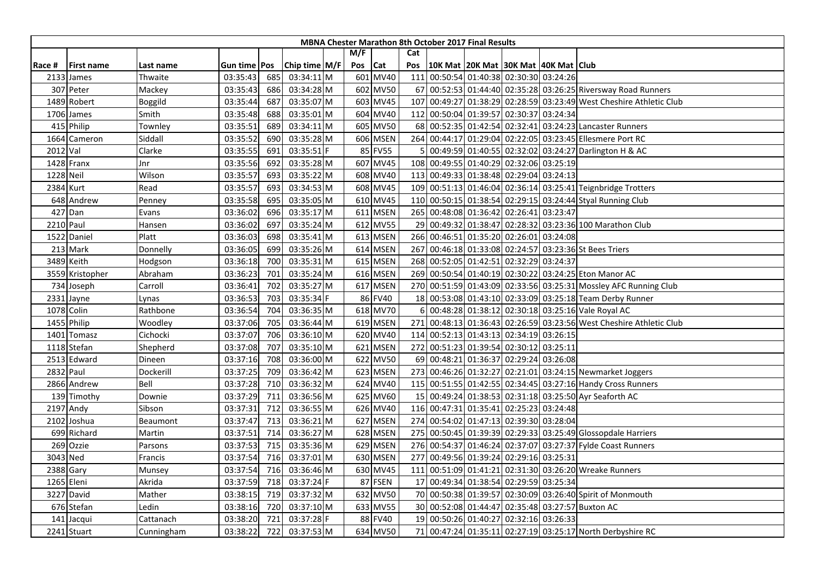|           |                  |            |                |     |                 |     |          |     | <b>MBNA Chester Marathon 8th October 2017 Final Results</b> |                                     |  |                                                                     |
|-----------|------------------|------------|----------------|-----|-----------------|-----|----------|-----|-------------------------------------------------------------|-------------------------------------|--|---------------------------------------------------------------------|
|           |                  |            |                |     |                 | M/F |          | Cat |                                                             |                                     |  |                                                                     |
| Race #    | First name       | Last name  | Gun time   Pos |     | Chip time $M/F$ | Pos | Cat      | Pos | 10K Mat   20K Mat   30K Mat   40K Mat   Club                |                                     |  |                                                                     |
| 2133      | James            | Thwaite    | 03:35:43       | 685 | 03:34:11 M      |     | 601 MV40 | 111 | 00:50:54 01:40:38 02:30:30 03:24:26                         |                                     |  |                                                                     |
|           | 307 Peter        | Mackey     | 03:35:43       | 686 | 03:34:28 M      |     | 602 MV50 | 67  |                                                             |                                     |  | 00:52:53 01:44:40 02:35:28 03:26:25 Riversway Road Runners          |
|           | 1489 Robert      | Boggild    | 03:35:44       | 687 | 03:35:07 M      |     | 603 MV45 | 107 |                                                             |                                     |  | 00:49:27 01:38:29 02:28:59 03:23:49 West Cheshire Athletic Club     |
|           | 1706 James       | Smith      | 03:35:48       | 688 | 03:35:01 M      |     | 604 MV40 |     | 112 00:50:04 01:39:57 02:30:37 03:24:34                     |                                     |  |                                                                     |
|           | 415 Philip       | Townley    | 03:35:51       | 689 | 03:34:11 M      |     | 605 MV50 |     |                                                             |                                     |  | 68 00:52:35 01:42:54 02:32:41 03:24:23 Lancaster Runners            |
|           | 1664 Cameron     | Siddall    | 03:35:52       | 690 | 03:35:28 M      |     | 606 MSEN | 264 |                                                             |                                     |  | 00:44:17 01:29:04 02:22:05 03:23:45 Ellesmere Port RC               |
| 2012 Val  |                  | Clarke     | 03:35:55       | 691 | 03:35:51 F      |     | 85 FV55  |     |                                                             |                                     |  | 00:49:59 01:40:55 02:32:02 03:24:27 Darlington H & AC               |
|           | 1428 Franx       | Jnr        | 03:35:56       | 692 | 03:35:28 M      |     | 607 MV45 |     | 108 00:49:55 01:40:29 02:32:06 03:25:19                     |                                     |  |                                                                     |
| 1228 Neil |                  | Wilson     | 03:35:57       | 693 | 03:35:22 M      |     | 608 MV40 |     | 113 00:49:33 01:38:48 02:29:04 03:24:13                     |                                     |  |                                                                     |
|           | 2384 Kurt        | Read       | 03:35:57       | 693 | 03:34:53 M      |     | 608 MV45 |     |                                                             |                                     |  | 109 00:51:13 01:46:04 02:36:14 03:25:41 Teignbridge Trotters        |
|           | 648 Andrew       | Penney     | 03:35:58       | 695 | 03:35:05 M      |     | 610 MV45 |     |                                                             |                                     |  | 110 00:50:15 01:38:54 02:29:15 03:24:44 Styal Running Club          |
| 427       | Dan              | Evans      | 03:36:02       | 696 | 03:35:17 M      |     | 611 MSEN |     | 265 00:48:08 01:36:42 02:26:41 03:23:47                     |                                     |  |                                                                     |
|           | <b>2210 Paul</b> | Hansen     | 03:36:02       | 697 | 03:35:24 M      |     | 612 MV55 |     |                                                             |                                     |  | 29 00:49:32 01:38:47 02:28:32 03:23:36 100 Marathon Club            |
|           | 1522 Daniel      | Platt      | 03:36:03       | 698 | 03:35:41 M      |     | 613 MSEN |     | 266 00:46:51 01:35:20 02:26:01 03:24:08                     |                                     |  |                                                                     |
|           | 213 Mark         | Donnelly   | 03:36:05       | 699 | 03:35:26 M      |     | 614 MSEN |     |                                                             |                                     |  | 267 00:46:18 01:33:08 02:24:57 03:23:36 St Bees Triers              |
|           | 3489 Keith       | Hodgson    | 03:36:18       | 700 | 03:35:31 M      |     | 615 MSEN |     | 268 00:52:05 01:42:51 02:32:29 03:24:37                     |                                     |  |                                                                     |
|           | 3559 Kristopher  | Abraham    | 03:36:23       | 701 | 03:35:24 M      |     | 616 MSEN | 269 |                                                             |                                     |  | 00:50:54 01:40:19 02:30:22 03:24:25 Eton Manor AC                   |
|           | 734 Joseph       | Carroll    | 03:36:41       | 702 | 03:35:27 M      |     | 617 MSEN |     |                                                             |                                     |  | 270 00:51:59 01:43:09 02:33:56 03:25:31 Mossley AFC Running Club    |
|           | 2331 Jayne       | Lynas      | 03:36:53       | 703 | 03:35:34 F      |     | 86 FV40  |     |                                                             |                                     |  | 18 00:53:08 01:43:10 02:33:09 03:25:18 Team Derby Runner            |
|           | 1078 Colin       | Rathbone   | 03:36:54       | 704 | 03:36:35 M      |     | 618 MV70 |     |                                                             |                                     |  | 00:48:28 01:38:12 02:30:18 03:25:16 Vale Royal AC                   |
|           | 1455 Philip      | Woodley    | 03:37:06       | 705 | 03:36:44 M      |     | 619 MSEN |     |                                                             |                                     |  | 271 00:48:13 01:36:43 02:26:59 03:23:56 West Cheshire Athletic Club |
|           | 1401 Tomasz      | Cichocki   | 03:37:07       | 706 | 03:36:10 M      |     | 620 MV40 |     | 114 00:52:13 01:43:13 02:34:19 03:26:15                     |                                     |  |                                                                     |
|           | 1118 Stefan      | Shepherd   | 03:37:08       | 707 | 03:35:10 M      |     | 621 MSEN |     | 272 00:51:23 01:39:54 02:30:12 03:25:11                     |                                     |  |                                                                     |
|           | 2513 Edward      | Dineen     | 03:37:16       | 708 | 03:36:00 M      |     | 622 MV50 |     | 69 00:48:21 01:36:37 02:29:24 03:26:08                      |                                     |  |                                                                     |
| 2832 Paul |                  | Dockerill  | 03:37:25       | 709 | 03:36:42 M      |     | 623 MSEN | 273 |                                                             |                                     |  | 00:46:26 01:32:27 02:21:01 03:24:15 Newmarket Joggers               |
|           | 2866 Andrew      | Bell       | 03:37:28       | 710 | 03:36:32 M      |     | 624 MV40 |     |                                                             |                                     |  | 115 00:51:55 01:42:55 02:34:45 03:27:16 Handy Cross Runners         |
|           | 139 Timothy      | Downie     | 03:37:29       | 711 | 03:36:56 M      |     | 625 MV60 |     |                                                             |                                     |  | 15 00:49:24 01:38:53 02:31:18 03:25:50 Ayr Seaforth AC              |
| 2197      | Andy             | Sibson     | 03:37:31       | 712 | 03:36:55 M      |     | 626 MV40 | 116 |                                                             | 00:47:31 01:35:41 02:25:23 03:24:48 |  |                                                                     |
|           | 2102 Joshua      | Beaumont   | 03:37:47       | 713 | 03:36:21 M      |     | 627 MSEN |     | 274 00:54:02 01:47:13 02:39:30 03:28:04                     |                                     |  |                                                                     |
|           | 699 Richard      | Martin     | 03:37:51       | 714 | 03:36:27 M      |     | 628 MSEN |     |                                                             |                                     |  | 275 00:50:45 01:39:39 02:29:33 03:25:49 Glossopdale Harriers        |
|           | 269 Ozzie        | Parsons    | 03:37:53       | 715 | 03:35:36 M      |     | 629 MSEN |     |                                                             |                                     |  | 276 00:54:37 01:46:24 02:37:07 03:27:37 Fylde Coast Runners         |
|           | 3043 Ned         | Francis    | 03:37:54       | 716 | 03:37:01 M      |     | 630 MSEN | 277 | 00:49:56 01:39:24 02:29:16 03:25:31                         |                                     |  |                                                                     |
|           | 2388 Gary        | Munsey     | 03:37:54       | 716 | 03:36:46 M      |     | 630 MV45 | 111 |                                                             |                                     |  | 00:51:09 01:41:21 02:31:30 03:26:20 Wreake Runners                  |
|           | 1265 Eleni       | Akrida     | 03:37:59       | 718 | 03:37:24 F      |     | 87 FSEN  |     | 17 00:49:34 01:38:54 02:29:59 03:25:34                      |                                     |  |                                                                     |
| 3227      | David            | Mather     | 03:38:15       | 719 | 03:37:32 M      |     | 632 MV50 |     |                                                             |                                     |  | 70 00:50:38 01:39:57 02:30:09 03:26:40 Spirit of Monmouth           |
|           | 676 Stefan       | Ledin      | 03:38:16       | 720 | 03:37:10 M      |     | 633 MV55 |     |                                                             |                                     |  | 30 00:52:08 01:44:47 02:35:48 03:27:57 Buxton AC                    |
| 141       | Jacqui           | Cattanach  | 03:38:20       | 721 | 03:37:28 F      |     | 88 FV40  |     | 19 00:50:26 01:40:27 02:32:16 03:26:33                      |                                     |  |                                                                     |
|           | 2241 Stuart      | Cunningham | 03:38:22       | 722 | 03:37:53 M      |     | 634 MV50 |     |                                                             |                                     |  | 71 00:47:24 01:35:11 02:27:19 03:25:17 North Derbyshire RC          |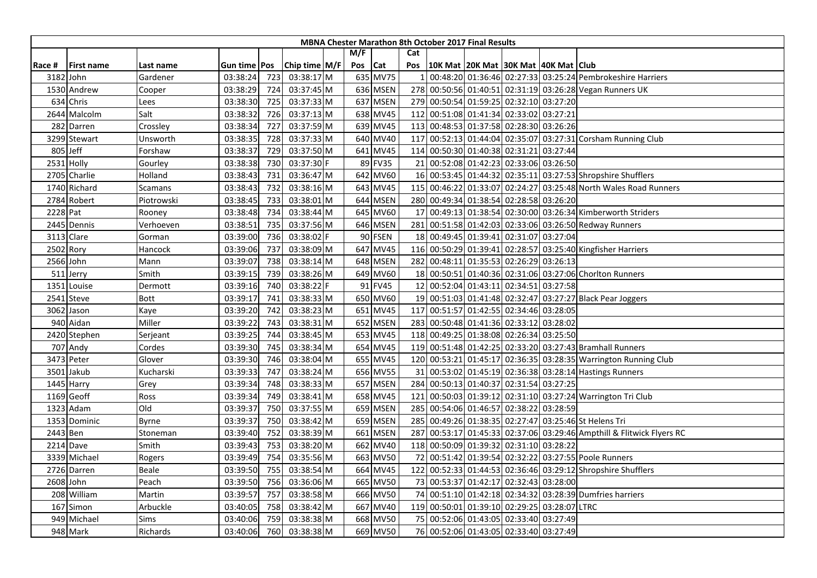|          |                   |                |                |     |                 |     |            |     | <b>MBNA Chester Marathon 8th October 2017 Final Results</b> |                                     |  |                                                                       |
|----------|-------------------|----------------|----------------|-----|-----------------|-----|------------|-----|-------------------------------------------------------------|-------------------------------------|--|-----------------------------------------------------------------------|
|          |                   |                |                |     |                 | M/F |            | Cat |                                                             |                                     |  |                                                                       |
| Race #   | <b>First name</b> | Last name      | Gun time   Pos |     | Chip time $M/F$ | Pos | <b>Cat</b> | Pos | 10K Mat  20K Mat  30K Mat  40K Mat   Club                   |                                     |  |                                                                       |
|          | 3182 John         | Gardener       | 03:38:24       | 723 | 03:38:17 M      |     | 635 MV75   |     |                                                             |                                     |  | 00:48:20 01:36:46 02:27:33 03:25:24 Pembrokeshire Harriers            |
|          | 1530 Andrew       | Cooper         | 03:38:29       | 724 | 03:37:45 M      |     | 636 MSEN   |     |                                                             |                                     |  | 278 00:50:56 01:40:51 02:31:19 03:26:28 Vegan Runners UK              |
|          | 634 Chris         | Lees           | 03:38:30       | 725 | 03:37:33 M      |     | 637 MSEN   |     | 279 00:50:54 01:59:25 02:32:10 03:27:20                     |                                     |  |                                                                       |
|          | 2644 Malcolm      | Salt           | 03:38:32       | 726 | 03:37:13 M      |     | 638 MV45   |     | 112 00:51:08 01:41:34 02:33:02 03:27:21                     |                                     |  |                                                                       |
|          | 282 Darren        | Crossley       | 03:38:34       | 727 | 03:37:59 M      |     | 639 MV45   |     | 113 00:48:53 01:37:58 02:28:30 03:26:26                     |                                     |  |                                                                       |
|          | 3299 Stewart      | Unsworth       | 03:38:35       | 728 | 03:37:33 M      |     | 640 MV40   | 117 |                                                             |                                     |  | 00:52:13 01:44:04 02:35:07 03:27:31 Corsham Running Club              |
|          | 805 Jeff          | Forshaw        | 03:38:37       | 729 | 03:37:50 M      |     | 641 MV45   |     | 114 00:50:30 01:40:38 02:31:21 03:27:44                     |                                     |  |                                                                       |
|          | 2531 Holly        | Gourley        | 03:38:38       | 730 | 03:37:30 F      |     | 89 FV35    |     | 21 00:52:08 01:42:23 02:33:06 03:26:50                      |                                     |  |                                                                       |
|          | 2705 Charlie      | Holland        | 03:38:43       | 731 | 03:36:47 M      |     | 642 MV60   |     |                                                             |                                     |  | 16 00:53:45 01:44:32 02:35:11 03:27:53 Shropshire Shufflers           |
|          | 1740 Richard      | <b>Scamans</b> | 03:38:43       | 732 | 03:38:16 M      |     | 643 MV45   |     |                                                             |                                     |  | 115 00:46:22 01:33:07 02:24:27 03:25:48 North Wales Road Runners      |
|          | 2784 Robert       | Piotrowski     | 03:38:45       | 733 | 03:38:01 M      |     | 644 MSEN   |     | 280 00:49:34 01:38:54 02:28:58 03:26:20                     |                                     |  |                                                                       |
| 2228 Pat |                   | Rooney         | 03:38:48       | 734 | 03:38:44 M      |     | 645 MV60   |     |                                                             |                                     |  | 17 00:49:13 01:38:54 02:30:00 03:26:34 Kimberworth Striders           |
|          | 2445 Dennis       | Verhoeven      | 03:38:51       | 735 | 03:37:56 M      |     | 646 MSEN   | 281 |                                                             |                                     |  | 00:51:58 01:42:03 02:33:06 03:26:50 Redway Runners                    |
|          | 3113 Clare        | Gorman         | 03:39:00       | 736 | 03:38:02 F      |     | 90 FSEN    |     | 18 00:49:45 01:39:41 02:31:07 03:27:04                      |                                     |  |                                                                       |
|          | 2502 Rory         | Hancock        | 03:39:06       | 737 | 03:38:09 M      |     | 647 MV45   |     |                                                             |                                     |  | 116 00:50:29 01:39:41 02:28:57 03:25:40 Kingfisher Harriers           |
|          | 2566 John         | Mann           | 03:39:07       | 738 | 03:38:14 M      |     | 648 MSEN   |     | 282 00:48:11 01:35:53 02:26:29 03:26:13                     |                                     |  |                                                                       |
|          | 511 Jerry         | Smith          | 03:39:15       | 739 | 03:38:26 M      |     | 649 MV60   |     |                                                             |                                     |  | 18 00:50:51 01:40:36 02:31:06 03:27:06 Choriton Runners               |
| 1351     | Louise            | Dermott        | 03:39:16       | 740 | 03:38:22 F      |     | 91 FV45    |     | 12 00:52:04 01:43:11 02:34:51 03:27:58                      |                                     |  |                                                                       |
|          | 2541 Steve        | Bott           | 03:39:17       | 741 | 03:38:33 M      |     | 650 MV60   |     |                                                             |                                     |  | 19 00:51:03 01:41:48 02:32:47 03:27:27 Black Pear Joggers             |
|          | 3062 Jason        | Kaye           | 03:39:20       | 742 | 03:38:23 M      |     | 651 MV45   |     | 117 00:51:57 01:42:55 02:34:46 03:28:05                     |                                     |  |                                                                       |
|          | 940 Aidan         | Miller         | 03:39:22       | 743 | 03:38:31 M      |     | 652 MSEN   |     | 283 00:50:48 01:41:36 02:33:12 03:28:02                     |                                     |  |                                                                       |
|          | 2420 Stephen      | Serjeant       | 03:39:25       | 744 | 03:38:45 M      |     | 653 MV45   |     | 118 00:49:25 01:38:08 02:26:34 03:25:50                     |                                     |  |                                                                       |
|          | 707 Andy          | Cordes         | 03:39:30       | 745 | 03:38:34 M      |     | 654 MV45   |     |                                                             |                                     |  | 119 00:51:48 01:42:25 02:33:20 03:27:43 Bramhall Runners              |
|          | 3473 Peter        | Glover         | 03:39:30       | 746 | 03:38:04 M      |     | 655 MV45   |     |                                                             |                                     |  | 120 00:53:21 01:45:17 02:36:35 03:28:35 Warrington Running Club       |
| 3501     | Jakub             | Kucharski      | 03:39:33       | 747 | 03:38:24 M      |     | 656 MV55   | 31  |                                                             |                                     |  | 00:53:02 01:45:19 02:36:38 03:28:14 Hastings Runners                  |
|          | 1445 Harry        | Grey           | 03:39:34       | 748 | 03:38:33 M      |     | 657 MSEN   |     | 284 00:50:13 01:40:37 02:31:54 03:27:25                     |                                     |  |                                                                       |
|          | 1169 Geoff        | Ross           | 03:39:34       | 749 | 03:38:41 M      |     | 658 MV45   | 121 |                                                             |                                     |  | 00:50:03 01:39:12 02:31:10 03:27:24 Warrington Tri Club               |
|          | 1323 Adam         | Old            | 03:39:37       | 750 | 03:37:55 M      |     | 659 MSEN   | 285 |                                                             | 00:54:06 01:46:57 02:38:22 03:28:59 |  |                                                                       |
|          | 1353 Dominic      | Byrne          | 03:39:37       | 750 | 03:38:42 M      |     | 659 MSEN   | 285 |                                                             |                                     |  | 00:49:26 01:38:35 02:27:47 03:25:46 St Helens Tri                     |
| 2443 Ben |                   | Stoneman       | 03:39:40       | 752 | 03:38:39 M      |     | 661 MSEN   |     |                                                             |                                     |  | 287 00:53:17 01:45:33 02:37:06 03:29:46 Ampthill & Flitwick Flyers RC |
|          | 2214 Dave         | Smith          | 03:39:43       | 753 | 03:38:20 M      |     | 662 MV40   |     | 118 00:50:09 01:39:32 02:31:10 03:28:22                     |                                     |  |                                                                       |
|          | 3339 Michael      | Rogers         | 03:39:49       | 754 | 03:35:56 M      |     | 663 MV50   |     |                                                             |                                     |  | 72 00:51:42 01:39:54 02:32:22 03:27:55 Poole Runners                  |
|          | 2726 Darren       | Beale          | 03:39:50       | 755 | 03:38:54 M      |     | 664 MV45   |     |                                                             |                                     |  | 122 00:52:33 01:44:53 02:36:46 03:29:12 Shropshire Shufflers          |
|          | 2608 John         | Peach          | 03:39:50       | 756 | 03:36:06 M      |     | 665 MV50   |     | 73 00:53:37 01:42:17 02:32:43 03:28:00                      |                                     |  |                                                                       |
|          | 208 William       | Martin         | 03:39:57       | 757 | 03:38:58 M      |     | 666 MV50   |     |                                                             |                                     |  | 74 00:51:10 01:42:18 02:34:32 03:28:39 Dumfries harriers              |
|          | 167 Simon         | Arbuckle       | 03:40:05       | 758 | 03:38:42 M      |     | 667 MV40   |     | 119 00:50:01 01:39:10 02:29:25 03:28:07 LTRC                |                                     |  |                                                                       |
|          | 949 Michael       | Sims           | 03:40:06       | 759 | 03:38:38 M      |     | 668 MV50   |     | 75 00:52:06 01:43:05 02:33:40 03:27:49                      |                                     |  |                                                                       |
|          | 948 Mark          | Richards       | 03:40:06       | 760 | 03:38:38 M      |     | 669 MV50   |     | 76 00:52:06 01:43:05 02:33:40 03:27:49                      |                                     |  |                                                                       |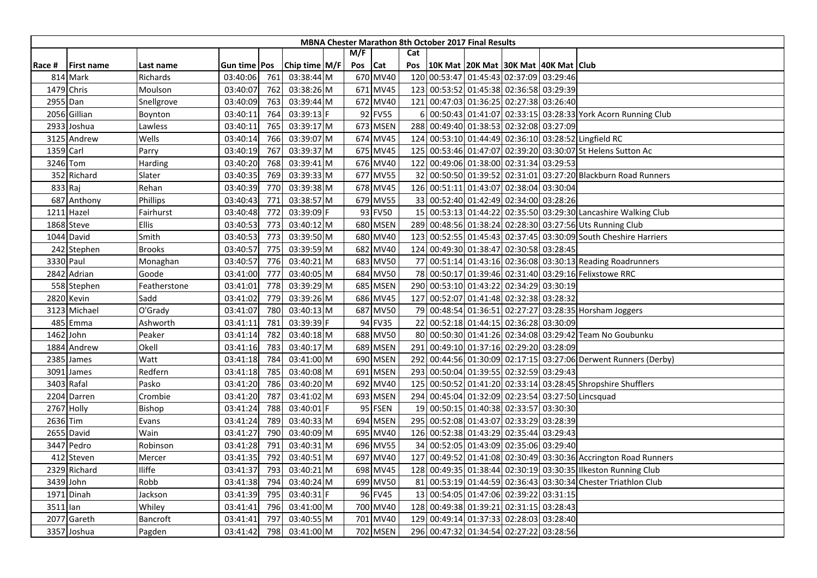|          |                   |               |                |     |               |     |          |     | <b>MBNA Chester Marathon 8th October 2017 Final Results</b> |  |                                                                 |
|----------|-------------------|---------------|----------------|-----|---------------|-----|----------|-----|-------------------------------------------------------------|--|-----------------------------------------------------------------|
|          |                   |               |                |     |               | M/F |          | Cat |                                                             |  |                                                                 |
| Race #   | <b>First name</b> | Last name     | Gun time   Pos |     | Chip time M/F | Pos | Cat      | Pos | 10K Mat 20K Mat 30K Mat 40K Mat Club                        |  |                                                                 |
|          | 814 Mark          | Richards      | 03:40:06       | 761 | 03:38:44 M    |     | 670 MV40 |     | 120 00:53:47 01:45:43 02:37:09 03:29:46                     |  |                                                                 |
|          | 1479 Chris        | Moulson       | 03:40:07       | 762 | 03:38:26 M    |     | 671 MV45 |     | 123 00:53:52 01:45:38 02:36:58 03:29:39                     |  |                                                                 |
|          | 2955 Dan          | Snellgrove    | 03:40:09       | 763 | 03:39:44 M    |     | 672 MV40 |     | 121 00:47:03 01:36:25 02:27:38 03:26:40                     |  |                                                                 |
|          | 2056 Gillian      | Boynton       | 03:40:11       | 764 | 03:39:13 F    |     | 92 FV55  |     |                                                             |  | 00:50:43 01:41:07 02:33:15 03:28:33 York Acorn Running Club     |
|          | 2933 Joshua       | Lawless       | 03:40:11       | 765 | 03:39:17 M    |     | 673 MSEN |     | 288 00:49:40 01:38:53 02:32:08 03:27:09                     |  |                                                                 |
|          | 3125 Andrew       | Wells         | 03:40:14       | 766 | 03:39:07 M    |     | 674 MV45 |     |                                                             |  | 124 00:53:10 01:44:49 02:36:10 03:28:52 Lingfield RC            |
|          | 1359 Carl         | Parry         | 03:40:19       | 767 | 03:39:37 M    |     | 675 MV45 |     |                                                             |  | 125 00:53:46 01:47:07 02:39:20 03:30:07 St Helens Sutton Ac     |
|          | 3246 Tom          | Harding       | 03:40:20       | 768 | 03:39:41 M    |     | 676 MV40 |     | 122 00:49:06 01:38:00 02:31:34 03:29:53                     |  |                                                                 |
|          | 352 Richard       | Slater        | 03:40:35       | 769 | 03:39:33 M    |     | 677 MV55 |     |                                                             |  | 32 00:50:50 01:39:52 02:31:01 03:27:20 Blackburn Road Runners   |
|          | 833 Raj           | Rehan         | 03:40:39       | 770 | 03:39:38 M    |     | 678 MV45 |     | 126 00:51:11 01:43:07 02:38:04 03:30:04                     |  |                                                                 |
|          | 687 Anthony       | Phillips      | 03:40:43       | 771 | 03:38:57 M    |     | 679 MV55 |     | 33 00:52:40 01:42:49 02:34:00 03:28:26                      |  |                                                                 |
| 1211     | Hazel             | Fairhurst     | 03:40:48       | 772 | 03:39:09 F    |     | 93 FV50  |     |                                                             |  | 15 00:53:13 01:44:22 02:35:50 03:29:30 Lancashire Walking Club  |
|          | 1868 Steve        | Ellis         | 03:40:53       | 773 | 03:40:12 M    |     | 680 MSEN |     |                                                             |  | 289 00:48:56 01:38:24 02:28:30 03:27:56 Uts Running Club        |
|          | 1044 David        | Smith         | 03:40:53       | 773 | 03:39:50 M    |     | 680 MV40 |     |                                                             |  | 123 00:52:55 01:45:43 02:37:45 03:30:09 South Cheshire Harriers |
|          | 242 Stephen       | <b>Brooks</b> | 03:40:57       | 775 | 03:39:59 M    |     | 682 MV40 |     | 124 00:49:30 01:38:47 02:30:58 03:28:45                     |  |                                                                 |
|          | 3330 Paul         | Monaghan      | 03:40:57       | 776 | 03:40:21 M    |     | 683 MV50 |     |                                                             |  | 77 00:51:14 01:43:16 02:36:08 03:30:13 Reading Roadrunners      |
|          | 2842 Adrian       | Goode         | 03:41:00       | 777 | 03:40:05 M    |     | 684 MV50 |     |                                                             |  | 78 00:50:17 01:39:46 02:31:40 03:29:16 Felixstowe RRC           |
|          | 558 Stephen       | Featherstone  | 03:41:01       | 778 | 03:39:29 M    |     | 685 MSEN |     | 290 00:53:10 01:43:22 02:34:29 03:30:19                     |  |                                                                 |
|          | 2820 Kevin        | Sadd          | 03:41:02       | 779 | 03:39:26 M    |     | 686 MV45 |     | 127 00:52:07 01:41:48 02:32:38 03:28:32                     |  |                                                                 |
|          | 3123 Michael      | O'Grady       | 03:41:07       | 780 | 03:40:13 M    |     | 687 MV50 |     |                                                             |  | 79 00:48:54 01:36:51 02:27:27 03:28:35 Horsham Joggers          |
|          | 485 Emma          | Ashworth      | 03:41:11       | 781 | 03:39:39 F    |     | 94 FV35  |     | 22 00:52:18 01:44:15 02:36:28 03:30:09                      |  |                                                                 |
|          | 1462 John         | Peaker        | 03:41:14       | 782 | 03:40:18 M    |     | 688 MV50 |     |                                                             |  | 80 00:50:30 01:41:26 02:34:08 03:29:42 Team No Goubunku         |
|          | 1884 Andrew       | Okell         | 03:41:16       | 783 | 03:40:17 M    |     | 689 MSEN | 291 | 00:49:10 01:37:16 02:29:20 03:28:09                         |  |                                                                 |
|          | 2385 James        | Watt          | 03:41:18       | 784 | 03:41:00 M    |     | 690 MSEN |     |                                                             |  | 292 00:44:56 01:30:09 02:17:15 03:27:06 Derwent Runners (Derby) |
| 3091     | James             | Redfern       | 03:41:18       | 785 | 03:40:08 M    |     | 691 MSEN |     | 293 00:50:04 01:39:55 02:32:59 03:29:43                     |  |                                                                 |
|          | 3403 Rafal        | Pasko         | 03:41:20       | 786 | 03:40:20 M    |     | 692 MV40 |     |                                                             |  | 125 00:50:52 01:41:20 02:33:14 03:28:45 Shropshire Shufflers    |
|          | 2204 Darren       | Crombie       | 03:41:20       | 787 | 03:41:02 M    |     | 693 MSEN |     |                                                             |  | 294 00:45:04 01:32:09 02:23:54 03:27:50 Lincsquad               |
|          | 2767 Holly        | Bishop        | 03:41:24       | 788 | 03:40:01 F    |     | 95 FSEN  |     | 19 00:50:15 01:40:38 02:33:57 03:30:30                      |  |                                                                 |
| 2636 Tim |                   | Evans         | 03:41:24       | 789 | 03:40:33 M    |     | 694 MSEN |     | 295 00:52:08 01:43:07 02:33:29 03:28:39                     |  |                                                                 |
|          | 2655 David        | Wain          | 03:41:27       | 790 | 03:40:09 M    |     | 695 MV40 |     | 126 00:52:38 01:43:29 02:35:44 03:29:43                     |  |                                                                 |
|          | 3447 Pedro        | Robinson      | 03:41:28       | 791 | 03:40:31 M    |     | 696 MV55 |     | 34 00:52:05 01:43:09 02:35:06 03:29:40                      |  |                                                                 |
|          | 412 Steven        | Mercer        | 03:41:35       | 792 | 03:40:51 M    |     | 697 MV40 |     |                                                             |  | 127 00:49:52 01:41:08 02:30:49 03:30:36 Accrington Road Runners |
|          | 2329 Richard      | Iliffe        | 03:41:37       | 793 | 03:40:21 M    |     | 698 MV45 |     |                                                             |  | 128 00:49:35 01:38:44 02:30:19 03:30:35 Ilkeston Running Club   |
|          | 3439 John         | Robb          | 03:41:38       | 794 | 03:40:24 M    |     | 699 MV50 |     |                                                             |  | 81 00:53:19 01:44:59 02:36:43 03:30:34 Chester Triathlon Club   |
| 1971     | Dinah             | Jackson       | 03:41:39       | 795 | 03:40:31 F    |     | 96 FV45  |     | 13 00:54:05 01:47:06 02:39:22 03:31:15                      |  |                                                                 |
| 3511 lan |                   | Whiley        | 03:41:41       | 796 | 03:41:00 M    |     | 700 MV40 |     | 128 00:49:38 01:39:21 02:31:15 03:28:43                     |  |                                                                 |
| 2077     | Gareth            | Bancroft      | 03:41:41       | 797 | 03:40:55 M    |     | 701 MV40 |     | 129 00:49:14 01:37:33 02:28:03 03:28:40                     |  |                                                                 |
|          | 3357 Joshua       | Pagden        | 03:41:42       | 798 | 03:41:00 M    |     | 702 MSEN |     | 296 00:47:32 01:34:54 02:27:22 03:28:56                     |  |                                                                 |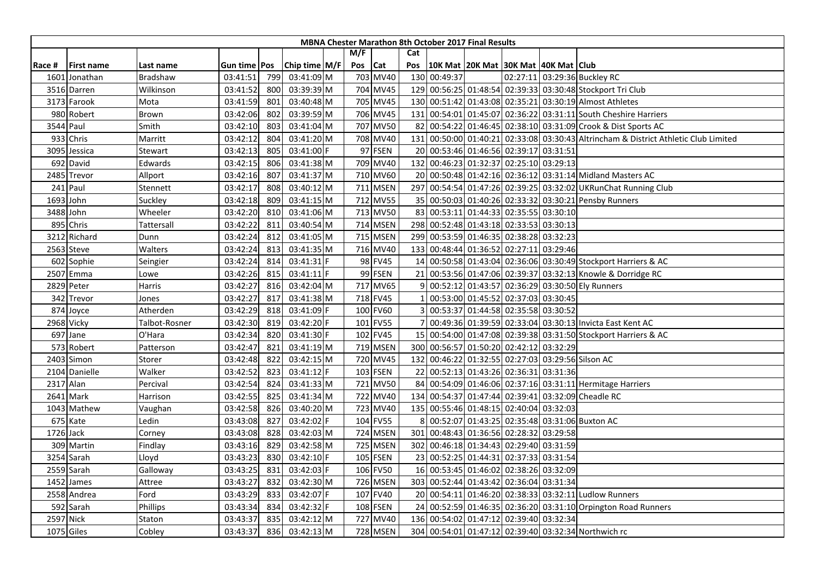|        |                   |                 |              |     |               |         |                 |     |              | <b>MBNA Chester Marathon 8th October 2017 Final Results</b> |  |                                                                                     |
|--------|-------------------|-----------------|--------------|-----|---------------|---------|-----------------|-----|--------------|-------------------------------------------------------------|--|-------------------------------------------------------------------------------------|
|        |                   |                 |              |     |               | M/F     |                 | Cat |              |                                                             |  |                                                                                     |
| Race # | <b>First name</b> | Last name       | Gun time Pos |     | Chip time M/F | Pos Cat |                 | Pos |              | 10K Mat   20K Mat   30K Mat   40K Mat   Club                |  |                                                                                     |
| 1601   | Jonathan          | <b>Bradshaw</b> | 03:41:51     | 799 | 03:41:09 M    |         | 703 MV40        |     | 130 00:49:37 |                                                             |  | 02:27:11 03:29:36 Buckley RC                                                        |
|        | 3516 Darren       | Wilkinson       | 03:41:52     | 800 | 03:39:39 M    |         | 704 MV45        |     |              |                                                             |  | 129 00:56:25 01:48:54 02:39:33 03:30:48 Stockport Tri Club                          |
|        | 3173 Farook       | Mota            | 03:41:59     | 801 | 03:40:48 M    |         | 705 MV45        |     |              |                                                             |  | 130 00:51:42 01:43:08 02:35:21 03:30:19 Almost Athletes                             |
|        | 980 Robert        | Brown           | 03:42:06     | 802 | 03:39:59 M    |         | 706 MV45        |     |              |                                                             |  | 131 00:54:01 01:45:07 02:36:22 03:31:11 South Cheshire Harriers                     |
|        | 3544 Paul         | Smith           | 03:42:10     | 803 | 03:41:04 M    |         | 707 MV50        |     |              |                                                             |  | 82 00:54:22 01:46:45 02:38:10 03:31:09 Crook & Dist Sports AC                       |
|        | 933 Chris         | Marritt         | 03:42:12     | 804 | 03:41:20 M    |         | 708 MV40        |     |              |                                                             |  | 131 00:50:00 01:40:21 02:33:08 03:30:43 Altrincham & District Athletic Club Limited |
|        | 3095 Jessica      | Stewart         | 03:42:13     | 805 | 03:41:00 F    |         | 97 FSEN         |     |              | 20 00:53:46 01:46:56 02:39:17 03:31:51                      |  |                                                                                     |
|        | 692 David         | Edwards         | 03:42:15     | 806 | 03:41:38 M    |         | 709 MV40        |     |              | 132 00:46:23 01:32:37 02:25:10 03:29:13                     |  |                                                                                     |
|        | 2485 Trevor       | Allport         | 03:42:16     | 807 | 03:41:37 M    |         | 710 MV60        |     |              |                                                             |  | 20 00:50:48 01:42:16 02:36:12 03:31:14 Midland Masters AC                           |
|        | 241 Paul          | Stennett        | 03:42:17     | 808 | 03:40:12 M    |         | 711 MSEN        |     |              |                                                             |  | 297 00:54:54 01:47:26 02:39:25 03:32:02 UKRunChat Running Club                      |
|        | 1693 John         | Suckley         | 03:42:18     | 809 | 03:41:15 M    |         | 712 MV55        |     |              |                                                             |  | 35 00:50:03 01:40:26 02:33:32 03:30:21 Pensby Runners                               |
|        | 3488 John         | Wheeler         | 03:42:20     | 810 | 03:41:06 M    |         | 713 MV50        |     |              | 83 00:53:11 01:44:33 02:35:55 03:30:10                      |  |                                                                                     |
|        | 895 Chris         | Tattersall      | 03:42:22     | 811 | 03:40:54 M    |         | 714 MSEN        |     |              | 298 00:52:48 01:43:18 02:33:53 03:30:13                     |  |                                                                                     |
| 3212   | <b>Richard</b>    | Dunn            | 03:42:24     | 812 | 03:41:05 M    |         | 715 MSEN        |     |              | 299 00:53:59 01:46:35 02:38:28 03:32:23                     |  |                                                                                     |
|        | 2563 Steve        | Walters         | 03:42:24     | 813 | 03:41:35 M    |         | 716 MV40        |     |              | 133 00:48:44 01:36:52 02:27:11 03:29:46                     |  |                                                                                     |
|        | 602 Sophie        | Seingier        | 03:42:24     | 814 | 03:41:31 F    |         | 98 FV45         |     |              |                                                             |  | 14 00:50:58 01:43:04 02:36:06 03:30:49 Stockport Harriers & AC                      |
|        | 2507 Emma         | Lowe            | 03:42:26     | 815 | 03:41:11 F    |         | 99 FSEN         |     |              |                                                             |  | 21 00:53:56 01:47:06 02:39:37 03:32:13 Knowle & Dorridge RC                         |
|        | 2829 Peter        | Harris          | 03:42:27     | 816 | 03:42:04 M    |         | 717 MV65        | 9   |              |                                                             |  | 00:52:12 01:43:57 02:36:29 03:30:50 Ely Runners                                     |
|        | 342 Trevor        | Jones           | 03:42:27     | 817 | 03:41:38 M    |         | 718 FV45        |     |              | 00:53:00 01:45:52 02:37:03 03:30:45                         |  |                                                                                     |
|        | 874 Joyce         | Atherden        | 03:42:29     | 818 | 03:41:09 F    |         | 100 FV60        |     |              | 00:53:37 01:44:58 02:35:58 03:30:52                         |  |                                                                                     |
|        | 2968 Vicky        | Talbot-Rosner   | 03:42:30     | 819 | 03:42:20 F    |         | 101 FV55        |     |              |                                                             |  | 00:49:36 01:39:59 02:33:04 03:30:13 Invicta East Kent AC                            |
|        | 697 Jane          | O'Hara          | 03:42:34     | 820 | 03:41:30 F    |         | 102 FV45        |     |              |                                                             |  | 15 00:54:00 01:47:08 02:39:38 03:31:50 Stockport Harriers & AC                      |
|        | 573 Robert        | Patterson       | 03:42:47     | 821 | 03:41:19 M    |         | 719 MSEN        |     |              | 300 00:56:57 01:50:20 02:42:12 03:32:29                     |  |                                                                                     |
|        | 2403 Simon        | Storer          | 03:42:48     | 822 | 03:42:15 M    |         | 720 MV45        |     |              |                                                             |  | 132 00:46:22 01:32:55 02:27:03 03:29:56 Silson AC                                   |
|        | 2104 Danielle     | Walker          | 03:42:52     | 823 | 03:41:12 F    |         | 103 FSEN        |     |              | 22 00:52:13 01:43:26 02:36:31 03:31:36                      |  |                                                                                     |
|        | 2317 Alan         | Percival        | 03:42:54     | 824 | 03:41:33 M    |         | 721 MV50        |     |              |                                                             |  | 84 00:54:09 01:46:06 02:37:16 03:31:11 Hermitage Harriers                           |
|        | 2641 Mark         | Harrison        | 03:42:55     | 825 | 03:41:34 M    |         | 722 MV40        |     |              |                                                             |  | 134 00:54:37 01:47:44 02:39:41 03:32:09 Cheadle RC                                  |
|        | 1043 Mathew       | Vaughan         | 03:42:58     | 826 | 03:40:20 M    |         | 723 MV40        |     |              | 135 00:55:46 01:48:15 02:40:04 03:32:03                     |  |                                                                                     |
|        | 675 Kate          | Ledin           | 03:43:08     | 827 | 03:42:02 F    |         | 104 FV55        |     |              |                                                             |  | 00:52:07 01:43:25 02:35:48 03:31:06 Buxton AC                                       |
|        | 1726 Jack         | Corney          | 03:43:08     | 828 | 03:42:03 M    |         | 724 MSEN        |     |              | 301 00:48:43 01:36:56 02:28:32 03:29:58                     |  |                                                                                     |
|        | 309 Martin        | Findlay         | 03:43:16     | 829 | 03:42:58 M    |         | 725 MSEN        |     |              | 302 00:46:18 01:34:43 02:29:40 03:31:59                     |  |                                                                                     |
|        | 3254 Sarah        | Lloyd           | 03:43:23     | 830 | 03:42:10 F    |         | 105 FSEN        |     |              | 23 00:52:25 01:44:31 02:37:33 03:31:54                      |  |                                                                                     |
|        | 2559 Sarah        | Galloway        | 03:43:25     | 831 | 03:42:03 F    |         | 106 FV50        |     |              | 16 00:53:45 01:46:02 02:38:26 03:32:09                      |  |                                                                                     |
|        | 1452 James        | Attree          | 03:43:27     | 832 | 03:42:30 M    |         | 726 MSEN        |     |              | 303 00:52:44 01:43:42 02:36:04 03:31:34                     |  |                                                                                     |
|        | 2558 Andrea       | Ford            | 03:43:29     | 833 | 03:42:07 F    |         | 107 FV40        |     |              |                                                             |  | 20 00:54:11 01:46:20 02:38:33 03:32:11 Ludlow Runners                               |
|        | 592 Sarah         | Phillips        | 03:43:34     | 834 | 03:42:32 F    |         | 108 FSEN        |     |              |                                                             |  | 24 00:52:59 01:46:35 02:36:20 03:31:10 Orpington Road Runners                       |
|        | 2597 Nick         | Staton          | 03:43:37     | 835 | 03:42:12 M    |         | 727 MV40        |     |              | 136 00:54:02 01:47:12 02:39:40 03:32:34                     |  |                                                                                     |
|        | 1075 Giles        | Cobley          | 03:43:37     | 836 | 03:42:13 M    |         | <b>728 MSEN</b> |     |              |                                                             |  | 304 00:54:01 01:47:12 02:39:40 03:32:34 Northwich rc                                |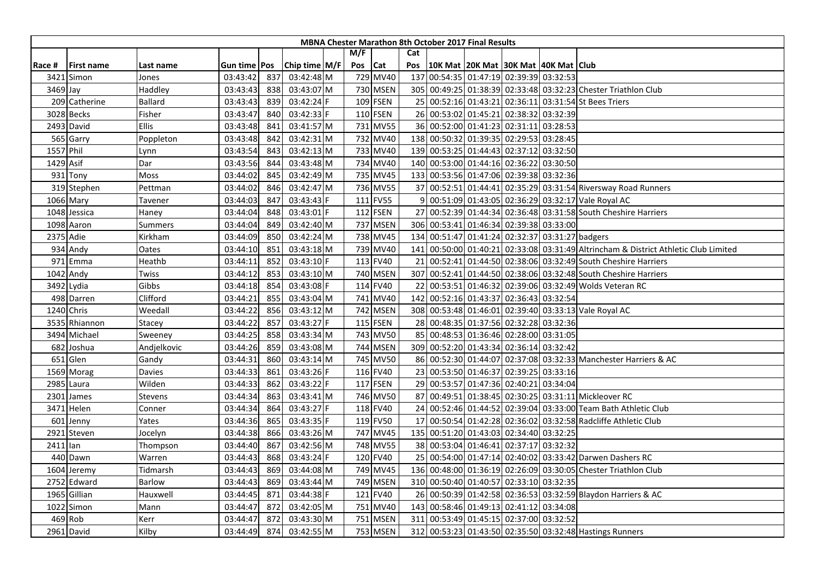|          |                   |                |                |     |                 |     |          |     | <b>MBNA Chester Marathon 8th October 2017 Final Results</b> |                                              |  |                                                                                 |
|----------|-------------------|----------------|----------------|-----|-----------------|-----|----------|-----|-------------------------------------------------------------|----------------------------------------------|--|---------------------------------------------------------------------------------|
|          |                   |                |                |     |                 | M/F |          | Cat |                                                             |                                              |  |                                                                                 |
| Race #   | <b>First name</b> | Last name      | Gun time   Pos |     | Chip time $M/F$ | Pos | Cat      | Pos |                                                             | 10K Mat   20K Mat   30K Mat   40K Mat   Club |  |                                                                                 |
| 3421     | Simon             | Jones          | 03:43:42       | 837 | 03:42:48 M      |     | 729 MV40 |     | 137 00:54:35 01:47:19 02:39:39 03:32:53                     |                                              |  |                                                                                 |
| 3469 Jay |                   | Haddley        | 03:43:43       | 838 | 03:43:07 M      |     | 730 MSEN |     |                                                             |                                              |  | 305 00:49:25 01:38:39 02:33:48 03:32:23 Chester Triathlon Club                  |
|          | 209 Catherine     | <b>Ballard</b> | 03:43:43       | 839 | 03:42:24 F      |     | 109 FSEN |     |                                                             |                                              |  | 25 00:52:16 01:43:21 02:36:11 03:31:54 St Bees Triers                           |
|          | 3028 Becks        | Fisher         | 03:43:47       | 840 | 03:42:33 F      |     | 110 FSEN |     | 26 00:53:02 01:45:21 02:38:32 03:32:39                      |                                              |  |                                                                                 |
|          | 2493 David        | <b>Ellis</b>   | 03:43:48       | 841 | 03:41:57 M      |     | 731 MV55 |     | 36 00:52:00 01:41:23 02:31:11 03:28:53                      |                                              |  |                                                                                 |
|          | 565 Garry         | Poppleton      | 03:43:48       | 842 | 03:42:31 M      |     | 732 MV40 | 138 |                                                             | 00:50:32 01:39:35 02:29:53 03:28:45          |  |                                                                                 |
|          | 1557 Phil         | Lynn           | 03:43:54       | 843 | 03:42:13 M      |     | 733 MV40 |     | 139 00:53:25 01:44:43 02:37:12 03:32:50                     |                                              |  |                                                                                 |
|          | 1429 Asif         | Dar            | 03:43:56       | 844 | 03:43:48 M      |     | 734 MV40 |     | 140 00:53:00 01:44:16 02:36:22 03:30:50                     |                                              |  |                                                                                 |
|          | 931 Tony          | Moss           | 03:44:02       | 845 | 03:42:49 M      |     | 735 MV45 |     | 133 00:53:56 01:47:06 02:39:38 03:32:36                     |                                              |  |                                                                                 |
|          | 319 Stephen       | Pettman        | 03:44:02       | 846 | 03:42:47 M      |     | 736 MV55 |     |                                                             |                                              |  | 37 00:52:51 01:44:41 02:35:29 03:31:54 Riversway Road Runners                   |
|          | 1066 Mary         | Tavener        | 03:44:03       | 847 | 03:43:43 F      |     | 111 FV55 |     |                                                             |                                              |  | 00:51:09 01:43:05 02:36:29 03:32:17 Vale Royal AC                               |
|          | 1048 Jessica      | Haney          | 03:44:04       | 848 | $03:43:01$ F    |     | 112 FSEN |     |                                                             |                                              |  | 27 00:52:39 01:44:34 02:36:48 03:31:58 South Cheshire Harriers                  |
|          | 1098 Aaron        | Summers        | 03:44:04       | 849 | 03:42:40 M      |     | 737 MSEN |     | 306 00:53:41 01:46:34 02:39:38 03:33:00                     |                                              |  |                                                                                 |
|          | 2375 Adie         | Kirkham        | 03:44:09       | 850 | 03:42:24 M      |     | 738 MV45 |     | 134 00:51:47 01:41:24 02:32:37 03:31:27 badgers             |                                              |  |                                                                                 |
|          | 934 Andy          | Oates          | 03:44:10       | 851 | 03:43:18 M      |     | 739 MV40 | 141 |                                                             |                                              |  | 00:50:00 01:40:21 02:33:08 03:31:49 Altrincham & District Athletic Club Limited |
|          | 971 Emma          | Heathb         | 03:44:11       | 852 | 03:43:10 F      |     | 113 FV40 | 21  |                                                             |                                              |  | 00:52:41 01:44:50 02:38:06 03:32:49 South Cheshire Harriers                     |
|          | 1042 Andy         | Twiss          | 03:44:12       | 853 | 03:43:10 M      |     | 740 MSEN | 307 |                                                             |                                              |  | 00:52:41 01:44:50 02:38:06 03:32:48 South Cheshire Harriers                     |
|          | 3492 Lydia        | Gibbs          | 03:44:18       | 854 | 03:43:08 F      |     | 114 FV40 |     |                                                             |                                              |  | 22 00:53:51 01:46:32 02:39:06 03:32:49 Wolds Veteran RC                         |
|          | 498 Darren        | Clifford       | 03:44:21       | 855 | 03:43:04 M      |     | 741 MV40 |     | 142 00:52:16 01:43:37 02:36:43 03:32:54                     |                                              |  |                                                                                 |
|          | 1240 Chris        | Weedall        | 03:44:22       | 856 | 03:43:12 M      |     | 742 MSEN |     |                                                             |                                              |  | 308 00:53:48 01:46:01 02:39:40 03:33:13 Vale Royal AC                           |
|          | 3535 Rhiannon     | Stacey         | 03:44:22       | 857 | 03:43:27 F      |     | 115 FSEN |     | 28 00:48:35 01:37:56 02:32:28 03:32:36                      |                                              |  |                                                                                 |
|          | 3494 Michael      | Sweeney        | 03:44:25       | 858 | 03:43:34 M      |     | 743 MV50 |     | 85 00:48:53 01:36:46 02:28:00 03:31:05                      |                                              |  |                                                                                 |
|          | 682 Joshua        | Andjelkovic    | 03:44:26       | 859 | 03:43:08 M      |     | 744 MSEN |     | 309 00:52:20 01:43:34 02:36:14 03:32:42                     |                                              |  |                                                                                 |
|          | 651 Glen          | Gandy          | 03:44:31       | 860 | 03:43:14 M      |     | 745 MV50 |     |                                                             |                                              |  | 86 00:52:30 01:44:07 02:37:08 03:32:33 Manchester Harriers & AC                 |
|          | 1569 Morag        | Davies         | 03:44:33       | 861 | 03:43:26 F      |     | 116 FV40 |     | 23 00:53:50 01:46:37 02:39:25 03:33:16                      |                                              |  |                                                                                 |
|          | 2985 Laura        | Wilden         | 03:44:33       | 862 | 03:43:22 F      |     | 117 FSEN |     | 29 00:53:57 01:47:36 02:40:21 03:34:04                      |                                              |  |                                                                                 |
| 2301     | James             | Stevens        | 03:44:34       | 863 | 03:43:41 M      |     | 746 MV50 |     |                                                             |                                              |  | 87 00:49:51 01:38:45 02:30:25 03:31:11 Mickleover RC                            |
| 3471     | Helen             | Conner         | 03:44:34       | 864 | 03:43:27 F      |     | 118 FV40 |     |                                                             |                                              |  | 24 00:52:46 01:44:52 02:39:04 03:33:00 Team Bath Athletic Club                  |
| 601      | Jenny             | Yates          | 03:44:36       | 865 | 03:43:35 F      |     | 119 FV50 |     |                                                             |                                              |  | 17 00:50:54 01:42:28 02:36:02 03:32:58 Radcliffe Athletic Club                  |
| 2921     | Steven            | Jocelyn        | 03:44:38       | 866 | 03:43:26 M      |     | 747 MV45 |     | 135 00:51:20 01:43:03 02:34:40 03:32:25                     |                                              |  |                                                                                 |
| 2411 lan |                   | Thompson       | 03:44:40       | 867 | 03:42:56 M      |     | 748 MV55 |     | 38 00:53:04 01:46:41 02:37:17 03:32:32                      |                                              |  |                                                                                 |
|          | 440 Dawn          | Warren         | 03:44:43       | 868 | 03:43:24 F      |     | 120 FV40 |     |                                                             |                                              |  | 25 00:54:00 01:47:14 02:40:02 03:33:42 Darwen Dashers RC                        |
|          | 1604 Jeremy       | Tidmarsh       | 03:44:43       | 869 | 03:44:08 M      |     | 749 MV45 |     |                                                             |                                              |  | 136 00:48:00 01:36:19 02:26:09 03:30:05 Chester Triathlon Club                  |
|          | 2752 Edward       | <b>Barlow</b>  | 03:44:43       | 869 | 03:43:44 M      |     | 749 MSEN |     | 310 00:50:40 01:40:57 02:33:10 03:32:35                     |                                              |  |                                                                                 |
|          | 1965 Gillian      | Hauxwell       | 03:44:45       | 871 | 03:44:38 F      |     | 121 FV40 |     |                                                             |                                              |  | 26 00:50:39 01:42:58 02:36:53 03:32:59 Blaydon Harriers & AC                    |
|          | 1022 Simon        | Mann           | 03:44:47       | 872 | 03:42:05 M      |     | 751 MV40 |     | 143 00:58:46 01:49:13 02:41:12 03:34:08                     |                                              |  |                                                                                 |
|          | 469 Rob           | Kerr           | 03:44:47       | 872 | 03:43:30 M      |     | 751 MSEN | 311 | 00:53:49 01:45:15 02:37:00 03:32:52                         |                                              |  |                                                                                 |
|          | 2961 David        | Kilby          | 03:44:49       | 874 | 03:42:55 M      |     | 753 MSEN |     |                                                             |                                              |  | 312 00:53:23 01:43:50 02:35:50 03:32:48 Hastings Runners                        |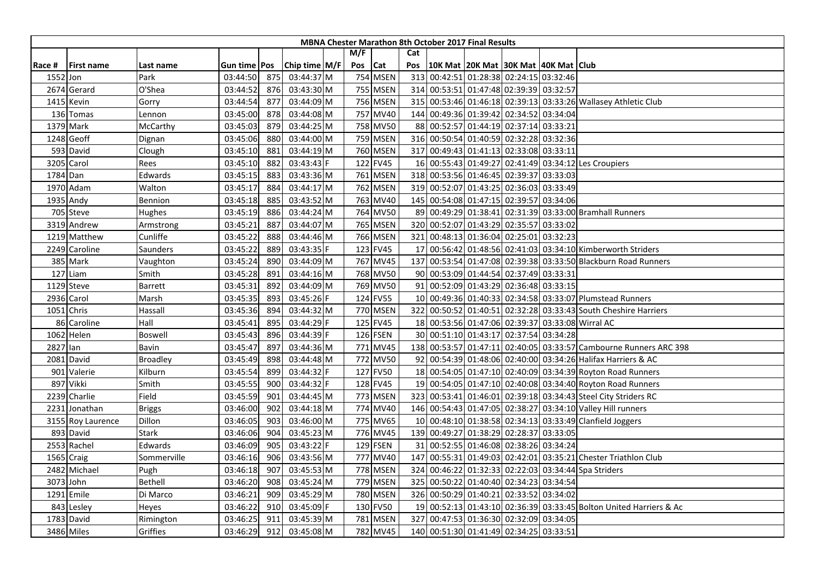|          |                   |                 |                |     |                 |     |            |                 | <b>MBNA Chester Marathon 8th October 2017 Final Results</b> |                                     |                                                                    |
|----------|-------------------|-----------------|----------------|-----|-----------------|-----|------------|-----------------|-------------------------------------------------------------|-------------------------------------|--------------------------------------------------------------------|
|          |                   |                 |                |     |                 | M/F |            | Cat             |                                                             |                                     |                                                                    |
| Race #   | <b>First name</b> | Last name       | Gun time   Pos |     | Chip time $M/F$ | Pos | <b>Cat</b> | Pos             | 10K Mat   20K Mat   30K Mat   40K Mat   Club                |                                     |                                                                    |
| 1552 Jon |                   | Park            | 03:44:50       | 875 | 03:44:37 M      |     | 754 MSEN   |                 | 313 00:42:51 01:28:38 02:24:15 03:32:46                     |                                     |                                                                    |
|          | 2674 Gerard       | O'Shea          | 03:44:52       | 876 | 03:43:30 M      |     | 755 MSEN   |                 | 314 00:53:51 01:47:48 02:39:39 03:32:57                     |                                     |                                                                    |
|          | 1415 Kevin        | Gorry           | 03:44:54       | 877 | 03:44:09 M      |     | 756 MSEN   |                 |                                                             |                                     | 315 00:53:46 01:46:18 02:39:13 03:33:26 Wallasey Athletic Club     |
|          | 136 Tomas         | Lennon          | 03:45:00       | 878 | 03:44:08 M      |     | 757 MV40   |                 | 144 00:49:36 01:39:42 02:34:52 03:34:04                     |                                     |                                                                    |
|          | 1379 Mark         | McCarthy        | 03:45:03       | 879 | 03:44:25 M      |     | 758 MV50   |                 | 88 00:52:57 01:44:19 02:37:14 03:33:21                      |                                     |                                                                    |
|          | 1248 Geoff        | Dignan          | 03:45:06       | 880 | 03:44:00 M      |     | 759 MSEN   |                 | 316 00:50:54 01:40:59 02:32:28 03:32:36                     |                                     |                                                                    |
|          | 593 David         | Clough          | 03:45:10       | 881 | 03:44:19 M      |     | 760 MSEN   |                 | 317 00:49:43 01:41:13 02:33:08 03:33:11                     |                                     |                                                                    |
|          | 3205 Carol        | Rees            | 03:45:10       | 882 | 03:43:43 F      |     | 122 FV45   |                 |                                                             |                                     | 16 00:55:43 01:49:27 02:41:49 03:34:12 Les Croupiers               |
| 1784 Dan |                   | Edwards         | 03:45:15       | 883 | 03:43:36 M      |     | 761 MSEN   |                 | 318 00:53:56 01:46:45 02:39:37 03:33:03                     |                                     |                                                                    |
|          | 1970 Adam         | Walton          | 03:45:17       | 884 | 03:44:17 M      |     | 762 MSEN   |                 | 319 00:52:07 01:43:25 02:36:03 03:33:49                     |                                     |                                                                    |
|          | 1935 Andy         | Bennion         | 03:45:18       | 885 | 03:43:52 M      |     | 763 MV40   |                 | 145 00:54:08 01:47:15 02:39:57 03:34:06                     |                                     |                                                                    |
|          | 705 Steve         | Hughes          | 03:45:19       | 886 | 03:44:24 M      |     | 764 MV50   |                 |                                                             |                                     | 89 00:49:29 01:38:41 02:31:39 03:33:00 Bramhall Runners            |
|          | 3319 Andrew       | Armstrong       | 03:45:21       | 887 | 03:44:07 M      |     | 765 MSEN   | 320             |                                                             | 00:52:07 01:43:29 02:35:57 03:33:02 |                                                                    |
|          | 1219 Matthew      | Cunliffe        | 03:45:22       | 888 | 03:44:46 M      |     | 766 MSEN   |                 | 321 00:48:13 01:36:04 02:25:01 03:32:23                     |                                     |                                                                    |
|          | 2249 Caroline     | Saunders        | 03:45:22       | 889 | 03:43:35 F      |     | 123 FV45   | 17 <sup>1</sup> |                                                             |                                     | 00:56:42 01:48:56 02:41:03 03:34:10 Kimberworth Striders           |
|          | 385 Mark          | Vaughton        | 03:45:24       | 890 | 03:44:09 M      |     | 767 MV45   |                 |                                                             |                                     | 137 00:53:54 01:47:08 02:39:38 03:33:50 Blackburn Road Runners     |
|          | 127 Liam          | Smith           | 03:45:28       | 891 | 03:44:16 M      |     | 768 MV50   |                 | 90 00:53:09 01:44:54 02:37:49 03:33:31                      |                                     |                                                                    |
|          | 1129 Steve        | Barrett         | 03:45:31       | 892 | 03:44:09 M      |     | 769 MV50   |                 | 91 00:52:09 01:43:29 02:36:48 03:33:15                      |                                     |                                                                    |
|          | 2936 Carol        | Marsh           | 03:45:35       | 893 | 03:45:26 F      |     | 124 FV55   |                 |                                                             |                                     | 10 00:49:36 01:40:33 02:34:58 03:33:07 Plumstead Runners           |
|          | 1051 Chris        | Hassall         | 03:45:36       | 894 | 03:44:32 M      |     | 770 MSEN   |                 |                                                             |                                     | 322 00:50:52 01:40:51 02:32:28 03:33:43 South Cheshire Harriers    |
|          | 86 Caroline       | Hall            | 03:45:41       | 895 | 03:44:29 F      |     | 125 FV45   |                 |                                                             |                                     | 18 00:53:56 01:47:06 02:39:37 03:33:08 Wirral AC                   |
|          | 1062 Helen        | <b>Boswell</b>  | 03:45:43       | 896 | 03:44:39 F      |     | 126 FSEN   |                 | 30 00:51:10 01:43:17 02:37:54 03:34:28                      |                                     |                                                                    |
| 2827 lan |                   | Bavin           | 03:45:47       | 897 | 03:44:36 M      |     | 771 MV45   |                 |                                                             |                                     | 138 00:53:57 01:47:11 02:40:05 03:33:57 Cambourne Runners ARC 398  |
|          | 2081 David        | <b>Broadley</b> | 03:45:49       | 898 | 03:44:48 M      |     | 772 MV50   |                 |                                                             |                                     | 92 00:54:39 01:48:06 02:40:00 03:34:26 Halifax Harriers & AC       |
| 901      | Valerie           | <b>Kilburn</b>  | 03:45:54       | 899 | 03:44:32 F      |     | 127 FV50   |                 |                                                             |                                     | 18 00:54:05 01:47:10 02:40:09 03:34:39 Royton Road Runners         |
|          | 897 Vikki         | Smith           | 03:45:55       | 900 | 03:44:32 F      |     | 128 FV45   |                 |                                                             |                                     | 19 00:54:05 01:47:10 02:40:08 03:34:40 Royton Road Runners         |
|          | 2239 Charlie      | Field           | 03:45:59       | 901 | 03:44:45 M      |     | 773 MSEN   |                 |                                                             |                                     | 323 00:53:41 01:46:01 02:39:18 03:34:43 Steel City Striders RC     |
| 2231     | Jonathan          | <b>Briggs</b>   | 03:46:00       | 902 | 03:44:18 M      |     | 774 MV40   |                 |                                                             |                                     | 146 00:54:43 01:47:05 02:38:27 03:34:10 Valley Hill runners        |
|          | 3155 Roy Laurence | Dillon          | 03:46:05       | 903 | 03:46:00 M      |     | 775 MV65   |                 |                                                             |                                     | 10 00:48:10 01:38:58 02:34:13 03:33:49 Clanfield Joggers           |
|          | 893 David         | Stark           | 03:46:06       | 904 | 03:45:23 M      |     | 776 MV45   |                 | 139 00:49:27 01:38:29 02:28:37 03:33:05                     |                                     |                                                                    |
|          | 2553 Rachel       | Edwards         | 03:46:09       | 905 | 03:43:22 F      |     | 129 FSEN   |                 | 31 00:52:55 01:46:08 02:38:26 03:34:24                      |                                     |                                                                    |
|          | 1565 Craig        | Sommerville     | 03:46:16       | 906 | 03:43:56 M      |     | 777 MV40   |                 |                                                             |                                     | 147 00:55:31 01:49:03 02:42:01 03:35:21 Chester Triathlon Club     |
|          | 2482 Michael      | Pugh            | 03:46:18       | 907 | 03:45:53 M      |     | 778 MSEN   |                 |                                                             |                                     | 324 00:46:22 01:32:33 02:22:03 03:34:44 Spa Striders               |
|          | 3073 John         | Bethell         | 03:46:20       | 908 | 03:45:24 M      |     | 779 MSEN   | 325             |                                                             | 00:50:22 01:40:40 02:34:23 03:34:54 |                                                                    |
|          | 1291 Emile        | Di Marco        | 03:46:21       | 909 | 03:45:29 M      |     | 780 MSEN   |                 | 326 00:50:29 01:40:21 02:33:52 03:34:02                     |                                     |                                                                    |
|          | 843 Lesley        | Heyes           | 03:46:22       | 910 | 03:45:09 F      |     | 130 FV50   |                 |                                                             |                                     | 19 00:52:13 01:43:10 02:36:39 03:33:45 Bolton United Harriers & Ac |
|          | 1783 David        | Rimington       | 03:46:25       | 911 | 03:45:39 M      |     | 781 MSEN   |                 | 327 00:47:53 01:36:30 02:32:09 03:34:05                     |                                     |                                                                    |
|          | 3486 Miles        | Griffies        | 03:46:29       | 912 | 03:45:08 M      |     | 782 MV45   |                 | 140 00:51:30 01:41:49 02:34:25 03:33:51                     |                                     |                                                                    |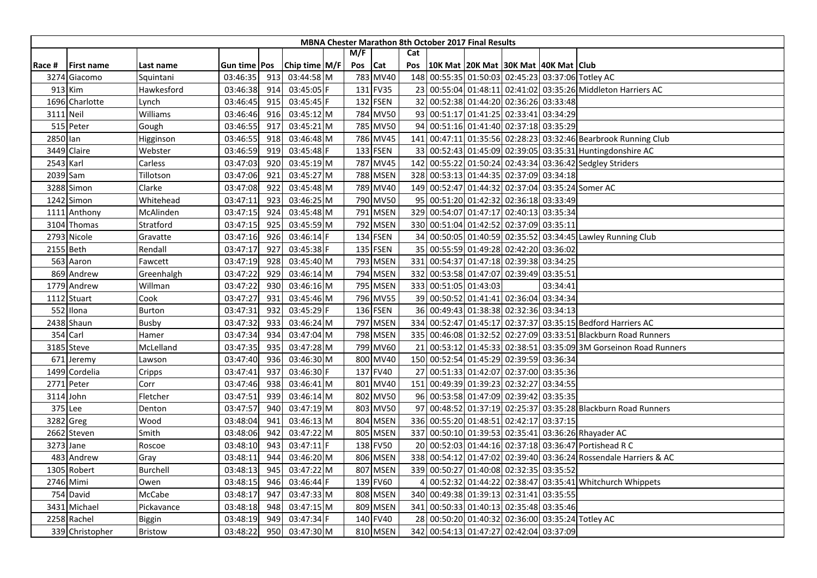|           | <b>MBNA Chester Marathon 8th October 2017 Final Results</b><br>Cat |                 |                |     |               |  |     |          |     |                                         |                                      |  |          |                                                                  |
|-----------|--------------------------------------------------------------------|-----------------|----------------|-----|---------------|--|-----|----------|-----|-----------------------------------------|--------------------------------------|--|----------|------------------------------------------------------------------|
|           |                                                                    |                 |                |     |               |  | M/F |          |     |                                         |                                      |  |          |                                                                  |
| Race #    | <b>First name</b>                                                  | Last name       | Gun time   Pos |     | Chip time M/F |  | Pos | Cat      | Pos |                                         | 10K Mat 20K Mat 30K Mat 40K Mat Club |  |          |                                                                  |
|           | 3274 Giacomo                                                       | Squintani       | 03:46:35       | 913 | 03:44:58 M    |  |     | 783 MV40 |     |                                         |                                      |  |          | 148 00:55:35 01:50:03 02:45:23 03:37:06 Totley AC                |
|           | 913 Kim                                                            | Hawkesford      | 03:46:38       | 914 | 03:45:05 F    |  |     | 131 FV35 |     |                                         |                                      |  |          | 23 00:55:04 01:48:11 02:41:02 03:35:26 Middleton Harriers AC     |
|           | 1696 Charlotte                                                     | Lynch           | 03:46:45       | 915 | 03:45:45 F    |  |     | 132 FSEN |     | 32 00:52:38 01:44:20 02:36:26 03:33:48  |                                      |  |          |                                                                  |
|           | 3111 Neil                                                          | Williams        | 03:46:46       | 916 | 03:45:12 M    |  |     | 784 MV50 |     | 93 00:51:17 01:41:25 02:33:41 03:34:29  |                                      |  |          |                                                                  |
|           | 515 Peter                                                          | Gough           | 03:46:55       | 917 | 03:45:21 M    |  |     | 785 MV50 |     | 94 00:51:16 01:41:40 02:37:18 03:35:29  |                                      |  |          |                                                                  |
| 2850 lan  |                                                                    | Higginson       | 03:46:55       | 918 | 03:46:48 M    |  |     | 786 MV45 | 141 |                                         |                                      |  |          | 00:47:11 01:35:56 02:28:23 03:32:46 Bearbrook Running Club       |
|           | 3449 Claire                                                        | Webster         | 03:46:59       | 919 | 03:45:48 F    |  |     | 133 FSEN |     |                                         |                                      |  |          | 33 00:52:43 01:45:09 02:39:05 03:35:31 Huntingdonshire AC        |
| 2543 Karl |                                                                    | Carless         | 03:47:03       | 920 | 03:45:19 M    |  |     | 787 MV45 |     |                                         |                                      |  |          | 142 00:55:22 01:50:24 02:43:34 03:36:42 Sedgley Striders         |
|           | 2039 Sam                                                           | Tillotson       | 03:47:06       | 921 | 03:45:27 M    |  |     | 788 MSEN |     | 328 00:53:13 01:44:35 02:37:09 03:34:18 |                                      |  |          |                                                                  |
|           | 3288 Simon                                                         | Clarke          | 03:47:08       | 922 | 03:45:48 M    |  |     | 789 MV40 |     |                                         |                                      |  |          | 149 00:52:47 01:44:32 02:37:04 03:35:24 Somer AC                 |
|           | 1242 Simon                                                         | Whitehead       | 03:47:11       | 923 | 03:46:25 M    |  |     | 790 MV50 |     | 95 00:51:20 01:42:32 02:36:18 03:33:49  |                                      |  |          |                                                                  |
| 1111      | Anthony                                                            | McAlinden       | 03:47:15       | 924 | 03:45:48 M    |  |     | 791 MSEN |     | 329 00:54:07 01:47:17 02:40:13 03:35:34 |                                      |  |          |                                                                  |
|           | 3104 Thomas                                                        | Stratford       | 03:47:15       | 925 | 03:45:59 M    |  |     | 792 MSEN |     | 330 00:51:04 01:42:52 02:37:09 03:35:11 |                                      |  |          |                                                                  |
|           | 2793 Nicole                                                        | Gravatte        | 03:47:16       | 926 | $03:46:14$ F  |  |     | 134 FSEN |     |                                         |                                      |  |          | 34 00:50:05 01:40:59 02:35:52 03:34:45 Lawley Running Club       |
|           | 2155 Beth                                                          | Rendall         | 03:47:17       | 927 | 03:45:38 F    |  |     | 135 FSEN |     | 35 00:55:59 01:49:28 02:42:20 03:36:02  |                                      |  |          |                                                                  |
|           | 563 Aaron                                                          | Fawcett         | 03:47:19       | 928 | 03:45:40 M    |  |     | 793 MSEN |     | 331 00:54:37 01:47:18 02:39:38 03:34:25 |                                      |  |          |                                                                  |
|           | 869 Andrew                                                         | Greenhalgh      | 03:47:22       | 929 | 03:46:14 M    |  |     | 794 MSEN | 332 | 00:53:58 01:47:07 02:39:49 03:35:51     |                                      |  |          |                                                                  |
|           | 1779 Andrew                                                        | Willman         | 03:47:22       | 930 | 03:46:16 M    |  |     | 795 MSEN |     | 333 00:51:05 01:43:03                   |                                      |  | 03:34:41 |                                                                  |
|           | 1112 Stuart                                                        | Cook            | 03:47:27       | 931 | 03:45:46 M    |  |     | 796 MV55 |     | 39 00:50:52 01:41:41 02:36:04 03:34:34  |                                      |  |          |                                                                  |
|           | 552 Ilona                                                          | Burton          | 03:47:31       | 932 | 03:45:29 F    |  |     | 136 FSEN |     | 36 00:49:43 01:38:38 02:32:36 03:34:13  |                                      |  |          |                                                                  |
|           | 2438 Shaun                                                         | Busby           | 03:47:32       | 933 | 03:46:24 M    |  |     | 797 MSEN |     |                                         |                                      |  |          | 334 00:52:47 01:45:17 02:37:37 03:35:15 Bedford Harriers AC      |
|           | 354 Carl                                                           | Hamer           | 03:47:34       | 934 | 03:47:04 M    |  |     | 798 MSEN |     |                                         |                                      |  |          | 335 00:46:08 01:32:52 02:27:09 03:33:51 Blackburn Road Runners   |
|           | 3185 Steve                                                         | McLelland       | 03:47:35       | 935 | 03:47:28 M    |  |     | 799 MV60 |     |                                         |                                      |  |          | 21 00:53:12 01:45:33 02:38:51 03:35:09 3M Gorseinon Road Runners |
|           | 671 Jeremy                                                         | Lawson          | 03:47:40       | 936 | 03:46:30 M    |  |     | 800 MV40 |     | 150 00:52:54 01:45:29 02:39:59 03:36:34 |                                      |  |          |                                                                  |
|           | 1499 Cordelia                                                      | Cripps          | 03:47:41       | 937 | 03:46:30 F    |  |     | 137 FV40 |     | 27 00:51:33 01:42:07 02:37:00 03:35:36  |                                      |  |          |                                                                  |
|           | 2771 Peter                                                         | Corr            | 03:47:46       | 938 | 03:46:41 M    |  |     | 801 MV40 |     | 151 00:49:39 01:39:23 02:32:27 03:34:55 |                                      |  |          |                                                                  |
|           | 3114 John                                                          | Fletcher        | 03:47:51       | 939 | 03:46:14 M    |  |     | 802 MV50 |     | 96 00:53:58 01:47:09 02:39:42 03:35:35  |                                      |  |          |                                                                  |
|           | 375 Lee                                                            | Denton          | 03:47:57       | 940 | 03:47:19 M    |  |     | 803 MV50 |     |                                         |                                      |  |          | 97 00:48:52 01:37:19 02:25:37 03:35:28 Blackburn Road Runners    |
|           | 3282 Greg                                                          | Wood            | 03:48:04       | 941 | $03:46:13$ M  |  |     | 804 MSEN |     | 336 00:55:20 01:48:51 02:42:17 03:37:15 |                                      |  |          |                                                                  |
|           | 2662 Steven                                                        | Smith           | 03:48:06       | 942 | 03:47:22 M    |  |     | 805 MSEN |     |                                         |                                      |  |          | 337 00:50:10 01:39:53 02:35:41 03:36:26 Rhayader AC              |
|           | 3273 Jane                                                          | Roscoe          | 03:48:10       | 943 | 03:47:11 F    |  |     | 138 FV50 |     |                                         |                                      |  |          | 20 00:52:03 01:44:16 02:37:18 03:36:47 Portishead R C            |
|           | 483 Andrew                                                         | Gray            | 03:48:11       | 944 | 03:46:20 M    |  |     | 806 MSEN |     |                                         |                                      |  |          | 338 00:54:12 01:47:02 02:39:40 03:36:24 Rossendale Harriers & AC |
|           | 1305 Robert                                                        | <b>Burchell</b> | 03:48:13       | 945 | 03:47:22 M    |  |     | 807 MSEN |     | 339 00:50:27 01:40:08 02:32:35 03:35:52 |                                      |  |          |                                                                  |
|           | 2746 Mimi                                                          | Owen            | 03:48:15       | 946 | 03:46:44 F    |  |     | 139 FV60 |     |                                         |                                      |  |          | 00:52:32 01:44:22 02:38:47 03:35:41 Whitchurch Whippets          |
|           | 754 David                                                          | McCabe          | 03:48:17       | 947 | 03:47:33 M    |  |     | 808 MSEN |     | 340 00:49:38 01:39:13 02:31:41 03:35:55 |                                      |  |          |                                                                  |
|           | 3431 Michael                                                       | Pickavance      | 03:48:18       | 948 | 03:47:15 M    |  |     | 809 MSEN |     | 341 00:50:33 01:40:13 02:35:48 03:35:46 |                                      |  |          |                                                                  |
|           | 2258 Rachel                                                        | <b>Biggin</b>   | 03:48:19       | 949 | 03:47:34 F    |  |     | 140 FV40 |     |                                         |                                      |  |          | 28 00:50:20 01:40:32 02:36:00 03:35:24 Totley AC                 |
|           | 339 Christopher                                                    | <b>Bristow</b>  | 03:48:22       | 950 | 03:47:30 M    |  |     | 810 MSEN |     | 342 00:54:13 01:47:27 02:42:04 03:37:09 |                                      |  |          |                                                                  |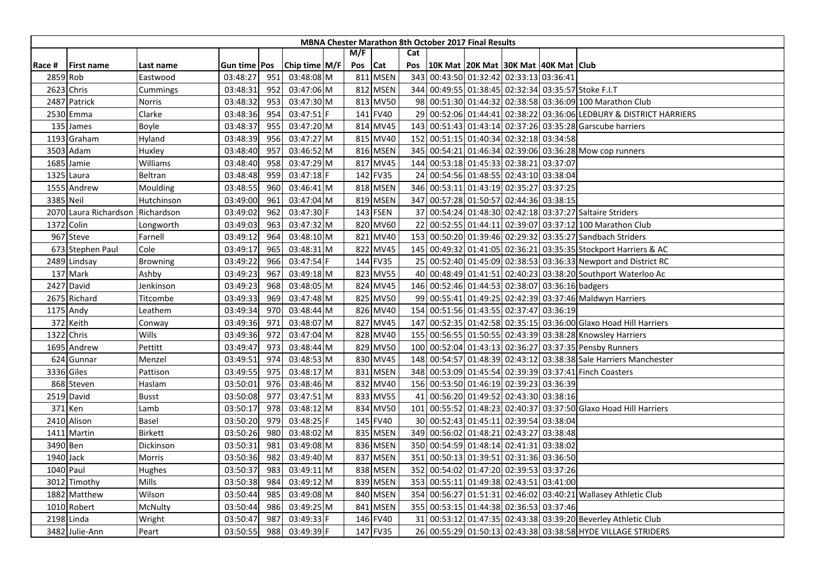|          |                       |                 |                     |     |               |     |          |     | <b>MBNA Chester Marathon 8th October 2017 Final Results</b> |                                              |  |                                                                    |
|----------|-----------------------|-----------------|---------------------|-----|---------------|-----|----------|-----|-------------------------------------------------------------|----------------------------------------------|--|--------------------------------------------------------------------|
|          |                       |                 |                     |     |               | M/F |          | Cat |                                                             |                                              |  |                                                                    |
| Race #   | <b>First name</b>     | Last name       | Gun time <b>Pos</b> |     | Chip time M/F | Pos | Cat      | Pos |                                                             | 10K Mat   20K Mat   30K Mat   40K Mat   Club |  |                                                                    |
|          | 2859 Rob              | Eastwood        | 03:48:27            | 951 | 03:48:08 M    |     | 811 MSEN |     | 343 00:43:50 01:32:42 02:33:13 03:36:41                     |                                              |  |                                                                    |
|          | 2623 Chris            | Cummings        | 03:48:31            | 952 | 03:47:06 M    |     | 812 MSEN |     |                                                             |                                              |  | 344 00:49:55 01:38:45 02:32:34 03:35:57 Stoke F.I.T                |
|          | 2487 Patrick          | Norris          | 03:48:32            | 953 | 03:47:30 M    |     | 813 MV50 |     |                                                             |                                              |  | 98 00:51:30 01:44:32 02:38:58 03:36:09 100 Marathon Club           |
|          | 2530 Emma             | Clarke          | 03:48:36            | 954 | 03:47:51 F    |     | 141 FV40 |     |                                                             |                                              |  | 29 00:52:06 01:44:41 02:38:22 03:36:06 LEDBURY & DISTRICT HARRIERS |
|          | 135 James             | Boyle           | 03:48:37            | 955 | 03:47:20 M    |     | 814 MV45 |     |                                                             |                                              |  | 143 00:51:43 01:43:14 02:37:26 03:35:28 Garscube harriers          |
|          | 1193 Graham           | Hyland          | 03:48:39            | 956 | 03:47:27 M    |     | 815 MV40 | 152 | 00:51:15 01:40:34 02:32:18 03:34:58                         |                                              |  |                                                                    |
|          | 3503 Adam             | Huxley          | 03:48:40            | 957 | 03:46:52 M    |     | 816 MSEN |     |                                                             |                                              |  | 345 00:54:21 01:46:34 02:39:06 03:36:28 Mow cop runners            |
|          | 1685 Jamie            | Williams        | 03:48:40            | 958 | 03:47:29 M    |     | 817 MV45 |     | 144 00:53:18 01:45:33 02:38:21 03:37:07                     |                                              |  |                                                                    |
|          | 1325 Laura            | Beltran         | 03:48:48            | 959 | 03:47:18 F    |     | 142 FV35 |     | 24 00:54:56 01:48:55 02:43:10 03:38:04                      |                                              |  |                                                                    |
|          | 1555 Andrew           | Moulding        | 03:48:55            | 960 | 03:46:41 M    |     | 818 MSEN |     | 346 00:53:11 01:43:19 02:35:27 03:37:25                     |                                              |  |                                                                    |
|          | 3385 Neil             | Hutchinson      | 03:49:00            | 961 | 03:47:04 M    |     | 819 MSEN |     | 347 00:57:28 01:50:57 02:44:36 03:38:15                     |                                              |  |                                                                    |
|          | 2070 Laura Richardson | Richardson      | 03:49:02            | 962 | 03:47:30 F    |     | 143 FSEN |     |                                                             |                                              |  | 37 00:54:24 01:48:30 02:42:18 03:37:27 Saltaire Striders           |
|          | 1372 Colin            | Longworth       | 03:49:03            | 963 | 03:47:32 M    |     | 820 MV60 |     |                                                             |                                              |  | 22 00:52:55 01:44:11 02:39:07 03:37:12 100 Marathon Club           |
|          | 967 Steve             | Farnell         | 03:49:12            | 964 | 03:48:10 M    |     | 821 MV40 |     |                                                             |                                              |  | 153 00:50:20 01:39:46 02:29:32 03:35:27 Sandbach Striders          |
|          | 673 Stephen Paul      | Cole            | 03:49:17            | 965 | 03:48:31 M    |     | 822 MV45 |     |                                                             |                                              |  | 145 00:49:32 01:41:05 02:36:21 03:35:35 Stockport Harriers & AC    |
|          | 2489 Lindsay          | <b>Browning</b> | 03:49:22            | 966 | 03:47:54 F    |     | 144 FV35 |     |                                                             |                                              |  | 25 00:52:40 01:45:09 02:38:53 03:36:33 Newport and District RC     |
|          | 137 Mark              | Ashby           | 03:49:23            | 967 | 03:49:18 M    |     | 823 MV55 |     |                                                             |                                              |  | 40 00:48:49 01:41:51 02:40:23 03:38:20 Southport Waterloo Ac       |
|          | 2427 David            | Jenkinson       | 03:49:23            | 968 | 03:48:05 M    |     | 824 MV45 |     | 146 00:52:46 01:44:53 02:38:07 03:36:16 badgers             |                                              |  |                                                                    |
|          | 2675 Richard          | Titcombe        | 03:49:33            | 969 | 03:47:48 M    |     | 825 MV50 |     |                                                             |                                              |  | 99 00:55:41 01:49:25 02:42:39 03:37:46 Maldwyn Harriers            |
|          | 1175 Andy             | Leathem         | 03:49:34            | 970 | 03:48:44 M    |     | 826 MV40 |     | 154 00:51:56 01:43:55 02:37:47 03:36:19                     |                                              |  |                                                                    |
|          | 372 Keith             | Conway          | 03:49:36            | 971 | 03:48:07 M    |     | 827 MV45 |     |                                                             |                                              |  | 147 00:52:35 01:42:58 02:35:15 03:36:00 Glaxo Hoad Hill Harriers   |
| 1322     | Chris                 | Wills           | 03:49:36            | 972 | 03:47:04 M    |     | 828 MV40 |     |                                                             |                                              |  | 155 00:56:55 01:50:55 02:43:39 03:38:28 Knowsley Harriers          |
|          | 1695 Andrew           | Pettitt         | 03:49:47            | 973 | 03:48:44 M    |     | 829 MV50 |     |                                                             |                                              |  | 100 00:52:04 01:43:13 02:36:27 03:37:35 Pensby Runners             |
|          | 624 Gunnar            | Menzel          | 03:49:51            | 974 | 03:48:53 M    |     | 830 MV45 |     |                                                             |                                              |  | 148 00:54:57 01:48:39 02:43:12 03:38:38 Sale Harriers Manchester   |
|          | 3336 Giles            | Pattison        | 03:49:55            | 975 | 03:48:17 M    |     | 831 MSEN |     |                                                             |                                              |  | 348 00:53:09 01:45:54 02:39:39 03:37:41 Finch Coasters             |
|          | 868 Steven            | Haslam          | 03:50:01            | 976 | 03:48:46 M    |     | 832 MV40 |     | 156 00:53:50 01:46:19 02:39:23 03:36:39                     |                                              |  |                                                                    |
|          | 2519 David            | <b>Busst</b>    | 03:50:08            | 977 | 03:47:51 M    |     | 833 MV55 | 41  | 00:56:20 01:49:52 02:43:30 03:38:16                         |                                              |  |                                                                    |
|          | 371 Ken               | Lamb            | 03:50:17            | 978 | 03:48:12 M    |     | 834 MV50 | 101 |                                                             |                                              |  | 00:55:52 01:48:23 02:40:37 03:37:50 Glaxo Hoad Hill Harriers       |
|          | 2410 Alison           | Basel           | 03:50:20            | 979 | $03:48:25$ F  |     | 145 FV40 |     | 30 00:52:43 01:45:11 02:39:54 03:38:04                      |                                              |  |                                                                    |
|          | 1411 Martin           | <b>Birkett</b>  | 03:50:26            | 980 | 03:48:02 M    |     | 835 MSEN |     | 349 00:56:02 01:48:21 02:43:27 03:38:48                     |                                              |  |                                                                    |
| 3490 Ben |                       | Dickinson       | 03:50:31            | 981 | 03:49:08 M    |     | 836 MSEN |     | 350 00:54:59 01:48:14 02:41:31 03:38:02                     |                                              |  |                                                                    |
|          | 1940 Jack             | Morris          | 03:50:36            | 982 | 03:49:40 M    |     | 837 MSEN |     | 351 00:50:13 01:39:51 02:31:36 03:36:50                     |                                              |  |                                                                    |
|          | 1040 Paul             | Hughes          | 03:50:37            | 983 | 03:49:11 M    |     | 838 MSEN |     | 352 00:54:02 01:47:20 02:39:53 03:37:26                     |                                              |  |                                                                    |
|          | 3012 Timothy          | Mills           | 03:50:38            | 984 | 03:49:12 M    |     | 839 MSEN |     | 353 00:55:11 01:49:38 02:43:51 03:41:00                     |                                              |  |                                                                    |
|          | 1882 Matthew          | Wilson          | 03:50:44            | 985 | 03:49:08 M    |     | 840 MSEN |     |                                                             |                                              |  | 354 00:56:27 01:51:31 02:46:02 03:40:21 Wallasey Athletic Club     |
|          | 1010 Robert           | McNulty         | 03:50:44            | 986 | 03:49:25 M    |     | 841 MSEN |     | 355 00:53:15 01:44:38 02:36:53 03:37:46                     |                                              |  |                                                                    |
|          | 2198 Linda            | Wright          | 03:50:47            | 987 | 03:49:33 F    |     | 146 FV40 |     |                                                             |                                              |  | 31 00:53:12 01:47:35 02:43:38 03:39:20 Beverley Athletic Club      |
|          | 3482 Julie-Ann        | Peart           | 03:50:55            | 988 | 03:49:39 F    |     | 147 FV35 |     |                                                             |                                              |  | 26 00:55:29 01:50:13 02:43:38 03:38:58 HYDE VILLAGE STRIDERS       |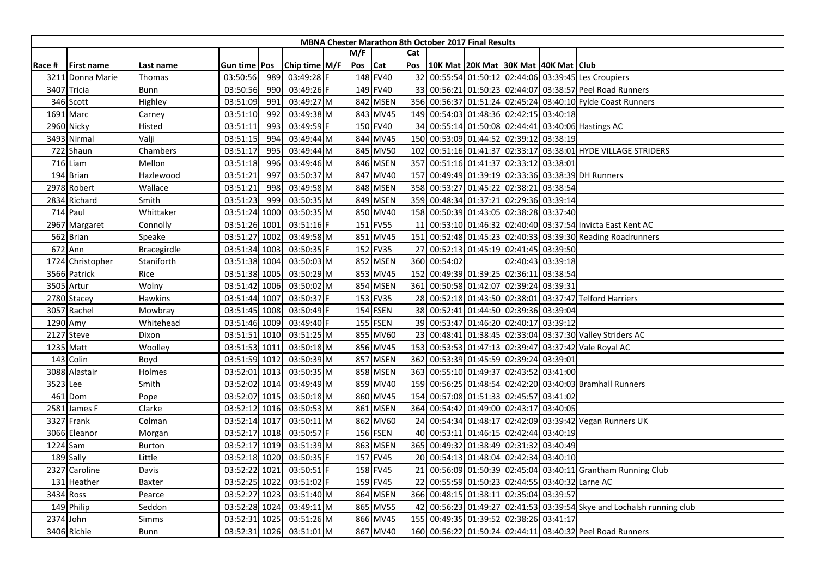|        |                   |                |               |      |               |         |          |     |              | <b>MBNA Chester Marathon 8th October 2017 Final Results</b> |                   |                                                                       |
|--------|-------------------|----------------|---------------|------|---------------|---------|----------|-----|--------------|-------------------------------------------------------------|-------------------|-----------------------------------------------------------------------|
|        |                   |                |               |      |               | M/F     |          | Cat |              |                                                             |                   |                                                                       |
| Race # | <b>First name</b> | Last name      | Gun time Pos  |      | Chip time M/F | Pos Cat |          | Pos |              | 10K Mat 20K Mat 30K Mat 40K Mat Club                        |                   |                                                                       |
| 3211   | Donna Marie       | Thomas         | 03:50:56      | 989  | 03:49:28 F    |         | 148 FV40 |     |              |                                                             |                   | 32 00:55:54 01:50:12 02:44:06 03:39:45 Les Croupiers                  |
|        | 3407 Tricia       | Bunn           | 03:50:56      | 990  | 03:49:26 F    |         | 149 FV40 |     |              |                                                             |                   | 33 00:56:21 01:50:23 02:44:07 03:38:57 Peel Road Runners              |
|        | 346 Scott         | Highley        | 03:51:09      | 991  | 03:49:27 M    |         | 842 MSEN |     |              |                                                             |                   | 356 00:56:37 01:51:24 02:45:24 03:40:10 Fylde Coast Runners           |
|        | 1691 Marc         | Carney         | 03:51:10      | 992  | 03:49:38 M    |         | 843 MV45 |     |              | 149 00:54:03 01:48:36 02:42:15 03:40:18                     |                   |                                                                       |
|        | 2960 Nicky        | Histed         | 03:51:11      | 993  | 03:49:59 F    |         | 150 FV40 |     |              |                                                             |                   | 34 00:55:14 01:50:08 02:44:41 03:40:06 Hastings AC                    |
|        | 3493 Nirmal       | Valji          | 03:51:15      | 994  | 03:49:44 M    |         | 844 MV45 |     |              | 150 00:53:09 01:44:52 02:39:12 03:38:19                     |                   |                                                                       |
|        | 722 Shaun         | Chambers       | 03:51:17      | 995  | 03:49:44 M    |         | 845 MV50 |     |              |                                                             |                   | 102 00:51:16 01:41:37 02:33:17 03:38:01 HYDE VILLAGE STRIDERS         |
|        | 716 Liam          | Mellon         | 03:51:18      | 996  | 03:49:46 M    |         | 846 MSEN |     |              | 357 00:51:16 01:41:37 02:33:12 03:38:01                     |                   |                                                                       |
|        | 194 Brian         | Hazlewood      | 03:51:21      | 997  | 03:50:37 M    |         | 847 MV40 |     |              |                                                             |                   | 157 00:49:49 01:39:19 02:33:36 03:38:39 DH Runners                    |
|        | 2978 Robert       | Wallace        | 03:51:21      | 998  | 03:49:58 M    |         | 848 MSEN |     |              | 358 00:53:27 01:45:22 02:38:21 03:38:54                     |                   |                                                                       |
|        | 2834 Richard      | Smith          | 03:51:23      | 999  | 03:50:35 M    |         | 849 MSEN |     |              | 359 00:48:34 01:37:21 02:29:36 03:39:14                     |                   |                                                                       |
|        | 714 Paul          | Whittaker      | 03:51:24      | 1000 | 03:50:35 M    |         | 850 MV40 |     |              | 158 00:50:39 01:43:05 02:38:28 03:37:40                     |                   |                                                                       |
|        | 2967 Margaret     | Connolly       | 03:51:26 1001 |      | 03:51:16 F    |         | 151 FV55 |     |              |                                                             |                   | 11 00:53:10 01:46:32 02:40:40 03:37:54 Invicta East Kent AC           |
|        | 562 Brian         | Speake         | 03:51:27 1002 |      | 03:49:58 M    |         | 851 MV45 |     |              |                                                             |                   | 151 00:52:48 01:45:23 02:40:33 03:39:30 Reading Roadrunners           |
|        | 672 Ann           | Bracegirdle    | 03:51:34 1003 |      | 03:50:35 F    |         | 152 FV35 |     |              | 27 00:52:13 01:45:19 02:41:45 03:39:50                      |                   |                                                                       |
|        | 1724 Christopher  | Staniforth     | 03:51:38 1004 |      | 03:50:03 M    |         | 852 MSEN |     | 360 00:54:02 |                                                             | 02:40:43 03:39:18 |                                                                       |
|        | 3566 Patrick      | Rice           | 03:51:38 1005 |      | 03:50:29 M    |         | 853 MV45 |     |              | 152 00:49:39 01:39:25 02:36:11 03:38:54                     |                   |                                                                       |
|        | 3505 Artur        | Wolny          | 03:51:42 1006 |      | 03:50:02 M    |         | 854 MSEN |     |              | 361 00:50:58 01:42:07 02:39:24 03:39:31                     |                   |                                                                       |
|        | 2780 Stacey       | <b>Hawkins</b> | 03:51:44 1007 |      | 03:50:37 F    |         | 153 FV35 |     |              |                                                             |                   | 28 00:52:18 01:43:50 02:38:01 03:37:47 Telford Harriers               |
|        | 3057 Rachel       | Mowbray        | 03:51:45 1008 |      | 03:50:49 F    |         | 154 FSEN |     |              | 38 00:52:41 01:44:50 02:39:36 03:39:04                      |                   |                                                                       |
|        | 1290 Amy          | Whitehead      | 03:51:46 1009 |      | 03:49:40 F    |         | 155 FSEN |     |              | 39 00:53:47 01:46:20 02:40:17 03:39:12                      |                   |                                                                       |
|        | 2127 Steve        | Dixon          | 03:51:51 1010 |      | 03:51:25 M    |         | 855 MV60 |     |              |                                                             |                   | 23 00:48:41 01:38:45 02:33:04 03:37:30 Valley Striders AC             |
|        | 1235 Matt         | Woolley        | 03:51:53 1011 |      | 03:50:18 M    |         | 856 MV45 |     |              |                                                             |                   | 153 00:53:53 01:47:13 02:39:47 03:37:42 Vale Royal AC                 |
|        | 143 Colin         | Boyd           | 03:51:59 1012 |      | 03:50:39 M    |         | 857 MSEN |     |              | 362 00:53:39 01:45:59 02:39:24 03:39:01                     |                   |                                                                       |
|        | 3088 Alastair     | Holmes         | 03:52:01      | 1013 | 03:50:35 M    |         | 858 MSEN |     |              | 363 00:55:10 01:49:37 02:43:52 03:41:00                     |                   |                                                                       |
|        | 3523 Lee          | Smith          | 03:52:02 1014 |      | 03:49:49 M    |         | 859 MV40 |     |              |                                                             |                   | 159 00:56:25 01:48:54 02:42:20 03:40:03 Bramhall Runners              |
|        | 461 Dom           | Pope           | 03:52:07 1015 |      | 03:50:18 M    |         | 860 MV45 |     |              | 154 00:57:08 01:51:33 02:45:57 03:41:02                     |                   |                                                                       |
| 2581   | James F           | Clarke         | 03:52:12 1016 |      | 03:50:53 M    |         | 861 MSEN |     |              | 364 00:54:42 01:49:00 02:43:17 03:40:05                     |                   |                                                                       |
|        | 3327 Frank        | Colman         | 03:52:14 1017 |      | 03:50:11 M    |         | 862 MV60 |     |              |                                                             |                   | 24 00:54:34 01:48:17 02:42:09 03:39:42 Vegan Runners UK               |
|        | 3066 Eleanor      | Morgan         | 03:52:17 1018 |      | 03:50:57 F    |         | 156 FSEN |     |              | 40 00:53:11 01:46:15 02:42:44 03:40:19                      |                   |                                                                       |
|        | 1224 Sam          | <b>Burton</b>  | 03:52:17 1019 |      | 03:51:39 M    |         | 863 MSEN |     |              | 365 00:49:32 01:38:49 02:31:32 03:40:49                     |                   |                                                                       |
|        | 189 Sally         | Little         | 03:52:18 1020 |      | 03:50:35 F    |         | 157 FV45 |     |              | 20 00:54:13 01:48:04 02:42:34 03:40:10                      |                   |                                                                       |
|        | 2327 Caroline     | Davis          | 03:52:22 1021 |      | 03:50:51 F    |         | 158 FV45 |     |              |                                                             |                   | 21 00:56:09 01:50:39 02:45:04 03:40:11 Grantham Running Club          |
|        | 131 Heather       | Baxter         | 03:52:25 1022 |      | 03:51:02 F    |         | 159 FV45 |     |              |                                                             |                   | 22 00:55:59 01:50:23 02:44:55 03:40:32 Larne AC                       |
|        | 3434 Ross         | Pearce         | 03:52:27 1023 |      | 03:51:40 M    |         | 864 MSEN |     |              | 366 00:48:15 01:38:11 02:35:04 03:39:57                     |                   |                                                                       |
|        | 149 Philip        | Seddon         | 03:52:28 1024 |      | 03:49:11 M    |         | 865 MV55 |     |              |                                                             |                   | 42 00:56:23 01:49:27 02:41:53 03:39:54 Skye and Lochalsh running club |
|        | 2374 John         | Simms          | 03:52:31      | 1025 | 03:51:26 M    |         | 866 MV45 |     |              | 155 00:49:35 01:39:52 02:38:26 03:41:17                     |                   |                                                                       |
|        | 3406 Richie       | Bunn           | 03:52:31 1026 |      | 03:51:01 M    |         | 867 MV40 |     |              |                                                             |                   | 160 00:56:22 01:50:24 02:44:11 03:40:32 Peel Road Runners             |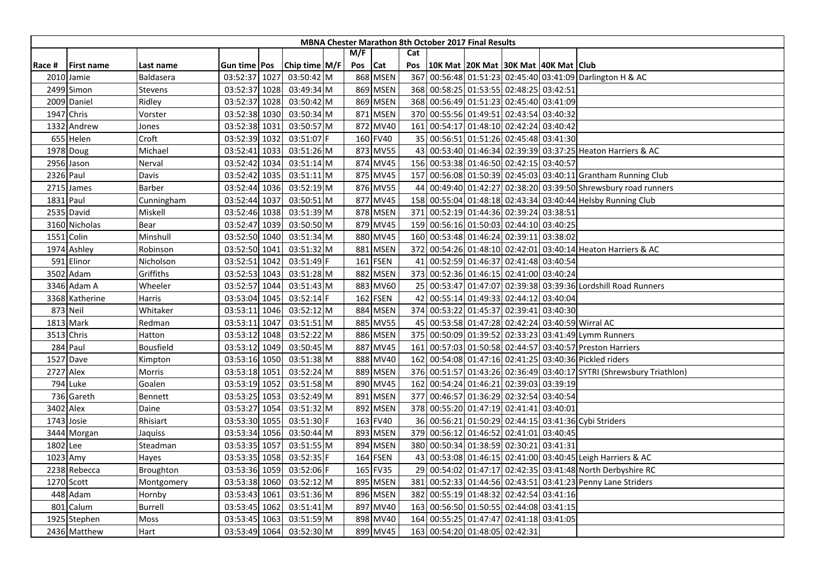|        |                   |            |                |      |               |     |            |              | <b>MBNA Chester Marathon 8th October 2017 Final Results</b> |                                     |  |                                                                      |
|--------|-------------------|------------|----------------|------|---------------|-----|------------|--------------|-------------------------------------------------------------|-------------------------------------|--|----------------------------------------------------------------------|
|        |                   |            |                |      |               | M/F |            | Cat          |                                                             |                                     |  |                                                                      |
| Race # | <b>First name</b> | Last name  | Gun time   Pos |      | Chip time M/F | Pos | <b>Cat</b> | Pos          | 10K Mat 20K Mat 30K Mat 40K Mat Club                        |                                     |  |                                                                      |
|        | 2010 Jamie        | Baldasera  | 03:52:37 1027  |      | 03:50:42 M    |     | 868 MSEN   | 367          |                                                             |                                     |  | 00:56:48 01:51:23 02:45:40 03:41:09 Darlington H & AC                |
|        | 2499 Simon        | Stevens    | 03:52:37 1028  |      | 03:49:34 M    |     | 869 MSEN   |              | 368 00:58:25 01:53:55 02:48:25 03:42:51                     |                                     |  |                                                                      |
|        | 2009 Daniel       | Ridley     | 03:52:37 1028  |      | 03:50:42 M    |     | 869 MSEN   |              | 368 00:56:49 01:51:23 02:45:40 03:41:09                     |                                     |  |                                                                      |
|        | 1947 Chris        | Vorster    | 03:52:38 1030  |      | 03:50:34 M    |     | 871 MSEN   |              | 370 00:55:56 01:49:51 02:43:54 03:40:32                     |                                     |  |                                                                      |
|        | 1332 Andrew       | Jones      | 03:52:38 1031  |      | 03:50:57 M    |     | 872 MV40   |              | 161 00:54:17 01:48:10 02:42:24 03:40:42                     |                                     |  |                                                                      |
|        | 655 Helen         | Croft      | 03:52:39 1032  |      | 03:51:07 F    |     | 160 FV40   |              | 35 00:56:51 01:51:26 02:45:48 03:41:30                      |                                     |  |                                                                      |
|        | 1978 Doug         | Michael    | 03:52:41 1033  |      | 03:51:26 M    |     | 873 MV55   |              |                                                             |                                     |  | 43 00:53:40 01:46:34 02:39:39 03:37:25 Heaton Harriers & AC          |
|        | 2956 Jason        | Nerval     | 03:52:42 1034  |      | 03:51:14 M    |     | 874 MV45   |              | 156 00:53:38 01:46:50 02:42:15 03:40:57                     |                                     |  |                                                                      |
|        | 2326 Paul         | Davis      | 03:52:42 1035  |      | 03:51:11 M    |     | 875 MV45   |              |                                                             |                                     |  | 157 00:56:08 01:50:39 02:45:03 03:40:11 Grantham Running Club        |
|        | 2715 James        | Barber     | 03:52:44 1036  |      | 03:52:19 M    |     | 876 MV55   |              |                                                             |                                     |  | 44 00:49:40 01:42:27 02:38:20 03:39:50 Shrewsbury road runners       |
|        | 1831 Paul         | Cunningham | 03:52:44 1037  |      | 03:50:51 M    |     | 877 MV45   |              |                                                             |                                     |  | 158 00:55:04 01:48:18 02:43:34 03:40:44 Helsby Running Club          |
|        | 2535 David        | Miskell    | 03:52:46 1038  |      | 03:51:39 M    |     | 878 MSEN   | 371          |                                                             | 00:52:19 01:44:36 02:39:24 03:38:51 |  |                                                                      |
|        | 3160 Nicholas     | Bear       | 03:52:47 1039  |      | 03:50:50 M    |     | 879 MV45   | 159 <b>1</b> |                                                             | 00:56:16 01:50:03 02:44:10 03:40:25 |  |                                                                      |
|        | 1551 Colin        | Minshull   | 03:52:50 1040  |      | 03:51:34 M    |     | 880 MV45   |              | 160 00:53:48 01:46:24 02:39:11 03:38:02                     |                                     |  |                                                                      |
|        | 1974 Ashley       | Robinson   | 03:52:50 1041  |      | 03:51:32 M    |     | 881 MSEN   |              |                                                             |                                     |  | 372 00:54:26 01:48:10 02:42:01 03:40:14 Heaton Harriers & AC         |
|        | 591 Elinor        | Nicholson  | 03:52:51 1042  |      | 03:51:49 F    |     | 161 FSEN   | 41           | 00:52:59 01:46:37 02:41:48 03:40:54                         |                                     |  |                                                                      |
|        | 3502 Adam         | Griffiths  | 03:52:53 1043  |      | 03:51:28 M    |     | 882 MSEN   | 373          |                                                             | 00:52:36 01:46:15 02:41:00 03:40:24 |  |                                                                      |
|        | 3346 Adam A       | Wheeler    | 03:52:57 1044  |      | 03:51:43 M    |     | 883 MV60   |              |                                                             |                                     |  | 25 00:53:47 01:47:07 02:39:38 03:39:36 Lordshill Road Runners        |
|        | 3368 Katherine    | Harris     | 03:53:04 1045  |      | 03:52:14 F    |     | 162 FSEN   | 42           |                                                             | 00:55:14 01:49:33 02:44:12 03:40:04 |  |                                                                      |
|        | 873 Neil          | Whitaker   | 03:53:11 1046  |      | 03:52:12 M    |     | 884 MSEN   |              | 374 00:53:22 01:45:37 02:39:41 03:40:30                     |                                     |  |                                                                      |
|        | 1813 Mark         | Redman     | 03:53:11       | 1047 | 03:51:51 M    |     | 885 MV55   |              |                                                             |                                     |  | 45 00:53:58 01:47:28 02:42:24 03:40:59 Wirral AC                     |
|        | 3513 Chris        | Hatton     | 03:53:12 1048  |      | 03:52:22 M    |     | 886 MSEN   |              |                                                             |                                     |  | 375 00:50:09 01:39:52 02:33:23 03:41:49 Lymm Runners                 |
|        | 284 Paul          | Bousfield  | 03:53:12       | 1049 | 03:50:45 M    |     | 887 MV45   | 161          |                                                             |                                     |  | 00:57:03 01:50:58 02:44:57 03:40:57 Preston Harriers                 |
|        | 1527 Dave         | Kimpton    | 03:53:16 1050  |      | 03:51:38 M    |     | 888 MV40   | 162          |                                                             |                                     |  | 00:54:08 01:47:16 02:41:25 03:40:36 Pickled riders                   |
|        | 2727 Alex         | Morris     | 03:53:18 1051  |      | 03:52:24 M    |     | 889 MSEN   |              |                                                             |                                     |  | 376 00:51:57 01:43:26 02:36:49 03:40:17 SYTRI (Shrewsbury Triathlon) |
|        | 794 Luke          | Goalen     | 03:53:19 1052  |      | 03:51:58 M    |     | 890 MV45   | 162          |                                                             | 00:54:24 01:46:21 02:39:03 03:39:19 |  |                                                                      |
|        | 736 Gareth        | Bennett    | 03:53:25 1053  |      | 03:52:49 M    |     | 891 MSEN   |              | 377 00:46:57 01:36:29 02:32:54 03:40:54                     |                                     |  |                                                                      |
|        | 3402 Alex         | Daine      | 03:53:27 1054  |      | 03:51:32 M    |     | 892 MSEN   |              | 378 00:55:20 01:47:19 02:41:41 03:40:01                     |                                     |  |                                                                      |
|        | 1743 Josie        | Rhisiart   | 03:53:30 1055  |      | 03:51:30 F    |     | 163 FV40   |              |                                                             |                                     |  | 36 00:56:21 01:50:29 02:44:15 03:41:36 Cybi Striders                 |
|        | 3444 Morgan       | Jaquiss    | 03:53:34 1056  |      | 03:50:44 M    |     | 893 MSEN   | 379          |                                                             | 00:56:12 01:46:52 02:41:01 03:40:45 |  |                                                                      |
|        | 1802 Lee          | Steadman   | 03:53:35 1057  |      | 03:51:55 M    |     | 894 MSEN   |              | 380 00:50:34 01:38:59 02:30:21 03:41:31                     |                                     |  |                                                                      |
|        | 1023 Amy          | Hayes      | 03:53:35 1058  |      | 03:52:35 F    |     | 164 FSEN   |              |                                                             |                                     |  | 43 00:53:08 01:46:15 02:41:00 03:40:45 Leigh Harriers & AC           |
|        | 2238 Rebecca      | Broughton  | 03:53:36 1059  |      | 03:52:06 F    |     | 165 FV35   | <b>29</b>    |                                                             |                                     |  | 00:54:02 01:47:17 02:42:35 03:41:48 North Derbyshire RC              |
|        | 1270 Scott        | Montgomery | 03:53:38 1060  |      | 03:52:12 M    |     | 895 MSEN   | 381          |                                                             |                                     |  | 00:52:33 01:44:56 02:43:51 03:41:23 Penny Lane Striders              |
|        | 448 Adam          | Hornby     | 03:53:43 1061  |      | 03:51:36 M    |     | 896 MSEN   | 382          | 00:55:19 01:48:32 02:42:54 03:41:16                         |                                     |  |                                                                      |
| 801    | Calum             | Burrell    | 03:53:45 1062  |      | 03:51:41 M    |     | 897 MV40   |              | 163 00:56:50 01:50:55 02:44:08 03:41:15                     |                                     |  |                                                                      |
|        | 1925 Stephen      | Moss       | 03:53:45 1063  |      | 03:51:59 M    |     | 898 MV40   | 164          |                                                             | 00:55:25 01:47:47 02:41:18 03:41:05 |  |                                                                      |
|        | 2436 Matthew      | Hart       | 03:53:49 1064  |      | 03:52:30 M    |     | 899 MV45   |              | 163 00:54:20 01:48:05 02:42:31                              |                                     |  |                                                                      |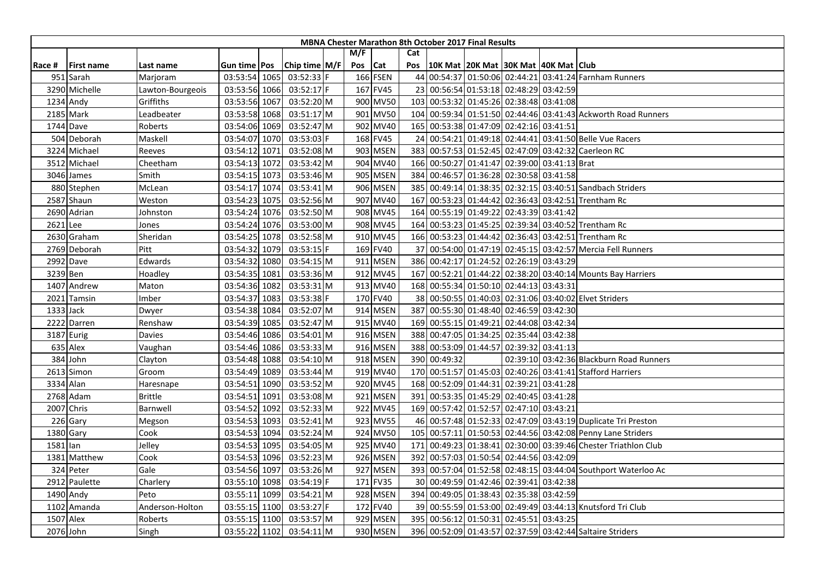|            |                   |                  |                     |                 |     |            |     | <b>MBNA Chester Marathon 8th October 2017 Final Results</b> |                                     |  |                                                                |
|------------|-------------------|------------------|---------------------|-----------------|-----|------------|-----|-------------------------------------------------------------|-------------------------------------|--|----------------------------------------------------------------|
|            |                   |                  |                     |                 | M/F |            | Cat |                                                             |                                     |  |                                                                |
| Race #     | <b>First name</b> | Last name        | Gun time <b>Pos</b> | Chip time $M/F$ | Pos | <b>Cat</b> | Pos | 10K Mat  20K Mat  30K Mat  40K Mat   Club                   |                                     |  |                                                                |
|            | 951 Sarah         | Marjoram         | 03:53:54 1065       | 03:52:33 F      |     | 166 FSEN   |     |                                                             |                                     |  | 44 00:54:37 01:50:06 02:44:21 03:41:24 Farnham Runners         |
|            | 3290 Michelle     | Lawton-Bourgeois | 03:53:56 1066       | $03:52:17$ F    |     | 167 FV45   |     | 23 00:56:54 01:53:18 02:48:29 03:42:59                      |                                     |  |                                                                |
|            | 1234 Andy         | Griffiths        | 03:53:56 1067       | 03:52:20 M      |     | 900 MV50   |     | 103 00:53:32 01:45:26 02:38:48 03:41:08                     |                                     |  |                                                                |
|            | 2185 Mark         | Leadbeater       | 03:53:58 1068       | 03:51:17 M      |     | 901 MV50   |     |                                                             |                                     |  | 104 00:59:34 01:51:50 02:44:46 03:41:43 Ackworth Road Runners  |
|            | 1744 Dave         | Roberts          | 03:54:06 1069       | 03:52:47 M      |     | 902 MV40   |     | 165 00:53:38 01:47:09 02:42:16 03:41:51                     |                                     |  |                                                                |
|            | 504 Deborah       | Maskell          | 03:54:07 1070       | 03:53:03 F      |     | 168 FV45   | 24  |                                                             |                                     |  | 00:54:21 01:49:18 02:44:41 03:41:50 Belle Vue Racers           |
|            | 3224 Michael      | Reeves           | 03:54:12 1071       | 03:52:08 M      |     | 903 MSEN   | 383 |                                                             |                                     |  | 00:57:53 01:52:45 02:47:09 03:42:32 Caerleon RC                |
|            | 3512 Michael      | Cheetham         | 03:54:13 1072       | 03:53:42 M      |     | 904 MV40   |     | 166 00:50:27 01:41:47 02:39:00 03:41:13 Brat                |                                     |  |                                                                |
|            | 3046 James        | Smith            | 03:54:15 1073       | 03:53:46 M      |     | 905 MSEN   |     | 384 00:46:57 01:36:28 02:30:58 03:41:58                     |                                     |  |                                                                |
|            | 880 Stephen       | McLean           | 03:54:17 1074       | 03:53:41 M      |     | 906 MSEN   |     |                                                             |                                     |  | 385 00:49:14 01:38:35 02:32:15 03:40:51 Sandbach Striders      |
|            | 2587 Shaun        | Weston           | 03:54:23 1075       | 03:52:56 M      |     | 907 MV40   | 167 |                                                             |                                     |  | 00:53:23 01:44:42 02:36:43 03:42:51 Trentham Rc                |
|            | 2690 Adrian       | Johnston         | 03:54:24 1076       | 03:52:50 M      |     | 908 MV45   |     | 164 00:55:19 01:49:22 02:43:39 03:41:42                     |                                     |  |                                                                |
| 2621 Lee   |                   | Jones            | 03:54:24 1076       | 03:53:00 M      |     | 908 MV45   |     |                                                             |                                     |  | 164 00:53:23 01:45:25 02:39:34 03:40:52 Trentham Rc            |
|            | 2630 Graham       | Sheridan         | 03:54:25 1078       | 03:52:58 M      |     | 910 MV45   |     |                                                             |                                     |  | 166 00:53:23 01:44:42 02:36:43 03:42:51 Trentham Rc            |
|            | 2769 Deborah      | Pitt             | 03:54:32 1079       | 03:53:15 F      |     | 169 FV40   |     |                                                             |                                     |  | 37 00:54:00 01:47:19 02:45:15 03:42:57 Mercia Fell Runners     |
|            | 2992 Dave         | Edwards          | 03:54:32 1080       | 03:54:15 M      |     | 911 MSEN   |     | 386 00:42:17 01:24:52 02:26:19 03:43:29                     |                                     |  |                                                                |
|            | 3239 Ben          | Hoadley          | 03:54:35 1081       | 03:53:36 M      |     | 912 MV45   | 167 |                                                             |                                     |  | 00:52:21 01:44:22 02:38:20 03:40:14 Mounts Bay Harriers        |
|            | 1407 Andrew       | Maton            | 03:54:36 1082       | 03:53:31 M      |     | 913 MV40   |     | 168 00:55:34 01:50:10 02:44:13 03:43:31                     |                                     |  |                                                                |
| 2021       | Tamsin            | Imber            | 03:54:37 1083       | 03:53:38 F      |     | 170 FV40   |     |                                                             |                                     |  | 38 00:50:55 01:40:03 02:31:06 03:40:02 Elvet Striders          |
|            | 1333 Jack         | Dwyer            | 03:54:38 1084       | 03:52:07 M      |     | 914 MSEN   |     | 387 00:55:30 01:48:40 02:46:59 03:42:30                     |                                     |  |                                                                |
|            | 2222 Darren       | Renshaw          | 03:54:39 1085       | 03:52:47 M      |     | 915 MV40   |     | 169 00:55:15 01:49:21 02:44:08 03:42:34                     |                                     |  |                                                                |
|            | 3187 Eurig        | Davies           | 03:54:46 1086       | 03:54:01 M      |     | 916 MSEN   |     | 388 00:47:05 01:34:25 02:35:44 03:42:38                     |                                     |  |                                                                |
|            | 635 Alex          | Vaughan          | 03:54:46 1086       | 03:53:33 M      |     | 916 MSEN   |     | 388 00:53:09 01:44:57 02:39:32 03:41:13                     |                                     |  |                                                                |
|            | 384 John          | Clayton          | 03:54:48 1088       | 03:54:10 M      |     | 918 MSEN   |     | 390 00:49:32                                                |                                     |  | 02:39:10 03:42:36 Blackburn Road Runners                       |
|            | 2613 Simon        | Groom            | 03:54:49 1089       | 03:53:44 M      |     | 919 MV40   |     |                                                             |                                     |  | 170 00:51:57 01:45:03 02:40:26 03:41:41 Stafford Harriers      |
|            | 3334 Alan         | Haresnape        | 03:54:51 1090       | 03:53:52 M      |     | 920 MV45   |     | 168 00:52:09 01:44:31 02:39:21 03:41:28                     |                                     |  |                                                                |
|            | 2768 Adam         | <b>Brittle</b>   | 03:54:51 1091       | 03:53:08 M      |     | 921 MSEN   |     | 391 00:53:35 01:45:29 02:40:45 03:41:28                     |                                     |  |                                                                |
|            | 2007 Chris        | Barnwell         | 03:54:52 1092       | 03:52:33 M      |     | 922 MV45   | 169 |                                                             | 00:57:42 01:52:57 02:47:10 03:43:21 |  |                                                                |
|            | 226 Gary          | Megson           | 03:54:53 1093       | 03:52:41 M      |     | 923 MV55   |     |                                                             |                                     |  | 46 00:57:48 01:52:33 02:47:09 03:43:19 Duplicate Tri Preston   |
|            | 1380 Gary         | Cook             | 03:54:53 1094       | 03:52:24 M      |     | 924 MV50   |     |                                                             |                                     |  | 105 00:57:11 01:50:53 02:44:56 03:42:08 Penny Lane Striders    |
| $1581$ lan |                   | Jelley           | 03:54:53 1095       | 03:54:05 M      |     | 925 MV40   |     |                                                             |                                     |  | 171 00:49:23 01:38:41 02:30:00 03:39:46 Chester Triathlon Club |
|            | 1381 Matthew      | Cook             | 03:54:53 1096       | 03:52:23 M      |     | 926 MSEN   |     | 392 00:57:03 01:50:54 02:44:56 03:42:09                     |                                     |  |                                                                |
|            | 324 Peter         | Gale             | 03:54:56 1097       | 03:53:26 M      |     | 927 MSEN   |     |                                                             |                                     |  | 393 00:57:04 01:52:58 02:48:15 03:44:04 Southport Waterloo Ac  |
|            | 2912 Paulette     | Charlery         | 03:55:10 1098       | 03:54:19 F      |     | 171 FV35   |     | 30 00:49:59 01:42:46 02:39:41 03:42:38                      |                                     |  |                                                                |
|            | 1490 Andy         | Peto             | 03:55:11 1099       | 03:54:21 M      |     | 928 MSEN   |     | 394 00:49:05 01:38:43 02:35:38 03:42:59                     |                                     |  |                                                                |
|            | 1102 Amanda       | Anderson-Holton  | 03:55:15 1100       | 03:53:27 F      |     | 172 FV40   |     |                                                             |                                     |  | 39 00:55:59 01:53:00 02:49:49 03:44:13 Knutsford Tri Club      |
|            | 1507 Alex         | Roberts          | 03:55:15 1100       | 03:53:57 M      |     | 929 MSEN   |     | 395 00:56:12 01:50:31 02:45:51 03:43:25                     |                                     |  |                                                                |
|            | 2076 John         | Singh            | 03:55:22 1102       | 03:54:11 M      |     | 930 MSEN   |     |                                                             |                                     |  | 396 00:52:09 01:43:57 02:37:59 03:42:44 Saltaire Striders      |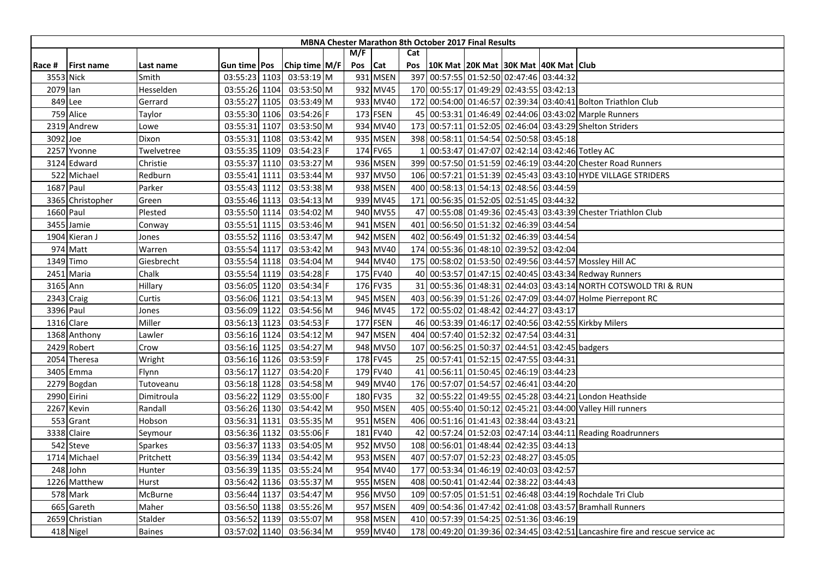|          |                   |               |                     |               |     |          |                 | <b>MBNA Chester Marathon 8th October 2017 Final Results</b> |  |                                                                               |
|----------|-------------------|---------------|---------------------|---------------|-----|----------|-----------------|-------------------------------------------------------------|--|-------------------------------------------------------------------------------|
|          |                   |               |                     |               | M/F |          | Cat             |                                                             |  |                                                                               |
| Race #   | <b>First name</b> | Last name     | Gun time <b>Pos</b> | Chip time M/F | Pos | Cat      | Pos             | 10K Mat 20K Mat 30K Mat 40K Mat Club                        |  |                                                                               |
|          | 3553 Nick         | Smith         | 03:55:23 1103       | 03:53:19 M    |     | 931 MSEN | 397             | 00:57:55 01:52:50 02:47:46 03:44:32                         |  |                                                                               |
| 2079 Ian |                   | Hesselden     | 03:55:26 1104       | 03:53:50 M    |     | 932 MV45 |                 | 170 00:55:17 01:49:29 02:43:55 03:42:13                     |  |                                                                               |
|          | 849 Lee           | Gerrard       | 03:55:27 1105       | 03:53:49 M    |     | 933 MV40 |                 |                                                             |  | 172 00:54:00 01:46:57 02:39:34 03:40:41 Bolton Triathlon Club                 |
|          | 759 Alice         | Taylor        | 03:55:30 1106       | 03:54:26 F    |     | 173 FSEN |                 |                                                             |  | 45 00:53:31 01:46:49 02:44:06 03:43:02 Marple Runners                         |
|          | 2319 Andrew       | Lowe          | 03:55:31 1107       | 03:53:50 M    |     | 934 MV40 | 173             |                                                             |  | 00:57:11 01:52:05 02:46:04 03:43:29 Shelton Striders                          |
| 3092 Joe |                   | Dixon         | 03:55:31 1108       | 03:53:42 M    |     | 935 MSEN | 398             | 00:58:11 01:54:54 02:50:58 03:45:18                         |  |                                                                               |
|          | 2257 Yvonne       | Twelvetree    | 03:55:35 1109       | 03:54:23 F    |     | 174 FV65 |                 |                                                             |  | 00:53:47 01:47:07 02:42:14 03:42:46 Totley AC                                 |
|          | 3124 Edward       | Christie      | 03:55:37 1110       | 03:53:27 M    |     | 936 MSEN |                 |                                                             |  | 399 00:57:50 01:51:59 02:46:19 03:44:20 Chester Road Runners                  |
|          | 522 Michael       | Redburn       | 03:55:41 1111       | 03:53:44 M    |     | 937 MV50 |                 |                                                             |  | 106 00:57:21 01:51:39 02:45:43 03:43:10 HYDE VILLAGE STRIDERS                 |
|          | 1687 Paul         | Parker        | 03:55:43 1112       | 03:53:38 M    |     | 938 MSEN |                 | 400 00:58:13 01:54:13 02:48:56 03:44:59                     |  |                                                                               |
|          | 3365 Christopher  | Green         | 03:55:46 1113       | 03:54:13 M    |     | 939 MV45 | 171             | 00:56:35 01:52:05 02:51:45 03:44:32                         |  |                                                                               |
|          | 1660 Paul         | Plested       | 03:55:50 1114       | 03:54:02 M    |     | 940 MV55 | 47              |                                                             |  | 00:55:08 01:49:36 02:45:43 03:43:39 Chester Triathlon Club                    |
|          | 3455 Jamie        | Conway        | 03:55:51 1115       | 03:53:46 M    |     | 941 MSEN | 401             | 00:56:50 01:51:32 02:46:39 03:44:54                         |  |                                                                               |
|          | 1904 Kieran J     | Jones         | 03:55:52 1116       | 03:53:47 M    |     | 942 MSEN | 402             | 00:56:49 01:51:32 02:46:39 03:44:54                         |  |                                                                               |
|          | 974 Matt          | Warren        | 03:55:54 1117       | 03:53:42 M    |     | 943 MV40 | 174             | 00:55:36 01:48:10 02:39:52 03:42:04                         |  |                                                                               |
|          | 1349 Timo         | Giesbrecht    | 03:55:54 1118       | 03:54:04 M    |     | 944 MV40 |                 |                                                             |  | 175 00:58:02 01:53:50 02:49:56 03:44:57 Mossley Hill AC                       |
|          | 2451 Maria        | Chalk         | 03:55:54 1119       | 03:54:28 F    |     | 175 FV40 |                 |                                                             |  | 40 00:53:57 01:47:15 02:40:45 03:43:34 Redway Runners                         |
| 3165 Ann |                   | Hillary       | 03:56:05 1120       | 03:54:34 F    |     | 176 FV35 |                 |                                                             |  | 31 00:55:36 01:48:31 02:44:03 03:43:14 NORTH COTSWOLD TRI & RUN               |
|          | 2343 Craig        | Curtis        | 03:56:06 1121       | 03:54:13 M    |     | 945 MSEN |                 |                                                             |  | 403 00:56:39 01:51:26 02:47:09 03:44:07 Holme Pierrepont RC                   |
|          | 3396 Paul         | Jones         | 03:56:09 1122       | 03:54:56 M    |     | 946 MV45 |                 | 172 00:55:02 01:48:42 02:44:27 03:43:17                     |  |                                                                               |
|          | 1316 Clare        | Miller        | 03:56:13 1123       | 03:54:53 F    |     | 177 FSEN |                 |                                                             |  | 46 00:53:39 01:46:17 02:40:56 03:42:55 Kirkby Milers                          |
|          | 1368 Anthony      | Lawler        | 03:56:16 1124       | 03:54:12 M    |     | 947 MSEN | 404             | 00:57:40 01:52:32 02:47:54 03:44:31                         |  |                                                                               |
|          | 2429 Robert       | Crow          | 03:56:16 1125       | 03:54:27 M    |     | 948 MV50 | 107             | 00:56:25 01:50:37 02:44:51 03:42:45 badgers                 |  |                                                                               |
|          | 2054 Theresa      | Wright        | 03:56:16 1126       | 03:53:59 F    |     | 178 FV45 | 25 <sub>l</sub> | 00:57:41 01:52:15 02:47:55 03:44:31                         |  |                                                                               |
|          | 3405 Emma         | Flynn         | 03:56:17 1127       | 03:54:20 F    |     | 179 FV40 | 41              | 00:56:11 01:50:45 02:46:19 03:44:23                         |  |                                                                               |
|          | 2279 Bogdan       | Tutoveanu     | 03:56:18 1128       | 03:54:58 M    |     | 949 MV40 |                 | 176 00:57:07 01:54:57 02:46:41 03:44:20                     |  |                                                                               |
|          | 2990 Eirini       | Dimitroula    | 03:56:22 1129       | 03:55:00 F    |     | 180 FV35 |                 |                                                             |  | 32 00:55:22 01:49:55 02:45:28 03:44:21 London Heathside                       |
|          | 2267 Kevin        | Randall       | 03:56:26 1130       | 03:54:42 M    |     | 950 MSEN | 405             |                                                             |  | 00:55:40 01:50:12 02:45:21 03:44:00 Valley Hill runners                       |
|          | 553 Grant         | Hobson        | 03:56:31 1131       | 03:55:35 M    |     | 951 MSEN | 406             | 00:51:16 01:41:43 02:38:44 03:43:21                         |  |                                                                               |
|          | 3338 Claire       | Seymour       | 03:56:36 1132       | 03:55:06 F    |     | 181 FV40 | 42              |                                                             |  | 00:57:24 01:52:03 02:47:14 03:44:11 Reading Roadrunners                       |
|          | 542 Steve         | Sparkes       | 03:56:37 1133       | 03:54:05 M    |     | 952 MV50 | 108             | 00:56:01 01:48:44 02:42:35 03:44:13                         |  |                                                                               |
|          | 1714 Michael      | Pritchett     | 03:56:39 1134       | 03:54:42 M    |     | 953 MSEN | 407             | 00:57:07 01:52:23 02:48:27 03:45:05                         |  |                                                                               |
|          | 248 John          | Hunter        | 03:56:39 1135       | 03:55:24 M    |     | 954 MV40 | 177             | 00:53:34 01:46:19 02:40:03 03:42:57                         |  |                                                                               |
|          | 1226 Matthew      | Hurst         | 03:56:42 1136       | 03:55:37 M    |     | 955 MSEN | 408             | 00:50:41 01:42:44 02:38:22 03:44:43                         |  |                                                                               |
|          | 578 Mark          | McBurne       | 03:56:44 1137       | 03:54:47 M    |     | 956 MV50 | 109             |                                                             |  | 00:57:05 01:51:51 02:46:48 03:44:19 Rochdale Tri Club                         |
|          | 665 Gareth        | Maher         | 03:56:50 1138       | 03:55:26 M    |     | 957 MSEN |                 |                                                             |  | 409 00:54:36 01:47:42 02:41:08 03:43:57 Bramhall Runners                      |
|          | 2659 Christian    | Stalder       | 03:56:52 1139       | 03:55:07 M    |     | 958 MSEN |                 | 410 00:57:39 01:54:25 02:51:36 03:46:19                     |  |                                                                               |
|          | 418 Nigel         | <b>Baines</b> | 03:57:02 1140       | 03:56:34 M    |     | 959 MV40 |                 |                                                             |  | 178 00:49:20 01:39:36 02:34:45 03:42:51 Lancashire fire and rescue service ac |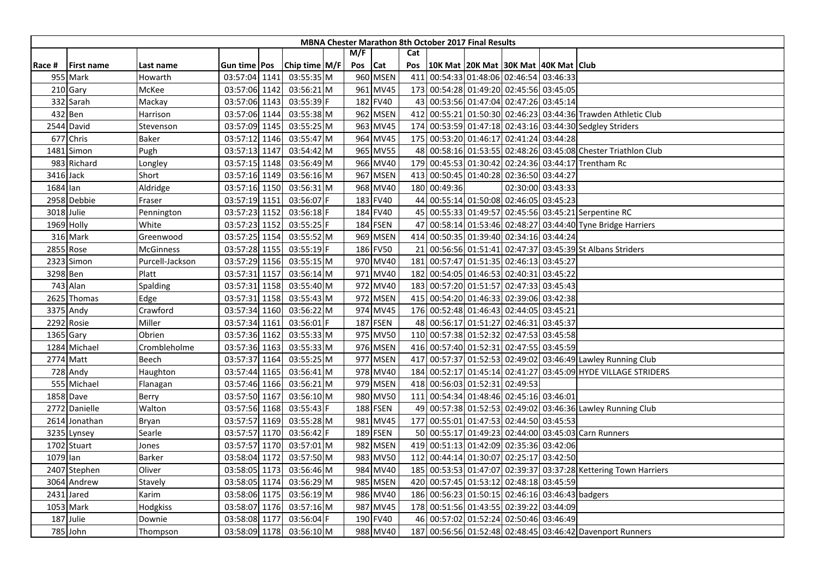| M/F<br>Cat<br>Chip time M/F<br>10K Mat 20K Mat 30K Mat 40K Mat Club<br>Pos<br>Cat<br>Pos<br>Race #<br><b>First name</b><br>Gun time Pos<br>Last name<br>960 MSEN<br>00:54:33 01:48:06 02:46:54 03:46:33<br>03:55:35 M<br>411<br>955 Mark<br>03:57:04 1141<br>Howarth<br>210 Gary<br>03:56:21 M<br>961 MV45<br>173 00:54:28 01:49:20 02:45:56 03:45:05<br>McKee<br>03:57:06 1142<br>332 Sarah<br>03:57:06 1143<br>03:55:39 F<br>182 FV40<br>43 00:53:56 01:47:04 02:47:26 03:45:14<br>Mackay<br>962 MSEN<br>432 Ben<br>03:57:06 1144<br>03:55:38 M<br>412 00:55:21 01:50:30 02:46:23 03:44:36 Trawden Athletic Club<br>Harrison<br>963 MV45<br>00:53:59 01:47:18 02:43:16 03:44:30 Sedgley Striders<br>2544 David<br>03:57:09 1145<br>03:55:25 M<br>174<br>Stevenson |
|---------------------------------------------------------------------------------------------------------------------------------------------------------------------------------------------------------------------------------------------------------------------------------------------------------------------------------------------------------------------------------------------------------------------------------------------------------------------------------------------------------------------------------------------------------------------------------------------------------------------------------------------------------------------------------------------------------------------------------------------------------------------|
|                                                                                                                                                                                                                                                                                                                                                                                                                                                                                                                                                                                                                                                                                                                                                                     |
|                                                                                                                                                                                                                                                                                                                                                                                                                                                                                                                                                                                                                                                                                                                                                                     |
|                                                                                                                                                                                                                                                                                                                                                                                                                                                                                                                                                                                                                                                                                                                                                                     |
|                                                                                                                                                                                                                                                                                                                                                                                                                                                                                                                                                                                                                                                                                                                                                                     |
|                                                                                                                                                                                                                                                                                                                                                                                                                                                                                                                                                                                                                                                                                                                                                                     |
|                                                                                                                                                                                                                                                                                                                                                                                                                                                                                                                                                                                                                                                                                                                                                                     |
|                                                                                                                                                                                                                                                                                                                                                                                                                                                                                                                                                                                                                                                                                                                                                                     |
| 677 Chris<br>964 MV45<br>00:53:20 01:46:17 02:41:24 03:44:28<br>03:57:12 1146<br>03:55:47 M<br>175<br>Baker                                                                                                                                                                                                                                                                                                                                                                                                                                                                                                                                                                                                                                                         |
| 965 MV55<br>1481 Simon<br>03:57:13 1147<br>03:54:42 M<br>48 00:58:16 01:53:55 02:48:26 03:45:08 Chester Triathlon Club<br>Pugh                                                                                                                                                                                                                                                                                                                                                                                                                                                                                                                                                                                                                                      |
| 966 MV40<br>983 Richard<br>03:57:15 1148<br>179 00:45:53 01:30:42 02:24:36 03:44:17 Trentham Rc<br>03:56:49 M<br>Longley                                                                                                                                                                                                                                                                                                                                                                                                                                                                                                                                                                                                                                            |
| 967 MSEN<br>413 00:50:45 01:40:28 02:36:50 03:44:27<br>3416 Jack<br>Short<br>03:57:16 1149<br>03:56:16 M                                                                                                                                                                                                                                                                                                                                                                                                                                                                                                                                                                                                                                                            |
| 1684 Ian<br>03:57:16 1150<br>03:56:31 M<br>968 MV40<br>180 00:49:36<br>02:30:00 03:43:33<br>Aldridge                                                                                                                                                                                                                                                                                                                                                                                                                                                                                                                                                                                                                                                                |
| 44 00:55:14 01:50:08 02:46:05 03:45:23<br>2958 Debbie<br>03:57:19 1151<br>03:56:07 F<br>183 FV40<br>Fraser                                                                                                                                                                                                                                                                                                                                                                                                                                                                                                                                                                                                                                                          |
| 184 FV40<br>45 00:55:33 01:49:57 02:45:56 03:45:21 Serpentine RC<br>3018 Julie<br>03:57:23 1152<br>03:56:18 F<br>Pennington                                                                                                                                                                                                                                                                                                                                                                                                                                                                                                                                                                                                                                         |
| 184 FSEN<br>1969 Holly<br>White<br>03:57:23 1152<br>03:55:25 F<br>47 00:58:14 01:53:46 02:48:27 03:44:40 Tyne Bridge Harriers                                                                                                                                                                                                                                                                                                                                                                                                                                                                                                                                                                                                                                       |
| 316 Mark<br>03:57:25 1154<br>03:55:52 M<br>969 MSEN<br>414 00:50:35 01:39:40 02:34:16 03:44:24<br>Greenwood                                                                                                                                                                                                                                                                                                                                                                                                                                                                                                                                                                                                                                                         |
| 2855 Rose<br>03:57:28 1155<br>03:55:19 F<br>186 FV50<br>21 00:56:56 01:51:41 02:47:37 03:45:39 St Albans Striders<br><b>McGinness</b>                                                                                                                                                                                                                                                                                                                                                                                                                                                                                                                                                                                                                               |
| 970 MV40<br>00:57:47 01:51:35 02:46:13 03:45:27<br>03:57:29 1156<br>03:55:15 M<br>181<br>2323 Simon<br>Purcell-Jackson                                                                                                                                                                                                                                                                                                                                                                                                                                                                                                                                                                                                                                              |
| 971 MV40<br>00:54:05 01:46:53 02:40:31 03:45:22<br>3298 Ben<br>03:57:31 1157<br>03:56:14 M<br>182<br>Platt                                                                                                                                                                                                                                                                                                                                                                                                                                                                                                                                                                                                                                                          |
| 743 Alan<br>Spalding<br>03:57:31 1158<br>03:55:40 M<br>972 MV40<br>183 00:57:20 01:51:57 02:47:33 03:45:43                                                                                                                                                                                                                                                                                                                                                                                                                                                                                                                                                                                                                                                          |
| 03:57:31 1158<br>972 MSEN<br>415 00:54:20 01:46:33 02:39:06 03:42:38<br>2625 Thomas<br>Edge<br>03:55:43 M                                                                                                                                                                                                                                                                                                                                                                                                                                                                                                                                                                                                                                                           |
| Crawford<br>974 MV45<br>176 00:52:48 01:46:43 02:44:05 03:45:21<br>3375 Andy<br>03:57:34 1160<br>03:56:22 M                                                                                                                                                                                                                                                                                                                                                                                                                                                                                                                                                                                                                                                         |
| 48 00:56:17 01:51:27 02:46:31 03:45:37<br>2292 Rosie<br>Miller<br>03:57:34 1161<br>03:56:01 F<br>187 FSEN                                                                                                                                                                                                                                                                                                                                                                                                                                                                                                                                                                                                                                                           |
| 975 MV50<br>110 00:57:38 01:52:32 02:47:53 03:45:58<br>1365 Gary<br>03:57:36 1162<br>03:55:33 M<br>Obrien                                                                                                                                                                                                                                                                                                                                                                                                                                                                                                                                                                                                                                                           |
| 976 MSEN<br>416 00:57:40 01:52:31 02:47:55 03:45:59<br>1284 Michael<br>03:57:36 1163<br>03:55:33 M<br>Crombleholme                                                                                                                                                                                                                                                                                                                                                                                                                                                                                                                                                                                                                                                  |
| 977 MSEN<br>2774 Matt<br>03:57:37 1164<br>03:55:25 M<br>417 00:57:37 01:52:53 02:49:02 03:46:49 Lawley Running Club<br>Beech                                                                                                                                                                                                                                                                                                                                                                                                                                                                                                                                                                                                                                        |
| 978 MV40<br>728 Andy<br>03:57:44 1165<br>03:56:41 M<br>00:52:17 01:45:14 02:41:27 03:45:09 HYDE VILLAGE STRIDERS<br>Haughton<br>184                                                                                                                                                                                                                                                                                                                                                                                                                                                                                                                                                                                                                                 |
| 555 Michael<br>03:57:46 1166<br>03:56:21 M<br>979 MSEN<br>418 00:56:03 01:52:31 02:49:53<br>Flanagan                                                                                                                                                                                                                                                                                                                                                                                                                                                                                                                                                                                                                                                                |
| 980 MV50<br>111 00:54:34 01:48:46 02:45:16 03:46:01<br>03:57:50 1167<br>03:56:10 M<br>1858 Dave<br>Berry                                                                                                                                                                                                                                                                                                                                                                                                                                                                                                                                                                                                                                                            |
| 2772 Danielle<br>188 FSEN<br>Walton<br>03:57:56 1168<br>03:55:43 F<br>49 00:57:38 01:52:53 02:49:02 03:46:36 Lawley Running Club                                                                                                                                                                                                                                                                                                                                                                                                                                                                                                                                                                                                                                    |
| 981 MV45<br>177 00:55:01 01:47:53 02:44:50 03:45:53<br>2614 Jonathan<br>03:57:57 1169<br>03:55:28 M<br>Bryan                                                                                                                                                                                                                                                                                                                                                                                                                                                                                                                                                                                                                                                        |
| 03:57:57 1170<br>03:56:42 F<br>189 FSEN<br>50 00:55:17 01:49:23 02:44:00 03:45:03 Carn Runners<br>3235 Lynsey<br>Searle                                                                                                                                                                                                                                                                                                                                                                                                                                                                                                                                                                                                                                             |
| 419 00:51:13 01:42:09 02:35:36 03:42:06<br>1702 Stuart<br>03:57:57 1170<br>03:57:01 M<br>982 MSEN<br>Jones                                                                                                                                                                                                                                                                                                                                                                                                                                                                                                                                                                                                                                                          |
| 112 00:44:14 01:30:07 02:25:17 03:42:50<br>1079 lan<br>03:58:04 1172<br>03:57:50 M<br>983 MV50<br>Barker                                                                                                                                                                                                                                                                                                                                                                                                                                                                                                                                                                                                                                                            |
| 984 MV40<br>03:58:05 1173<br>03:56:46 M<br>185 00:53:53 01:47:07 02:39:37 03:37:28 Kettering Town Harriers<br>2407 Stephen<br>Oliver                                                                                                                                                                                                                                                                                                                                                                                                                                                                                                                                                                                                                                |
| 985 MSEN<br>420 00:57:45 01:53:12 02:48:18 03:45:59<br>3064 Andrew<br>03:58:05 1174<br>03:56:29 M<br>Stavely                                                                                                                                                                                                                                                                                                                                                                                                                                                                                                                                                                                                                                                        |
| 2431 Jared<br>Karim<br>03:58:06 1175<br>03:56:19 M<br>986 MV40<br>186 00:56:23 01:50:15 02:46:16 03:46:43 badgers                                                                                                                                                                                                                                                                                                                                                                                                                                                                                                                                                                                                                                                   |
| 1053 Mark<br>03:58:07 1176<br>987 MV45<br>178 00:51:56 01:43:55 02:39:22 03:44:09<br>Hodgkiss<br>03:57:16 M                                                                                                                                                                                                                                                                                                                                                                                                                                                                                                                                                                                                                                                         |
| 46 00:57:02 01:52:24 02:50:46 03:46:49<br>187 Julie<br>03:58:08 1177<br>03:56:04 F<br>190 FV40<br>Downie                                                                                                                                                                                                                                                                                                                                                                                                                                                                                                                                                                                                                                                            |
| 187 00:56:56 01:52:48 02:48:45 03:46:42 Davenport Runners<br>785 John<br>03:56:10 M<br>988 MV40<br>03:58:09 1178<br>Thompson                                                                                                                                                                                                                                                                                                                                                                                                                                                                                                                                                                                                                                        |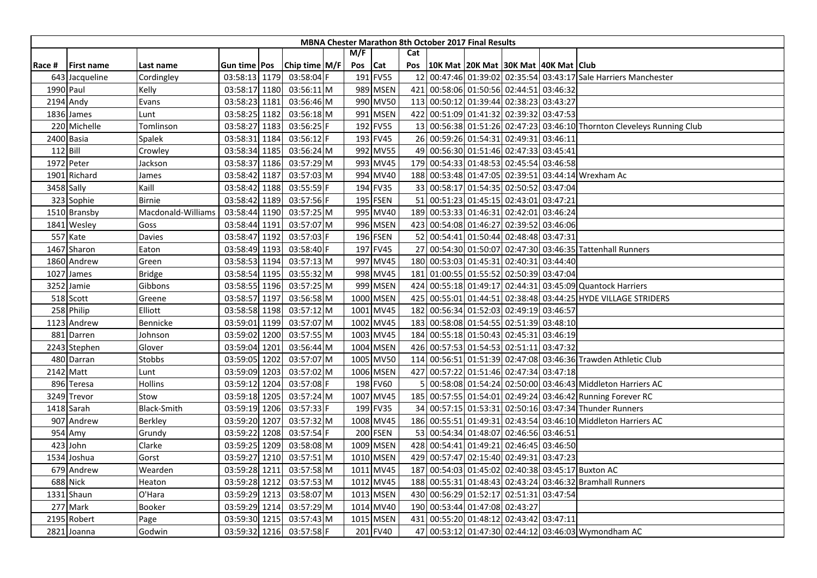|        |                   |                    |               |               |     |                 |     | <b>MBNA Chester Marathon 8th October 2017 Final Results</b> |                                     |  |                                                                        |
|--------|-------------------|--------------------|---------------|---------------|-----|-----------------|-----|-------------------------------------------------------------|-------------------------------------|--|------------------------------------------------------------------------|
|        |                   |                    |               |               | M/F |                 | Cat |                                                             |                                     |  |                                                                        |
| Race # | <b>First name</b> | Last name          | Gun time Pos  | Chip time M/F | Pos | Cat             | Pos | 10K Mat   20K Mat   30K Mat   40K Mat   Club                |                                     |  |                                                                        |
|        | 643 Jacqueline    | Cordingley         | 03:58:13 1179 | 03:58:04 F    |     | 191 FV55        | 12  |                                                             |                                     |  | 00:47:46 01:39:02 02:35:54 03:43:17 Sale Harriers Manchester           |
|        | 1990 Paul         | Kelly              | 03:58:17 1180 | 03:56:11 M    |     | 989 MSEN        | 421 | 00:58:06 01:50:56 02:44:51 03:46:32                         |                                     |  |                                                                        |
|        | 2194 Andy         | Evans              | 03:58:23 1181 | 03:56:46 M    |     | 990 MV50        |     | 113 00:50:12 01:39:44 02:38:23 03:43:27                     |                                     |  |                                                                        |
|        | 1836 James        | Lunt               | 03:58:25 1182 | 03:56:18 M    |     | 991 MSEN        |     | 422 00:51:09 01:41:32 02:39:32 03:47:53                     |                                     |  |                                                                        |
|        | 220 Michelle      | Tomlinson          | 03:58:27 1183 | 03:56:25 F    |     | 192 FV55        |     |                                                             |                                     |  | 13 00:56:38 01:51:26 02:47:23 03:46:10 Thornton Cleveleys Running Club |
|        | 2400 Basia        | Spalek             | 03:58:31 1184 | 03:56:12 F    |     | 193 FV45        |     | 26 00:59:26 01:54:31 02:49:31 03:46:11                      |                                     |  |                                                                        |
|        | $112$ Bill        | Crowley            | 03:58:34 1185 | 03:56:24 M    |     | 992 MV55        |     | 49 00:56:30 01:51:46 02:47:33 03:45:41                      |                                     |  |                                                                        |
|        | 1972 Peter        | Jackson            | 03:58:37 1186 | 03:57:29 M    |     | 993 MV45        |     | 179 00:54:33 01:48:53 02:45:54 03:46:58                     |                                     |  |                                                                        |
|        | 1901 Richard      | James              | 03:58:42 1187 | 03:57:03 M    |     | 994 MV40        |     |                                                             |                                     |  | 188 00:53:48 01:47:05 02:39:51 03:44:14 Wrexham Ac                     |
|        | 3458 Sally        | Kaill              | 03:58:42 1188 | 03:55:59 F    |     | 194 FV35        |     | 33 00:58:17 01:54:35 02:50:52 03:47:04                      |                                     |  |                                                                        |
|        | 323 Sophie        | <b>Birnie</b>      | 03:58:42 1189 | 03:57:56 F    |     | 195 FSEN        |     | 51 00:51:23 01:45:15 02:43:01 03:47:21                      |                                     |  |                                                                        |
|        | 1510 Bransby      | Macdonald-Williams | 03:58:44 1190 | 03:57:25 M    |     | 995 MV40        |     | 189 00:53:33 01:46:31 02:42:01 03:46:24                     |                                     |  |                                                                        |
|        | 1841 Wesley       | Goss               | 03:58:44 1191 | 03:57:07 M    |     | 996 MSEN        |     | 423 00:54:08 01:46:27 02:39:52 03:46:06                     |                                     |  |                                                                        |
|        | 557 Kate          | Davies             | 03:58:47 1192 | 03:57:03 F    |     | 196 FSEN        |     | 52 00:54:41 01:50:44 02:48:48 03:47:31                      |                                     |  |                                                                        |
|        | 1467 Sharon       | Eaton              | 03:58:49 1193 | 03:58:40 F    |     | 197 FV45        |     |                                                             |                                     |  | 27 00:54:30 01:50:07 02:47:30 03:46:35 Tattenhall Runners              |
|        | 1860 Andrew       | Green              | 03:58:53 1194 | 03:57:13 M    |     | 997 MV45        |     | 180 00:53:03 01:45:31 02:40:31 03:44:40                     |                                     |  |                                                                        |
|        | 1027 James        | <b>Bridge</b>      | 03:58:54 1195 | 03:55:32 M    |     | 998 MV45        | 181 | 01:00:55 01:55:52 02:50:39 03:47:04                         |                                     |  |                                                                        |
|        | 3252 Jamie        | Gibbons            | 03:58:55 1196 | 03:57:25 M    |     | 999 MSEN        |     |                                                             |                                     |  | 424 00:55:18 01:49:17 02:44:31 03:45:09 Quantock Harriers              |
|        | 518 Scott         | Greene             | 03:58:57 1197 | 03:56:58 M    |     | 1000 MSEN       |     |                                                             |                                     |  | 425 00:55:01 01:44:51 02:38:48 03:44:25 HYDE VILLAGE STRIDERS          |
|        | 258 Philip        | Elliott            | 03:58:58 1198 | 03:57:12 M    |     | 1001 MV45       |     | 182 00:56:34 01:52:03 02:49:19 03:46:57                     |                                     |  |                                                                        |
|        | 1123 Andrew       | Bennicke           | 03:59:01 1199 | 03:57:07 M    |     | 1002 MV45       |     | 183 00:58:08 01:54:55 02:51:39 03:48:10                     |                                     |  |                                                                        |
|        | 881 Darren        | Johnson            | 03:59:02 1200 | 03:57:55 M    |     | 1003 MV45       |     | 184 00:55:18 01:50:43 02:45:31 03:46:19                     |                                     |  |                                                                        |
|        | 2243 Stephen      | Glover             | 03:59:04 1201 | 03:56:44 M    |     | 1004 MSEN       |     | 426 00:57:53 01:54:53 02:51:11 03:47:32                     |                                     |  |                                                                        |
|        | 480 Darran        | <b>Stobbs</b>      | 03:59:05 1202 | 03:57:07 M    |     | 1005 MV50       |     |                                                             |                                     |  | 114 00:56:51 01:51:39 02:47:08 03:46:36 Trawden Athletic Club          |
|        | 2142 Matt         | Lunt               | 03:59:09 1203 | 03:57:02 M    |     | 1006 MSEN       | 427 |                                                             | 00:57:22 01:51:46 02:47:34 03:47:18 |  |                                                                        |
|        | 896 Teresa        | Hollins            | 03:59:12 1204 | 03:57:08 F    |     | 198 FV60        |     |                                                             |                                     |  | 00:58:08 01:54:24 02:50:00 03:46:43 Middleton Harriers AC              |
|        | 3249 Trevor       | Stow               | 03:59:18 1205 | 03:57:24 M    |     | 1007 MV45       |     |                                                             |                                     |  | 185 00:57:55 01:54:01 02:49:24 03:46:42 Running Forever RC             |
|        | 1418 Sarah        | Black-Smith        | 03:59:19 1206 | 03:57:33 F    |     | 199 FV35        |     |                                                             |                                     |  | 34 00:57:15 01:53:31 02:50:16 03:47:34 Thunder Runners                 |
|        | 907 Andrew        | Berkley            | 03:59:20 1207 | 03:57:32 M    |     | 1008 MV45       |     |                                                             |                                     |  | 186 00:55:51 01:49:31 02:43:54 03:46:10 Middleton Harriers AC          |
|        | 954 Amy           | Grundy             | 03:59:22 1208 | 03:57:54 F    |     | <b>200 FSEN</b> |     | 53 00:54:34 01:48:07 02:46:56 03:46:51                      |                                     |  |                                                                        |
|        | 423 John          | Clarke             | 03:59:25 1209 | 03:58:08 M    |     | 1009 MSEN       |     | 428 00:54:41 01:49:21 02:46:45 03:46:50                     |                                     |  |                                                                        |
|        | 1534 Joshua       | Gorst              | 03:59:27 1210 | 03:57:51 M    |     | 1010 MSEN       |     | 429 00:57:47 02:15:40 02:49:31 03:47:23                     |                                     |  |                                                                        |
|        | 679 Andrew        | Wearden            | 03:59:28 1211 | 03:57:58 M    |     | 1011 MV45       |     |                                                             |                                     |  | 187 00:54:03 01:45:02 02:40:38 03:45:17 Buxton AC                      |
|        | 688 Nick          | Heaton             | 03:59:28 1212 | 03:57:53 M    |     | 1012 MV45       | 188 |                                                             |                                     |  | 00:55:31 01:48:43 02:43:24 03:46:32 Bramhall Runners                   |
|        | 1331 Shaun        | O'Hara             | 03:59:29 1213 | 03:58:07 M    |     | 1013 MSEN       |     | 430 00:56:29 01:52:17 02:51:31 03:47:54                     |                                     |  |                                                                        |
|        | 277 Mark          | Booker             | 03:59:29 1214 | 03:57:29 M    |     | 1014 MV40       |     | 190 00:53:44 01:47:08 02:43:27                              |                                     |  |                                                                        |
| 2195   | Robert            | Page               | 03:59:30 1215 | 03:57:43 M    |     | 1015 MSEN       |     | 431 00:55:20 01:48:12 02:43:42 03:47:11                     |                                     |  |                                                                        |
|        | 2821 Joanna       | Godwin             | 03:59:32 1216 | 03:57:58 F    |     | 201 FV40        |     |                                                             |                                     |  | 47 00:53:12 01:47:30 02:44:12 03:46:03 Wymondham AC                    |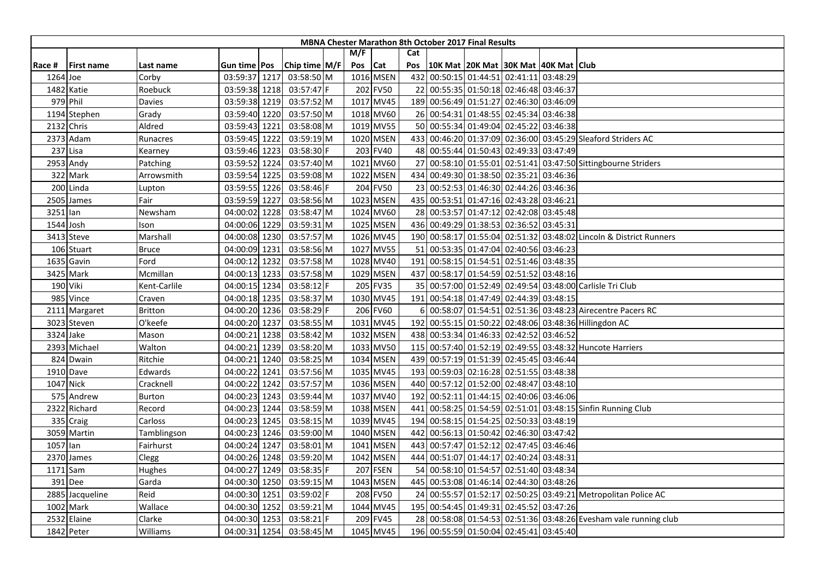|          |                   |              |               |               |         |           |     | <b>MBNA Chester Marathon 8th October 2017 Final Results</b> |  |                                                                    |
|----------|-------------------|--------------|---------------|---------------|---------|-----------|-----|-------------------------------------------------------------|--|--------------------------------------------------------------------|
|          |                   |              |               |               | M/F     |           | Cat |                                                             |  |                                                                    |
| Race #   | <b>First name</b> | Last name    | Gun time Pos  | Chip time M/F | Pos Cat |           | Pos | 10K Mat 20K Mat 30K Mat 40K Mat Club                        |  |                                                                    |
| 1264 Joe |                   | Corby        | 03:59:37 1217 | 03:58:50 M    |         | 1016 MSEN | 432 | 00:50:15 01:44:51 02:41:11 03:48:29                         |  |                                                                    |
|          | 1482 Katie        | Roebuck      | 03:59:38 1218 | 03:57:47 F    |         | 202 FV50  | 221 | 00:55:35 01:50:18 02:46:48 03:46:37                         |  |                                                                    |
|          | 979 Phil          | Davies       | 03:59:38 1219 | 03:57:52 M    |         | 1017 MV45 |     | 189 00:56:49 01:51:27 02:46:30 03:46:09                     |  |                                                                    |
|          | 1194 Stephen      | Grady        | 03:59:40 1220 | 03:57:50 M    |         | 1018 MV60 |     | 26 00:54:31 01:48:55 02:45:34 03:46:38                      |  |                                                                    |
|          | 2132 Chris        | Aldred       | 03:59:43 1221 | 03:58:08 M    |         | 1019 MV55 |     | 50 00:55:34 01:49:04 02:45:22 03:46:38                      |  |                                                                    |
|          | 2373 Adam         | Runacres     | 03:59:45 1222 | 03:59:19 M    |         | 1020 MSEN |     |                                                             |  | 433 00:46:20 01:37:09 02:36:00 03:45:29 Sleaford Striders AC       |
|          | 237 Lisa          | Kearney      | 03:59:46 1223 | 03:58:30 F    |         | 203 FV40  |     | 48 00:55:44 01:50:43 02:49:33 03:47:49                      |  |                                                                    |
|          | 2953 Andy         | Patching     | 03:59:52 1224 | 03:57:40 M    |         | 1021 MV60 |     |                                                             |  | 27 00:58:10 01:55:01 02:51:41 03:47:50 Sittingbourne Striders      |
|          | 322 Mark          | Arrowsmith   | 03:59:54 1225 | 03:59:08 M    |         | 1022 MSEN |     | 434 00:49:30 01:38:50 02:35:21 03:46:36                     |  |                                                                    |
|          | 200 Linda         | Lupton       | 03:59:55 1226 | 03:58:46 F    |         | 204 FV50  |     | 23 00:52:53 01:46:30 02:44:26 03:46:36                      |  |                                                                    |
|          | 2505 James        | Fair         | 03:59:59 1227 | 03:58:56 M    |         | 1023 MSEN |     | 435 00:53:51 01:47:16 02:43:28 03:46:21                     |  |                                                                    |
| 3251 lan |                   | Newsham      | 04:00:02 1228 | 03:58:47 M    |         | 1024 MV60 |     | 28 00:53:57 01:47:12 02:42:08 03:45:48                      |  |                                                                    |
|          | 1544 Josh         | Ison         | 04:00:06 1229 | 03:59:31 M    |         | 1025 MSEN |     | 436 00:49:29 01:38:53 02:36:52 03:45:31                     |  |                                                                    |
|          | 3413 Steve        | Marshall     | 04:00:08 1230 | 03:57:57 M    |         | 1026 MV45 |     |                                                             |  | 190 00:58:17 01:55:04 02:51:32 03:48:02 Lincoln & District Runners |
|          | 106 Stuart        | <b>Bruce</b> | 04:00:09 1231 | 03:58:56 M    |         | 1027 MV55 |     | 51 00:53:35 01:47:04 02:40:56 03:46:23                      |  |                                                                    |
|          | 1635 Gavin        | Ford         | 04:00:12 1232 | 03:57:58 M    |         | 1028 MV40 | 191 | 00:58:15 01:54:51 02:51:46 03:48:35                         |  |                                                                    |
|          | 3425 Mark         | Mcmillan     | 04:00:13 1233 | 03:57:58 M    |         | 1029 MSEN | 437 | 00:58:17 01:54:59 02:51:52 03:48:16                         |  |                                                                    |
|          | 190 Viki          | Kent-Carlile | 04:00:15 1234 | 03:58:12 F    |         | 205 FV35  |     |                                                             |  | 35 00:57:00 01:52:49 02:49:54 03:48:00 Carlisle Tri Club           |
|          | 985 Vince         | Craven       | 04:00:18 1235 | 03:58:37 M    |         | 1030 MV45 |     | 191 00:54:18 01:47:49 02:44:39 03:48:15                     |  |                                                                    |
|          | 2111 Margaret     | Britton      | 04:00:20 1236 | 03:58:29 F    |         | 206 FV60  |     |                                                             |  | 00:58:07 01:54:51 02:51:36 03:48:23 Airecentre Pacers RC           |
|          | 3023 Steven       | O'keefe      | 04:00:20 1237 | 03:58:55 M    |         | 1031 MV45 |     |                                                             |  | 192 00:55:15 01:50:22 02:48:06 03:48:36 Hillingdon AC              |
|          | 3324 Jake         | Mason        | 04:00:21 1238 | 03:58:42 M    |         | 1032 MSEN |     | 438 00:53:34 01:46:33 02:42:52 03:46:52                     |  |                                                                    |
|          | 2393 Michael      | Walton       | 04:00:21 1239 | 03:58:20 M    |         | 1033 MV50 | 115 |                                                             |  | 00:57:40 01:52:19 02:49:55 03:48:32 Huncote Harriers               |
|          | 824 Dwain         | Ritchie      | 04:00:21 1240 | 03:58:25 M    |         | 1034 MSEN |     | 439 00:57:19 01:51:39 02:45:45 03:46:44                     |  |                                                                    |
|          | 1910 Dave         | Edwards      | 04:00:22 1241 | 03:57:56 M    |         | 1035 MV45 |     | 193 00:59:03 02:16:28 02:51:55 03:48:38                     |  |                                                                    |
|          | 1047 Nick         | Cracknell    | 04:00:22 1242 | 03:57:57 M    |         | 1036 MSEN |     | 440 00:57:12 01:52:00 02:48:47 03:48:10                     |  |                                                                    |
|          | 575 Andrew        | Burton       | 04:00:23 1243 | 03:59:44 M    |         | 1037 MV40 | 192 | 00:52:11 01:44:15 02:40:06 03:46:06                         |  |                                                                    |
|          | 2322 Richard      | Record       | 04:00:23 1244 | 03:58:59 M    |         | 1038 MSEN | 441 |                                                             |  | 00:58:25 01:54:59 02:51:01 03:48:15 Sinfin Running Club            |
|          | 335 Craig         | Carloss      | 04:00:23 1245 | 03:58:15 M    |         | 1039 MV45 | 194 | 00:58:15 01:54:25 02:50:33 03:48:19                         |  |                                                                    |
|          | 3059 Martin       | Tamblingson  | 04:00:23 1246 | 03:59:00 M    |         | 1040 MSEN | 442 | 00:56:13 01:50:42 02:46:30 03:47:42                         |  |                                                                    |
| 1057 lan |                   | Fairhurst    | 04:00:24 1247 | 03:58:01 M    |         | 1041 MSEN |     | 443 00:57:47 01:52:12 02:47:45 03:46:46                     |  |                                                                    |
|          | 2370 James        | Clegg        | 04:00:26 1248 | 03:59:20 M    |         | 1042 MSEN |     | 444 00:51:07 01:44:17 02:40:24 03:48:31                     |  |                                                                    |
|          | 1171 Sam          | Hughes       | 04:00:27 1249 | 03:58:35 F    |         | 207 FSEN  |     | 54 00:58:10 01:54:57 02:51:40 03:48:34                      |  |                                                                    |
|          | 391 Dee           | Garda        | 04:00:30 1250 | 03:59:15 M    |         | 1043 MSEN |     | 445 00:53:08 01:46:14 02:44:30 03:48:26                     |  |                                                                    |
|          | 2885 Jacqueline   | Reid         | 04:00:30 1251 | 03:59:02 F    |         | 208 FV50  |     |                                                             |  | 24 00:55:57 01:52:17 02:50:25 03:49:21 Metropolitan Police AC      |
|          | 1002 Mark         | Wallace      | 04:00:30 1252 | 03:59:21 M    |         | 1044 MV45 |     | 195 00:54:45 01:49:31 02:45:52 03:47:26                     |  |                                                                    |
|          | 2532 Elaine       | Clarke       | 04:00:30 1253 | 03:58:21 F    |         | 209 FV45  |     |                                                             |  | 28 00:58:08 01:54:53 02:51:36 03:48:26 Evesham vale running club   |
|          | 1842 Peter        | Williams     | 04:00:31 1254 | 03:58:45 M    |         | 1045 MV45 |     | 196 00:55:59 01:50:04 02:45:41 03:45:40                     |  |                                                                    |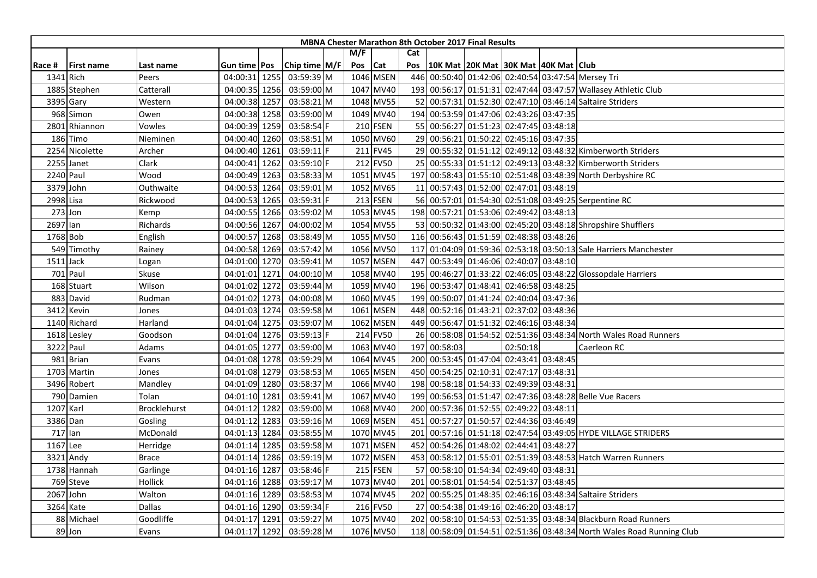|           |                   |              |                     |                 |     |           |     | <b>MBNA Chester Marathon 8th October 2017 Final Results</b> |                                     |          |                                                                       |
|-----------|-------------------|--------------|---------------------|-----------------|-----|-----------|-----|-------------------------------------------------------------|-------------------------------------|----------|-----------------------------------------------------------------------|
|           |                   |              |                     |                 | M/F |           | Cat |                                                             |                                     |          |                                                                       |
| Race #    | <b>First name</b> | Last name    | Gun time <b>Pos</b> | Chip time $M/F$ | Pos | Cat       | Pos | 10K Mat  20K Mat  30K Mat  40K Mat   Club                   |                                     |          |                                                                       |
|           | 1341 Rich         | Peers        | 04:00:31 1255       | 03:59:39 M      |     | 1046 MSEN |     |                                                             |                                     |          | 446 00:50:40 01:42:06 02:40:54 03:47:54 Mersey Tri                    |
|           | 1885 Stephen      | Catterall    | 04:00:35 1256       | $03:59:00$ M    |     | 1047 MV40 |     |                                                             |                                     |          | 193 00:56:17 01:51:31 02:47:44 03:47:57 Wallasey Athletic Club        |
|           | 3395 Gary         | Western      | 04:00:38 1257       | 03:58:21 M      |     | 1048 MV55 |     |                                                             |                                     |          | 52 00:57:31 01:52:30 02:47:10 03:46:14 Saltaire Striders              |
|           | 968 Simon         | Owen         | 04:00:38 1258       | 03:59:00 M      |     | 1049 MV40 |     | 194 00:53:59 01:47:06 02:43:26 03:47:35                     |                                     |          |                                                                       |
| 2801      | Rhiannon          | Vowles       | 04:00:39 1259       | 03:58:54 F      |     | 210 FSEN  |     | 55 00:56:27 01:51:23 02:47:45 03:48:18                      |                                     |          |                                                                       |
|           | 186 Timo          | Nieminen     | 04:00:40 1260       | 03:58:51 M      |     | 1050 MV60 |     | 29 00:56:21 01:50:22 02:45:16 03:47:35                      |                                     |          |                                                                       |
|           | 2254 Nicolette    | Archer       | 04:00:40 1261       | 03:59:11 F      |     | 211 FV45  |     |                                                             |                                     |          | 29 00:55:32 01:51:12 02:49:12 03:48:32 Kimberworth Striders           |
|           | 2255 Janet        | Clark        | 04:00:41 1262       | 03:59:10 F      |     | 212 FV50  |     |                                                             |                                     |          | 25 00:55:33 01:51:12 02:49:13 03:48:32 Kimberworth Striders           |
|           | 2240 Paul         | Wood         | 04:00:49 1263       | 03:58:33 M      |     | 1051 MV45 |     |                                                             |                                     |          | 197 00:58:43 01:55:10 02:51:48 03:48:39 North Derbyshire RC           |
|           | 3379 John         | Outhwaite    | 04:00:53 1264       | 03:59:01 M      |     | 1052 MV65 |     | 11 00:57:43 01:52:00 02:47:01 03:48:19                      |                                     |          |                                                                       |
| 2998 Lisa |                   | Rickwood     | 04:00:53 1265       | 03:59:31 F      |     | 213 FSEN  |     |                                                             |                                     |          | 56 00:57:01 01:54:30 02:51:08 03:49:25 Serpentine RC                  |
|           | $273$ Jon         | Kemp         | 04:00:55 1266       | 03:59:02 M      |     | 1053 MV45 |     | 198 00:57:21 01:53:06 02:49:42 03:48:13                     |                                     |          |                                                                       |
| 2697 Ian  |                   | Richards     | 04:00:56 1267       | 04:00:02 M      |     | 1054 MV55 |     |                                                             |                                     |          | 53 00:50:32 01:43:00 02:45:20 03:48:18 Shropshire Shufflers           |
|           | 1768 Bob          | English      | 04:00:57 1268       | 03:58:49 M      |     | 1055 MV50 |     | 116 00:56:43 01:51:59 02:48:38 03:48:26                     |                                     |          |                                                                       |
|           | 549 Timothy       | Rainey       | 04:00:58 1269       | 03:57:42 M      |     | 1056 MV50 |     |                                                             |                                     |          | 117 01:04:09 01:59:36 02:53:18 03:50:13 Sale Harriers Manchester      |
|           | $1511$ Jack       | Logan        | 04:01:00 1270       | 03:59:41 M      |     | 1057 MSEN |     | 447 00:53:49 01:46:06 02:40:07 03:48:10                     |                                     |          |                                                                       |
|           | 701 Paul          | Skuse        | 04:01:01 1271       | 04:00:10 M      |     | 1058 MV40 | 195 |                                                             |                                     |          | 00:46:27 01:33:22 02:46:05 03:48:22 Glossopdale Harriers              |
|           | 168 Stuart        | Wilson       | 04:01:02 1272       | 03:59:44 M      |     | 1059 MV40 |     | 196 00:53:47 01:48:41 02:46:58 03:48:25                     |                                     |          |                                                                       |
|           | 883 David         | Rudman       | 04:01:02 1273       | 04:00:08 M      |     | 1060 MV45 |     | 199 00:50:07 01:41:24 02:40:04 03:47:36                     |                                     |          |                                                                       |
|           | 3412 Kevin        | Jones        | 04:01:03 1274       | 03:59:58 M      |     | 1061 MSEN |     | 448 00:52:16 01:43:21 02:37:02 03:48:36                     |                                     |          |                                                                       |
|           | 1140 Richard      | Harland      | 04:01:04 1275       | 03:59:07 M      |     | 1062 MSEN |     | 449 00:56:47 01:51:32 02:46:16 03:48:34                     |                                     |          |                                                                       |
|           | 1618 Lesley       | Goodson      | 04:01:04 1276       | 03:59:13 F      |     | 214 FV50  |     |                                                             |                                     |          | 26 00:58:08 01:54:52 02:51:36 03:48:34 North Wales Road Runners       |
|           | 3222 Paul         | Adams        | 04:01:05 1277       | 03:59:00 M      |     | 1063 MV40 |     | 197 00:58:03                                                |                                     | 02:50:18 | Caerleon RC                                                           |
|           | 981 Brian         | Evans        | 04:01:08 1278       | 03:59:29 M      |     | 1064 MV45 |     | 200 00:53:45 01:47:04 02:43:41 03:48:45                     |                                     |          |                                                                       |
|           | 1703 Martin       | Jones        | 04:01:08 1279       | 03:58:53 M      |     | 1065 MSEN |     | 450 00:54:25 02:10:31 02:47:17 03:48:31                     |                                     |          |                                                                       |
|           | 3496 Robert       | Mandley      | 04:01:09 1280       | 03:58:37 M      |     | 1066 MV40 |     | 198 00:58:18 01:54:33 02:49:39 03:48:31                     |                                     |          |                                                                       |
|           | 790 Damien        | Tolan        | 04:01:10 1281       | 03:59:41 M      |     | 1067 MV40 |     |                                                             |                                     |          | 199 00:56:53 01:51:47 02:47:36 03:48:28 Belle Vue Racers              |
|           | 1207 Karl         | Brocklehurst | 04:01:12 1282       | 03:59:00 M      |     | 1068 MV40 | 200 |                                                             | 00:57:36 01:52:55 02:49:22 03:48:11 |          |                                                                       |
|           | 3386 Dan          | Gosling      | 04:01:12 1283       | 03:59:16 M      |     | 1069 MSEN | 451 | 00:57:27 01:50:57 02:44:36 03:46:49                         |                                     |          |                                                                       |
|           | 717 lan           | McDonald     | 04:01:13 1284       | 03:58:55 M      |     | 1070 MV45 |     |                                                             |                                     |          | 201 00:57:16 01:51:18 02:47:54 03:49:05 HYDE VILLAGE STRIDERS         |
|           | 1167 Lee          | Herridge     | 04:01:14 1285       | 03:59:58 M      |     | 1071 MSEN |     | 452 00:54:26 01:48:02 02:44:41 03:48:27                     |                                     |          |                                                                       |
|           | 3321 Andy         | <b>Brace</b> | 04:01:14 1286       | 03:59:19 M      |     | 1072 MSEN |     |                                                             |                                     |          | 453 00:58:12 01:55:01 02:51:39 03:48:53 Hatch Warren Runners          |
|           | 1738 Hannah       | Garlinge     | 04:01:16 1287       | 03:58:46 F      |     | 215 FSEN  |     | 57 00:58:10 01:54:34 02:49:40 03:48:31                      |                                     |          |                                                                       |
|           | 769 Steve         | Hollick      | 04:01:16 1288       | 03:59:17 M      |     | 1073 MV40 | 201 | 00:58:01 01:54:54 02:51:37 03:48:45                         |                                     |          |                                                                       |
|           | 2067 John         | Walton       | 04:01:16 1289       | 03:58:53 M      |     | 1074 MV45 |     |                                                             |                                     |          | 202 00:55:25 01:48:35 02:46:16 03:48:34 Saltaire Striders             |
|           | 3264 Kate         | Dallas       | 04:01:16 1290       | 03:59:34 F      |     | 216 FV50  |     | 27 00:54:38 01:49:16 02:46:20 03:48:17                      |                                     |          |                                                                       |
|           | 88 Michael        | Goodliffe    | 04:01:17 1291       | 03:59:27 M      |     | 1075 MV40 |     |                                                             |                                     |          | 202 00:58:10 01:54:53 02:51:35 03:48:34 Blackburn Road Runners        |
|           | 89 Jon            | Evans        | 04:01:17 1292       | 03:59:28 M      |     | 1076 MV50 |     |                                                             |                                     |          | 118 00:58:09 01:54:51 02:51:36 03:48:34 North Wales Road Running Club |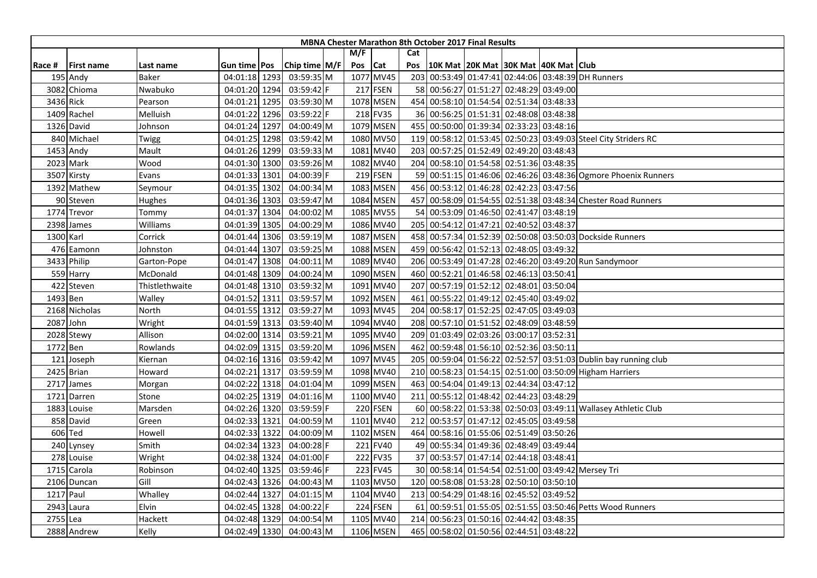|           |                   |                |               |               |         |                 |     | <b>MBNA Chester Marathon 8th October 2017 Final Results</b> |  |                                                                 |
|-----------|-------------------|----------------|---------------|---------------|---------|-----------------|-----|-------------------------------------------------------------|--|-----------------------------------------------------------------|
|           |                   |                |               |               | M/F     |                 | Cat |                                                             |  |                                                                 |
| Race #    | <b>First name</b> | Last name      | Gun time Pos  | Chip time M/F | Pos Cat |                 | Pos | 10K Mat   20K Mat   30K Mat   40K Mat   Club                |  |                                                                 |
|           | 195 Andy          | Baker          | 04:01:18 1293 | 03:59:35 M    |         | 1077 MV45       |     |                                                             |  | 203 00:53:49 01:47:41 02:44:06 03:48:39 DH Runners              |
|           | 3082 Chioma       | Nwabuko        | 04:01:20 1294 | 03:59:42 F    |         | 217 FSEN        |     | 58 00:56:27 01:51:27 02:48:29 03:49:00                      |  |                                                                 |
|           | 3436 Rick         | Pearson        | 04:01:21 1295 | 03:59:30 M    |         | 1078 MSEN       |     | 454 00:58:10 01:54:54 02:51:34 03:48:33                     |  |                                                                 |
|           | 1409 Rachel       | Melluish       | 04:01:22 1296 | 03:59:22 F    |         | 218 FV35        |     | 36 00:56:25 01:51:31 02:48:08 03:48:38                      |  |                                                                 |
|           | 1326 David        | Johnson        | 04:01:24 1297 | 04:00:49 M    |         | 1079 MSEN       |     | 455 00:50:00 01:39:34 02:33:23 03:48:16                     |  |                                                                 |
|           | 840 Michael       | Twigg          | 04:01:25 1298 | 03:59:42 M    |         | 1080 MV50       | 119 |                                                             |  | 00:58:12 01:53:45 02:50:23 03:49:03 Steel City Striders RC      |
|           | 1453 Andy         | Mault          | 04:01:26 1299 | 03:59:33 M    |         | 1081 MV40       |     | 203 00:57:25 01:52:49 02:49:20 03:48:43                     |  |                                                                 |
|           | 2023 Mark         | Wood           | 04:01:30 1300 | 03:59:26 M    |         | 1082 MV40       |     | 204 00:58:10 01:54:58 02:51:36 03:48:35                     |  |                                                                 |
|           | 3507 Kirsty       | Evans          | 04:01:33 1301 | 04:00:39 F    |         | 219 FSEN        |     |                                                             |  | 59 00:51:15 01:46:06 02:46:26 03:48:36 Ogmore Phoenix Runners   |
|           | 1392 Mathew       | Seymour        | 04:01:35 1302 | 04:00:34 M    |         | 1083 MSEN       |     | 456 00:53:12 01:46:28 02:42:23 03:47:56                     |  |                                                                 |
|           | 90 Steven         | Hughes         | 04:01:36 1303 | 03:59:47 M    |         | 1084 MSEN       | 457 |                                                             |  | 00:58:09 01:54:55 02:51:38 03:48:34 Chester Road Runners        |
|           | 1774 Trevor       | Tommy          | 04:01:37 1304 | 04:00:02 M    |         | 1085 MV55       | 54  | 00:53:09 01:46:50 02:41:47 03:48:19                         |  |                                                                 |
|           | 2398 James        | Williams       | 04:01:39 1305 | 04:00:29 M    |         | 1086 MV40       | 205 | 00:54:12 01:47:21 02:40:52 03:48:37                         |  |                                                                 |
| 1300 Karl |                   | Corrick        | 04:01:44 1306 | 03:59:19 M    |         | 1087 MSEN       |     |                                                             |  | 458 00:57:34 01:52:39 02:50:08 03:50:03 Dockside Runners        |
|           | 476 Eamonn        | Johnston       | 04:01:44 1307 | 03:59:25 M    |         | 1088 MSEN       |     | 459 00:56:42 01:52:13 02:48:05 03:49:32                     |  |                                                                 |
|           | 3433 Philip       | Garton-Pope    | 04:01:47 1308 | 04:00:11 M    |         | 1089 MV40       |     |                                                             |  | 206 00:53:49 01:47:28 02:46:20 03:49:20 Run Sandymoor           |
|           | 559 Harry         | McDonald       | 04:01:48 1309 | 04:00:24 M    |         | 1090 MSEN       | 460 | 00:52:21 01:46:58 02:46:13 03:50:41                         |  |                                                                 |
|           | 422 Steven        | Thistlethwaite | 04:01:48 1310 | 03:59:32 M    |         | 1091 MV40       | 207 | 00:57:19 01:52:12 02:48:01 03:50:04                         |  |                                                                 |
| 1493 Ben  |                   | Walley         | 04:01:52 1311 | 03:59:57 M    |         | 1092 MSEN       | 461 | 00:55:22 01:49:12 02:45:40 03:49:02                         |  |                                                                 |
|           | 2168 Nicholas     | North          | 04:01:55 1312 | 03:59:27 M    |         | 1093 MV45       | 204 | 00:58:17 01:52:25 02:47:05 03:49:03                         |  |                                                                 |
|           | 2087 John         | Wright         | 04:01:59 1313 | 03:59:40 M    |         | 1094 MV40       |     | 208 00:57:10 01:51:52 02:48:09 03:48:59                     |  |                                                                 |
|           | 2028 Stewy        | Allison        | 04:02:00 1314 | 03:59:21 M    |         | 1095 MV40       | 209 | 01:03:49 02:03:26 03:00:17 03:52:31                         |  |                                                                 |
|           | 1772 Ben          | Rowlands       | 04:02:09 1315 | 03:59:20 M    |         | 1096 MSEN       | 462 | 00:59:48 01:56:10 02:52:36 03:50:11                         |  |                                                                 |
|           | 121 Joseph        | Kiernan        | 04:02:16 1316 | 03:59:42 M    |         | 1097 MV45       |     |                                                             |  | 205 00:59:04 01:56:22 02:52:57 03:51:03 Dublin bay running club |
|           | 2425 Brian        | Howard         | 04:02:21 1317 | 03:59:59 M    |         | 1098 MV40       |     |                                                             |  | 210 00:58:23 01:54:15 02:51:00 03:50:09 Higham Harriers         |
|           | 2717 James        | Morgan         | 04:02:22 1318 | 04:01:04 M    |         | 1099 MSEN       |     | 463 00:54:04 01:49:13 02:44:34 03:47:12                     |  |                                                                 |
|           | 1721 Darren       | Stone          | 04:02:25 1319 | 04:01:16 M    |         | 1100 MV40       |     | 211 00:55:12 01:48:42 02:44:23 03:48:29                     |  |                                                                 |
|           | 1883 Louise       | Marsden        | 04:02:26 1320 | 03:59:59 F    |         | 220 FSEN        |     |                                                             |  | 60 00:58:22 01:53:38 02:50:03 03:49:11 Wallasey Athletic Club   |
|           | 858 David         | Green          | 04:02:33 1321 | 04:00:59 M    |         | 1101 MV40       | 212 | 00:53:57 01:47:12 02:45:05 03:49:58                         |  |                                                                 |
|           | 606 Ted           | Howell         | 04:02:33 1322 | 04:00:09 M    |         | 1102 MSEN       |     | 464 00:58:16 01:55:06 02:51:49 03:50:26                     |  |                                                                 |
|           | 240 Lynsey        | Smith          | 04:02:34 1323 | 04:00:28 F    |         | 221 FV40        |     | 49 00:55:34 01:49:36 02:48:49 03:49:44                      |  |                                                                 |
|           | 278 Louise        | Wright         | 04:02:38 1324 | 04:01:00 F    |         | 222 FV35        |     | 37 00:53:57 01:47:14 02:44:18 03:48:41                      |  |                                                                 |
|           | 1715 Carola       | Robinson       | 04:02:40 1325 | 03:59:46 F    |         | 223 FV45        |     |                                                             |  | 30 00:58:14 01:54:54 02:51:00 03:49:42 Mersey Tri               |
|           | 2106 Duncan       | Gill           | 04:02:43 1326 | 04:00:43 M    |         | 1103 MV50       |     | 120 00:58:08 01:53:28 02:50:10 03:50:10                     |  |                                                                 |
|           | 1217 Paul         | Whalley        | 04:02:44 1327 | 04:01:15 M    |         | 1104 MV40       |     | 213 00:54:29 01:48:16 02:45:52 03:49:52                     |  |                                                                 |
|           | 2943 Laura        | Elvin          | 04:02:45 1328 | 04:00:22 F    |         | <b>224 FSEN</b> |     |                                                             |  | 61 00:59:51 01:55:05 02:51:55 03:50:46 Petts Wood Runners       |
| 2755 Lea  |                   | Hackett        | 04:02:48 1329 | 04:00:54 M    |         | 1105 MV40       | 214 | 00:56:23 01:50:16 02:44:42 03:48:35                         |  |                                                                 |
|           | 2888 Andrew       | Kelly          | 04:02:49 1330 | 04:00:43 M    |         | 1106 MSEN       |     | 465 00:58:02 01:50:56 02:44:51 03:48:22                     |  |                                                                 |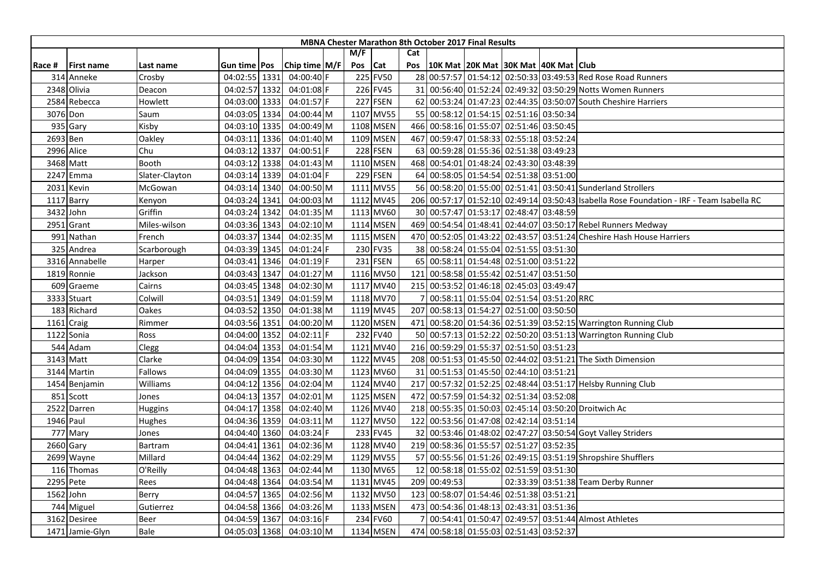|        |                   |                |                |               |     |                 |     | <b>MBNA Chester Marathon 8th October 2017 Final Results</b> |                                         |  |                                                                                           |
|--------|-------------------|----------------|----------------|---------------|-----|-----------------|-----|-------------------------------------------------------------|-----------------------------------------|--|-------------------------------------------------------------------------------------------|
|        |                   |                |                |               | M/F |                 | Cat |                                                             |                                         |  |                                                                                           |
| Race # | <b>First name</b> | Last name      | Gun time   Pos | Chip time M/F | Pos | <b>Cat</b>      | Pos | 10K Mat  20K Mat  30K Mat  40K Mat   Club                   |                                         |  |                                                                                           |
|        | 314 Anneke        | Crosby         | 04:02:55 1331  | 04:00:40 F    |     | 225 FV50        |     |                                                             |                                         |  | 28 00:57:57 01:54:12 02:50:33 03:49:53 Red Rose Road Runners                              |
|        | 2348 Olivia       | Deacon         | 04:02:57 1332  | 04:01:08 F    |     | 226 FV45        |     |                                                             |                                         |  | 31 00:56:40 01:52:24 02:49:32 03:50:29 Notts Women Runners                                |
|        | 2584 Rebecca      | Howlett        | 04:03:00 1333  | 04:01:57 F    |     | 227 FSEN        |     |                                                             |                                         |  | 62 00:53:24 01:47:23 02:44:35 03:50:07 South Cheshire Harriers                            |
|        | 3076 Don          | Saum           | 04:03:05 1334  | 04:00:44 M    |     | 1107 MV55       |     | 55 00:58:12 01:54:15 02:51:16 03:50:34                      |                                         |  |                                                                                           |
|        | 935 Gary          | Kisby          | 04:03:10 1335  | 04:00:49 M    |     | 1108 MSEN       |     | 466 00:58:16 01:55:07 02:51:46 03:50:45                     |                                         |  |                                                                                           |
|        | 2693 Ben          | Oakley         | 04:03:11 1336  | 04:01:40 M    |     | 1109 MSEN       | 467 |                                                             | 00:59:47 01:58:33 02:55:18 03:52:24     |  |                                                                                           |
|        | 2996 Alice        | Chu            | 04:03:12 1337  | 04:00:51 F    |     | <b>228 FSEN</b> |     | 63 00:59:28 01:55:36 02:51:38 03:49:23                      |                                         |  |                                                                                           |
|        | 3468 Matt         | Booth          | 04:03:12 1338  | 04:01:43 M    |     | 1110 MSEN       |     | 468 00:54:01 01:48:24 02:43:30 03:48:39                     |                                         |  |                                                                                           |
|        | 2247 Emma         | Slater-Clayton | 04:03:14 1339  | 04:01:04 F    |     | 229 FSEN        |     | 64 00:58:05 01:54:54 02:51:38 03:51:00                      |                                         |  |                                                                                           |
|        | 2031 Kevin        | McGowan        | 04:03:14 1340  | 04:00:50 M    |     | 1111 MV55       |     |                                                             |                                         |  | 56 00:58:20 01:55:00 02:51:41 03:50:41 Sunderland Strollers                               |
|        | 1117 Barry        | Kenyon         | 04:03:24 1341  | 04:00:03 M    |     | 1112 MV45       |     |                                                             |                                         |  | 206 00:57:17 01:52:10 02:49:14 03:50:43 Isabella Rose Foundation - IRF - Team Isabella RC |
| 3432   | John              | Griffin        | 04:03:24 1342  | 04:01:35 M    |     | 1113 MV60       |     | 30 00:57:47 01:53:17 02:48:47 03:48:59                      |                                         |  |                                                                                           |
| 2951   | Grant             | Miles-wilson   | 04:03:36 1343  | 04:02:10 M    |     | 1114 MSEN       |     |                                                             |                                         |  | 469 00:54:54 01:48:41 02:44:07 03:50:17 Rebel Runners Medway                              |
|        | 991 Nathan        | French         | 04:03:37 1344  | 04:02:35 M    |     | 1115 MSEN       |     |                                                             |                                         |  | 470 00:52:05 01:43:22 02:43:57 03:51:24 Cheshire Hash House Harriers                      |
|        | 325 Andrea        | Scarborough    | 04:03:39 1345  | 04:01:24 F    |     | 230 FV35        |     | 38 00:58:24 01:55:04 02:51:55 03:51:30                      |                                         |  |                                                                                           |
|        | 3316 Annabelle    | Harper         | 04:03:41 1346  | 04:01:19 F    |     | 231 FSEN        |     | 65 00:58:11 01:54:48 02:51:00 03:51:22                      |                                         |  |                                                                                           |
|        | 1819 Ronnie       | Jackson        | 04:03:43 1347  | 04:01:27 M    |     | 1116 MV50       | 121 |                                                             | 00:58:58 01:55:42 02:51:47 03:51:50     |  |                                                                                           |
|        | 609 Graeme        | Cairns         | 04:03:45 1348  | 04:02:30 M    |     | 1117 MV40       | 215 |                                                             | 00:53:52 01:46:18 02:45:03 03:49:47     |  |                                                                                           |
|        | 3333 Stuart       | Colwill        | 04:03:51 1349  | 04:01:59 M    |     | 1118 MV70       |     |                                                             | 00:58:11 01:55:04 02:51:54 03:51:20 RRC |  |                                                                                           |
|        | 183 Richard       | Oakes          | 04:03:52 1350  | 04:01:38 M    |     | 1119 MV45       |     | 207 00:58:13 01:54:27 02:51:00 03:50:50                     |                                         |  |                                                                                           |
|        | 1161 Craig        | Rimmer         | 04:03:56 1351  | 04:00:20 M    |     | 1120 MSEN       |     |                                                             |                                         |  | 471 00:58:20 01:54:36 02:51:39 03:52:15 Warrington Running Club                           |
|        | 1122 Sonia        | Ross           | 04:04:00 1352  | 04:02:11 F    |     | 232 FV40        |     |                                                             |                                         |  | 50 00:57:13 01:52:22 02:50:20 03:51:13 Warrington Running Club                            |
|        | 544 Adam          | Clegg          | 04:04:04 1353  | 04:01:54 M    |     | 1121 MV40       |     | 216 00:59:29 01:55:37 02:51:50 03:51:23                     |                                         |  |                                                                                           |
|        | 3143 Matt         | Clarke         | 04:04:09 1354  | 04:03:30 M    |     | 1122 MV45       |     |                                                             |                                         |  | 208 00:51:53 01:45:50 02:44:02 03:51:21 The Sixth Dimension                               |
|        | 3144 Martin       | Fallows        | 04:04:09 1355  | 04:03:30 M    |     | 1123 MV60       | 31  |                                                             | 00:51:53 01:45:50 02:44:10 03:51:21     |  |                                                                                           |
|        | 1454 Benjamin     | Williams       | 04:04:12 1356  | 04:02:04 M    |     | 1124 MV40       | 217 |                                                             |                                         |  | 00:57:32 01:52:25 02:48:44 03:51:17 Helsby Running Club                                   |
|        | 851 Scott         | Jones          | 04:04:13 1357  | 04:02:01 M    |     | 1125 MSEN       | 472 | 00:57:59 01:54:32 02:51:34 03:52:08                         |                                         |  |                                                                                           |
|        | 2522 Darren       | Huggins        | 04:04:17 1358  | 04:02:40 M    |     | 1126 MV40       | 218 |                                                             |                                         |  | 00:55:35 01:50:03 02:45:14 03:50:20 Droitwich Ac                                          |
|        | 1946 Paul         | Hughes         | 04:04:36 1359  | 04:03:11 M    |     | 1127 MV50       | 122 |                                                             | 00:53:56 01:47:08 02:42:14 03:51:14     |  |                                                                                           |
|        | 777 Mary          | Jones          | 04:04:40 1360  | 04:03:24 F    |     | 233 FV45        | 32  |                                                             |                                         |  | 00:53:46 01:48:02 02:47:27 03:50:54 Goyt Valley Striders                                  |
|        | 2660 Gary         | Bartram        | 04:04:41 1361  | 04:02:36 M    |     | 1128 MV40       |     | 219 00:58:36 01:55:57 02:51:27 03:52:35                     |                                         |  |                                                                                           |
|        | 2699 Wayne        | Millard        | 04:04:44 1362  | 04:02:29 M    |     | 1129 MV55       |     |                                                             |                                         |  | 57 00:55:56 01:51:26 02:49:15 03:51:19 Shropshire Shufflers                               |
|        | 116 Thomas        | O'Reilly       | 04:04:48 1363  | 04:02:44 M    |     | 1130 MV65       | 12  |                                                             | 00:58:18 01:55:02 02:51:59 03:51:30     |  |                                                                                           |
|        | 2295 Pete         | Rees           | 04:04:48 1364  | 04:03:54 M    |     | 1131 MV45       |     | 209 00:49:53                                                |                                         |  | 02:33:39 03:51:38 Team Derby Runner                                                       |
|        | 1562 John         | Berry          | 04:04:57 1365  | 04:02:56 M    |     | 1132 MV50       | 123 |                                                             | 00:58:07 01:54:46 02:51:38 03:51:21     |  |                                                                                           |
|        | 744 Miguel        | Gutierrez      | 04:04:58 1366  | 04:03:26 M    |     | 1133 MSEN       | 473 |                                                             | 00:54:36 01:48:13 02:43:31 03:51:36     |  |                                                                                           |
|        | 3162 Desiree      | Beer           | 04:04:59 1367  | 04:03:16 F    |     | 234 FV60        |     |                                                             |                                         |  | 00:54:41 01:50:47 02:49:57 03:51:44 Almost Athletes                                       |
|        | 1471 Jamie-Glyn   | Bale           | 04:05:03 1368  | 04:03:10 M    |     | 1134 MSEN       |     | 474 00:58:18 01:55:03 02:51:43 03:52:37                     |                                         |  |                                                                                           |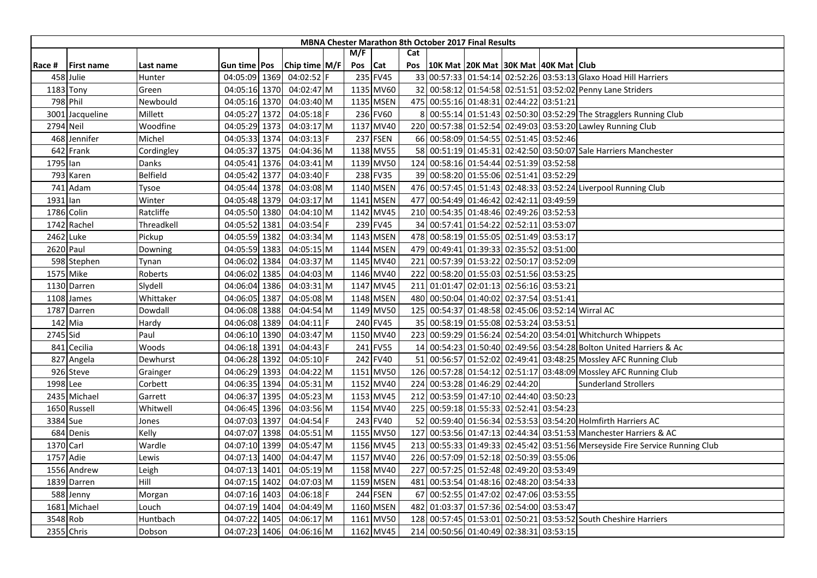|           |                   |                 |                     |               |     |           |     | <b>MBNA Chester Marathon 8th October 2017 Final Results</b> |  |                                                                              |
|-----------|-------------------|-----------------|---------------------|---------------|-----|-----------|-----|-------------------------------------------------------------|--|------------------------------------------------------------------------------|
|           |                   |                 |                     |               | M/F |           | Cat |                                                             |  |                                                                              |
| Race #    | <b>First name</b> | Last name       | Gun time <b>Pos</b> | Chip time M/F | Pos | Cat       | Pos | 10K Mat 20K Mat 30K Mat 40K Mat Club                        |  |                                                                              |
|           | 458 Julie         | Hunter          | 04:05:09 1369       | 04:02:52 F    |     | 235 FV45  |     |                                                             |  | 33 00:57:33 01:54:14 02:52:26 03:53:13 Glaxo Hoad Hill Harriers              |
|           | $1183$ Tony       | Green           | 04:05:16 1370       | 04:02:47 M    |     | 1135 MV60 |     |                                                             |  | 32 00:58:12 01:54:58 02:51:51 03:52:02 Penny Lane Striders                   |
|           | 798 Phil          | Newbould        | 04:05:16 1370       | 04:03:40 M    |     | 1135 MSEN |     | 475 00:55:16 01:48:31 02:44:22 03:51:21                     |  |                                                                              |
|           | 3001 Jacqueline   | Millett         | 04:05:27 1372       | 04:05:18 F    |     | 236 FV60  |     |                                                             |  | 00:55:14 01:51:43 02:50:30 03:52:29 The Stragglers Running Club              |
| 2794 Neil |                   | Woodfine        | 04:05:29 1373       | 04:03:17 M    |     | 1137 MV40 |     |                                                             |  | 220 00:57:38 01:52:54 02:49:03 03:53:20 Lawley Running Club                  |
|           | 468 Jennifer      | Michel          | 04:05:33 1374       | 04:03:13 F    |     | 237 FSEN  |     | 66 00:58:09 01:54:55 02:51:45 03:52:46                      |  |                                                                              |
|           | 642 Frank         | Cordingley      | 04:05:37 1375       | 04:04:36 M    |     | 1138 MV55 |     |                                                             |  | 58 00:51:19 01:45:31 02:42:50 03:50:07 Sale Harriers Manchester              |
| 1795 lan  |                   | Danks           | 04:05:41 1376       | 04:03:41 M    |     | 1139 MV50 |     | 124 00:58:16 01:54:44 02:51:39 03:52:58                     |  |                                                                              |
|           | 793 Karen         | <b>Belfield</b> | 04:05:42 1377       | 04:03:40 F    |     | 238 FV35  |     | 39 00:58:20 01:55:06 02:51:41 03:52:29                      |  |                                                                              |
|           | 741 Adam          | Tysoe           | 04:05:44 1378       | 04:03:08 M    |     | 1140 MSEN |     |                                                             |  | 476 00:57:45 01:51:43 02:48:33 03:52:24 Liverpool Running Club               |
| 1931 lan  |                   | Winter          | 04:05:48 1379       | 04:03:17 M    |     | 1141 MSEN | 477 | 00:54:49 01:46:42 02:42:11 03:49:59                         |  |                                                                              |
|           | 1786 Colin        | Ratcliffe       | 04:05:50 1380       | 04:04:10 M    |     | 1142 MV45 |     | 210 00:54:35 01:48:46 02:49:26 03:52:53                     |  |                                                                              |
|           | 1742 Rachel       | Threadkell      | 04:05:52 1381       | 04:03:54 F    |     | 239 FV45  |     | 34 00:57:41 01:54:22 02:52:11 03:53:07                      |  |                                                                              |
|           | 2462 Luke         | Pickup          | 04:05:59 1382       | 04:03:34 M    |     | 1143 MSEN |     | 478 00:58:19 01:55:05 02:51:49 03:53:17                     |  |                                                                              |
|           | 2620 Paul         | Downing         | 04:05:59 1383       | 04:05:15 M    |     | 1144 MSEN |     | 479 00:49:41 01:39:33 02:35:52 03:51:00                     |  |                                                                              |
|           | 598 Stephen       | Tynan           | 04:06:02 1384       | 04:03:37 M    |     | 1145 MV40 | 221 | 00:57:39 01:53:22 02:50:17 03:52:09                         |  |                                                                              |
|           | 1575 Mike         | Roberts         | 04:06:02 1385       | 04:04:03 M    |     | 1146 MV40 | 222 | 00:58:20 01:55:03 02:51:56 03:53:25                         |  |                                                                              |
|           | 1130 Darren       | Slydell         | 04:06:04 1386       | 04:03:31 M    |     | 1147 MV45 | 211 | 01:01:47 02:01:13 02:56:16 03:53:21                         |  |                                                                              |
|           | 1108 James        | Whittaker       | 04:06:05 1387       | 04:05:08 M    |     | 1148 MSEN |     | 480 00:50:04 01:40:02 02:37:54 03:51:41                     |  |                                                                              |
|           | 1787 Darren       | Dowdall         | 04:06:08 1388       | 04:04:54 M    |     | 1149 MV50 |     |                                                             |  | 125 00:54:37 01:48:58 02:45:06 03:52:14 Wirral AC                            |
|           | 142 Mia           | Hardy           | 04:06:08 1389       | 04:04:11 F    |     | 240 FV45  |     | 35 00:58:19 01:55:08 02:53:24 03:53:51                      |  |                                                                              |
| 2745 Sid  |                   | Paul            | 04:06:10 1390       | 04:03:47 M    |     | 1150 MV40 | 223 |                                                             |  | 00:59:29 01:56:24 02:54:20 03:54:01 Whitchurch Whippets                      |
|           | 841 Cecilia       | Woods           | 04:06:18 1391       | 04:04:43 F    |     | 241 FV55  |     |                                                             |  | 14 00:54:23 01:50:40 02:49:56 03:54:28 Bolton United Harriers & Ac           |
|           | 827 Angela        | Dewhurst        | 04:06:28 1392       | 04:05:10 F    |     | 242 FV40  |     |                                                             |  | 51 00:56:57 01:52:02 02:49:41 03:48:25 Mossley AFC Running Club              |
|           | 926 Steve         | Grainger        | 04:06:29 1393       | 04:04:22 M    |     | 1151 MV50 |     |                                                             |  | 126 00:57:28 01:54:12 02:51:17 03:48:09 Mossley AFC Running Club             |
| 1998 Lee  |                   | Corbett         | 04:06:35 1394       | 04:05:31 M    |     | 1152 MV40 |     | 224 00:53:28 01:46:29 02:44:20                              |  | <b>Sunderland Strollers</b>                                                  |
|           | 2435 Michael      | Garrett         | 04:06:37 1395       | 04:05:23 M    |     | 1153 MV45 | 212 | 00:53:59 01:47:10 02:44:40 03:50:23                         |  |                                                                              |
|           | 1650 Russell      | Whitwell        | 04:06:45 1396       | 04:03:56 M    |     | 1154 MV40 | 225 | 00:59:18 01:55:33 02:52:41 03:54:23                         |  |                                                                              |
| 3384 Sue  |                   | Jones           | 04:07:03 1397       | 04:04:54 F    |     | 243 FV40  |     |                                                             |  | 52 00:59:40 01:56:34 02:53:53 03:54:20 Holmfirth Harriers AC                 |
|           | 684 Denis         | Kelly           | 04:07:07 1398       | 04:05:51 M    |     | 1155 MV50 |     |                                                             |  | 127 00:53:56 01:47:13 02:44:34 03:51:53 Manchester Harriers & AC             |
| 1370 Carl |                   | Wardle          | 04:07:10 1399       | 04:05:47 M    |     | 1156 MV45 |     |                                                             |  | 213 00:55:33 01:49:33 02:45:42 03:51:56 Merseyside Fire Service Running Club |
|           | 1757 Adie         | Lewis           | 04:07:13 1400       | 04:04:47 M    |     | 1157 MV40 |     | 226 00:57:09 01:52:18 02:50:39 03:55:06                     |  |                                                                              |
|           | 1556 Andrew       | Leigh           | 04:07:13 1401       | 04:05:19 M    |     | 1158 MV40 | 227 | 00:57:25 01:52:48 02:49:20 03:53:49                         |  |                                                                              |
|           | 1839 Darren       | Hill            | 04:07:15 1402       | 04:07:03 M    |     | 1159 MSEN | 481 | 00:53:54 01:48:16 02:48:20 03:54:33                         |  |                                                                              |
|           | 588 Jenny         | Morgan          | 04:07:16 1403       | 04:06:18 F    |     | 244 FSEN  |     | 67 00:52:55 01:47:02 02:47:06 03:53:55                      |  |                                                                              |
|           | 1681 Michael      | Louch           | 04:07:19 1404       | 04:04:49 M    |     | 1160 MSEN | 482 | 01:03:37 01:57:36 02:54:00 03:53:47                         |  |                                                                              |
| 3548 Rob  |                   | Huntbach        | 04:07:22 1405       | 04:06:17 M    |     | 1161 MV50 |     |                                                             |  | 128 00:57:45 01:53:01 02:50:21 03:53:52 South Cheshire Harriers              |
|           | 2355 Chris        | Dobson          | 04:07:23 1406       | 04:06:16 M    |     | 1162 MV45 |     | 214 00:50:56 01:40:49 02:38:31 03:53:15                     |  |                                                                              |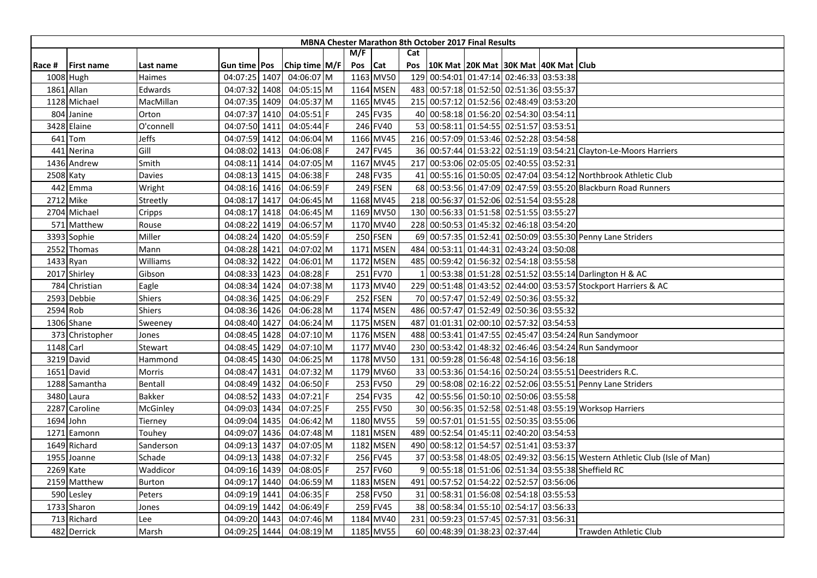|        |                   |               |                     |      |               |         |           |     | <b>MBNA Chester Marathon 8th October 2017 Final Results</b> |  |                                                                            |
|--------|-------------------|---------------|---------------------|------|---------------|---------|-----------|-----|-------------------------------------------------------------|--|----------------------------------------------------------------------------|
|        |                   |               |                     |      |               | M/F     |           | Cat |                                                             |  |                                                                            |
| Race # | <b>First name</b> | Last name     | Gun time <b>Pos</b> |      | Chip time M/F | Pos Cat |           | Pos | 10K Mat 20K Mat 30K Mat 40K Mat Club                        |  |                                                                            |
|        | 1008 Hugh         | Haimes        | 04:07:25 1407       |      | 04:06:07 M    |         | 1163 MV50 |     | 129 00:54:01 01:47:14 02:46:33 03:53:38                     |  |                                                                            |
|        | 1861 Allan        | Edwards       | 04:07:32 1408       |      | 04:05:15 M    |         | 1164 MSEN |     | 483 00:57:18 01:52:50 02:51:36 03:55:37                     |  |                                                                            |
|        | 1128 Michael      | MacMillan     | 04:07:35 1409       |      | 04:05:37 M    |         | 1165 MV45 |     | 215 00:57:12 01:52:56 02:48:49 03:53:20                     |  |                                                                            |
|        | 804 Janine        | Orton         | 04:07:37 1410       |      | 04:05:51      |         | 245 FV35  |     | 40 00:58:18 01:56:20 02:54:30 03:54:11                      |  |                                                                            |
|        | 3428 Elaine       | O'connell     | 04:07:50 1411       |      | 04:05:44 F    |         | 246 FV40  |     | 53 00:58:11 01:54:55 02:51:57 03:53:51                      |  |                                                                            |
|        | 641 Tom           | Jeffs         | 04:07:59 1412       |      | 04:06:04 M    |         | 1166 MV45 |     | 216 00:57:09 01:53:46 02:52:28 03:54:58                     |  |                                                                            |
| 441    | Nerina            | Gill          | 04:08:02 1413       |      | 04:06:08 F    |         | 247 FV45  |     |                                                             |  | 36 00:57:44 01:53:22 02:51:19 03:54:21 Clayton-Le-Moors Harriers           |
|        | 1436 Andrew       | Smith         | 04:08:11 1414       |      | 04:07:05 M    |         | 1167 MV45 |     | 217 00:53:06 02:05:05 02:40:55 03:52:31                     |  |                                                                            |
|        | 2508 Katy         | Davies        | 04:08:13 1415       |      | 04:06:38 F    |         | 248 FV35  | 41  |                                                             |  | 00:55:16 01:50:05 02:47:04 03:54:12 Northbrook Athletic Club               |
|        | 442 Emma          | Wright        | 04:08:16 1416       |      | 04:06:59 F    |         | 249 FSEN  |     |                                                             |  | 68 00:53:56 01:47:09 02:47:59 03:55:20 Blackburn Road Runners              |
|        | 2712 Mike         | Streetly      | 04:08:17 1417       |      | 04:06:45 M    |         | 1168 MV45 | 218 | 00:56:37 01:52:06 02:51:54 03:55:28                         |  |                                                                            |
|        | 2704 Michael      | Cripps        | 04:08:17 1418       |      | 04:06:45 M    |         | 1169 MV50 |     | 130 00:56:33 01:51:58 02:51:55 03:55:27                     |  |                                                                            |
|        | 571 Matthew       | Rouse         | 04:08:22 1419       |      | 04:06:57 M    |         | 1170 MV40 |     | 228 00:50:53 01:45:32 02:46:18 03:54:20                     |  |                                                                            |
|        | 3393 Sophie       | Miller        | 04:08:24 1420       |      | 04:05:59 F    |         | 250 FSEN  |     |                                                             |  | 69 00:57:35 01:52:41 02:50:09 03:55:30 Penny Lane Striders                 |
|        | 2552 Thomas       | Mann          | 04:08:28 1421       |      | 04:07:02 M    |         | 1171 MSEN | 484 | 00:53:11 01:44:31 02:43:24 03:50:08                         |  |                                                                            |
|        | 1433 Ryan         | Williams      | 04:08:32 1422       |      | 04:06:01 M    |         | 1172 MSEN |     | 485 00:59:42 01:56:32 02:54:18 03:55:58                     |  |                                                                            |
|        | 2017 Shirley      | Gibson        | 04:08:33 1423       |      | 04:08:28 F    |         | 251 FV70  |     |                                                             |  | 00:53:38 01:51:28 02:51:52 03:55:14 Darlington H & AC                      |
|        | 784 Christian     | Eagle         | 04:08:34 1424       |      | 04:07:38 M    |         | 1173 MV40 | 229 |                                                             |  | 00:51:48 01:43:52 02:44:00 03:53:57 Stockport Harriers & AC                |
|        | 2593 Debbie       | Shiers        | 04:08:36 1425       |      | $04:06:29$ F  |         | 252 FSEN  |     | 70 00:57:47 01:52:49 02:50:36 03:55:32                      |  |                                                                            |
|        | 2594 Rob          | Shiers        | 04:08:36 1426       |      | 04:06:28 M    |         | 1174 MSEN |     | 486 00:57:47 01:52:49 02:50:36 03:55:32                     |  |                                                                            |
|        | 1306 Shane        | Sweeney       | 04:08:40 1427       |      | 04:06:24 M    |         | 1175 MSEN |     | 487 01:01:31 02:00:10 02:57:32 03:54:53                     |  |                                                                            |
|        | 373 Christopher   | Jones         | 04:08:45 1428       |      | 04:07:10 M    |         | 1176 MSEN | 488 |                                                             |  | 00:53:41 01:47:55 02:45:47 03:54:24 Run Sandymoor                          |
|        | 1148 Carl         | Stewart       | 04:08:45 1429       |      | 04:07:10 M    |         | 1177 MV40 |     |                                                             |  | 230 00:53:42 01:48:32 02:46:46 03:54:24 Run Sandymoor                      |
|        | 3219 David        | Hammond       | 04:08:45 1430       |      | 04:06:25 M    |         | 1178 MV50 |     | 131 00:59:28 01:56:48 02:54:16 03:56:18                     |  |                                                                            |
|        | 1651 David        | Morris        | 04:08:47 1431       |      | 04:07:32 M    |         | 1179 MV60 |     |                                                             |  | 33 00:53:36 01:54:16 02:50:24 03:55:51 Deestriders R.C.                    |
|        | 1288 Samantha     | Bentall       | 04:08:49 1432       |      | 04:06:50 F    |         | 253 FV50  |     |                                                             |  | 29 00:58:08 02:16:22 02:52:06 03:55:51 Penny Lane Striders                 |
|        | 3480 Laura        | Bakker        | 04:08:52 1433       |      | 04:07:21 F    |         | 254 FV35  |     | 42 00:55:56 01:50:10 02:50:06 03:55:58                      |  |                                                                            |
|        | 2287 Caroline     | McGinley      | 04:09:03 1434       |      | 04:07:25 F    |         | 255 FV50  |     |                                                             |  | 30 00:56:35 01:52:58 02:51:48 03:55:19 Worksop Harriers                    |
|        | 1694 John         | Tierney       | 04:09:04 1435       |      | 04:06:42 M    |         | 1180 MV55 |     | 59 00:57:01 01:51:55 02:50:35 03:55:06                      |  |                                                                            |
| 1271   | Eamonn            | Touhey        | 04:09:07 1436       |      | 04:07:48 M    |         | 1181 MSEN |     | 489 00:52:54 01:45:11 02:40:20 03:54:53                     |  |                                                                            |
|        | 1649 Richard      | Sanderson     | 04:09:13 1437       |      | 04:07:05 M    |         | 1182 MSEN |     | 490 00:58:12 01:54:57 02:51:41 03:53:37                     |  |                                                                            |
|        | 1955 Joanne       | Schade        | 04:09:13 1438       |      | 04:07:32 F    |         | 256 FV45  |     |                                                             |  | 37 00:53:58 01:48:05 02:49:32 03:56:15 Western Athletic Club (Isle of Man) |
|        | 2269 Kate         | Waddicor      | 04:09:16 1439       |      | 04:08:05 F    |         | 257 FV60  |     |                                                             |  | 00:55:18 01:51:06 02:51:34 03:55:38 Sheffield RC                           |
|        | 2159 Matthew      | <b>Burton</b> | 04:09:17            | 1440 | 04:06:59 M    |         | 1183 MSEN | 491 | 00:57:52 01:54:22 02:52:57 03:56:06                         |  |                                                                            |
|        | 590 Lesley        | Peters        | 04:09:19 1441       |      | 04:06:35 F    |         | 258 FV50  |     | 31 00:58:31 01:56:08 02:54:18 03:55:53                      |  |                                                                            |
|        | 1733 Sharon       | Jones         | 04:09:19 1442       |      | 04:06:49 F    |         | 259 FV45  |     | 38 00:58:34 01:55:10 02:54:17 03:56:33                      |  |                                                                            |
|        | 713 Richard       | Lee           | 04:09:20 1443       |      | 04:07:46 M    |         | 1184 MV40 |     | 231 00:59:23 01:57:45 02:57:31 03:56:31                     |  |                                                                            |
|        | 482 Derrick       | Marsh         | 04:09:25 1444       |      | 04:08:19 M    |         | 1185 MV55 |     | 60 00:48:39 01:38:23 02:37:44                               |  | Trawden Athletic Club                                                      |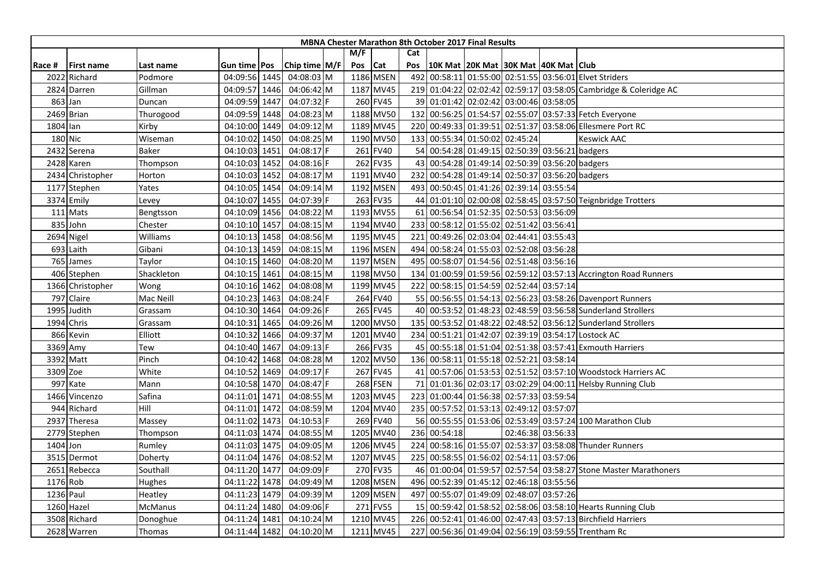|          |                   |            |                     |               |     |            |                  | MBNA Chester Marathon 8th October 2017 Final Results |                                     |                   |                                                                  |
|----------|-------------------|------------|---------------------|---------------|-----|------------|------------------|------------------------------------------------------|-------------------------------------|-------------------|------------------------------------------------------------------|
|          |                   |            |                     |               | M/F |            | Cat              |                                                      |                                     |                   |                                                                  |
| Race #   | <b>First name</b> | Last name  | Gun time <b>Pos</b> | Chip time M/F | Pos | <b>Cat</b> | Pos              | 10K Mat 20K Mat 30K Mat 40K Mat Club                 |                                     |                   |                                                                  |
| 2022     | Richard           | Podmore    | 04:09:56 1445       | 04:08:03 M    |     | 1186 MSEN  | 492              |                                                      |                                     |                   | 00:58:11 01:55:00 02:51:55 03:56:01 Elvet Striders               |
|          | 2824 Darren       | Gillman    | 04:09:57 1446       | 04:06:42 M    |     | 1187 MV45  |                  |                                                      |                                     |                   | 219 01:04:22 02:02:42 02:59:17 03:58:05 Cambridge & Coleridge AC |
|          | 863 Jan           | Duncan     | 04:09:59 1447       | 04:07:32 F    |     | 260 FV45   |                  | 39 01:01:42 02:02:42 03:00:46 03:58:05               |                                     |                   |                                                                  |
|          | 2469 Brian        | Thurogood  | 04:09:59 1448       | 04:08:23 M    |     | 1188 MV50  |                  |                                                      |                                     |                   | 132 00:56:25 01:54:57 02:55:07 03:57:33 Fetch Everyone           |
| 1804 Ian |                   | Kirby      | 04:10:00 1449       | 04:09:12 M    |     | 1189 MV45  |                  |                                                      |                                     |                   | 220 00:49:33 01:39:51 02:51:37 03:58:06 Ellesmere Port RC        |
|          | 180 Nic           | Wiseman    | 04:10:02 1450       | 04:08:25 M    |     | 1190 MV50  | 133 <sup>1</sup> |                                                      | 00:55:34 01:50:02 02:45:24          |                   | <b>Keswick AAC</b>                                               |
|          | 2432 Serena       | Baker      | 04:10:03 1451       | 04:08:17 F    |     | 261 FV40   |                  | 54 00:54:28 01:49:15 02:50:39 03:56:21 badgers       |                                     |                   |                                                                  |
|          | 2428 Karen        | Thompson   | 04:10:03 1452       | 04:08:16 F    |     | 262 FV35   |                  | 43 00:54:28 01:49:14 02:50:39 03:56:20 badgers       |                                     |                   |                                                                  |
|          | 2434 Christopher  | Horton     | 04:10:03 1452       | 04:08:17 M    |     | 1191 MV40  |                  | 232 00:54:28 01:49:14 02:50:37 03:56:20 badgers      |                                     |                   |                                                                  |
|          | 1177 Stephen      | Yates      | 04:10:05 1454       | 04:09:14 M    |     | 1192 MSEN  |                  | 493 00:50:45 01:41:26 02:39:14 03:55:54              |                                     |                   |                                                                  |
|          | 3374 Emily        | Levey      | 04:10:07 1455       | 04:07:39 F    |     | 263 FV35   |                  |                                                      |                                     |                   | 44 01:01:10 02:00:08 02:58:45 03:57:50 Teignbridge Trotters      |
|          | 111 Mats          | Bengtsson  | 04:10:09 1456       | 04:08:22 M    |     | 1193 MV55  |                  | 61 00:56:54 01:52:35 02:50:53 03:56:09               |                                     |                   |                                                                  |
|          | 835 John          | Chester    | 04:10:10 1457       | 04:08:15 M    |     | 1194 MV40  | 233              |                                                      | 00:58:12 01:55:02 02:51:42 03:56:41 |                   |                                                                  |
|          | 2694 Nigel        | Williams   | 04:10:13 1458       | 04:08:56 M    |     | 1195 MV45  | 221              | 00:49:26 02:03:04 02:44:41 03:55:43                  |                                     |                   |                                                                  |
|          | 693 Laith         | Gibani     | 04:10:13 1459       | 04:08:15 M    |     | 1196 MSEN  |                  | 494 00:58:24 01:55:03 02:52:08 03:56:28              |                                     |                   |                                                                  |
|          | 765 James         | Taylor     | 04:10:15 1460       | 04:08:20 M    |     | 1197 MSEN  |                  | 495 00:58:07 01:54:56 02:51:48 03:56:16              |                                     |                   |                                                                  |
|          | 406 Stephen       | Shackleton | 04:10:15 1461       | 04:08:15 M    |     | 1198 MV50  | 134              |                                                      |                                     |                   | 01:00:59 01:59:56 02:59:12 03:57:13 Accrington Road Runners      |
|          | 1366 Christopher  | Wong       | 04:10:16 1462       | 04:08:08 M    |     | 1199 MV45  | 222              | 00:58:15 01:54:59 02:52:44 03:57:14                  |                                     |                   |                                                                  |
|          | 797 Claire        | Mac Neill  | 04:10:23 1463       | 04:08:24 F    |     | 264 FV40   |                  |                                                      |                                     |                   | 55 00:56:55 01:54:13 02:56:23 03:58:26 Davenport Runners         |
|          | 1995 Judith       | Grassam    | 04:10:30 1464       | 04:09:26 F    |     | 265 FV45   |                  |                                                      |                                     |                   | 40 00:53:52 01:48:23 02:48:59 03:56:58 Sunderland Strollers      |
|          | 1994 Chris        | Grassam    | 04:10:31 1465       | 04:09:26 M    |     | 1200 MV50  |                  |                                                      |                                     |                   | 135 00:53:52 01:48:22 02:48:52 03:56:12 Sunderland Strollers     |
|          | 866 Kevin         | Elliott    | 04:10:32 1466       | 04:09:37 M    |     | 1201 MV40  |                  |                                                      |                                     |                   | 234 00:51:21 01:42:07 02:39:19 03:54:17 Lostock AC               |
|          | 3369 Amy          | Tew        | 04:10:40 1467       | 04:09:13 F    |     | 266 FV35   |                  |                                                      |                                     |                   | 45 00:55:18 01:51:04 02:51:38 03:57:41 Exmouth Harriers          |
|          | 3392 Matt         | Pinch      | 04:10:42 1468       | 04:08:28 M    |     | 1202 MV50  |                  | 136 00:58:11 01:55:18 02:52:21 03:58:14              |                                     |                   |                                                                  |
|          | 3309 Zoe          | White      | 04:10:52 1469       | 04:09:17 F    |     | 267 FV45   | 41               |                                                      |                                     |                   | 00:57:06 01:53:53 02:51:52 03:57:10 Woodstock Harriers AC        |
|          | 997 Kate          | Mann       | 04:10:58 1470       | 04:08:47 F    |     | 268 FSEN   | 71               |                                                      |                                     |                   | 01:01:36 02:03:17 03:02:29 04:00:11 Helsby Running Club          |
|          | 1466 Vincenzo     | Safina     | 04:11:01 1471       | 04:08:55 M    |     | 1203 MV45  |                  | 223 01:00:44 01:56:38 02:57:33 03:59:54              |                                     |                   |                                                                  |
|          | 944 Richard       | Hill       | 04:11:01 1472       | 04:08:59 M    |     | 1204 MV40  | 235              |                                                      | 00:57:52 01:53:13 02:49:12 03:57:07 |                   |                                                                  |
|          | 2937 Theresa      | Massey     | 04:11:02 1473       | 04:10:53 F    |     | 269 FV40   |                  |                                                      |                                     |                   | 56 00:55:55 01:53:06 02:53:49 03:57:24 100 Marathon Club         |
|          | 2779 Stephen      | Thompson   | 04:11:03 1474       | 04:08:55 M    |     | 1205 MV40  |                  | 236 00:54:18                                         |                                     | 02:46:38 03:56:33 |                                                                  |
| 1404 Jon |                   | Rumley     | 04:11:03 1475       | 04:09:05 M    |     | 1206 MV45  |                  |                                                      |                                     |                   | 224 00:58:16 01:55:07 02:53:37 03:58:08 Thunder Runners          |
|          | 3515 Dermot       | Doherty    | 04:11:04 1476       | 04:08:52 M    |     | 1207 MV45  |                  | 225 00:58:55 01:56:02 02:54:11 03:57:06              |                                     |                   |                                                                  |
|          | 2651 Rebecca      | Southall   | 04:11:20 1477       | 04:09:09 F    |     | 270 FV35   |                  |                                                      |                                     |                   | 46 01:00:04 01:59:57 02:57:54 03:58:27 Stone Master Marathoners  |
|          | 1176 Rob          | Hughes     | 04:11:22 1478       | 04:09:49 M    |     | 1208 MSEN  |                  | 496 00:52:39 01:45:12 02:46:18 03:55:56              |                                     |                   |                                                                  |
|          | 1236 Paul         | Heatley    | 04:11:23 1479       | 04:09:39 M    |     | 1209 MSEN  |                  | 497 00:55:07 01:49:09 02:48:07 03:57:26              |                                     |                   |                                                                  |
|          | 1260 Hazel        | McManus    | 04:11:24 1480       | 04:09:06 F    |     | 271 FV55   |                  |                                                      |                                     |                   | 15 00:59:42 01:58:52 02:58:06 03:58:10 Hearts Running Club       |
|          | 3508 Richard      | Donoghue   | 04:11:24 1481       | 04:10:24 M    |     | 1210 MV45  |                  |                                                      |                                     |                   | 226 00:52:41 01:46:00 02:47:43 03:57:13 Birchfield Harriers      |
|          | 2628 Warren       | Thomas     | 04:11:44 1482       | 04:10:20 M    |     | 1211 MV45  |                  |                                                      |                                     |                   | 227 00:56:36 01:49:04 02:56:19 03:59:55 Trentham Rc              |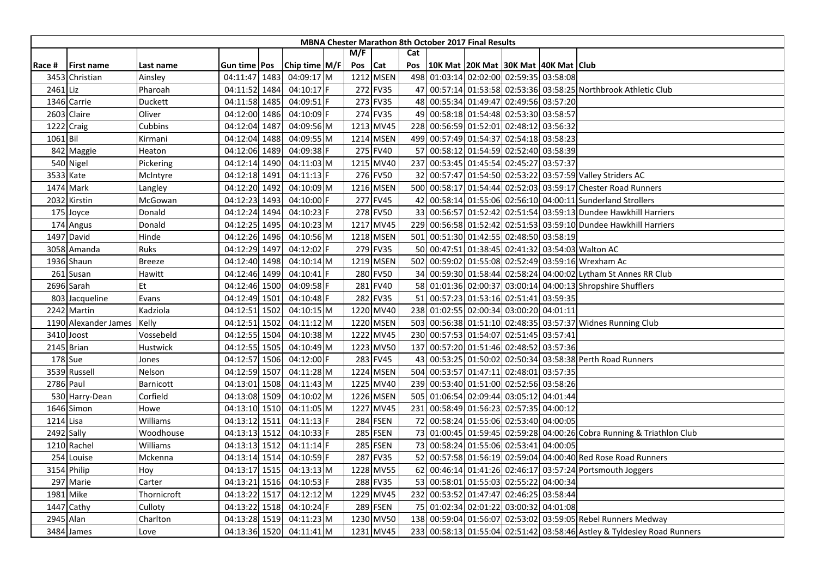|           |                      |               |                |                 |         |                 |            | <b>MBNA Chester Marathon 8th October 2017 Final Results</b> |          |                                                                         |
|-----------|----------------------|---------------|----------------|-----------------|---------|-----------------|------------|-------------------------------------------------------------|----------|-------------------------------------------------------------------------|
|           |                      |               |                |                 | M/F     |                 | Cat        |                                                             |          |                                                                         |
| Race #    | <b>First name</b>    | Last name     | Gun time   Pos | Chip time $M/F$ | Pos Cat |                 | Pos        | 10K Mat 20K Mat 30K Mat 40K Mat Club                        |          |                                                                         |
|           | 3453 Christian       | Ainsley       | 04:11:47 1483  | 04:09:17 M      |         | 1212 MSEN       |            | 498 01:03:14 02:02:00 02:59:35 03:58:08                     |          |                                                                         |
| 2461 Liz  |                      | Pharoah       | 04:11:52 1484  | $04:10:17$ F    |         | 272 FV35        |            |                                                             |          | 47 00:57:14 01:53:58 02:53:36 03:58:25 Northbrook Athletic Club         |
|           | 1346 Carrie          | Duckett       | 04:11:58 1485  | 04:09:51 F      |         | 273 FV35        |            | 48 00:55:34 01:49:47 02:49:56 03:57:20                      |          |                                                                         |
|           | 2603 Claire          | Oliver        | 04:12:00 1486  | 04:10:09 F      |         | 274 FV35        |            | 49 00:58:18 01:54:48 02:53:30 03:58:57                      |          |                                                                         |
|           | 1222 Craig           | Cubbins       | 04:12:04 1487  | 04:09:56 M      |         | 1213 MV45       |            | 228 00:56:59 01:52:01 02:48:12 03:56:32                     |          |                                                                         |
| 1061 Bil  |                      | Kirmani       | 04:12:04 1488  | 04:09:55 M      |         | 1214 MSEN       | 499        | 00:57:49 01:54:37 02:54:18 03:58:23                         |          |                                                                         |
|           | 842 Maggie           | Heaton        | 04:12:06 1489  | 04:09:38 F      |         | 275 FV40        |            | 57 00:58:12 01:54:59 02:52:40 03:58:39                      |          |                                                                         |
|           | 540 Nigel            | Pickering     | 04:12:14 1490  | 04:11:03 M      |         | 1215 MV40       |            | 237 00:53:45 01:45:54 02:45:27 03:57:37                     |          |                                                                         |
|           | 3533 Kate            | McIntyre      | 04:12:18 1491  | 04:11:13 F      |         | 276 FV50        |            |                                                             |          | 32 00:57:47 01:54:50 02:53:22 03:57:59 Valley Striders AC               |
|           | 1474 Mark            | Langley       | 04:12:20 1492  | 04:10:09 M      |         | 1216 MSEN       |            |                                                             |          | 500 00:58:17 01:54:44 02:52:03 03:59:17 Chester Road Runners            |
|           | 2032 Kirstin         | McGowan       | 04:12:23 1493  | 04:10:00 F      |         | 277 FV45        |            |                                                             |          | 42 00:58:14 01:55:06 02:56:10 04:00:11 Sunderland Strollers             |
|           | 175 Joyce            | Donald        | 04:12:24 1494  | 04:10:23 F      |         | 278 FV50        |            |                                                             |          | 33 00:56:57 01:52:42 02:51:54 03:59:13 Dundee Hawkhill Harriers         |
|           | 174 Angus            | Donald        | 04:12:25 1495  | 04:10:23 M      |         | 1217 MV45       |            |                                                             |          | 229 00:56:58 01:52:42 02:51:53 03:59:10 Dundee Hawkhill Harriers        |
|           | 1497 David           | Hinde         | 04:12:26 1496  | 04:10:56 M      |         | 1218 MSEN       |            | 501 00:51:30 01:42:55 02:48:50 03:58:19                     |          |                                                                         |
|           | 3058 Amanda          | Ruks          | 04:12:29 1497  | 04:12:02 F      |         | 279 FV35        |            |                                                             |          | 50 00:47:51 01:38:45 02:41:32 03:54:03 Walton AC                        |
|           | 1936 Shaun           | <b>Breeze</b> | 04:12:40 1498  | 04:10:14 M      |         | 1219 MSEN       |            |                                                             |          | 502 00:59:02 01:55:08 02:52:49 03:59:16 Wrexham Ac                      |
|           | 261 Susan            | Hawitt        | 04:12:46 1499  | 04:10:41        |         | 280 FV50        |            |                                                             |          | 34 00:59:30 01:58:44 02:58:24 04:00:02 Lytham St Annes RR Club          |
|           | 2696 Sarah           | Et            | 04:12:46 1500  | 04:09:58 F      |         | 281 FV40        |            |                                                             |          | 58 01:01:36 02:00:37 03:00:14 04:00:13 Shropshire Shufflers             |
|           | 803 Jacqueline       | Evans         | 04:12:49 1501  | 04:10:48 F      |         | 282 FV35        |            | 51 00:57:23 01:53:16 02:51:41 03:59:35                      |          |                                                                         |
|           | 2242 Martin          | Kadziola      | 04:12:51 1502  | 04:10:15 M      |         | 1220 MV40       |            | 238 01:02:55 02:00:34 03:00:20 04:01:11                     |          |                                                                         |
|           | 1190 Alexander James | Kelly         | 04:12:51 1502  | 04:11:12 M      |         | 1220 MSEN       |            |                                                             |          | 503 00:56:38 01:51:10 02:48:35 03:57:37 Widnes Running Club             |
|           | 3410 Joost           | Vossebeld     | 04:12:55 1504  | 04:10:38 M      |         | 1222 MV45       | 230        | 00:57:53 01:54:07 02:51:45 03:57:41                         |          |                                                                         |
|           | 2145 Brian           | Hustwick      | 04:12:55 1505  | 04:10:49 M      |         | 1223 MV50       | 137        | 00:57:20 01:51:46 02:48:52 03:57:36                         |          |                                                                         |
|           | 178 Sue              | Jones         | 04:12:57 1506  | 04:12:00 F      |         | 283 FV45        |            |                                                             |          | 43 00:53:25 01:50:02 02:50:34 03:58:38 Perth Road Runners               |
|           | 3539 Russell         | Nelson        | 04:12:59 1507  | 04:11:28 M      |         | 1224 MSEN       | 504        | 00:53:57 01:47:11 02:48:01 03:57:35                         |          |                                                                         |
| 2786 Paul |                      | Barnicott     | 04:13:01 1508  | 04:11:43 M      |         | 1225 MV40       |            | 239 00:53:40 01:51:00 02:52:56 03:58:26                     |          |                                                                         |
|           | 530 Harry-Dean       | Corfield      | 04:13:08 1509  | 04:10:02 M      |         | 1226 MSEN       |            | 505 01:06:54 02:09:44 03:05:12                              | 04:01:44 |                                                                         |
|           | 1646 Simon           | Howe          | 04:13:10 1510  | 04:11:05 M      |         | 1227 MV45       | 231        | 00:58:49 01:56:23 02:57:35 04:00:12                         |          |                                                                         |
| 1214 Lisa |                      | Williams      | 04:13:12 1511  | 04:11:13 F      |         | <b>284 FSEN</b> | <b>721</b> | 00:58:24 01:55:06 02:53:40 04:00:05                         |          |                                                                         |
|           | 2492 Sally           | Woodhouse     | 04:13:13 1512  | 04:10:33 F      |         | 285 FSEN        |            |                                                             |          | 73 01:00:45 01:59:45 02:59:28 04:00:26 Cobra Running & Triathlon Club   |
|           | 1210 Rachel          | Williams      | 04:13:13 1512  | 04:11:14 F      |         | 285 FSEN        |            | 73 00:58:24 01:55:06 02:53:41                               | 04:00:05 |                                                                         |
|           | 254 Louise           | Mckenna       | 04:13:14 1514  | 04:10:59 F      |         | 287 FV35        |            |                                                             |          | 52 00:57:58 01:56:19 02:59:04 04:00:40 Red Rose Road Runners            |
|           | 3154 Philip          | Hoy           | 04:13:17 1515  | 04:13:13 M      |         | 1228 MV55       |            |                                                             |          | 62 00:46:14 01:41:26 02:46:17 03:57:24 Portsmouth Joggers               |
|           | 297 Marie            | Carter        | 04:13:21 1516  | 04:10:53 F      |         | 288 FV35        |            | 53 00:58:01 01:55:03 02:55:22 04:00:34                      |          |                                                                         |
|           | 1981 Mike            | Thornicroft   | 04:13:22 1517  | 04:12:12 M      |         | 1229 MV45       |            | 232 00:53:52 01:47:47 02:46:25 03:58:44                     |          |                                                                         |
|           | 1447 Cathy           | Culloty       | 04:13:22 1518  | 04:10:24 F      |         | 289 FSEN        |            | 75 01:02:34 02:01:22 03:00:32 04:01:08                      |          |                                                                         |
|           | 2945 Alan            | Charlton      | 04:13:28 1519  | 04:11:23 M      |         | 1230 MV50       |            |                                                             |          | 138 00:59:04 01:56:07 02:53:02 03:59:05 Rebel Runners Medway            |
|           | 3484 James           | Love          | 04:13:36 1520  | 04:11:41 M      |         | 1231 MV45       |            |                                                             |          | 233 00:58:13 01:55:04 02:51:42 03:58:46 Astley & Tyldesley Road Runners |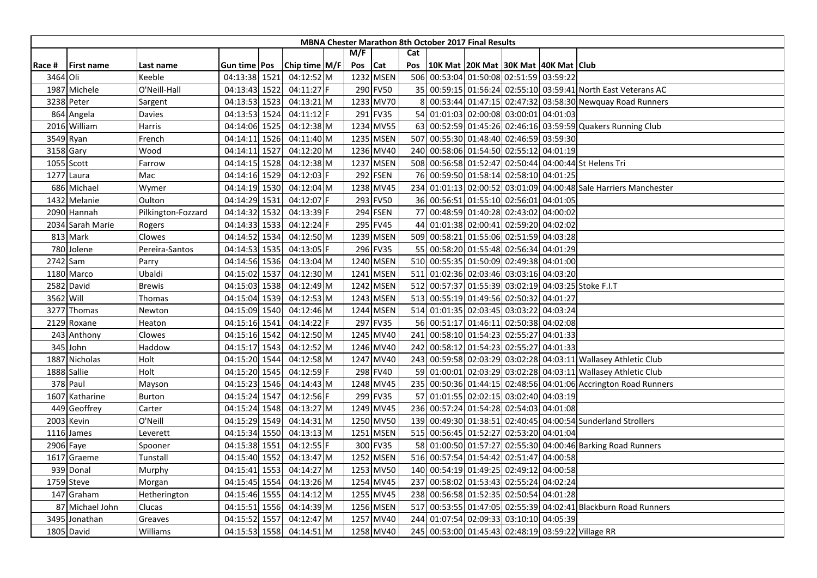|           |                   |                    |                     |               |     |            |     | MBNA Chester Marathon 8th October 2017 Final Results |                                     |  |                                                                  |
|-----------|-------------------|--------------------|---------------------|---------------|-----|------------|-----|------------------------------------------------------|-------------------------------------|--|------------------------------------------------------------------|
|           |                   |                    |                     |               | M/F |            | Cat |                                                      |                                     |  |                                                                  |
| Race #    | <b>First name</b> | Last name          | Gun time <b>Pos</b> | Chip time M/F | Pos | <b>Cat</b> | Pos | 10K Mat   20K Mat   30K Mat   40K Mat   Club         |                                     |  |                                                                  |
| 3464 Oli  |                   | Keeble             | 04:13:38 1521       | 04:12:52 M    |     | 1232 MSEN  |     | 506 00:53:04 01:50:08 02:51:59 03:59:22              |                                     |  |                                                                  |
|           | 1987 Michele      | O'Neill-Hall       | 04:13:43 1522       | 04:11:27 F    |     | 290 FV50   |     |                                                      |                                     |  | 35 00:59:15 01:56:24 02:55:10 03:59:41 North East Veterans AC    |
|           | 3238 Peter        | Sargent            | 04:13:53 1523       | 04:13:21 M    |     | 1233 MV70  |     |                                                      |                                     |  | 00:53:44 01:47:15 02:47:32 03:58:30 Newquay Road Runners         |
|           | 864 Angela        | Davies             | 04:13:53 1524       | 04:11:12 F    |     | 291 FV35   |     | 54 01:01:03 02:00:08 03:00:01 04:01:03               |                                     |  |                                                                  |
|           | 2016 William      | Harris             | 04:14:06 1525       | 04:12:38 M    |     | 1234 MV55  |     |                                                      |                                     |  | 63 00:52:59 01:45:26 02:46:16 03:59:59 Quakers Running Club      |
|           | 3549 Ryan         | French             | 04:14:11 1526       | 04:11:40 M    |     | 1235 MSEN  | 507 |                                                      | 00:55:30 01:48:40 02:46:59 03:59:30 |  |                                                                  |
|           | 3158 Gary         | Wood               | 04:14:11 1527       | 04:12:20 M    |     | 1236 MV40  |     | 240 00:58:06 01:54:50 02:55:12 04:01:19              |                                     |  |                                                                  |
|           | 1055 Scott        | Farrow             | 04:14:15 1528       | 04:12:38 M    |     | 1237 MSEN  |     |                                                      |                                     |  | 508 00:56:58 01:52:47 02:50:44 04:00:44 St Helens Tri            |
|           | 1277 Laura        | Mac                | 04:14:16 1529       | 04:12:03 F    |     | 292 FSEN   |     | 76 00:59:50 01:58:14 02:58:10 04:01:25               |                                     |  |                                                                  |
|           | 686 Michael       | Wymer              | 04:14:19 1530       | 04:12:04 M    |     | 1238 MV45  |     |                                                      |                                     |  | 234 01:01:13 02:00:52 03:01:09 04:00:48 Sale Harriers Manchester |
|           | 1432 Melanie      | Oulton             | 04:14:29 1531       | 04:12:07 F    |     | 293 FV50   |     | 36 00:56:51 01:55:10 02:56:01 04:01:05               |                                     |  |                                                                  |
|           | 2090 Hannah       | Pilkington-Fozzard | 04:14:32 1532       | 04:13:39 F    |     | 294 FSEN   |     | 77 00:48:59 01:40:28 02:43:02 04:00:02               |                                     |  |                                                                  |
|           | 2034 Sarah Marie  | Rogers             | 04:14:33 1533       | 04:12:24 F    |     | 295 FV45   |     | 44 01:01:38 02:00:41 02:59:20 04:02:02               |                                     |  |                                                                  |
|           | 813 Mark          | Clowes             | 04:14:52 1534       | 04:12:50 M    |     | 1239 MSEN  |     | 509 00:58:21 01:55:06 02:51:59 04:03:28              |                                     |  |                                                                  |
|           | 780 Jolene        | Pereira-Santos     | 04:14:53 1535       | 04:13:05 F    |     | 296 FV35   |     | 55 00:58:20 01:55:48 02:56:34 04:01:29               |                                     |  |                                                                  |
|           | 2742 Sam          | Parry              | 04:14:56 1536       | 04:13:04 M    |     | 1240 MSEN  |     | 510 00:55:35 01:50:09 02:49:38 04:01:00              |                                     |  |                                                                  |
|           | 1180 Marco        | Ubaldi             | 04:15:02 1537       | 04:12:30 M    |     | 1241 MSEN  | 511 | 01:02:36 02:03:46 03:03:16 04:03:20                  |                                     |  |                                                                  |
|           | 2582 David        | <b>Brewis</b>      | 04:15:03 1538       | 04:12:49 M    |     | 1242 MSEN  | 512 |                                                      |                                     |  | 00:57:37 01:55:39 03:02:19 04:03:25 Stoke F.I.T                  |
| 3562 Will |                   | Thomas             | 04:15:04 1539       | 04:12:53 M    |     | 1243 MSEN  |     | 513 00:55:19 01:49:56 02:50:32 04:01:27              |                                     |  |                                                                  |
|           | 3277 Thomas       | Newton             | 04:15:09 1540       | 04:12:46 M    |     | 1244 MSEN  |     | 514 01:01:35 02:03:45 03:03:22 04:03:24              |                                     |  |                                                                  |
|           | 2129 Roxane       | Heaton             | 04:15:16 1541       | 04:14:22 F    |     | 297 FV35   |     | 56 00:51:17 01:46:11 02:50:38 04:02:08               |                                     |  |                                                                  |
|           | 243 Anthony       | Clowes             | 04:15:16 1542       | 04:12:50 M    |     | 1245 MV40  | 241 | 00:58:10 01:54:23 02:55:27 04:01:33                  |                                     |  |                                                                  |
|           | 345 John          | Haddow             | 04:15:17 1543       | 04:12:52 M    |     | 1246 MV40  |     | 242 00:58:12 01:54:23 02:55:27 04:01:33              |                                     |  |                                                                  |
|           | 1887 Nicholas     | Holt               | 04:15:20 1544       | 04:12:58 M    |     | 1247 MV40  |     |                                                      |                                     |  | 243 00:59:58 02:03:29 03:02:28 04:03:11 Wallasey Athletic Club   |
|           | 1888 Sallie       | Holt               | 04:15:20 1545       | 04:12:59 F    |     | 298 FV40   |     |                                                      |                                     |  | 59 01:00:01 02:03:29 03:02:28 04:03:11 Wallasey Athletic Club    |
|           | 378 Paul          | Mayson             | 04:15:23 1546       | 04:14:43 M    |     | 1248 MV45  |     |                                                      |                                     |  | 235 00:50:36 01:44:15 02:48:56 04:01:06 Accrington Road Runners  |
|           | 1607 Katharine    | <b>Burton</b>      | 04:15:24 1547       | 04:12:56 F    |     | 299 FV35   |     | 57 01:01:55 02:02:15 03:02:40 04:03:19               |                                     |  |                                                                  |
|           | 449 Geoffrey      | Carter             | 04:15:24 1548       | 04:13:27 M    |     | 1249 MV45  |     | 236 00:57:24 01:54:28 02:54:03 04:01:08              |                                     |  |                                                                  |
|           | 2003 Kevin        | O'Neill            | 04:15:29 1549       | 04:14:31 M    |     | 1250 MV50  |     |                                                      |                                     |  | 139 00:49:30 01:38:51 02:40:45 04:00:54 Sunderland Strollers     |
|           | 1116 James        | Leverett           | 04:15:34 1550       | 04:13:13 M    |     | 1251 MSEN  |     | 515 00:56:45 01:52:27 02:53:20 04:01:04              |                                     |  |                                                                  |
|           | 2906 Faye         | Spooner            | 04:15:38 1551       | 04:12:55 F    |     | 300 FV35   |     |                                                      |                                     |  | 58 01:00:50 01:57:27 02:55:30 04:00:46 Barking Road Runners      |
|           | 1617 Graeme       | Tunstall           | 04:15:40 1552       | 04:13:47 M    |     | 1252 MSEN  |     | 516 00:57:54 01:54:42 02:51:47 04:00:58              |                                     |  |                                                                  |
|           | 939 Donal         | Murphy             | 04:15:41 1553       | 04:14:27 M    |     | 1253 MV50  |     | 140 00:54:19 01:49:25 02:49:12 04:00:58              |                                     |  |                                                                  |
|           | 1759 Steve        | Morgan             | 04:15:45 1554       | 04:13:26 M    |     | 1254 MV45  | 237 | 00:58:02 01:53:43 02:55:24 04:02:24                  |                                     |  |                                                                  |
|           | 147 Graham        | Hetherington       | 04:15:46 1555       | 04:14:12 M    |     | 1255 MV45  |     | 238 00:56:58 01:52:35 02:50:54 04:01:28              |                                     |  |                                                                  |
| 87        | Michael John      | Clucas             | 04:15:51 1556       | 04:14:39 M    |     | 1256 MSEN  |     |                                                      |                                     |  | 517 00:53:55 01:47:05 02:55:39 04:02:41 Blackburn Road Runners   |
|           | 3495 Jonathan     | Greaves            | 04:15:52 1557       | 04:12:47 M    |     | 1257 MV40  |     | 244 01:07:54 02:09:33 03:10:10 04:05:39              |                                     |  |                                                                  |
|           | 1805 David        | Williams           | 04:15:53 1558       | 04:14:51 M    |     | 1258 MV40  |     |                                                      |                                     |  | 245 00:53:00 01:45:43 02:48:19 03:59:22 Village RR               |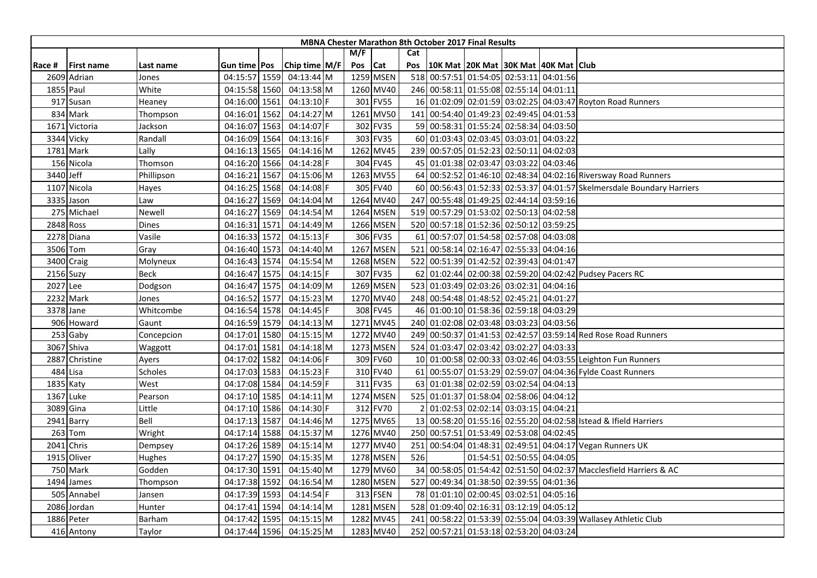|           |                   |              |                     |               |     |            |     | MBNA Chester Marathon 8th October 2017 Final Results |                                     |                            |                                                                       |
|-----------|-------------------|--------------|---------------------|---------------|-----|------------|-----|------------------------------------------------------|-------------------------------------|----------------------------|-----------------------------------------------------------------------|
|           |                   |              |                     |               | M/F |            | Cat |                                                      |                                     |                            |                                                                       |
| Race #    | <b>First name</b> | Last name    | Gun time <b>Pos</b> | Chip time M/F | Pos | <b>Cat</b> | Pos | 10K Mat   20K Mat   30K Mat   40K Mat   Club         |                                     |                            |                                                                       |
|           | 2609 Adrian       | Jones        | 04:15:57 1559       | 04:13:44 M    |     | 1259 MSEN  |     | 518 00:57:51 01:54:05 02:53:11 04:01:56              |                                     |                            |                                                                       |
|           | 1855 Paul         | White        | 04:15:58 1560       | 04:13:58 M    |     | 1260 MV40  |     | 246 00:58:11 01:55:08 02:55:14 04:01:11              |                                     |                            |                                                                       |
|           | 917 Susan         | Heaney       | 04:16:00 1561       | 04:13:10 F    |     | 301 FV55   |     |                                                      |                                     |                            | 16 01:02:09 02:01:59 03:02:25 04:03:47 Royton Road Runners            |
|           | 834 Mark          | Thompson     | 04:16:01 1562       | 04:14:27 M    |     | 1261 MV50  |     | 141 00:54:40 01:49:23 02:49:45 04:01:53              |                                     |                            |                                                                       |
| 1671      | Victoria          | Jackson      | 04:16:07 1563       | 04:14:07 F    |     | 302 FV35   |     | 59 00:58:31 01:55:24 02:58:34 04:03:50               |                                     |                            |                                                                       |
|           | 3344 Vicky        | Randall      | 04:16:09 1564       | 04:13:16 F    |     | 303 FV35   |     | 60 01:03:43 02:03:45 03:03:01 04:03:22               |                                     |                            |                                                                       |
|           | 1781 Mark         | Lally        | 04:16:13 1565       | 04:14:16 M    |     | 1262 MV45  |     | 239 00:57:05 01:52:23 02:50:11 04:02:03              |                                     |                            |                                                                       |
|           | 156 Nicola        | Thomson      | 04:16:20 1566       | 04:14:28 F    |     | 304 FV45   |     | 45 01:01:38 02:03:47 03:03:22 04:03:46               |                                     |                            |                                                                       |
| 3440 Jeff |                   | Phillipson   | 04:16:21 1567       | 04:15:06 M    |     | 1263 MV55  |     |                                                      |                                     |                            | 64 00:52:52 01:46:10 02:48:34 04:02:16 Riversway Road Runners         |
|           | 1107 Nicola       | Hayes        | 04:16:25 1568       | 04:14:08 F    |     | 305 FV40   |     |                                                      |                                     |                            | 60 00:56:43 01:52:33 02:53:37 04:01:57 Skelmersdale Boundary Harriers |
|           | 3335 Jason        | Law          | 04:16:27 1569       | 04:14:04 M    |     | 1264 MV40  | 247 |                                                      | 00:55:48 01:49:25 02:44:14 03:59:16 |                            |                                                                       |
|           | 275 Michael       | Newell       | 04:16:27 1569       | 04:14:54 M    |     | 1264 MSEN  |     | 519 00:57:29 01:53:02 02:50:13 04:02:58              |                                     |                            |                                                                       |
|           | 2848 Ross         | <b>Dines</b> | 04:16:31 1571       | 04:14:49 M    |     | 1266 MSEN  |     | 520 00:57:18 01:52:36 02:50:12 03:59:25              |                                     |                            |                                                                       |
|           | 2278 Diana        | Vasile       | 04:16:33 1572       | 04:15:13 F    |     | 306 FV35   |     | 61 00:57:07 01:54:58 02:57:08 04:03:08               |                                     |                            |                                                                       |
|           | 3506 Tom          | Gray         | 04:16:40 1573       | 04:14:40 M    |     | 1267 MSEN  | 521 | 00:58:14 02:16:47 02:55:33 04:04:16                  |                                     |                            |                                                                       |
|           | 3400 Craig        | Molyneux     | 04:16:43 1574       | 04:15:54 M    |     | 1268 MSEN  | 522 |                                                      | 00:51:39 01:42:52 02:39:43 04:01:47 |                            |                                                                       |
|           | 2156 Suzy         | <b>Beck</b>  | 04:16:47 1575       | 04:14:15 F    |     | 307 FV35   | 62  |                                                      |                                     |                            | 01:02:44 02:00:38 02:59:20 04:02:42 Pudsey Pacers RC                  |
| 2027 Lee  |                   | Dodgson      | 04:16:47 1575       | 04:14:09 M    |     | 1269 MSEN  |     | 523 01:03:49 02:03:26 03:02:31 04:04:16              |                                     |                            |                                                                       |
|           | 2232 Mark         | Jones        | 04:16:52 1577       | 04:15:23 M    |     | 1270 MV40  |     | 248 00:54:48 01:48:52 02:45:21 04:01:27              |                                     |                            |                                                                       |
|           | 3378 Jane         | Whitcombe    | 04:16:54 1578       | 04:14:45 F    |     | 308 FV45   |     | 46 01:00:10 01:58:36 02:59:18 04:03:29               |                                     |                            |                                                                       |
|           | 906 Howard        | Gaunt        | 04:16:59 1579       | 04:14:13 M    |     | 1271 MV45  |     | 240 01:02:08 02:03:48 03:03:23 04:03:56              |                                     |                            |                                                                       |
|           | 253 Gaby          | Concepcion   | 04:17:01 1580       | 04:15:15 M    |     | 1272 MV40  |     |                                                      |                                     |                            | 249 00:50:37 01:41:53 02:42:57 03:59:14 Red Rose Road Runners         |
|           | 3067 Shiva        | Waggott      | 04:17:01 1581       | 04:14:18 M    |     | 1273 MSEN  |     | 524 01:03:47 02:03:42 03:02:27 04:03:33              |                                     |                            |                                                                       |
|           | 2887 Christine    | Ayers        | 04:17:02 1582       | 04:14:06 F    |     | 309 FV60   |     |                                                      |                                     |                            | 10 01:00:58 02:00:33 03:02:46 04:03:55 Leighton Fun Runners           |
|           | 484 Lisa          | Scholes      | 04:17:03 1583       | 04:15:23 F    |     | 310 FV40   |     |                                                      |                                     |                            | 61 00:55:07 01:53:29 02:59:07 04:04:36 Fylde Coast Runners            |
|           | 1835 Katy         | West         | 04:17:08 1584       | 04:14:59 F    |     | 311 FV35   |     | 63 01:01:38 02:02:59 03:02:54 04:04:13               |                                     |                            |                                                                       |
|           | 1367 Luke         | Pearson      | 04:17:10 1585       | $04:14:11$ M  |     | 1274 MSEN  |     | 525 01:01:37 01:58:04 02:58:06 04:04:12              |                                     |                            |                                                                       |
|           | 3089 Gina         | Little       | 04:17:10 1586       | 04:14:30 F    |     | 312 FV70   |     |                                                      | 01:02:53 02:02:14 03:03:15 04:04:21 |                            |                                                                       |
|           | 2941 Barry        | Bell         | 04:17:13 1587       | 04:14:46 M    |     | 1275 MV65  |     |                                                      |                                     |                            | 13 00:58:20 01:55:16 02:55:20 04:02:58 Istead & Ifield Harriers       |
|           | 263 Tom           | Wright       | 04:17:14 1588       | 04:15:37 M    |     | 1276 MV40  |     | 250 00:57:51 01:53:49 02:53:08 04:02:45              |                                     |                            |                                                                       |
|           | 2041 Chris        | Dempsey      | 04:17:26 1589       | 04:15:14 M    |     | 1277 MV40  | 251 |                                                      |                                     |                            | 00:54:04 01:48:31 02:49:51 04:04:17 Vegan Runners UK                  |
|           | 1915 Oliver       | Hughes       | 04:17:27 1590       | 04:15:35 M    |     | 1278 MSEN  | 526 |                                                      |                                     | 01:54:51 02:50:55 04:04:05 |                                                                       |
|           | 750 Mark          | Godden       | 04:17:30 1591       | 04:15:40 M    |     | 1279 MV60  |     |                                                      |                                     |                            | 34 00:58:05 01:54:42 02:51:50 04:02:37 Macclesfield Harriers & AC     |
|           | 1494 James        | Thompson     | 04:17:38 1592       | 04:16:54 M    |     | 1280 MSEN  |     | 527 00:49:34 01:38:50 02:39:55 04:01:36              |                                     |                            |                                                                       |
|           | 505 Annabel       | Jansen       | 04:17:39 1593       | 04:14:54 F    |     | 313 FSEN   |     | 78 01:01:10 02:00:45 03:02:51 04:05:16               |                                     |                            |                                                                       |
|           | 2086 Jordan       | Hunter       | 04:17:41 1594       | 04:14:14 M    |     | 1281 MSEN  |     | 528 01:09:40 02:16:31 03:12:19 04:05:12              |                                     |                            |                                                                       |
|           | 1886 Peter        | Barham       | 04:17:42 1595       | 04:15:15 M    |     | 1282 MV45  | 241 |                                                      |                                     |                            | 00:58:22 01:53:39 02:55:04 04:03:39 Wallasey Athletic Club            |
|           | 416 Antony        | Taylor       | 04:17:44 1596       | 04:15:25 M    |     | 1283 MV40  |     | 252 00:57:21 01:53:18 02:53:20 04:03:24              |                                     |                            |                                                                       |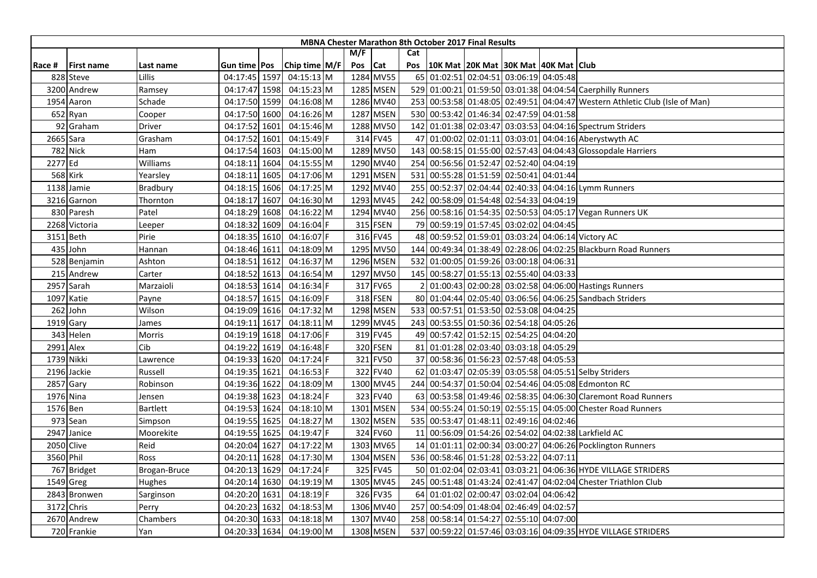|           |                   |                 |                     |                 |     |            |     | <b>MBNA Chester Marathon 8th October 2017 Final Results</b> |  |                                                                             |
|-----------|-------------------|-----------------|---------------------|-----------------|-----|------------|-----|-------------------------------------------------------------|--|-----------------------------------------------------------------------------|
|           |                   |                 |                     |                 | M/F |            | Cat |                                                             |  |                                                                             |
| Race #    | <b>First name</b> | Last name       | Gun time <b>Pos</b> | Chip time $M/F$ | Pos | <b>Cat</b> | Pos | 10K Mat  20K Mat  30K Mat  40K Mat   Club                   |  |                                                                             |
|           | 828 Steve         | <b>Lillis</b>   | 04:17:45 1597       | $04:15:13$ M    |     | 1284 MV55  |     | 65 01:02:51 02:04:51 03:06:19 04:05:48                      |  |                                                                             |
|           | 3200 Andrew       | Ramsey          | 04:17:47 1598       | 04:15:23 M      |     | 1285 MSEN  |     |                                                             |  | 529 01:00:21 01:59:50 03:01:38 04:04:54 Caerphilly Runners                  |
|           | 1954 Aaron        | Schade          | 04:17:50 1599       | 04:16:08 M      |     | 1286 MV40  |     |                                                             |  | 253 00:53:58 01:48:05 02:49:51 04:04:47 Western Athletic Club (Isle of Man) |
|           | 652 Ryan          | Cooper          | 04:17:50 1600       | 04:16:26 M      |     | 1287 MSEN  |     | 530 00:53:42 01:46:34 02:47:59 04:01:58                     |  |                                                                             |
|           | 92 Graham         | Driver          | 04:17:52 1601       | 04:15:46 M      |     | 1288 MV50  |     |                                                             |  | 142 01:01:38 02:03:47 03:03:53 04:04:16 Spectrum Striders                   |
|           | 2665 Sara         | Grasham         | 04:17:52 1601       | 04:15:49 F      |     | 314 FV45   |     |                                                             |  | 47 01:00:02 02:01:11 03:03:01 04:04:16 Aberystwyth AC                       |
|           | 782 Nick          | Ham             | 04:17:54 1603       | 04:15:00 M      |     | 1289 MV50  |     |                                                             |  | 143 00:58:15 01:55:00 02:57:43 04:04:43 Glossopdale Harriers                |
| 2277 Ed   |                   | Williams        | 04:18:11 1604       | 04:15:55 M      |     | 1290 MV40  |     | 254 00:56:56 01:52:47 02:52:40 04:04:19                     |  |                                                                             |
|           | <b>568 Kirk</b>   | Yearsley        | 04:18:11 1605       | 04:17:06 M      |     | 1291 MSEN  |     | 531 00:55:28 01:51:59 02:50:41 04:01:44                     |  |                                                                             |
|           | 1138 Jamie        | Bradbury        | 04:18:15 1606       | 04:17:25 M      |     | 1292 MV40  |     |                                                             |  | 255 00:52:37 02:04:44 02:40:33 04:04:16 Lymm Runners                        |
|           | 3216 Garnon       | Thornton        | 04:18:17 1607       | 04:16:30 M      |     | 1293 MV45  |     | 242 00:58:09 01:54:48 02:54:33 04:04:19                     |  |                                                                             |
|           | 830 Paresh        | Patel           | 04:18:29 1608       | 04:16:22 M      |     | 1294 MV40  |     |                                                             |  | 256 00:58:16 01:54:35 02:50:53 04:05:17 Vegan Runners UK                    |
|           | 2268 Victoria     | Leeper          | 04:18:32 1609       | 04:16:04 F      |     | 315 FSEN   |     | 79 00:59:19 01:57:45 03:02:02 04:04:45                      |  |                                                                             |
|           | 3151 Beth         | Pirie           | 04:18:35 1610       | 04:16:07 F      |     | 316 FV45   |     |                                                             |  | 48 00:59:52 01:59:01 03:03:24 04:06:14 Victory AC                           |
|           | 435 John          | Hannan          | 04:18:46 1611       | 04:18:09 M      |     | 1295 MV50  |     |                                                             |  | 144 00:49:34 01:38:49 02:28:06 04:02:25 Blackburn Road Runners              |
|           | 528 Benjamin      | Ashton          | 04:18:51 1612       | 04:16:37 M      |     | 1296 MSEN  |     | 532 01:00:05 01:59:26 03:00:18 04:06:31                     |  |                                                                             |
|           | 215 Andrew        | Carter          | 04:18:52 1613       | 04:16:54 M      |     | 1297 MV50  |     | 145 00:58:27 01:55:13 02:55:40 04:03:33                     |  |                                                                             |
|           | 2957 Sarah        | Marzaioli       | 04:18:53 1614       | 04:16:34 F      |     | 317 FV65   |     |                                                             |  | 01:00:43 02:00:28 03:02:58 04:06:00 Hastings Runners                        |
|           | 1097 Katie        | Payne           | 04:18:57 1615       | 04:16:09 F      |     | 318 FSEN   |     |                                                             |  | 80 01:04:44 02:05:40 03:06:56 04:06:25 Sandbach Striders                    |
|           | 262 John          | Wilson          | 04:19:09 1616       | 04:17:32 M      |     | 1298 MSEN  |     | 533 00:57:51 01:53:50 02:53:08 04:04:25                     |  |                                                                             |
|           | 1919 Gary         | James           | 04:19:11 1617       | $04:18:11$ M    |     | 1299 MV45  |     | 243 00:53:55 01:50:36 02:54:18 04:05:26                     |  |                                                                             |
|           | 343 Helen         | Morris          | 04:19:19 1618       | 04:17:06 F      |     | 319 FV45   |     | 49 00:57:42 01:52:15 02:54:25 04:04:20                      |  |                                                                             |
| 2991 Alex |                   | Cib             | 04:19:22 1619       | 04:16:48 F      |     | 320 FSEN   |     | 81 01:01:28 02:03:40 03:03:18 04:05:29                      |  |                                                                             |
|           | 1739 Nikki        | awrence         | 04:19:33 1620       | 04:17:24 F      |     | 321 FV50   |     | 37 00:58:36 01:56:23 02:57:48 04:05:53                      |  |                                                                             |
|           | 2196 Jackie       | Russell         | 04:19:35 1621       | 04:16:53 F      |     | 322 FV40   |     |                                                             |  | 62 01:03:47 02:05:39 03:05:58 04:05:51 Selby Striders                       |
|           | 2857 Gary         | Robinson        | 04:19:36 1622       | 04:18:09 M      |     | 1300 MV45  |     |                                                             |  | 244 00:54:37 01:50:04 02:54:46 04:05:08 Edmonton RC                         |
|           | 1976 Nina         | Jensen          | 04:19:38 1623       | 04:18:24 F      |     | 323 FV40   |     |                                                             |  | 63 00:53:58 01:49:46 02:58:35 04:06:30 Claremont Road Runners               |
| 1576 Ben  |                   | <b>Bartlett</b> | 04:19:53 1624       | 04:18:10 M      |     | 1301 MSEN  |     |                                                             |  | 534 00:55:24 01:50:19 02:55:15 04:05:00 Chester Road Runners                |
|           | 973 Sean          | Simpson         | 04:19:55 1625       | 04:18:27 M      |     | 1302 MSEN  |     | 535 00:53:47 01:48:11 02:49:16 04:02:46                     |  |                                                                             |
|           | 2947 Janice       | Moorekite       | 04:19:55 1625       | 04:19:47 F      |     | 324 FV60   |     |                                                             |  | 11 00:56:09 01:54:26 02:54:02 04:02:38 Larkfield AC                         |
|           | 2050 Clive        | Reid            | 04:20:04 1627       | 04:17:22 M      |     | 1303 MV65  |     |                                                             |  | 14 01:01:11 02:00:34 03:00:27 04:06:26 Pocklington Runners                  |
| 3560 Phil |                   | Ross            | 04:20:11 1628       | 04:17:30 M      |     | 1304 MSEN  |     | 536 00:58:46 01:51:28 02:53:22 04:07:11                     |  |                                                                             |
|           | 767 Bridget       | Brogan-Bruce    | 04:20:13 1629       | 04:17:24 F      |     | 325 FV45   |     |                                                             |  | 50 01:02:04 02:03:41 03:03:21 04:06:36 HYDE VILLAGE STRIDERS                |
|           | 1549 Greg         | Hughes          | 04:20:14 1630       | 04:19:19 M      |     | 1305 MV45  |     |                                                             |  | 245 00:51:48 01:43:24 02:41:47 04:02:04 Chester Triathlon Club              |
|           | 2843 Bronwen      | Sarginson       | 04:20:20 1631       | 04:18:19 F      |     | 326 FV35   |     | 64 01:01:02 02:00:47 03:02:04 04:06:42                      |  |                                                                             |
|           | 3172 Chris        | Perry           | 04:20:23 1632       | 04:18:53 M      |     | 1306 MV40  |     | 257 00:54:09 01:48:04 02:46:49 04:02:57                     |  |                                                                             |
|           | 2670 Andrew       | Chambers        | 04:20:30 1633       | 04:18:18 M      |     | 1307 MV40  |     | 258 00:58:14 01:54:27 02:55:10 04:07:00                     |  |                                                                             |
|           | 720 Frankie       | Yan             | 04:20:33 1634       | 04:19:00 M      |     | 1308 MSEN  |     |                                                             |  | 537 00:59:22 01:57:46 03:03:16 04:09:35 HYDE VILLAGE STRIDERS               |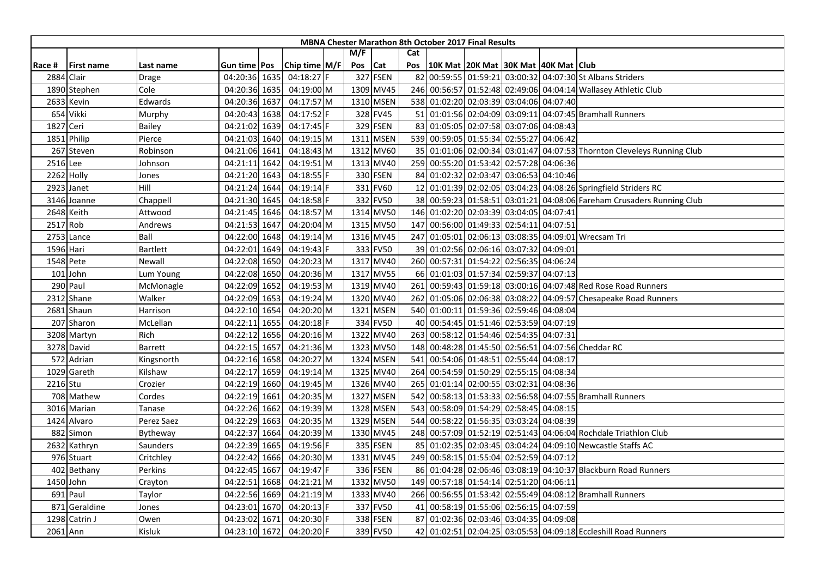| M/F<br>Cat<br>Chip time M/F<br>10K Mat 20K Mat 30K Mat 40K Mat Club<br>Pos Cat<br>Pos<br>Race #<br><b>First name</b><br>Gun time   Pos<br>Last name<br>327 FSEN<br>82 00:59:55 01:59:21 03:00:32 04:07:30 St Albans Striders<br>04:18:27 F<br>2884 Clair<br>04:20:36 1635<br>Drage<br>Cole<br>04:19:00 M<br>1309 MV45<br>246 00:56:57 01:52:48 02:49:06 04:04:14 Wallasey Athletic Club<br>1890 Stephen<br>04:20:36 1635<br>2633 Kevin<br>Edwards<br>04:20:36 1637<br>04:17:57 M<br>1310 MSEN<br>538 01:02:20 02:03:39 03:04:06 04:07:40<br>654 Vikki<br>04:17:52 F<br>328 FV45<br>51 01:01:56 02:04:09 03:09:11 04:07:45 Bramhall Runners<br>Murphy<br>04:20:43 1638<br>329 FSEN<br>83 01:05:05 02:07:58 03:07:06 04:08:43<br>1827 Ceri<br>04:21:02 1639<br>04:17:45 F<br>Bailey |
|-----------------------------------------------------------------------------------------------------------------------------------------------------------------------------------------------------------------------------------------------------------------------------------------------------------------------------------------------------------------------------------------------------------------------------------------------------------------------------------------------------------------------------------------------------------------------------------------------------------------------------------------------------------------------------------------------------------------------------------------------------------------------------------|
|                                                                                                                                                                                                                                                                                                                                                                                                                                                                                                                                                                                                                                                                                                                                                                                   |
|                                                                                                                                                                                                                                                                                                                                                                                                                                                                                                                                                                                                                                                                                                                                                                                   |
|                                                                                                                                                                                                                                                                                                                                                                                                                                                                                                                                                                                                                                                                                                                                                                                   |
|                                                                                                                                                                                                                                                                                                                                                                                                                                                                                                                                                                                                                                                                                                                                                                                   |
|                                                                                                                                                                                                                                                                                                                                                                                                                                                                                                                                                                                                                                                                                                                                                                                   |
|                                                                                                                                                                                                                                                                                                                                                                                                                                                                                                                                                                                                                                                                                                                                                                                   |
|                                                                                                                                                                                                                                                                                                                                                                                                                                                                                                                                                                                                                                                                                                                                                                                   |
| 539 00:59:05 01:55:34 02:55:27 04:06:42<br>Philip<br>Pierce<br>04:21:03 1640<br>04:19:15 M<br>1311 MSEN<br>1851                                                                                                                                                                                                                                                                                                                                                                                                                                                                                                                                                                                                                                                                   |
| Robinson<br>04:21:06 1641<br>04:18:43 M<br>1312 MV60<br>35 01:01:06 02:00:34 03:01:47 04:07:53 Thornton Cleveleys Running Club<br>267 Steven                                                                                                                                                                                                                                                                                                                                                                                                                                                                                                                                                                                                                                      |
| 2516 Lee<br>04:21:11 1642<br>04:19:51 M<br>1313 MV40<br>259 00:55:20 01:53:42 02:57:28 04:06:36<br>Johnson                                                                                                                                                                                                                                                                                                                                                                                                                                                                                                                                                                                                                                                                        |
| 330 FSEN<br>84 01:02:32 02:03:47 03:06:53 04:10:46<br>2262 Holly<br>04:21:20 1643<br>04:18:55 F<br>Jones                                                                                                                                                                                                                                                                                                                                                                                                                                                                                                                                                                                                                                                                          |
| Hill<br>04:19:14 F<br>331 FV60<br>12 01:01:39 02:02:05 03:04:23 04:08:26 Springfield Striders RC<br>2923 Janet<br>04:21:24 1644                                                                                                                                                                                                                                                                                                                                                                                                                                                                                                                                                                                                                                                   |
| 332 FV50<br>38 00:59:23 01:58:51 03:01:21 04:08:06 Fareham Crusaders Running Club<br>04:21:30 1645<br>04:18:58 F<br>3146 Joanne<br>Chappell                                                                                                                                                                                                                                                                                                                                                                                                                                                                                                                                                                                                                                       |
| 146 01:02:20 02:03:39 03:04:05 04:07:41<br>2648 Keith<br>04:21:45 1646<br>04:18:57 M<br>1314 MV50<br>Attwood                                                                                                                                                                                                                                                                                                                                                                                                                                                                                                                                                                                                                                                                      |
| 2517 Rob<br>147 00:56:00 01:49:33 02:54:11 04:07:51<br>04:21:53 1647<br>04:20:04 M<br>1315 MV50<br>Andrews                                                                                                                                                                                                                                                                                                                                                                                                                                                                                                                                                                                                                                                                        |
| 1316 MV45<br>247 01:05:01 02:06:13 03:08:35 04:09:01 Wrecsam Tri<br>2753 Lance<br>Ball<br>04:22:00 1648<br>04:19:14 M                                                                                                                                                                                                                                                                                                                                                                                                                                                                                                                                                                                                                                                             |
| 1596 Hari<br><b>Bartlett</b><br>04:22:01 1649<br>04:19:43 F<br>333 FV50<br>39 01:02:56 02:06:16 03:07:32 04:09:01                                                                                                                                                                                                                                                                                                                                                                                                                                                                                                                                                                                                                                                                 |
| 1317 MV40<br>260 00:57:31 01:54:22 02:56:35 04:06:24<br>1548 Pete<br>Newall<br>04:22:08 1650<br>04:20:23 M                                                                                                                                                                                                                                                                                                                                                                                                                                                                                                                                                                                                                                                                        |
| 1317 MV55<br>66 01:01:03 01:57:34 02:59:37 04:07:13<br>$101$ John<br>04:22:08 1650<br>04:20:36 M<br>Lum Young                                                                                                                                                                                                                                                                                                                                                                                                                                                                                                                                                                                                                                                                     |
| 290 Paul<br>04:22:09 1652<br>04:19:53 M<br>1319 MV40<br>261 00:59:43 01:59:18 03:00:16 04:07:48 Red Rose Road Runners<br>McMonagle                                                                                                                                                                                                                                                                                                                                                                                                                                                                                                                                                                                                                                                |
| 1320 MV40<br>2312 Shane<br>04:22:09 1653<br>04:19:24 M<br>262 01:05:06 02:06:38 03:08:22 04:09:57 Chesapeake Road Runners<br>Walker                                                                                                                                                                                                                                                                                                                                                                                                                                                                                                                                                                                                                                               |
| 1321 MSEN<br>540 01:00:11 01:59:36 02:59:46 04:08:04<br>2681 Shaun<br>Harrison<br>04:22:10 1654<br>04:20:20 M                                                                                                                                                                                                                                                                                                                                                                                                                                                                                                                                                                                                                                                                     |
| 334 FV50<br>40 00:54:45 01:51:46 02:53:59 04:07:19<br>04:22:11 1655<br>04:20:18 F<br>207 Sharon<br>McLellan                                                                                                                                                                                                                                                                                                                                                                                                                                                                                                                                                                                                                                                                       |
| 1322 MV40<br>263 00:58:12 01:54:46 02:54:35 04:07:31<br>Rich<br>04:22:12 1656<br>04:20:16 M<br>3208 Martyn                                                                                                                                                                                                                                                                                                                                                                                                                                                                                                                                                                                                                                                                        |
| 1323 MV50<br>148 00:48:28 01:45:50 02:56:51 04:07:56 Cheddar RC<br>3278 David<br>04:22:15 1657<br>04:21:36 M<br>Barrett                                                                                                                                                                                                                                                                                                                                                                                                                                                                                                                                                                                                                                                           |
| 572 Adrian<br>04:22:16 1658<br>04:20:27 M<br>1324 MSEN<br>541 00:54:06 01:48:51 02:55:44 04:08:17<br>Kingsnorth                                                                                                                                                                                                                                                                                                                                                                                                                                                                                                                                                                                                                                                                   |
| 1325 MV40<br>00:54:59 01:50:29 02:55:15 04:08:34<br>1029 Gareth<br>Kilshaw<br>04:22:17<br>1659<br>$04:19:14$ M<br>264                                                                                                                                                                                                                                                                                                                                                                                                                                                                                                                                                                                                                                                             |
| 2216 Stu<br>Crozier<br>04:22:19 1660<br>04:19:45 M<br>1326 MV40<br>265 01:01:14 02:00:55 03:02:31 04:08:36                                                                                                                                                                                                                                                                                                                                                                                                                                                                                                                                                                                                                                                                        |
| 04:22:19 1661<br>542 00:58:13 01:53:33 02:56:58 04:07:55 Bramhall Runners<br>708 Mathew<br>04:20:35 M<br>1327 MSEN<br>Cordes                                                                                                                                                                                                                                                                                                                                                                                                                                                                                                                                                                                                                                                      |
| 00:58:09 01:54:29 02:58:45 04:08:15<br>04:19:39 M<br>1328 MSEN<br>543<br>3016 Marian<br>04:22:26 1662<br>Tanase                                                                                                                                                                                                                                                                                                                                                                                                                                                                                                                                                                                                                                                                   |
| 04:20:35 M<br>1329 MSEN<br>544 00:58:22 01:56:35 03:03:24 04:08:39<br>1424 Alvaro<br>Perez Saez<br>04:22:29 1663                                                                                                                                                                                                                                                                                                                                                                                                                                                                                                                                                                                                                                                                  |
| 1330 MV45<br>248 00:57:09 01:52:19 02:51:43 04:06:04 Rochdale Triathlon Club<br>882 Simon<br>04:22:37 1664<br>04:20:39 M<br>Bytheway                                                                                                                                                                                                                                                                                                                                                                                                                                                                                                                                                                                                                                              |
| 335 FSEN<br>85 01:02:35 02:03:45 03:04:24 04:09:10 Newcastle Staffs AC<br>04:22:39 1665<br>04:19:56 F<br>2632 Kathryn<br>Saunders                                                                                                                                                                                                                                                                                                                                                                                                                                                                                                                                                                                                                                                 |
| 249 00:58:15 01:55:04 02:52:59 04:07:12<br>976 Stuart<br>Critchley<br>04:22:42 1666<br>04:20:30 M<br>1331 MV45                                                                                                                                                                                                                                                                                                                                                                                                                                                                                                                                                                                                                                                                    |
| 336 FSEN<br>86 01:04:28 02:06:46 03:08:19 04:10:37 Blackburn Road Runners<br>402 Bethany<br>Perkins<br>04:22:45 1667<br>$04:19:47$ F                                                                                                                                                                                                                                                                                                                                                                                                                                                                                                                                                                                                                                              |
| 1332 MV50<br>149 00:57:18 01:54:14 02:51:20 04:06:11<br>1450 John<br>04:22:51 1668<br>04:21:21 M<br>Crayton                                                                                                                                                                                                                                                                                                                                                                                                                                                                                                                                                                                                                                                                       |
| 266 00:56:55 01:53:42 02:55:49 04:08:12 Bramhall Runners<br>691 Paul<br>Taylor<br>04:22:56 1669<br>04:21:19 M<br>1333 MV40                                                                                                                                                                                                                                                                                                                                                                                                                                                                                                                                                                                                                                                        |
| 337 FV50<br>00:58:19 01:55:06 02:56:15 04:07:59<br>871<br>Geraldine<br>04:23:01 1670<br>$04:20:13$ F<br>Jones<br>41                                                                                                                                                                                                                                                                                                                                                                                                                                                                                                                                                                                                                                                               |
| 1298 Catrin J<br>04:23:02 1671<br>04:20:30 F<br>338 FSEN<br>87 01:02:36 02:03:46 03:04:35 04:09:08<br>Owen                                                                                                                                                                                                                                                                                                                                                                                                                                                                                                                                                                                                                                                                        |
| 42 01:02:51 02:04:25 03:05:53 04:09:18 Eccleshill Road Runners<br>04:23:10 1672<br>339 FV50<br>2061 Ann<br>Kisluk<br>04:20:20 F                                                                                                                                                                                                                                                                                                                                                                                                                                                                                                                                                                                                                                                   |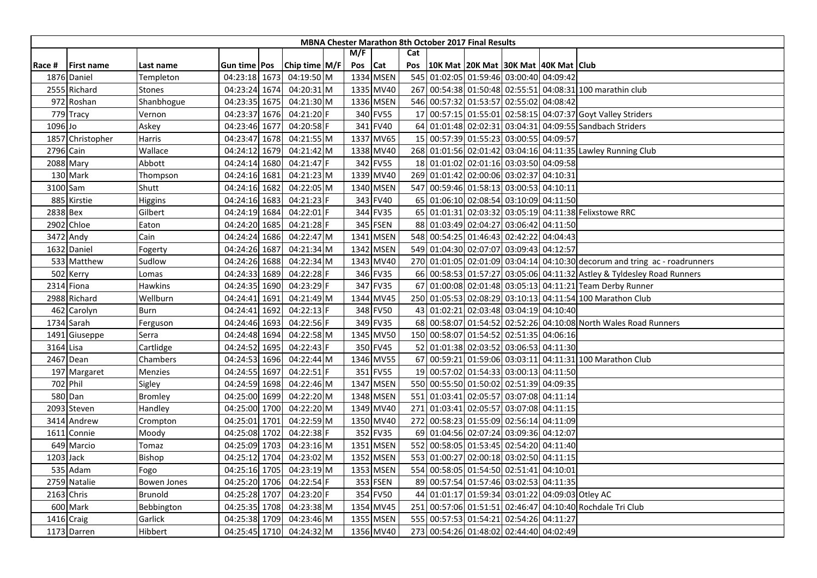|          |                   |                |                |      |               |         |           |     | <b>MBNA Chester Marathon 8th October 2017 Final Results</b> |                                     |  |                                                                            |
|----------|-------------------|----------------|----------------|------|---------------|---------|-----------|-----|-------------------------------------------------------------|-------------------------------------|--|----------------------------------------------------------------------------|
|          |                   |                |                |      |               | M/F     |           | Cat |                                                             |                                     |  |                                                                            |
| Race #   | <b>First name</b> | Last name      | Gun time   Pos |      | Chip time M/F | Pos Cat |           | Pos | 10K Mat 20K Mat 30K Mat 40K Mat Club                        |                                     |  |                                                                            |
|          | 1876 Daniel       | Templeton      | 04:23:18 1673  |      | 04:19:50 M    |         | 1334 MSEN |     | 545 01:02:05 01:59:46 03:00:40 04:09:42                     |                                     |  |                                                                            |
|          | 2555 Richard      | Stones         | 04:23:24 1674  |      | 04:20:31 M    |         | 1335 MV40 |     |                                                             |                                     |  | 267 00:54:38 01:50:48 02:55:51 04:08:31 100 marathin club                  |
|          | 972 Roshan        | Shanbhogue     | 04:23:35 1675  |      | 04:21:30 M    |         | 1336 MSEN |     | 546 00:57:32 01:53:57 02:55:02 04:08:42                     |                                     |  |                                                                            |
|          | 779 Tracy         | Vernon         | 04:23:37       | 1676 | 04:21:20 F    |         | 340 FV55  |     |                                                             |                                     |  | 17 00:57:15 01:55:01 02:58:15 04:07:37 Goyt Valley Striders                |
| 1096 Jo  |                   | Askey          | 04:23:46 1677  |      | 04:20:58 F    |         | 341 FV40  |     |                                                             |                                     |  | 64 01:01:48 02:02:31 03:04:31 04:09:55 Sandbach Striders                   |
|          | 1857 Christopher  | Harris         | 04:23:47 1678  |      | 04:21:55 M    |         | 1337 MV65 |     | 15 00:57:39 01:55:23 03:00:55 04:09:57                      |                                     |  |                                                                            |
|          | 2796 Cain         | Wallace        | 04:24:12 1679  |      | 04:21:42 M    |         | 1338 MV40 |     |                                                             |                                     |  | 268 01:01:56 02:01:42 03:04:16 04:11:35 Lawley Running Club                |
|          | 2088 Mary         | Abbott         | 04:24:14 1680  |      | 04:21:47 F    |         | 342 FV55  |     | 18 01:01:02 02:01:16 03:03:50 04:09:58                      |                                     |  |                                                                            |
|          | 130 Mark          | Thompson       | 04:24:16 1681  |      | 04:21:23 M    |         | 1339 MV40 |     | 269 01:01:42 02:00:06 03:02:37 04:10:31                     |                                     |  |                                                                            |
|          | 3100 Sam          | Shutt          | 04:24:16 1682  |      | 04:22:05 M    |         | 1340 MSEN |     | 547 00:59:46 01:58:13 03:00:53 04:10:11                     |                                     |  |                                                                            |
|          | 885 Kirstie       | Higgins        | 04:24:16 1683  |      | 04:21:23 F    |         | 343 FV40  |     | 65 01:06:10 02:08:54 03:10:09 04:11:50                      |                                     |  |                                                                            |
| 2838 Bex |                   | Gilbert        | 04:24:19 1684  |      | 04:22:01 F    |         | 344 FV35  |     |                                                             |                                     |  | 65 01:01:31 02:03:32 03:05:19 04:11:38 Felixstowe RRC                      |
|          | 2902 Chloe        | Eaton          | 04:24:20 1685  |      | $04:21:28$ F  |         | 345 FSEN  |     | 88 01:03:49 02:04:27 03:06:42 04:11:50                      |                                     |  |                                                                            |
|          | 3472 Andy         | Cain           | 04:24:24 1686  |      | 04:22:47 M    |         | 1341 MSEN |     | 548 00:54:25 01:46:43 02:42:22 04:04:43                     |                                     |  |                                                                            |
|          | 1632 Daniel       | Fogerty        | 04:24:26 1687  |      | 04:21:34 M    |         | 1342 MSEN |     | 549 01:04:30 02:07:07 03:09:43 04:12:57                     |                                     |  |                                                                            |
|          | 533 Matthew       | Sudlow         | 04:24:26 1688  |      | 04:22:34 M    |         | 1343 MV40 |     |                                                             |                                     |  | 270 01:01:05 02:01:09 03:04:14 04:10:30 decorum and tring ac - roadrunners |
|          | 502 Kerry         | Lomas          | 04:24:33 1689  |      | 04:22:28 F    |         | 346 FV35  |     |                                                             |                                     |  | 66 00:58:53 01:57:27 03:05:06 04:11:32 Astley & Tyldesley Road Runners     |
|          | 2314 Fiona        | Hawkins        | 04:24:35 1690  |      | 04:23:29 F    |         | 347 FV35  |     |                                                             |                                     |  | 67 01:00:08 02:01:48 03:05:13 04:11:21 Team Derby Runner                   |
|          | 2988 Richard      | Wellburn       | 04:24:41 1691  |      | 04:21:49 M    |         | 1344 MV45 |     |                                                             |                                     |  | 250 01:05:53 02:08:29 03:10:13 04:11:54 100 Marathon Club                  |
|          | 462 Carolyn       | Burn           | 04:24:41 1692  |      | 04:22:13 F    |         | 348 FV50  |     | 43 01:02:21 02:03:48 03:04:19 04:10:40                      |                                     |  |                                                                            |
|          | 1734 Sarah        | Ferguson       | 04:24:46 1693  |      | 04:22:56 F    |         | 349 FV35  |     |                                                             |                                     |  | 68 00:58:07 01:54:52 02:52:26 04:10:08 North Wales Road Runners            |
|          | 1491 Giuseppe     | Serra          | 04:24:48 1694  |      | 04:22:58 M    |         | 1345 MV50 |     | 150 00:58:07 01:54:52 02:51:35 04:06:16                     |                                     |  |                                                                            |
|          | 3164 Lisa         | Cartlidge      | 04:24:52       | 1695 | 04:22:43 F    |         | 350 FV45  |     | 52 01:01:38 02:03:52 03:06:53 04:11:30                      |                                     |  |                                                                            |
|          | 2467 Dean         | Chambers       | 04:24:53 1696  |      | 04:22:44 M    |         | 1346 MV55 |     |                                                             |                                     |  | 67 00:59:21 01:59:06 03:03:11 04:11:31 100 Marathon Club                   |
|          | 197 Margaret      | Menzies        | 04:24:55 1697  |      | 04:22:51 F    |         | 351 FV55  |     | 19 00:57:02 01:54:33 03:00:13 04:11:50                      |                                     |  |                                                                            |
|          | 702 Phil          | Sigley         | 04:24:59 1698  |      | 04:22:46 M    |         | 1347 MSEN |     | 550 00:55:50 01:50:02 02:51:39 04:09:35                     |                                     |  |                                                                            |
|          | 580 Dan           | <b>Bromley</b> | 04:25:00 1699  |      | 04:22:20 M    |         | 1348 MSEN |     | 551 01:03:41 02:05:57 03:07:08 04:11:14                     |                                     |  |                                                                            |
|          | 2093 Steven       | Handley        | 04:25:00 1700  |      | 04:22:20 M    |         | 1349 MV40 | 271 |                                                             | 01:03:41 02:05:57 03:07:08 04:11:15 |  |                                                                            |
|          | 3414 Andrew       | Crompton       | 04:25:01 1701  |      | 04:22:59 M    |         | 1350 MV40 | 272 |                                                             | 00:58:23 01:55:09 02:56:14 04:11:09 |  |                                                                            |
|          | 1611 Connie       | Moody          | 04:25:08 1702  |      | 04:22:38 F    |         | 352 FV35  |     | 69 01:04:56 02:07:24 03:09:36 04:12:07                      |                                     |  |                                                                            |
|          | 649 Marcio        | Tomaz          | 04:25:09 1703  |      | 04:23:16 M    |         | 1351 MSEN |     | 552 00:58:05 01:53:45 02:54:20 04:11:40                     |                                     |  |                                                                            |
|          | 1203 Jack         | Bishop         | 04:25:12 1704  |      | 04:23:02 M    |         | 1352 MSEN |     | 553 01:00:27 02:00:18 03:02:50 04:11:15                     |                                     |  |                                                                            |
|          | 535 Adam          | Fogo           | 04:25:16 1705  |      | 04:23:19 M    |         | 1353 MSEN |     | 554 00:58:05 01:54:50 02:51:41 04:10:01                     |                                     |  |                                                                            |
|          | 2759 Natalie      | Bowen Jones    | 04:25:20 1706  |      | 04:22:54 F    |         | 353 FSEN  |     | 89 00:57:54 01:57:46 03:02:53 04:11:35                      |                                     |  |                                                                            |
|          | 2163 Chris        | Brunold        | 04:25:28 1707  |      | 04:23:20 F    |         | 354 FV50  |     | 44 01:01:17 01:59:34 03:01:22 04:09:03 Otley AC             |                                     |  |                                                                            |
|          | 600 Mark          | Bebbington     | 04:25:35 1708  |      | 04:23:38 M    |         | 1354 MV45 |     |                                                             |                                     |  | 251 00:57:06 01:51:51 02:46:47 04:10:40 Rochdale Tri Club                  |
|          | 1416 Craig        | Garlick        | 04:25:38 1709  |      | 04:23:46 M    |         | 1355 MSEN |     | 555 00:57:53 01:54:21 02:54:26 04:11:27                     |                                     |  |                                                                            |
|          | 1173 Darren       | Hibbert        | 04:25:45 1710  |      | 04:24:32 M    |         | 1356 MV40 |     | 273 00:54:26 01:48:02 02:44:40 04:02:49                     |                                     |  |                                                                            |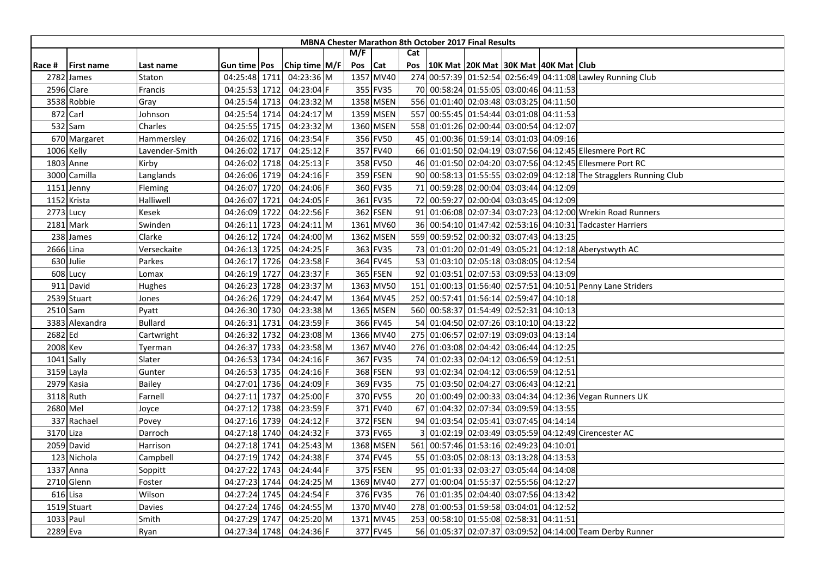|         |                   |                |                     |      |               |     |           |     | <b>MBNA Chester Marathon 8th October 2017 Final Results</b> |  |                                                                    |
|---------|-------------------|----------------|---------------------|------|---------------|-----|-----------|-----|-------------------------------------------------------------|--|--------------------------------------------------------------------|
|         |                   |                |                     |      |               | M/F |           | Cat |                                                             |  |                                                                    |
| Race #  | <b>First name</b> | Last name      | Gun time <b>Pos</b> |      | Chip time M/F | Pos | Cat       | Pos | 10K Mat 20K Mat 30K Mat 40K Mat Club                        |  |                                                                    |
|         | 2782 James        | Staton         | 04:25:48 1711       |      | 04:23:36 M    |     | 1357 MV40 |     |                                                             |  | 274 00:57:39 01:52:54 02:56:49 04:11:08 Lawley Running Club        |
|         | 2596 Clare        | Francis        | 04:25:53 1712       |      | 04:23:04 F    |     | 355 FV35  |     | 70 00:58:24 01:55:05 03:00:46 04:11:53                      |  |                                                                    |
|         | 3538 Robbie       | Gray           | 04:25:54 1713       |      | 04:23:32 M    |     | 1358 MSEN |     | 556 01:01:40 02:03:48 03:03:25 04:11:50                     |  |                                                                    |
|         | 872 Carl          | Johnson        | 04:25:54 1714       |      | 04:24:17 M    |     | 1359 MSEN |     | 557 00:55:45 01:54:44 03:01:08 04:11:53                     |  |                                                                    |
|         | 532 Sam           | Charles        | 04:25:55 1715       |      | 04:23:32 M    |     | 1360 MSEN |     | 558 01:01:26 02:00:44 03:00:54 04:12:07                     |  |                                                                    |
|         | 670 Margaret      | Hammersley     | 04:26:02 1716       |      | 04:23:54 F    |     | 356 FV50  |     | 45 01:00:36 01:59:14 03:01:03 04:09:16                      |  |                                                                    |
|         | 1006 Kelly        | .avender-Smith | 04:26:02 1717       |      | 04:25:12 F    |     | 357 FV40  |     |                                                             |  | 66 01:01:50 02:04:19 03:07:56 04:12:45 Ellesmere Port RC           |
|         | 1803 Anne         | Kirby          | 04:26:02 1718       |      | 04:25:13 F    |     | 358 FV50  |     |                                                             |  | 46 01:01:50 02:04:20 03:07:56 04:12:45 Ellesmere Port RC           |
|         | 3000 Camilla      | Langlands      | 04:26:06 1719       |      | 04:24:16 F    |     | 359 FSEN  |     |                                                             |  | 90 00:58:13 01:55:55 03:02:09 04:12:18 The Stragglers Running Club |
|         | 1151 Jenny        | Fleming        | 04:26:07 1720       |      | 04:24:06 F    |     | 360 FV35  |     | 71 00:59:28 02:00:04 03:03:44 04:12:09                      |  |                                                                    |
|         | 1152 Krista       | Halliwell      | 04:26:07 1721       |      | 04:24:05 F    |     | 361 FV35  |     | 72 00:59:27 02:00:04 03:03:45 04:12:09                      |  |                                                                    |
|         | 2773 Lucy         | Kesek          | 04:26:09 1722       |      | 04:22:56 F    |     | 362 FSEN  |     |                                                             |  | 91 01:06:08 02:07:34 03:07:23 04:12:00 Wrekin Road Runners         |
|         | 2181 Mark         | Swinden        | 04:26:11            | 1723 | 04:24:11 M    |     | 1361 MV60 |     |                                                             |  | 36 00:54:10 01:47:42 02:53:16 04:10:31 Tadcaster Harriers          |
|         | 238 James         | Clarke         | 04:26:12 1724       |      | 04:24:00 M    |     | 1362 MSEN |     | 559 00:59:52 02:00:32 03:07:43 04:13:25                     |  |                                                                    |
|         | 2666 Lina         | Verseckaite    | 04:26:13 1725       |      | 04:24:25 F    |     | 363 FV35  |     |                                                             |  | 73 01:01:20 02:01:49 03:05:21 04:12:18 Aberystwyth AC              |
|         | 630 Julie         | Parkes         | 04:26:17 1726       |      | 04:23:58 F    |     | 364 FV45  |     | 53 01:03:10 02:05:18 03:08:05 04:12:54                      |  |                                                                    |
|         | 608 Lucy          | Lomax          | 04:26:19 1727       |      | 04:23:37 F    |     | 365 FSEN  |     | 92 01:03:51 02:07:53 03:09:53 04:13:09                      |  |                                                                    |
|         | 911 David         | Hughes         | 04:26:23 1728       |      | 04:23:37 M    |     | 1363 MV50 |     |                                                             |  | 151 01:00:13 01:56:40 02:57:51 04:10:51 Penny Lane Striders        |
|         | 2539 Stuart       | Jones          | 04:26:26 1729       |      | 04:24:47 M    |     | 1364 MV45 |     | 252 00:57:41 01:56:14 02:59:47 04:10:18                     |  |                                                                    |
|         | 2510 Sam          | Pyatt          | 04:26:30 1730       |      | 04:23:38 M    |     | 1365 MSEN |     | 560 00:58:37 01:54:49 02:52:31 04:10:13                     |  |                                                                    |
|         | 3383 Alexandra    | <b>Bullard</b> | 04:26:31 1731       |      | 04:23:59 F    |     | 366 FV45  |     | 54 01:04:50 02:07:26 03:10:10 04:13:22                      |  |                                                                    |
| 2682 Ed |                   | Cartwright     | 04:26:32 1732       |      | 04:23:08 M    |     | 1366 MV40 | 275 | 01:06:57 02:07:19 03:09:03 04:13:14                         |  |                                                                    |
|         | 2008 Kev          | Tyerman        | 04:26:37 1733       |      | 04:23:58 M    |     | 1367 MV40 |     | 276 01:03:08 02:04:42 03:06:44 04:12:25                     |  |                                                                    |
|         | 1041 Sally        | Slater         | 04:26:53 1734       |      | $04:24:16$ F  |     | 367 FV35  |     | 74 01:02:33 02:04:12 03:06:59 04:12:51                      |  |                                                                    |
|         | 3159 Layla        | Gunter         | 04:26:53 1735       |      | 04:24:16 F    |     | 368 FSEN  |     | 93 01:02:34 02:04:12 03:06:59 04:12:51                      |  |                                                                    |
|         | 2979 Kasia        | Bailey         | 04:27:01 1736       |      | 04:24:09 F    |     | 369 FV35  |     | 75 01:03:50 02:04:27 03:06:43 04:12:21                      |  |                                                                    |
|         | 3118 Ruth         | Farnell        | 04:27:11 1737       |      | 04:25:00 F    |     | 370 FV55  |     |                                                             |  | 20 01:00:49 02:00:33 03:04:34 04:12:36 Vegan Runners UK            |
|         | 2680 Mel          | Joyce          | 04:27:12 1738       |      | 04:23:59 F    |     | 371 FV40  |     | 67 01:04:32 02:07:34 03:09:59 04:13:55                      |  |                                                                    |
|         | 337 Rachael       | Povey          | 04:27:16 1739       |      | 04:24:12 F    |     | 372 FSEN  |     | 94 01:03:54 02:05:41 03:07:45 04:14:14                      |  |                                                                    |
|         | 3170 Liza         | Darroch        | 04:27:18 1740       |      | 04:24:32 F    |     | 373 FV65  |     |                                                             |  | 01:02:19 02:03:49 03:05:59 04:12:49 Cirencester AC                 |
|         | 2059 David        | Harrison       | 04:27:18 1741       |      | 04:25:43 M    |     | 1368 MSEN |     | 561 00:57:46 01:53:16 02:49:23 04:10:01                     |  |                                                                    |
|         | 123 Nichola       | Campbell       | 04:27:19 1742       |      | 04:24:38 F    |     | 374 FV45  |     | 55 01:03:05 02:08:13 03:13:28 04:13:53                      |  |                                                                    |
|         | 1337 Anna         | Soppitt        | 04:27:22 1743       |      | 04:24:44 F    |     | 375 FSEN  |     | 95 01:01:33 02:03:27 03:05:44 04:14:08                      |  |                                                                    |
|         | 2710 Glenn        | Foster         | 04:27:23 1744       |      | 04:24:25 M    |     | 1369 MV40 |     | 277 01:00:04 01:55:37 02:55:56 04:12:27                     |  |                                                                    |
|         | 616 Lisa          | Wilson         | 04:27:24 1745       |      | 04:24:54 F    |     | 376 FV35  |     | 76 01:01:35 02:04:40 03:07:56 04:13:42                      |  |                                                                    |
|         | 1519 Stuart       | Davies         | 04:27:24 1746       |      | 04:24:55 M    |     | 1370 MV40 |     | 278 01:00:53 01:59:58 03:04:01 04:12:52                     |  |                                                                    |
|         | 1033 Paul         | Smith          | 04:27:29 1747       |      | 04:25:20 M    |     | 1371 MV45 |     | 253 00:58:10 01:55:08 02:58:31 04:11:51                     |  |                                                                    |
|         | 2289 Eva          | Ryan           | 04:27:34 1748       |      | 04:24:36 F    |     | 377 FV45  |     |                                                             |  | 56 01:05:37 02:07:37 03:09:52 04:14:00 Team Derby Runner           |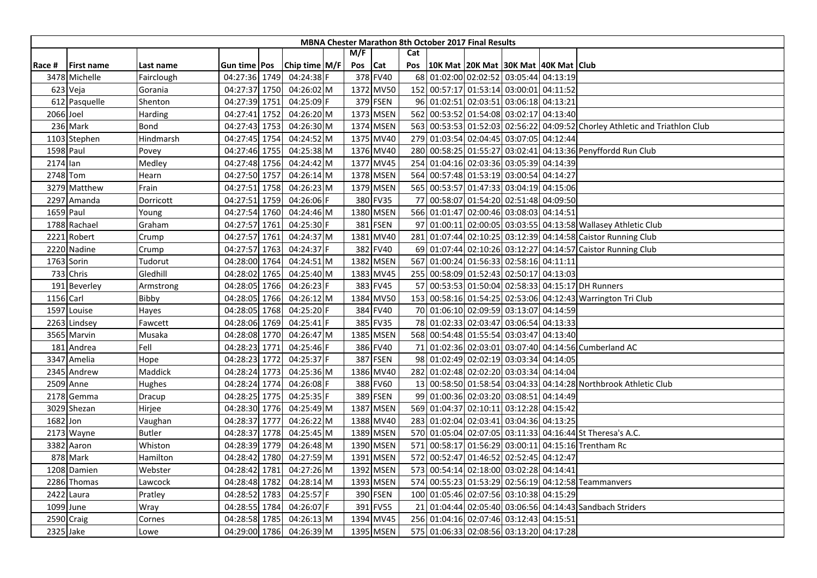|          |                   |               |                     |                 |     |            |     | <b>MBNA Chester Marathon 8th October 2017 Final Results</b> |                                     |  |                                                                             |
|----------|-------------------|---------------|---------------------|-----------------|-----|------------|-----|-------------------------------------------------------------|-------------------------------------|--|-----------------------------------------------------------------------------|
|          |                   |               |                     |                 | M/F |            | Cat |                                                             |                                     |  |                                                                             |
| Race #   | <b>First name</b> | Last name     | Gun time <b>Pos</b> | Chip time $M/F$ | Pos | <b>Cat</b> | Pos | 10K Mat  20K Mat  30K Mat  40K Mat   Club                   |                                     |  |                                                                             |
|          | 3478 Michelle     | Fairclough    | 04:27:36 1749       | 04:24:38 F      |     | 378 FV40   |     | 68 01:02:00 02:02:52 03:05:44 04:13:19                      |                                     |  |                                                                             |
|          | 623 Veja          | Gorania       | 04:27:37 1750       | 04:26:02 M      |     | 1372 MV50  |     | 152 00:57:17 01:53:14 03:00:01 04:11:52                     |                                     |  |                                                                             |
|          | 612 Pasquelle     | Shenton       | 04:27:39 1751       | 04:25:09 F      |     | 379 FSEN   |     | 96 01:02:51 02:03:51 03:06:18 04:13:21                      |                                     |  |                                                                             |
|          | 2066 Joel         | Harding       | 04:27:41 1752       | 04:26:20 M      |     | 1373 MSEN  |     | 562 00:53:52 01:54:08 03:02:17 04:13:40                     |                                     |  |                                                                             |
|          | 236 Mark          | Bond          | 04:27:43 1753       | 04:26:30 M      |     | 1374 MSEN  |     |                                                             |                                     |  | 563 00:53:53 01:52:03 02:56:22 04:09:52 Chorley Athletic and Triathlon Club |
|          | 1103 Stephen      | Hindmarsh     | 04:27:45 1754       | 04:24:52 M      |     | 1375 MV40  | 279 |                                                             | 01:03:54 02:04:45 03:07:05 04:12:44 |  |                                                                             |
|          | 1598 Paul         | Povey         | 04:27:46 1755       | 04:25:38 M      |     | 1376 MV40  |     |                                                             |                                     |  | 280 00:58:25 01:55:27 03:02:41 04:13:36 Penyffordd Run Club                 |
| 2174 Ian |                   | Medley        | 04:27:48 1756       | 04:24:42 M      |     | 1377 MV45  |     | 254 01:04:16 02:03:36 03:05:39 04:14:39                     |                                     |  |                                                                             |
|          | 2748 Tom          | Hearn         | 04:27:50 1757       | 04:26:14 M      |     | 1378 MSEN  |     | 564 00:57:48 01:53:19 03:00:54 04:14:27                     |                                     |  |                                                                             |
|          | 3279 Matthew      | Frain         | 04:27:51 1758       | 04:26:23 M      |     | 1379 MSEN  |     | 565 00:53:57 01:47:33 03:04:19 04:15:06                     |                                     |  |                                                                             |
|          | 2297 Amanda       | Dorricott     | 04:27:51 1759       | 04:26:06 F      |     | 380 FV35   |     | 77 00:58:07 01:54:20 02:51:48 04:09:50                      |                                     |  |                                                                             |
|          | 1659 Paul         | Young         | 04:27:54 1760       | 04:24:46 M      |     | 1380 MSEN  |     | 566 01:01:47 02:00:46 03:08:03 04:14:51                     |                                     |  |                                                                             |
|          | 1788 Rachael      | Graham        | 04:27:57 1761       | 04:25:30 F      |     | 381 FSEN   |     |                                                             |                                     |  | 97 01:00:11 02:00:05 03:03:55 04:13:58 Wallasey Athletic Club               |
|          | 2221 Robert       | Crump         | 04:27:57 1761       | 04:24:37 M      |     | 1381 MV40  |     |                                                             |                                     |  | 281 01:07:44 02:10:25 03:12:39 04:14:58 Caistor Running Club                |
|          | 2220 Nadine       | Crump         | 04:27:57 1763       | 04:24:37 F      |     | 382 FV40   |     |                                                             |                                     |  | 69 01:07:44 02:10:26 03:12:27 04:14:57 Caistor Running Club                 |
|          | 1763 Sorin        | Tudorut       | 04:28:00 1764       | 04:24:51 M      |     | 1382 MSEN  |     | 567 01:00:24 01:56:33 02:58:16 04:11:11                     |                                     |  |                                                                             |
|          | 733 Chris         | Gledhill      | 04:28:02 1765       | 04:25:40 M      |     | 1383 MV45  |     | 255 00:58:09 01:52:43 02:50:17 04:13:03                     |                                     |  |                                                                             |
|          | 191 Beverley      | Armstrong     | 04:28:05 1766       | $04:26:23$ F    |     | 383 FV45   |     |                                                             |                                     |  | 57 00:53:53 01:50:04 02:58:33 04:15:17 DH Runners                           |
|          | 1156 Carl         | Bibby         | 04:28:05 1766       | 04:26:12 M      |     | 1384 MV50  |     |                                                             |                                     |  | 153 00:58:16 01:54:25 02:53:06 04:12:43 Warrington Tri Club                 |
|          | 1597 Louise       | Hayes         | 04:28:05 1768       | 04:25:20 F      |     | 384 FV40   |     | 70 01:06:10 02:09:59 03:13:07 04:14:59                      |                                     |  |                                                                             |
|          | 2263 Lindsey      | Fawcett       | 04:28:06 1769       | 04:25:41 F      |     | 385 FV35   |     | 78 01:02:33 02:03:47 03:06:54 04:13:33                      |                                     |  |                                                                             |
|          | 3565 Marvin       | Musaka        | 04:28:08 1770       | 04:26:47 M      |     | 1385 MSEN  |     | 568 00:54:48 01:55:54 03:03:47 04:13:40                     |                                     |  |                                                                             |
|          | 181 Andrea        | Fell          | 04:28:23 1771       | 04:25:46 F      |     | 386 FV40   |     |                                                             |                                     |  | 71 01:02:36 02:03:01 03:07:40 04:14:56 Cumberland AC                        |
|          | 3347 Amelia       | Hope          | 04:28:23 1772       | 04:25:37 F      |     | 387 FSEN   |     | 98 01:02:49 02:02:19 03:03:34 04:14:05                      |                                     |  |                                                                             |
|          | 2345 Andrew       | Maddick       | 04:28:24 1773       | 04:25:36 M      |     | 1386 MV40  |     | 282 01:02:48 02:02:20 03:03:34 04:14:04                     |                                     |  |                                                                             |
|          | 2509 Anne         | Hughes        | 04:28:24 1774       | 04:26:08 F      |     | 388 FV60   |     |                                                             |                                     |  | 13 00:58:50 01:58:54 03:04:33 04:14:28 Northbrook Athletic Club             |
|          | 2178 Gemma        | Dracup        | 04:28:25 1775       | 04:25:35 F      |     | 389 FSEN   |     | 99 01:00:36 02:03:20 03:08:51 04:14:49                      |                                     |  |                                                                             |
|          | 3029 Shezan       | Hirjee        | 04:28:30 1776       | 04:25:49 M      |     | 1387 MSEN  |     | 569 01:04:37 02:10:11 03:12:28 04:15:42                     |                                     |  |                                                                             |
| 1682 Jon |                   | Vaughan       | 04:28:37 1777       | 04:26:22 M      |     | 1388 MV40  |     | 283 01:02:04 02:03:41 03:04:36 04:13:25                     |                                     |  |                                                                             |
|          | 2173 Wayne        | <b>Butler</b> | 04:28:37 1778       | 04:25:45 M      |     | 1389 MSEN  |     |                                                             |                                     |  | 570 01:05:04 02:07:05 03:11:33 04:16:44 St Theresa's A.C.                   |
|          | 3382 Aaron        | Whiston       | 04:28:39 1779       | 04:26:48 M      |     | 1390 MSEN  | 571 |                                                             |                                     |  | 00:58:17 01:56:29 03:00:11 04:15:16 Trentham Rc                             |
|          | 878 Mark          | Hamilton      | 04:28:42 1780       | 04:27:59 M      |     | 1391 MSEN  |     | 572 00:52:47 01:46:52 02:52:45 04:12:47                     |                                     |  |                                                                             |
|          | 1208 Damien       | Webster       | 04:28:42 1781       | 04:27:26 M      |     | 1392 MSEN  | 573 |                                                             | 00:54:14 02:18:00 03:02:28 04:14:41 |  |                                                                             |
|          | 2286 Thomas       | Lawcock       | 04:28:48 1782       | 04:28:14 M      |     | 1393 MSEN  | 574 |                                                             |                                     |  | 00:55:23 01:53:29 02:56:19 04:12:58 Teammanvers                             |
|          | 2422 Laura        | Pratley       | 04:28:52 1783       | 04:25:57 F      |     | 390 FSEN   |     | 100 01:05:46 02:07:56 03:10:38 04:15:29                     |                                     |  |                                                                             |
|          | 1099 June         | Wray          | 04:28:55 1784       | 04:26:07 F      |     | 391 FV55   | 21  |                                                             |                                     |  | 01:04:44 02:05:40 03:06:56 04:14:43 Sandbach Striders                       |
|          | 2590 Craig        | Cornes        | 04:28:58 1785       | 04:26:13 M      |     | 1394 MV45  |     | 256 01:04:16 02:07:46 03:12:43 04:15:51                     |                                     |  |                                                                             |
|          | 2325 Jake         | Lowe          | 04:29:00 1786       | 04:26:39 M      |     | 1395 MSEN  |     | 575 01:06:33 02:08:56 03:13:20 04:17:28                     |                                     |  |                                                                             |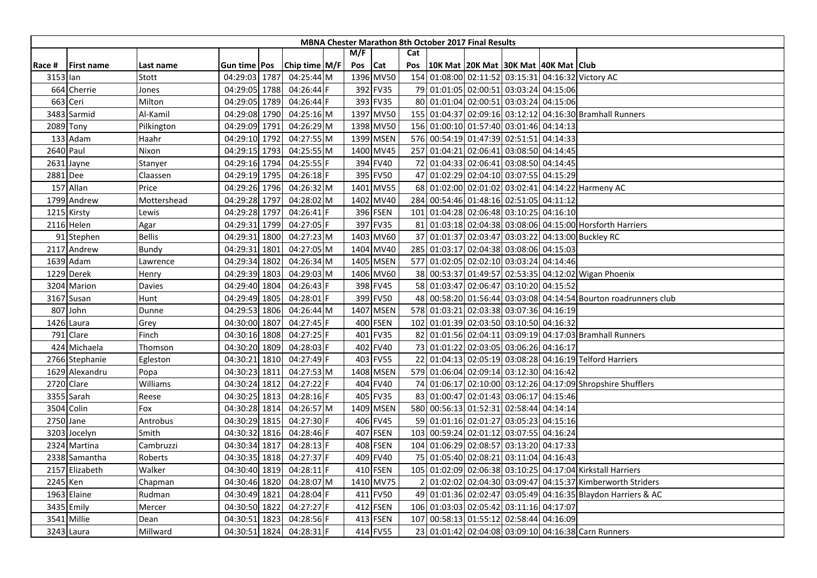| M/F<br>Cat                                                                                                                            |  |
|---------------------------------------------------------------------------------------------------------------------------------------|--|
| Chip time M/F<br>Pos Cat<br>10K Mat 20K Mat 30K Mat 40K Mat Club<br><b>First name</b><br>Gun time   Pos<br>Pos<br>Race #<br>Last name |  |
| 1396 MV50<br>154 01:08:00 02:11:52 03:15:31 04:16:32 Victory AC<br>04:29:03 1787<br>04:25:44 M<br>3153 lan<br>Stott                   |  |
| 664 Cherrie<br>04:29:05 1788<br>$04:26:44$ F<br>392 FV35<br>79 01:01:05 02:00:51 03:03:24 04:15:06<br>Jones                           |  |
| 663 Ceri<br>Milton<br>393 FV35<br>80 01:01:04 02:00:51 03:03:24 04:15:06<br>04:29:05 1789<br>04:26:44 F                               |  |
| 3483 Sarmid<br>Al-Kamil<br>04:29:08 1790<br>04:25:16 M<br>1397 MV50<br>155 01:04:37 02:09:16 03:12:12 04:16:30 Bramhall Runners       |  |
| 1398 MV50<br>156 01:00:10 01:57:40 03:01:46 04:14:13<br>04:29:09 1791<br>04:26:29 M<br>2089 Tony<br>Pilkington                        |  |
| 04:29:10 1792<br>04:27:55 M<br>1399 MSEN<br>576 00:54:19 01:47:39 02:51:51 04:14:33<br>133 Adam<br>Haahr                              |  |
| 2640 Paul<br>04:29:15 1793<br>04:25:55 M<br>1400 MV45<br>257 01:04:21 02:06:41 03:08:50 04:14:45<br>Nixon                             |  |
| 394 FV40<br>2631 Jayne<br>04:29:16 1794<br>04:25:55 F<br>72 01:04:33 02:06:41 03:08:50 04:14:45<br>Stanyer                            |  |
| 04:26:18 F<br>395 FV50<br>47 01:02:29 02:04:10 03:07:55 04:15:29<br>2881 Dee<br>04:29:19 1795<br>Claassen                             |  |
| 157 Allan<br>04:26:32 M<br>1401 MV55<br>68 01:02:00 02:01:02 03:02:41 04:14:22 Harmeny AC<br>Price<br>04:29:26 1796                   |  |
| 1402 MV40<br>284 00:54:46 01:48:16 02:51:05 04:11:12<br>1799 Andrew<br>04:29:28 1797<br>04:28:02 M<br>Mottershead                     |  |
| 1215 Kirsty<br>04:29:28 1797<br>04:26:41 F<br>396 FSEN<br>101 01:04:28 02:06:48 03:10:25 04:16:10<br>Lewis                            |  |
| 397 FV35<br>2116 Helen<br>04:29:31 1799<br>04:27:05 F<br>81 01:03:18 02:04:38 03:08:06 04:15:00 Horsforth Harriers<br>Agar            |  |
| <b>Bellis</b><br>37 01:01:37 02:03:47 03:03:22 04:13:00 Buckley RC<br>91 Stephen<br>04:29:31<br>1800<br>04:27:23 M<br>1403 MV60       |  |
| 04:29:31<br>04:27:05 M<br>1404 MV40<br>285 01:03:17 02:04:38 03:08:06 04:15:03<br>2117 Andrew<br>Bundy<br>1801                        |  |
| 577 01:02:05 02:02:10 03:03:24 04:14:46<br>04:29:34 1802<br>04:26:34 M<br>1405 MSEN<br>1639 Adam<br>Lawrence                          |  |
| 1406 MV60<br>38 00:53:37 01:49:57 02:53:35 04:12:02 Wigan Phoenix<br>1229 Derek<br>04:29:39<br>1803<br>04:29:03 M<br>Henry            |  |
| 04:26:43 F<br>398 FV45<br>58 01:03:47 02:06:47 03:10:20 04:15:52<br>3204 Marion<br>04:29:40 1804<br>Davies                            |  |
| 399 FV50<br>04:29:49 1805<br>04:28:01 F<br>48 00:58:20 01:56:44 03:03:08 04:14:54 Bourton roadrunners club<br>3167 Susan<br>Hunt      |  |
| 578 01:03:21 02:03:38 03:07:36 04:16:19<br>807 John<br>04:29:53 1806<br>04:26:44 M<br>1407 MSEN<br>Dunne                              |  |
| 04:27:45 F<br>400 FSEN<br>102 01:01:39 02:03:50 03:10:50 04:16:32<br>1426 Laura<br>04:30:00 1807<br>Grey                              |  |
| 791 Clare<br>Finch<br>04:30:16 1808<br>04:27:25 F<br>401 FV35<br>82 01:01:56 02:04:11 03:09:19 04:17:03 Bramhall Runners              |  |
| 04:28:03 F<br>402 FV40<br>73 01:01:22 02:03:05 03:06:26 04:16:17<br>424 Michaela<br>04:30:20 1809<br>Thomson                          |  |
| 1810<br>04:27:49 F<br>403 FV55<br>22 01:04:13 02:05:19 03:08:28 04:16:19 Telford Harriers<br>2766 Stephanie<br>Egleston<br>04:30:21   |  |
| 1629 Alexandru<br>04:27:53 M<br>1408 MSEN<br>579 01:06:04 02:09:14 03:12:30 04:16:42<br>Popa<br>04:30:23<br>1811                      |  |
| 04:27:22 F<br>404 FV40<br>74 01:06:17 02:10:00 03:12:26 04:17:09 Shropshire Shufflers<br>2720 Clare<br>Williams<br>04:30:24 1812      |  |
| $04:28:16$ F<br>405 FV35<br>83 01:00:47 02:01:43 03:06:17 04:15:46<br>3355 Sarah<br>04:30:25 1813<br>Reese                            |  |
| 3504 Colin<br>04:26:57 M<br>1409 MSEN<br>580 00:56:13 01:52:31 02:58:44 04:14:14<br>Fox<br>04:30:28 1814                              |  |
| 2750 Jane<br>04:30:29 1815<br>$04:27:30$ F<br>406 FV45<br>59 01:01:16 02:01:27 03:05:23 04:15:16<br>Antrobus                          |  |
| 407 FSEN<br>103 00:59:24 02:01:12 03:07:55 04:16:24<br>3203 Jocelyn<br>04:30:32 1816<br>04:28:46 F<br>Smith                           |  |
| 408 FSEN<br>104 01:06:29 02:08:57 03:13:20 04:17:33<br>2324 Martina<br>Cambruzzi<br>04:30:34 1817<br>04:28:13 F                       |  |
| 04:27:37 F<br>409 FV40<br>75 01:05:40 02:08:21 03:11:04 04:16:43<br>2338 Samantha<br>Roberts<br>04:30:35 1818                         |  |
| Walker<br>04:28:11 F<br>410 FSEN<br>105 01:02:09 02:06:38 03:10:25 04:17:04 Kirkstall Harriers<br>2157 Elizabeth<br>04:30:40 1819     |  |
| 2245 Ken<br>04:28:07 M<br>1410 MV75<br>01:02:02 02:04:30 03:09:47 04:15:37 Kimberworth Striders<br>04:30:46 1820<br>Chapman           |  |
| 1963 Elaine<br>49 01:01:36 02:02:47 03:05:49 04:16:35 Blaydon Harriers & AC<br>Rudman<br>04:30:49 1821<br>04:28:04 F<br>411 FV50      |  |
| 412 FSEN<br>3435 Emily<br>04:30:50 1822<br>04:27:27 F<br>106 01:03:03 02:05:42 03:11:16 04:17:07<br>Mercer                            |  |
| 3541<br>Millie<br>1823<br>04:28:56 F<br>413 FSEN<br>107 00:58:13 01:55:12 02:58:44 04:16:09<br>04:30:51<br>Dean                       |  |
| 414 FV55<br>23 01:01:42 02:04:08 03:09:10 04:16:38 Carn Runners<br>3243 Laura<br>Millward<br>04:30:51 1824<br>04:28:31 F              |  |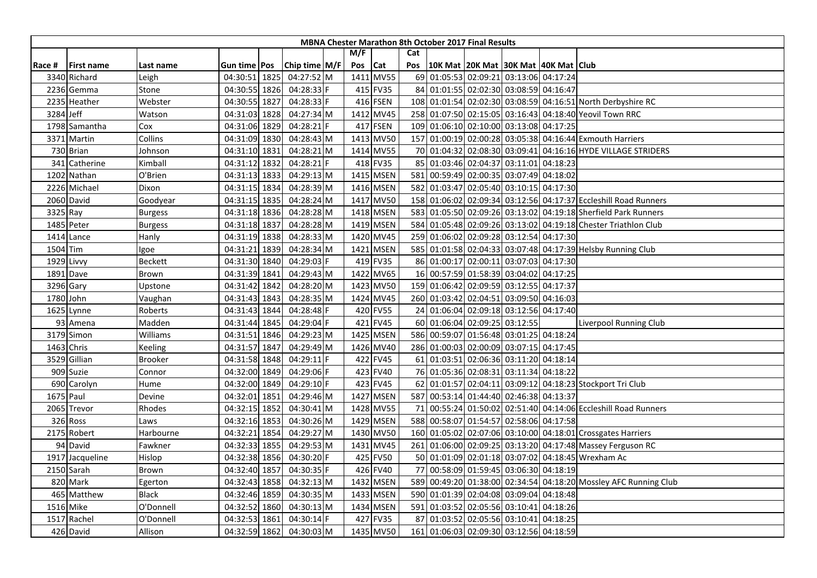|           |                   |                |                     |               |     |            |     | <b>MBNA Chester Marathon 8th October 2017 Final Results</b> |  |                                                                  |
|-----------|-------------------|----------------|---------------------|---------------|-----|------------|-----|-------------------------------------------------------------|--|------------------------------------------------------------------|
|           |                   |                |                     |               | M/F |            | Cat |                                                             |  |                                                                  |
| Race #    | <b>First name</b> | Last name      | Gun time <b>Pos</b> | Chip time M/F | Pos | <b>Cat</b> | Pos | 10K Mat   20K Mat   30K Mat   40K Mat   Club                |  |                                                                  |
|           | 3340 Richard      | Leigh          | 04:30:51 1825       | 04:27:52 M    |     | 1411 MV55  |     | 69 01:05:53 02:09:21 03:13:06 04:17:24                      |  |                                                                  |
|           | 2236 Gemma        | Stone          | 04:30:55 1826       | 04:28:33 F    |     | 415 FV35   |     | 84 01:01:55 02:02:30 03:08:59 04:16:47                      |  |                                                                  |
|           | 2235 Heather      | Webster        | 04:30:55 1827       | $04:28:33$ F  |     | 416 FSEN   |     |                                                             |  | 108 01:01:54 02:02:30 03:08:59 04:16:51 North Derbyshire RC      |
| 3284 Jeff |                   | Watson         | 04:31:03 1828       | 04:27:34 M    |     | 1412 MV45  |     |                                                             |  | 258 01:07:50 02:15:05 03:16:43 04:18:40 Yeovil Town RRC          |
|           | 1798 Samantha     | Cox            | 04:31:06 1829       | 04:28:21 F    |     | 417 FSEN   |     | 109 01:06:10 02:10:00 03:13:08 04:17:25                     |  |                                                                  |
|           | 3371 Martin       | Collins        | 04:31:09 1830       | 04:28:43 M    |     | 1413 MV50  | 157 |                                                             |  | 01:00:19 02:00:28 03:05:38 04:16:44 Exmouth Harriers             |
|           | 730 Brian         | Johnson        | 04:31:10 1831       | 04:28:21 M    |     | 1414 MV55  |     |                                                             |  | 70 01:04:32 02:08:30 03:09:41 04:16:16 HYDE VILLAGE STRIDERS     |
| 341       | Catherine         | Kimball        | 04:31:12 1832       | 04:28:21 F    |     | 418 FV35   |     | 85 01:03:46 02:04:37 03:11:01 04:18:23                      |  |                                                                  |
|           | 1202 Nathan       | O'Brien        | 04:31:13 1833       | 04:29:13 M    |     | 1415 MSEN  |     | 581 00:59:49 02:00:35 03:07:49 04:18:02                     |  |                                                                  |
|           | 2226 Michael      | Dixon          | 04:31:15 1834       | 04:28:39 M    |     | 1416 MSEN  |     | 582 01:03:47 02:05:40 03:10:15 04:17:30                     |  |                                                                  |
|           | 2060 David        | Goodyear       | 04:31:15 1835       | 04:28:24 M    |     | 1417 MV50  |     |                                                             |  | 158 01:06:02 02:09:34 03:12:56 04:17:37 Eccleshill Road Runners  |
|           | 3325 Ray          | <b>Burgess</b> | 04:31:18 1836       | 04:28:28 M    |     | 1418 MSEN  |     |                                                             |  | 583 01:05:50 02:09:26 03:13:02 04:19:18 Sherfield Park Runners   |
|           | 1485 Peter        | <b>Burgess</b> | 04:31:18 1837       | 04:28:28 M    |     | 1419 MSEN  |     |                                                             |  | 584 01:05:48 02:09:26 03:13:02 04:19:18 Chester Triathlon Club   |
|           | 1414 Lance        | Hanly          | 04:31:19 1838       | 04:28:33 M    |     | 1420 MV45  |     | 259 01:06:02 02:09:28 03:12:54 04:17:30                     |  |                                                                  |
|           | 1504 Tim          | lgoe           | 04:31:21 1839       | 04:28:34 M    |     | 1421 MSEN  |     |                                                             |  | 585 01:01:58 02:04:33 03:07:48 04:17:39 Helsby Running Club      |
|           | 1929 Livvy        | <b>Beckett</b> | 04:31:30 1840       | 04:29:03 F    |     | 419 FV35   |     | 86 01:00:17 02:00:11 03:07:03 04:17:30                      |  |                                                                  |
|           | 1891 Dave         | Brown          | 04:31:39 1841       | 04:29:43 M    |     | 1422 MV65  |     | 16 00:57:59 01:58:39 03:04:02 04:17:25                      |  |                                                                  |
|           | 3296 Gary         | Upstone        | 04:31:42 1842       | 04:28:20 M    |     | 1423 MV50  |     | 159 01:06:42 02:09:59 03:12:55 04:17:37                     |  |                                                                  |
|           | 1780 John         | Vaughan        | 04:31:43 1843       | 04:28:35 M    |     | 1424 MV45  |     | 260 01:03:42 02:04:51 03:09:50 04:16:03                     |  |                                                                  |
|           | 1625 Lynne        | Roberts        | 04:31:43 1844       | 04:28:48 F    |     | 420 FV55   |     | 24 01:06:04 02:09:18 03:12:56 04:17:40                      |  |                                                                  |
|           | 93 Amena          | Madden         | 04:31:44 1845       | 04:29:04 F    |     | 421 FV45   |     | 60 01:06:04 02:09:25 03:12:55                               |  | Liverpool Running Club                                           |
|           | 3179 Simon        | Williams       | 04:31:51 1846       | 04:29:23 M    |     | 1425 MSEN  |     | 586 00:59:07 01:56:48 03:01:25 04:18:24                     |  |                                                                  |
|           | 1463 Chris        | Keeling        | 04:31:57 1847       | 04:29:49 M    |     | 1426 MV40  |     | 286 01:00:03 02:00:09 03:07:15 04:17:45                     |  |                                                                  |
|           | 3529 Gillian      | <b>Brooker</b> | 04:31:58 1848       | 04:29:11 F    |     | 422 FV45   |     | 61 01:03:51 02:06:36 03:11:20 04:18:14                      |  |                                                                  |
|           | 909 Suzie         | Connor         | 04:32:00 1849       | 04:29:06 F    |     | 423 FV40   |     | 76 01:05:36 02:08:31 03:11:34 04:18:22                      |  |                                                                  |
|           | 690 Carolyn       | Hume           | 04:32:00 1849       | 04:29:10 F    |     | 423 FV45   |     |                                                             |  | 62 01:01:57 02:04:11 03:09:12 04:18:23 Stockport Tri Club        |
|           | 1675 Paul         | Devine         | 04:32:01 1851       | 04:29:46 M    |     | 1427 MSEN  |     | 587 00:53:14 01:44:40 02:46:38 04:13:37                     |  |                                                                  |
|           | 2065 Trevor       | Rhodes         | 04:32:15 1852       | 04:30:41 M    |     | 1428 MV55  | 71  |                                                             |  | 00:55:24 01:50:02 02:51:40 04:14:06 Eccleshill Road Runners      |
|           | 326 Ross          | Laws           | 04:32:16 1853       | 04:30:26 M    |     | 1429 MSEN  |     | 588 00:58:07 01:54:57 02:58:06 04:17:58                     |  |                                                                  |
|           | 2175 Robert       | Harbourne      | 04:32:21 1854       | 04:29:27 M    |     | 1430 MV50  |     |                                                             |  | 160 01:05:02 02:07:06 03:10:00 04:18:01 Crossgates Harriers      |
|           | 94 David          | Fawkner        | 04:32:33 1855       | 04:29:53 M    |     | 1431 MV45  |     |                                                             |  | 261 01:06:00 02:09:25 03:13:20 04:17:48 Massey Ferguson RC       |
|           | 1917 Jacqueline   | Hislop         | 04:32:38 1856       | 04:30:20 F    |     | 425 FV50   |     |                                                             |  | 50 01:01:09 02:01:18 03:07:02 04:18:45 Wrexham Ac                |
|           | 2150 Sarah        | Brown          | 04:32:40 1857       | 04:30:35 F    |     | 426 FV40   |     | 77 00:58:09 01:59:45 03:06:30 04:18:19                      |  |                                                                  |
|           | 820 Mark          | Egerton        | 04:32:43 1858       | 04:32:13 M    |     | 1432 MSEN  |     |                                                             |  | 589 00:49:20 01:38:00 02:34:54 04:18:20 Mossley AFC Running Club |
|           | 465 Matthew       | <b>Black</b>   | 04:32:46 1859       | 04:30:35 M    |     | 1433 MSEN  |     | 590 01:01:39 02:04:08 03:09:04 04:18:48                     |  |                                                                  |
|           | 1516 Mike         | O'Donnell      | 04:32:52 1860       | 04:30:13 M    |     | 1434 MSEN  |     | 591 01:03:52 02:05:56 03:10:41 04:18:26                     |  |                                                                  |
|           | 1517 Rachel       | O'Donnell      | 04:32:53 1861       | $04:30:14$ F  |     | 427 FV35   | 87  | 01:03:52 02:05:56 03:10:41 04:18:25                         |  |                                                                  |
|           | 426 David         | Allison        | 04:32:59 1862       | 04:30:03 M    |     | 1435 MV50  | 161 | 01:06:03 02:09:30 03:12:56 04:18:59                         |  |                                                                  |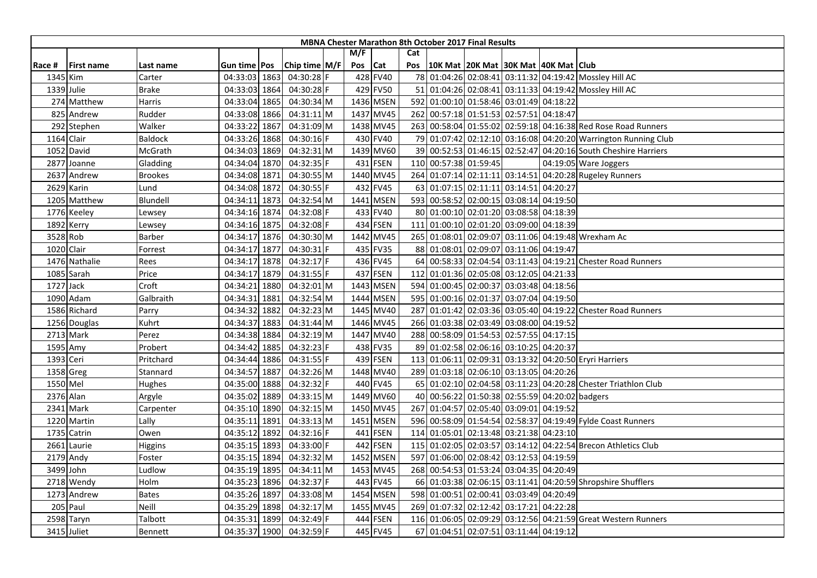|          |                   |                |                |                 |         |           |     | <b>MBNA Chester Marathon 8th October 2017 Final Results</b> |                                     |  |                                                                |
|----------|-------------------|----------------|----------------|-----------------|---------|-----------|-----|-------------------------------------------------------------|-------------------------------------|--|----------------------------------------------------------------|
|          |                   |                |                |                 | M/F     |           | Cat |                                                             |                                     |  |                                                                |
| Race #   | <b>First name</b> | Last name      | Gun time   Pos | Chip time $M/F$ | Pos Cat |           | Pos | 10K Mat  20K Mat  30K Mat  40K Mat   Club                   |                                     |  |                                                                |
|          | 1345 Kim          | Carter         | 04:33:03 1863  | 04:30:28 F      |         | 428 FV40  |     |                                                             |                                     |  | 78 01:04:26 02:08:41 03:11:32 04:19:42 Mossley Hill AC         |
|          | 1339 Julie        | <b>Brake</b>   | 04:33:03 1864  | 04:30:28 F      |         | 429 FV50  | 51  |                                                             |                                     |  | 01:04:26 02:08:41 03:11:33 04:19:42 Mossley Hill AC            |
|          | 274 Matthew       | Harris         | 04:33:04 1865  | 04:30:34 M      |         | 1436 MSEN |     | 592 01:00:10 01:58:46 03:01:49 04:18:22                     |                                     |  |                                                                |
|          | 825 Andrew        | Rudder         | 04:33:08 1866  | 04:31:11 M      |         | 1437 MV45 |     | 262 00:57:18 01:51:53 02:57:51 04:18:47                     |                                     |  |                                                                |
|          | 292 Stephen       | Walker         | 04:33:22 1867  | 04:31:09 M      |         | 1438 MV45 |     |                                                             |                                     |  | 263 00:58:04 01:55:02 02:59:18 04:16:38 Red Rose Road Runners  |
|          | 1164 Clair        | Baldock        | 04:33:26 1868  | 04:30:16 F      |         | 430 FV40  |     |                                                             |                                     |  | 79 01:07:42 02:12:10 03:16:08 04:20:20 Warrington Running Club |
|          | 1052 David        | McGrath        | 04:34:03 1869  | 04:32:31 M      |         | 1439 MV60 |     |                                                             |                                     |  | 39 00:52:53 01:46:15 02:52:47 04:20:16 South Cheshire Harriers |
|          | 2877 Joanne       | Gladding       | 04:34:04 1870  | 04:32:35 F      |         | 431 FSEN  |     | 110 00:57:38 01:59:45                                       |                                     |  | 04:19:05 Ware Joggers                                          |
|          | 2637 Andrew       | <b>Brookes</b> | 04:34:08 1871  | 04:30:55 M      |         | 1440 MV45 |     |                                                             |                                     |  | 264 01:07:14 02:11:11 03:14:51 04:20:28 Rugeley Runners        |
|          | 2629 Karin        | Lund           | 04:34:08 1872  | 04:30:55 F      |         | 432 FV45  |     | 63 01:07:15 02:11:11 03:14:51 04:20:27                      |                                     |  |                                                                |
|          | 1205 Matthew      | Blundell       | 04:34:11 1873  | 04:32:54 M      |         | 1441 MSEN |     | 593 00:58:52 02:00:15 03:08:14 04:19:50                     |                                     |  |                                                                |
|          | 1776 Keeley       | Lewsey         | 04:34:16 1874  | 04:32:08 F      |         | 433 FV40  |     | 80 01:00:10 02:01:20 03:08:58 04:18:39                      |                                     |  |                                                                |
|          | 1892 Kerry        | Lewsey         | 04:34:16 1875  | 04:32:08 F      |         | 434 FSEN  | 111 |                                                             | 01:00:10 02:01:20 03:09:00 04:18:39 |  |                                                                |
|          | 3528 Rob          | Barber         | 04:34:17 1876  | 04:30:30 M      |         | 1442 MV45 |     |                                                             |                                     |  | 265 01:08:01 02:09:07 03:11:06 04:19:48 Wrexham Ac             |
|          | 1020 Clair        | Forrest        | 04:34:17 1877  | 04:30:31 F      |         | 435 FV35  |     | 88 01:08:01 02:09:07 03:11:06 04:19:47                      |                                     |  |                                                                |
|          | 1476 Nathalie     | Rees           | 04:34:17 1878  | 04:32:17 F      |         | 436 FV45  |     |                                                             |                                     |  | 64 00:58:33 02:04:54 03:11:43 04:19:21 Chester Road Runners    |
|          | 1085 Sarah        | Price          | 04:34:17 1879  | 04:31:55 F      |         | 437 FSEN  | 112 |                                                             | 01:01:36 02:05:08 03:12:05 04:21:33 |  |                                                                |
|          | 1727 Jack         | Croft          | 04:34:21 1880  | 04:32:01 M      |         | 1443 MSEN |     | 594 01:00:45 02:00:37 03:03:48 04:18:56                     |                                     |  |                                                                |
|          | 1090 Adam         | Galbraith      | 04:34:31 1881  | 04:32:54 M      |         | 1444 MSEN |     | 595 01:00:16 02:01:37 03:07:04 04:19:50                     |                                     |  |                                                                |
|          | 1586 Richard      | Parry          | 04:34:32 1882  | 04:32:23 M      |         | 1445 MV40 |     |                                                             |                                     |  | 287 01:01:42 02:03:36 03:05:40 04:19:22 Chester Road Runners   |
|          | 1256 Douglas      | Kuhrt          | 04:34:37 1883  | 04:31:44 M      |         | 1446 MV45 |     | 266 01:03:38 02:03:49 03:08:00 04:19:52                     |                                     |  |                                                                |
|          | 2713 Mark         | Perez          | 04:34:38 1884  | 04:32:19 M      |         | 1447 MV40 |     | 288 00:58:09 01:54:53 02:57:55 04:17:15                     |                                     |  |                                                                |
|          | 1595 Amy          | Probert        | 04:34:42 1885  | 04:32:23 F      |         | 438 FV35  |     | 89 01:02:58 02:06:16 03:10:25 04:20:37                      |                                     |  |                                                                |
|          | 1393 Ceri         | Pritchard      | 04:34:44 1886  | 04:31:55 F      |         | 439 FSEN  |     |                                                             |                                     |  | 113 01:06:11 02:09:31 03:13:32 04:20:50 Eryri Harriers         |
|          | 1358 Greg         | Stannard       | 04:34:57 1887  | 04:32:26 M      |         | 1448 MV40 |     | 289 01:03:18 02:06:10 03:13:05 04:20:26                     |                                     |  |                                                                |
| 1550 Mel |                   | Hughes         | 04:35:00 1888  | 04:32:32 F      |         | 440 FV45  |     |                                                             |                                     |  | 65 01:02:10 02:04:58 03:11:23 04:20:28 Chester Triathlon Club  |
|          | 2376 Alan         | Argyle         | 04:35:02 1889  | 04:33:15 M      |         | 1449 MV60 |     | 40 00:56:22 01:50:38 02:55:59 04:20:02 badgers              |                                     |  |                                                                |
|          | 2341 Mark         | Carpenter      | 04:35:10 1890  | 04:32:15 M      |         | 1450 MV45 | 267 |                                                             | 01:04:57 02:05:40 03:09:01 04:19:52 |  |                                                                |
|          | 1220 Martin       | Lally          | 04:35:11 1891  | 04:33:13 M      |         | 1451 MSEN |     |                                                             |                                     |  | 596 00:58:09 01:54:54 02:58:37 04:19:49 Fylde Coast Runners    |
|          | 1735 Catrin       | Owen           | 04:35:12 1892  | 04:32:16 F      |         | 441 FSEN  |     | 114 01:05:01 02:13:48 03:21:38 04:23:10                     |                                     |  |                                                                |
|          | 2661 Laurie       | Higgins        | 04:35:15 1893  | 04:33:00 F      |         | 442 FSEN  |     |                                                             |                                     |  | 115 01:02:05 02:03:57 03:14:12 04:22:54 Brecon Athletics Club  |
|          | 2179 Andy         | Foster         | 04:35:15 1894  | 04:32:32 M      |         | 1452 MSEN |     | 597 01:06:00 02:08:42 03:12:53 04:19:59                     |                                     |  |                                                                |
|          | 3499 John         | Ludlow         | 04:35:19 1895  | 04:34:11 M      |         | 1453 MV45 |     | 268 00:54:53 01:53:24 03:04:35 04:20:49                     |                                     |  |                                                                |
|          | 2718 Wendy        | Holm           | 04:35:23 1896  | 04:32:37 F      |         | 443 FV45  |     |                                                             |                                     |  | 66 01:03:38 02:06:15 03:11:41 04:20:59 Shropshire Shufflers    |
|          | 1273 Andrew       | <b>Bates</b>   | 04:35:26 1897  | 04:33:08 M      |         | 1454 MSEN |     | 598 01:00:51 02:00:41 03:03:49 04:20:49                     |                                     |  |                                                                |
|          | 205 Paul          | Neill          | 04:35:29 1898  | 04:32:17 M      |         | 1455 MV45 |     | 269 01:07:32 02:12:42 03:17:21 04:22:28                     |                                     |  |                                                                |
|          | 2598 Taryn        | Talbott        | 04:35:31 1899  | 04:32:49 F      |         | 444 FSEN  |     |                                                             |                                     |  | 116 01:06:05 02:09:29 03:12:56 04:21:59 Great Western Runners  |
|          | 3415 Juliet       | <b>Bennett</b> | 04:35:37 1900  | 04:32:59 F      |         | 445 FV45  |     | 67 01:04:51 02:07:51 03:11:44 04:19:12                      |                                     |  |                                                                |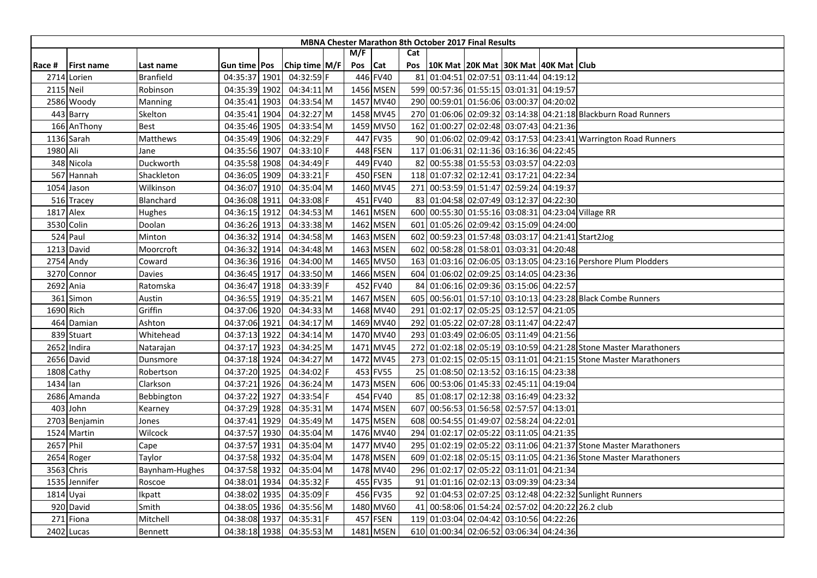|           |                   |                  |               |               |         |           |     | <b>MBNA Chester Marathon 8th October 2017 Final Results</b> |                                              |  |                                                                  |
|-----------|-------------------|------------------|---------------|---------------|---------|-----------|-----|-------------------------------------------------------------|----------------------------------------------|--|------------------------------------------------------------------|
|           |                   |                  |               |               | M/F     |           | Cat |                                                             |                                              |  |                                                                  |
| Race #    | <b>First name</b> | Last name        | Gun time Pos  | Chip time M/F | Pos Cat |           | Pos |                                                             | 10K Mat   20K Mat   30K Mat   40K Mat   Club |  |                                                                  |
|           | 2714 Lorien       | <b>Branfield</b> | 04:35:37 1901 | 04:32:59 F    |         | 446 FV40  | 81  | 01:04:51 02:07:51 03:11:44 04:19:12                         |                                              |  |                                                                  |
| 2115 Neil |                   | Robinson         | 04:35:39 1902 | 04:34:11 M    |         | 1456 MSEN |     | 599 00:57:36 01:55:15 03:01:31 04:19:57                     |                                              |  |                                                                  |
|           | 2586 Woody        | <b>Manning</b>   | 04:35:41 1903 | 04:33:54 M    |         | 1457 MV40 |     | 290 00:59:01 01:56:06 03:00:37 04:20:02                     |                                              |  |                                                                  |
|           | 443 Barry         | Skelton          | 04:35:41 1904 | 04:32:27 M    |         | 1458 MV45 |     |                                                             |                                              |  | 270 01:06:06 02:09:32 03:14:38 04:21:18 Blackburn Road Runners   |
|           | 166 AnThony       | Best             | 04:35:46 1905 | 04:33:54 M    |         | 1459 MV50 |     | 162 01:00:27 02:02:48 03:07:43 04:21:36                     |                                              |  |                                                                  |
|           | 1136 Sarah        | Matthews         | 04:35:49 1906 | 04:32:29 F    |         | 447 FV35  |     |                                                             |                                              |  | 90 01:06:02 02:09:42 03:17:53 04:23:41 Warrington Road Runners   |
| 1980 Ali  |                   | Jane             | 04:35:56 1907 | 04:33:10 F    |         | 448 FSEN  |     | 117 01:06:31 02:11:36 03:16:36 04:22:45                     |                                              |  |                                                                  |
|           | 348 Nicola        | Duckworth        | 04:35:58 1908 | 04:34:49 F    |         | 449 FV40  |     | 82 00:55:38 01:55:53 03:03:57 04:22:03                      |                                              |  |                                                                  |
|           | 567 Hannah        | Shackleton       | 04:36:05 1909 | $04:33:21$  F |         | 450 FSEN  |     | 118 01:07:32 02:12:41 03:17:21 04:22:34                     |                                              |  |                                                                  |
|           | 1054 Jason        | Wilkinson        | 04:36:07 1910 | 04:35:04 M    |         | 1460 MV45 |     | 271 00:53:59 01:51:47 02:59:24 04:19:37                     |                                              |  |                                                                  |
|           | 516 Tracey        | Blanchard        | 04:36:08 1911 | 04:33:08 F    |         | 451 FV40  |     | 83 01:04:58 02:07:49 03:12:37 04:22:30                      |                                              |  |                                                                  |
|           | <b>1817</b> Alex  | Hughes           | 04:36:15 1912 | 04:34:53 M    |         | 1461 MSEN |     |                                                             |                                              |  | 600 00:55:30 01:55:16 03:08:31 04:23:04 Village RR               |
|           | 3530 Colin        | Doolan           | 04:36:26 1913 | 04:33:38 M    |         | 1462 MSEN | 601 | 01:05:26 02:09:42 03:15:09 04:24:00                         |                                              |  |                                                                  |
|           | 524 Paul          | Minton           | 04:36:32 1914 | 04:34:58 M    |         | 1463 MSEN |     |                                                             |                                              |  | 602 00:59:23 01:57:48 03:03:17 04:21:41 Start2Jog                |
|           | 1213 David        | Moorcroft        | 04:36:32 1914 | 04:34:48 M    |         | 1463 MSEN | 602 | 00:58:28 01:58:01 03:03:31 04:20:48                         |                                              |  |                                                                  |
|           | 2754 Andy         | Coward           | 04:36:36 1916 | 04:34:00 M    |         | 1465 MV50 |     |                                                             |                                              |  | 163 01:03:16 02:06:05 03:13:05 04:23:16 Pershore Plum Plodders   |
|           | 3270 Connor       | Davies           | 04:36:45 1917 | 04:33:50 M    |         | 1466 MSEN | 604 |                                                             | 01:06:02 02:09:25 03:14:05 04:23:36          |  |                                                                  |
|           | 2692 Ania         | Ratomska         | 04:36:47 1918 | 04:33:39 F    |         | 452 FV40  | 84  |                                                             | 01:06:16 02:09:36 03:15:06 04:22:57          |  |                                                                  |
|           | 361 Simon         | Austin           | 04:36:55 1919 | 04:35:21 M    |         | 1467 MSEN |     |                                                             |                                              |  | 605 00:56:01 01:57:10 03:10:13 04:23:28 Black Combe Runners      |
|           | 1690 Rich         | Griffin          | 04:37:06 1920 | 04:34:33 M    |         | 1468 MV40 | 291 |                                                             | 01:02:17 02:05:25 03:12:57 04:21:05          |  |                                                                  |
|           | 464 Damian        | Ashton           | 04:37:06 1921 | 04:34:17 M    |         | 1469 MV40 |     | 292 01:05:22 02:07:28 03:11:47 04:22:47                     |                                              |  |                                                                  |
|           | 839 Stuart        | Whitehead        | 04:37:13 1922 | 04:34:14 M    |         | 1470 MV40 | 293 | 01:03:49 02:06:05 03:11:49 04:21:56                         |                                              |  |                                                                  |
|           | 2652 Indira       | Natarajan        | 04:37:17 1923 | 04:34:25 M    |         | 1471 MV45 | 272 |                                                             |                                              |  | 01:02:18 02:05:19 03:10:59 04:21:28 Stone Master Marathoners     |
|           | 2656 David        | Dunsmore         | 04:37:18 1924 | 04:34:27 M    |         | 1472 MV45 |     |                                                             |                                              |  | 273 01:02:15 02:05:15 03:11:01 04:21:15 Stone Master Marathoners |
|           | 1808 Cathy        | Robertson        | 04:37:20 1925 | 04:34:02 F    |         | 453 FV55  | 25  | 01:08:50 02:13:52 03:16:15 04:23:38                         |                                              |  |                                                                  |
| 1434 Ian  |                   | Clarkson         | 04:37:21 1926 | 04:36:24 M    |         | 1473 MSEN |     | 606 00:53:06 01:45:33 02:45:11 04:19:04                     |                                              |  |                                                                  |
|           | 2686 Amanda       | Bebbington       | 04:37:22 1927 | 04:33:54 F    |         | 454 FV40  |     | 85 01:08:17 02:12:38 03:16:49 04:23:32                      |                                              |  |                                                                  |
|           | 403 John          | Kearney          | 04:37:29 1928 | 04:35:31 M    |         | 1474 MSEN | 607 |                                                             | 00:56:53 01:56:58 02:57:57 04:13:01          |  |                                                                  |
|           | 2703 Benjamin     | Jones            | 04:37:41 1929 | 04:35:49 M    |         | 1475 MSEN | 608 |                                                             | 00:54:55 01:49:07 02:58:24 04:22:01          |  |                                                                  |
|           | 1524 Martin       | Wilcock          | 04:37:57 1930 | 04:35:04 M    |         | 1476 MV40 | 294 | 01:02:17 02:05:22 03:11:05 04:21:35                         |                                              |  |                                                                  |
| 2657 Phil |                   | Cape             | 04:37:57 1931 | 04:35:04 M    |         | 1477 MV40 |     |                                                             |                                              |  | 295 01:02:19 02:05:22 03:11:06 04:21:37 Stone Master Marathoners |
|           | 2654 Roger        | Taylor           | 04:37:58 1932 | 04:35:04 M    |         | 1478 MSEN |     |                                                             |                                              |  | 609 01:02:18 02:05:15 03:11:05 04:21:36 Stone Master Marathoners |
|           | 3563 Chris        | Baynham-Hughes   | 04:37:58 1932 | 04:35:04 M    |         | 1478 MV40 |     | 296 01:02:17 02:05:22 03:11:01 04:21:34                     |                                              |  |                                                                  |
|           | 1535 Jennifer     | Roscoe           | 04:38:01 1934 | 04:35:32 F    |         | 455 FV35  |     | 91 01:01:16 02:02:13 03:09:39 04:23:34                      |                                              |  |                                                                  |
|           | 1814 Uyai         | Ikpatt           | 04:38:02 1935 | 04:35:09 F    |         | 456 FV35  |     |                                                             |                                              |  | 92 01:04:53 02:07:25 03:12:48 04:22:32 Sunlight Runners          |
|           | 920 David         | Smith            | 04:38:05 1936 | 04:35:56 M    |         | 1480 MV60 |     | 41 00:58:06 01:54:24 02:57:02 04:20:22 26.2 club            |                                              |  |                                                                  |
| 271       | Fiona             | Mitchell         | 04:38:08 1937 | 04:35:31 F    |         | 457 FSEN  |     | 119 01:03:04 02:04:42 03:10:56 04:22:26                     |                                              |  |                                                                  |
|           | 2402 Lucas        | Bennett          | 04:38:18 1938 | 04:35:53 M    |         | 1481 MSEN |     | 610 01:00:34 02:06:52 03:06:34 04:24:36                     |                                              |  |                                                                  |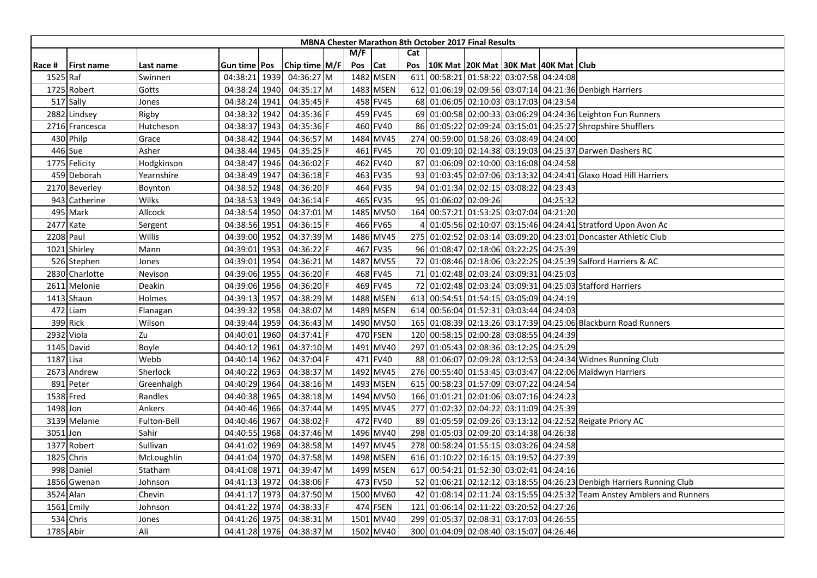|           |                   |             |                     |      |               |     |           |     | <b>MBNA Chester Marathon 8th October 2017 Final Results</b> |                                     |          |                                                                        |
|-----------|-------------------|-------------|---------------------|------|---------------|-----|-----------|-----|-------------------------------------------------------------|-------------------------------------|----------|------------------------------------------------------------------------|
|           |                   |             |                     |      |               | M/F |           | Cat |                                                             |                                     |          |                                                                        |
| Race #    | <b>First name</b> | Last name   | Gun time <b>Pos</b> |      | Chip time M/F | Pos | Cat       | Pos | 10K Mat 20K Mat 30K Mat 40K Mat Club                        |                                     |          |                                                                        |
| 1525 Raf  |                   | Swinnen     | 04:38:21 1939       |      | 04:36:27 M    |     | 1482 MSEN | 611 | 00:58:21 01:58:22 03:07:58 04:24:08                         |                                     |          |                                                                        |
|           | 1725 Robert       | Gotts       | 04:38:24 1940       |      | 04:35:17 M    |     | 1483 MSEN |     |                                                             |                                     |          | 612 01:06:19 02:09:56 03:07:14 04:21:36 Denbigh Harriers               |
|           | 517 Sally         | Jones       | 04:38:24 1941       |      | 04:35:45 F    |     | 458 FV45  |     | 68 01:06:05 02:10:03 03:17:03 04:23:54                      |                                     |          |                                                                        |
|           | 2882 Lindsey      | Rigby       | 04:38:32 1942       |      | 04:35:36 F    |     | 459 FV45  |     |                                                             |                                     |          | 69 01:00:58 02:00:33 03:06:29 04:24:36 Leighton Fun Runners            |
|           | 2716 Francesca    | Hutcheson   | 04:38:37 1943       |      | 04:35:36 F    |     | 460 FV40  |     |                                                             |                                     |          | 86 01:05:22 02:09:24 03:15:01 04:25:27 Shropshire Shufflers            |
|           | 430 Philp         | Grace       | 04:38:42 1944       |      | 04:36:57 M    |     | 1484 MV45 |     | 274 00:59:00 01:58:26 03:08:49 04:24:00                     |                                     |          |                                                                        |
|           | 446 Sue           | Asher       | 04:38:44 1945       |      | 04:35:25 F    |     | 461 FV45  |     |                                                             |                                     |          | 70 01:09:10 02:14:38 03:19:03 04:25:37 Darwen Dashers RC               |
|           | 1775 Felicity     | Hodgkinson  | 04:38:47 1946       |      | 04:36:02 F    |     | 462 FV40  |     | 87 01:06:09 02:10:00 03:16:08 04:24:58                      |                                     |          |                                                                        |
|           | 459 Deborah       | Yearnshire  | 04:38:49 1947       |      | 04:36:18 F    |     | 463 FV35  |     |                                                             |                                     |          | 93 01:03:45 02:07:06 03:13:32 04:24:41 Glaxo Hoad Hill Harriers        |
|           | 2170 Beverley     | Boynton     | 04:38:52 1948       |      | 04:36:20 F    |     | 464 FV35  |     | 94 01:01:34 02:02:15 03:08:22 04:23:43                      |                                     |          |                                                                        |
|           | 943 Catherine     | Wilks       | 04:38:53 1949       |      | 04:36:14 F    |     | 465 FV35  |     | 95 01:06:02 02:09:26                                        |                                     | 04:25:32 |                                                                        |
|           | 495 Mark          | Allcock     | 04:38:54 1950       |      | 04:37:01 M    |     | 1485 MV50 |     | 164 00:57:21 01:53:25 03:07:04 04:21:20                     |                                     |          |                                                                        |
|           | 2477 Kate         | Sergent     | 04:38:56 1951       |      | 04:36:15 F    |     | 466 FV65  |     |                                                             |                                     |          | 01:05:56 02:10:07 03:15:46 04:24:41 Stratford Upon Avon Ac             |
|           | 2208 Paul         | Willis      | 04:39:00 1952       |      | 04:37:39 M    |     | 1486 MV45 |     |                                                             |                                     |          | 275 01:02:52 02:03:14 03:09:20 04:23:01 Doncaster Athletic Club        |
|           | 1021 Shirley      | Mann        | 04:39:01 1953       |      | 04:36:22 F    |     | 467 FV35  |     | 96 01:08:47 02:18:06 03:22:25 04:25:39                      |                                     |          |                                                                        |
|           | 526 Stephen       | Jones       | 04:39:01 1954       |      | 04:36:21 M    |     | 1487 MV55 |     |                                                             |                                     |          | 72 01:08:46 02:18:06 03:22:25 04:25:39 Salford Harriers & AC           |
|           | 2830 Charlotte    | Nevison     | 04:39:06 1955       |      | 04:36:20 F    |     | 468 FV45  |     | 71 01:02:48 02:03:24 03:09:31 04:25:03                      |                                     |          |                                                                        |
|           | 2611 Melonie      | Deakin      | 04:39:06 1956       |      | 04:36:20 F    |     | 469 FV45  |     |                                                             |                                     |          | 72 01:02:48 02:03:24 03:09:31 04:25:03 Stafford Harriers               |
|           | 1413 Shaun        | Holmes      | 04:39:13 1957       |      | 04:38:29 M    |     | 1488 MSEN |     | 613 00:54:51 01:54:15 03:05:09 04:24:19                     |                                     |          |                                                                        |
|           | 472 Liam          | Flanagan    | 04:39:32 1958       |      | 04:38:07 M    |     | 1489 MSEN |     | 614 00:56:04 01:52:31 03:03:44 04:24:03                     |                                     |          |                                                                        |
|           | 399 Rick          | Wilson      | 04:39:44 1959       |      | 04:36:43 M    |     | 1490 MV50 |     |                                                             |                                     |          | 165 01:08:39 02:13:26 03:17:39 04:25:06 Blackburn Road Runners         |
|           | 2932 Viola        | Zu          | 04:40:01 1960       |      | 04:37:41 F    |     | 470 FSEN  |     | 120 00:58:15 02:00:28 03:08:55 04:24:39                     |                                     |          |                                                                        |
|           | 1145 David        | Boyle       | 04:40:12            | 1961 | 04:37:10 M    |     | 1491 MV40 |     | 297 01:05:43 02:08:36 03:12:25 04:25:29                     |                                     |          |                                                                        |
| 1187 Lisa |                   | Webb        | 04:40:14 1962       |      | 04:37:04 F    |     | 471 FV40  |     |                                                             |                                     |          | 88 01:06:07 02:09:28 03:12:53 04:24:34 Widnes Running Club             |
|           | 2673 Andrew       | Sherlock    | 04:40:22 1963       |      | 04:38:37 M    |     | 1492 MV45 |     |                                                             |                                     |          | 276 00:55:40 01:53:45 03:03:47 04:22:06 Maldwyn Harriers               |
|           | 891 Peter         | Greenhalgh  | 04:40:29 1964       |      | 04:38:16 M    |     | 1493 MSEN |     | 615 00:58:23 01:57:09 03:07:22 04:24:54                     |                                     |          |                                                                        |
|           | 1538 Fred         | Randles     | 04:40:38 1965       |      | 04:38:18 M    |     | 1494 MV50 |     | 166 01:01:21 02:01:06 03:07:16 04:24:23                     |                                     |          |                                                                        |
| 1498 Jon  |                   | Ankers      | 04:40:46 1966       |      | 04:37:44 M    |     | 1495 MV45 | 277 |                                                             | 01:02:32 02:04:22 03:11:09 04:25:39 |          |                                                                        |
|           | 3139 Melanie      | Fulton-Bell | 04:40:46 1967       |      | 04:38:02 F    |     | 472 FV40  |     |                                                             |                                     |          | 89 01:05:59 02:09:26 03:13:12 04:22:52 Reigate Priory AC               |
| 3051 Jon  |                   | Sahir       | 04:40:55 1968       |      | 04:37:46 M    |     | 1496 MV40 |     | 298 01:05:03 02:09:20 03:14:38 04:26:38                     |                                     |          |                                                                        |
|           | 1377 Robert       | Sullivan    | 04:41:02 1969       |      | 04:38:58 M    |     | 1497 MV45 |     | 278 00:58:24 01:55:15 03:03:26 04:24:58                     |                                     |          |                                                                        |
|           | 1825 Chris        | McLoughlin  | 04:41:04 1970       |      | 04:37:58 M    |     | 1498 MSEN |     | 616 01:10:22 02:16:15 03:19:52 04:27:39                     |                                     |          |                                                                        |
|           | 998 Daniel        | Statham     | 04:41:08 1971       |      | 04:39:47 M    |     | 1499 MSEN |     | 617 00:54:21 01:52:30 03:02:41 04:24:16                     |                                     |          |                                                                        |
|           | 1856 Gwenan       | Johnson     | 04:41:13 1972       |      | 04:38:06 F    |     | 473 FV50  |     |                                                             |                                     |          | 52 01:06:21 02:12:12 03:18:55 04:26:23 Denbigh Harriers Running Club   |
|           | 3524 Alan         | Chevin      | 04:41:17 1973       |      | 04:37:50 M    |     | 1500 MV60 |     |                                                             |                                     |          | 42 01:08:14 02:11:24 03:15:55 04:25:32 Team Anstey Amblers and Runners |
|           | 1561 Emily        | Johnson     | 04:41:22 1974       |      | 04:38:33 F    |     | 474 FSEN  |     | 121 01:06:14 02:11:22 03:20:52 04:27:26                     |                                     |          |                                                                        |
|           | 534 Chris         | Jones       | 04:41:26 1975       |      | 04:38:31 M    |     | 1501 MV40 |     | 299 01:05:37 02:08:31 03:17:03 04:26:55                     |                                     |          |                                                                        |
|           | 1785 Abir         | Ali         | 04:41:28 1976       |      | 04:38:37 M    |     | 1502 MV40 |     | 300 01:04:09 02:08:40 03:15:07 04:26:46                     |                                     |          |                                                                        |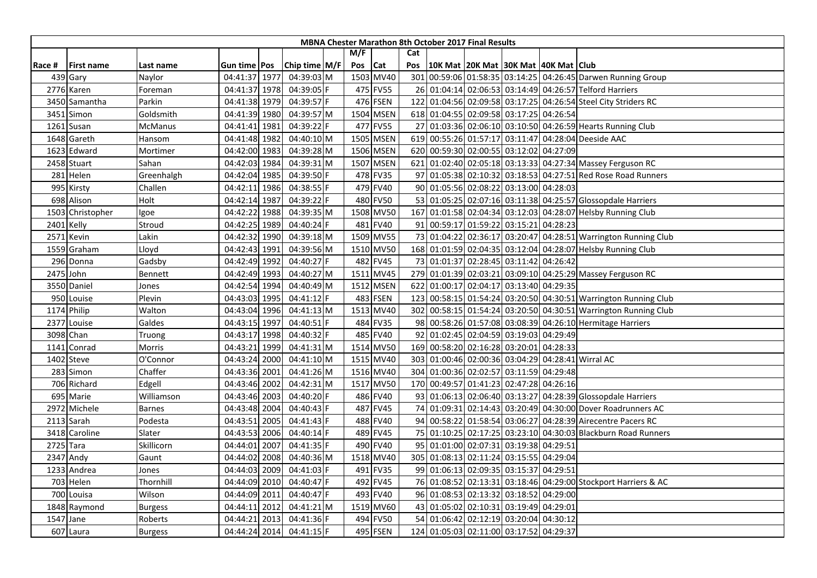|        |                  |                |                     |      |               |     |           |     | <b>MBNA Chester Marathon 8th October 2017 Final Results</b> |  |                                                                 |
|--------|------------------|----------------|---------------------|------|---------------|-----|-----------|-----|-------------------------------------------------------------|--|-----------------------------------------------------------------|
|        |                  |                |                     |      |               | M/F |           | Cat |                                                             |  |                                                                 |
| Race # | First name       | Last name      | Gun time <b>Pos</b> |      | Chip time M/F | Pos | Cat       | Pos | 10K Mat   20K Mat   30K Mat   40K Mat   Club                |  |                                                                 |
|        | 439 Gary         | Naylor         | 04:41:37 1977       |      | 04:39:03 M    |     | 1503 MV40 |     |                                                             |  | 301 00:59:06 01:58:35 03:14:25 04:26:45 Darwen Running Group    |
|        | 2776 Karen       | Foreman        | 04:41:37 1978       |      | 04:39:05 F    |     | 475 FV55  |     |                                                             |  | 26 01:04:14 02:06:53 03:14:49 04:26:57 Telford Harriers         |
|        | 3450 Samantha    | Parkin         | 04:41:38 1979       |      | 04:39:57 F    |     | 476 FSEN  | 122 |                                                             |  | 01:04:56 02:09:58 03:17:25 04:26:54 Steel City Striders RC      |
|        | 3451 Simon       | Goldsmith      | 04:41:39 1980       |      | 04:39:57 M    |     | 1504 MSEN |     | 618 01:04:55 02:09:58 03:17:25 04:26:54                     |  |                                                                 |
|        | 1261 Susan       | <b>McManus</b> | 04:41:41 1981       |      | 04:39:22 F    |     | 477 FV55  |     |                                                             |  | 27 01:03:36 02:06:10 03:10:50 04:26:59 Hearts Running Club      |
|        | 1648 Gareth      | Hansom         | 04:41:48 1982       |      | 04:40:10 M    |     | 1505 MSEN | 619 |                                                             |  | 00:55:26 01:57:17 03:11:47 04:28:04 Deeside AAC                 |
|        | 1623 Edward      | Mortimer       | 04:42:00 1983       |      | 04:39:28 M    |     | 1506 MSEN |     | 620 00:59:30 02:00:55 03:12:02 04:27:09                     |  |                                                                 |
|        | 2458 Stuart      | Sahan          | 04:42:03 1984       |      | 04:39:31 M    |     | 1507 MSEN |     |                                                             |  | 621 01:02:40 02:05:18 03:13:33 04:27:34 Massey Ferguson RC      |
|        | 281 Helen        | Greenhalgh     | 04:42:04 1985       |      | 04:39:50 F    |     | 478 FV35  |     |                                                             |  | 97 01:05:38 02:10:32 03:18:53 04:27:51 Red Rose Road Runners    |
|        | 995 Kirsty       | Challen        | 04:42:11 1986       |      | 04:38:55 F    |     | 479 FV40  |     | 90 01:05:56 02:08:22 03:13:00 04:28:03                      |  |                                                                 |
|        | 698 Alison       | Holt           | 04:42:14 1987       |      | 04:39:22 F    |     | 480 FV50  |     |                                                             |  | 53 01:05:25 02:07:16 03:11:38 04:25:57 Glossopdale Harriers     |
|        | 1503 Christopher | Igoe           | 04:42:22 1988       |      | 04:39:35 M    |     | 1508 MV50 |     |                                                             |  | 167 01:01:58 02:04:34 03:12:03 04:28:07 Helsby Running Club     |
|        | 2401 Kelly       | Stroud         | 04:42:25 1989       |      | 04:40:24 F    |     | 481 FV40  |     | 91 00:59:17 01:59:22 03:15:21 04:28:23                      |  |                                                                 |
|        | 2571 Kevin       | Lakin          | 04:42:32 1990       |      | 04:39:18 M    |     | 1509 MV55 |     |                                                             |  | 73 01:04:22 02:36:17 03:20:47 04:28:51 Warrington Running Club  |
|        | 1559 Graham      | Lloyd          | 04:42:43 1991       |      | 04:39:56 M    |     | 1510 MV50 |     |                                                             |  | 168 01:01:59 02:04:35 03:12:04 04:28:07 Helsby Running Club     |
|        | 296 Donna        | Gadsby         | 04:42:49 1992       |      | 04:40:27 F    |     | 482 FV45  |     | 73 01:01:37 02:28:45 03:11:42 04:26:42                      |  |                                                                 |
|        | 2475 John        | Bennett        | 04:42:49 1993       |      | 04:40:27 M    |     | 1511 MV45 |     |                                                             |  | 279 01:01:39 02:03:21 03:09:10 04:25:29 Massey Ferguson RC      |
|        | 3550 Daniel      | Jones          | 04:42:54 1994       |      | 04:40:49 M    |     | 1512 MSEN | 622 | 01:00:17 02:04:17 03:13:40 04:29:35                         |  |                                                                 |
|        | 950 Louise       | Plevin         | 04:43:03 1995       |      | 04:41:12 F    |     | 483 FSEN  |     |                                                             |  | 123 00:58:15 01:54:24 03:20:50 04:30:51 Warrington Running Club |
|        | 1174 Philip      | Walton         | 04:43:04 1996       |      | 04:41:13 M    |     | 1513 MV40 | 302 |                                                             |  | 00:58:15 01:54:24 03:20:50 04:30:51 Warrington Running Club     |
|        | 2377 Louise      | Galdes         | 04:43:15 1997       |      | 04:40:51 F    |     | 484 FV35  |     |                                                             |  | 98 00:58:26 01:57:08 03:08:39 04:26:10 Hermitage Harriers       |
|        | 3098 Chan        | Truong         | 04:43:17 1998       |      | 04:40:32 F    |     | 485 FV40  |     | 92 01:02:45 02:04:59 03:19:03 04:29:49                      |  |                                                                 |
| 114    | Conrad           | Morris         | 04:43:21 1999       |      | 04:41:31 M    |     | 1514 MV50 |     | 169 00:58:20 02:16:28 03:20:01 04:28:33                     |  |                                                                 |
|        | 1402 Steve       | O'Connor       | 04:43:24 2000       |      | 04:41:10 M    |     | 1515 MV40 |     |                                                             |  | 303 01:00:46 02:00:36 03:04:29 04:28:41 Wirral AC               |
| 283    | Simon            | Chaffer        | 04:43:36 2001       |      | 04:41:26 M    |     | 1516 MV40 |     | 304 01:00:36 02:02:57 03:11:59 04:29:48                     |  |                                                                 |
|        | 706 Richard      | Edgell         | 04:43:46 2002       |      | 04:42:31 M    |     | 1517 MV50 |     | 170 00:49:57 01:41:23 02:47:28 04:26:16                     |  |                                                                 |
|        | 695 Marie        | Williamson     | 04:43:46 2003       |      | 04:40:20 F    |     | 486 FV40  |     |                                                             |  | 93 01:06:13 02:06:40 03:13:27 04:28:39 Glossopdale Harriers     |
| 2972   | Michele          | <b>Barnes</b>  | 04:43:48 2004       |      | 04:40:43 F    |     | 487 FV45  |     |                                                             |  | 74 01:09:31 02:14:43 03:20:49 04:30:00 Dover Roadrunners AC     |
| 2113   | Sarah            | Podesta        | 04:43:51 2005       |      | 04:41:43 F    |     | 488 FV40  |     |                                                             |  | 94 00:58:22 01:58:54 03:06:27 04:28:39 Airecentre Pacers RC     |
|        | 3418 Caroline    | Slater         | 04:43:53 2006       |      | 04:40:14 F    |     | 489 FV45  |     |                                                             |  | 75 01:10:25 02:17:25 03:23:10 04:30:03 Blackburn Road Runners   |
|        | 2725 Tara        | Skillicorn     | 04:44:01 2007       |      | 04:41:35 F    |     | 490 FV40  |     | 95 01:01:00 02:07:31 03:19:38 04:29:51                      |  |                                                                 |
|        | 2347 Andy        | Gaunt          | 04:44:02 2008       |      | 04:40:36 M    |     | 1518 MV40 |     | 305 01:08:13 02:11:24 03:15:55 04:29:04                     |  |                                                                 |
|        | 1233 Andrea      | Jones          | 04:44:03 2009       |      | 04:41:03 F    |     | 491 FV35  |     | 99 01:06:13 02:09:35 03:15:37 04:29:51                      |  |                                                                 |
|        | 703 Helen        | Thornhill      | 04:44:09 2010       |      | 04:40:47 F    |     | 492 FV45  |     |                                                             |  | 76 01:08:52 02:13:31 03:18:46 04:29:00 Stockport Harriers & AC  |
|        | 700 Louisa       | Wilson         | 04:44:09 2011       |      | 04:40:47 F    |     | 493 FV40  |     | 96 01:08:53 02:13:32 03:18:52 04:29:00                      |  |                                                                 |
|        | 1848 Raymond     | <b>Burgess</b> | 04:44:11            | 2012 | 04:41:21 M    |     | 1519 MV60 |     | 43 01:05:02 02:10:31 03:19:49 04:29:01                      |  |                                                                 |
| 1547   | Jane             | Roberts        | 04:44:21            | 2013 | 04:41:36 F    |     | 494 FV50  |     | 54 01:06:42 02:12:19 03:20:04 04:30:12                      |  |                                                                 |
|        | 607 Laura        | <b>Burgess</b> | 04:44:24 2014       |      | $04:41:15$ F  |     | 495 FSEN  |     | 124 01:05:03 02:11:00 03:17:52 04:29:37                     |  |                                                                 |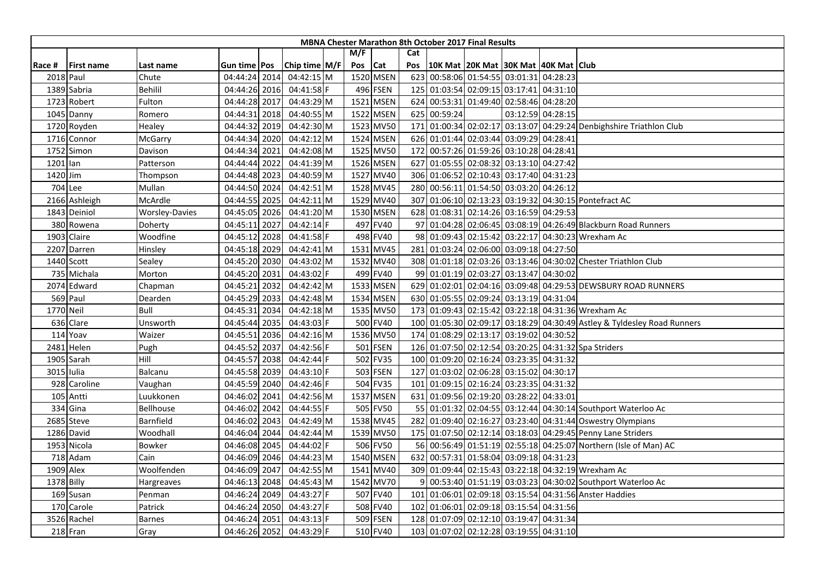|           |                   |                       |                |                 |     |           |     |              | <b>MBNA Chester Marathon 8th October 2017 Final Results</b> |                   |                                                                         |
|-----------|-------------------|-----------------------|----------------|-----------------|-----|-----------|-----|--------------|-------------------------------------------------------------|-------------------|-------------------------------------------------------------------------|
|           |                   |                       |                |                 | M/F |           | Cat |              |                                                             |                   |                                                                         |
| Race #    | <b>First name</b> | Last name             | Gun time   Pos | Chip time $M/F$ | Pos | Cat       | Pos |              | 10K Mat   20K Mat   30K Mat   40K Mat   Club                |                   |                                                                         |
|           | 2018 Paul         | Chute                 | 04:44:24 2014  | 04:42:15 M      |     | 1520 MSEN | 623 |              | 00:58:06 01:54:55 03:01:31 04:28:23                         |                   |                                                                         |
|           | 1389 Sabria       | Behilil               | 04:44:26 2016  | 04:41:58 F      |     | 496 FSEN  |     |              | 125 01:03:54 02:09:15 03:17:41 04:31:10                     |                   |                                                                         |
|           | 1723 Robert       | Fulton                | 04:44:28 2017  | 04:43:29 M      |     | 1521 MSEN |     |              | 624 00:53:31 01:49:40 02:58:46 04:28:20                     |                   |                                                                         |
|           | 1045 Danny        | Romero                | 04:44:31 2018  | 04:40:55 M      |     | 1522 MSEN |     | 625 00:59:24 |                                                             | 03:12:59 04:28:15 |                                                                         |
|           | 1720 Royden       | Healey                | 04:44:32 2019  | 04:42:30 M      |     | 1523 MV50 |     |              |                                                             |                   | 171 01:00:34 02:02:17 03:13:07 04:29:24 Denbighshire Triathlon Club     |
|           | 1716 Connor       | McGarry               | 04:44:34 2020  | 04:42:12 M      |     | 1524 MSEN | 626 |              | 01:01:44 02:03:44 03:09:29 04:28:41                         |                   |                                                                         |
|           | 1752 Simon        | Davison               | 04:44:34 2021  | 04:42:08 M      |     | 1525 MV50 | 172 |              | 00:57:26 01:59:26 03:10:28 04:28:41                         |                   |                                                                         |
| 1201 lan  |                   | Patterson             | 04:44:44 2022  | 04:41:39 M      |     | 1526 MSEN | 627 |              | 01:05:55 02:08:32 03:13:10 04:27:42                         |                   |                                                                         |
| 1420 Jim  |                   | Thompson              | 04:44:48 2023  | 04:40:59 M      |     | 1527 MV40 |     |              | 306 01:06:52 02:10:43 03:17:40 04:31:23                     |                   |                                                                         |
|           | 704 Lee           | Mullan                | 04:44:50 2024  | 04:42:51 M      |     | 1528 MV45 |     |              | 280 00:56:11 01:54:50 03:03:20 04:26:12                     |                   |                                                                         |
|           | 2166 Ashleigh     | McArdle               | 04:44:55 2025  | 04:42:11 M      |     | 1529 MV40 | 307 |              |                                                             |                   | 01:06:10 02:13:23 03:19:32 04:30:15 Pontefract AC                       |
|           | 1843 Deiniol      | <b>Worsley-Davies</b> | 04:45:05 2026  | 04:41:20 M      |     | 1530 MSEN |     |              | 628 01:08:31 02:14:26 03:16:59 04:29:53                     |                   |                                                                         |
|           | 380 Rowena        | Doherty               | 04:45:11 2027  | 04:42:14 F      |     | 497 FV40  |     |              |                                                             |                   | 97 01:04:28 02:06:45 03:08:19 04:26:49 Blackburn Road Runners           |
|           | 1903 Claire       | Woodfine              | 04:45:12 2028  | 04:41:58 F      |     | 498 FV40  |     |              |                                                             |                   | 98 01:09:43 02:15:42 03:22:17 04:30:23 Wrexham Ac                       |
|           | 2207 Darren       | Hinsley               | 04:45:18 2029  | 04:42:41 M      |     | 1531 MV45 |     |              | 281 01:03:24 02:06:00 03:09:18 04:27:50                     |                   |                                                                         |
|           | 1440 Scott        | Sealey                | 04:45:20 2030  | 04:43:02 M      |     | 1532 MV40 |     |              |                                                             |                   | 308 01:01:18 02:03:26 03:13:46 04:30:02 Chester Triathlon Club          |
|           | 735 Michala       | Morton                | 04:45:20 2031  | 04:43:02 F      |     | 499 FV40  |     |              | 99 01:01:19 02:03:27 03:13:47 04:30:02                      |                   |                                                                         |
|           | 2074 Edward       | Chapman               | 04:45:21 2032  | 04:42:42 M      |     | 1533 MSEN |     |              |                                                             |                   | 629 01:02:01 02:04:16 03:09:48 04:29:53 DEWSBURY ROAD RUNNERS           |
|           | 569 Paul          | Dearden               | 04:45:29 2033  | 04:42:48 M      |     | 1534 MSEN |     |              | 630 01:05:55 02:09:24 03:13:19 04:31:04                     |                   |                                                                         |
| 1770 Neil |                   | Bull                  | 04:45:31 2034  | 04:42:18 M      |     | 1535 MV50 |     |              |                                                             |                   | 173 01:09:43 02:15:42 03:22:18 04:31:36 Wrexham Ac                      |
|           | 636 Clare         | Unsworth              | 04:45:44 2035  | 04:43:03 F      |     | 500 FV40  |     |              |                                                             |                   | 100 01:05:30 02:09:17 03:18:29 04:30:49 Astley & Tyldesley Road Runners |
|           | 114 Yoav          | Waizer                | 04:45:51 2036  | 04:42:16 M      |     | 1536 MV50 |     |              | 174 01:08:29 02:13:17 03:19:02 04:30:52                     |                   |                                                                         |
|           | 2481 Helen        | Pugh                  | 04:45:52 2037  | 04:42:56 F      |     | 501 FSEN  |     |              |                                                             |                   | 126 01:07:50 02:12:54 03:20:25 04:31:32 Spa Striders                    |
|           | 1905 Sarah        | Hill                  | 04:45:57 2038  | 04:42:44 F      |     | 502 FV35  |     |              | 100 01:09:20 02:16:24 03:23:35 04:31:32                     |                   |                                                                         |
|           | 3015 Iulia        | Balcanu               | 04:45:58 2039  | 04:43:10 F      |     | 503 FSEN  | 127 |              | 01:03:02 02:06:28 03:15:02 04:30:17                         |                   |                                                                         |
|           | 928 Caroline      | Vaughan               | 04:45:59 2040  | 04:42:46 F      |     | 504 FV35  |     |              | 101 01:09:15 02:16:24 03:23:35 04:31:32                     |                   |                                                                         |
|           | 105 Antti         | Luukkonen             | 04:46:02 2041  | 04:42:56 M      |     | 1537 MSEN |     |              | 631 01:09:56 02:19:20 03:28:22 04:33:01                     |                   |                                                                         |
|           | 334 Gina          | Bellhouse             | 04:46:02 2042  | 04:44:55 F      |     | 505 FV50  |     |              |                                                             |                   | 55 01:01:32 02:04:55 03:12:44 04:30:14 Southport Waterloo Ac            |
|           | 2685 Steve        | Barnfield             | 04:46:02 2043  | 04:42:49 M      |     | 1538 MV45 |     |              |                                                             |                   | 282 01:09:40 02:16:27 03:23:40 04:31:44 Oswestry Olympians              |
|           | 1286 David        | Woodhall              | 04:46:04 2044  | 04:42:44 M      |     | 1539 MV50 |     |              |                                                             |                   | 175 01:07:50 02:12:14 03:18:03 04:29:45 Penny Lane Striders             |
|           | 1953 Nicola       | Bowker                | 04:46:08 2045  | 04:44:02 F      |     | 506 FV50  |     |              |                                                             |                   | 56 00:56:49 01:51:19 02:55:18 04:25:07 Northern (Isle of Man) AC        |
|           | 718 Adam          | Cain                  | 04:46:09 2046  | 04:44:23 M      |     | 1540 MSEN |     |              | 632 00:57:31 01:58:04 03:09:18 04:31:23                     |                   |                                                                         |
| 1909 Alex |                   | Woolfenden            | 04:46:09 2047  | 04:42:55 M      |     | 1541 MV40 |     |              |                                                             |                   | 309 01:09:44 02:15:43 03:22:18 04:32:19 Wrexham Ac                      |
|           | 1378 Billy        | Hargreaves            | 04:46:13 2048  | 04:45:43 M      |     | 1542 MV70 |     |              |                                                             |                   | 00:53:40 01:51:19 03:03:23 04:30:02 Southport Waterloo Ac               |
|           | 169 Susan         | Penman                | 04:46:24 2049  | 04:43:27 F      |     | 507 FV40  |     |              |                                                             |                   | 101 01:06:01 02:09:18 03:15:54 04:31:56 Anster Haddies                  |
|           | 170 Carole        | Patrick               | 04:46:24 2050  | 04:43:27 F      |     | 508 FV40  |     |              | 102 01:06:01 02:09:18 03:15:54 04:31:56                     |                   |                                                                         |
|           | 3526 Rachel       | Barnes                | 04:46:24 2051  | 04:43:13 F      |     | 509 FSEN  |     |              | 128 01:07:09 02:12:10 03:19:47 04:31:34                     |                   |                                                                         |
|           | 218 Fran          | Gray                  | 04:46:26 2052  | 04:43:29 F      |     | 510 FV40  |     |              | 103 01:07:02 02:12:28 03:19:55 04:31:10                     |                   |                                                                         |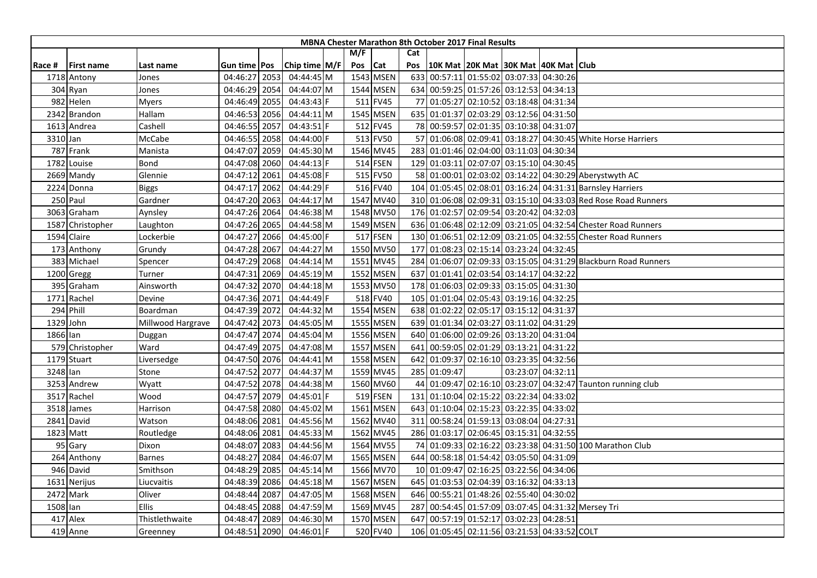|          |                   |                   |               |      |               |         |           |     |              | <b>MBNA Chester Marathon 8th October 2017 Final Results</b> |                   |                                                               |
|----------|-------------------|-------------------|---------------|------|---------------|---------|-----------|-----|--------------|-------------------------------------------------------------|-------------------|---------------------------------------------------------------|
|          |                   |                   |               |      |               | M/F     |           | Cat |              |                                                             |                   |                                                               |
| Race #   | <b>First name</b> | Last name         | Gun time Pos  |      | Chip time M/F | Pos Cat |           | Pos |              | 10K Mat 20K Mat 30K Mat 40K Mat Club                        |                   |                                                               |
|          | 1718 Antony       | Jones             | 04:46:27 2053 |      | 04:44:45 M    |         | 1543 MSEN |     |              | 633 00:57:11 01:55:02 03:07:33 04:30:26                     |                   |                                                               |
|          | 304 Ryan          | Jones             | 04:46:29 2054 |      | 04:44:07 M    |         | 1544 MSEN |     |              | 634 00:59:25 01:57:26 03:12:53 04:34:13                     |                   |                                                               |
|          | 982 Helen         | Myers             | 04:46:49 2055 |      | 04:43:43 F    |         | 511 FV45  |     |              | 77 01:05:27 02:10:52 03:18:48 04:31:34                      |                   |                                                               |
|          | 2342 Brandon      | Hallam            | 04:46:53 2056 |      | 04:44:11 M    |         | 1545 MSEN |     |              | 635 01:01:37 02:03:29 03:12:56 04:31:50                     |                   |                                                               |
|          | 1613 Andrea       | Cashell           | 04:46:55 2057 |      | 04:43:51 F    |         | 512 FV45  |     |              | 78 00:59:57 02:01:35 03:10:38 04:31:07                      |                   |                                                               |
| 3310 Jan |                   | McCabe            | 04:46:55 2058 |      | 04:44:00 F    |         | 513 FV50  |     |              |                                                             |                   | 57 01:06:08 02:09:41 03:18:27 04:30:45 White Horse Harriers   |
|          | 787 Frank         | Manista           | 04:47:07 2059 |      | 04:45:30 M    |         | 1546 MV45 |     |              | 283 01:01:46 02:04:00 03:11:03 04:30:34                     |                   |                                                               |
|          | 1782 Louise       | Bond              | 04:47:08 2060 |      | 04:44:13 F    |         | 514 FSEN  |     |              | 129 01:03:11 02:07:07 03:15:10 04:30:45                     |                   |                                                               |
|          | 2669 Mandy        | Glennie           | 04:47:12 2061 |      | 04:45:08 F    |         | 515 FV50  |     |              |                                                             |                   | 58 01:00:01 02:03:02 03:14:22 04:30:29 Aberystwyth AC         |
|          | 2224 Donna        | <b>Biggs</b>      | 04:47:17 2062 |      | 04:44:29 F    |         | 516 FV40  |     |              |                                                             |                   | 104 01:05:45 02:08:01 03:16:24 04:31:31 Barnsley Harriers     |
|          | 250 Paul          | Gardner           | 04:47:20 2063 |      | 04:44:17 M    |         | 1547 MV40 |     |              |                                                             |                   | 310 01:06:08 02:09:31 03:15:10 04:33:03 Red Rose Road Runners |
|          | 3063 Graham       | Aynsley           | 04:47:26 2064 |      | 04:46:38 M    |         | 1548 MV50 |     |              | 176 01:02:57 02:09:54 03:20:42 04:32:03                     |                   |                                                               |
|          | 1587 Christopher  | Laughton          | 04:47:26 2065 |      | 04:44:58 M    |         | 1549 MSEN |     |              |                                                             |                   | 636 01:06:48 02:12:09 03:21:05 04:32:54 Chester Road Runners  |
|          | 1594 Claire       | Lockerbie         | 04:47:27 2066 |      | 04:45:00 F    |         | 517 FSEN  |     |              |                                                             |                   | 130 01:06:51 02:12:09 03:21:05 04:32:55 Chester Road Runners  |
|          | 173 Anthony       | Grundy            | 04:47:28 2067 |      | 04:44:27 M    |         | 1550 MV50 |     |              | 177 01:08:23 02:15:14 03:23:24 04:32:45                     |                   |                                                               |
|          | 383 Michael       | Spencer           | 04:47:29 2068 |      | 04:44:14 M    |         | 1551 MV45 | 284 |              |                                                             |                   | 01:06:07 02:09:33 03:15:05 04:31:29 Blackburn Road Runners    |
|          | 1200 Gregg        | Turner            | 04:47:31 2069 |      | 04:45:19 M    |         | 1552 MSEN | 637 |              | 01:01:41 02:03:54 03:14:17 04:32:22                         |                   |                                                               |
|          | 395 Graham        | Ainsworth         | 04:47:32 2070 |      | 04:44:18 M    |         | 1553 MV50 |     |              | 178 01:06:03 02:09:33 03:15:05 04:31:30                     |                   |                                                               |
|          | 1771 Rachel       | Devine            | 04:47:36 2071 |      | 04:44:49 F    |         | 518 FV40  |     |              | 105 01:01:04 02:05:43 03:19:16 04:32:25                     |                   |                                                               |
|          | 294 Phill         | Boardman          | 04:47:39 2072 |      | 04:44:32 M    |         | 1554 MSEN |     |              | 638 01:02:22 02:05:17 03:15:12 04:31:37                     |                   |                                                               |
|          | 1329 John         | Millwood Hargrave | 04:47:42 2073 |      | 04:45:05 M    |         | 1555 MSEN |     |              | 639 01:01:34 02:03:27 03:11:02 04:31:29                     |                   |                                                               |
| 1866 lan |                   | Duggan            | 04:47:47 2074 |      | 04:45:04 M    |         | 1556 MSEN |     |              | 640 01:06:00 02:09:26 03:13:20 04:31:04                     |                   |                                                               |
|          | 579 Christopher   | Ward              | 04:47:49 2075 |      | 04:47:08 M    |         | 1557 MSEN | 641 |              | 00:59:05 02:01:29 03:13:21 04:31:22                         |                   |                                                               |
|          | 1179 Stuart       | Liversedge        | 04:47:50 2076 |      | 04:44:41 M    |         | 1558 MSEN |     |              | 642 01:09:37 02:16:10 03:23:35 04:32:56                     |                   |                                                               |
| 3248 Ian |                   | Stone             | 04:47:52 2077 |      | 04:44:37 M    |         | 1559 MV45 |     | 285 01:09:47 |                                                             | 03:23:07 04:32:11 |                                                               |
|          | 3253 Andrew       | Wyatt             | 04:47:52 2078 |      | 04:44:38 M    |         | 1560 MV60 | 44  |              |                                                             |                   | 01:09:47 02:16:10 03:23:07 04:32:47 Taunton running club      |
|          | 3517 Rachel       | Wood              | 04:47:57 2079 |      | 04:45:01 F    |         | 519 FSEN  | 131 |              | 01:10:04 02:15:22 03:22:34 04:33:02                         |                   |                                                               |
|          | 3518 James        | Harrison          | 04:47:58 2080 |      | 04:45:02 M    |         | 1561 MSEN |     |              | 643 01:10:04 02:15:23 03:22:35 04:33:02                     |                   |                                                               |
|          | 2841 David        | Watson            | 04:48:06 2081 |      | 04:45:56 M    |         | 1562 MV40 | 311 |              | 00:58:24 01:59:13 03:08:04 04:27:31                         |                   |                                                               |
|          | 1823 Matt         | Routledge         | 04:48:06 2081 |      | 04:45:33 M    |         | 1562 MV45 |     |              | 286 01:03:17 02:06:45 03:15:31 04:32:55                     |                   |                                                               |
|          | 95 Gary           | Dixon             | 04:48:07 2083 |      | 04:44:56 M    |         | 1564 MV55 |     |              |                                                             |                   | 74 01:09:33 02:16:22 03:23:38 04:31:50 100 Marathon Club      |
|          | 264 Anthony       | Barnes            | 04:48:27 2084 |      | 04:46:07 M    |         | 1565 MSEN |     |              | 644 00:58:18 01:54:42 03:05:50 04:31:09                     |                   |                                                               |
|          | 946 David         | Smithson          | 04:48:29 2085 |      | 04:45:14 M    |         | 1566 MV70 |     |              | 10 01:09:47 02:16:25 03:22:56 04:34:06                      |                   |                                                               |
|          | 1631 Nerijus      | Liucvaitis        | 04:48:39 2086 |      | 04:45:18 M    |         | 1567 MSEN |     |              | 645 01:03:53 02:04:39 03:16:32 04:33:13                     |                   |                                                               |
|          | 2472 Mark         | Oliver            | 04:48:44 2087 |      | 04:47:05 M    |         | 1568 MSEN |     |              | 646 00:55:21 01:48:26 02:55:40 04:30:02                     |                   |                                                               |
| 1508 Ian |                   | Ellis             | 04:48:45 2088 |      | 04:47:59 M    |         | 1569 MV45 |     |              |                                                             |                   | 287 00:54:45 01:57:09 03:07:45 04:31:32 Mersey Tri            |
|          | 417 Alex          | Thistlethwaite    | 04:48:47      | 2089 | 04:46:30 M    |         | 1570 MSEN | 647 |              | 00:57:19 01:52:17 03:02:23 04:28:51                         |                   |                                                               |
|          | 419 Anne          | Greenney          | 04:48:51 2090 |      | 04:46:01 F    |         | 520 FV40  |     |              | 106 01:05:45 02:11:56 03:21:53 04:33:52 COLT                |                   |                                                               |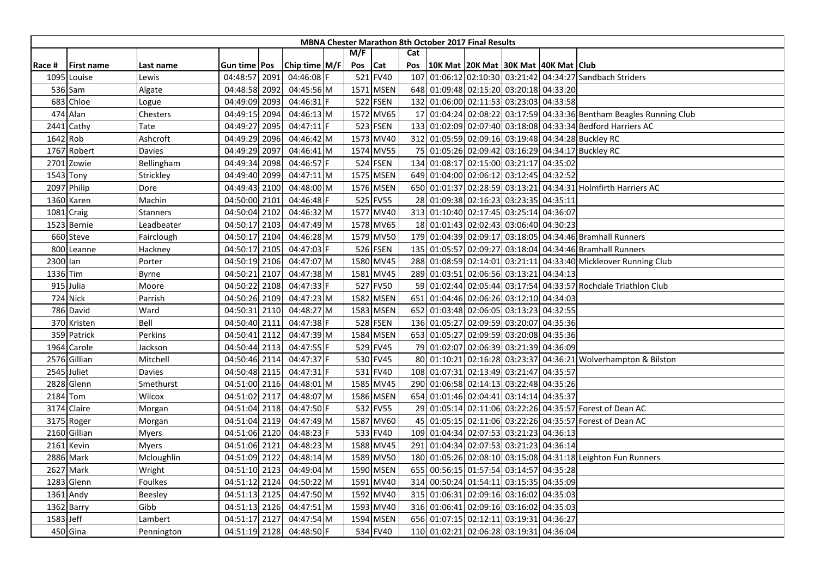|           |                   |                   |                |      |               |     |           |     | <b>MBNA Chester Marathon 8th October 2017 Final Results</b> |  |                                                                     |
|-----------|-------------------|-------------------|----------------|------|---------------|-----|-----------|-----|-------------------------------------------------------------|--|---------------------------------------------------------------------|
|           |                   |                   |                |      |               | M/F |           | Cat |                                                             |  |                                                                     |
| Race #    | <b>First name</b> | Last name         | Gun time   Pos |      | Chip time M/F | Pos | Cat       | Pos | 10K Mat 20K Mat 30K Mat 40K Mat Club                        |  |                                                                     |
|           | 1095 Louise       | Lewis             | 04:48:57 2091  |      | 04:46:08 F    |     | 521 FV40  |     |                                                             |  | 107 01:06:12 02:10:30 03:21:42 04:34:27 Sandbach Striders           |
|           | 536 Sam           | Algate            | 04:48:58 2092  |      | 04:45:56 M    |     | 1571 MSEN |     | 648 01:09:48 02:15:20 03:20:18 04:33:20                     |  |                                                                     |
|           | 683 Chloe         | Logue             | 04:49:09 2093  |      | 04:46:31 F    |     | 522 FSEN  |     | 132 01:06:00 02:11:53 03:23:03 04:33:58                     |  |                                                                     |
|           | 474 Alan          | Chesters          | 04:49:15 2094  |      | 04:46:13 M    |     | 1572 MV65 |     |                                                             |  | 17 01:04:24 02:08:22 03:17:59 04:33:36 Bentham Beagles Running Club |
|           | 2441 Cathy        | Tate              | 04:49:27 2095  |      | 04:47:11 F    |     | 523 FSEN  |     |                                                             |  | 133 01:02:09 02:07:40 03:18:08 04:33:34 Bedford Harriers AC         |
|           | 1642 Rob          | Ashcroft          | 04:49:29 2096  |      | 04:46:42 M    |     | 1573 MV40 |     |                                                             |  | 312 01:05:59 02:09:16 03:19:48 04:34:28 Buckley RC                  |
|           | 1767 Robert       | Davies            | 04:49:29       | 2097 | 04:46:41 M    |     | 1574 MV55 |     |                                                             |  | 75 01:05:26 02:09:42 03:16:29 04:34:17 Buckley RC                   |
|           | 2701 Zowie        | Bellingham        | 04:49:34 2098  |      | 04:46:57 F    |     | 524 FSEN  |     | 134 01:08:17 02:15:00 03:21:17 04:35:02                     |  |                                                                     |
|           | 1543 Tony         | Strickley         | 04:49:40 2099  |      | 04:47:11 M    |     | 1575 MSEN |     | 649 01:04:00 02:06:12 03:12:45 04:32:52                     |  |                                                                     |
|           | 2097 Philip       | Dore              | 04:49:43 2100  |      | 04:48:00 M    |     | 1576 MSEN |     |                                                             |  | 650 01:01:37 02:28:59 03:13:21 04:34:31 Holmfirth Harriers AC       |
|           | 1360 Karen        | Machin            | 04:50:00 2101  |      | 04:46:48 F    |     | 525 FV55  |     | 28 01:09:38 02:16:23 03:23:35 04:35:11                      |  |                                                                     |
|           | 1081 Craig        | Stanners          | 04:50:04 2102  |      | 04:46:32 M    |     | 1577 MV40 |     | 313 01:10:40 02:17:45 03:25:14 04:36:07                     |  |                                                                     |
|           | 1523 Bernie       | <b>Leadbeater</b> | 04:50:17 2103  |      | 04:47:49 M    |     | 1578 MV65 |     | 18 01:01:43 02:02:43 03:06:40 04:30:23                      |  |                                                                     |
|           | 660 Steve         | Fairclough        | 04:50:17 2104  |      | 04:46:28 M    |     | 1579 MV50 |     |                                                             |  | 179 01:04:39 02:09:17 03:18:05 04:34:46 Bramhall Runners            |
|           | 800 Leanne        | Hackney           | 04:50:17 2105  |      | 04:47:03 F    |     | 526 FSEN  |     |                                                             |  | 135 01:05:57 02:09:27 03:18:04 04:34:46 Bramhall Runners            |
| 2300 lan  |                   | Porter            | 04:50:19 2106  |      | 04:47:07 M    |     | 1580 MV45 |     |                                                             |  | 288 01:08:59 02:14:01 03:21:11 04:33:40 Mickleover Running Club     |
| 1336 Tim  |                   | Byrne             | 04:50:21       | 2107 | 04:47:38 M    |     | 1581 MV45 |     | 289 01:03:51 02:06:56 03:13:21 04:34:13                     |  |                                                                     |
|           | 915 Julia         | Moore             | 04:50:22 2108  |      | 04:47:33 F    |     | 527 FV50  |     |                                                             |  | 59 01:02:44 02:05:44 03:17:54 04:33:57 Rochdale Triathlon Club      |
|           | 724 Nick          | Parrish           | 04:50:26 2109  |      | 04:47:23 M    |     | 1582 MSEN |     | 651 01:04:46 02:06:26 03:12:10 04:34:03                     |  |                                                                     |
|           | 786 David         | Ward              | 04:50:31 2110  |      | 04:48:27 M    |     | 1583 MSEN |     | 652 01:03:48 02:06:05 03:13:23 04:32:55                     |  |                                                                     |
|           | 370 Kristen       | Bell              | 04:50:40 2111  |      | 04:47:38 F    |     | 528 FSEN  |     | 136 01:05:27 02:09:59 03:20:07 04:35:36                     |  |                                                                     |
|           | 359 Patrick       | Perkins           | 04:50:41 2112  |      | 04:47:39 M    |     | 1584 MSEN |     | 653 01:05:27 02:09:59 03:20:08 04:35:36                     |  |                                                                     |
|           | 1964 Carole       | Jackson           | 04:50:44 2113  |      | 04:47:55 F    |     | 529 FV45  |     | 79 01:02:07 02:06:39 03:21:39 04:36:09                      |  |                                                                     |
|           | 2576 Gillian      | Mitchell          | 04:50:46 2114  |      | 04:47:37 F    |     | 530 FV45  |     |                                                             |  | 80 01:10:21 02:16:28 03:23:37 04:36:21 Wolverhampton & Bilston      |
|           | 2545 Juliet       | Davies            | 04:50:48 2115  |      | 04:47:31 F    |     | 531 FV40  |     | 108 01:07:31 02:13:49 03:21:47 04:35:57                     |  |                                                                     |
|           | 2828 Glenn        | Smethurst         | 04:51:00 2116  |      | 04:48:01 M    |     | 1585 MV45 |     | 290 01:06:58 02:14:13 03:22:48 04:35:26                     |  |                                                                     |
|           | 2184 Tom          | Wilcox            | 04:51:02 2117  |      | 04:48:07 M    |     | 1586 MSEN |     | 654 01:01:46 02:04:41 03:14:14 04:35:37                     |  |                                                                     |
|           | 3174 Claire       | Morgan            | 04:51:04 2118  |      | 04:47:50 F    |     | 532 FV55  |     |                                                             |  | 29 01:05:14 02:11:06 03:22:26 04:35:57 Forest of Dean AC            |
|           | 3175 Roger        | Morgan            | 04:51:04 2119  |      | 04:47:49 M    |     | 1587 MV60 |     |                                                             |  | 45 01:05:15 02:11:06 03:22:26 04:35:57 Forest of Dean AC            |
|           | 2160 Gillian      | <b>Myers</b>      | 04:51:06 2120  |      | 04:48:23 F    |     | 533 FV40  |     | 109 01:04:34 02:07:53 03:21:23 04:36:13                     |  |                                                                     |
|           | 2161 Kevin        | <b>Myers</b>      | 04:51:06 2121  |      | 04:48:23 M    |     | 1588 MV45 |     | 291 01:04:34 02:07:53 03:21:23 04:36:14                     |  |                                                                     |
|           | 2886 Mark         | Mcloughlin        | 04:51:09 2122  |      | 04:48:14 M    |     | 1589 MV50 |     |                                                             |  | 180 01:05:26 02:08:10 03:15:08 04:31:18 Leighton Fun Runners        |
|           | 2627 Mark         | Wright            | 04:51:10 2123  |      | 04:49:04 M    |     | 1590 MSEN |     | 655 00:56:15 01:57:54 03:14:57 04:35:28                     |  |                                                                     |
|           | 1283 Glenn        | Foulkes           | 04:51:12 2124  |      | 04:50:22 M    |     | 1591 MV40 |     | 314 00:50:24 01:54:11 03:15:35 04:35:09                     |  |                                                                     |
|           | 1361 Andy         | Beesley           | 04:51:13 2125  |      | 04:47:50 M    |     | 1592 MV40 |     | 315 01:06:31 02:09:16 03:16:02 04:35:03                     |  |                                                                     |
|           | 1362 Barry        | Gibb              | 04:51:13 2126  |      | 04:47:51 M    |     | 1593 MV40 |     | 316 01:06:41 02:09:16 03:16:02 04:35:03                     |  |                                                                     |
| 1583 Jeff |                   | Lambert           | 04:51:17 2127  |      | 04:47:54 M    |     | 1594 MSEN |     | 656 01:07:15 02:12:11 03:19:31 04:36:27                     |  |                                                                     |
|           | 450 Gina          | Pennington        | 04:51:19 2128  |      | 04:48:50 F    |     | 534 FV40  |     | 110 01:02:21 02:06:28 03:19:31 04:36:04                     |  |                                                                     |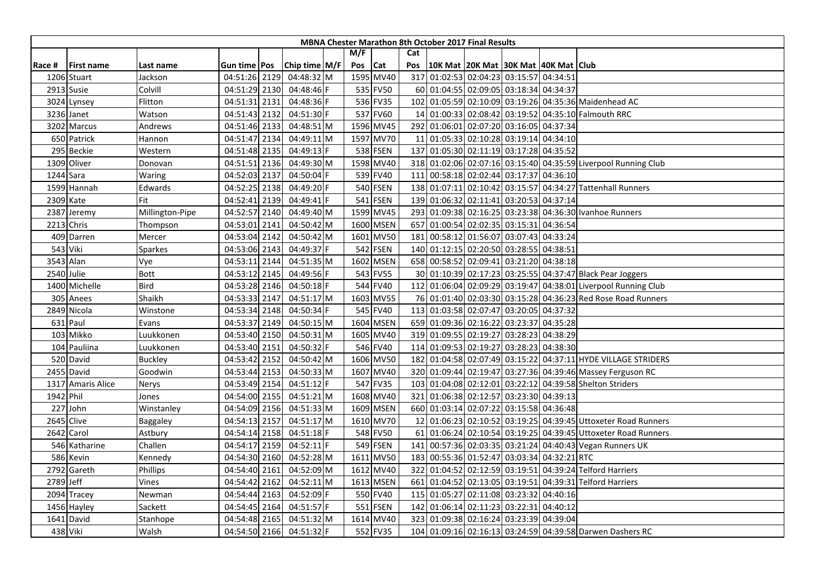|        |                   |                 |                |      |                          |         |           |     | <b>MBNA Chester Marathon 8th October 2017 Final Results</b> |  |                                                                |
|--------|-------------------|-----------------|----------------|------|--------------------------|---------|-----------|-----|-------------------------------------------------------------|--|----------------------------------------------------------------|
|        |                   |                 |                |      |                          | M/F     |           | Cat |                                                             |  |                                                                |
| Race # | <b>First name</b> | Last name       | Gun time   Pos |      | Chip time M/F            | Pos Cat |           | Pos | 10K Mat 20K Mat 30K Mat 40K Mat Club                        |  |                                                                |
|        | 1206 Stuart       | Jackson         | 04:51:26 2129  |      | 04:48:32 M               |         | 1595 MV40 |     | 317 01:02:53 02:04:23 03:15:57 04:34:51                     |  |                                                                |
|        | 2913 Susie        | Colvill         | 04:51:29 2130  |      | 04:48:46 F               |         | 535 FV50  |     | 60 01:04:55 02:09:05 03:18:34 04:34:37                      |  |                                                                |
|        | 3024 Lynsey       | Flitton         | 04:51:31 2131  |      | 04:48:36 F               |         | 536 FV35  |     |                                                             |  | 102 01:05:59 02:10:09 03:19:26 04:35:36 Maidenhead AC          |
|        | 3236 Janet        | Watson          | 04:51:43 2132  |      | 04:51:30 F               |         | 537 FV60  |     |                                                             |  | 14 01:00:33 02:08:42 03:19:52 04:35:10 Falmouth RRC            |
|        | 3202 Marcus       | Andrews         | 04:51:46 2133  |      | 04:48:51 M               |         | 1596 MV45 |     | 292 01:06:01 02:07:20 03:16:05 04:37:34                     |  |                                                                |
|        | 650 Patrick       | Hannon          | 04:51:47 2134  |      | 04:49:11 M               |         | 1597 MV70 |     | 11 01:05:33 02:10:28 03:19:14 04:34:10                      |  |                                                                |
|        | 295 Beckie        | Western         | 04:51:48 2135  |      | 04:49:13 F               |         | 538 FSEN  |     | 137 01:05:30 02:11:19 03:17:28 04:35:52                     |  |                                                                |
|        | 1309 Oliver       | Donovan         | 04:51:51 2136  |      | 04:49:30 M               |         | 1598 MV40 |     |                                                             |  | 318 01:02:06 02:07:16 03:15:40 04:35:59 Liverpool Running Club |
|        | 1244 Sara         | Waring          | 04:52:03 2137  |      | 04:50:04                 |         | 539 FV40  |     | 111 00:58:18 02:02:44 03:17:37 04:36:10                     |  |                                                                |
|        | 1599 Hannah       | Edwards         | 04:52:25 2138  |      | 04:49:20 F               |         | 540 FSEN  |     |                                                             |  | 138 01:07:11 02:10:42 03:15:57 04:34:27 Tattenhall Runners     |
|        | 2309 Kate         | Fit             | 04:52:41 2139  |      | 04:49:41 F               |         | 541 FSEN  |     | 139 01:06:32 02:11:41 03:20:53 04:37:14                     |  |                                                                |
|        | 2387 Jeremy       | Millington-Pipe | 04:52:57 2140  |      | 04:49:40 M               |         | 1599 MV45 |     |                                                             |  | 293 01:09:38 02:16:25 03:23:38 04:36:30 Ivanhoe Runners        |
|        | 2213 Chris        | Thompson        | 04:53:01       | 2141 | 04:50:42 M               |         | 1600 MSEN |     | 657 01:00:54 02:02:35 03:15:31 04:36:54                     |  |                                                                |
|        | 409 Darren        | Mercer          | 04:53:04 2142  |      | 04:50:42 M               |         | 1601 MV50 |     | 181 00:58:12 01:56:07 03:07:43 04:33:24                     |  |                                                                |
|        | 543 Viki          | Sparkes         | 04:53:06 2143  |      | 04:49:37 F               |         | 542 FSEN  |     | 140 01:12:15 02:20:50 03:28:55 04:38:51                     |  |                                                                |
|        | 3543 Alan         | Vye             | 04:53:11 2144  |      | 04:51:35 M               |         | 1602 MSEN |     | 658 00:58:52 02:09:41 03:21:20 04:38:18                     |  |                                                                |
|        | 2540 Julie        | <b>Bott</b>     | 04:53:12 2145  |      | 04:49:56 F               |         | 543 FV55  |     |                                                             |  | 30 01:10:39 02:17:23 03:25:55 04:37:47 Black Pear Joggers      |
|        | 1400 Michelle     | Bird            | 04:53:28 2146  |      | 04:50:18 F               |         | 544 FV40  |     |                                                             |  | 112 01:06:04 02:09:29 03:19:47 04:38:01 Liverpool Running Club |
|        | 305 Anees         | Shaikh          | 04:53:33 2147  |      | 04:51:17 M               |         | 1603 MV55 |     |                                                             |  | 76 01:01:40 02:03:30 03:15:28 04:36:23 Red Rose Road Runners   |
|        | 2849 Nicola       | Winstone        | 04:53:34 2148  |      | 04:50:34 F               |         | 545 FV40  |     | 113 01:03:58 02:07:47 03:20:05 04:37:32                     |  |                                                                |
|        | $631$ Paul        | Evans           | 04:53:37 2149  |      | 04:50:15 M               |         | 1604 MSEN |     | 659 01:09:36 02:16:22 03:23:37 04:35:28                     |  |                                                                |
|        | 103 Mikko         | Luukkonen       | 04:53:40 2150  |      | 04:50:31 M               |         | 1605 MV40 |     | 319 01:09:55 02:19:27 03:28:23 04:38:29                     |  |                                                                |
|        | 104 Pauliina      | Luukkonen       | 04:53:40 2151  |      | 04:50:32 F               |         | 546 FV40  |     | 114 01:09:53 02:19:27 03:28:23 04:38:30                     |  |                                                                |
|        | 520 David         | <b>Buckley</b>  | 04:53:42 2152  |      | 04:50:42 M               |         | 1606 MV50 |     |                                                             |  | 182 01:04:58 02:07:49 03:15:22 04:37:11 HYDE VILLAGE STRIDERS  |
|        | 2455 David        | Goodwin         | 04:53:44 2153  |      | 04:50:33 M               |         | 1607 MV40 |     |                                                             |  | 320 01:09:44 02:19:47 03:27:36 04:39:46 Massey Ferguson RC     |
|        | 1317 Amaris Alice | Nerys           | 04:53:49 2154  |      | 04:51:12 F               |         | 547 FV35  |     |                                                             |  | 103 01:04:08 02:12:01 03:22:12 04:39:58 Shelton Striders       |
|        | 1942 Phil         | Jones           | 04:54:00 2155  |      | 04:51:21 M               |         | 1608 MV40 |     | 321 01:06:38 02:12:57 03:23:30 04:39:13                     |  |                                                                |
| 227    | John              | Winstanley      | 04:54:09 2156  |      | 04:51:33 M               |         | 1609 MSEN |     | 660 01:03:14 02:07:22 03:15:58 04:36:48                     |  |                                                                |
|        | 2645 Clive        | Baggaley        | 04:54:13 2157  |      | 04:51:17 M               |         | 1610 MV70 |     |                                                             |  | 12 01:06:23 02:10:52 03:19:25 04:39:45 Uttoxeter Road Runners  |
|        | 2642 Carol        | Astbury         | 04:54:14 2158  |      | $04:51:18$ F             |         | 548 FV50  |     |                                                             |  | 61 01:06:24 02:10:54 03:19:25 04:39:45 Uttoxeter Road Runners  |
|        | 546 Katharine     | Challen         | 04:54:17 2159  |      | $04:52:11$  F            |         | 549 FSEN  |     |                                                             |  | 141 00:57:36 02:03:35 03:21:24 04:40:43 Vegan Runners UK       |
|        | 586 Kevin         | Kennedy         | 04:54:30 2160  |      | 04:52:28 M               |         | 1611 MV50 |     | 183 00:55:36 01:52:47 03:03:34 04:32:21 RTC                 |  |                                                                |
|        | 2792 Gareth       | Phillips        | 04:54:40 2161  |      | 04:52:09 M               |         | 1612 MV40 |     |                                                             |  | 322 01:04:52 02:12:59 03:19:51 04:39:24 Telford Harriers       |
|        | 2789 Jeff         | Vines           | 04:54:42 2162  |      | 04:52:11 M               |         | 1613 MSEN |     |                                                             |  | 661 01:04:52 02:13:05 03:19:51 04:39:31 Telford Harriers       |
|        | 2094 Tracey       | Newman          | 04:54:44 2163  |      | 04:52:09 F               |         | 550 FV40  |     | 115 01:05:27 02:11:08 03:23:32 04:40:16                     |  |                                                                |
|        | 1456 Hayley       | Sackett         | 04:54:45 2164  |      | 04:51:57 F               |         | 551 FSEN  |     | 142 01:06:14 02:11:23 03:22:31 04:40:12                     |  |                                                                |
|        | 1641 David        | Stanhope        | 04:54:48 2165  |      | 04:51:32 M               |         | 1614 MV40 |     | 323 01:09:38 02:16:24 03:23:39 04:39:04                     |  |                                                                |
|        | 438 Viki          | Walsh           |                |      | 04:54:50 2166 04:51:32 F |         | 552 FV35  |     |                                                             |  | 104 01:09:16 02:16:13 03:24:59 04:39:58 Darwen Dashers RC      |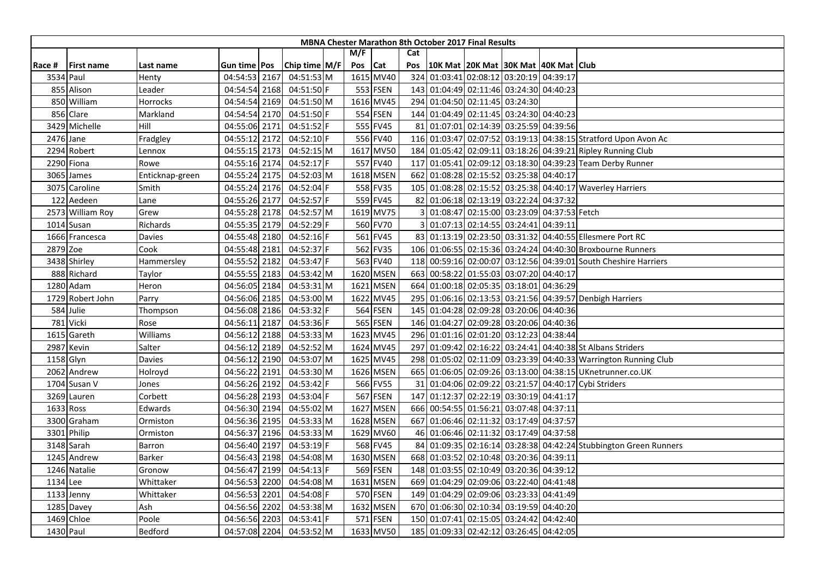|          |                   |                 |               |      |               |         |                 |     | <b>MBNA Chester Marathon 8th October 2017 Final Results</b> |  |                                                                  |
|----------|-------------------|-----------------|---------------|------|---------------|---------|-----------------|-----|-------------------------------------------------------------|--|------------------------------------------------------------------|
|          |                   |                 |               |      |               | M/F     |                 | Cat |                                                             |  |                                                                  |
| Race #   | <b>First name</b> | Last name       | Gun time Pos  |      | Chip time M/F | Pos Cat |                 | Pos | 10K Mat 20K Mat 30K Mat 40K Mat Club                        |  |                                                                  |
|          | 3534 Paul         | Henty           | 04:54:53 2167 |      | 04:51:53 M    |         | 1615 MV40       | 324 | 01:03:41 02:08:12 03:20:19 04:39:17                         |  |                                                                  |
|          | 855 Alison        | Leader          | 04:54:54 2168 |      | 04:51:50 F    |         | 553 FSEN        |     | 143 01:04:49 02:11:46 03:24:30 04:40:23                     |  |                                                                  |
|          | 850 William       | Horrocks        | 04:54:54 2169 |      | 04:51:50 M    |         | 1616 MV45       |     | 294 01:04:50 02:11:45 03:24:30                              |  |                                                                  |
|          | 856 Clare         | Markland        | 04:54:54 2170 |      | $04:51:50$ F  |         | 554 FSEN        |     | 144 01:04:49 02:11:45 03:24:30 04:40:23                     |  |                                                                  |
|          | 3429 Michelle     | Hill            | 04:55:06 2171 |      | 04:51:52 F    |         | 555 FV45        |     | 81 01:07:01 02:14:39 03:25:59 04:39:56                      |  |                                                                  |
|          | 2476 Jane         | Fradgley        | 04:55:12 2172 |      | 04:52:10 F    |         | 556 FV40        |     |                                                             |  | 116 01:03:47 02:07:52 03:19:13 04:38:15 Stratford Upon Avon Ac   |
|          | 2294 Robert       | Lennox          | 04:55:15 2173 |      | 04:52:15 M    |         | 1617 MV50       |     |                                                             |  | 184 01:05:42 02:09:11 03:18:26 04:39:21 Ripley Running Club      |
|          | 2290 Fiona        | Rowe            | 04:55:16 2174 |      | 04:52:17 F    |         | 557 FV40        |     |                                                             |  | 117 01:05:41 02:09:12 03:18:30 04:39:23 Team Derby Runner        |
|          | 3065 James        | Enticknap-green | 04:55:24 2175 |      | 04:52:03 M    |         | 1618 MSEN       |     | 662 01:08:28 02:15:52 03:25:38 04:40:17                     |  |                                                                  |
|          | 3075 Caroline     | Smith           | 04:55:24 2176 |      | 04:52:04 F    |         | 558 FV35        |     |                                                             |  | 105 01:08:28 02:15:52 03:25:38 04:40:17 Waverley Harriers        |
|          | 122 Aedeen        | Lane            | 04:55:26 2177 |      | 04:52:57 F    |         | 559 FV45        |     | 82 01:06:18 02:13:19 03:22:24 04:37:32                      |  |                                                                  |
|          | 2573 William Roy  | Grew            | 04:55:28 2178 |      | 04:52:57 M    |         | 1619 MV75       |     | 01:08:47 02:15:00 03:23:09 04:37:53 Fetch                   |  |                                                                  |
|          | 1014 Susan        | Richards        | 04:55:35 2179 |      | 04:52:29 F    |         | 560 FV70        |     | 01:07:13 02:14:55 03:24:41 04:39:11                         |  |                                                                  |
|          | 1666 Francesca    | Davies          | 04:55:48 2180 |      | 04:52:16 F    |         | 561 FV45        |     |                                                             |  | 83 01:13:19 02:23:50 03:31:32 04:40:55 Ellesmere Port RC         |
| 2879 Zoe |                   | Cook            | 04:55:48 2181 |      | 04:52:37 F    |         | 562 FV35        |     |                                                             |  | 106 01:06:55 02:15:36 03:24:24 04:40:30 Broxbourne Runners       |
|          | 3438 Shirley      | Hammersley      | 04:55:52 2182 |      | 04:53:47 F    |         | 563 FV40        |     |                                                             |  | 118 00:59:16 02:00:07 03:12:56 04:39:01 South Cheshire Harriers  |
|          | 888 Richard       | Taylor          | 04:55:55 2183 |      | 04:53:42 M    |         | 1620 MSEN       | 663 | 00:58:22 01:55:03 03:07:20 04:40:17                         |  |                                                                  |
|          | 1280 Adam         | Heron           | 04:56:05 2184 |      | 04:53:31 M    |         | 1621 MSEN       | 664 | 01:00:18 02:05:35 03:18:01 04:36:29                         |  |                                                                  |
|          | 1729 Robert John  | Parry           | 04:56:06 2185 |      | 04:53:00 M    |         | 1622 MV45       |     |                                                             |  | 295 01:06:16 02:13:53 03:21:56 04:39:57 Denbigh Harriers         |
|          | 584 Julie         | Thompson        | 04:56:08 2186 |      | 04:53:32 F    |         | <b>564 FSEN</b> |     | 145 01:04:28 02:09:28 03:20:06 04:40:36                     |  |                                                                  |
|          | 781 Vicki         | Rose            | 04:56:11 2187 |      | 04:53:36 F    |         | 565 FSEN        |     | 146 01:04:27 02:09:28 03:20:06 04:40:36                     |  |                                                                  |
|          | 1615 Gareth       | Williams        | 04:56:12 2188 |      | 04:53:33 M    |         | 1623 MV45       |     | 296 01:01:16 02:01:20 03:12:23 04:38:44                     |  |                                                                  |
|          | 2987 Kevin        | Salter          | 04:56:12      | 2189 | 04:52:52 M    |         | 1624 MV45       | 297 |                                                             |  | 01:09:42 02:16:22 03:24:41 04:40:38 St Albans Striders           |
|          | 1158 Glyn         | Davies          | 04:56:12 2190 |      | 04:53:07 M    |         | 1625 MV45       |     |                                                             |  | 298 01:05:02 02:11:09 03:23:39 04:40:33 Warrington Running Club  |
|          | 2062 Andrew       | Holroyd         | 04:56:22 2191 |      | 04:53:30 M    |         | 1626 MSEN       |     |                                                             |  | 665 01:06:05 02:09:26 03:13:00 04:38:15 UKnetrunner.co.UK        |
|          | 1704 Susan V      | Jones           | 04:56:26 2192 |      | 04:53:42 F    |         | 566 FV55        |     |                                                             |  | 31 01:04:06 02:09:22 03:21:57 04:40:17 Cybi Striders             |
|          | 3269 Lauren       | Corbett         | 04:56:28 2193 |      | 04:53:04 F    |         | 567 FSEN        | 147 | 01:12:37 02:22:19 03:30:19 04:41:17                         |  |                                                                  |
|          | 1633 Ross         | Edwards         | 04:56:30 2194 |      | 04:55:02 M    |         | 1627 MSEN       | 666 | 00:54:55 01:56:21 03:07:48 04:37:11                         |  |                                                                  |
|          | 3300 Graham       | Ormiston        | 04:56:36 2195 |      | 04:53:33 M    |         | 1628 MSEN       |     | 667 01:06:46 02:11:32 03:17:49 04:37:57                     |  |                                                                  |
|          | 3301 Philip       | Ormiston        | 04:56:37 2196 |      | 04:53:33 M    |         | 1629 MV60       |     | 46 01:06:46 02:11:32 03:17:49 04:37:58                      |  |                                                                  |
|          | 3148 Sarah        | <b>Barron</b>   | 04:56:40 2197 |      | 04:53:19 F    |         | 568 FV45        |     |                                                             |  | 84 01:09:35 02:16:14 03:28:38 04:42:24 Stubbington Green Runners |
|          | 1245 Andrew       | Barker          | 04:56:43 2198 |      | 04:54:08 M    |         | 1630 MSEN       |     | 668 01:03:52 02:10:48 03:20:36 04:39:11                     |  |                                                                  |
|          | 1246 Natalie      | Gronow          | 04:56:47 2199 |      | 04:54:13 F    |         | 569 FSEN        |     | 148 01:03:55 02:10:49 03:20:36 04:39:12                     |  |                                                                  |
| 1134 Lee |                   | Whittaker       | 04:56:53 2200 |      | 04:54:08 M    |         | 1631 MSEN       | 669 | 01:04:29 02:09:06 03:22:40 04:41:48                         |  |                                                                  |
|          | 1133 Jenny        | Whittaker       | 04:56:53 2201 |      | 04:54:08 F    |         | 570 FSEN        |     | 149 01:04:29 02:09:06 03:23:33 04:41:49                     |  |                                                                  |
|          | 1285 Davey        | Ash             | 04:56:56 2202 |      | 04:53:38 M    |         | 1632 MSEN       |     | 670 01:06:30 02:10:34 03:19:59 04:40:20                     |  |                                                                  |
|          | 1469 Chloe        | Poole           | 04:56:56 2203 |      | 04:53:41 F    |         | 571 FSEN        |     | 150 01:07:41 02:15:05 03:24:42 04:42:40                     |  |                                                                  |
|          | 1430 Paul         | Bedford         | 04:57:08 2204 |      | 04:53:52 M    |         | 1633 MV50       |     | 185 01:09:33 02:42:12 03:26:45 04:42:05                     |  |                                                                  |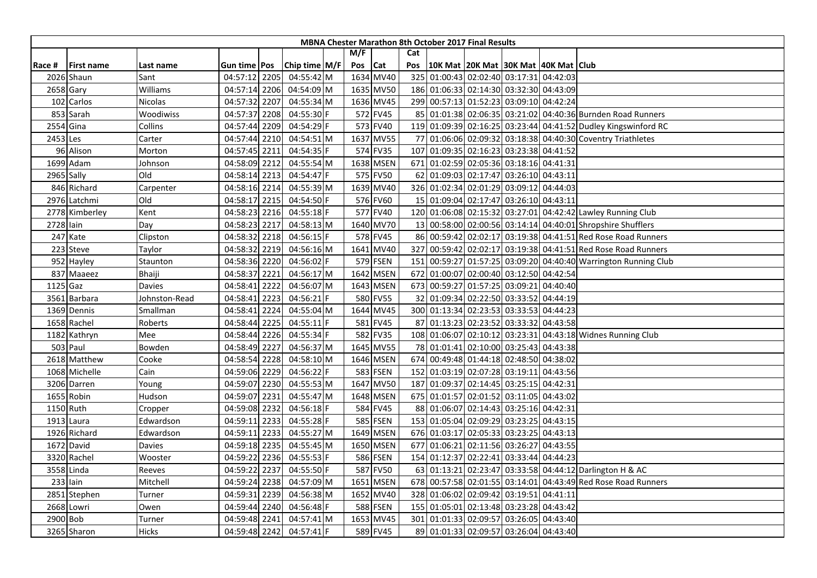|            |                |               |               |               |         |           |           | <b>MBNA Chester Marathon 8th October 2017 Final Results</b> |  |                                                                |
|------------|----------------|---------------|---------------|---------------|---------|-----------|-----------|-------------------------------------------------------------|--|----------------------------------------------------------------|
|            |                |               |               |               | M/F     |           | Cat       |                                                             |  |                                                                |
| Race #     | l First name   | Last name     | Gun time Pos  | Chip time M/F | Pos Cat |           | Pos       | 10K Mat   20K Mat   30K Mat   40K Mat   Club                |  |                                                                |
|            | 2026 Shaun     | Sant          | 04:57:12 2205 | 04:55:42 M    |         | 1634 MV40 | 325       | 01:00:43 02:02:40 03:17:31 04:42:03                         |  |                                                                |
|            | 2658 Gary      | Williams      | 04:57:14 2206 | 04:54:09 M    |         | 1635 MV50 |           | 186 01:06:33 02:14:30 03:32:30 04:43:09                     |  |                                                                |
|            | 102 Carlos     | Nicolas       | 04:57:32 2207 | 04:55:34 M    |         | 1636 MV45 |           | 299 00:57:13 01:52:23 03:09:10 04:42:24                     |  |                                                                |
|            | 853 Sarah      | Woodiwiss     | 04:57:37 2208 | 04:55:30 F    |         | 572 FV45  |           |                                                             |  | 85 01:01:38 02:06:35 03:21:02 04:40:36 Burnden Road Runners    |
|            | 2554 Gina      | Collins       | 04:57:44 2209 | 04:54:29 F    |         | 573 FV40  |           |                                                             |  | 119 01:09:39 02:16:25 03:23:44 04:41:52 Dudley Kingswinford RC |
| 2453 Les   |                | Carter        | 04:57:44 2210 | 04:54:51 M    |         | 1637 MV55 | <b>77</b> |                                                             |  | 01:06:06 02:09:32 03:18:38 04:40:30 Coventry Triathletes       |
|            | 96 Alison      | Morton        | 04:57:45 2211 | 04:54:35 F    |         | 574 FV35  | 107       | 01:09:35 02:16:23 03:23:38 04:41:52                         |  |                                                                |
|            | 1699 Adam      | Johnson       | 04:58:09 2212 | 04:55:54 M    |         | 1638 MSEN |           | 671 01:02:59 02:05:36 03:18:16 04:41:31                     |  |                                                                |
|            | 2965 Sally     | Old           | 04:58:14 2213 | 04:54:47 F    |         | 575 FV50  |           | 62 01:09:03 02:17:47 03:26:10 04:43:11                      |  |                                                                |
|            | 846 Richard    | Carpenter     | 04:58:16 2214 | 04:55:39 M    |         | 1639 MV40 |           | 326 01:02:34 02:01:29 03:09:12 04:44:03                     |  |                                                                |
|            | 2976 Latchmi   | Old           | 04:58:17 2215 | 04:54:50 F    |         | 576 FV60  |           | 15 01:09:04 02:17:47 03:26:10 04:43:11                      |  |                                                                |
|            | 2778 Kimberley | Kent          | 04:58:23 2216 | 04:55:18 F    |         | 577 FV40  |           |                                                             |  | 120 01:06:08 02:15:32 03:27:01 04:42:42 Lawley Running Club    |
| 2728 Iain  |                | Day           | 04:58:23 2217 | 04:58:13 M    |         | 1640 MV70 |           |                                                             |  | 13 00:58:00 02:00:56 03:14:14 04:40:01 Shropshire Shufflers    |
|            | 247 Kate       | Clipston      | 04:58:32 2218 | 04:56:15 F    |         | 578 FV45  |           |                                                             |  | 86 00:59:42 02:02:17 03:19:38 04:41:51 Red Rose Road Runners   |
|            | 223 Steve      | Taylor        | 04:58:32 2219 | 04:56:16 M    |         | 1641 MV40 |           |                                                             |  | 327 00:59:42 02:02:17 03:19:38 04:41:51 Red Rose Road Runners  |
|            | 952 Hayley     | Staunton      | 04:58:36 2220 | 04:56:02 F    |         | 579 FSEN  | 151       |                                                             |  | 00:59:27 01:57:25 03:09:20 04:40:40 Warrington Running Club    |
|            | 837 Maaeez     | Bhaiji        | 04:58:37 2221 | 04:56:17 M    |         | 1642 MSEN | 672       | 01:00:07 02:00:40 03:12:50 04:42:54                         |  |                                                                |
| $1125$ Gaz |                | Davies        | 04:58:41 2222 | 04:56:07 M    |         | 1643 MSEN | 673       | 00:59:27 01:57:25 03:09:21 04:40:40                         |  |                                                                |
|            | 3561 Barbara   | Johnston-Read | 04:58:41 2223 | 04:56:21 F    |         | 580 FV55  |           | 32 01:09:34 02:22:50 03:33:52 04:44:19                      |  |                                                                |
|            | 1369 Dennis    | Smallman      | 04:58:41 2224 | 04:55:04 M    |         | 1644 MV45 |           | 300 01:13:34 02:23:53 03:33:53 04:44:23                     |  |                                                                |
|            | 1658 Rachel    | Roberts       | 04:58:44 2225 | $04:55:11$ F  |         | 581 FV45  |           | 87 01:13:23 02:23:52 03:33:32 04:43:58                      |  |                                                                |
|            | 1182 Kathryn   | Mee           | 04:58:44 2226 | 04:55:34 F    |         | 582 FV35  |           |                                                             |  | 108 01:06:07 02:10:12 03:23:31 04:43:18 Widnes Running Club    |
|            | 503 Paul       | Bowden        | 04:58:49 2227 | 04:56:37 M    |         | 1645 MV55 | <b>78</b> | 01:01:41 02:10:00 03:25:43 04:43:38                         |  |                                                                |
|            | 2618 Matthew   | Cooke         | 04:58:54 2228 | 04:58:10 M    |         | 1646 MSEN | 674       | 00:49:48 01:44:18 02:48:50 04:38:02                         |  |                                                                |
|            | 1068 Michelle  | Cain          | 04:59:06 2229 | 04:56:22 F    |         | 583 FSEN  |           | 152 01:03:19 02:07:28 03:19:11 04:43:56                     |  |                                                                |
|            | 3206 Darren    | Young         | 04:59:07 2230 | 04:55:53 M    |         | 1647 MV50 | 187       | 01:09:37 02:14:45 03:25:15 04:42:31                         |  |                                                                |
|            | 1655 Robin     | Hudson        | 04:59:07 2231 | 04:55:47 M    |         | 1648 MSEN |           | 675 01:01:57 02:01:52 03:11:05 04:43:02                     |  |                                                                |
|            | 1150 Ruth      | Cropper       | 04:59:08 2232 | 04:56:18 F    |         | 584 FV45  |           | 88 01:06:07 02:14:43 03:25:16 04:42:31                      |  |                                                                |
|            | 1913 Laura     | Edwardson     | 04:59:11 2233 | 04:55:28 F    |         | 585 FSEN  | 153       | 01:05:04 02:09:29 03:23:25 04:43:15                         |  |                                                                |
|            | 1926 Richard   | Edwardson     | 04:59:11 2233 | 04:55:27 M    |         | 1649 MSEN |           | 676 01:03:17 02:05:33 03:23:25 04:43:13                     |  |                                                                |
|            | 1672 David     | Davies        | 04:59:18 2235 | 04:55:45 M    |         | 1650 MSEN |           | 677 01:06:21 02:11:56 03:26:27 04:43:55                     |  |                                                                |
|            | 3320 Rachel    | Wooster       | 04:59:22 2236 | 04:55:53 F    |         | 586 FSEN  |           | 154 01:12:37 02:22:41 03:33:44 04:44:23                     |  |                                                                |
|            | 3558 Linda     | Reeves        | 04:59:22 2237 | 04:55:50 F    |         | 587 FV50  |           |                                                             |  | 63 01:13:21 02:23:47 03:33:58 04:44:12 Darlington H & AC       |
|            | $233$ lain     | Mitchell      | 04:59:24 2238 | 04:57:09 M    |         | 1651 MSEN | 678       |                                                             |  | 00:57:58 02:01:55 03:14:01 04:43:49 Red Rose Road Runners      |
|            | 2851 Stephen   | Turner        | 04:59:31 2239 | 04:56:38 M    |         | 1652 MV40 |           | 328 01:06:02 02:09:42 03:19:51 04:41:11                     |  |                                                                |
|            | 2668 Lowri     | Owen          | 04:59:44 2240 | 04:56:48 F    |         | 588 FSEN  |           | 155 01:05:01 02:13:48 03:23:28 04:43:42                     |  |                                                                |
| 2900 Bob   |                | Turner        | 04:59:48 2241 | 04:57:41 M    |         | 1653 MV45 |           | 301 01:01:33 02:09:57 03:26:05 04:43:40                     |  |                                                                |
|            | 3265 Sharon    | <b>Hicks</b>  | 04:59:48 2242 | 04:57:41 F    |         | 589 FV45  |           | 89 01:01:33 02:09:57 03:26:04 04:43:40                      |  |                                                                |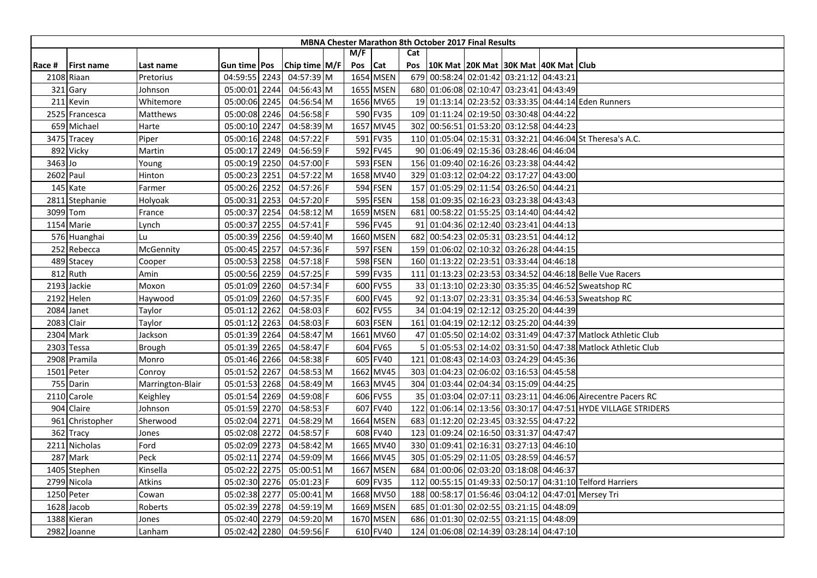|         |                   |                  |                |      |               |     |            |     | <b>MBNA Chester Marathon 8th October 2017 Final Results</b> |                                     |  |                                                              |
|---------|-------------------|------------------|----------------|------|---------------|-----|------------|-----|-------------------------------------------------------------|-------------------------------------|--|--------------------------------------------------------------|
|         |                   |                  |                |      |               | M/F |            | Cat |                                                             |                                     |  |                                                              |
| Race #  | <b>First name</b> | Last name        | Gun time   Pos |      | Chip time M/F | Pos | <b>Cat</b> | Pos | 10K Mat  20K Mat  30K Mat  40K Mat   Club                   |                                     |  |                                                              |
|         | 2108 Riaan        | Pretorius        | 04:59:55 2243  |      | 04:57:39 M    |     | 1654 MSEN  |     | 679 00:58:24 02:01:42 03:21:12 04:43:21                     |                                     |  |                                                              |
|         | 321 Gary          | Johnson          | 05:00:01 2244  |      | 04:56:43 M    |     | 1655 MSEN  |     | 680 01:06:08 02:10:47 03:23:41 04:43:49                     |                                     |  |                                                              |
|         | 211 Kevin         | Whitemore        | 05:00:06 2245  |      | 04:56:54 M    |     | 1656 MV65  |     |                                                             |                                     |  | 19 01:13:14 02:23:52 03:33:35 04:44:14 Eden Runners          |
|         | 2525 Francesca    | Matthews         | 05:00:08 2246  |      | 04:56:58 F    |     | 590 FV35   |     | 109 01:11:24 02:19:50 03:30:48 04:44:22                     |                                     |  |                                                              |
|         | 659 Michael       | Harte            | 05:00:10 2247  |      | 04:58:39 M    |     | 1657 MV45  |     | 302 00:56:51 01:53:20 03:12:58 04:44:23                     |                                     |  |                                                              |
|         | 3475 Tracey       | Piper            | 05:00:16 2248  |      | 04:57:22 F    |     | 591 FV35   |     |                                                             |                                     |  | 110 01:05:04 02:15:31 03:32:21 04:46:04 St Theresa's A.C.    |
|         | 892 Vicky         | Martin           | 05:00:17 2249  |      | 04:56:59 F    |     | 592 FV45   |     | 90 01:06:49 02:15:36 03:28:46 04:46:04                      |                                     |  |                                                              |
| 3463 Jo |                   | Young            | 05:00:19 2250  |      | 04:57:00 F    |     | 593 FSEN   |     | 156 01:09:40 02:16:26 03:23:38 04:44:42                     |                                     |  |                                                              |
|         | 2602 Paul         | Hinton           | 05:00:23 2251  |      | 04:57:22 M    |     | 1658 MV40  |     | 329 01:03:12 02:04:22 03:17:27 04:43:00                     |                                     |  |                                                              |
|         | 145 Kate          | Farmer           | 05:00:26 2252  |      | 04:57:26 F    |     | 594 FSEN   |     | 157 01:05:29 02:11:54 03:26:50 04:44:21                     |                                     |  |                                                              |
|         | 2811 Stephanie    | Holyoak          | 05:00:31       | 2253 | 04:57:20 F    |     | 595 FSEN   |     | 158 01:09:35 02:16:23 03:23:38 04:43:43                     |                                     |  |                                                              |
|         | 3099 Tom          | France           | 05:00:37 2254  |      | 04:58:12 M    |     | 1659 MSEN  | 681 | 00:58:22 01:55:25 03:14:40 04:44:42                         |                                     |  |                                                              |
|         | 1154 Marie        | Lynch            | 05:00:37 2255  |      | $04:57:41$ F  |     | 596 FV45   |     | 91 01:04:36 02:12:40 03:23:41 04:44:13                      |                                     |  |                                                              |
|         | 576 Huanghai      | Lu               | 05:00:39 2256  |      | 04:59:40 M    |     | 1660 MSEN  |     | 682 00:54:23 02:05:31 03:23:51 04:44:12                     |                                     |  |                                                              |
|         | 252 Rebecca       | McGennity        | 05:00:45 2257  |      | 04:57:36 F    |     | 597 FSEN   |     | 159 01:06:02 02:10:32 03:26:28 04:44:15                     |                                     |  |                                                              |
|         | 489 Stacey        | Cooper           | 05:00:53 2258  |      | 04:57:18 F    |     | 598 FSEN   |     | 160 01:13:22 02:23:51 03:33:44 04:46:18                     |                                     |  |                                                              |
|         | 812 Ruth          | Amin             | 05:00:56 2259  |      | 04:57:25 F    |     | 599 FV35   | 111 |                                                             |                                     |  | 01:13:23 02:23:53 03:34:52 04:46:18 Belle Vue Racers         |
|         | 2193 Jackie       | Moxon            | 05:01:09 2260  |      | 04:57:34 F    |     | 600 FV55   |     |                                                             |                                     |  | 33 01:13:10 02:23:30 03:35:35 04:46:52 Sweatshop RC          |
|         | 2192 Helen        | Haywood          | 05:01:09 2260  |      | 04:57:35 F    |     | 600 FV45   |     |                                                             |                                     |  | 92 01:13:07 02:23:31 03:35:34 04:46:53 Sweatshop RC          |
|         | 2084 Janet        | Taylor           | 05:01:12 2262  |      | 04:58:03 F    |     | 602 FV55   |     | 34 01:04:19 02:12:12 03:25:20 04:44:39                      |                                     |  |                                                              |
|         | 2083 Clair        | Taylor           | 05:01:12 2263  |      | 04:58:03 F    |     | 603 FSEN   |     | 161 01:04:19 02:12:12 03:25:20 04:44:39                     |                                     |  |                                                              |
|         | 2304 Mark         | Jackson          | 05:01:39 2264  |      | 04:58:47 M    |     | 1661 MV60  |     |                                                             |                                     |  | 47 01:05:50 02:14:02 03:31:49 04:47:37 Matlock Athletic Club |
|         | 2303 Tessa        | Brough           | 05:01:39 2265  |      | 04:58:47 F    |     | 604 FV65   |     |                                                             |                                     |  | 01:05:53 02:14:02 03:31:50 04:47:38 Matlock Athletic Club    |
|         | 2908 Pramila      | Monro            | 05:01:46 2266  |      | 04:58:38 F    |     | 605 FV40   | 121 | 01:08:43 02:14:03 03:24:29 04:45:36                         |                                     |  |                                                              |
|         | 1501 Peter        | Conroy           | 05:01:52 2267  |      | 04:58:53 M    |     | 1662 MV45  |     | 303 01:04:23 02:06:02 03:16:53 04:45:58                     |                                     |  |                                                              |
|         | 755 Darin         | Marrington-Blair | 05:01:53 2268  |      | 04:58:49 M    |     | 1663 MV45  |     | 304 01:03:44 02:04:34 03:15:09 04:44:25                     |                                     |  |                                                              |
|         | 2110 Carole       | Keighley         | 05:01:54 2269  |      | 04:59:08 F    |     | 606 FV55   |     |                                                             |                                     |  | 35 01:03:04 02:07:11 03:23:11 04:46:06 Airecentre Pacers RC  |
|         | 904 Claire        | Johnson          | 05:01:59 2270  |      | 04:58:53 F    |     | 607 FV40   | 122 |                                                             |                                     |  | 01:06:14 02:13:56 03:30:17 04:47:51 HYDE VILLAGE STRIDERS    |
|         | 961 Christopher   | Sherwood         | 05:02:04 2271  |      | 04:58:29 M    |     | 1664 MSEN  | 683 |                                                             | 01:12:20 02:23:45 03:32:55 04:47:22 |  |                                                              |
|         | 362 Tracy         | Jones            | 05:02:08 2272  |      | 04:58:57 F    |     | 608 FV40   |     | 123 01:09:24 02:16:50 03:31:37 04:47:47                     |                                     |  |                                                              |
|         | 2211 Nicholas     | Ford             | 05:02:09 2273  |      | 04:58:42 M    |     | 1665 MV40  |     | 330 01:09:41 02:16:31 03:27:13 04:46:10                     |                                     |  |                                                              |
|         | 287 Mark          | Peck             | 05:02:11 2274  |      | 04:59:09 M    |     | 1666 MV45  |     | 305 01:05:29 02:11:05 03:28:59 04:46:57                     |                                     |  |                                                              |
|         | 1405 Stephen      | Kinsella         | 05:02:22 2275  |      | 05:00:51 M    |     | 1667 MSEN  |     | 684 01:00:06 02:03:20 03:18:08 04:46:37                     |                                     |  |                                                              |
|         | 2799 Nicola       | Atkins           | 05:02:30 2276  |      | 05:01:23 F    |     | 609 FV35   | 112 |                                                             |                                     |  | 00:55:15 01:49:33 02:50:17 04:31:10 Telford Harriers         |
|         | 1250 Peter        | Cowan            | 05:02:38 2277  |      | 05:00:41 M    |     | 1668 MV50  |     |                                                             |                                     |  | 188 00:58:17 01:56:46 03:04:12 04:47:01 Mersey Tri           |
|         | 1628 Jacob        | Roberts          | 05:02:39 2278  |      | $04:59:19$ M  |     | 1669 MSEN  |     | 685 01:01:30 02:02:55 03:21:15 04:48:09                     |                                     |  |                                                              |
|         | 1388 Kieran       | Jones            | 05:02:40 2279  |      | 04:59:20 M    |     | 1670 MSEN  |     | 686 01:01:30 02:02:55 03:21:15 04:48:09                     |                                     |  |                                                              |
|         | 2982 Joanne       | Lanham           | 05:02:42 2280  |      | 04:59:56 F    |     | 610 FV40   |     | 124 01:06:08 02:14:39 03:28:14 04:47:10                     |                                     |  |                                                              |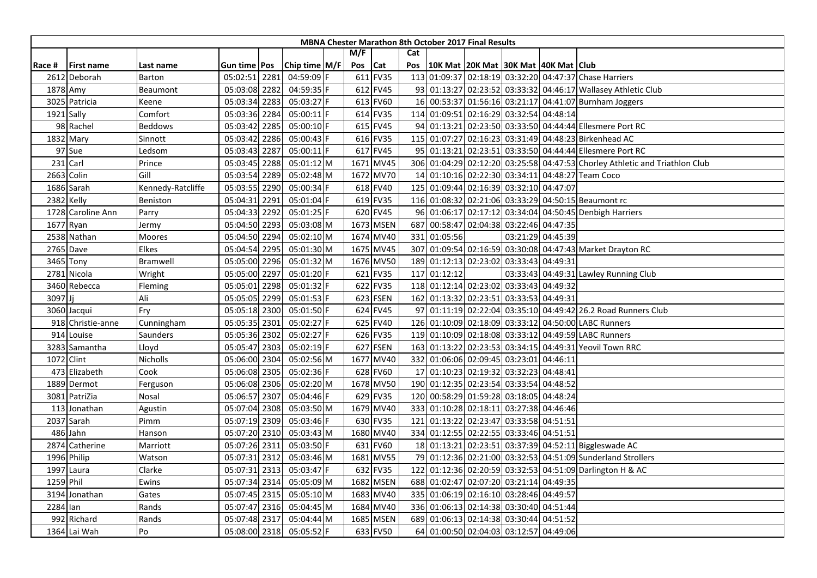| <b>MBNA Chester Marathon 8th October 2017 Final Results</b> |                   |                   |                |      |               |  |         |           |     |              |                                         |  |                   |                                                                             |
|-------------------------------------------------------------|-------------------|-------------------|----------------|------|---------------|--|---------|-----------|-----|--------------|-----------------------------------------|--|-------------------|-----------------------------------------------------------------------------|
|                                                             |                   |                   |                |      |               |  | M/F     |           | Cat |              |                                         |  |                   |                                                                             |
| Race #                                                      | <b>First name</b> | Last name         | Gun time   Pos |      | Chip time M/F |  | Pos Cat |           | Pos |              | 10K Mat 20K Mat 30K Mat 40K Mat Club    |  |                   |                                                                             |
|                                                             | 2612 Deborah      | <b>Barton</b>     | 05:02:51 2281  |      | 04:59:09 F    |  |         | 611 FV35  |     |              |                                         |  |                   | 113 01:09:37 02:18:19 03:32:20 04:47:37 Chase Harriers                      |
|                                                             | 1878 Amy          | Beaumont          | 05:03:08 2282  |      | 04:59:35 F    |  |         | 612 FV45  |     |              |                                         |  |                   | 93 01:13:27 02:23:52 03:33:32 04:46:17 Wallasey Athletic Club               |
|                                                             | 3025 Patricia     | Keene             | 05:03:34 2283  |      | 05:03:27 F    |  |         | 613 FV60  |     |              |                                         |  |                   | 16 00:53:37 01:56:16 03:21:17 04:41:07 Burnham Joggers                      |
|                                                             | 1921 Sally        | Comfort           | 05:03:36 2284  |      | 05:00:11 F    |  |         | 614 FV35  |     |              | 114 01:09:51 02:16:29 03:32:54 04:48:14 |  |                   |                                                                             |
|                                                             | 98 Rachel         | <b>Beddows</b>    | 05:03:42 2285  |      | 05:00:10 F    |  |         | 615 FV45  |     |              |                                         |  |                   | 94 01:13:21 02:23:50 03:33:50 04:44:44 Ellesmere Port RC                    |
|                                                             | 1832 Mary         | Sinnott           | 05:03:42       | 2286 | 05:00:43 F    |  |         | 616 FV35  |     |              |                                         |  |                   | 115 01:07:27 02:16:23 03:31:49 04:48:23 Birkenhead AC                       |
|                                                             | 97 Sue            | _edsom            | 05:03:43 2287  |      | 05:00:11 F    |  |         | 617 FV45  |     |              |                                         |  |                   | 95 01:13:21 02:23:51 03:33:50 04:44:44 Ellesmere Port RC                    |
|                                                             | 231 Carl          | Prince            | 05:03:45 2288  |      | 05:01:12 M    |  |         | 1671 MV45 |     |              |                                         |  |                   | 306 01:04:29 02:12:20 03:25:58 04:47:53 Chorley Athletic and Triathlon Club |
|                                                             | 2663 Colin        | Gill              | 05:03:54       | 2289 | 05:02:48 M    |  |         | 1672 MV70 |     |              |                                         |  |                   | 14 01:10:16 02:22:30 03:34:11 04:48:27 Team Coco                            |
|                                                             | 1686 Sarah        | Kennedy-Ratcliffe | 05:03:55 2290  |      | 05:00:34 F    |  |         | 618 FV40  |     |              | 125 01:09:44 02:16:39 03:32:10 04:47:07 |  |                   |                                                                             |
|                                                             | 2382 Kelly        | Beniston          | 05:04:31       | 2291 | 05:01:04 F    |  |         | 619 FV35  |     |              |                                         |  |                   | 116 01:08:32 02:21:06 03:33:29 04:50:15 Beaumont rc                         |
|                                                             | 1728 Caroline Ann | Parry             | 05:04:33 2292  |      | 05:01:25 F    |  |         | 620 FV45  |     |              |                                         |  |                   | 96 01:06:17 02:17:12 03:34:04 04:50:45 Denbigh Harriers                     |
|                                                             | 1677 Ryan         | Jermy             | 05:04:50 2293  |      | 05:03:08 M    |  |         | 1673 MSEN |     |              | 687 00:58:47 02:04:38 03:22:46 04:47:35 |  |                   |                                                                             |
|                                                             | 2538 Nathan       | Moores            | 05:04:50 2294  |      | 05:02:10 M    |  |         | 1674 MV40 |     | 331 01:05:56 |                                         |  | 03:21:29 04:45:39 |                                                                             |
|                                                             | 2765 Dave         | Elkes             | 05:04:54 2295  |      | 05:01:30 M    |  |         | 1675 MV45 |     |              |                                         |  |                   | 307 01:09:54 02:16:59 03:30:08 04:47:43 Market Drayton RC                   |
|                                                             | 3465 Tony         | <b>Bramwell</b>   | 05:05:00 2296  |      | 05:01:32 M    |  |         | 1676 MV50 |     |              | 189 01:12:13 02:23:02 03:33:43 04:49:31 |  |                   |                                                                             |
|                                                             | 2781 Nicola       | Wright            | 05:05:00 2297  |      | 05:01:20 F    |  |         | 621 FV35  | 117 | 01:12:12     |                                         |  |                   | 03:33:43 04:49:31 Lawley Running Club                                       |
|                                                             | 3460 Rebecca      | Fleming           | 05:05:01 2298  |      | 05:01:32 F    |  |         | 622 FV35  |     |              | 118 01:12:14 02:23:02 03:33:43 04:49:32 |  |                   |                                                                             |
| 3097Jj                                                      |                   | Ali               | 05:05:05 2299  |      | 05:01:53 F    |  |         | 623 FSEN  |     |              | 162 01:13:32 02:23:51 03:33:53 04:49:31 |  |                   |                                                                             |
|                                                             | 3060 Jacqui       | Fry               | 05:05:18 2300  |      | 05:01:50 F    |  |         | 624 FV45  |     |              |                                         |  |                   | 97 01:11:19 02:22:04 03:35:10 04:49:42 26.2 Road Runners Club               |
|                                                             | 918 Christie-anne | Cunningham        | 05:05:35 2301  |      | 05:02:27 F    |  |         | 625 FV40  |     |              |                                         |  |                   | 126 01:10:09 02:18:09 03:33:12 04:50:00 LABC Runners                        |
|                                                             | 914 Louise        | Saunders          | 05:05:36 2302  |      | 05:02:27 F    |  |         | 626 FV35  |     |              |                                         |  |                   | 119 01:10:09 02:18:08 03:33:12 04:49:59 LABC Runners                        |
|                                                             | 3283 Samantha     | Lloyd             | 05:05:47 2303  |      | 05:02:19 F    |  |         | 627 FSEN  |     |              |                                         |  |                   | 163 01:13:22 02:23:53 03:34:15 04:49:31 Yeovil Town RRC                     |
|                                                             | 1072 Clint        | Nicholls          | 05:06:00 2304  |      | 05:02:56 M    |  |         | 1677 MV40 |     |              | 332 01:06:06 02:09:45 03:23:01 04:46:11 |  |                   |                                                                             |
|                                                             | 473 Elizabeth     | Cook              | 05:06:08 2305  |      | 05:02:36 F    |  |         | 628 FV60  |     |              | 17 01:10:23 02:19:32 03:32:23 04:48:41  |  |                   |                                                                             |
|                                                             | 1889 Dermot       | Ferguson          | 05:06:08 2306  |      | 05:02:20 M    |  |         | 1678 MV50 |     |              | 190 01:12:35 02:23:54 03:33:54 04:48:52 |  |                   |                                                                             |
|                                                             | 3081 PatriZia     | Nosal             | 05:06:57 2307  |      | 05:04:46 F    |  |         | 629 FV35  |     |              | 120 00:58:29 01:59:28 03:18:05 04:48:24 |  |                   |                                                                             |
|                                                             | 113 Jonathan      | Agustin           | 05:07:04 2308  |      | 05:03:50 M    |  |         | 1679 MV40 |     |              | 333 01:10:28 02:18:11 03:27:38 04:46:46 |  |                   |                                                                             |
|                                                             | 2037 Sarah        | Pimm              | 05:07:19 2309  |      | 05:03:46 F    |  |         | 630 FV35  |     |              | 121 01:13:22 02:23:47 03:33:58 04:51:51 |  |                   |                                                                             |
|                                                             | 486 Jahn          | Hanson            | 05:07:20 2310  |      | 05:03:43 M    |  |         | 1680 MV40 |     |              | 334 01:12:55 02:22:55 03:33:46 04:51:51 |  |                   |                                                                             |
|                                                             | 2874 Catherine    | Marriott          | 05:07:26 2311  |      | 05:03:50 F    |  |         | 631 FV60  |     |              |                                         |  |                   | 18 01:13:21 02:23:51 03:37:39 04:52:11 Biggleswade AC                       |
|                                                             | 1996 Philip       | Watson            | 05:07:31 2312  |      | 05:03:46 M    |  |         | 1681 MV55 |     |              |                                         |  |                   | 79 01:12:36 02:21:00 03:32:53 04:51:09 Sunderland Strollers                 |
|                                                             | 1997 Laura        | Clarke            | 05:07:31 2313  |      | 05:03:47 F    |  |         | 632 FV35  |     |              |                                         |  |                   | 122 01:12:36 02:20:59 03:32:53 04:51:09 Darlington H & AC                   |
|                                                             | 1259 Phil         | Ewins             | 05:07:34 2314  |      | 05:05:09 M    |  |         | 1682 MSEN |     |              | 688 01:02:47 02:07:20 03:21:14 04:49:35 |  |                   |                                                                             |
|                                                             | 3194 Jonathan     | Gates             | 05:07:45 2315  |      | 05:05:10 M    |  |         | 1683 MV40 |     |              | 335 01:06:19 02:16:10 03:28:46 04:49:57 |  |                   |                                                                             |
| 2284 lan                                                    |                   | Rands             | 05:07:47 2316  |      | 05:04:45 M    |  |         | 1684 MV40 |     |              | 336 01:06:13 02:14:38 03:30:40 04:51:44 |  |                   |                                                                             |
|                                                             | 992 Richard       | Rands             | 05:07:48 2317  |      | 05:04:44 M    |  |         | 1685 MSEN |     |              | 689 01:06:13 02:14:38 03:30:44 04:51:52 |  |                   |                                                                             |
|                                                             | 1364 Lai Wah      | Po                | 05:08:00 2318  |      | 05:05:52 F    |  |         | 633 FV50  |     |              | 64 01:00:50 02:04:03 03:12:57 04:49:06  |  |                   |                                                                             |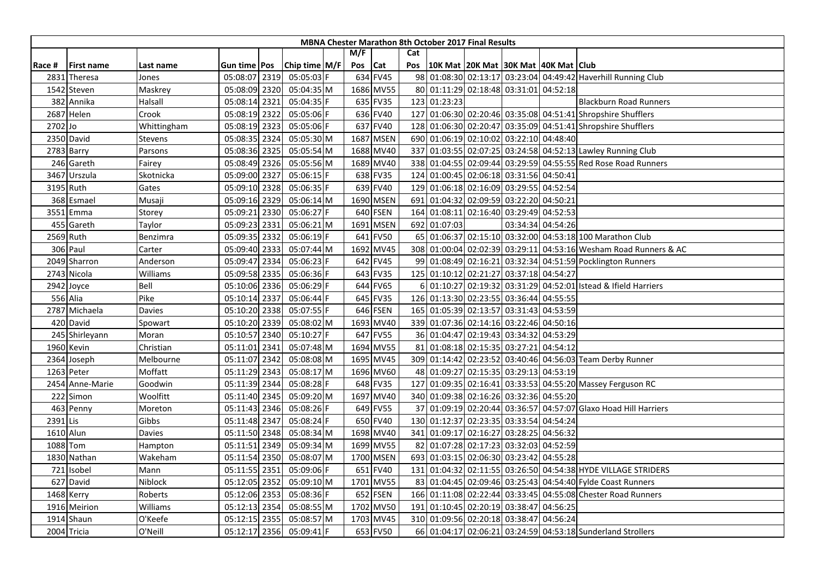| <b>MBNA Chester Marathon 8th October 2017 Final Results</b> |                   |             |                |  |               |  |     |           |     |                                                    |                                     |  |                   |                                                                  |
|-------------------------------------------------------------|-------------------|-------------|----------------|--|---------------|--|-----|-----------|-----|----------------------------------------------------|-------------------------------------|--|-------------------|------------------------------------------------------------------|
|                                                             |                   |             |                |  |               |  | M/F |           | Cat |                                                    |                                     |  |                   |                                                                  |
| Race #                                                      | <b>First name</b> | Last name   | Gun time   Pos |  | Chip time M/F |  | Pos | Cat       |     | Pos   10K Mat   20K Mat   30K Mat   40K Mat   Club |                                     |  |                   |                                                                  |
| 2831                                                        | Theresa           | Jones       | 05:08:07 2319  |  | 05:05:03 F    |  |     | 634 FV45  |     |                                                    |                                     |  |                   | 98 01:08:30 02:13:17 03:23:04 04:49:42 Haverhill Running Club    |
|                                                             | 1542 Steven       | Maskrey     | 05:08:09 2320  |  | 05:04:35 M    |  |     | 1686 MV55 |     | 80 01:11:29 02:18:48 03:31:01 04:52:18             |                                     |  |                   |                                                                  |
|                                                             | 382 Annika        | Halsall     | 05:08:14 2321  |  | 05:04:35 F    |  |     | 635 FV35  |     | 123 01:23:23                                       |                                     |  |                   | <b>Blackburn Road Runners</b>                                    |
|                                                             | 2687 Helen        | Crook       | 05:08:19 2322  |  | 05:05:06 F    |  |     | 636 FV40  |     |                                                    |                                     |  |                   | 127 01:06:30 02:20:46 03:35:08 04:51:41 Shropshire Shufflers     |
| 2702 Jo                                                     |                   | Whittingham | 05:08:19 2323  |  | 05:05:06 F    |  |     | 637 FV40  |     |                                                    |                                     |  |                   | 128 01:06:30 02:20:47 03:35:09 04:51:41 Shropshire Shufflers     |
|                                                             | 2350 David        | Stevens     | 05:08:35 2324  |  | 05:05:30 M    |  |     | 1687 MSEN |     | 690 01:06:19 02:10:02 03:22:10 04:48:40            |                                     |  |                   |                                                                  |
|                                                             | 2783 Barry        | Parsons     | 05:08:36 2325  |  | 05:05:54 M    |  |     | 1688 MV40 |     |                                                    |                                     |  |                   | 337 01:03:55 02:07:25 03:24:58 04:52:13 Lawley Running Club      |
|                                                             | 246 Gareth        | Fairey      | 05:08:49 2326  |  | 05:05:56 M    |  |     | 1689 MV40 |     |                                                    |                                     |  |                   | 338 01:04:55 02:09:44 03:29:59 04:55:55 Red Rose Road Runners    |
|                                                             | 3467 Urszula      | Skotnicka   | 05:09:00 2327  |  | 05:06:15 F    |  |     | 638 FV35  |     | 124 01:00:45 02:06:18 03:31:56 04:50:41            |                                     |  |                   |                                                                  |
|                                                             | 3195 Ruth         | Gates       | 05:09:10 2328  |  | 05:06:35 F    |  |     | 639 FV40  |     | 129 01:06:18 02:16:09 03:29:55 04:52:54            |                                     |  |                   |                                                                  |
|                                                             | 368 Esmael        | Musaji      | 05:09:16 2329  |  | 05:06:14 M    |  |     | 1690 MSEN | 691 | 01:04:32 02:09:59 03:22:20 04:50:21                |                                     |  |                   |                                                                  |
|                                                             | 3551 Emma         | Storey      | 05:09:21 2330  |  | 05:06:27 F    |  |     | 640 FSEN  | 164 |                                                    | 01:08:11 02:16:40 03:29:49 04:52:53 |  |                   |                                                                  |
|                                                             | 455 Gareth        | Taylor      | 05:09:23 2331  |  | 05:06:21 M    |  |     | 1691 MSEN |     | 692 01:07:03                                       |                                     |  | 03:34:34 04:54:26 |                                                                  |
|                                                             | 2569 Ruth         | Benzimra    | 05:09:35 2332  |  | 05:06:19 F    |  |     | 641 FV50  |     |                                                    |                                     |  |                   | 65 01:06:37 02:15:10 03:32:00 04:53:18 100 Marathon Club         |
|                                                             | 306 Paul          | Carter      | 05:09:40 2333  |  | 05:07:44 M    |  |     | 1692 MV45 |     |                                                    |                                     |  |                   | 308 01:00:04 02:02:39 03:29:11 04:53:16 Wesham Road Runners & AC |
|                                                             | 2049 Sharron      | Anderson    | 05:09:47 2334  |  | 05:06:23 F    |  |     | 642 FV45  |     |                                                    |                                     |  |                   | 99 01:08:49 02:16:21 03:32:34 04:51:59 Pocklington Runners       |
|                                                             | 2743 Nicola       | Williams    | 05:09:58 2335  |  | 05:06:36 F    |  |     | 643 FV35  | 125 |                                                    | 01:10:12 02:21:27 03:37:18 04:54:27 |  |                   |                                                                  |
|                                                             | 2942 Joyce        | Bell        | 05:10:06 2336  |  | 05:06:29 F    |  |     | 644 FV65  |     |                                                    |                                     |  |                   | 01:10:27 02:19:32 03:31:29 04:52:01 Istead & Ifield Harriers     |
|                                                             | 556 Alia          | Pike        | 05:10:14 2337  |  | 05:06:44 F    |  |     | 645 FV35  |     | 126 01:13:30 02:23:55 03:36:44 04:55:55            |                                     |  |                   |                                                                  |
|                                                             | 2787 Michaela     | Davies      | 05:10:20 2338  |  | 05:07:55 F    |  |     | 646 FSEN  |     | 165 01:05:39 02:13:57 03:31:43 04:53:59            |                                     |  |                   |                                                                  |
|                                                             | 420 David         | Spowart     | 05:10:20 2339  |  | 05:08:02 M    |  |     | 1693 MV40 |     | 339 01:07:36 02:14:16 03:22:46 04:50:16            |                                     |  |                   |                                                                  |
|                                                             | 245 Shirleyann    | Moran       | 05:10:57 2340  |  | 05:10:27 F    |  |     | 647 FV55  |     | 36 01:04:47 02:19:43 03:34:32 04:53:29             |                                     |  |                   |                                                                  |
|                                                             | 1960 Kevin        | Christian   | 05:11:01 2341  |  | 05:07:48 M    |  |     | 1694 MV55 |     | 81 01:08:18 02:15:35 03:27:21 04:54:12             |                                     |  |                   |                                                                  |
|                                                             | 2364 Joseph       | Melbourne   | 05:11:07 2342  |  | 05:08:08 M    |  |     | 1695 MV45 |     |                                                    |                                     |  |                   | 309 01:14:42 02:23:52 03:40:46 04:56:03 Team Derby Runner        |
|                                                             | 1263 Peter        | Moffatt     | 05:11:29 2343  |  | 05:08:17 M    |  |     | 1696 MV60 |     | 48 01:09:27 02:15:35 03:29:13 04:53:19             |                                     |  |                   |                                                                  |
|                                                             | 2454 Anne-Marie   | Goodwin     | 05:11:39 2344  |  | 05:08:28 F    |  |     | 648 FV35  |     |                                                    |                                     |  |                   | 127 01:09:35 02:16:41 03:33:53 04:55:20 Massey Ferguson RC       |
|                                                             | 222 Simon         | Woolfitt    | 05:11:40 2345  |  | 05:09:20 M    |  |     | 1697 MV40 |     | 340 01:09:38 02:16:26 03:32:36 04:55:20            |                                     |  |                   |                                                                  |
|                                                             | 463 Penny         | Moreton     | 05:11:43 2346  |  | 05:08:26 F    |  |     | 649 FV55  |     |                                                    |                                     |  |                   | 37 01:09:19 02:20:44 03:36:57 04:57:07 Glaxo Hoad Hill Harriers  |
| 2391 Lis                                                    |                   | Gibbs       | 05:11:48 2347  |  | 05:08:24 F    |  |     | 650 FV40  |     | 130 01:12:37 02:23:35 03:33:54 04:54:24            |                                     |  |                   |                                                                  |
|                                                             | 1610 Alun         | Davies      | 05:11:50 2348  |  | 05:08:34 M    |  |     | 1698 MV40 |     | 341 01:09:17 02:16:27 03:28:25 04:56:32            |                                     |  |                   |                                                                  |
|                                                             | 1088 Tom          | Hampton     | 05:11:51 2349  |  | 05:09:34 M    |  |     | 1699 MV55 |     | 82 01:07:28 02:17:23 03:32:03 04:52:59             |                                     |  |                   |                                                                  |
|                                                             | 1830 Nathan       | Wakeham     | 05:11:54 2350  |  | 05:08:07 M    |  |     | 1700 MSEN |     | 693 01:03:15 02:06:30 03:23:42 04:55:28            |                                     |  |                   |                                                                  |
|                                                             | 721 Isobel        | Mann        | 05:11:55 2351  |  | 05:09:06 F    |  |     | 651 FV40  | 131 |                                                    |                                     |  |                   | 01:04:32 02:11:55 03:26:50 04:54:38 HYDE VILLAGE STRIDERS        |
|                                                             | 627 David         | Niblock     | 05:12:05 2352  |  | 05:09:10 M    |  |     | 1701 MV55 |     |                                                    |                                     |  |                   | 83 01:04:45 02:09:46 03:25:43 04:54:40 Fylde Coast Runners       |
|                                                             | 1468 Kerry        | Roberts     | 05:12:06 2353  |  | 05:08:36 F    |  |     | 652 FSEN  |     |                                                    |                                     |  |                   | 166 01:11:08 02:22:44 03:33:45 04:55:08 Chester Road Runners     |
|                                                             | 1916 Meirion      | Williams    | 05:12:13 2354  |  | 05:08:55 M    |  |     | 1702 MV50 |     | 191 01:10:45 02:20:19 03:38:47 04:56:25            |                                     |  |                   |                                                                  |
|                                                             | 1914 Shaun        | O'Keefe     | 05:12:15 2355  |  | 05:08:57 M    |  |     | 1703 MV45 |     | 310 01:09:56 02:20:18 03:38:47 04:56:24            |                                     |  |                   |                                                                  |
|                                                             | 2004 Tricia       | O'Neill     | 05:12:17 2356  |  | 05:09:41 F    |  |     | 653 FV50  |     |                                                    |                                     |  |                   | 66 01:04:17 02:06:21 03:24:59 04:53:18 Sunderland Strollers      |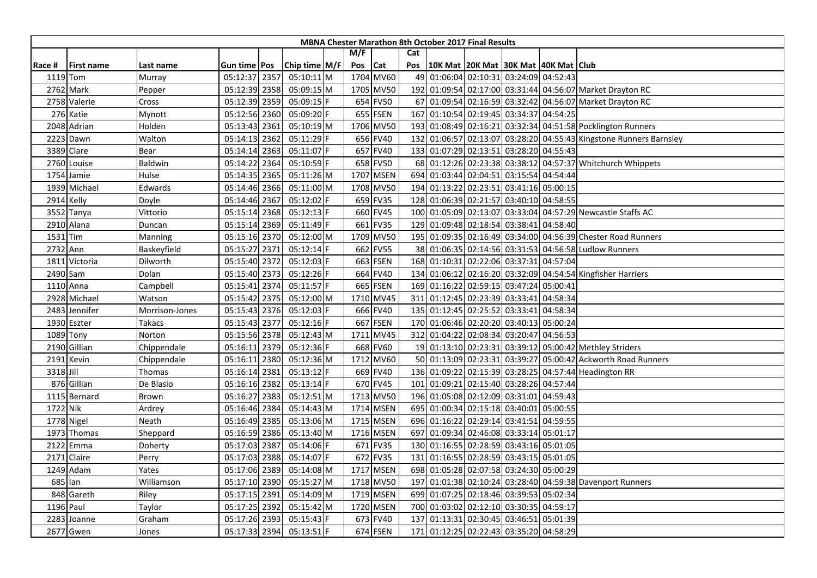| <b>MBNA Chester Marathon 8th October 2017 Final Results</b> |                   |                |               |  |               |  |         |           |     |  |                                         |  |                                                                    |
|-------------------------------------------------------------|-------------------|----------------|---------------|--|---------------|--|---------|-----------|-----|--|-----------------------------------------|--|--------------------------------------------------------------------|
|                                                             |                   |                |               |  |               |  | M/F     |           | Cat |  |                                         |  |                                                                    |
| Race #                                                      | <b>First name</b> | Last name      | Gun time Pos  |  | Chip time M/F |  | Pos Cat |           | Pos |  | 10K Mat 20K Mat 30K Mat 40K Mat Club    |  |                                                                    |
|                                                             | 1119 Tom          | Murray         | 05:12:37 2357 |  | 05:10:11 M    |  |         | 1704 MV60 |     |  | 49 01:06:04 02:10:31 03:24:09 04:52:43  |  |                                                                    |
|                                                             | 2762 Mark         | Pepper         | 05:12:39 2358 |  | 05:09:15 M    |  |         | 1705 MV50 |     |  |                                         |  | 192 01:09:54 02:17:00 03:31:44 04:56:07 Market Drayton RC          |
|                                                             | 2758 Valerie      | Cross          | 05:12:39 2359 |  | $05:09:15$ F  |  |         | 654 FV50  |     |  |                                         |  | 67 01:09:54 02:16:59 03:32:42 04:56:07 Market Drayton RC           |
|                                                             | 276 Katie         | Mynott         | 05:12:56 2360 |  | 05:09:20 F    |  |         | 655 FSEN  |     |  | 167 01:10:54 02:19:45 03:34:37 04:54:25 |  |                                                                    |
|                                                             | 2048 Adrian       | Holden         | 05:13:43 2361 |  | 05:10:19 M    |  |         | 1706 MV50 |     |  |                                         |  | 193 01:08:49 02:16:21 03:32:34 04:51:58 Pocklington Runners        |
|                                                             | 2223 Dawn         | Walton         | 05:14:13 2362 |  | 05:11:29 F    |  |         | 656 FV40  |     |  |                                         |  | 132 01:06:57 02:13:07 03:28:20 04:55:43 Kingstone Runners Barnsley |
|                                                             | 3389 Clare        | Bear           | 05:14:14 2363 |  | 05:11:07 F    |  |         | 657 FV40  |     |  | 133 01:07:29 02:13:51 03:28:20 04:55:43 |  |                                                                    |
|                                                             | 2760 Louise       | Baldwin        | 05:14:22 2364 |  | 05:10:59 F    |  |         | 658 FV50  |     |  |                                         |  | 68 01:12:26 02:23:38 03:38:12 04:57:37 Whitchurch Whippets         |
|                                                             | 1754 Jamie        | Hulse          | 05:14:35 2365 |  | 05:11:26 M    |  |         | 1707 MSEN |     |  | 694 01:03:44 02:04:51 03:15:54 04:54:44 |  |                                                                    |
|                                                             | 1939 Michael      | Edwards        | 05:14:46 2366 |  | 05:11:00 M    |  |         | 1708 MV50 |     |  | 194 01:13:22 02:23:51 03:41:16 05:00:15 |  |                                                                    |
|                                                             | 2914 Kelly        | Doyle          | 05:14:46 2367 |  | 05:12:02 F    |  |         | 659 FV35  |     |  | 128 01:06:39 02:21:57 03:40:10 04:58:55 |  |                                                                    |
|                                                             | 3552 Tanya        | Vittorio       | 05:15:14 2368 |  | 05:12:13 F    |  |         | 660 FV45  |     |  |                                         |  | 100 01:05:09 02:13:07 03:33:04 04:57:29 Newcastle Staffs AC        |
|                                                             | 2910 Alana        | Duncan         | 05:15:14 2369 |  | $05:11:49$ F  |  |         | 661 FV35  |     |  | 129 01:09:48 02:18:54 03:38:41 04:58:40 |  |                                                                    |
| 1531 Tim                                                    |                   | Manning        | 05:15:16 2370 |  | 05:12:00 M    |  |         | 1709 MV50 |     |  |                                         |  | 195 01:09:35 02:16:49 03:34:00 04:56:39 Chester Road Runners       |
| 2732 Ann                                                    |                   | Baskeyfield    | 05:15:27 2371 |  | $05:12:14$ F  |  |         | 662 FV55  |     |  |                                         |  | 38 01:06:35 02:14:56 03:31:53 04:56:58 Ludlow Runners              |
|                                                             | 1811 Victoria     | Dilworth       | 05:15:40 2372 |  | 05:12:03 F    |  |         | 663 FSEN  |     |  | 168 01:10:31 02:22:06 03:37:31 04:57:04 |  |                                                                    |
|                                                             | 2490 Sam          | Dolan          | 05:15:40 2373 |  | 05:12:26 F    |  |         | 664 FV40  |     |  |                                         |  | 134 01:06:12 02:16:20 03:32:09 04:54:54 Kingfisher Harriers        |
|                                                             | 1110 Anna         | Campbell       | 05:15:41 2374 |  | 05:11:57 F    |  |         | 665 FSEN  |     |  | 169 01:16:22 02:59:15 03:47:24 05:00:41 |  |                                                                    |
|                                                             | 2928 Michael      | Watson         | 05:15:42 2375 |  | 05:12:00 M    |  |         | 1710 MV45 |     |  | 311 01:12:45 02:23:39 03:33:41 04:58:34 |  |                                                                    |
|                                                             | 2483 Jennifer     | Morrison-Jones | 05:15:43 2376 |  | 05:12:03 F    |  |         | 666 FV40  |     |  | 135 01:12:45 02:25:52 03:33:41 04:58:34 |  |                                                                    |
|                                                             | 1930 Eszter       | Takacs         | 05:15:43 2377 |  | 05:12:16 F    |  |         | 667 FSEN  |     |  | 170 01:06:46 02:20:20 03:40:13 05:00:24 |  |                                                                    |
|                                                             | 1089 Tony         | Norton         | 05:15:56 2378 |  | 05:12:43 M    |  |         | 1711 MV45 |     |  | 312 01:04:22 02:08:34 03:20:47 04:56:53 |  |                                                                    |
|                                                             | 2190 Gillian      | Chippendale    | 05:16:11 2379 |  | 05:12:36 F    |  |         | 668 FV60  |     |  | 19 01:13:10 02:23:31 03:39:12           |  | 05:00:42 Methley Striders                                          |
|                                                             | 2191 Kevin        | Chippendale    | 05:16:11 2380 |  | 05:12:36 M    |  |         | 1712 MV60 |     |  |                                         |  | 50 01:13:09 02:23:31 03:39:27 05:00:42 Ackworth Road Runners       |
| 3318 Jill                                                   |                   | Thomas         | 05:16:14 2381 |  | 05:13:12 F    |  |         | 669 FV40  |     |  |                                         |  | 136 01:09:22 02:15:39 03:28:25 04:57:44 Headington RR              |
|                                                             | 876 Gillian       | De Blasio      | 05:16:16 2382 |  | $05:13:14$ F  |  |         | 670 FV45  |     |  | 101 01:09:21 02:15:40 03:28:26 04:57:44 |  |                                                                    |
|                                                             | 1115 Bernard      | Brown          | 05:16:27 2383 |  | 05:12:51 M    |  |         | 1713 MV50 |     |  | 196 01:05:08 02:12:09 03:31:01 04:59:43 |  |                                                                    |
| 1722 Nik                                                    |                   | Ardrey         | 05:16:46 2384 |  | 05:14:43 M    |  |         | 1714 MSEN |     |  | 695 01:00:34 02:15:18 03:40:01 05:00:55 |  |                                                                    |
|                                                             | 1778 Nigel        | Neath          | 05:16:49 2385 |  | 05:13:06 M    |  |         | 1715 MSEN |     |  | 696 01:16:22 02:29:14 03:41:51 04:59:55 |  |                                                                    |
|                                                             | 1973 Thomas       | Sheppard       | 05:16:59 2386 |  | 05:13:40 M    |  |         | 1716 MSEN | 697 |  | 01:09:34 02:46:08 03:33:14 05:01:17     |  |                                                                    |
|                                                             | 2122 Emma         | Doherty        | 05:17:03 2387 |  | 05:14:06 F    |  |         | 671 FV35  |     |  | 130 01:16:55 02:28:59 03:43:16 05:01:05 |  |                                                                    |
|                                                             | 2171 Claire       | Perry          | 05:17:03 2388 |  | 05:14:07 F    |  |         | 672 FV35  |     |  | 131 01:16:55 02:28:59 03:43:15 05:01:05 |  |                                                                    |
|                                                             | 1249 Adam         | Yates          | 05:17:06 2389 |  | 05:14:08 M    |  |         | 1717 MSEN |     |  | 698 01:05:28 02:07:58 03:24:30 05:00:29 |  |                                                                    |
|                                                             | 685 lan           | Williamson     | 05:17:10 2390 |  | 05:15:27 M    |  |         | 1718 MV50 | 197 |  |                                         |  | 01:01:38 02:10:24 03:28:40 04:59:38 Davenport Runners              |
|                                                             | 848 Gareth        | Riley          | 05:17:15 2391 |  | 05:14:09 M    |  |         | 1719 MSEN |     |  | 699 01:07:25 02:18:46 03:39:53 05:02:34 |  |                                                                    |
| 1196 Paul                                                   |                   | Taylor         | 05:17:25 2392 |  | 05:15:42 M    |  |         | 1720 MSEN |     |  | 700 01:03:02 02:12:10 03:30:35 04:59:17 |  |                                                                    |
|                                                             | 2283 Joanne       | Graham         | 05:17:26 2393 |  | 05:15:43 F    |  |         | 673 FV40  | 137 |  | 01:13:31 02:30:45 03:46:51 05:01:39     |  |                                                                    |
|                                                             | 2677 Gwen         | Jones          | 05:17:33 2394 |  | 05:13:51 F    |  |         | 674 FSEN  |     |  | 171 01:12:25 02:22:43 03:35:20 04:58:29 |  |                                                                    |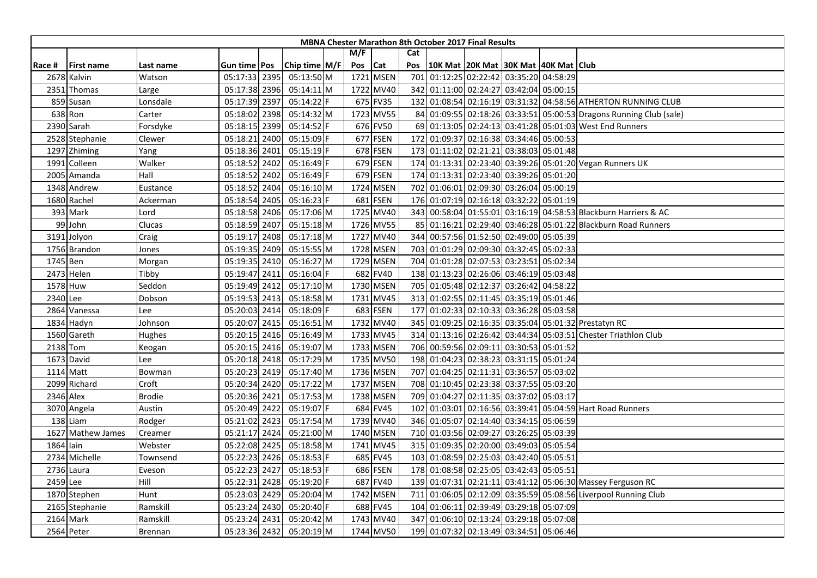| M/F<br>Cat<br>Chip time M/F<br>Cat<br>10K Mat 20K Mat 30K Mat 40K Mat Club<br>Pos<br>Pos<br><b>First name</b><br>Gun time   Pos<br>Race #<br>Last name<br>1721 MSEN<br>01:12:25 02:22:42 03:35:20 04:58:29<br>05:13:50 M<br>701<br>2678 Kalvin<br>05:17:33 2395<br>Watson<br>342 01:11:00 02:24:27 03:42:04 05:00:15<br>05:14:11 M<br>1722 MV40<br>2351<br>05:17:38 2396<br>Thomas<br>Large<br>859 Susan<br>05:17:39 2397<br>05:14:22 F<br>675 FV35<br>132 01:08:54 02:16:19 03:31:32 04:58:56 ATHERTON RUNNING CLUB<br>Lonsdale<br>638 Ron<br>1723 MV55<br>84 01:09:55 02:18:26 03:33:51 05:00:53 Dragons Running Club (sale)<br>Carter<br>05:18:02 2398<br>05:14:32 M<br>676 FV50<br>05:14:52 F<br>69 01:13:05 02:24:13 03:41:28 05:01:03 West End Runners<br>2390 Sarah<br>Forsdyke<br>05:18:15 2399<br>677 FSEN<br>01:09:37 02:16:38 03:34:46 05:00:53<br>05:18:21 2400<br>172<br>2528 Stephanie<br>05:15:09 F<br>Clewer<br>678 FSEN<br>173 01:11:02 02:21:21 03:38:03 05:01:48<br>05:18:36 2401<br>05:15:19 F<br>1297 Zhiming<br>Yang<br>05:18:52 2402<br>679 FSEN<br>174 01:13:31 02:23:40 03:39:26 05:01:20 Vegan Runners UK<br>Colleen<br>Walker<br>05:16:49 F<br>1991<br>679 FSEN<br>174 01:13:31 02:23:40 03:39:26 05:01:20<br>Hall<br>05:18:52 2402<br>2005 Amanda<br>05:16:49 F<br>1724 MSEN<br>702 01:06:01 02:09:30 03:26:04 05:00:19<br>1348 Andrew<br>05:18:52 2404<br>05:16:10 M<br>Eustance<br>05:18:54 2405<br>05:16:23 F<br>681 FSEN<br>176 01:07:19 02:16:18 03:32:22 05:01:19<br>1680 Rachel<br>Ackerman<br>393 Mark<br>1725 MV40<br>343 00:58:04 01:55:01 03:16:19 04:58:53 Blackburn Harriers & AC<br>05:18:58 2406<br>05:17:06 M<br>Lord<br>99 John<br>05:18:59 2407<br>05:15:18 M<br>1726 MV55<br>85 01:16:21 02:29:40 03:46:28 05:01:22 Blackburn Road Runners<br>Clucas<br>05:19:17 2408<br>1727 MV40<br>344 00:57:56 01:52:50 02:49:00 05:05:39<br>3191 Jolyon<br>05:17:18 M<br>Craig<br>1728 MSEN<br>703 01:01:29 02:09:30 03:32:45 05:02:33<br>1756 Brandon<br>05:19:35 2409<br>05:15:55 M<br>Jones<br>1729 MSEN<br>704 01:01:28 02:07:53 03:23:51 05:02:34<br>1745 Ben<br>05:19:35 2410<br>05:16:27 M<br>Morgan<br>682 FV40<br>01:13:23 02:26:06 03:46:19 05:03:48<br>2473 Helen<br>05:19:47 2411<br>05:16:04 F<br>Tibby<br>138<br>1730 MSEN<br>1578 Huw<br>Seddon<br>05:19:49 2412<br>05:17:10 M<br>705 01:05:48 02:12:37 03:26:42 04:58:22<br>05:19:53 2413<br>1731 MV45<br>313 01:02:55 02:11:45 03:35:19 05:01:46<br>2340 Lee<br>Dobson<br>05:18:58 M<br>683 FSEN<br>2864 Vanessa<br>05:20:03 2414<br>05:18:09 F<br>177 01:02:33 02:10:33 03:36:28 05:03:58<br>Lee<br>$05:16:51$ M<br>1732 MV40<br>345 01:09:25 02:16:35 03:35:04 05:01:32 Prestatyn RC<br>1834 Hadyn<br>05:20:07 2415<br>Johnson<br>1733 MV45<br>314 01:13:16 02:26:42 03:44:34 05:03:51 Chester Triathlon Club<br>1560 Gareth<br>05:20:15 2416<br>05:16:49 M<br>Hughes<br>1733 MSEN<br>706 00:59:56 02:09:11 03:30:53 05:01:52<br>05:20:15 2416<br>05:19:07 M<br>2138 Tom<br>Keogan<br>1735 MV50<br>198 01:04:23 02:38:23 03:31:15 05:01:24<br>1673 David<br>05:20:18 2418<br>05:17:29 M<br>Lee<br>707 01:04:25 02:11:31 03:36:57 05:03:02<br>1114 Matt<br>05:20:23 2419<br>05:17:40 M<br>1736 MSEN<br>Bowman<br>1737 MSEN<br>2099 Richard<br>708 01:10:45 02:23:38 03:37:55 05:03:20<br>Croft<br>05:20:34 2420<br>05:17:22 M<br>2346 Alex<br><b>Brodie</b><br>05:17:53 M<br>1738 MSEN<br>709 01:04:27 02:11:35 03:37:02 05:03:17<br>05:20:36 2421<br>05:20:49 2422<br>05:19:07 F<br>684 FV45<br>01:03:01 02:16:56 03:39:41 05:04:59 Hart Road Runners<br>3070 Angela<br>102<br>Austin<br>1739 MV40<br>346 01:05:07 02:14:40 03:34:15 05:06:59<br>138 Liam<br>Rodger<br>05:21:02 2423<br>05:17:54 M<br>710 01:03:56 02:09:27 03:26:25 05:03:39<br>1627 Mathew James<br>05:21:17 2424<br>05:21:00 M<br>1740 MSEN<br>Creamer<br>1864 lain<br>05:22:08 2425<br>1741 MV45<br>315 01:09:35 02:20:00 03:49:03 05:05:54<br>Webster<br>05:18:58 M<br>685 FV45<br>103 01:08:59 02:25:03 03:42:40 05:05:51<br>2734 Michelle<br>05:22:23 2426<br>05:18:53 F<br>Townsend<br>05:22:23 2427<br>686 FSEN<br>178 01:08:58 02:25:05 03:42:43 05:05:51<br>2736 Laura<br>05:18:53 F<br>Eveson<br>687 FV40<br>01:07:31 02:21:11 03:41:12 05:06:30 Massey Ferguson RC<br>2459 Lee<br>Hill<br>05:22:31 2428<br>05:19:20 F<br>139<br>05:23:03 2429<br>1742 MSEN<br>01:06:05 02:12:09 03:35:59 05:08:56 Liverpool Running Club<br>1870 Stephen<br>Hunt<br>05:20:04 M<br>711 | <b>MBNA Chester Marathon 8th October 2017 Final Results</b> |  |  |  |  |  |  |  |  |  |  |  |  |  |
|-----------------------------------------------------------------------------------------------------------------------------------------------------------------------------------------------------------------------------------------------------------------------------------------------------------------------------------------------------------------------------------------------------------------------------------------------------------------------------------------------------------------------------------------------------------------------------------------------------------------------------------------------------------------------------------------------------------------------------------------------------------------------------------------------------------------------------------------------------------------------------------------------------------------------------------------------------------------------------------------------------------------------------------------------------------------------------------------------------------------------------------------------------------------------------------------------------------------------------------------------------------------------------------------------------------------------------------------------------------------------------------------------------------------------------------------------------------------------------------------------------------------------------------------------------------------------------------------------------------------------------------------------------------------------------------------------------------------------------------------------------------------------------------------------------------------------------------------------------------------------------------------------------------------------------------------------------------------------------------------------------------------------------------------------------------------------------------------------------------------------------------------------------------------------------------------------------------------------------------------------------------------------------------------------------------------------------------------------------------------------------------------------------------------------------------------------------------------------------------------------------------------------------------------------------------------------------------------------------------------------------------------------------------------------------------------------------------------------------------------------------------------------------------------------------------------------------------------------------------------------------------------------------------------------------------------------------------------------------------------------------------------------------------------------------------------------------------------------------------------------------------------------------------------------------------------------------------------------------------------------------------------------------------------------------------------------------------------------------------------------------------------------------------------------------------------------------------------------------------------------------------------------------------------------------------------------------------------------------------------------------------------------------------------------------------------------------------------------------------------------------------------------------------------------------------------------------------------------------------------------------------------------------------------------------------------------------------------------------------------------------------------------------------------------------------------------------------------------------------------------------------------------------------------------------------------------------------------------------------------------------------------------------------------------------------------------------------------------------------------------------------------------------------------------------------------------------------|-------------------------------------------------------------|--|--|--|--|--|--|--|--|--|--|--|--|--|
|                                                                                                                                                                                                                                                                                                                                                                                                                                                                                                                                                                                                                                                                                                                                                                                                                                                                                                                                                                                                                                                                                                                                                                                                                                                                                                                                                                                                                                                                                                                                                                                                                                                                                                                                                                                                                                                                                                                                                                                                                                                                                                                                                                                                                                                                                                                                                                                                                                                                                                                                                                                                                                                                                                                                                                                                                                                                                                                                                                                                                                                                                                                                                                                                                                                                                                                                                                                                                                                                                                                                                                                                                                                                                                                                                                                                                                                                                                                                                                                                                                                                                                                                                                                                                                                                                                                                                                                                                                                           |                                                             |  |  |  |  |  |  |  |  |  |  |  |  |  |
|                                                                                                                                                                                                                                                                                                                                                                                                                                                                                                                                                                                                                                                                                                                                                                                                                                                                                                                                                                                                                                                                                                                                                                                                                                                                                                                                                                                                                                                                                                                                                                                                                                                                                                                                                                                                                                                                                                                                                                                                                                                                                                                                                                                                                                                                                                                                                                                                                                                                                                                                                                                                                                                                                                                                                                                                                                                                                                                                                                                                                                                                                                                                                                                                                                                                                                                                                                                                                                                                                                                                                                                                                                                                                                                                                                                                                                                                                                                                                                                                                                                                                                                                                                                                                                                                                                                                                                                                                                                           |                                                             |  |  |  |  |  |  |  |  |  |  |  |  |  |
|                                                                                                                                                                                                                                                                                                                                                                                                                                                                                                                                                                                                                                                                                                                                                                                                                                                                                                                                                                                                                                                                                                                                                                                                                                                                                                                                                                                                                                                                                                                                                                                                                                                                                                                                                                                                                                                                                                                                                                                                                                                                                                                                                                                                                                                                                                                                                                                                                                                                                                                                                                                                                                                                                                                                                                                                                                                                                                                                                                                                                                                                                                                                                                                                                                                                                                                                                                                                                                                                                                                                                                                                                                                                                                                                                                                                                                                                                                                                                                                                                                                                                                                                                                                                                                                                                                                                                                                                                                                           |                                                             |  |  |  |  |  |  |  |  |  |  |  |  |  |
|                                                                                                                                                                                                                                                                                                                                                                                                                                                                                                                                                                                                                                                                                                                                                                                                                                                                                                                                                                                                                                                                                                                                                                                                                                                                                                                                                                                                                                                                                                                                                                                                                                                                                                                                                                                                                                                                                                                                                                                                                                                                                                                                                                                                                                                                                                                                                                                                                                                                                                                                                                                                                                                                                                                                                                                                                                                                                                                                                                                                                                                                                                                                                                                                                                                                                                                                                                                                                                                                                                                                                                                                                                                                                                                                                                                                                                                                                                                                                                                                                                                                                                                                                                                                                                                                                                                                                                                                                                                           |                                                             |  |  |  |  |  |  |  |  |  |  |  |  |  |
|                                                                                                                                                                                                                                                                                                                                                                                                                                                                                                                                                                                                                                                                                                                                                                                                                                                                                                                                                                                                                                                                                                                                                                                                                                                                                                                                                                                                                                                                                                                                                                                                                                                                                                                                                                                                                                                                                                                                                                                                                                                                                                                                                                                                                                                                                                                                                                                                                                                                                                                                                                                                                                                                                                                                                                                                                                                                                                                                                                                                                                                                                                                                                                                                                                                                                                                                                                                                                                                                                                                                                                                                                                                                                                                                                                                                                                                                                                                                                                                                                                                                                                                                                                                                                                                                                                                                                                                                                                                           |                                                             |  |  |  |  |  |  |  |  |  |  |  |  |  |
|                                                                                                                                                                                                                                                                                                                                                                                                                                                                                                                                                                                                                                                                                                                                                                                                                                                                                                                                                                                                                                                                                                                                                                                                                                                                                                                                                                                                                                                                                                                                                                                                                                                                                                                                                                                                                                                                                                                                                                                                                                                                                                                                                                                                                                                                                                                                                                                                                                                                                                                                                                                                                                                                                                                                                                                                                                                                                                                                                                                                                                                                                                                                                                                                                                                                                                                                                                                                                                                                                                                                                                                                                                                                                                                                                                                                                                                                                                                                                                                                                                                                                                                                                                                                                                                                                                                                                                                                                                                           |                                                             |  |  |  |  |  |  |  |  |  |  |  |  |  |
|                                                                                                                                                                                                                                                                                                                                                                                                                                                                                                                                                                                                                                                                                                                                                                                                                                                                                                                                                                                                                                                                                                                                                                                                                                                                                                                                                                                                                                                                                                                                                                                                                                                                                                                                                                                                                                                                                                                                                                                                                                                                                                                                                                                                                                                                                                                                                                                                                                                                                                                                                                                                                                                                                                                                                                                                                                                                                                                                                                                                                                                                                                                                                                                                                                                                                                                                                                                                                                                                                                                                                                                                                                                                                                                                                                                                                                                                                                                                                                                                                                                                                                                                                                                                                                                                                                                                                                                                                                                           |                                                             |  |  |  |  |  |  |  |  |  |  |  |  |  |
|                                                                                                                                                                                                                                                                                                                                                                                                                                                                                                                                                                                                                                                                                                                                                                                                                                                                                                                                                                                                                                                                                                                                                                                                                                                                                                                                                                                                                                                                                                                                                                                                                                                                                                                                                                                                                                                                                                                                                                                                                                                                                                                                                                                                                                                                                                                                                                                                                                                                                                                                                                                                                                                                                                                                                                                                                                                                                                                                                                                                                                                                                                                                                                                                                                                                                                                                                                                                                                                                                                                                                                                                                                                                                                                                                                                                                                                                                                                                                                                                                                                                                                                                                                                                                                                                                                                                                                                                                                                           |                                                             |  |  |  |  |  |  |  |  |  |  |  |  |  |
|                                                                                                                                                                                                                                                                                                                                                                                                                                                                                                                                                                                                                                                                                                                                                                                                                                                                                                                                                                                                                                                                                                                                                                                                                                                                                                                                                                                                                                                                                                                                                                                                                                                                                                                                                                                                                                                                                                                                                                                                                                                                                                                                                                                                                                                                                                                                                                                                                                                                                                                                                                                                                                                                                                                                                                                                                                                                                                                                                                                                                                                                                                                                                                                                                                                                                                                                                                                                                                                                                                                                                                                                                                                                                                                                                                                                                                                                                                                                                                                                                                                                                                                                                                                                                                                                                                                                                                                                                                                           |                                                             |  |  |  |  |  |  |  |  |  |  |  |  |  |
|                                                                                                                                                                                                                                                                                                                                                                                                                                                                                                                                                                                                                                                                                                                                                                                                                                                                                                                                                                                                                                                                                                                                                                                                                                                                                                                                                                                                                                                                                                                                                                                                                                                                                                                                                                                                                                                                                                                                                                                                                                                                                                                                                                                                                                                                                                                                                                                                                                                                                                                                                                                                                                                                                                                                                                                                                                                                                                                                                                                                                                                                                                                                                                                                                                                                                                                                                                                                                                                                                                                                                                                                                                                                                                                                                                                                                                                                                                                                                                                                                                                                                                                                                                                                                                                                                                                                                                                                                                                           |                                                             |  |  |  |  |  |  |  |  |  |  |  |  |  |
|                                                                                                                                                                                                                                                                                                                                                                                                                                                                                                                                                                                                                                                                                                                                                                                                                                                                                                                                                                                                                                                                                                                                                                                                                                                                                                                                                                                                                                                                                                                                                                                                                                                                                                                                                                                                                                                                                                                                                                                                                                                                                                                                                                                                                                                                                                                                                                                                                                                                                                                                                                                                                                                                                                                                                                                                                                                                                                                                                                                                                                                                                                                                                                                                                                                                                                                                                                                                                                                                                                                                                                                                                                                                                                                                                                                                                                                                                                                                                                                                                                                                                                                                                                                                                                                                                                                                                                                                                                                           |                                                             |  |  |  |  |  |  |  |  |  |  |  |  |  |
|                                                                                                                                                                                                                                                                                                                                                                                                                                                                                                                                                                                                                                                                                                                                                                                                                                                                                                                                                                                                                                                                                                                                                                                                                                                                                                                                                                                                                                                                                                                                                                                                                                                                                                                                                                                                                                                                                                                                                                                                                                                                                                                                                                                                                                                                                                                                                                                                                                                                                                                                                                                                                                                                                                                                                                                                                                                                                                                                                                                                                                                                                                                                                                                                                                                                                                                                                                                                                                                                                                                                                                                                                                                                                                                                                                                                                                                                                                                                                                                                                                                                                                                                                                                                                                                                                                                                                                                                                                                           |                                                             |  |  |  |  |  |  |  |  |  |  |  |  |  |
|                                                                                                                                                                                                                                                                                                                                                                                                                                                                                                                                                                                                                                                                                                                                                                                                                                                                                                                                                                                                                                                                                                                                                                                                                                                                                                                                                                                                                                                                                                                                                                                                                                                                                                                                                                                                                                                                                                                                                                                                                                                                                                                                                                                                                                                                                                                                                                                                                                                                                                                                                                                                                                                                                                                                                                                                                                                                                                                                                                                                                                                                                                                                                                                                                                                                                                                                                                                                                                                                                                                                                                                                                                                                                                                                                                                                                                                                                                                                                                                                                                                                                                                                                                                                                                                                                                                                                                                                                                                           |                                                             |  |  |  |  |  |  |  |  |  |  |  |  |  |
|                                                                                                                                                                                                                                                                                                                                                                                                                                                                                                                                                                                                                                                                                                                                                                                                                                                                                                                                                                                                                                                                                                                                                                                                                                                                                                                                                                                                                                                                                                                                                                                                                                                                                                                                                                                                                                                                                                                                                                                                                                                                                                                                                                                                                                                                                                                                                                                                                                                                                                                                                                                                                                                                                                                                                                                                                                                                                                                                                                                                                                                                                                                                                                                                                                                                                                                                                                                                                                                                                                                                                                                                                                                                                                                                                                                                                                                                                                                                                                                                                                                                                                                                                                                                                                                                                                                                                                                                                                                           |                                                             |  |  |  |  |  |  |  |  |  |  |  |  |  |
|                                                                                                                                                                                                                                                                                                                                                                                                                                                                                                                                                                                                                                                                                                                                                                                                                                                                                                                                                                                                                                                                                                                                                                                                                                                                                                                                                                                                                                                                                                                                                                                                                                                                                                                                                                                                                                                                                                                                                                                                                                                                                                                                                                                                                                                                                                                                                                                                                                                                                                                                                                                                                                                                                                                                                                                                                                                                                                                                                                                                                                                                                                                                                                                                                                                                                                                                                                                                                                                                                                                                                                                                                                                                                                                                                                                                                                                                                                                                                                                                                                                                                                                                                                                                                                                                                                                                                                                                                                                           |                                                             |  |  |  |  |  |  |  |  |  |  |  |  |  |
|                                                                                                                                                                                                                                                                                                                                                                                                                                                                                                                                                                                                                                                                                                                                                                                                                                                                                                                                                                                                                                                                                                                                                                                                                                                                                                                                                                                                                                                                                                                                                                                                                                                                                                                                                                                                                                                                                                                                                                                                                                                                                                                                                                                                                                                                                                                                                                                                                                                                                                                                                                                                                                                                                                                                                                                                                                                                                                                                                                                                                                                                                                                                                                                                                                                                                                                                                                                                                                                                                                                                                                                                                                                                                                                                                                                                                                                                                                                                                                                                                                                                                                                                                                                                                                                                                                                                                                                                                                                           |                                                             |  |  |  |  |  |  |  |  |  |  |  |  |  |
|                                                                                                                                                                                                                                                                                                                                                                                                                                                                                                                                                                                                                                                                                                                                                                                                                                                                                                                                                                                                                                                                                                                                                                                                                                                                                                                                                                                                                                                                                                                                                                                                                                                                                                                                                                                                                                                                                                                                                                                                                                                                                                                                                                                                                                                                                                                                                                                                                                                                                                                                                                                                                                                                                                                                                                                                                                                                                                                                                                                                                                                                                                                                                                                                                                                                                                                                                                                                                                                                                                                                                                                                                                                                                                                                                                                                                                                                                                                                                                                                                                                                                                                                                                                                                                                                                                                                                                                                                                                           |                                                             |  |  |  |  |  |  |  |  |  |  |  |  |  |
|                                                                                                                                                                                                                                                                                                                                                                                                                                                                                                                                                                                                                                                                                                                                                                                                                                                                                                                                                                                                                                                                                                                                                                                                                                                                                                                                                                                                                                                                                                                                                                                                                                                                                                                                                                                                                                                                                                                                                                                                                                                                                                                                                                                                                                                                                                                                                                                                                                                                                                                                                                                                                                                                                                                                                                                                                                                                                                                                                                                                                                                                                                                                                                                                                                                                                                                                                                                                                                                                                                                                                                                                                                                                                                                                                                                                                                                                                                                                                                                                                                                                                                                                                                                                                                                                                                                                                                                                                                                           |                                                             |  |  |  |  |  |  |  |  |  |  |  |  |  |
|                                                                                                                                                                                                                                                                                                                                                                                                                                                                                                                                                                                                                                                                                                                                                                                                                                                                                                                                                                                                                                                                                                                                                                                                                                                                                                                                                                                                                                                                                                                                                                                                                                                                                                                                                                                                                                                                                                                                                                                                                                                                                                                                                                                                                                                                                                                                                                                                                                                                                                                                                                                                                                                                                                                                                                                                                                                                                                                                                                                                                                                                                                                                                                                                                                                                                                                                                                                                                                                                                                                                                                                                                                                                                                                                                                                                                                                                                                                                                                                                                                                                                                                                                                                                                                                                                                                                                                                                                                                           |                                                             |  |  |  |  |  |  |  |  |  |  |  |  |  |
|                                                                                                                                                                                                                                                                                                                                                                                                                                                                                                                                                                                                                                                                                                                                                                                                                                                                                                                                                                                                                                                                                                                                                                                                                                                                                                                                                                                                                                                                                                                                                                                                                                                                                                                                                                                                                                                                                                                                                                                                                                                                                                                                                                                                                                                                                                                                                                                                                                                                                                                                                                                                                                                                                                                                                                                                                                                                                                                                                                                                                                                                                                                                                                                                                                                                                                                                                                                                                                                                                                                                                                                                                                                                                                                                                                                                                                                                                                                                                                                                                                                                                                                                                                                                                                                                                                                                                                                                                                                           |                                                             |  |  |  |  |  |  |  |  |  |  |  |  |  |
|                                                                                                                                                                                                                                                                                                                                                                                                                                                                                                                                                                                                                                                                                                                                                                                                                                                                                                                                                                                                                                                                                                                                                                                                                                                                                                                                                                                                                                                                                                                                                                                                                                                                                                                                                                                                                                                                                                                                                                                                                                                                                                                                                                                                                                                                                                                                                                                                                                                                                                                                                                                                                                                                                                                                                                                                                                                                                                                                                                                                                                                                                                                                                                                                                                                                                                                                                                                                                                                                                                                                                                                                                                                                                                                                                                                                                                                                                                                                                                                                                                                                                                                                                                                                                                                                                                                                                                                                                                                           |                                                             |  |  |  |  |  |  |  |  |  |  |  |  |  |
|                                                                                                                                                                                                                                                                                                                                                                                                                                                                                                                                                                                                                                                                                                                                                                                                                                                                                                                                                                                                                                                                                                                                                                                                                                                                                                                                                                                                                                                                                                                                                                                                                                                                                                                                                                                                                                                                                                                                                                                                                                                                                                                                                                                                                                                                                                                                                                                                                                                                                                                                                                                                                                                                                                                                                                                                                                                                                                                                                                                                                                                                                                                                                                                                                                                                                                                                                                                                                                                                                                                                                                                                                                                                                                                                                                                                                                                                                                                                                                                                                                                                                                                                                                                                                                                                                                                                                                                                                                                           |                                                             |  |  |  |  |  |  |  |  |  |  |  |  |  |
|                                                                                                                                                                                                                                                                                                                                                                                                                                                                                                                                                                                                                                                                                                                                                                                                                                                                                                                                                                                                                                                                                                                                                                                                                                                                                                                                                                                                                                                                                                                                                                                                                                                                                                                                                                                                                                                                                                                                                                                                                                                                                                                                                                                                                                                                                                                                                                                                                                                                                                                                                                                                                                                                                                                                                                                                                                                                                                                                                                                                                                                                                                                                                                                                                                                                                                                                                                                                                                                                                                                                                                                                                                                                                                                                                                                                                                                                                                                                                                                                                                                                                                                                                                                                                                                                                                                                                                                                                                                           |                                                             |  |  |  |  |  |  |  |  |  |  |  |  |  |
|                                                                                                                                                                                                                                                                                                                                                                                                                                                                                                                                                                                                                                                                                                                                                                                                                                                                                                                                                                                                                                                                                                                                                                                                                                                                                                                                                                                                                                                                                                                                                                                                                                                                                                                                                                                                                                                                                                                                                                                                                                                                                                                                                                                                                                                                                                                                                                                                                                                                                                                                                                                                                                                                                                                                                                                                                                                                                                                                                                                                                                                                                                                                                                                                                                                                                                                                                                                                                                                                                                                                                                                                                                                                                                                                                                                                                                                                                                                                                                                                                                                                                                                                                                                                                                                                                                                                                                                                                                                           |                                                             |  |  |  |  |  |  |  |  |  |  |  |  |  |
|                                                                                                                                                                                                                                                                                                                                                                                                                                                                                                                                                                                                                                                                                                                                                                                                                                                                                                                                                                                                                                                                                                                                                                                                                                                                                                                                                                                                                                                                                                                                                                                                                                                                                                                                                                                                                                                                                                                                                                                                                                                                                                                                                                                                                                                                                                                                                                                                                                                                                                                                                                                                                                                                                                                                                                                                                                                                                                                                                                                                                                                                                                                                                                                                                                                                                                                                                                                                                                                                                                                                                                                                                                                                                                                                                                                                                                                                                                                                                                                                                                                                                                                                                                                                                                                                                                                                                                                                                                                           |                                                             |  |  |  |  |  |  |  |  |  |  |  |  |  |
|                                                                                                                                                                                                                                                                                                                                                                                                                                                                                                                                                                                                                                                                                                                                                                                                                                                                                                                                                                                                                                                                                                                                                                                                                                                                                                                                                                                                                                                                                                                                                                                                                                                                                                                                                                                                                                                                                                                                                                                                                                                                                                                                                                                                                                                                                                                                                                                                                                                                                                                                                                                                                                                                                                                                                                                                                                                                                                                                                                                                                                                                                                                                                                                                                                                                                                                                                                                                                                                                                                                                                                                                                                                                                                                                                                                                                                                                                                                                                                                                                                                                                                                                                                                                                                                                                                                                                                                                                                                           |                                                             |  |  |  |  |  |  |  |  |  |  |  |  |  |
|                                                                                                                                                                                                                                                                                                                                                                                                                                                                                                                                                                                                                                                                                                                                                                                                                                                                                                                                                                                                                                                                                                                                                                                                                                                                                                                                                                                                                                                                                                                                                                                                                                                                                                                                                                                                                                                                                                                                                                                                                                                                                                                                                                                                                                                                                                                                                                                                                                                                                                                                                                                                                                                                                                                                                                                                                                                                                                                                                                                                                                                                                                                                                                                                                                                                                                                                                                                                                                                                                                                                                                                                                                                                                                                                                                                                                                                                                                                                                                                                                                                                                                                                                                                                                                                                                                                                                                                                                                                           |                                                             |  |  |  |  |  |  |  |  |  |  |  |  |  |
|                                                                                                                                                                                                                                                                                                                                                                                                                                                                                                                                                                                                                                                                                                                                                                                                                                                                                                                                                                                                                                                                                                                                                                                                                                                                                                                                                                                                                                                                                                                                                                                                                                                                                                                                                                                                                                                                                                                                                                                                                                                                                                                                                                                                                                                                                                                                                                                                                                                                                                                                                                                                                                                                                                                                                                                                                                                                                                                                                                                                                                                                                                                                                                                                                                                                                                                                                                                                                                                                                                                                                                                                                                                                                                                                                                                                                                                                                                                                                                                                                                                                                                                                                                                                                                                                                                                                                                                                                                                           |                                                             |  |  |  |  |  |  |  |  |  |  |  |  |  |
|                                                                                                                                                                                                                                                                                                                                                                                                                                                                                                                                                                                                                                                                                                                                                                                                                                                                                                                                                                                                                                                                                                                                                                                                                                                                                                                                                                                                                                                                                                                                                                                                                                                                                                                                                                                                                                                                                                                                                                                                                                                                                                                                                                                                                                                                                                                                                                                                                                                                                                                                                                                                                                                                                                                                                                                                                                                                                                                                                                                                                                                                                                                                                                                                                                                                                                                                                                                                                                                                                                                                                                                                                                                                                                                                                                                                                                                                                                                                                                                                                                                                                                                                                                                                                                                                                                                                                                                                                                                           |                                                             |  |  |  |  |  |  |  |  |  |  |  |  |  |
|                                                                                                                                                                                                                                                                                                                                                                                                                                                                                                                                                                                                                                                                                                                                                                                                                                                                                                                                                                                                                                                                                                                                                                                                                                                                                                                                                                                                                                                                                                                                                                                                                                                                                                                                                                                                                                                                                                                                                                                                                                                                                                                                                                                                                                                                                                                                                                                                                                                                                                                                                                                                                                                                                                                                                                                                                                                                                                                                                                                                                                                                                                                                                                                                                                                                                                                                                                                                                                                                                                                                                                                                                                                                                                                                                                                                                                                                                                                                                                                                                                                                                                                                                                                                                                                                                                                                                                                                                                                           |                                                             |  |  |  |  |  |  |  |  |  |  |  |  |  |
|                                                                                                                                                                                                                                                                                                                                                                                                                                                                                                                                                                                                                                                                                                                                                                                                                                                                                                                                                                                                                                                                                                                                                                                                                                                                                                                                                                                                                                                                                                                                                                                                                                                                                                                                                                                                                                                                                                                                                                                                                                                                                                                                                                                                                                                                                                                                                                                                                                                                                                                                                                                                                                                                                                                                                                                                                                                                                                                                                                                                                                                                                                                                                                                                                                                                                                                                                                                                                                                                                                                                                                                                                                                                                                                                                                                                                                                                                                                                                                                                                                                                                                                                                                                                                                                                                                                                                                                                                                                           |                                                             |  |  |  |  |  |  |  |  |  |  |  |  |  |
|                                                                                                                                                                                                                                                                                                                                                                                                                                                                                                                                                                                                                                                                                                                                                                                                                                                                                                                                                                                                                                                                                                                                                                                                                                                                                                                                                                                                                                                                                                                                                                                                                                                                                                                                                                                                                                                                                                                                                                                                                                                                                                                                                                                                                                                                                                                                                                                                                                                                                                                                                                                                                                                                                                                                                                                                                                                                                                                                                                                                                                                                                                                                                                                                                                                                                                                                                                                                                                                                                                                                                                                                                                                                                                                                                                                                                                                                                                                                                                                                                                                                                                                                                                                                                                                                                                                                                                                                                                                           |                                                             |  |  |  |  |  |  |  |  |  |  |  |  |  |
|                                                                                                                                                                                                                                                                                                                                                                                                                                                                                                                                                                                                                                                                                                                                                                                                                                                                                                                                                                                                                                                                                                                                                                                                                                                                                                                                                                                                                                                                                                                                                                                                                                                                                                                                                                                                                                                                                                                                                                                                                                                                                                                                                                                                                                                                                                                                                                                                                                                                                                                                                                                                                                                                                                                                                                                                                                                                                                                                                                                                                                                                                                                                                                                                                                                                                                                                                                                                                                                                                                                                                                                                                                                                                                                                                                                                                                                                                                                                                                                                                                                                                                                                                                                                                                                                                                                                                                                                                                                           |                                                             |  |  |  |  |  |  |  |  |  |  |  |  |  |
|                                                                                                                                                                                                                                                                                                                                                                                                                                                                                                                                                                                                                                                                                                                                                                                                                                                                                                                                                                                                                                                                                                                                                                                                                                                                                                                                                                                                                                                                                                                                                                                                                                                                                                                                                                                                                                                                                                                                                                                                                                                                                                                                                                                                                                                                                                                                                                                                                                                                                                                                                                                                                                                                                                                                                                                                                                                                                                                                                                                                                                                                                                                                                                                                                                                                                                                                                                                                                                                                                                                                                                                                                                                                                                                                                                                                                                                                                                                                                                                                                                                                                                                                                                                                                                                                                                                                                                                                                                                           |                                                             |  |  |  |  |  |  |  |  |  |  |  |  |  |
|                                                                                                                                                                                                                                                                                                                                                                                                                                                                                                                                                                                                                                                                                                                                                                                                                                                                                                                                                                                                                                                                                                                                                                                                                                                                                                                                                                                                                                                                                                                                                                                                                                                                                                                                                                                                                                                                                                                                                                                                                                                                                                                                                                                                                                                                                                                                                                                                                                                                                                                                                                                                                                                                                                                                                                                                                                                                                                                                                                                                                                                                                                                                                                                                                                                                                                                                                                                                                                                                                                                                                                                                                                                                                                                                                                                                                                                                                                                                                                                                                                                                                                                                                                                                                                                                                                                                                                                                                                                           |                                                             |  |  |  |  |  |  |  |  |  |  |  |  |  |
|                                                                                                                                                                                                                                                                                                                                                                                                                                                                                                                                                                                                                                                                                                                                                                                                                                                                                                                                                                                                                                                                                                                                                                                                                                                                                                                                                                                                                                                                                                                                                                                                                                                                                                                                                                                                                                                                                                                                                                                                                                                                                                                                                                                                                                                                                                                                                                                                                                                                                                                                                                                                                                                                                                                                                                                                                                                                                                                                                                                                                                                                                                                                                                                                                                                                                                                                                                                                                                                                                                                                                                                                                                                                                                                                                                                                                                                                                                                                                                                                                                                                                                                                                                                                                                                                                                                                                                                                                                                           |                                                             |  |  |  |  |  |  |  |  |  |  |  |  |  |
|                                                                                                                                                                                                                                                                                                                                                                                                                                                                                                                                                                                                                                                                                                                                                                                                                                                                                                                                                                                                                                                                                                                                                                                                                                                                                                                                                                                                                                                                                                                                                                                                                                                                                                                                                                                                                                                                                                                                                                                                                                                                                                                                                                                                                                                                                                                                                                                                                                                                                                                                                                                                                                                                                                                                                                                                                                                                                                                                                                                                                                                                                                                                                                                                                                                                                                                                                                                                                                                                                                                                                                                                                                                                                                                                                                                                                                                                                                                                                                                                                                                                                                                                                                                                                                                                                                                                                                                                                                                           |                                                             |  |  |  |  |  |  |  |  |  |  |  |  |  |
| 05:23:24 2430<br>05:20:40 F<br>688 FV45<br>104 01:06:11 02:39:49 03:29:18 05:07:09<br>2165 Stephanie<br>Ramskill                                                                                                                                                                                                                                                                                                                                                                                                                                                                                                                                                                                                                                                                                                                                                                                                                                                                                                                                                                                                                                                                                                                                                                                                                                                                                                                                                                                                                                                                                                                                                                                                                                                                                                                                                                                                                                                                                                                                                                                                                                                                                                                                                                                                                                                                                                                                                                                                                                                                                                                                                                                                                                                                                                                                                                                                                                                                                                                                                                                                                                                                                                                                                                                                                                                                                                                                                                                                                                                                                                                                                                                                                                                                                                                                                                                                                                                                                                                                                                                                                                                                                                                                                                                                                                                                                                                                          |                                                             |  |  |  |  |  |  |  |  |  |  |  |  |  |
| 05:23:24 2431<br>1743 MV40<br>347 01:06:10 02:13:24 03:29:18 05:07:08<br>2164 Mark<br>Ramskill<br>05:20:42 M                                                                                                                                                                                                                                                                                                                                                                                                                                                                                                                                                                                                                                                                                                                                                                                                                                                                                                                                                                                                                                                                                                                                                                                                                                                                                                                                                                                                                                                                                                                                                                                                                                                                                                                                                                                                                                                                                                                                                                                                                                                                                                                                                                                                                                                                                                                                                                                                                                                                                                                                                                                                                                                                                                                                                                                                                                                                                                                                                                                                                                                                                                                                                                                                                                                                                                                                                                                                                                                                                                                                                                                                                                                                                                                                                                                                                                                                                                                                                                                                                                                                                                                                                                                                                                                                                                                                              |                                                             |  |  |  |  |  |  |  |  |  |  |  |  |  |
| 199 01:07:32 02:13:49 03:34:51 05:06:46<br>2564 Peter<br>05:23:36 2432<br>05:20:19 M<br>1744 MV50<br>Brennan                                                                                                                                                                                                                                                                                                                                                                                                                                                                                                                                                                                                                                                                                                                                                                                                                                                                                                                                                                                                                                                                                                                                                                                                                                                                                                                                                                                                                                                                                                                                                                                                                                                                                                                                                                                                                                                                                                                                                                                                                                                                                                                                                                                                                                                                                                                                                                                                                                                                                                                                                                                                                                                                                                                                                                                                                                                                                                                                                                                                                                                                                                                                                                                                                                                                                                                                                                                                                                                                                                                                                                                                                                                                                                                                                                                                                                                                                                                                                                                                                                                                                                                                                                                                                                                                                                                                              |                                                             |  |  |  |  |  |  |  |  |  |  |  |  |  |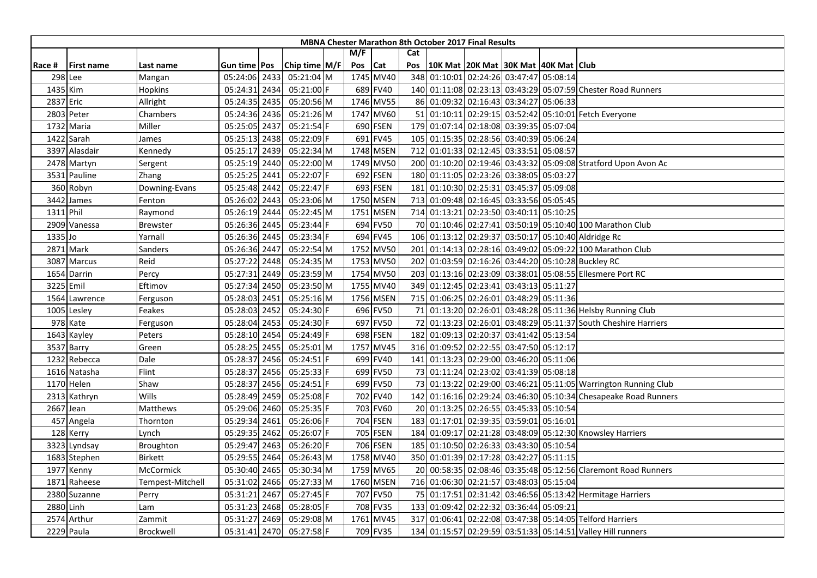| M/F<br>Cat<br>Chip time M/F<br>Pos<br>Cat<br>10K Mat 20K Mat 30K Mat 40K Mat Club<br>Gun time Pos<br>Pos<br><b>First name</b><br>Race #<br>Last name<br>1745 MV40<br>348 01:10:01 02:24:26 03:47:47 05:08:14<br>298 Lee<br>05:24:06 2433<br>05:21:04 M<br>Mangan<br>689 FV40<br>05:24:31 2434<br>05:21:00 F<br>140 01:11:08 02:23:13 03:43:29 05:07:59 Chester Road Runners<br>1435 Kim<br><b>Hopkins</b><br>1746 MV55<br>2837 Eric<br>05:24:35 2435<br>05:20:56 M<br>86 01:09:32 02:16:43 03:34:27 05:06:33<br>Allright<br>2803 Peter<br>05:21:26 M<br>1747 MV60<br>51 01:10:11 02:29:15 03:52:42 05:10:01 Fetch Everyone<br>Chambers<br>05:24:36 2436<br>690 FSEN<br>179<br>01:07:14 02:18:08 03:39:35 05:07:04<br>05:25:05 2437<br>05:21:54 F<br>1732 Maria<br>Miller<br>691 FV45<br>01:15:35 02:28:56 03:40:39 05:06:24<br>1422 Sarah<br>05:25:13 2438<br>05:22:09 F<br>105<br>James |
|------------------------------------------------------------------------------------------------------------------------------------------------------------------------------------------------------------------------------------------------------------------------------------------------------------------------------------------------------------------------------------------------------------------------------------------------------------------------------------------------------------------------------------------------------------------------------------------------------------------------------------------------------------------------------------------------------------------------------------------------------------------------------------------------------------------------------------------------------------------------------------------|
|                                                                                                                                                                                                                                                                                                                                                                                                                                                                                                                                                                                                                                                                                                                                                                                                                                                                                          |
|                                                                                                                                                                                                                                                                                                                                                                                                                                                                                                                                                                                                                                                                                                                                                                                                                                                                                          |
|                                                                                                                                                                                                                                                                                                                                                                                                                                                                                                                                                                                                                                                                                                                                                                                                                                                                                          |
|                                                                                                                                                                                                                                                                                                                                                                                                                                                                                                                                                                                                                                                                                                                                                                                                                                                                                          |
|                                                                                                                                                                                                                                                                                                                                                                                                                                                                                                                                                                                                                                                                                                                                                                                                                                                                                          |
|                                                                                                                                                                                                                                                                                                                                                                                                                                                                                                                                                                                                                                                                                                                                                                                                                                                                                          |
|                                                                                                                                                                                                                                                                                                                                                                                                                                                                                                                                                                                                                                                                                                                                                                                                                                                                                          |
|                                                                                                                                                                                                                                                                                                                                                                                                                                                                                                                                                                                                                                                                                                                                                                                                                                                                                          |
| 05:25:17 2439<br>05:22:34 M<br>1748 MSEN<br>712 01:01:33 02:12:45 03:33:51 05:08:57<br>3397 Alasdair<br>Kennedy                                                                                                                                                                                                                                                                                                                                                                                                                                                                                                                                                                                                                                                                                                                                                                          |
| 1749 MV50<br>05:25:19 2440<br>05:22:00 M<br>200 01:10:20 02:19:46 03:43:32 05:09:08 Stratford Upon Avon Ac<br>2478 Martyn<br>Sergent                                                                                                                                                                                                                                                                                                                                                                                                                                                                                                                                                                                                                                                                                                                                                     |
| 692 FSEN<br>180 01:11:05 02:23:26 03:38:05 05:03:27<br>05:25:25 2441<br>05:22:07 F<br>3531 Pauline<br>Zhang                                                                                                                                                                                                                                                                                                                                                                                                                                                                                                                                                                                                                                                                                                                                                                              |
| 181 01:10:30 02:25:31 03:45:37 05:09:08<br>05:22:47 F<br>693 FSEN<br>360 Robyn<br>05:25:48 2442<br>Downing-Evans                                                                                                                                                                                                                                                                                                                                                                                                                                                                                                                                                                                                                                                                                                                                                                         |
| 1750 MSEN<br>713 01:09:48 02:16:45 03:33:56 05:05:45<br>3442 James<br>05:26:02 2443<br>05:23:06 M<br>Fenton                                                                                                                                                                                                                                                                                                                                                                                                                                                                                                                                                                                                                                                                                                                                                                              |
| 1751 MSEN<br>714 01:13:21 02:23:50 03:40:11 05:10:25<br>1311 Phil<br>05:26:19 2444<br>05:22:45 M<br>Raymond                                                                                                                                                                                                                                                                                                                                                                                                                                                                                                                                                                                                                                                                                                                                                                              |
| 694 FV50<br>05:26:36 2445<br>05:23:44 F<br>70 01:10:46 02:27:41 03:50:19 05:10:40 100 Marathon Club<br>2909 Vanessa<br><b>Brewster</b>                                                                                                                                                                                                                                                                                                                                                                                                                                                                                                                                                                                                                                                                                                                                                   |
| 1335 Jo<br>05:26:36 2445<br>05:23:34 F<br>694 FV45<br>106 01:13:12 02:29:37 03:50:17 05:10:40 Aldridge Rc<br>Yarnall                                                                                                                                                                                                                                                                                                                                                                                                                                                                                                                                                                                                                                                                                                                                                                     |
| 2871 Mark<br>05:22:54 M<br>1752 MV50<br>201 01:14:13 02:28:16 03:49:02 05:09:22 100 Marathon Club<br>Sanders<br>05:26:36 2447                                                                                                                                                                                                                                                                                                                                                                                                                                                                                                                                                                                                                                                                                                                                                            |
| 1753 MV50<br>Reid<br>05:27:22 2448<br>05:24:35 M<br>202<br>01:03:59 02:16:26 03:44:20 05:10:28 Buckley RC<br>3087 Marcus                                                                                                                                                                                                                                                                                                                                                                                                                                                                                                                                                                                                                                                                                                                                                                 |
| 1754 MV50<br>01:13:16 02:23:09 03:38:01 05:08:55 Ellesmere Port RC<br>1654 Darrin<br>2449<br>05:23:59 M<br>203<br>Percy<br>05:27:31                                                                                                                                                                                                                                                                                                                                                                                                                                                                                                                                                                                                                                                                                                                                                      |
| 05:27:34 2450<br>05:23:50 M<br>1755 MV40<br>349 01:12:45 02:23:41 03:43:13 05:11:27<br>3225 Emil<br>Eftimov                                                                                                                                                                                                                                                                                                                                                                                                                                                                                                                                                                                                                                                                                                                                                                              |
| 05:28:03 2451<br>1756 MSEN<br>715 01:06:25 02:26:01 03:48:29 05:11:36<br>1564 Lawrence<br>05:25:16 M<br>Ferguson                                                                                                                                                                                                                                                                                                                                                                                                                                                                                                                                                                                                                                                                                                                                                                         |
| 696 FV50<br>05:28:03 2452<br>71 01:13:20 02:26:01 03:48:28 05:11:36 Helsby Running Club<br>1005 Lesley<br>05:24:30 F<br>Feakes                                                                                                                                                                                                                                                                                                                                                                                                                                                                                                                                                                                                                                                                                                                                                           |
| 978 Kate<br>05:24:30 F<br>697 FV50<br>72 01:13:23 02:26:01 03:48:29 05:11:37 South Cheshire Harriers<br>05:28:04 2453<br>Ferguson                                                                                                                                                                                                                                                                                                                                                                                                                                                                                                                                                                                                                                                                                                                                                        |
| 698 FSEN<br>05:28:10 2454<br>05:24:49 F<br>182 01:09:13 02:20:37 03:41:42 05:13:54<br>1643 Kayley<br>Peters                                                                                                                                                                                                                                                                                                                                                                                                                                                                                                                                                                                                                                                                                                                                                                              |
| 1757 MV45<br>05:28:25 2455<br>05:25:01 M<br>316 01:09:52 02:22:55 03:47:50 05:12:17<br>3537 Barry<br>Green                                                                                                                                                                                                                                                                                                                                                                                                                                                                                                                                                                                                                                                                                                                                                                               |
| 1232 Rebecca<br>Dale<br>2456<br>05:24:51 F<br>699 FV40<br>141<br>01:13:23 02:29:00 03:46:20 05:11:06<br>05:28:37                                                                                                                                                                                                                                                                                                                                                                                                                                                                                                                                                                                                                                                                                                                                                                         |
| Flint<br>1616 Natasha<br>2456<br>05:25:33 F<br>699 FV50<br>73 01:11:24 02:23:02 03:41:39 05:08:18<br>05:28:37                                                                                                                                                                                                                                                                                                                                                                                                                                                                                                                                                                                                                                                                                                                                                                            |
| Shaw<br>05:24:51 F<br>699 FV50<br>73 01:13:22 02:29:00 03:46:21 05:11:05 Warrington Running Club<br>1170 Helen<br>05:28:37 2456                                                                                                                                                                                                                                                                                                                                                                                                                                                                                                                                                                                                                                                                                                                                                          |
| Wills<br>702 FV40<br>05:28:49 2459<br>05:25:08 F<br>142 01:16:16 02:29:24 03:46:30 05:10:34 Chesapeake Road Runners<br>2313 Kathryn                                                                                                                                                                                                                                                                                                                                                                                                                                                                                                                                                                                                                                                                                                                                                      |
| 20 01:13:25 02:26:55 03:45:33 05:10:54<br>2667 Jean<br>05:29:06 2460<br>05:25:35 F<br>703 FV60<br>Matthews                                                                                                                                                                                                                                                                                                                                                                                                                                                                                                                                                                                                                                                                                                                                                                               |
| 704 FSEN<br>183 01:17:01 02:39:35 03:59:01 05:16:01<br>457 Angela<br>05:29:34 2461<br>05:26:06 F<br>Thornton                                                                                                                                                                                                                                                                                                                                                                                                                                                                                                                                                                                                                                                                                                                                                                             |
| 05:29:35 2462<br>05:26:07 F<br>705 FSEN<br>184 01:09:17 02:21:28 03:48:09 05:12:30 Knowsley Harriers<br>128 Kerry<br>Lynch                                                                                                                                                                                                                                                                                                                                                                                                                                                                                                                                                                                                                                                                                                                                                               |
| 706 FSEN<br>185 01:10:50 02:26:33 03:43:30 05:10:54<br>2463<br>05:26:20 F<br>3323 Lyndsay<br>Broughton<br>05:29:47                                                                                                                                                                                                                                                                                                                                                                                                                                                                                                                                                                                                                                                                                                                                                                       |
| 350 01:01:39 02:17:28 03:42:27 05:11:15<br>05:29:55 2464<br>05:26:43 M<br>1758 MV40<br>1683 Stephen<br><b>Birkett</b>                                                                                                                                                                                                                                                                                                                                                                                                                                                                                                                                                                                                                                                                                                                                                                    |
| 1759 MV65<br>05:30:40 2465<br>05:30:34 M<br>20 00:58:35 02:08:46 03:35:48 05:12:56 Claremont Road Runners<br>1977 Kenny<br>McCormick                                                                                                                                                                                                                                                                                                                                                                                                                                                                                                                                                                                                                                                                                                                                                     |
| 1760 MSEN<br>05:31:02<br>2466<br>05:27:33 M<br>716 01:06:30 02:21:57 03:48:03 05:15:04<br>1871<br>Raheese<br>Tempest-Mitchell                                                                                                                                                                                                                                                                                                                                                                                                                                                                                                                                                                                                                                                                                                                                                            |
| 05:31:21<br>2467<br>05:27:45 F<br>707 FV50<br>75 01:17:51 02:31:42 03:46:56 05:13:42 Hermitage Harriers<br>2380 Suzanne<br>Perry                                                                                                                                                                                                                                                                                                                                                                                                                                                                                                                                                                                                                                                                                                                                                         |
| 2880 Linh<br>05:31:23 2468<br>708 FV35<br>133 01:09:42 02:22:32 03:36:44 05:09:21<br>05:28:05 F<br>Lam                                                                                                                                                                                                                                                                                                                                                                                                                                                                                                                                                                                                                                                                                                                                                                                   |
| 317 01:06:41 02:22:08 03:47:38 05:14:05 Telford Harriers<br>2574 Arthur<br>05:31:27 2469<br>05:29:08 M<br>1761 MV45<br>Zammit                                                                                                                                                                                                                                                                                                                                                                                                                                                                                                                                                                                                                                                                                                                                                            |
| 709 FV35<br>134 01:15:57 02:29:59 03:51:33 05:14:51 Valley Hill runners<br>05:31:41 2470<br>05:27:58 F<br>2229 Paula<br><b>Brockwell</b>                                                                                                                                                                                                                                                                                                                                                                                                                                                                                                                                                                                                                                                                                                                                                 |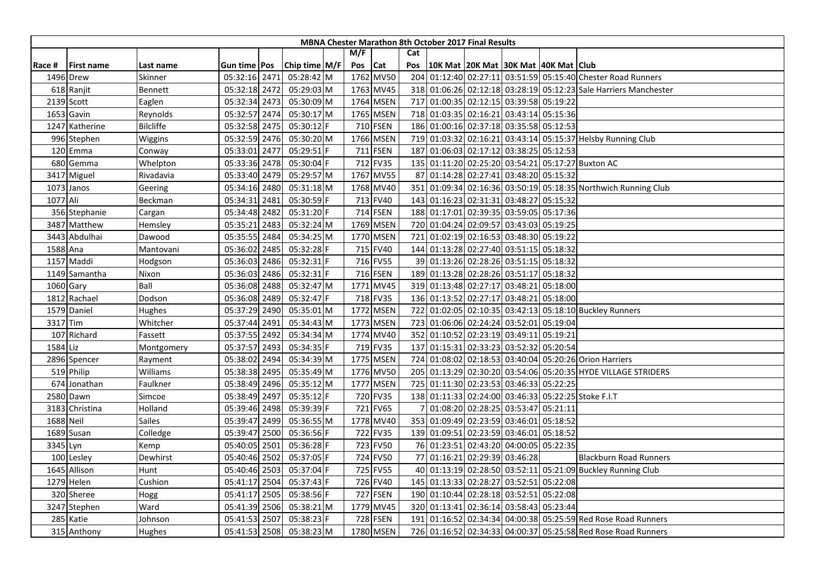| <b>MBNA Chester Marathon 8th October 2017 Final Results</b> |                   |                  |                     |  |               |  |     |            |     |                                              |                                     |  |                                                                  |
|-------------------------------------------------------------|-------------------|------------------|---------------------|--|---------------|--|-----|------------|-----|----------------------------------------------|-------------------------------------|--|------------------------------------------------------------------|
|                                                             |                   |                  |                     |  |               |  | M/F |            | Cat |                                              |                                     |  |                                                                  |
| Race #                                                      | <b>First name</b> | Last name        | Gun time <b>Pos</b> |  | Chip time M/F |  | Pos | <b>Cat</b> | Pos | 10K Mat   20K Mat   30K Mat   40K Mat   Club |                                     |  |                                                                  |
|                                                             | 1496 Drew         | Skinner          | 05:32:16 2471       |  | 05:28:42 M    |  |     | 1762 MV50  |     |                                              |                                     |  | 204 01:12:40 02:27:11 03:51:59 05:15:40 Chester Road Runners     |
|                                                             | 618 Ranjit        | Bennett          | 05:32:18 2472       |  | 05:29:03 M    |  |     | 1763 MV45  |     |                                              |                                     |  | 318 01:06:26 02:12:18 03:28:19 05:12:23 Sale Harriers Manchester |
|                                                             | 2139 Scott        | Eaglen           | 05:32:34 2473       |  | 05:30:09 M    |  |     | 1764 MSEN  |     | 717 01:00:35 02:12:15 03:39:58 05:19:22      |                                     |  |                                                                  |
|                                                             | 1653 Gavin        | Reynolds         | 05:32:57 2474       |  | 05:30:17 M    |  |     | 1765 MSEN  |     | 718 01:03:35 02:16:21 03:43:14 05:15:36      |                                     |  |                                                                  |
|                                                             | 1247 Katherine    | <b>Bilcliffe</b> | 05:32:58 2475       |  | 05:30:12 F    |  |     | 710 FSEN   |     | 186 01:00:16 02:37:18 03:35:58 05:12:53      |                                     |  |                                                                  |
|                                                             | 996 Stephen       | Wiggins          | 05:32:59 2476       |  | 05:30:20 M    |  |     | 1766 MSEN  | 719 |                                              |                                     |  | 01:03:32 02:16:21 03:43:14 05:15:37 Helsby Running Club          |
|                                                             | 120 Emma          | Conway           | 05:33:01 2477       |  | 05:29:51 F    |  |     | 711 FSEN   |     | 187 01:06:03 02:17:12 03:38:25 05:12:53      |                                     |  |                                                                  |
|                                                             | 680 Gemma         | Whelpton         | 05:33:36 2478       |  | 05:30:04 F    |  |     | 712 FV35   |     |                                              |                                     |  | 135 01:11:20 02:25:20 03:54:21 05:17:27 Buxton AC                |
|                                                             | 3417 Miguel       | Rivadavia        | 05:33:40 2479       |  | 05:29:57 M    |  |     | 1767 MV55  |     | 87 01:14:28 02:27:41 03:48:20 05:15:32       |                                     |  |                                                                  |
|                                                             | 1073 Janos        | Geering          | 05:34:16 2480       |  | 05:31:18 M    |  |     | 1768 MV40  | 351 |                                              |                                     |  | 01:09:34 02:16:36 03:50:19 05:18:35 Northwich Running Club       |
| 1077 Ali                                                    |                   | Beckman          | 05:34:31 2481       |  | 05:30:59 F    |  |     | 713 FV40   | 143 |                                              | 01:16:23 02:31:31 03:48:27 05:15:32 |  |                                                                  |
|                                                             | 356 Stephanie     | Cargan           | 05:34:48 2482       |  | 05:31:20 F    |  |     | 714 FSEN   |     | 188 01:17:01 02:39:35 03:59:05 05:17:36      |                                     |  |                                                                  |
|                                                             | 3487 Matthew      | Hemsley          | 05:35:21 2483       |  | 05:32:24 M    |  |     | 1769 MSEN  |     | 720 01:04:24 02:09:57 03:43:03 05:19:25      |                                     |  |                                                                  |
|                                                             | 3443 Abdulhai     | Dawood           | 05:35:55 2484       |  | 05:34:25 M    |  |     | 1770 MSEN  | 721 | 01:02:19 02:16:53 03:48:30 05:19:22          |                                     |  |                                                                  |
|                                                             | 1588 Ana          | Mantovani        | 05:36:02 2485       |  | 05:32:28 F    |  |     | 715 FV40   |     | 144 01:13:28 02:27:40 03:51:15 05:18:32      |                                     |  |                                                                  |
|                                                             | 1157 Maddi        | Hodgson          | 05:36:03 2486       |  | 05:32:31 F    |  |     | 716 FV55   |     | 39 01:13:26 02:28:26 03:51:15 05:18:32       |                                     |  |                                                                  |
|                                                             | 1149 Samantha     | Nixon            | 05:36:03 2486       |  | 05:32:31 F    |  |     | 716 FSEN   | 189 |                                              | 01:13:28 02:28:26 03:51:17 05:18:32 |  |                                                                  |
|                                                             | 1060 Gary         | Ball             | 05:36:08 2488       |  | 05:32:47 M    |  |     | 1771 MV45  |     | 319 01:13:48 02:27:17 03:48:21 05:18:00      |                                     |  |                                                                  |
|                                                             | 1812 Rachael      | Dodson           | 05:36:08 2489       |  | 05:32:47 F    |  |     | 718 FV35   |     | 136 01:13:52 02:27:17 03:48:21 05:18:00      |                                     |  |                                                                  |
|                                                             | 1579 Daniel       | Hughes           | 05:37:29 2490       |  | 05:35:01 M    |  |     | 1772 MSEN  |     |                                              |                                     |  | 722 01:02:05 02:10:35 03:42:13 05:18:10 Buckley Runners          |
|                                                             | 3317 Tim          | Whitcher         | 05:37:44 2491       |  | 05:34:43 M    |  |     | 1773 MSEN  |     | 723 01:06:06 02:24:24 03:52:01 05:19:04      |                                     |  |                                                                  |
|                                                             | 107 Richard       | Fassett          | 05:37:55 2492       |  | 05:34:34 M    |  |     | 1774 MV40  | 352 | 01:10:52 02:23:19 03:49:11 05:19:21          |                                     |  |                                                                  |
| 1584 Liz                                                    |                   | Montgomery       | 05:37:57 2493       |  | 05:34:35 F    |  |     | 719 FV35   | 137 | 01:15:31 02:33:23 03:52:32 05:20:54          |                                     |  |                                                                  |
|                                                             | 2896 Spencer      | Rayment          | 05:38:02 2494       |  | 05:34:39 M    |  |     | 1775 MSEN  | 724 |                                              |                                     |  | 01:08:02 02:18:53 03:40:04 05:20:26 Orion Harriers               |
|                                                             | 519 Philip        | Williams         | 05:38:38 2495       |  | 05:35:49 M    |  |     | 1776 MV50  | 205 |                                              |                                     |  | 01:13:29 02:30:20 03:54:06 05:20:35 HYDE VILLAGE STRIDERS        |
|                                                             | 674 Jonathan      | Faulkner         | 05:38:49 2496       |  | 05:35:12 M    |  |     | 1777 MSEN  | 725 | 01:11:30 02:23:53 03:46:33 05:22:25          |                                     |  |                                                                  |
|                                                             | 2580 Dawn         | Simcoe           | 05:38:49 2497       |  | 05:35:12 F    |  |     | 720 FV35   |     |                                              |                                     |  | 138 01:11:33 02:24:00 03:46:33 05:22:25 Stoke F.I.T              |
|                                                             | 3183 Christina    | Holland          | 05:39:46 2498       |  | 05:39:39 F    |  |     | 721 FV65   |     |                                              | 01:08:20 02:28:25 03:53:47 05:21:11 |  |                                                                  |
|                                                             | 1688 Neil         | <b>Sailes</b>    | 05:39:47 2499       |  | 05:36:55 M    |  |     | 1778 MV40  |     | 353 01:09:49 02:23:59 03:46:01 05:18:52      |                                     |  |                                                                  |
|                                                             | 1689 Susan        | Colledge         | 05:39:47 2500       |  | 05:36:56 F    |  |     | 722 FV35   |     | 139 01:09:51 02:23:59 03:46:01 05:18:52      |                                     |  |                                                                  |
|                                                             | 3345 Lyn          | Kemp             | 05:40:05 2501       |  | 05:36:28 F    |  |     | 723 FV50   |     | 76 01:23:51 02:43:20 04:00:05 05:22:35       |                                     |  |                                                                  |
|                                                             | 100 Lesley        | Dewhirst         | 05:40:46 2502       |  | 05:37:05 F    |  |     | 724 FV50   |     | 77 01:16:21 02:29:39 03:46:28                |                                     |  | <b>Blackburn Road Runners</b>                                    |
|                                                             | 1645 Allison      | Hunt             | 05:40:46 2503       |  | 05:37:04 F    |  |     | 725 FV55   |     |                                              |                                     |  | 40 01:13:19 02:28:50 03:52:11 05:21:09 Buckley Running Club      |
|                                                             | 1279 Helen        | Cushion          | 05:41:17 2504       |  | 05:37:43 F    |  |     | 726 FV40   |     | 145 01:13:33 02:28:27 03:52:51 05:22:08      |                                     |  |                                                                  |
|                                                             | 320 Sheree        | Hogg             | 05:41:17 2505       |  | 05:38:56 F    |  |     | 727 FSEN   |     | 190 01:10:44 02:28:18 03:52:51 05:22:08      |                                     |  |                                                                  |
|                                                             | 3247 Stephen      | Ward             | 05:41:39 2506       |  | 05:38:21 M    |  |     | 1779 MV45  |     | 320 01:13:41 02:36:14 03:58:43 05:23:44      |                                     |  |                                                                  |
|                                                             | 285 Katie         | Johnson          | 05:41:53 2507       |  | 05:38:23 F    |  |     | 728 FSEN   | 191 |                                              |                                     |  | 01:16:52 02:34:34 04:00:38 05:25:59 Red Rose Road Runners        |
|                                                             | 315 Anthony       | Hughes           | 05:41:53 2508       |  | 05:38:23 M    |  |     | 1780 MSEN  |     |                                              |                                     |  | 726 01:16:52 02:34:33 04:00:37 05:25:58 Red Rose Road Runners    |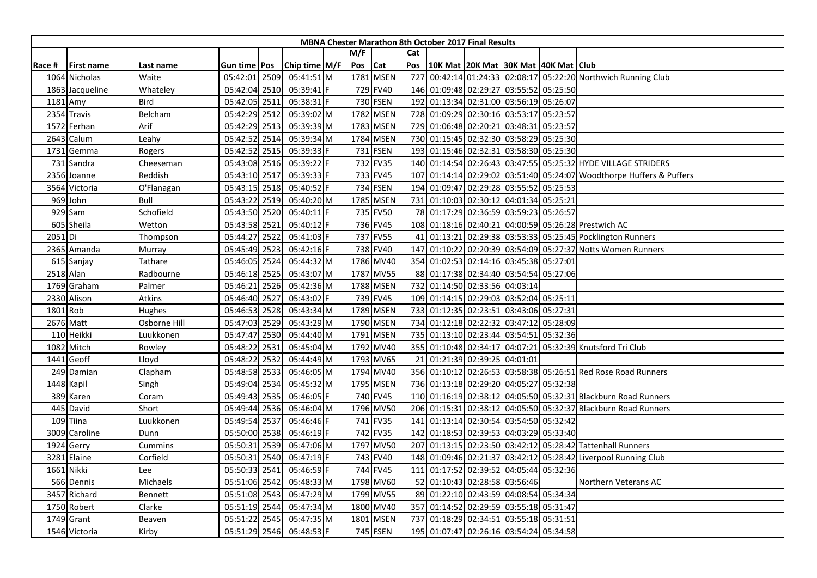| <b>MBNA Chester Marathon 8th October 2017 Final Results</b> |                   |              |                     |      |                 |  |     |            |     |                                              |  |  |                                                                      |
|-------------------------------------------------------------|-------------------|--------------|---------------------|------|-----------------|--|-----|------------|-----|----------------------------------------------|--|--|----------------------------------------------------------------------|
|                                                             |                   |              |                     |      |                 |  | M/F |            | Cat |                                              |  |  |                                                                      |
| Race #                                                      | <b>First name</b> | Last name    | Gun time <b>Pos</b> |      | Chip time $M/F$ |  | Pos | <b>Cat</b> | Pos | 10K Mat   20K Mat   30K Mat   40K Mat   Club |  |  |                                                                      |
|                                                             | 1064 Nicholas     | Waite        | 05:42:01 2509       |      | 05:41:51 M      |  |     | 1781 MSEN  | 727 |                                              |  |  | 00:42:14 01:24:33 02:08:17 05:22:20 Northwich Running Club           |
|                                                             | 1863 Jacqueline   | Whateley     | 05:42:04 2510       |      | $05:39:41$  F   |  |     | 729 FV40   |     | 146 01:09:48 02:29:27 03:55:52 05:25:50      |  |  |                                                                      |
|                                                             | 1181 Amy          | <b>Bird</b>  | 05:42:05 2511       |      | $05:38:31$ F    |  |     | 730 FSEN   |     | 192 01:13:34 02:31:00 03:56:19 05:26:07      |  |  |                                                                      |
|                                                             | 2354 Travis       | Belcham      | 05:42:29 2512       |      | 05:39:02 M      |  |     | 1782 MSEN  |     | 728 01:09:29 02:30:16 03:53:17 05:23:57      |  |  |                                                                      |
|                                                             | 1572 Ferhan       | Arif         | 05:42:29 2513       |      | 05:39:39 M      |  |     | 1783 MSEN  |     | 729 01:06:48 02:20:21 03:48:31 05:23:57      |  |  |                                                                      |
|                                                             | 2643 Calum        | Leahy        | 05:42:52 2514       |      | 05:39:34 M      |  |     | 1784 MSEN  |     | 730 01:15:45 02:32:30 03:58:29 05:25:30      |  |  |                                                                      |
|                                                             | 1731 Gemma        | Rogers       | 05:42:52 2515       |      | 05:39:33 F      |  |     | 731 FSEN   |     | 193 01:15:46 02:32:31 03:58:30 05:25:30      |  |  |                                                                      |
|                                                             | 731 Sandra        | Cheeseman    | 05:43:08 2516       |      | 05:39:22 F      |  |     | 732 FV35   |     |                                              |  |  | 140 01:14:54 02:26:43 03:47:55 05:25:32 HYDE VILLAGE STRIDERS        |
|                                                             | 2356 Joanne       | Reddish      | 05:43:10 2517       |      | 05:39:33 F      |  |     | 733 FV45   |     |                                              |  |  | 107 01:14:14 02:29:02 03:51:40 05:24:07 Woodthorpe Huffers & Puffers |
|                                                             | 3564 Victoria     | O'Flanagan   | 05:43:15 2518       |      | 05:40:52 F      |  |     | 734 FSEN   |     | 194 01:09:47 02:29:28 03:55:52 05:25:53      |  |  |                                                                      |
|                                                             | 969 John          | Bull         | 05:43:22 2519       |      | 05:40:20 M      |  |     | 1785 MSEN  |     | 731 01:10:03 02:30:12 04:01:34 05:25:21      |  |  |                                                                      |
|                                                             | $929$ Sam         | Schofield    | 05:43:50 2520       |      | 05:40:11 F      |  |     | 735 FV50   |     | 78 01:17:29 02:36:59 03:59:23 05:26:57       |  |  |                                                                      |
|                                                             | 605 Sheila        | Wetton       | 05:43:58 2521       |      | 05:40:12 F      |  |     | 736 FV45   |     |                                              |  |  | 108 01:18:16 02:40:21 04:00:59 05:26:28 Prestwich AC                 |
| 2051 Di                                                     |                   | Thompson     | 05:44:27 2522       |      | 05:41:03 F      |  |     | 737 FV55   | 41  |                                              |  |  | 01:13:21 02:29:38 03:53:33 05:25:45 Pocklington Runners              |
|                                                             | 2365 Amanda       | Murray       | 05:45:49 2523       |      | 05:42:16 F      |  |     | 738 FV40   | 147 |                                              |  |  | 01:10:22 02:20:39 03:54:09 05:27:37 Notts Women Runners              |
|                                                             | 615 Sanjay        | Tathare      | 05:46:05 2524       |      | 05:44:32 M      |  |     | 1786 MV40  |     | 354 01:02:53 02:14:16 03:45:38 05:27:01      |  |  |                                                                      |
|                                                             | 2518 Alan         | Radbourne    | 05:46:18 2525       |      | 05:43:07 M      |  |     | 1787 MV55  |     | 88 01:17:38 02:34:40 03:54:54 05:27:06       |  |  |                                                                      |
|                                                             | 1769 Graham       | Palmer       | 05:46:21            | 2526 | 05:42:36 M      |  |     | 1788 MSEN  |     | 732 01:14:50 02:33:56 04:03:14               |  |  |                                                                      |
|                                                             | 2330 Alison       | Atkins       | 05:46:40 2527       |      | 05:43:02 F      |  |     | 739 FV45   |     | 109 01:14:15 02:29:03 03:52:04 05:25:11      |  |  |                                                                      |
|                                                             | 1801 Rob          | Hughes       | 05:46:53 2528       |      | 05:43:34 M      |  |     | 1789 MSEN  |     | 733 01:12:35 02:23:51 03:43:06 05:27:31      |  |  |                                                                      |
|                                                             | 2676 Matt         | Osborne Hill | 05:47:03 2529       |      | 05:43:29 M      |  |     | 1790 MSEN  |     | 734 01:12:18 02:22:32 03:47:12 05:28:09      |  |  |                                                                      |
|                                                             | 110 Heikki        | Luukkonen    | 05:47:47 2530       |      | 05:44:40 M      |  |     | 1791 MSEN  |     | 735 01:13:10 02:23:44 03:54:51 05:32:36      |  |  |                                                                      |
|                                                             | 1082 Mitch        | Rowley       | 05:48:22 2531       |      | 05:45:04 M      |  |     | 1792 MV40  |     |                                              |  |  | 355 01:10:48 02:34:17 04:07:21 05:32:39 Knutsford Tri Club           |
|                                                             | 1441 Geoff        | Lloyd        | 05:48:22 2532       |      | 05:44:49 M      |  |     | 1793 MV65  |     | 21 01:21:39 02:39:25 04:01:01                |  |  |                                                                      |
|                                                             | 249 Damian        | Clapham      | 05:48:58 2533       |      | 05:46:05 M      |  |     | 1794 MV40  |     |                                              |  |  | 356 01:10:12 02:26:53 03:58:38 05:26:51 Red Rose Road Runners        |
|                                                             | 1448 Kapil        | Singh        | 05:49:04 2534       |      | 05:45:32 M      |  |     | 1795 MSEN  |     | 736 01:13:18 02:29:20 04:05:27 05:32:38      |  |  |                                                                      |
|                                                             | 389 Karen         | Coram        | 05:49:43 2535       |      | 05:46:05 F      |  |     | 740 FV45   |     |                                              |  |  | 110 01:16:19 02:38:12 04:05:50 05:32:31 Blackburn Road Runners       |
|                                                             | 445 David         | Short        | 05:49:44 2536       |      | 05:46:04 M      |  |     | 1796 MV50  | 206 |                                              |  |  | 01:15:31 02:38:12 04:05:50 05:32:37 Blackburn Road Runners           |
|                                                             | 109 Tiina         | Luukkonen    | 05:49:54 2537       |      | 05:46:46 F      |  |     | 741 FV35   | 141 | 01:13:14 02:30:54 03:54:50 05:32:42          |  |  |                                                                      |
|                                                             | 3009 Caroline     | Dunn         | 05:50:00 2538       |      | $05:46:19$ F    |  |     | 742 FV35   |     | 142 01:18:53 02:39:53 04:03:29 05:33:40      |  |  |                                                                      |
|                                                             | 1924 Gerry        | Cummins      | 05:50:31 2539       |      | 05:47:06 M      |  |     | 1797 MV50  |     |                                              |  |  | 207 01:13:15 02:23:50 03:42:12 05:28:42 Tattenhall Runners           |
|                                                             | 3281 Elaine       | Corfield     | 05:50:31 2540       |      | 05:47:19 F      |  |     | 743 FV40   |     |                                              |  |  | 148 01:09:46 02:21:37 03:42:12 05:28:42 Liverpool Running Club       |
|                                                             | 1661 Nikki        | Lee          | 05:50:33 2541       |      | 05:46:59 F      |  |     | 744 FV45   |     | 111 01:17:52 02:39:52 04:05:44 05:32:36      |  |  |                                                                      |
|                                                             | 566 Dennis        | Michaels     | 05:51:06 2542       |      | 05:48:33 M      |  |     | 1798 MV60  |     | 52 01:10:43 02:28:58 03:56:46                |  |  | Northern Veterans AC                                                 |
|                                                             | 3457 Richard      | Bennett      | 05:51:08 2543       |      | 05:47:29 M      |  |     | 1799 MV55  |     | 89 01:22:10 02:43:59 04:08:54 05:34:34       |  |  |                                                                      |
|                                                             | 1750 Robert       | Clarke       | 05:51:19 2544       |      | 05:47:34 M      |  |     | 1800 MV40  |     | 357 01:14:52 02:29:59 03:55:18 05:31:47      |  |  |                                                                      |
|                                                             | 1749 Grant        | Beaven       | 05:51:22 2545       |      | 05:47:35 M      |  |     | 1801 MSEN  |     | 737 01:18:29 02:34:51 03:55:18 05:31:51      |  |  |                                                                      |
|                                                             | 1546 Victoria     | Kirby        | 05:51:29 2546       |      | 05:48:53 F      |  |     | 745 FSEN   |     | 195 01:07:47 02:26:16 03:54:24 05:34:58      |  |  |                                                                      |